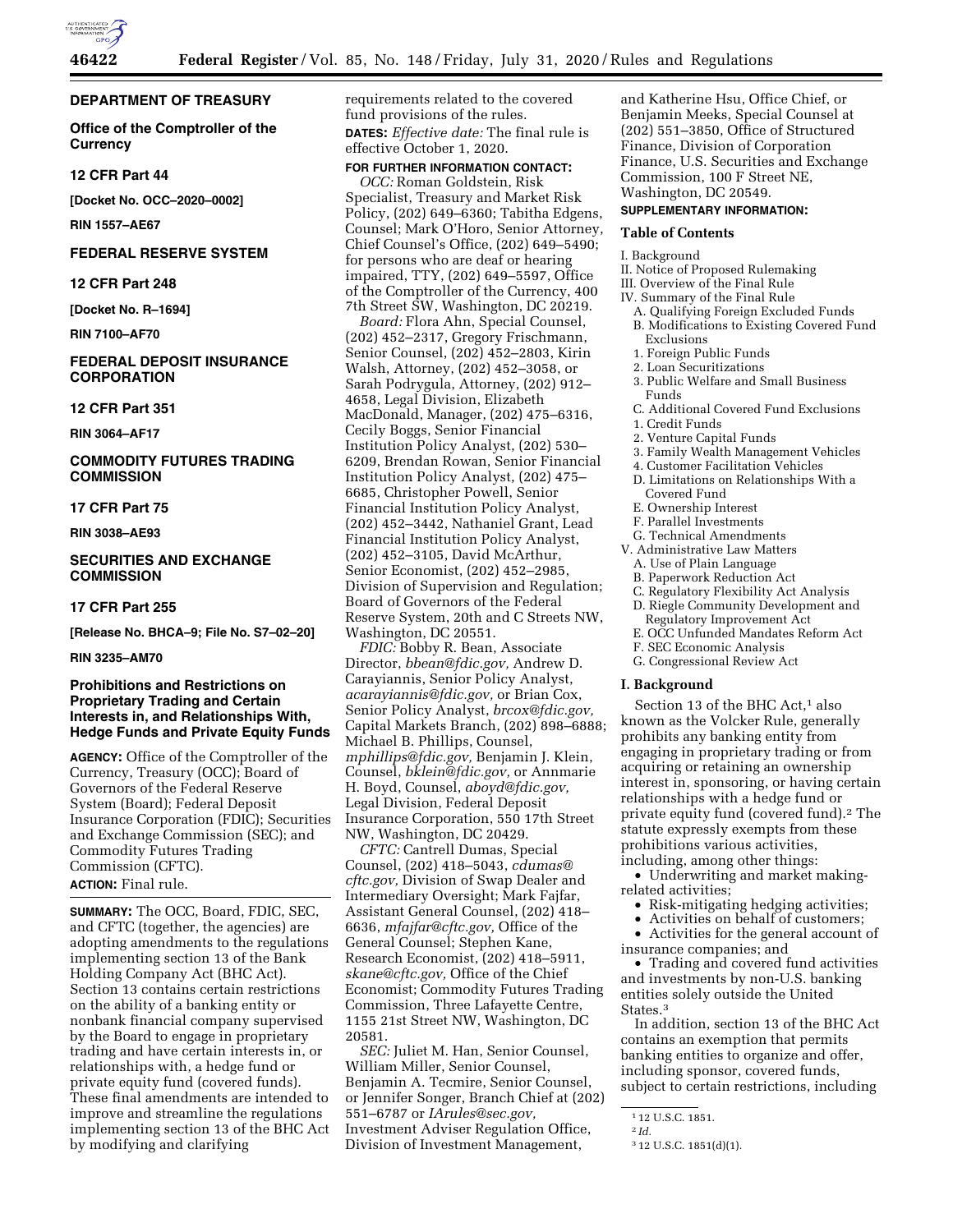

## **DEPARTMENT OF TREASURY**

**Office of the Comptroller of the Currency** 

## **12 CFR Part 44**

**[Docket No. OCC–2020–0002]** 

**RIN 1557–AE67** 

# **FEDERAL RESERVE SYSTEM**

# **12 CFR Part 248**

**[Docket No. R–1694]** 

**RIN 7100–AF70** 

# **FEDERAL DEPOSIT INSURANCE CORPORATION**

# **12 CFR Part 351**

**RIN 3064–AF17** 

# **COMMODITY FUTURES TRADING COMMISSION**

## **17 CFR Part 75**

**RIN 3038–AE93** 

# **SECURITIES AND EXCHANGE COMMISSION**

# **17 CFR Part 255**

## **[Release No. BHCA–9; File No. S7–02–20]**

## **RIN 3235–AM70**

# **Prohibitions and Restrictions on Proprietary Trading and Certain Interests in, and Relationships With, Hedge Funds and Private Equity Funds**

**AGENCY:** Office of the Comptroller of the Currency, Treasury (OCC); Board of Governors of the Federal Reserve System (Board); Federal Deposit Insurance Corporation (FDIC); Securities and Exchange Commission (SEC); and Commodity Futures Trading Commission (CFTC).

## **ACTION:** Final rule.

**SUMMARY:** The OCC, Board, FDIC, SEC, and CFTC (together, the agencies) are adopting amendments to the regulations implementing section 13 of the Bank Holding Company Act (BHC Act). Section 13 contains certain restrictions on the ability of a banking entity or nonbank financial company supervised by the Board to engage in proprietary trading and have certain interests in, or relationships with, a hedge fund or private equity fund (covered funds). These final amendments are intended to improve and streamline the regulations implementing section 13 of the BHC Act by modifying and clarifying

requirements related to the covered fund provisions of the rules. **DATES:** *Effective date:* The final rule is effective October 1, 2020.

# **FOR FURTHER INFORMATION CONTACT:**

*OCC:* Roman Goldstein, Risk Specialist, Treasury and Market Risk Policy, (202) 649–6360; Tabitha Edgens, Counsel; Mark O'Horo, Senior Attorney, Chief Counsel's Office, (202) 649–5490; for persons who are deaf or hearing impaired, TTY, (202) 649–5597, Office of the Comptroller of the Currency, 400 7th Street SW, Washington, DC 20219.

*Board:* Flora Ahn, Special Counsel, (202) 452–2317, Gregory Frischmann, Senior Counsel, (202) 452–2803, Kirin Walsh, Attorney, (202) 452–3058, or Sarah Podrygula, Attorney, (202) 912– 4658, Legal Division, Elizabeth MacDonald, Manager, (202) 475–6316, Cecily Boggs, Senior Financial Institution Policy Analyst, (202) 530– 6209, Brendan Rowan, Senior Financial Institution Policy Analyst, (202) 475– 6685, Christopher Powell, Senior Financial Institution Policy Analyst, (202) 452–3442, Nathaniel Grant, Lead Financial Institution Policy Analyst, (202) 452–3105, David McArthur, Senior Economist, (202) 452–2985, Division of Supervision and Regulation; Board of Governors of the Federal Reserve System, 20th and C Streets NW, Washington, DC 20551.

*FDIC:* Bobby R. Bean, Associate Director, *[bbean@fdic.gov,](mailto:bbean@fdic.gov)* Andrew D. Carayiannis, Senior Policy Analyst, *[acarayiannis@fdic.gov,](mailto:acarayiannis@fdic.gov)* or Brian Cox, Senior Policy Analyst, *[brcox@fdic.gov,](mailto:brcox@fdic.gov)*  Capital Markets Branch, (202) 898–6888; Michael B. Phillips, Counsel, *[mphillips@fdic.gov,](mailto:mphillips@fdic.gov)* Benjamin J. Klein, Counsel, *[bklein@fdic.gov,](mailto:bklein@fdic.gov)* or Annmarie H. Boyd, Counsel, *[aboyd@fdic.gov,](mailto:aboyd@fdic.gov)*  Legal Division, Federal Deposit Insurance Corporation, 550 17th Street NW, Washington, DC 20429.

*CFTC:* Cantrell Dumas, Special Counsel, (202) 418–5043, *[cdumas@](mailto:cdumas@cftc.gov) [cftc.gov,](mailto:cdumas@cftc.gov)* Division of Swap Dealer and Intermediary Oversight; Mark Fajfar, Assistant General Counsel, (202) 418– 6636, *[mfajfar@cftc.gov,](mailto:mfajfar@cftc.gov)* Office of the General Counsel; Stephen Kane, Research Economist, (202) 418–5911, *[skane@cftc.gov,](mailto:skane@cftc.gov)* Office of the Chief Economist; Commodity Futures Trading Commission, Three Lafayette Centre, 1155 21st Street NW, Washington, DC 20581.

*SEC:* Juliet M. Han, Senior Counsel, William Miller, Senior Counsel, Benjamin A. Tecmire, Senior Counsel, or Jennifer Songer, Branch Chief at (202) 551–6787 or *[IArules@sec.gov,](mailto:IArules@sec.gov)*  Investment Adviser Regulation Office, Division of Investment Management,

and Katherine Hsu, Office Chief, or Benjamin Meeks, Special Counsel at (202) 551–3850, Office of Structured Finance, Division of Corporation Finance, U.S. Securities and Exchange Commission, 100 F Street NE, Washington, DC 20549.

# **SUPPLEMENTARY INFORMATION:**

## **Table of Contents**

# I. Background

- II. Notice of Proposed Rulemaking
- III. Overview of the Final Rule
- IV. Summary of the Final Rule
	- A. Qualifying Foreign Excluded Funds B. Modifications to Existing Covered Fund Exclusions
	- 1. Foreign Public Funds
	- 2. Loan Securitizations
	- 3. Public Welfare and Small Business Funds
	- C. Additional Covered Fund Exclusions
	- 1. Credit Funds
	- 2. Venture Capital Funds
	- 3. Family Wealth Management Vehicles
	- 4. Customer Facilitation Vehicles
	- D. Limitations on Relationships With a Covered Fund
	- E. Ownership Interest
	- F. Parallel Investments
	- G. Technical Amendments
- V. Administrative Law Matters
	- A. Use of Plain Language
	- B. Paperwork Reduction Act
	- C. Regulatory Flexibility Act Analysis
	- D. Riegle Community Development and Regulatory Improvement Act
	- E. OCC Unfunded Mandates Reform Act F. SEC Economic Analysis
	- G. Congressional Review Act

### **I. Background**

Section 13 of the BHC Act,<sup>1</sup> also known as the Volcker Rule, generally prohibits any banking entity from engaging in proprietary trading or from acquiring or retaining an ownership interest in, sponsoring, or having certain relationships with a hedge fund or private equity fund (covered fund).2 The statute expressly exempts from these prohibitions various activities, including, among other things:

• Underwriting and market makingrelated activities;

- Risk-mitigating hedging activities;
- Activities on behalf of customers;
- Activities for the general account of insurance companies; and

• Trading and covered fund activities and investments by non-U.S. banking entities solely outside the United States.3

In addition, section 13 of the BHC Act contains an exemption that permits banking entities to organize and offer, including sponsor, covered funds, subject to certain restrictions, including

<sup>1</sup> 12 U.S.C. 1851.

<sup>2</sup> *Id.* 

<sup>3</sup> 12 U.S.C. 1851(d)(1).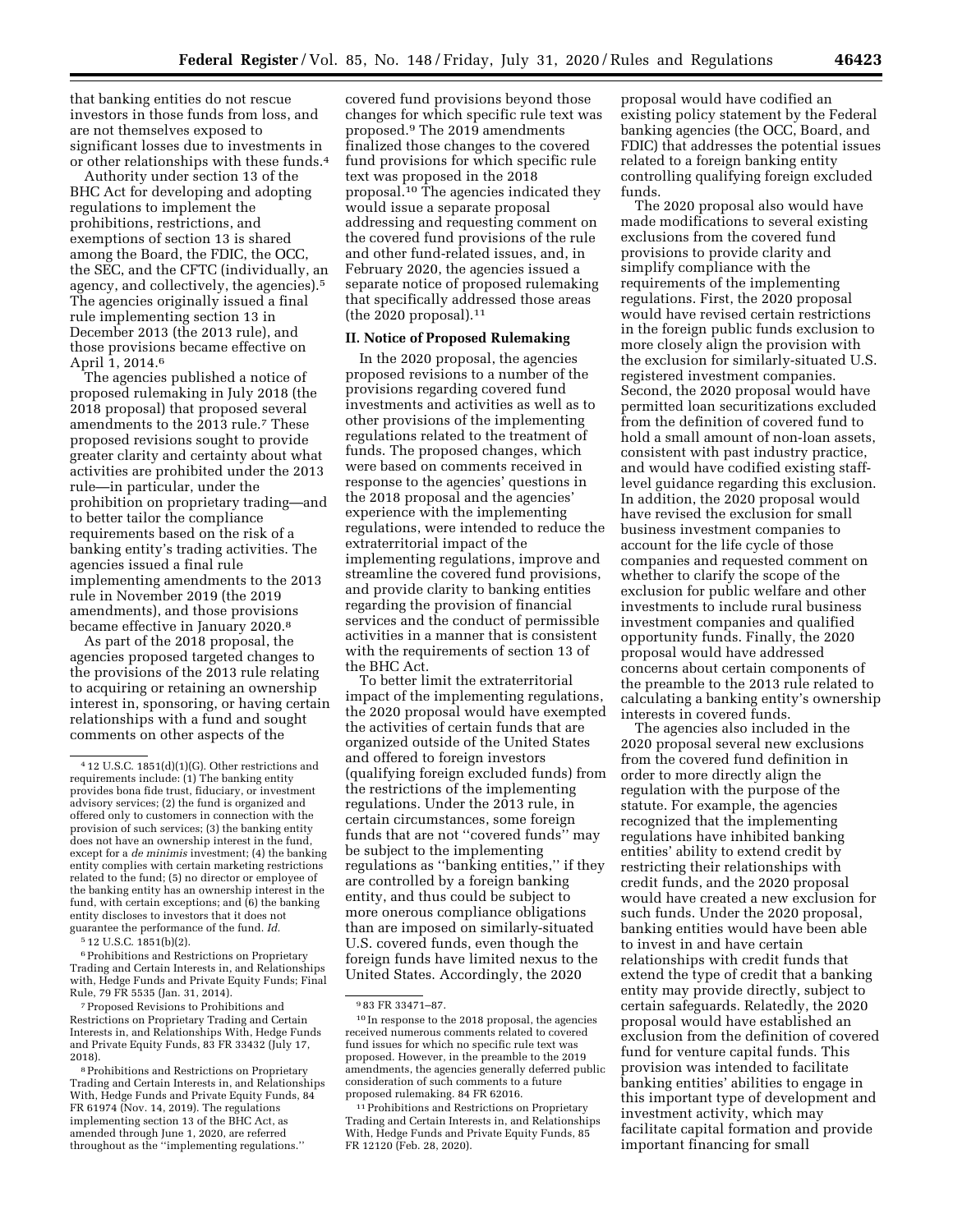that banking entities do not rescue investors in those funds from loss, and are not themselves exposed to significant losses due to investments in or other relationships with these funds.4

Authority under section 13 of the BHC Act for developing and adopting regulations to implement the prohibitions, restrictions, and exemptions of section 13 is shared among the Board, the FDIC, the OCC, the SEC, and the CFTC (individually, an agency, and collectively, the agencies).5 The agencies originally issued a final rule implementing section 13 in December 2013 (the 2013 rule), and those provisions became effective on April 1, 2014.6

The agencies published a notice of proposed rulemaking in July 2018 (the 2018 proposal) that proposed several amendments to the 2013 rule.7 These proposed revisions sought to provide greater clarity and certainty about what activities are prohibited under the 2013 rule—in particular, under the prohibition on proprietary trading—and to better tailor the compliance requirements based on the risk of a banking entity's trading activities. The agencies issued a final rule implementing amendments to the 2013 rule in November 2019 (the 2019 amendments), and those provisions became effective in January 2020.8

As part of the 2018 proposal, the agencies proposed targeted changes to the provisions of the 2013 rule relating to acquiring or retaining an ownership interest in, sponsoring, or having certain relationships with a fund and sought comments on other aspects of the

5 12 U.S.C. 1851(b)(2).

<sup>6</sup> Prohibitions and Restrictions on Proprietary Trading and Certain Interests in, and Relationships with, Hedge Funds and Private Equity Funds; Final Rule, 79 FR 5535 (Jan. 31, 2014).

7Proposed Revisions to Prohibitions and Restrictions on Proprietary Trading and Certain Interests in, and Relationships With, Hedge Funds and Private Equity Funds, 83 FR 33432 (July 17, 2018).

8Prohibitions and Restrictions on Proprietary Trading and Certain Interests in, and Relationships With, Hedge Funds and Private Equity Funds, 84 FR 61974 (Nov. 14, 2019). The regulations implementing section 13 of the BHC Act, as amended through June 1, 2020, are referred throughout as the ''implementing regulations.''

covered fund provisions beyond those changes for which specific rule text was proposed.9 The 2019 amendments finalized those changes to the covered fund provisions for which specific rule text was proposed in the 2018 proposal.10 The agencies indicated they would issue a separate proposal addressing and requesting comment on the covered fund provisions of the rule and other fund-related issues, and, in February 2020, the agencies issued a separate notice of proposed rulemaking that specifically addressed those areas (the 2020 proposal). $11$ 

# **II. Notice of Proposed Rulemaking**

In the 2020 proposal, the agencies proposed revisions to a number of the provisions regarding covered fund investments and activities as well as to other provisions of the implementing regulations related to the treatment of funds. The proposed changes, which were based on comments received in response to the agencies' questions in the 2018 proposal and the agencies' experience with the implementing regulations, were intended to reduce the extraterritorial impact of the implementing regulations, improve and streamline the covered fund provisions, and provide clarity to banking entities regarding the provision of financial services and the conduct of permissible activities in a manner that is consistent with the requirements of section 13 of the BHC Act.

To better limit the extraterritorial impact of the implementing regulations, the 2020 proposal would have exempted the activities of certain funds that are organized outside of the United States and offered to foreign investors (qualifying foreign excluded funds) from the restrictions of the implementing regulations. Under the 2013 rule, in certain circumstances, some foreign funds that are not ''covered funds'' may be subject to the implementing regulations as ''banking entities,'' if they are controlled by a foreign banking entity, and thus could be subject to more onerous compliance obligations than are imposed on similarly-situated U.S. covered funds, even though the foreign funds have limited nexus to the United States. Accordingly, the 2020

proposal would have codified an existing policy statement by the Federal banking agencies (the OCC, Board, and FDIC) that addresses the potential issues related to a foreign banking entity controlling qualifying foreign excluded funds.

The 2020 proposal also would have made modifications to several existing exclusions from the covered fund provisions to provide clarity and simplify compliance with the requirements of the implementing regulations. First, the 2020 proposal would have revised certain restrictions in the foreign public funds exclusion to more closely align the provision with the exclusion for similarly-situated U.S. registered investment companies. Second, the 2020 proposal would have permitted loan securitizations excluded from the definition of covered fund to hold a small amount of non-loan assets, consistent with past industry practice, and would have codified existing stafflevel guidance regarding this exclusion. In addition, the 2020 proposal would have revised the exclusion for small business investment companies to account for the life cycle of those companies and requested comment on whether to clarify the scope of the exclusion for public welfare and other investments to include rural business investment companies and qualified opportunity funds. Finally, the 2020 proposal would have addressed concerns about certain components of the preamble to the 2013 rule related to calculating a banking entity's ownership interests in covered funds.

The agencies also included in the 2020 proposal several new exclusions from the covered fund definition in order to more directly align the regulation with the purpose of the statute. For example, the agencies recognized that the implementing regulations have inhibited banking entities' ability to extend credit by restricting their relationships with credit funds, and the 2020 proposal would have created a new exclusion for such funds. Under the 2020 proposal, banking entities would have been able to invest in and have certain relationships with credit funds that extend the type of credit that a banking entity may provide directly, subject to certain safeguards. Relatedly, the 2020 proposal would have established an exclusion from the definition of covered fund for venture capital funds. This provision was intended to facilitate banking entities' abilities to engage in this important type of development and investment activity, which may facilitate capital formation and provide important financing for small

<sup>4</sup> 12 U.S.C. 1851(d)(1)(G). Other restrictions and requirements include: (1) The banking entity provides bona fide trust, fiduciary, or investment advisory services; (2) the fund is organized and offered only to customers in connection with the provision of such services; (3) the banking entity does not have an ownership interest in the fund, except for a *de minimis* investment; (4) the banking entity complies with certain marketing restrictions related to the fund; (5) no director or employee of the banking entity has an ownership interest in the fund, with certain exceptions; and (6) the banking entity discloses to investors that it does not guarantee the performance of the fund. *Id.* 

<sup>9</sup> 83 FR 33471–87.

<sup>10</sup> In response to the 2018 proposal, the agencies received numerous comments related to covered fund issues for which no specific rule text was proposed. However, in the preamble to the 2019 amendments, the agencies generally deferred public consideration of such comments to a future proposed rulemaking. 84 FR 62016.

<sup>11</sup>Prohibitions and Restrictions on Proprietary Trading and Certain Interests in, and Relationships With, Hedge Funds and Private Equity Funds, 85 FR 12120 (Feb. 28, 2020).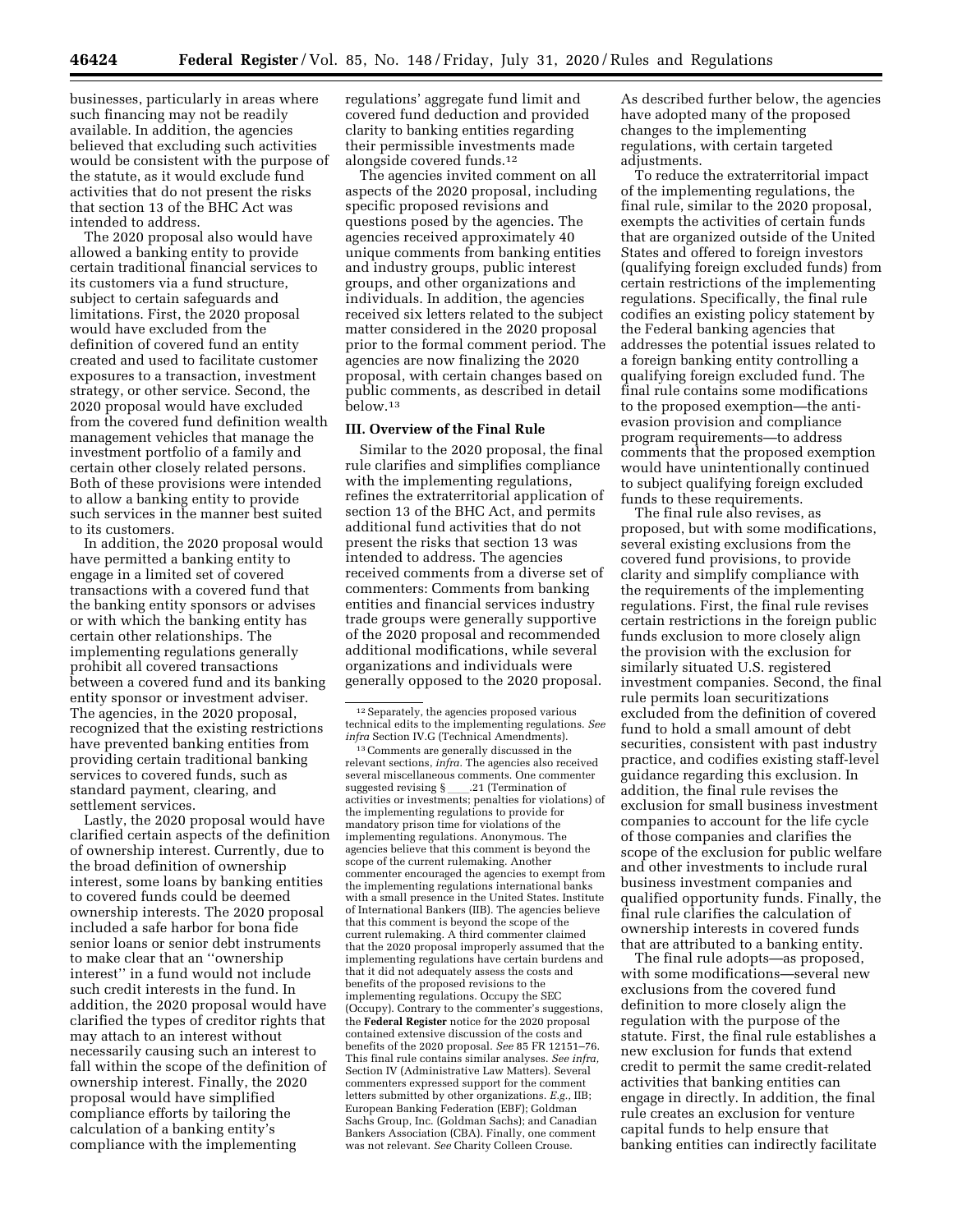businesses, particularly in areas where such financing may not be readily available. In addition, the agencies believed that excluding such activities would be consistent with the purpose of the statute, as it would exclude fund activities that do not present the risks that section 13 of the BHC Act was intended to address.

The 2020 proposal also would have allowed a banking entity to provide certain traditional financial services to its customers via a fund structure, subject to certain safeguards and limitations. First, the 2020 proposal would have excluded from the definition of covered fund an entity created and used to facilitate customer exposures to a transaction, investment strategy, or other service. Second, the 2020 proposal would have excluded from the covered fund definition wealth management vehicles that manage the investment portfolio of a family and certain other closely related persons. Both of these provisions were intended to allow a banking entity to provide such services in the manner best suited to its customers.

In addition, the 2020 proposal would have permitted a banking entity to engage in a limited set of covered transactions with a covered fund that the banking entity sponsors or advises or with which the banking entity has certain other relationships. The implementing regulations generally prohibit all covered transactions between a covered fund and its banking entity sponsor or investment adviser. The agencies, in the 2020 proposal, recognized that the existing restrictions have prevented banking entities from providing certain traditional banking services to covered funds, such as standard payment, clearing, and settlement services.

Lastly, the 2020 proposal would have clarified certain aspects of the definition of ownership interest. Currently, due to the broad definition of ownership interest, some loans by banking entities to covered funds could be deemed ownership interests. The 2020 proposal included a safe harbor for bona fide senior loans or senior debt instruments to make clear that an ''ownership interest'' in a fund would not include such credit interests in the fund. In addition, the 2020 proposal would have clarified the types of creditor rights that may attach to an interest without necessarily causing such an interest to fall within the scope of the definition of ownership interest. Finally, the 2020 proposal would have simplified compliance efforts by tailoring the calculation of a banking entity's compliance with the implementing

regulations' aggregate fund limit and covered fund deduction and provided clarity to banking entities regarding their permissible investments made alongside covered funds.12

The agencies invited comment on all aspects of the 2020 proposal, including specific proposed revisions and questions posed by the agencies. The agencies received approximately 40 unique comments from banking entities and industry groups, public interest groups, and other organizations and individuals. In addition, the agencies received six letters related to the subject matter considered in the 2020 proposal prior to the formal comment period. The agencies are now finalizing the 2020 proposal, with certain changes based on public comments, as described in detail below.13

### **III. Overview of the Final Rule**

Similar to the 2020 proposal, the final rule clarifies and simplifies compliance with the implementing regulations, refines the extraterritorial application of section 13 of the BHC Act, and permits additional fund activities that do not present the risks that section 13 was intended to address. The agencies received comments from a diverse set of commenters: Comments from banking entities and financial services industry trade groups were generally supportive of the 2020 proposal and recommended additional modifications, while several organizations and individuals were generally opposed to the 2020 proposal.

 $^{\rm 12}$  Separately, the agencies proposed various technical edits to the implementing regulations. *See infra* Section IV.G (Technical Amendments).

 $^{\rm 13}$  Comments are generally discussed in the relevant sections, *infra.* The agencies also received several miscellaneous comments. One commenter suggested revising § \_\_\_\_.21 (Termination of<br>activities or investments; penalties for violations) of the implementing regulations to provide for mandatory prison time for violations of the implementing regulations. Anonymous. The agencies believe that this comment is beyond the scope of the current rulemaking. Another commenter encouraged the agencies to exempt from the implementing regulations international banks with a small presence in the United States. Institute of International Bankers (IIB). The agencies believe that this comment is beyond the scope of the current rulemaking. A third commenter claimed that the 2020 proposal improperly assumed that the implementing regulations have certain burdens and that it did not adequately assess the costs and benefits of the proposed revisions to the implementing regulations. Occupy the SEC (Occupy). Contrary to the commenter's suggestions, the **Federal Register** notice for the 2020 proposal contained extensive discussion of the costs and benefits of the 2020 proposal. *See* 85 FR 12151–76. This final rule contains similar analyses. *See infra,*  Section IV (Administrative Law Matters). Several commenters expressed support for the comment letters submitted by other organizations. *E.g.,* IIB; European Banking Federation (EBF); Goldman Sachs Group, Inc. (Goldman Sachs); and Canadian Bankers Association (CBA). Finally, one comment was not relevant. *See* Charity Colleen Crouse.

As described further below, the agencies have adopted many of the proposed changes to the implementing regulations, with certain targeted adjustments.

To reduce the extraterritorial impact of the implementing regulations, the final rule, similar to the 2020 proposal, exempts the activities of certain funds that are organized outside of the United States and offered to foreign investors (qualifying foreign excluded funds) from certain restrictions of the implementing regulations. Specifically, the final rule codifies an existing policy statement by the Federal banking agencies that addresses the potential issues related to a foreign banking entity controlling a qualifying foreign excluded fund. The final rule contains some modifications to the proposed exemption—the antievasion provision and compliance program requirements—to address comments that the proposed exemption would have unintentionally continued to subject qualifying foreign excluded funds to these requirements.

The final rule also revises, as proposed, but with some modifications, several existing exclusions from the covered fund provisions, to provide clarity and simplify compliance with the requirements of the implementing regulations. First, the final rule revises certain restrictions in the foreign public funds exclusion to more closely align the provision with the exclusion for similarly situated U.S. registered investment companies. Second, the final rule permits loan securitizations excluded from the definition of covered fund to hold a small amount of debt securities, consistent with past industry practice, and codifies existing staff-level guidance regarding this exclusion. In addition, the final rule revises the exclusion for small business investment companies to account for the life cycle of those companies and clarifies the scope of the exclusion for public welfare and other investments to include rural business investment companies and qualified opportunity funds. Finally, the final rule clarifies the calculation of ownership interests in covered funds that are attributed to a banking entity.

The final rule adopts—as proposed, with some modifications—several new exclusions from the covered fund definition to more closely align the regulation with the purpose of the statute. First, the final rule establishes a new exclusion for funds that extend credit to permit the same credit-related activities that banking entities can engage in directly. In addition, the final rule creates an exclusion for venture capital funds to help ensure that banking entities can indirectly facilitate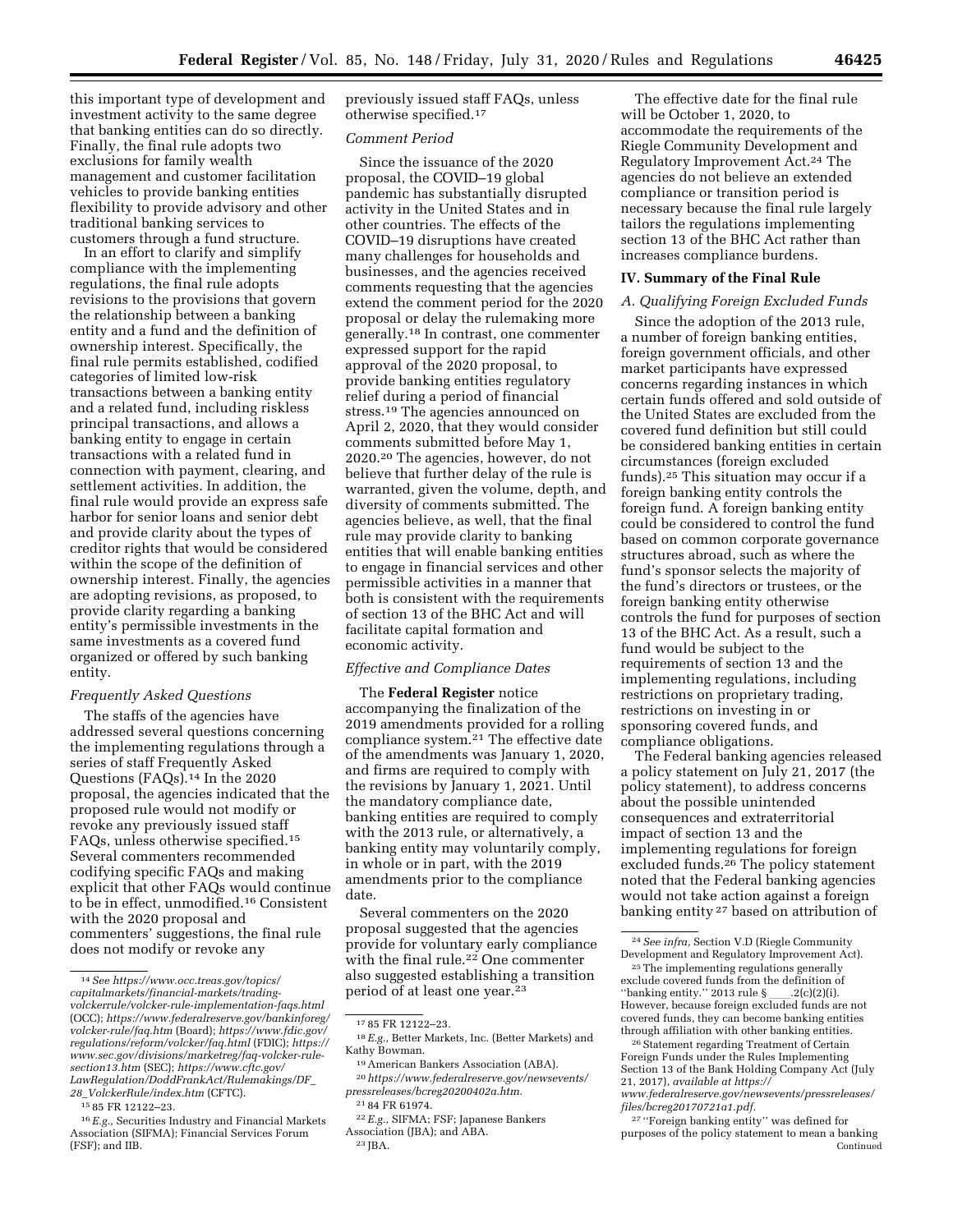this important type of development and investment activity to the same degree that banking entities can do so directly. Finally, the final rule adopts two exclusions for family wealth management and customer facilitation vehicles to provide banking entities flexibility to provide advisory and other traditional banking services to customers through a fund structure.

In an effort to clarify and simplify compliance with the implementing regulations, the final rule adopts revisions to the provisions that govern the relationship between a banking entity and a fund and the definition of ownership interest. Specifically, the final rule permits established, codified categories of limited low-risk transactions between a banking entity and a related fund, including riskless principal transactions, and allows a banking entity to engage in certain transactions with a related fund in connection with payment, clearing, and settlement activities. In addition, the final rule would provide an express safe harbor for senior loans and senior debt and provide clarity about the types of creditor rights that would be considered within the scope of the definition of ownership interest. Finally, the agencies are adopting revisions, as proposed, to provide clarity regarding a banking entity's permissible investments in the same investments as a covered fund organized or offered by such banking entity.

## *Frequently Asked Questions*

The staffs of the agencies have addressed several questions concerning the implementing regulations through a series of staff Frequently Asked Questions (FAQs).14 In the 2020 proposal, the agencies indicated that the proposed rule would not modify or revoke any previously issued staff FAQs, unless otherwise specified.15 Several commenters recommended codifying specific FAQs and making explicit that other FAQs would continue to be in effect, unmodified.16 Consistent with the 2020 proposal and commenters' suggestions, the final rule does not modify or revoke any

15 85 FR 12122–23.

previously issued staff FAQs, unless otherwise specified.17

# *Comment Period*

Since the issuance of the 2020 proposal, the COVID–19 global pandemic has substantially disrupted activity in the United States and in other countries. The effects of the COVID–19 disruptions have created many challenges for households and businesses, and the agencies received comments requesting that the agencies extend the comment period for the 2020 proposal or delay the rulemaking more generally.18 In contrast, one commenter expressed support for the rapid approval of the 2020 proposal, to provide banking entities regulatory relief during a period of financial stress.19 The agencies announced on April 2, 2020, that they would consider comments submitted before May 1, 2020.20 The agencies, however, do not believe that further delay of the rule is warranted, given the volume, depth, and diversity of comments submitted. The agencies believe, as well, that the final rule may provide clarity to banking entities that will enable banking entities to engage in financial services and other permissible activities in a manner that both is consistent with the requirements of section 13 of the BHC Act and will facilitate capital formation and economic activity.

## *Effective and Compliance Dates*

The **Federal Register** notice accompanying the finalization of the 2019 amendments provided for a rolling compliance system.21 The effective date of the amendments was January 1, 2020, and firms are required to comply with the revisions by January 1, 2021. Until the mandatory compliance date, banking entities are required to comply with the 2013 rule, or alternatively, a banking entity may voluntarily comply, in whole or in part, with the 2019 amendments prior to the compliance date.

Several commenters on the 2020 proposal suggested that the agencies provide for voluntary early compliance with the final rule.<sup>22</sup> One commenter also suggested establishing a transition period of at least one year.23

20*[https://www.federalreserve.gov/newsevents/](https://www.federalreserve.gov/newsevents/pressreleases/bcreg20200402a.htm)  [pressreleases/bcreg20200402a.htm.](https://www.federalreserve.gov/newsevents/pressreleases/bcreg20200402a.htm)* 

22*E.g.,* SIFMA; FSF; Japanese Bankers Association (JBA); and ABA.

The effective date for the final rule will be October 1, 2020, to accommodate the requirements of the Riegle Community Development and Regulatory Improvement Act.24 The agencies do not believe an extended compliance or transition period is necessary because the final rule largely tailors the regulations implementing section 13 of the BHC Act rather than increases compliance burdens.

## **IV. Summary of the Final Rule**

# *A. Qualifying Foreign Excluded Funds*

Since the adoption of the 2013 rule, a number of foreign banking entities, foreign government officials, and other market participants have expressed concerns regarding instances in which certain funds offered and sold outside of the United States are excluded from the covered fund definition but still could be considered banking entities in certain circumstances (foreign excluded funds).25 This situation may occur if a foreign banking entity controls the foreign fund. A foreign banking entity could be considered to control the fund based on common corporate governance structures abroad, such as where the fund's sponsor selects the majority of the fund's directors or trustees, or the foreign banking entity otherwise controls the fund for purposes of section 13 of the BHC Act. As a result, such a fund would be subject to the requirements of section 13 and the implementing regulations, including restrictions on proprietary trading, restrictions on investing in or sponsoring covered funds, and compliance obligations.

The Federal banking agencies released a policy statement on July 21, 2017 (the policy statement), to address concerns about the possible unintended consequences and extraterritorial impact of section 13 and the implementing regulations for foreign excluded funds.26 The policy statement noted that the Federal banking agencies would not take action against a foreign banking entity 27 based on attribution of

27 ''Foreign banking entity'' was defined for purposes of the policy statement to mean a banking Continued

<sup>14</sup>*See [https://www.occ.treas.gov/topics/](https://www.occ.treas.gov/topics/capitalmarkets/financial-markets/trading-volckerrule/volcker-rule-implementation-faqs.html) [capitalmarkets/financial-markets/trading](https://www.occ.treas.gov/topics/capitalmarkets/financial-markets/trading-volckerrule/volcker-rule-implementation-faqs.html)[volckerrule/volcker-rule-implementation-faqs.html](https://www.occ.treas.gov/topics/capitalmarkets/financial-markets/trading-volckerrule/volcker-rule-implementation-faqs.html)*  (OCC); *[https://www.federalreserve.gov/bankinforeg/](https://www.federalreserve.gov/bankinforeg/volcker-rule/faq.htm)  [volcker-rule/faq.htm](https://www.federalreserve.gov/bankinforeg/volcker-rule/faq.htm)* (Board); *[https://www.fdic.gov/](https://www.fdic.gov/regulations/reform/volcker/faq.html) [regulations/reform/volcker/faq.html](https://www.fdic.gov/regulations/reform/volcker/faq.html)* (FDIC); *[https://](https://www.sec.gov/divisions/marketreg/faq-volcker-rule-section13.htm) [www.sec.gov/divisions/marketreg/faq-volcker-rule](https://www.sec.gov/divisions/marketreg/faq-volcker-rule-section13.htm)[section13.htm](https://www.sec.gov/divisions/marketreg/faq-volcker-rule-section13.htm)* (SEC); *[https://www.cftc.gov/](https://www.cftc.gov/LawRegulation/DoddFrankAct/Rulemakings/DF_28_VolckerRule/index.htm) [LawRegulation/DoddFrankAct/Rulemakings/DF](https://www.cftc.gov/LawRegulation/DoddFrankAct/Rulemakings/DF_28_VolckerRule/index.htm)*\_ *28*\_*[VolckerRule/index.htm](https://www.cftc.gov/LawRegulation/DoddFrankAct/Rulemakings/DF_28_VolckerRule/index.htm)* (CFTC).

<sup>16</sup>*E.g.,* Securities Industry and Financial Markets Association (SIFMA); Financial Services Forum (FSF); and IIB.

<sup>17</sup> 85 FR 12122–23.

<sup>18</sup>*E.g.,* Better Markets, Inc. (Better Markets) and Kathy Bowman.

<sup>19</sup>American Bankers Association (ABA).

<sup>21</sup> 84 FR 61974.

<sup>24</sup>*See infra,* Section V.D (Riegle Community Development and Regulatory Improvement Act).

<sup>25</sup>The implementing regulations generally exclude covered funds from the definition of ''banking entity.'' 2013 rule § \_\_\_\_.2(c)(2)(i).<br>However, because foreign excluded funds are not covered funds, they can become banking entities through affiliation with other banking entities.

<sup>26</sup>Statement regarding Treatment of Certain Foreign Funds under the Rules Implementing Section 13 of the Bank Holding Company Act (July 21, 2017), *available at [https://](https://www.federalreserve.gov/newsevents/pressreleases/files/bcreg20170721a1.pdf)*

*[www.federalreserve.gov/newsevents/pressreleases/](https://www.federalreserve.gov/newsevents/pressreleases/files/bcreg20170721a1.pdf)  [files/bcreg20170721a1.pdf.](https://www.federalreserve.gov/newsevents/pressreleases/files/bcreg20170721a1.pdf)*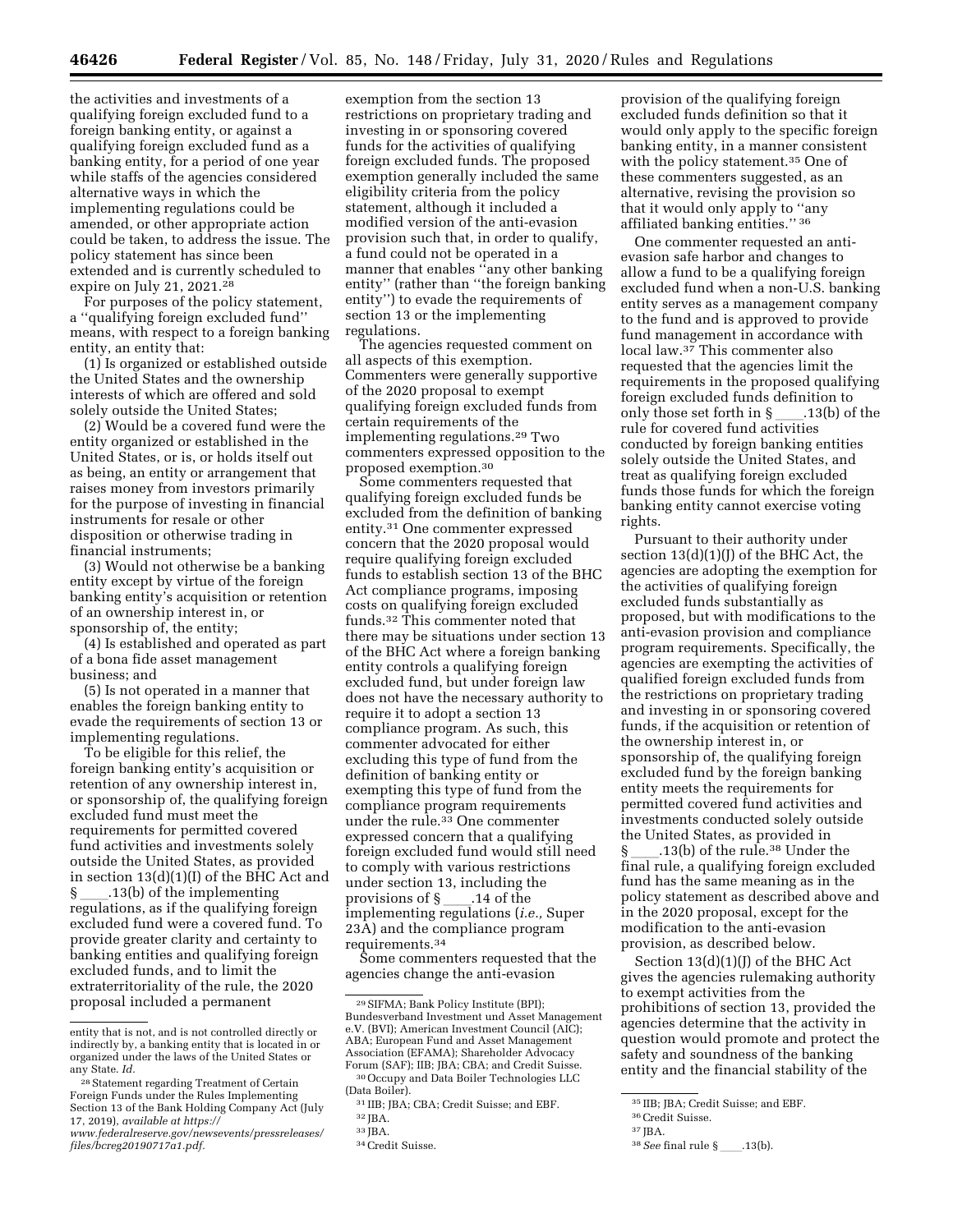the activities and investments of a qualifying foreign excluded fund to a foreign banking entity, or against a qualifying foreign excluded fund as a banking entity, for a period of one year while staffs of the agencies considered alternative ways in which the implementing regulations could be amended, or other appropriate action could be taken, to address the issue. The policy statement has since been extended and is currently scheduled to expire on July 21, 2021.28

For purposes of the policy statement, a ''qualifying foreign excluded fund'' means, with respect to a foreign banking entity, an entity that:

(1) Is organized or established outside the United States and the ownership interests of which are offered and sold solely outside the United States;

(2) Would be a covered fund were the entity organized or established in the United States, or is, or holds itself out as being, an entity or arrangement that raises money from investors primarily for the purpose of investing in financial instruments for resale or other disposition or otherwise trading in financial instruments;

(3) Would not otherwise be a banking entity except by virtue of the foreign banking entity's acquisition or retention of an ownership interest in, or sponsorship of, the entity;

(4) Is established and operated as part of a bona fide asset management business; and

(5) Is not operated in a manner that enables the foreign banking entity to evade the requirements of section 13 or implementing regulations.

To be eligible for this relief, the foreign banking entity's acquisition or retention of any ownership interest in, or sponsorship of, the qualifying foreign excluded fund must meet the requirements for permitted covered fund activities and investments solely outside the United States, as provided in section 13(d)(1)(I) of the BHC Act and § ll.13(b) of the implementing regulations, as if the qualifying foreign excluded fund were a covered fund. To provide greater clarity and certainty to banking entities and qualifying foreign excluded funds, and to limit the extraterritoriality of the rule, the 2020 proposal included a permanent

exemption from the section 13 restrictions on proprietary trading and investing in or sponsoring covered funds for the activities of qualifying foreign excluded funds. The proposed exemption generally included the same eligibility criteria from the policy statement, although it included a modified version of the anti-evasion provision such that, in order to qualify, a fund could not be operated in a manner that enables "any other banking" entity'' (rather than ''the foreign banking entity'') to evade the requirements of section 13 or the implementing regulations.

The agencies requested comment on all aspects of this exemption. Commenters were generally supportive of the 2020 proposal to exempt qualifying foreign excluded funds from certain requirements of the implementing regulations.29 Two commenters expressed opposition to the proposed exemption.30

Some commenters requested that qualifying foreign excluded funds be excluded from the definition of banking entity.31 One commenter expressed concern that the 2020 proposal would require qualifying foreign excluded funds to establish section 13 of the BHC Act compliance programs, imposing costs on qualifying foreign excluded funds.32 This commenter noted that there may be situations under section 13 of the BHC Act where a foreign banking entity controls a qualifying foreign excluded fund, but under foreign law does not have the necessary authority to require it to adopt a section 13 compliance program. As such, this commenter advocated for either excluding this type of fund from the definition of banking entity or exempting this type of fund from the compliance program requirements under the rule.33 One commenter expressed concern that a qualifying foreign excluded fund would still need to comply with various restrictions under section 13, including the provisions of §\_\_\_\_.14 of the<br>implementing regulations (*i.e.,* Super 23A) and the compliance program requirements.34

Some commenters requested that the agencies change the anti-evasion

provision of the qualifying foreign excluded funds definition so that it would only apply to the specific foreign banking entity, in a manner consistent with the policy statement.<sup>35</sup> One of these commenters suggested, as an alternative, revising the provision so that it would only apply to ''any affiliated banking entities.'' 36

One commenter requested an antievasion safe harbor and changes to allow a fund to be a qualifying foreign excluded fund when a non-U.S. banking entity serves as a management company to the fund and is approved to provide fund management in accordance with local law.37 This commenter also requested that the agencies limit the requirements in the proposed qualifying foreign excluded funds definition to only those set forth in §\_\_\_.13(b) of the<br>rule for covered fund activities conducted by foreign banking entities solely outside the United States, and treat as qualifying foreign excluded funds those funds for which the foreign banking entity cannot exercise voting rights.

Pursuant to their authority under section  $13(d)(1)(J)$  of the BHC Act, the agencies are adopting the exemption for the activities of qualifying foreign excluded funds substantially as proposed, but with modifications to the anti-evasion provision and compliance program requirements. Specifically, the agencies are exempting the activities of qualified foreign excluded funds from the restrictions on proprietary trading and investing in or sponsoring covered funds, if the acquisition or retention of the ownership interest in, or sponsorship of, the qualifying foreign excluded fund by the foreign banking entity meets the requirements for permitted covered fund activities and investments conducted solely outside the United States, as provided in<br>§ .13(b) of the rule.<sup>38</sup> Under the § \_\_\_\_.13(b) of the rule.<sup>38</sup> Under the<br>final rule, a qualifying foreign excluded fund has the same meaning as in the policy statement as described above and in the 2020 proposal, except for the modification to the anti-evasion provision, as described below.

Section  $13(d)(1)(J)$  of the BHC Act gives the agencies rulemaking authority to exempt activities from the prohibitions of section 13, provided the agencies determine that the activity in question would promote and protect the safety and soundness of the banking entity and the financial stability of the

entity that is not, and is not controlled directly or indirectly by, a banking entity that is located in or organized under the laws of the United States or any State. *Id.* 

<sup>28</sup>Statement regarding Treatment of Certain Foreign Funds under the Rules Implementing Section 13 of the Bank Holding Company Act (July 17, 2019), *available at [https://](https://www.federalreserve.gov/newsevents/pressreleases/files/bcreg20190717a1.pdf)*

*[www.federalreserve.gov/newsevents/pressreleases/](https://www.federalreserve.gov/newsevents/pressreleases/files/bcreg20190717a1.pdf)  [files/bcreg20190717a1.pdf.](https://www.federalreserve.gov/newsevents/pressreleases/files/bcreg20190717a1.pdf)* 

<sup>29</sup>SIFMA; Bank Policy Institute (BPI); Bundesverband Investment und Asset Management e.V. (BVI); American Investment Council (AIC); ABA; European Fund and Asset Management Association (EFAMA); Shareholder Advocacy

 $^{30}$  Occupy and Data Boiler Technologies LLC<br>(Data Boiler).

<sup>&</sup>lt;sup>31</sup> IIB; JBA; CBA; Credit Suisse; and EBF.<br><sup>32</sup> JBA.<br><sup>33</sup> JBA. <sup>33</sup> Credit Suisse.

<sup>35</sup> IIB; JBA; Credit Suisse; and EBF.

<sup>36</sup>Credit Suisse.

<sup>37</sup> JBA.

<sup>&</sup>lt;sup>38</sup> See final rule §\_\_\_\_.13(b).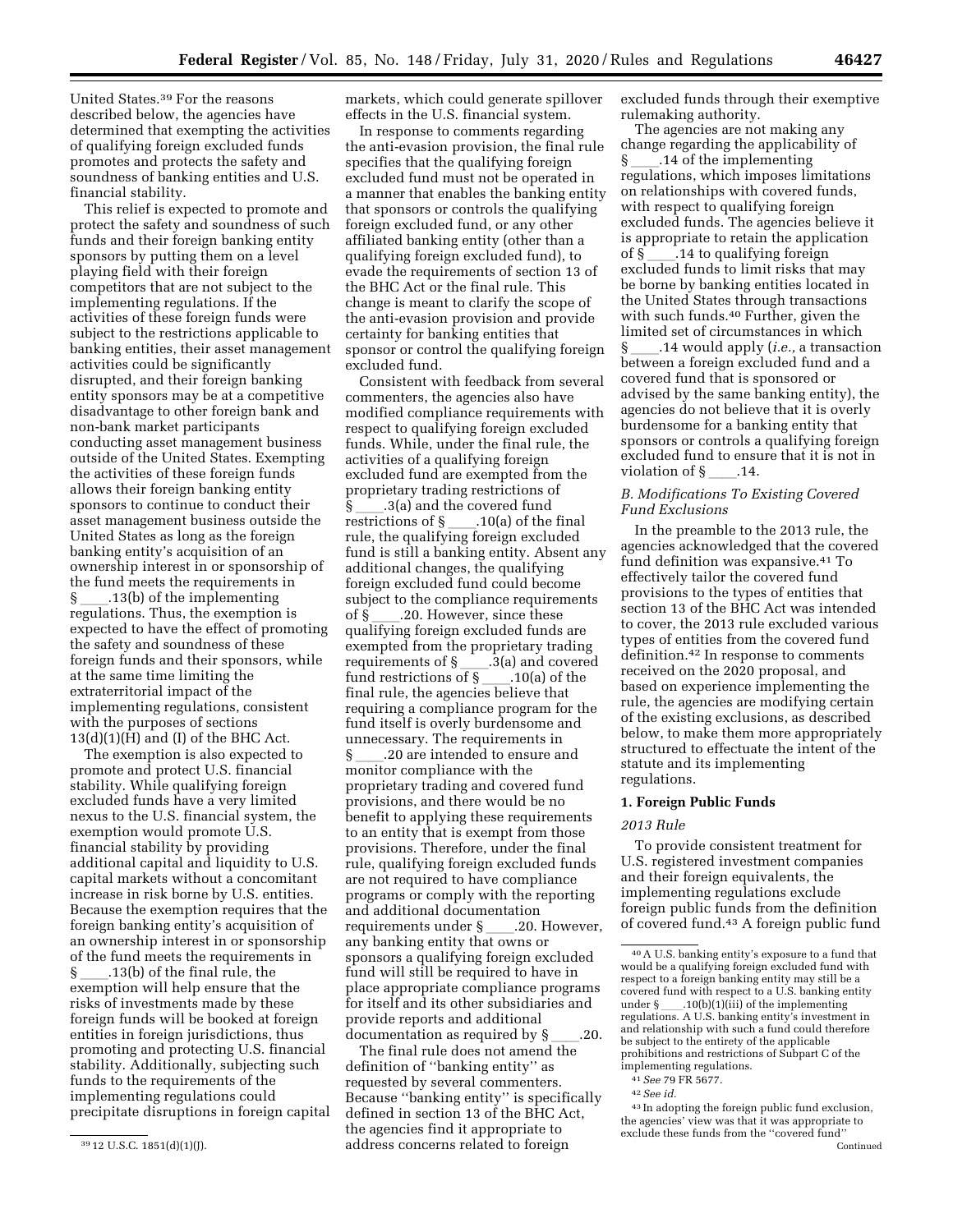United States.39 For the reasons described below, the agencies have determined that exempting the activities of qualifying foreign excluded funds promotes and protects the safety and soundness of banking entities and U.S. financial stability.

This relief is expected to promote and protect the safety and soundness of such funds and their foreign banking entity sponsors by putting them on a level playing field with their foreign competitors that are not subject to the implementing regulations. If the activities of these foreign funds were subject to the restrictions applicable to banking entities, their asset management activities could be significantly disrupted, and their foreign banking entity sponsors may be at a competitive disadvantage to other foreign bank and non-bank market participants conducting asset management business outside of the United States. Exempting the activities of these foreign funds allows their foreign banking entity sponsors to continue to conduct their asset management business outside the United States as long as the foreign banking entity's acquisition of an ownership interest in or sponsorship of the fund meets the requirements in  $\S$  \_\_\_\_\_.13(b) of the implementing regulations. Thus, the exemption is

expected to have the effect of promoting the safety and soundness of these foreign funds and their sponsors, while at the same time limiting the extraterritorial impact of the implementing regulations, consistent with the purposes of sections  $13(d)(1)(H)$  and (I) of the BHC Act.

The exemption is also expected to promote and protect U.S. financial stability. While qualifying foreign excluded funds have a very limited nexus to the U.S. financial system, the exemption would promote U.S. financial stability by providing additional capital and liquidity to U.S. capital markets without a concomitant increase in risk borne by U.S. entities. Because the exemption requires that the foreign banking entity's acquisition of an ownership interest in or sponsorship of the fund meets the requirements in § ll.13(b) of the final rule, the exemption will help ensure that the risks of investments made by these foreign funds will be booked at foreign entities in foreign jurisdictions, thus promoting and protecting U.S. financial stability. Additionally, subjecting such funds to the requirements of the implementing regulations could precipitate disruptions in foreign capital markets, which could generate spillover effects in the U.S. financial system.

In response to comments regarding the anti-evasion provision, the final rule specifies that the qualifying foreign excluded fund must not be operated in a manner that enables the banking entity that sponsors or controls the qualifying foreign excluded fund, or any other affiliated banking entity (other than a qualifying foreign excluded fund), to evade the requirements of section 13 of the BHC Act or the final rule. This change is meant to clarify the scope of the anti-evasion provision and provide certainty for banking entities that sponsor or control the qualifying foreign excluded fund.

Consistent with feedback from several commenters, the agencies also have modified compliance requirements with respect to qualifying foreign excluded funds. While, under the final rule, the activities of a qualifying foreign excluded fund are exempted from the proprietary trading restrictions of  $\S$  ...3(a) and the covered fund<br>restrictions of  $\S$  ...3(a) of the final restrictions of § \_\_\_\_.10(a) of the final<br>rule, the qualifying foreign excluded fund is still a banking entity. Absent any additional changes, the qualifying foreign excluded fund could become subject to the compliance requirements of § 20. However, since these qualifying foreign excluded funds are exempted from the proprietary trading requirements of  $\S$  .3(a) and covered<br>fund restrictions of  $\S$  .10(a) of the fund restrictions of §\_\_\_\_.10(a) of the<br>final rule, the agencies believe that requiring a compliance program for the fund itself is overly burdensome and unnecessary. The requirements in

§ 20 are intended to ensure and monitor compliance with the proprietary trading and covered fund provisions, and there would be no benefit to applying these requirements to an entity that is exempt from those provisions. Therefore, under the final rule, qualifying foreign excluded funds are not required to have compliance programs or comply with the reporting and additional documentation requirements under § \_\_\_\_.20. However,<br>any banking entity that owns or sponsors a qualifying foreign excluded fund will still be required to have in place appropriate compliance programs for itself and its other subsidiaries and provide reports and additional documentation as required by  $\S$  \_\_\_\_\_.20.

The final rule does not amend the definition of ''banking entity'' as requested by several commenters. Because ''banking entity'' is specifically defined in section 13 of the BHC Act, the agencies find it appropriate to address concerns related to foreign

excluded funds through their exemptive rulemaking authority.

The agencies are not making any change regarding the applicability of § 14 of the implementing regulations, which imposes limitations on relationships with covered funds, with respect to qualifying foreign excluded funds. The agencies believe it is appropriate to retain the application<br>of  $\S$  .14 to qualifying foreign .14 to qualifying foreign excluded funds to limit risks that may be borne by banking entities located in the United States through transactions with such funds.40 Further, given the limited set of circumstances in which § ll.14 would apply (*i.e.,* a transaction between a foreign excluded fund and a covered fund that is sponsored or advised by the same banking entity), the agencies do not believe that it is overly burdensome for a banking entity that sponsors or controls a qualifying foreign excluded fund to ensure that it is not in violation of  $\S$  .14.

# *B. Modifications To Existing Covered Fund Exclusions*

In the preamble to the 2013 rule, the agencies acknowledged that the covered fund definition was expansive.41 To effectively tailor the covered fund provisions to the types of entities that section 13 of the BHC Act was intended to cover, the 2013 rule excluded various types of entities from the covered fund definition.42 In response to comments received on the 2020 proposal, and based on experience implementing the rule, the agencies are modifying certain of the existing exclusions, as described below, to make them more appropriately structured to effectuate the intent of the statute and its implementing regulations.

### **1. Foreign Public Funds**

## *2013 Rule*

To provide consistent treatment for U.S. registered investment companies and their foreign equivalents, the implementing regulations exclude foreign public funds from the definition of covered fund.43 A foreign public fund

42*See id.* 

43 In adopting the foreign public fund exclusion, the agencies' view was that it was appropriate to exclude these funds from the ''covered fund'' Continued

<sup>39</sup> 12 U.S.C. 1851(d)(1)(J).

<sup>40</sup>A U.S. banking entity's exposure to a fund that would be a qualifying foreign excluded fund with respect to a foreign banking entity may still be a covered fund with respect to a U.S. banking entity under  $\S$  \_\_\_\_\_. 10(b)(1)(iii) of the implementing regulations. A U.S. banking entity's investment in and relationship with such a fund could therefore be subject to the entirety of the applicable prohibitions and restrictions of Subpart C of the implementing regulations.

<sup>41</sup>*See* 79 FR 5677.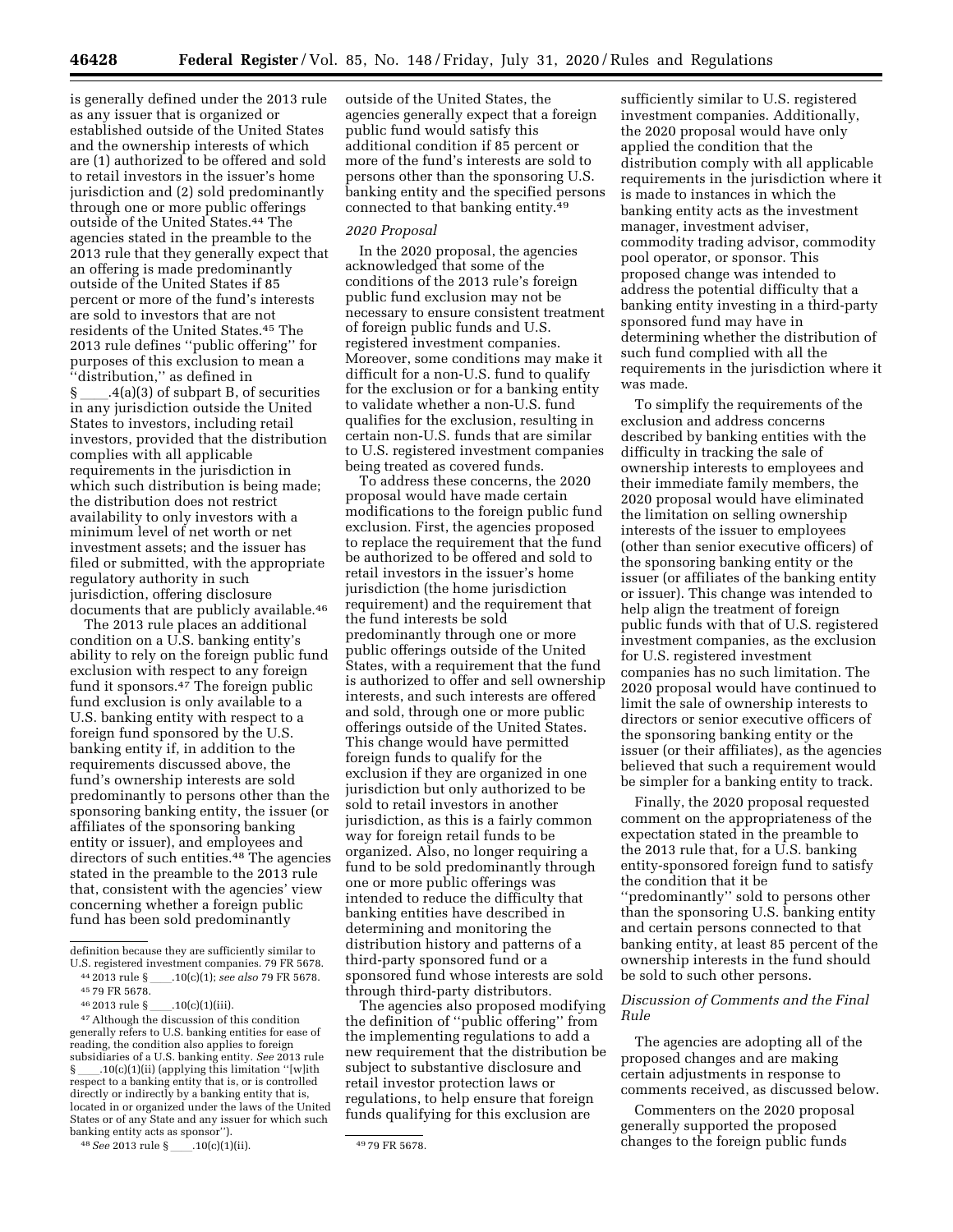is generally defined under the 2013 rule as any issuer that is organized or established outside of the United States and the ownership interests of which are (1) authorized to be offered and sold to retail investors in the issuer's home jurisdiction and (2) sold predominantly through one or more public offerings outside of the United States.44 The agencies stated in the preamble to the 2013 rule that they generally expect that an offering is made predominantly outside of the United States if 85 percent or more of the fund's interests are sold to investors that are not residents of the United States.45 The 2013 rule defines ''public offering'' for purposes of this exclusion to mean a ''distribution,'' as defined in

§ \_\_\_\_.4(a)(3) of subpart B, of securities<br>in any jurisdiction outside the United States to investors, including retail investors, provided that the distribution complies with all applicable requirements in the jurisdiction in which such distribution is being made; the distribution does not restrict availability to only investors with a minimum level of net worth or net investment assets; and the issuer has filed or submitted, with the appropriate regulatory authority in such jurisdiction, offering disclosure documents that are publicly available.46

The 2013 rule places an additional condition on a U.S. banking entity's ability to rely on the foreign public fund exclusion with respect to any foreign fund it sponsors.47 The foreign public fund exclusion is only available to a U.S. banking entity with respect to a foreign fund sponsored by the U.S. banking entity if, in addition to the requirements discussed above, the fund's ownership interests are sold predominantly to persons other than the sponsoring banking entity, the issuer (or affiliates of the sponsoring banking entity or issuer), and employees and directors of such entities.<sup>48</sup> The agencies stated in the preamble to the 2013 rule that, consistent with the agencies' view concerning whether a foreign public fund has been sold predominantly

outside of the United States, the agencies generally expect that a foreign public fund would satisfy this additional condition if 85 percent or more of the fund's interests are sold to persons other than the sponsoring U.S. banking entity and the specified persons connected to that banking entity.49

#### *2020 Proposal*

In the 2020 proposal, the agencies acknowledged that some of the conditions of the 2013 rule's foreign public fund exclusion may not be necessary to ensure consistent treatment of foreign public funds and U.S. registered investment companies. Moreover, some conditions may make it difficult for a non-U.S. fund to qualify for the exclusion or for a banking entity to validate whether a non-U.S. fund qualifies for the exclusion, resulting in certain non-U.S. funds that are similar to U.S. registered investment companies being treated as covered funds.

To address these concerns, the 2020 proposal would have made certain modifications to the foreign public fund exclusion. First, the agencies proposed to replace the requirement that the fund be authorized to be offered and sold to retail investors in the issuer's home jurisdiction (the home jurisdiction requirement) and the requirement that the fund interests be sold predominantly through one or more public offerings outside of the United States, with a requirement that the fund is authorized to offer and sell ownership interests, and such interests are offered and sold, through one or more public offerings outside of the United States. This change would have permitted foreign funds to qualify for the exclusion if they are organized in one jurisdiction but only authorized to be sold to retail investors in another jurisdiction, as this is a fairly common way for foreign retail funds to be organized. Also, no longer requiring a fund to be sold predominantly through one or more public offerings was intended to reduce the difficulty that banking entities have described in determining and monitoring the distribution history and patterns of a third-party sponsored fund or a sponsored fund whose interests are sold through third-party distributors.

The agencies also proposed modifying the definition of ''public offering'' from the implementing regulations to add a new requirement that the distribution be subject to substantive disclosure and retail investor protection laws or regulations, to help ensure that foreign funds qualifying for this exclusion are

sufficiently similar to U.S. registered investment companies. Additionally, the 2020 proposal would have only applied the condition that the distribution comply with all applicable requirements in the jurisdiction where it is made to instances in which the banking entity acts as the investment manager, investment adviser, commodity trading advisor, commodity pool operator, or sponsor. This proposed change was intended to address the potential difficulty that a banking entity investing in a third-party sponsored fund may have in determining whether the distribution of such fund complied with all the requirements in the jurisdiction where it was made.

To simplify the requirements of the exclusion and address concerns described by banking entities with the difficulty in tracking the sale of ownership interests to employees and their immediate family members, the 2020 proposal would have eliminated the limitation on selling ownership interests of the issuer to employees (other than senior executive officers) of the sponsoring banking entity or the issuer (or affiliates of the banking entity or issuer). This change was intended to help align the treatment of foreign public funds with that of U.S. registered investment companies, as the exclusion for U.S. registered investment companies has no such limitation. The 2020 proposal would have continued to limit the sale of ownership interests to directors or senior executive officers of the sponsoring banking entity or the issuer (or their affiliates), as the agencies believed that such a requirement would be simpler for a banking entity to track.

Finally, the 2020 proposal requested comment on the appropriateness of the expectation stated in the preamble to the 2013 rule that, for a U.S. banking entity-sponsored foreign fund to satisfy the condition that it be ''predominantly'' sold to persons other than the sponsoring U.S. banking entity and certain persons connected to that banking entity, at least 85 percent of the ownership interests in the fund should be sold to such other persons.

# *Discussion of Comments and the Final Rule*

The agencies are adopting all of the proposed changes and are making certain adjustments in response to comments received, as discussed below.

Commenters on the 2020 proposal generally supported the proposed changes to the foreign public funds

definition because they are sufficiently similar to

U.S. registered investment companies. 79 FR 5678. <sup>44</sup> 2013 rule §ll.10(c)(1); *see also* 79 FR 5678. 45 79 FR 5678.

<sup>&</sup>lt;sup>46</sup> 2013 rule § \_\_\_\_.10(c)(1)(iii). <sup>47</sup> Although the discussion of this condition generally refers to U.S. banking entities for ease of reading, the condition also applies to foreign subsidiaries of a U.S. banking entity. *See* 2013 rule § \_\_\_\_.10(c)(1)(ii) (applying this limitation "[w]ith respect to a banking entity that is, or is controlled directly or indirectly by a banking entity that is, located in or organized under the laws of the United States or of any State and any issuer for which such banking entity acts as sponsor'').

<sup>48</sup> See 2013 rule § 10(c)(1)(ii). 49 79 FR 5678.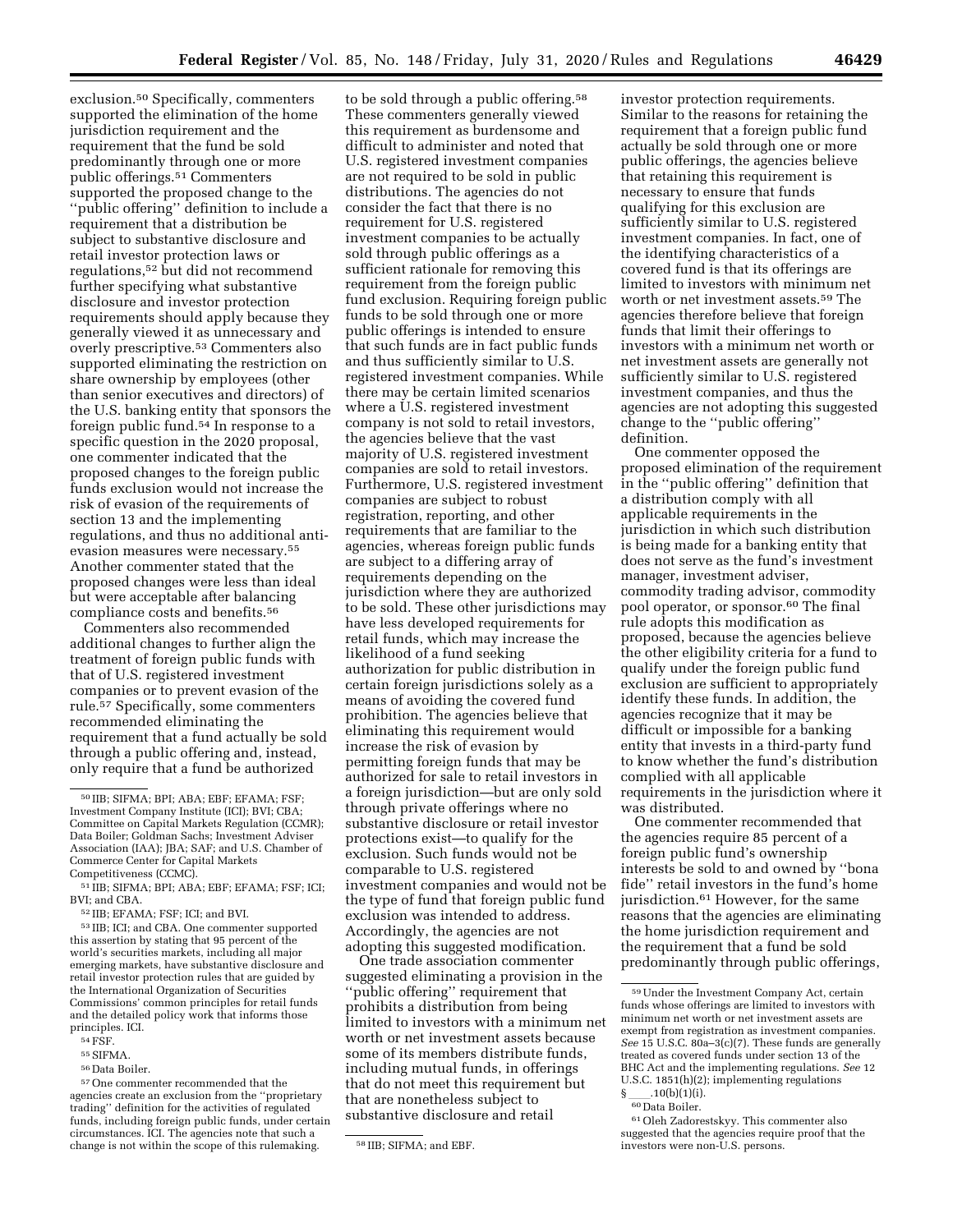exclusion.50 Specifically, commenters supported the elimination of the home jurisdiction requirement and the requirement that the fund be sold predominantly through one or more public offerings.51 Commenters supported the proposed change to the ''public offering'' definition to include a requirement that a distribution be subject to substantive disclosure and retail investor protection laws or regulations,52 but did not recommend further specifying what substantive disclosure and investor protection requirements should apply because they generally viewed it as unnecessary and overly prescriptive.53 Commenters also supported eliminating the restriction on share ownership by employees (other than senior executives and directors) of the U.S. banking entity that sponsors the foreign public fund.54 In response to a specific question in the 2020 proposal, one commenter indicated that the proposed changes to the foreign public funds exclusion would not increase the risk of evasion of the requirements of section 13 and the implementing regulations, and thus no additional antievasion measures were necessary.55 Another commenter stated that the proposed changes were less than ideal but were acceptable after balancing compliance costs and benefits.56

Commenters also recommended additional changes to further align the treatment of foreign public funds with that of U.S. registered investment companies or to prevent evasion of the rule.57 Specifically, some commenters recommended eliminating the requirement that a fund actually be sold through a public offering and, instead, only require that a fund be authorized

54FSF.

55SIFMA.

57One commenter recommended that the agencies create an exclusion from the ''proprietary trading'' definition for the activities of regulated funds, including foreign public funds, under certain circumstances. ICI. The agencies note that such a change is not within the scope of this rulemaking. 58 IIB; SIFMA; and EBF.

to be sold through a public offering.58 These commenters generally viewed this requirement as burdensome and difficult to administer and noted that U.S. registered investment companies are not required to be sold in public distributions. The agencies do not consider the fact that there is no requirement for U.S. registered investment companies to be actually sold through public offerings as a sufficient rationale for removing this requirement from the foreign public fund exclusion. Requiring foreign public funds to be sold through one or more public offerings is intended to ensure that such funds are in fact public funds and thus sufficiently similar to U.S. registered investment companies. While there may be certain limited scenarios where a U.S. registered investment company is not sold to retail investors, the agencies believe that the vast majority of U.S. registered investment companies are sold to retail investors. Furthermore, U.S. registered investment companies are subject to robust registration, reporting, and other requirements that are familiar to the agencies, whereas foreign public funds are subject to a differing array of requirements depending on the jurisdiction where they are authorized to be sold. These other jurisdictions may have less developed requirements for retail funds, which may increase the likelihood of a fund seeking authorization for public distribution in certain foreign jurisdictions solely as a means of avoiding the covered fund prohibition. The agencies believe that eliminating this requirement would increase the risk of evasion by permitting foreign funds that may be authorized for sale to retail investors in a foreign jurisdiction—but are only sold through private offerings where no substantive disclosure or retail investor protections exist—to qualify for the exclusion. Such funds would not be comparable to U.S. registered investment companies and would not be the type of fund that foreign public fund exclusion was intended to address. Accordingly, the agencies are not adopting this suggested modification.

One trade association commenter suggested eliminating a provision in the ''public offering'' requirement that prohibits a distribution from being limited to investors with a minimum net worth or net investment assets because some of its members distribute funds, including mutual funds, in offerings that do not meet this requirement but that are nonetheless subject to substantive disclosure and retail

investor protection requirements. Similar to the reasons for retaining the requirement that a foreign public fund actually be sold through one or more public offerings, the agencies believe that retaining this requirement is necessary to ensure that funds qualifying for this exclusion are sufficiently similar to U.S. registered investment companies. In fact, one of the identifying characteristics of a covered fund is that its offerings are limited to investors with minimum net worth or net investment assets.59 The agencies therefore believe that foreign funds that limit their offerings to investors with a minimum net worth or net investment assets are generally not sufficiently similar to U.S. registered investment companies, and thus the agencies are not adopting this suggested change to the ''public offering'' definition.

One commenter opposed the proposed elimination of the requirement in the ''public offering'' definition that a distribution comply with all applicable requirements in the jurisdiction in which such distribution is being made for a banking entity that does not serve as the fund's investment manager, investment adviser, commodity trading advisor, commodity pool operator, or sponsor.60 The final rule adopts this modification as proposed, because the agencies believe the other eligibility criteria for a fund to qualify under the foreign public fund exclusion are sufficient to appropriately identify these funds. In addition, the agencies recognize that it may be difficult or impossible for a banking entity that invests in a third-party fund to know whether the fund's distribution complied with all applicable requirements in the jurisdiction where it was distributed.

One commenter recommended that the agencies require 85 percent of a foreign public fund's ownership interests be sold to and owned by ''bona fide'' retail investors in the fund's home jurisdiction.61 However, for the same reasons that the agencies are eliminating the home jurisdiction requirement and the requirement that a fund be sold predominantly through public offerings,

<sup>50</sup> IIB; SIFMA; BPI; ABA; EBF; EFAMA; FSF; Investment Company Institute (ICI); BVI; CBA; Committee on Capital Markets Regulation (CCMR); Data Boiler; Goldman Sachs; Investment Adviser Association (IAA); JBA; SAF; and U.S. Chamber of Commerce Center for Capital Markets Competitiveness (CCMC).

<sup>51</sup> IIB; SIFMA; BPI; ABA; EBF; EFAMA; FSF; ICI; BVI; and CBA.

<sup>52</sup> IIB; EFAMA; FSF; ICI; and BVI.

<sup>53</sup> IIB; ICI; and CBA. One commenter supported this assertion by stating that 95 percent of the world's securities markets, including all major emerging markets, have substantive disclosure and retail investor protection rules that are guided by the International Organization of Securities Commissions' common principles for retail funds and the detailed policy work that informs those principles. ICI.

<sup>56</sup> Data Boiler.

<sup>59</sup>Under the Investment Company Act, certain funds whose offerings are limited to investors with minimum net worth or net investment assets are exempt from registration as investment companies. *See* 15 U.S.C. 80a–3(c)(7). These funds are generally treated as covered funds under section 13 of the BHC Act and the implementing regulations. *See* 12 U.S.C. 1851(h)(2); implementing regulations  $\S$  . 10(b)(1)(i).

<sup>§</sup> \_\_\_\_.10(b)(1)(i).<br><sup>60</sup> Data Boiler.

<sup>61</sup>Oleh Zadorestskyy. This commenter also suggested that the agencies require proof that the investors were non-U.S. persons.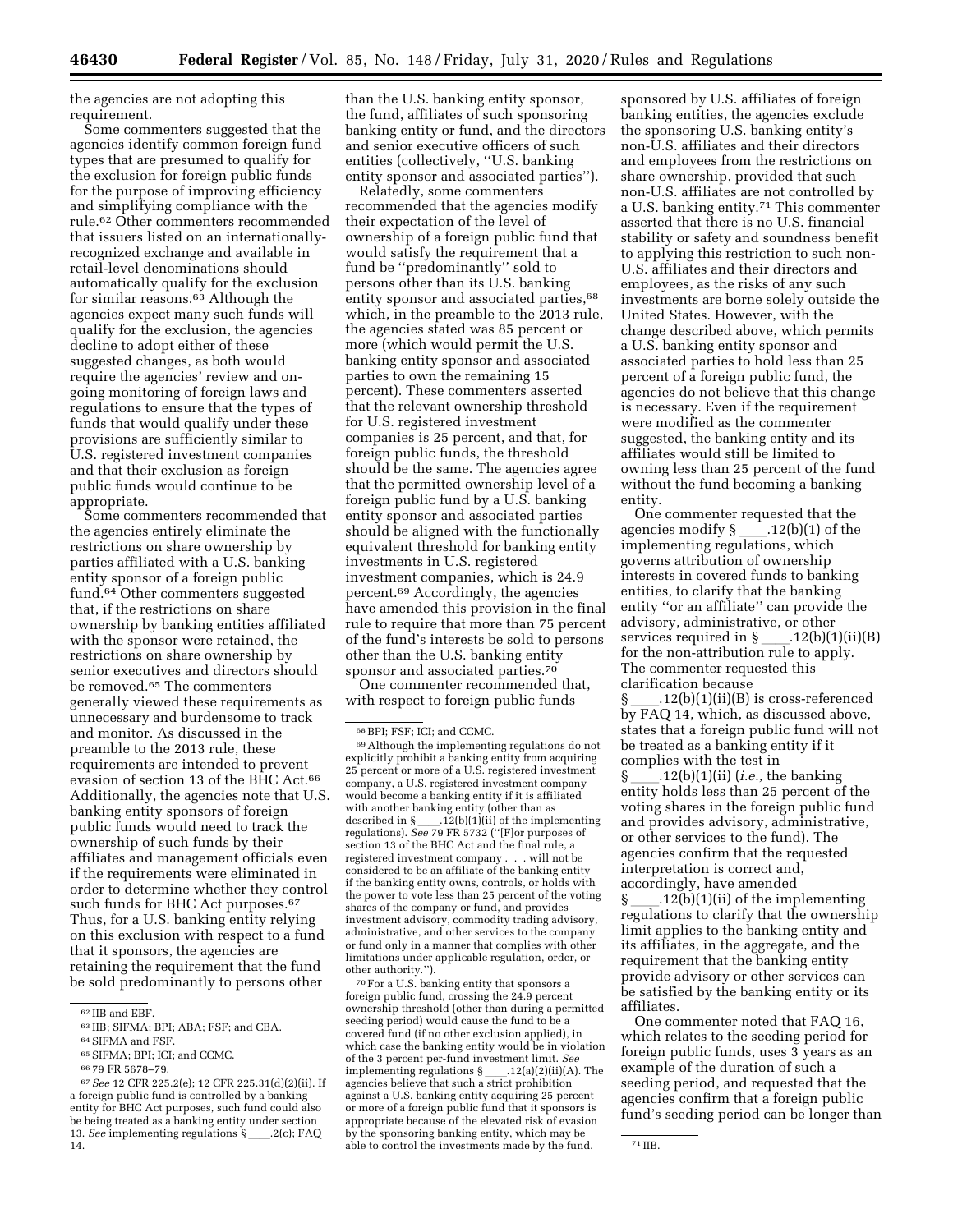the agencies are not adopting this requirement.

Some commenters suggested that the agencies identify common foreign fund types that are presumed to qualify for the exclusion for foreign public funds for the purpose of improving efficiency and simplifying compliance with the rule.62 Other commenters recommended that issuers listed on an internationallyrecognized exchange and available in retail-level denominations should automatically qualify for the exclusion for similar reasons.63 Although the agencies expect many such funds will qualify for the exclusion, the agencies decline to adopt either of these suggested changes, as both would require the agencies' review and ongoing monitoring of foreign laws and regulations to ensure that the types of funds that would qualify under these provisions are sufficiently similar to U.S. registered investment companies and that their exclusion as foreign public funds would continue to be appropriate.

Some commenters recommended that the agencies entirely eliminate the restrictions on share ownership by parties affiliated with a U.S. banking entity sponsor of a foreign public fund.64 Other commenters suggested that, if the restrictions on share ownership by banking entities affiliated with the sponsor were retained, the restrictions on share ownership by senior executives and directors should be removed.65 The commenters generally viewed these requirements as unnecessary and burdensome to track and monitor. As discussed in the preamble to the 2013 rule, these requirements are intended to prevent evasion of section 13 of the BHC Act.<sup>66</sup> Additionally, the agencies note that U.S. banking entity sponsors of foreign public funds would need to track the ownership of such funds by their affiliates and management officials even if the requirements were eliminated in order to determine whether they control such funds for BHC Act purposes.<sup>67</sup> Thus, for a U.S. banking entity relying on this exclusion with respect to a fund that it sponsors, the agencies are retaining the requirement that the fund be sold predominantly to persons other

than the U.S. banking entity sponsor, the fund, affiliates of such sponsoring banking entity or fund, and the directors and senior executive officers of such entities (collectively, ''U.S. banking entity sponsor and associated parties'').

Relatedly, some commenters recommended that the agencies modify their expectation of the level of ownership of a foreign public fund that would satisfy the requirement that a fund be ''predominantly'' sold to persons other than its U.S. banking entity sponsor and associated parties, 68 which, in the preamble to the 2013 rule, the agencies stated was 85 percent or more (which would permit the U.S. banking entity sponsor and associated parties to own the remaining 15 percent). These commenters asserted that the relevant ownership threshold for U.S. registered investment companies is 25 percent, and that, for foreign public funds, the threshold should be the same. The agencies agree that the permitted ownership level of a foreign public fund by a U.S. banking entity sponsor and associated parties should be aligned with the functionally equivalent threshold for banking entity investments in U.S. registered investment companies, which is 24.9 percent.69 Accordingly, the agencies have amended this provision in the final rule to require that more than 75 percent of the fund's interests be sold to persons other than the U.S. banking entity sponsor and associated parties.70

One commenter recommended that, with respect to foreign public funds

70For a U.S. banking entity that sponsors a foreign public fund, crossing the 24.9 percent ownership threshold (other than during a permitted seeding period) would cause the fund to be a covered fund (if no other exclusion applied), in which case the banking entity would be in violation of the 3 percent per-fund investment limit. *See*  implementing regulations  $\S$  \_\_\_\_.12(a)(2)(ii)(A). The agencies believe that such a strict prohibition against a U.S. banking entity acquiring 25 percent or more of a foreign public fund that it sponsors is appropriate because of the elevated risk of evasion by the sponsoring banking entity, which may be able to control the investments made by the fund.  $71$  IIB.

sponsored by U.S. affiliates of foreign banking entities, the agencies exclude the sponsoring U.S. banking entity's non-U.S. affiliates and their directors and employees from the restrictions on share ownership, provided that such non-U.S. affiliates are not controlled by a U.S. banking entity.71 This commenter asserted that there is no U.S. financial stability or safety and soundness benefit to applying this restriction to such non-U.S. affiliates and their directors and employees, as the risks of any such investments are borne solely outside the United States. However, with the change described above, which permits a U.S. banking entity sponsor and associated parties to hold less than 25 percent of a foreign public fund, the agencies do not believe that this change is necessary. Even if the requirement were modified as the commenter suggested, the banking entity and its affiliates would still be limited to owning less than 25 percent of the fund without the fund becoming a banking entity.

One commenter requested that the agencies modify § \_\_\_\_.12(b)(1) of the<br>implementing regulations, which governs attribution of ownership interests in covered funds to banking entities, to clarify that the banking entity ''or an affiliate'' can provide the advisory, administrative, or other<br>services required in § .12(b)(1 services required in §\_\_\_\_.12(b)(1)(ii)(B)<br>for the non-attribution rule to apply. The commenter requested this

clarification because<br>§ .12(b)(1)(ii)(B) is cross-referenced § \_\_\_\_.12(b)(1)(ii)(B) is cross-referenced<br>by FAQ 14, which, as discussed above, states that a foreign public fund will not be treated as a banking entity if it complies with the test in<br>  $\S$  .12(b)(1)(ii) (*i.e.*, the banking

§ ll.12(b)(1)(ii) (*i.e.,* the banking entity holds less than 25 percent of the voting shares in the foreign public fund and provides advisory, administrative, or other services to the fund). The agencies confirm that the requested interpretation is correct and, accordingly, have amended § \_\_\_\_.12(b)(1)(ii) of the implementing<br>regulations to clarify that the ownership limit applies to the banking entity and its affiliates, in the aggregate, and the requirement that the banking entity provide advisory or other services can be satisfied by the banking entity or its affiliates.

One commenter noted that FAQ 16, which relates to the seeding period for foreign public funds, uses 3 years as an example of the duration of such a seeding period, and requested that the agencies confirm that a foreign public fund's seeding period can be longer than

<sup>62</sup> IIB and EBF.

<sup>63</sup> IIB; SIFMA; BPI; ABA; FSF; and CBA.

 $^{64}$  SIFMA and FSF.

<sup>65</sup>SIFMA; BPI; ICI; and CCMC.

<sup>66</sup> 79 FR 5678–79.

<sup>67</sup>*See* 12 CFR 225.2(e); 12 CFR 225.31(d)(2)(ii). If a foreign public fund is controlled by a banking entity for BHC Act purposes, such fund could also be being treated as a banking entity under section 13. See implementing regulations §\_\_\_\_.2(c); FAQ 14.

<sup>68</sup>BPI; FSF; ICI; and CCMC.

<sup>69</sup>Although the implementing regulations do not explicitly prohibit a banking entity from acquiring 25 percent or more of a U.S. registered investment company, a U.S. registered investment company would become a banking entity if it is affiliated with another banking entity (other than as described in § \_\_\_\_.12(b)(1)(ii) of the implementing<br>regulations). *See* 79 FR 5732 (''[F]or purposes of section 13 of the BHC Act and the final rule, a registered investment company . . . will not be considered to be an affiliate of the banking entity if the banking entity owns, controls, or holds with the power to vote less than 25 percent of the voting shares of the company or fund, and provides investment advisory, commodity trading advisory, administrative, and other services to the company or fund only in a manner that complies with other limitations under applicable regulation, order, or other authority.'').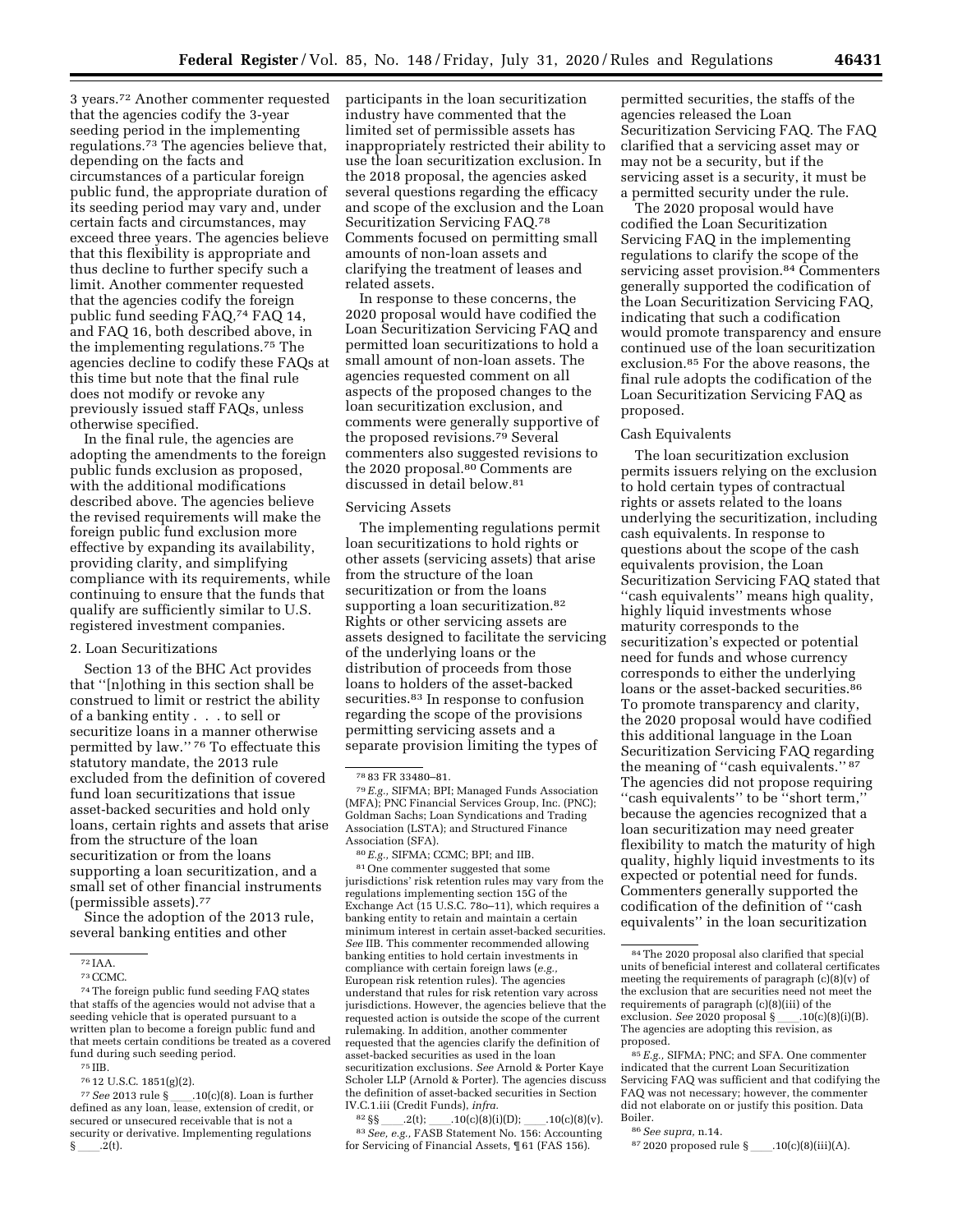3 years.72 Another commenter requested that the agencies codify the 3-year seeding period in the implementing regulations.73 The agencies believe that, depending on the facts and circumstances of a particular foreign public fund, the appropriate duration of its seeding period may vary and, under certain facts and circumstances, may exceed three years. The agencies believe that this flexibility is appropriate and thus decline to further specify such a limit. Another commenter requested that the agencies codify the foreign public fund seeding FAQ,74 FAQ 14, and FAQ 16, both described above, in the implementing regulations.75 The agencies decline to codify these FAQs at this time but note that the final rule does not modify or revoke any previously issued staff FAQs, unless otherwise specified.

In the final rule, the agencies are adopting the amendments to the foreign public funds exclusion as proposed, with the additional modifications described above. The agencies believe the revised requirements will make the foreign public fund exclusion more effective by expanding its availability, providing clarity, and simplifying compliance with its requirements, while continuing to ensure that the funds that qualify are sufficiently similar to U.S. registered investment companies.

### 2. Loan Securitizations

Section 13 of the BHC Act provides that ''[n]othing in this section shall be construed to limit or restrict the ability of a banking entity . . . to sell or securitize loans in a manner otherwise permitted by law.'' 76 To effectuate this statutory mandate, the 2013 rule excluded from the definition of covered fund loan securitizations that issue asset-backed securities and hold only loans, certain rights and assets that arise from the structure of the loan securitization or from the loans supporting a loan securitization, and a small set of other financial instruments (permissible assets).77

Since the adoption of the 2013 rule, several banking entities and other

- 75 IIB.
- 76 12 U.S.C. 1851(g)(2).

participants in the loan securitization industry have commented that the limited set of permissible assets has inappropriately restricted their ability to use the loan securitization exclusion. In the 2018 proposal, the agencies asked several questions regarding the efficacy and scope of the exclusion and the Loan Securitization Servicing FAQ.78 Comments focused on permitting small amounts of non-loan assets and clarifying the treatment of leases and related assets.

In response to these concerns, the 2020 proposal would have codified the Loan Securitization Servicing FAQ and permitted loan securitizations to hold a small amount of non-loan assets. The agencies requested comment on all aspects of the proposed changes to the loan securitization exclusion, and comments were generally supportive of the proposed revisions.79 Several commenters also suggested revisions to the 2020 proposal.<sup>80</sup> Comments are discussed in detail below.81

#### Servicing Assets

The implementing regulations permit loan securitizations to hold rights or other assets (servicing assets) that arise from the structure of the loan securitization or from the loans supporting a loan securitization.<sup>82</sup> Rights or other servicing assets are assets designed to facilitate the servicing of the underlying loans or the distribution of proceeds from those loans to holders of the asset-backed securities.83 In response to confusion regarding the scope of the provisions permitting servicing assets and a separate provision limiting the types of

80*E.g.,* SIFMA; CCMC; BPI; and IIB.

81One commenter suggested that some jurisdictions' risk retention rules may vary from the regulations implementing section 15G of the Exchange Act (15 U.S.C. 78o–11), which requires a banking entity to retain and maintain a certain minimum interest in certain asset-backed securities. *See* IIB. This commenter recommended allowing banking entities to hold certain investments in compliance with certain foreign laws (*e.g.,*  European risk retention rules). The agencies understand that rules for risk retention vary across jurisdictions. However, the agencies believe that the requested action is outside the scope of the current rulemaking. In addition, another commenter requested that the agencies clarify the definition of asset-backed securities as used in the loan securitization exclusions. *See* Arnold & Porter Kaye Scholer LLP (Arnold & Porter). The agencies discuss the definition of asset-backed securities in Section IV.C.1.iii (Credit Funds), *infra.* 

<sup>82</sup> §§ll.2(t); ll.10(c)(8)(i)(D); ll.10(c)(8)(v). 83*See, e.g.,* FASB Statement No. 156: Accounting for Servicing of Financial Assets, ¶ 61 (FAS 156).

permitted securities, the staffs of the agencies released the Loan Securitization Servicing FAQ. The FAQ clarified that a servicing asset may or may not be a security, but if the servicing asset is a security, it must be a permitted security under the rule.

The 2020 proposal would have codified the Loan Securitization Servicing FAQ in the implementing regulations to clarify the scope of the servicing asset provision.<sup>84</sup> Commenters generally supported the codification of the Loan Securitization Servicing FAQ, indicating that such a codification would promote transparency and ensure continued use of the loan securitization exclusion.85 For the above reasons, the final rule adopts the codification of the Loan Securitization Servicing FAQ as proposed.

## Cash Equivalents

The loan securitization exclusion permits issuers relying on the exclusion to hold certain types of contractual rights or assets related to the loans underlying the securitization, including cash equivalents. In response to questions about the scope of the cash equivalents provision, the Loan Securitization Servicing FAQ stated that ''cash equivalents'' means high quality, highly liquid investments whose maturity corresponds to the securitization's expected or potential need for funds and whose currency corresponds to either the underlying loans or the asset-backed securities.<sup>86</sup> To promote transparency and clarity, the 2020 proposal would have codified this additional language in the Loan Securitization Servicing FAQ regarding the meaning of ''cash equivalents.'' 87 The agencies did not propose requiring ''cash equivalents'' to be ''short term,'' because the agencies recognized that a loan securitization may need greater flexibility to match the maturity of high quality, highly liquid investments to its expected or potential need for funds. Commenters generally supported the codification of the definition of ''cash equivalents'' in the loan securitization

86*See supra,* n.14.

 $87 2020$  proposed rule §\_\_\_\_.10(c)(8)(iii)(A).

<sup>72</sup> IAA.

<sup>73</sup>CCMC.

<sup>74</sup>The foreign public fund seeding FAQ states that staffs of the agencies would not advise that a seeding vehicle that is operated pursuant to a written plan to become a foreign public fund and that meets certain conditions be treated as a covered fund during such seeding period.

<sup>&</sup>lt;sup>77</sup> See 2013 rule § \_\_\_\_.10(c)(8). Loan is further defined as any loan, lease, extension of credit, or secured or unsecured receivable that is not a security or derivative. Implementing regulations  $\sin 2(t)$ .

<sup>78</sup> 83 FR 33480–81.

<sup>79</sup>*E.g.,* SIFMA; BPI; Managed Funds Association (MFA); PNC Financial Services Group, Inc. (PNC); Goldman Sachs; Loan Syndications and Trading Association (LSTA); and Structured Finance Association (SFA).

<sup>84</sup>The 2020 proposal also clarified that special units of beneficial interest and collateral certificates meeting the requirements of paragraph (c)(8)(v) of the exclusion that are securities need not meet the requirements of paragraph (c)(8)(iii) of the<br>exclusion. See 2020 proposal  $\underbrace{\S$  \_\_\_\_\_.10(c)(8)(i)(B). exclusion. See 2020 proposal § The agencies are adopting this revision, as proposed.

<sup>85</sup>*E.g.,* SIFMA; PNC; and SFA. One commenter indicated that the current Loan Securitization Servicing FAQ was sufficient and that codifying the FAQ was not necessary; however, the commenter did not elaborate on or justify this position. Data Boiler.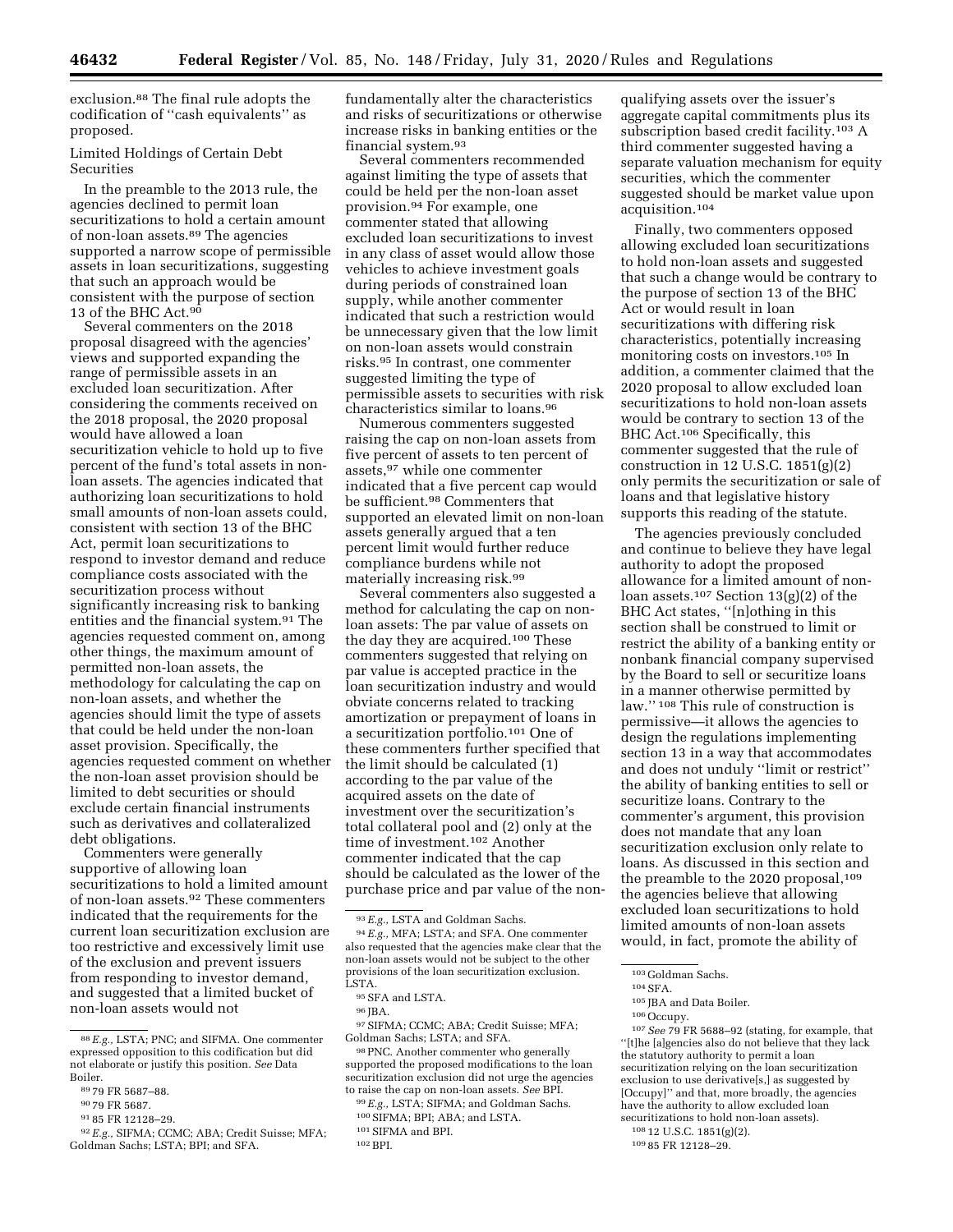exclusion.88 The final rule adopts the codification of ''cash equivalents'' as proposed.

# Limited Holdings of Certain Debt Securities

In the preamble to the 2013 rule, the agencies declined to permit loan securitizations to hold a certain amount of non-loan assets.89 The agencies supported a narrow scope of permissible assets in loan securitizations, suggesting that such an approach would be consistent with the purpose of section 13 of the BHC Act.<sup>90</sup>

Several commenters on the 2018 proposal disagreed with the agencies' views and supported expanding the range of permissible assets in an excluded loan securitization. After considering the comments received on the 2018 proposal, the 2020 proposal would have allowed a loan securitization vehicle to hold up to five percent of the fund's total assets in nonloan assets. The agencies indicated that authorizing loan securitizations to hold small amounts of non-loan assets could, consistent with section 13 of the BHC Act, permit loan securitizations to respond to investor demand and reduce compliance costs associated with the securitization process without significantly increasing risk to banking entities and the financial system.91 The agencies requested comment on, among other things, the maximum amount of permitted non-loan assets, the methodology for calculating the cap on non-loan assets, and whether the agencies should limit the type of assets that could be held under the non-loan asset provision. Specifically, the agencies requested comment on whether the non-loan asset provision should be limited to debt securities or should exclude certain financial instruments such as derivatives and collateralized debt obligations.

Commenters were generally supportive of allowing loan securitizations to hold a limited amount of non-loan assets.92 These commenters indicated that the requirements for the current loan securitization exclusion are too restrictive and excessively limit use of the exclusion and prevent issuers from responding to investor demand, and suggested that a limited bucket of non-loan assets would not

fundamentally alter the characteristics and risks of securitizations or otherwise increase risks in banking entities or the financial system.93

Several commenters recommended against limiting the type of assets that could be held per the non-loan asset provision.94 For example, one commenter stated that allowing excluded loan securitizations to invest in any class of asset would allow those vehicles to achieve investment goals during periods of constrained loan supply, while another commenter indicated that such a restriction would be unnecessary given that the low limit on non-loan assets would constrain risks.95 In contrast, one commenter suggested limiting the type of permissible assets to securities with risk characteristics similar to loans.96

Numerous commenters suggested raising the cap on non-loan assets from five percent of assets to ten percent of assets,97 while one commenter indicated that a five percent cap would be sufficient.98 Commenters that supported an elevated limit on non-loan assets generally argued that a ten percent limit would further reduce compliance burdens while not materially increasing risk.99

Several commenters also suggested a method for calculating the cap on nonloan assets: The par value of assets on the day they are acquired.100 These commenters suggested that relying on par value is accepted practice in the loan securitization industry and would obviate concerns related to tracking amortization or prepayment of loans in a securitization portfolio.101 One of these commenters further specified that the limit should be calculated (1) according to the par value of the acquired assets on the date of investment over the securitization's total collateral pool and (2) only at the time of investment.102 Another commenter indicated that the cap should be calculated as the lower of the purchase price and par value of the non-

qualifying assets over the issuer's aggregate capital commitments plus its subscription based credit facility.103 A third commenter suggested having a separate valuation mechanism for equity securities, which the commenter suggested should be market value upon acquisition.104

Finally, two commenters opposed allowing excluded loan securitizations to hold non-loan assets and suggested that such a change would be contrary to the purpose of section 13 of the BHC Act or would result in loan securitizations with differing risk characteristics, potentially increasing monitoring costs on investors.105 In addition, a commenter claimed that the 2020 proposal to allow excluded loan securitizations to hold non-loan assets would be contrary to section 13 of the BHC Act.106 Specifically, this commenter suggested that the rule of construction in 12 U.S.C. 1851(g)(2) only permits the securitization or sale of loans and that legislative history supports this reading of the statute.

The agencies previously concluded and continue to believe they have legal authority to adopt the proposed allowance for a limited amount of nonloan assets.107 Section 13(g)(2) of the BHC Act states, ''[n]othing in this section shall be construed to limit or restrict the ability of a banking entity or nonbank financial company supervised by the Board to sell or securitize loans in a manner otherwise permitted by law.'' 108 This rule of construction is permissive—it allows the agencies to design the regulations implementing section 13 in a way that accommodates and does not unduly ''limit or restrict'' the ability of banking entities to sell or securitize loans. Contrary to the commenter's argument, this provision does not mandate that any loan securitization exclusion only relate to loans. As discussed in this section and the preamble to the 2020 proposal,<sup>109</sup> the agencies believe that allowing excluded loan securitizations to hold limited amounts of non-loan assets would, in fact, promote the ability of

107*See* 79 FR 5688–92 (stating, for example, that ''[t]he [a]gencies also do not believe that they lack the statutory authority to permit a loan securitization relying on the loan securitization exclusion to use derivative[s,] as suggested by [Occupy]'' and that, more broadly, the agencies have the authority to allow excluded loan securitizations to hold non-loan assets).

108 12 U.S.C. 1851(g)(2).

<sup>88</sup>*E.g.,* LSTA; PNC; and SIFMA. One commenter expressed opposition to this codification but did not elaborate or justify this position. *See* Data Boiler.

<sup>89</sup> 79 FR 5687–88.

<sup>90</sup> 79 FR 5687.

<sup>91</sup> 85 FR 12128–29.

<sup>92</sup>*E.g.,* SIFMA; CCMC; ABA; Credit Suisse; MFA; Goldman Sachs; LSTA; BPI; and SFA.

<sup>93</sup>*E.g.,* LSTA and Goldman Sachs.

<sup>94</sup>*E.g.,* MFA; LSTA; and SFA. One commenter also requested that the agencies make clear that the non-loan assets would not be subject to the other provisions of the loan securitization exclusion. LSTA.

<sup>95</sup>SFA and LSTA.

<sup>96</sup> JBA.

<sup>97</sup>SIFMA; CCMC; ABA; Credit Suisse; MFA; Goldman Sachs; LSTA; and SFA.

<sup>98</sup>PNC. Another commenter who generally supported the proposed modifications to the loan securitization exclusion did not urge the agencies to raise the cap on non-loan assets. *See* BPI.

<sup>99</sup>*E.g.,* LSTA; SIFMA; and Goldman Sachs.

<sup>100</sup>SIFMA; BPI; ABA; and LSTA.

<sup>101</sup>SIFMA and BPI.

<sup>102</sup>BPI.

<sup>103</sup> Goldman Sachs.

<sup>104</sup>SFA.

<sup>105</sup> JBA and Data Boiler.

<sup>&</sup>lt;sup>106</sup> Occupy.

<sup>109</sup> 85 FR 12128–29.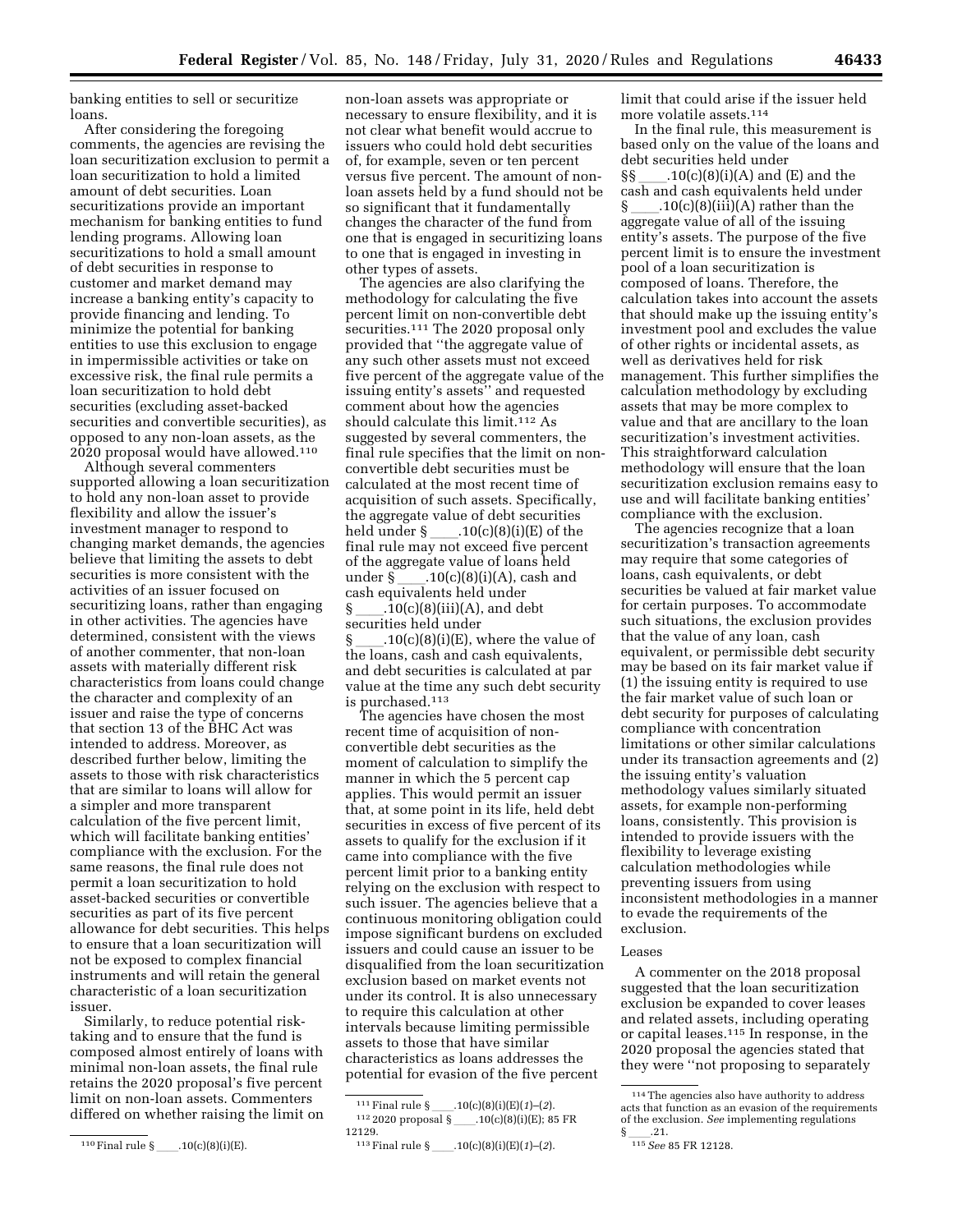banking entities to sell or securitize loans.

After considering the foregoing comments, the agencies are revising the loan securitization exclusion to permit a loan securitization to hold a limited amount of debt securities. Loan securitizations provide an important mechanism for banking entities to fund lending programs. Allowing loan securitizations to hold a small amount of debt securities in response to customer and market demand may increase a banking entity's capacity to provide financing and lending. To minimize the potential for banking entities to use this exclusion to engage in impermissible activities or take on excessive risk, the final rule permits a loan securitization to hold debt securities (excluding asset-backed securities and convertible securities), as opposed to any non-loan assets, as the 2020 proposal would have allowed.110

Although several commenters supported allowing a loan securitization to hold any non-loan asset to provide flexibility and allow the issuer's investment manager to respond to changing market demands, the agencies believe that limiting the assets to debt securities is more consistent with the activities of an issuer focused on securitizing loans, rather than engaging in other activities. The agencies have determined, consistent with the views of another commenter, that non-loan assets with materially different risk characteristics from loans could change the character and complexity of an issuer and raise the type of concerns that section 13 of the BHC Act was intended to address. Moreover, as described further below, limiting the assets to those with risk characteristics that are similar to loans will allow for a simpler and more transparent calculation of the five percent limit, which will facilitate banking entities' compliance with the exclusion. For the same reasons, the final rule does not permit a loan securitization to hold asset-backed securities or convertible securities as part of its five percent allowance for debt securities. This helps to ensure that a loan securitization will not be exposed to complex financial instruments and will retain the general characteristic of a loan securitization issuer.

Similarly, to reduce potential risktaking and to ensure that the fund is composed almost entirely of loans with minimal non-loan assets, the final rule retains the 2020 proposal's five percent limit on non-loan assets. Commenters differed on whether raising the limit on

non-loan assets was appropriate or necessary to ensure flexibility, and it is not clear what benefit would accrue to issuers who could hold debt securities of, for example, seven or ten percent versus five percent. The amount of nonloan assets held by a fund should not be so significant that it fundamentally changes the character of the fund from one that is engaged in securitizing loans to one that is engaged in investing in other types of assets.

The agencies are also clarifying the methodology for calculating the five percent limit on non-convertible debt securities.<sup>111</sup> The 2020 proposal only provided that ''the aggregate value of any such other assets must not exceed five percent of the aggregate value of the issuing entity's assets'' and requested comment about how the agencies should calculate this limit.112 As suggested by several commenters, the final rule specifies that the limit on nonconvertible debt securities must be calculated at the most recent time of acquisition of such assets. Specifically, the aggregate value of debt securities<br>held under  $\S$  .10(c)(8)(i)(E) of the held under § \_\_\_\_.10(c)(8)(i)(E) of the<br>final rule may not exceed five percent of the aggregate value of loans held under  $\S$  .10(c)(8)(i)(A), cash and cash equivalents held under  $\S$  .10(c)(8)(iii)(A), and debt securities held under

 $\S$  .10(c)(8)(i)(E), where the value of the loans, cash and cash equivalents, and debt securities is calculated at par value at the time any such debt security is purchased.113

The agencies have chosen the most recent time of acquisition of nonconvertible debt securities as the moment of calculation to simplify the manner in which the 5 percent cap applies. This would permit an issuer that, at some point in its life, held debt securities in excess of five percent of its assets to qualify for the exclusion if it came into compliance with the five percent limit prior to a banking entity relying on the exclusion with respect to such issuer. The agencies believe that a continuous monitoring obligation could impose significant burdens on excluded issuers and could cause an issuer to be disqualified from the loan securitization exclusion based on market events not under its control. It is also unnecessary to require this calculation at other intervals because limiting permissible assets to those that have similar characteristics as loans addresses the potential for evasion of the five percent

limit that could arise if the issuer held more volatile assets.114

In the final rule, this measurement is based only on the value of the loans and debt securities held under

 $\S\$  .10(c)(8)(i)(A) and (E) and the cash and cash equivalents held under  $\S$  .10(c)(8)(iii)(A) rather than the aggregate value of all of the issuing entity's assets. The purpose of the five percent limit is to ensure the investment pool of a loan securitization is composed of loans. Therefore, the calculation takes into account the assets that should make up the issuing entity's investment pool and excludes the value of other rights or incidental assets, as well as derivatives held for risk management. This further simplifies the calculation methodology by excluding assets that may be more complex to value and that are ancillary to the loan securitization's investment activities. This straightforward calculation methodology will ensure that the loan securitization exclusion remains easy to use and will facilitate banking entities' compliance with the exclusion.

The agencies recognize that a loan securitization's transaction agreements may require that some categories of loans, cash equivalents, or debt securities be valued at fair market value for certain purposes. To accommodate such situations, the exclusion provides that the value of any loan, cash equivalent, or permissible debt security may be based on its fair market value if (1) the issuing entity is required to use the fair market value of such loan or debt security for purposes of calculating compliance with concentration limitations or other similar calculations under its transaction agreements and (2) the issuing entity's valuation methodology values similarly situated assets, for example non-performing loans, consistently. This provision is intended to provide issuers with the flexibility to leverage existing calculation methodologies while preventing issuers from using inconsistent methodologies in a manner to evade the requirements of the exclusion.

#### Leases

A commenter on the 2018 proposal suggested that the loan securitization exclusion be expanded to cover leases and related assets, including operating or capital leases.115 In response, in the 2020 proposal the agencies stated that they were ''not proposing to separately

 $110$  Final rule § \_\_\_\_. $10(c)(8)(i)(E)$ .

<sup>&</sup>lt;sup>111</sup> Final rule § \_\_\_\_\_,  $10(c)(8)(i)(E)(1)$ –(2).<br>112.2020 proposel §  $10(c)(8)(i)(E)$ , 95 <sup>112</sup> 2020 proposal § \_\_\_\_.10(c)(8)(i)(E); 85 FR<br>'129 12129.

<sup>113</sup>Final rule §ll.10(c)(8)(i)(E)(*1*)–(*2*).

<sup>114</sup>The agencies also have authority to address acts that function as an evasion of the requirements of the exclusion. *See* implementing regulations

<sup>§</sup>ll.21. 115*See* 85 FR 12128.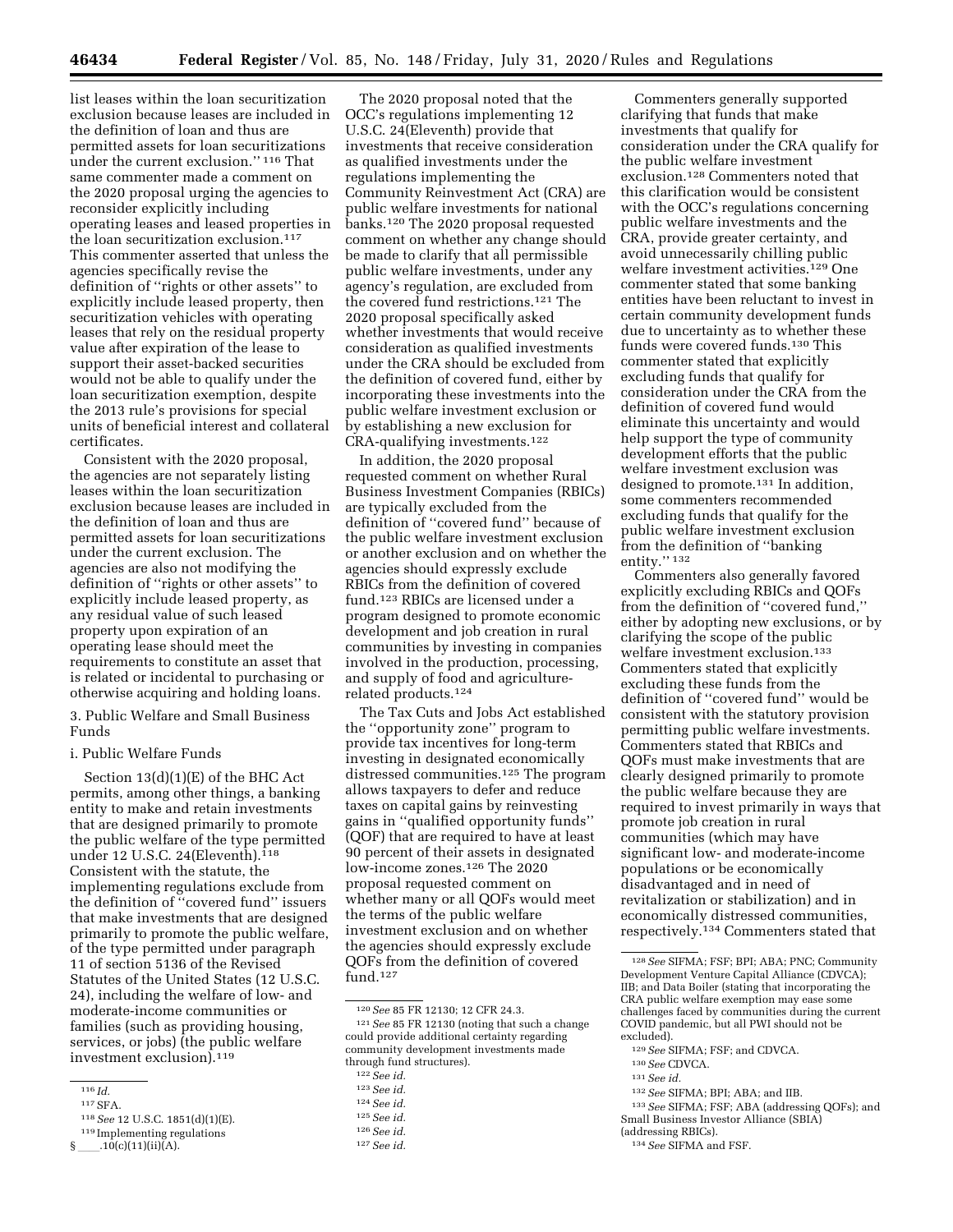list leases within the loan securitization exclusion because leases are included in the definition of loan and thus are permitted assets for loan securitizations under the current exclusion.'' 116 That same commenter made a comment on the 2020 proposal urging the agencies to reconsider explicitly including operating leases and leased properties in the loan securitization exclusion.<sup>117</sup> This commenter asserted that unless the agencies specifically revise the definition of ''rights or other assets'' to explicitly include leased property, then securitization vehicles with operating leases that rely on the residual property value after expiration of the lease to support their asset-backed securities would not be able to qualify under the loan securitization exemption, despite the 2013 rule's provisions for special units of beneficial interest and collateral certificates.

Consistent with the 2020 proposal, the agencies are not separately listing leases within the loan securitization exclusion because leases are included in the definition of loan and thus are permitted assets for loan securitizations under the current exclusion. The agencies are also not modifying the definition of ''rights or other assets'' to explicitly include leased property, as any residual value of such leased property upon expiration of an operating lease should meet the requirements to constitute an asset that is related or incidental to purchasing or otherwise acquiring and holding loans.

3. Public Welfare and Small Business Funds

# i. Public Welfare Funds

Section 13(d)(1)(E) of the BHC Act permits, among other things, a banking entity to make and retain investments that are designed primarily to promote the public welfare of the type permitted under 12 U.S.C. 24(Eleventh). $118$ Consistent with the statute, the implementing regulations exclude from the definition of ''covered fund'' issuers that make investments that are designed primarily to promote the public welfare, of the type permitted under paragraph 11 of section 5136 of the Revised Statutes of the United States (12 U.S.C. 24), including the welfare of low- and moderate-income communities or families (such as providing housing, services, or jobs) (the public welfare investment exclusion).119

- 118*See* 12 U.S.C. 1851(d)(1)(E).
- 119 Implementing regulations
- $\_10(c)(11)(ii)(A).$

The 2020 proposal noted that the OCC's regulations implementing 12 U.S.C. 24(Eleventh) provide that investments that receive consideration as qualified investments under the regulations implementing the Community Reinvestment Act (CRA) are public welfare investments for national banks.120 The 2020 proposal requested comment on whether any change should be made to clarify that all permissible public welfare investments, under any agency's regulation, are excluded from the covered fund restrictions.121 The 2020 proposal specifically asked whether investments that would receive consideration as qualified investments under the CRA should be excluded from the definition of covered fund, either by incorporating these investments into the public welfare investment exclusion or by establishing a new exclusion for CRA-qualifying investments.122

In addition, the 2020 proposal requested comment on whether Rural Business Investment Companies (RBICs) are typically excluded from the definition of ''covered fund'' because of the public welfare investment exclusion or another exclusion and on whether the agencies should expressly exclude RBICs from the definition of covered fund.123 RBICs are licensed under a program designed to promote economic development and job creation in rural communities by investing in companies involved in the production, processing, and supply of food and agriculturerelated products.124

The Tax Cuts and Jobs Act established the ''opportunity zone'' program to provide tax incentives for long-term investing in designated economically distressed communities.125 The program allows taxpayers to defer and reduce taxes on capital gains by reinvesting gains in ''qualified opportunity funds'' (QOF) that are required to have at least 90 percent of their assets in designated low-income zones.126 The 2020 proposal requested comment on whether many or all QOFs would meet the terms of the public welfare investment exclusion and on whether the agencies should expressly exclude QOFs from the definition of covered fund.127

Commenters generally supported clarifying that funds that make investments that qualify for consideration under the CRA qualify for the public welfare investment exclusion.128 Commenters noted that this clarification would be consistent with the OCC's regulations concerning public welfare investments and the CRA, provide greater certainty, and avoid unnecessarily chilling public welfare investment activities.129 One commenter stated that some banking entities have been reluctant to invest in certain community development funds due to uncertainty as to whether these funds were covered funds.130 This commenter stated that explicitly excluding funds that qualify for consideration under the CRA from the definition of covered fund would eliminate this uncertainty and would help support the type of community development efforts that the public welfare investment exclusion was designed to promote.131 In addition, some commenters recommended excluding funds that qualify for the public welfare investment exclusion from the definition of ''banking entity."<sup>132</sup>

Commenters also generally favored explicitly excluding RBICs and QOFs from the definition of ''covered fund,'' either by adopting new exclusions, or by clarifying the scope of the public welfare investment exclusion.<sup>133</sup> Commenters stated that explicitly excluding these funds from the definition of ''covered fund'' would be consistent with the statutory provision permitting public welfare investments. Commenters stated that RBICs and QOFs must make investments that are clearly designed primarily to promote the public welfare because they are required to invest primarily in ways that promote job creation in rural communities (which may have significant low- and moderate-income populations or be economically disadvantaged and in need of revitalization or stabilization) and in economically distressed communities, respectively.134 Commenters stated that

132*See* SIFMA; BPI; ABA; and IIB.

 $\frac{1}{116}$  *Id.* 

<sup>117</sup>SFA.

<sup>120</sup>*See* 85 FR 12130; 12 CFR 24.3. 121*See* 85 FR 12130 (noting that such a change

could provide additional certainty regarding community development investments made through fund structures).

<sup>122</sup>*See id.* 

<sup>123</sup>*See id.* 

<sup>124</sup>*See id.* 

<sup>125</sup>*See id.* 

<sup>126</sup>*See id.* 

<sup>127</sup>*See id.* 

<sup>128</sup>*See* SIFMA; FSF; BPI; ABA; PNC; Community Development Venture Capital Alliance (CDVCA); IIB; and Data Boiler (stating that incorporating the CRA public welfare exemption may ease some challenges faced by communities during the current COVID pandemic, but all PWI should not be excluded).

<sup>129</sup>*See* SIFMA; FSF; and CDVCA.

<sup>130</sup>*See* CDVCA.

<sup>131</sup>*See id.* 

<sup>133</sup>*See* SIFMA; FSF; ABA (addressing QOFs); and Small Business Investor Alliance (SBIA)

<sup>(</sup>addressing RBICs).

<sup>134</sup>*See* SIFMA and FSF.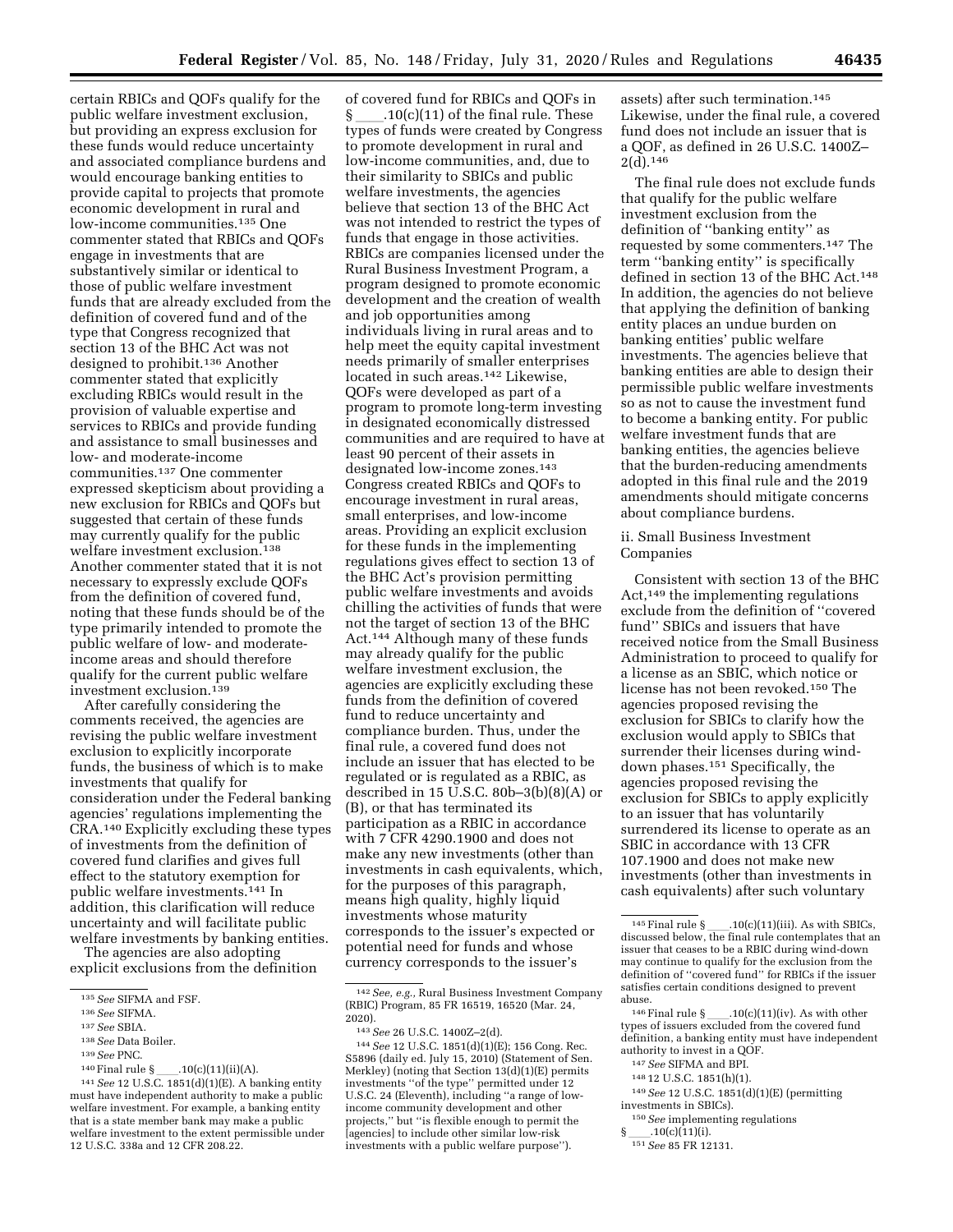certain RBICs and QOFs qualify for the public welfare investment exclusion, but providing an express exclusion for these funds would reduce uncertainty and associated compliance burdens and would encourage banking entities to provide capital to projects that promote economic development in rural and low-income communities.135 One commenter stated that RBICs and QOFs engage in investments that are substantively similar or identical to those of public welfare investment funds that are already excluded from the definition of covered fund and of the type that Congress recognized that section 13 of the BHC Act was not designed to prohibit.136 Another commenter stated that explicitly excluding RBICs would result in the provision of valuable expertise and services to RBICs and provide funding and assistance to small businesses and low- and moderate-income communities.137 One commenter expressed skepticism about providing a new exclusion for RBICs and QOFs but suggested that certain of these funds may currently qualify for the public welfare investment exclusion.138 Another commenter stated that it is not necessary to expressly exclude QOFs from the definition of covered fund, noting that these funds should be of the type primarily intended to promote the public welfare of low- and moderateincome areas and should therefore qualify for the current public welfare investment exclusion.139

After carefully considering the comments received, the agencies are revising the public welfare investment exclusion to explicitly incorporate funds, the business of which is to make investments that qualify for consideration under the Federal banking agencies' regulations implementing the CRA.140 Explicitly excluding these types of investments from the definition of covered fund clarifies and gives full effect to the statutory exemption for public welfare investments.141 In addition, this clarification will reduce uncertainty and will facilitate public welfare investments by banking entities.

The agencies are also adopting explicit exclusions from the definition

- 137*See* SBIA.
- 138*See* Data Boiler.
- 
- 139*See* PNC.
- <sup>140</sup> Final rule § \_\_\_\_.10(c)(11)(ii)(A).<br><sup>141</sup> *See* 12 U.S.C. 1851(d)(1)(E). A banking entity

of covered fund for RBICs and QOFs in § \_\_\_\_.10(c)(11) of the final rule. These<br>types of funds were created by Congress to promote development in rural and low-income communities, and, due to their similarity to SBICs and public welfare investments, the agencies believe that section 13 of the BHC Act was not intended to restrict the types of funds that engage in those activities. RBICs are companies licensed under the Rural Business Investment Program, a program designed to promote economic development and the creation of wealth and job opportunities among individuals living in rural areas and to help meet the equity capital investment needs primarily of smaller enterprises located in such areas.142 Likewise, QOFs were developed as part of a program to promote long-term investing in designated economically distressed communities and are required to have at least 90 percent of their assets in designated low-income zones.143 Congress created RBICs and QOFs to encourage investment in rural areas, small enterprises, and low-income areas. Providing an explicit exclusion for these funds in the implementing regulations gives effect to section 13 of the BHC Act's provision permitting public welfare investments and avoids chilling the activities of funds that were not the target of section 13 of the BHC Act.144 Although many of these funds may already qualify for the public welfare investment exclusion, the agencies are explicitly excluding these funds from the definition of covered fund to reduce uncertainty and compliance burden. Thus, under the final rule, a covered fund does not include an issuer that has elected to be regulated or is regulated as a RBIC, as described in 15 U.S.C. 80b–3(b)(8)(A) or (B), or that has terminated its participation as a RBIC in accordance with 7 CFR 4290.1900 and does not make any new investments (other than investments in cash equivalents, which, for the purposes of this paragraph, means high quality, highly liquid investments whose maturity corresponds to the issuer's expected or potential need for funds and whose currency corresponds to the issuer's

144*See* 12 U.S.C. 1851(d)(1)(E); 156 Cong. Rec. S5896 (daily ed. July 15, 2010) (Statement of Sen. Merkley) (noting that Section 13(d)(1)(E) permits investments ''of the type'' permitted under 12 U.S.C. 24 (Eleventh), including ''a range of lowincome community development and other projects,'' but ''is flexible enough to permit the [agencies] to include other similar low-risk investments with a public welfare purpose'').

assets) after such termination.145 Likewise, under the final rule, a covered fund does not include an issuer that is a QOF, as defined in 26 U.S.C. 1400Z– 2(d).146

The final rule does not exclude funds that qualify for the public welfare investment exclusion from the definition of ''banking entity'' as requested by some commenters.147 The term ''banking entity'' is specifically defined in section 13 of the BHC Act.148 In addition, the agencies do not believe that applying the definition of banking entity places an undue burden on banking entities' public welfare investments. The agencies believe that banking entities are able to design their permissible public welfare investments so as not to cause the investment fund to become a banking entity. For public welfare investment funds that are banking entities, the agencies believe that the burden-reducing amendments adopted in this final rule and the 2019 amendments should mitigate concerns about compliance burdens.

# ii. Small Business Investment Companies

Consistent with section 13 of the BHC Act,<sup>149</sup> the implementing regulations exclude from the definition of ''covered fund'' SBICs and issuers that have received notice from the Small Business Administration to proceed to qualify for a license as an SBIC, which notice or license has not been revoked.150 The agencies proposed revising the exclusion for SBICs to clarify how the exclusion would apply to SBICs that surrender their licenses during winddown phases.151 Specifically, the agencies proposed revising the exclusion for SBICs to apply explicitly to an issuer that has voluntarily surrendered its license to operate as an SBIC in accordance with 13 CFR 107.1900 and does not make new investments (other than investments in cash equivalents) after such voluntary

<sup>146</sup> Final rule § \_\_\_\_.10(c)(11)(iv). As with other types of issuers excluded from the covered fund definition, a banking entity must have independent authority to invest in a QOF.

- 147*See* SIFMA and BPI.
- 148 12 U.S.C. 1851(h)(1).
- 149*See* 12 U.S.C. 1851(d)(1)(E) (permitting investments in SBICs).
- 150*See* implementing regulations
- 

<sup>135</sup>*See* SIFMA and FSF.

<sup>136</sup>*See* SIFMA.

must have independent authority to make a public welfare investment. For example, a banking entity that is a state member bank may make a public welfare investment to the extent permissible under 12 U.S.C. 338a and 12 CFR 208.22.

<sup>142</sup>*See, e.g.,* Rural Business Investment Company (RBIC) Program, 85 FR 16519, 16520 (Mar. 24, 2020).

<sup>143</sup>*See* 26 U.S.C. 1400Z–2(d).

<sup>&</sup>lt;sup>145</sup> Final rule § \_\_\_\_\_.10(c)(11)(iii). As with SBICs, discussed below, the final rule contemplates that an issuer that ceases to be a RBIC during wind-down may continue to qualify for the exclusion from the definition of ''covered fund'' for RBICs if the issuer satisfies certain conditions designed to prevent abuse.

<sup>§</sup>ll.10(c)(11)(i). 151*See* 85 FR 12131.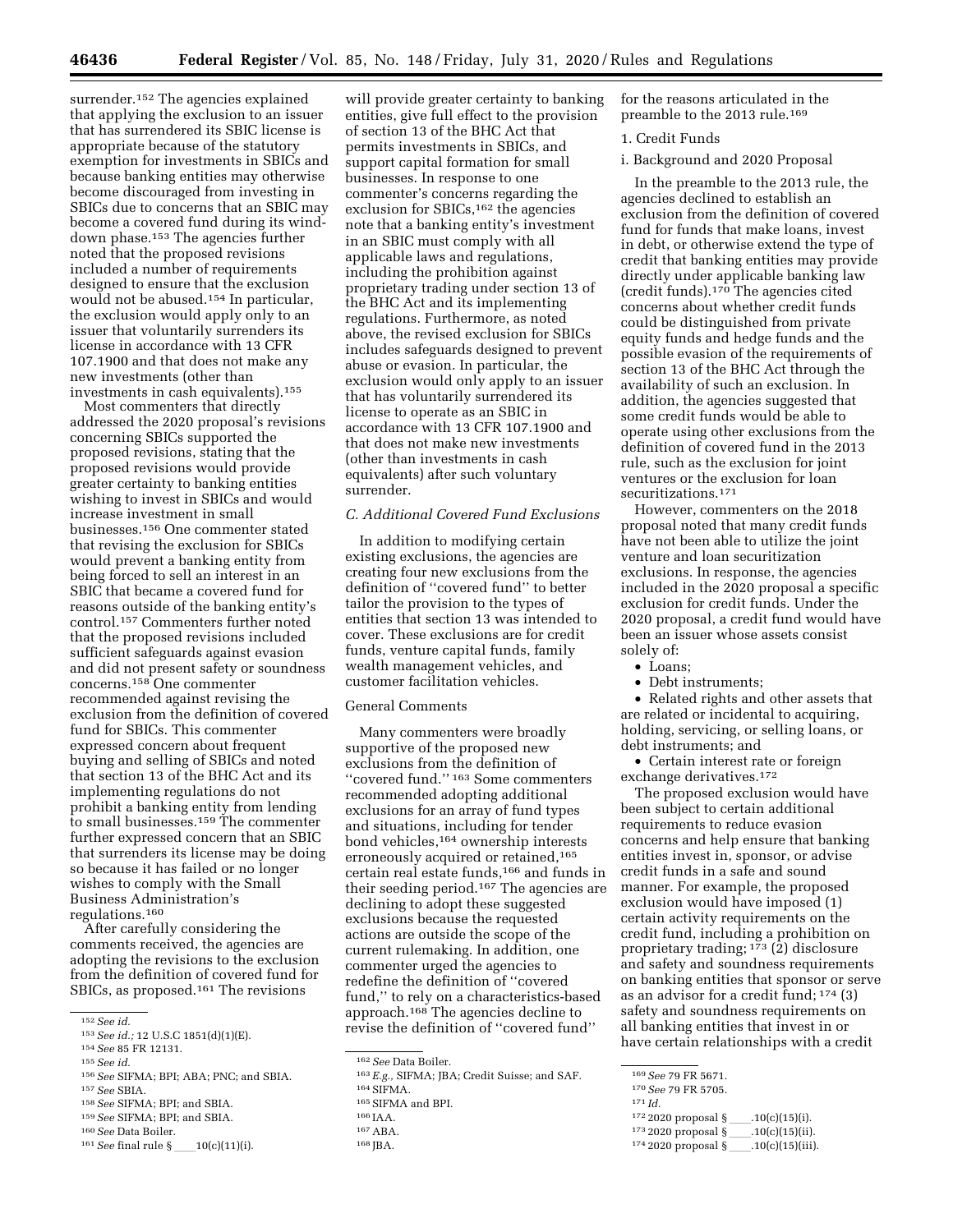surrender.<sup>152</sup> The agencies explained that applying the exclusion to an issuer that has surrendered its SBIC license is appropriate because of the statutory exemption for investments in SBICs and because banking entities may otherwise become discouraged from investing in SBICs due to concerns that an SBIC may become a covered fund during its winddown phase.153 The agencies further noted that the proposed revisions included a number of requirements designed to ensure that the exclusion would not be abused.154 In particular, the exclusion would apply only to an issuer that voluntarily surrenders its license in accordance with 13 CFR 107.1900 and that does not make any new investments (other than investments in cash equivalents).155

Most commenters that directly addressed the 2020 proposal's revisions concerning SBICs supported the proposed revisions, stating that the proposed revisions would provide greater certainty to banking entities wishing to invest in SBICs and would increase investment in small businesses.156 One commenter stated that revising the exclusion for SBICs would prevent a banking entity from being forced to sell an interest in an SBIC that became a covered fund for reasons outside of the banking entity's control.157 Commenters further noted that the proposed revisions included sufficient safeguards against evasion and did not present safety or soundness concerns.158 One commenter recommended against revising the exclusion from the definition of covered fund for SBICs. This commenter expressed concern about frequent buying and selling of SBICs and noted that section 13 of the BHC Act and its implementing regulations do not prohibit a banking entity from lending to small businesses.159 The commenter further expressed concern that an SBIC that surrenders its license may be doing so because it has failed or no longer wishes to comply with the Small Business Administration's regulations.160

After carefully considering the comments received, the agencies are adopting the revisions to the exclusion from the definition of covered fund for SBICs, as proposed.161 The revisions

- 156*See* SIFMA; BPI; ABA; PNC; and SBIA. 157*See* SBIA.
- 158*See* SIFMA; BPI; and SBIA.
- 159*See* SIFMA; BPI; and SBIA.
- 160*See* Data Boiler.

will provide greater certainty to banking entities, give full effect to the provision of section 13 of the BHC Act that permits investments in SBICs, and support capital formation for small businesses. In response to one commenter's concerns regarding the exclusion for SBICs,<sup>162</sup> the agencies note that a banking entity's investment in an SBIC must comply with all applicable laws and regulations, including the prohibition against proprietary trading under section 13 of the BHC Act and its implementing regulations. Furthermore, as noted above, the revised exclusion for SBICs includes safeguards designed to prevent abuse or evasion. In particular, the exclusion would only apply to an issuer that has voluntarily surrendered its license to operate as an SBIC in accordance with 13 CFR 107.1900 and that does not make new investments (other than investments in cash equivalents) after such voluntary surrender.

# *C. Additional Covered Fund Exclusions*

In addition to modifying certain existing exclusions, the agencies are creating four new exclusions from the definition of ''covered fund'' to better tailor the provision to the types of entities that section 13 was intended to cover. These exclusions are for credit funds, venture capital funds, family wealth management vehicles, and customer facilitation vehicles.

### General Comments

Many commenters were broadly supportive of the proposed new exclusions from the definition of ''covered fund.'' 163 Some commenters recommended adopting additional exclusions for an array of fund types and situations, including for tender bond vehicles,164 ownership interests erroneously acquired or retained,165 certain real estate funds,166 and funds in their seeding period.167 The agencies are declining to adopt these suggested exclusions because the requested actions are outside the scope of the current rulemaking. In addition, one commenter urged the agencies to redefine the definition of ''covered fund,'' to rely on a characteristics-based approach.168 The agencies decline to revise the definition of ''covered fund''

for the reasons articulated in the preamble to the 2013 rule.169

# 1. Credit Funds

# i. Background and 2020 Proposal

In the preamble to the 2013 rule, the agencies declined to establish an exclusion from the definition of covered fund for funds that make loans, invest in debt, or otherwise extend the type of credit that banking entities may provide directly under applicable banking law (credit funds).170 The agencies cited concerns about whether credit funds could be distinguished from private equity funds and hedge funds and the possible evasion of the requirements of section 13 of the BHC Act through the availability of such an exclusion. In addition, the agencies suggested that some credit funds would be able to operate using other exclusions from the definition of covered fund in the 2013 rule, such as the exclusion for joint ventures or the exclusion for loan securitizations.171

However, commenters on the 2018 proposal noted that many credit funds have not been able to utilize the joint venture and loan securitization exclusions. In response, the agencies included in the 2020 proposal a specific exclusion for credit funds. Under the 2020 proposal, a credit fund would have been an issuer whose assets consist solely of:

- Loans;
- Debt instruments;

• Related rights and other assets that are related or incidental to acquiring, holding, servicing, or selling loans, or debt instruments; and

• Certain interest rate or foreign exchange derivatives.172

The proposed exclusion would have been subject to certain additional requirements to reduce evasion concerns and help ensure that banking entities invest in, sponsor, or advise credit funds in a safe and sound manner. For example, the proposed exclusion would have imposed (1) certain activity requirements on the credit fund, including a prohibition on proprietary trading;  $1^{73}$  (2) disclosure and safety and soundness requirements on banking entities that sponsor or serve as an advisor for a credit fund; 174 (3) safety and soundness requirements on all banking entities that invest in or have certain relationships with a credit

<sup>152</sup>*See id.* 

<sup>153</sup>*See id.;* 12 U.S.C 1851(d)(1)(E). 154*See* 85 FR 12131. 155*See id.* 

<sup>&</sup>lt;sup>161</sup> See final rule §\_\_\_\_10(c)(11)(i).

<sup>162</sup>*See* Data Boiler.

<sup>163</sup>*E.g.,* SIFMA; JBA; Credit Suisse; and SAF.

<sup>164</sup>SIFMA.

<sup>165</sup>SIFMA and BPI.

<sup>166</sup> IAA.

<sup>167</sup>ABA.

<sup>168</sup> JBA.

<sup>169</sup>*See* 79 FR 5671.

<sup>170</sup>*See* 79 FR 5705.

<sup>171</sup> *Id.* 

 $^{172}$  2020 proposal § \_\_\_\_.10(c)(15)(i).

 $173\,2020$  proposal §\_\_\_\_.10(c)(15)(ii).

 $174\,2020$  proposal §\_\_\_\_.10(c)(15)(iii).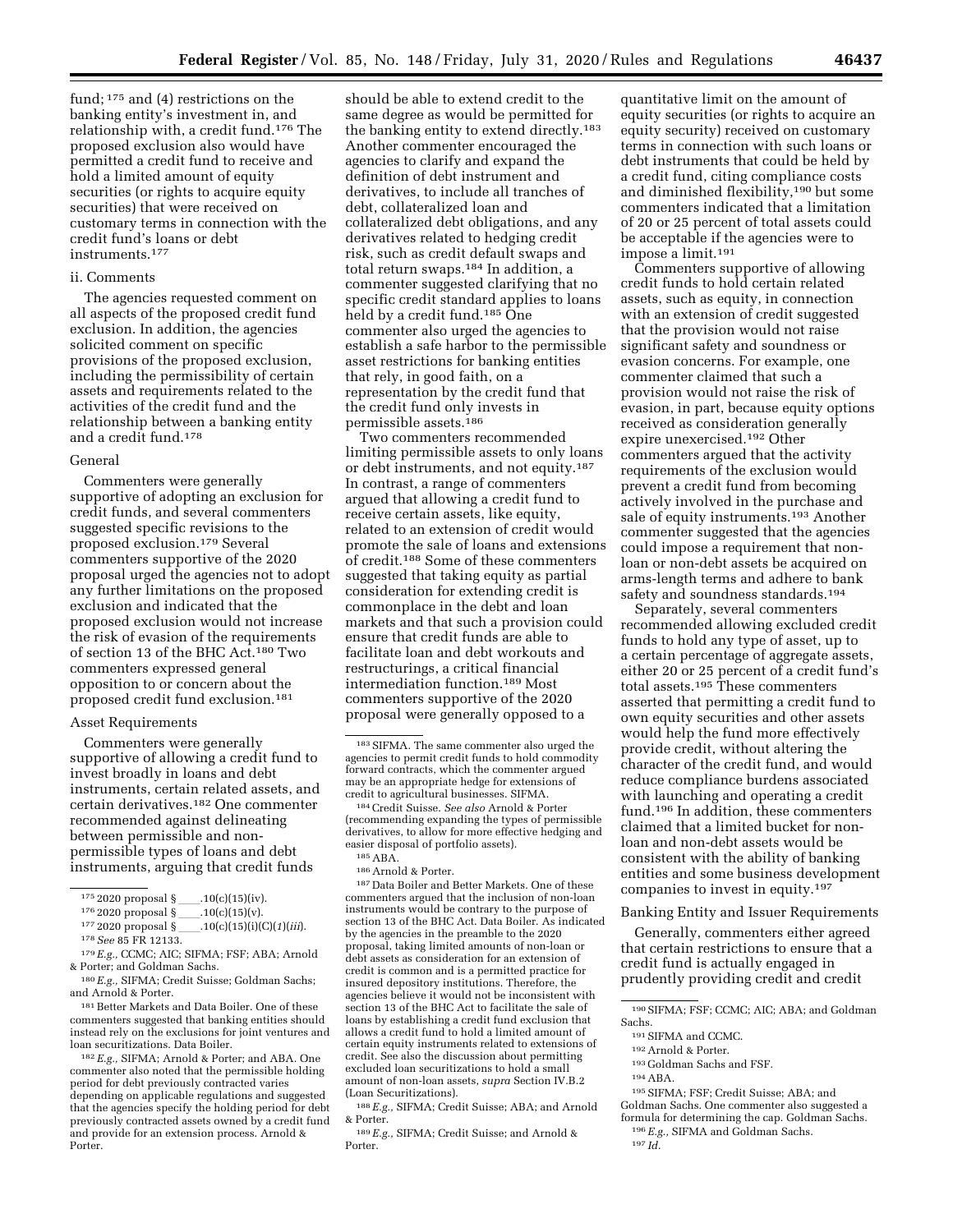fund; 175 and (4) restrictions on the banking entity's investment in, and relationship with, a credit fund.176 The proposed exclusion also would have permitted a credit fund to receive and hold a limited amount of equity securities (or rights to acquire equity securities) that were received on customary terms in connection with the credit fund's loans or debt instruments.177

#### ii. Comments

The agencies requested comment on all aspects of the proposed credit fund exclusion. In addition, the agencies solicited comment on specific provisions of the proposed exclusion, including the permissibility of certain assets and requirements related to the activities of the credit fund and the relationship between a banking entity and a credit fund.178

### General

Commenters were generally supportive of adopting an exclusion for credit funds, and several commenters suggested specific revisions to the proposed exclusion.179 Several commenters supportive of the 2020 proposal urged the agencies not to adopt any further limitations on the proposed exclusion and indicated that the proposed exclusion would not increase the risk of evasion of the requirements of section 13 of the BHC Act.180 Two commenters expressed general opposition to or concern about the proposed credit fund exclusion.181

#### Asset Requirements

Commenters were generally supportive of allowing a credit fund to invest broadly in loans and debt instruments, certain related assets, and certain derivatives.182 One commenter recommended against delineating between permissible and nonpermissible types of loans and debt instruments, arguing that credit funds

 $^{176}$  2020 proposal  $\mathrm{\S}_{-}$   $^{177}$  2020 proposal  $\mathrm{\S}_{-}$ .10(c)(15)(i)(C)(1)(*iii*).

179*E.g.,* CCMC; AIC; SIFMA; FSF; ABA; Arnold & Porter; and Goldman Sachs.

181 Better Markets and Data Boiler. One of these commenters suggested that banking entities should instead rely on the exclusions for joint ventures and loan securitizations. Data Boiler.

182*E.g.,* SIFMA; Arnold & Porter; and ABA. One commenter also noted that the permissible holding period for debt previously contracted varies depending on applicable regulations and suggested that the agencies specify the holding period for debt previously contracted assets owned by a credit fund and provide for an extension process. Arnold & Porter.

should be able to extend credit to the same degree as would be permitted for the banking entity to extend directly.183 Another commenter encouraged the agencies to clarify and expand the definition of debt instrument and derivatives, to include all tranches of debt, collateralized loan and collateralized debt obligations, and any derivatives related to hedging credit risk, such as credit default swaps and total return swaps.184 In addition, a commenter suggested clarifying that no specific credit standard applies to loans held by a credit fund.185 One commenter also urged the agencies to establish a safe harbor to the permissible asset restrictions for banking entities that rely, in good faith, on a representation by the credit fund that the credit fund only invests in permissible assets.<sup>186</sup>

Two commenters recommended limiting permissible assets to only loans or debt instruments, and not equity.187 In contrast, a range of commenters argued that allowing a credit fund to receive certain assets, like equity, related to an extension of credit would promote the sale of loans and extensions of credit.188 Some of these commenters suggested that taking equity as partial consideration for extending credit is commonplace in the debt and loan markets and that such a provision could ensure that credit funds are able to facilitate loan and debt workouts and restructurings, a critical financial intermediation function.189 Most commenters supportive of the 2020 proposal were generally opposed to a

<sup>184</sup> Credit Suisse. See also Arnold & Porter (recommending expanding the types of permissible derivatives, to allow for more effective hedging and

<sup>185</sup> ABA. 186Arnold & Porter.<br><sup>187</sup> Data Boiler and Better Markets. One of these commenters argued that the inclusion of non-loan instruments would be contrary to the purpose of section 13 of the BHC Act. Data Boiler. As indicated by the agencies in the preamble to the 2020 proposal, taking limited amounts of non-loan or debt assets as consideration for an extension of credit is common and is a permitted practice for insured depository institutions. Therefore, the agencies believe it would not be inconsistent with section 13 of the BHC Act to facilitate the sale of loans by establishing a credit fund exclusion that allows a credit fund to hold a limited amount of certain equity instruments related to extensions of credit. See also the discussion about permitting excluded loan securitizations to hold a small amount of non-loan assets, *supra* Section IV.B.2 (Loan Securitizations).

188*E.g.,* SIFMA; Credit Suisse; ABA; and Arnold & Porter.

189*E.g.,* SIFMA; Credit Suisse; and Arnold & Porter.

quantitative limit on the amount of equity securities (or rights to acquire an equity security) received on customary terms in connection with such loans or debt instruments that could be held by a credit fund, citing compliance costs and diminished flexibility,190 but some commenters indicated that a limitation of 20 or 25 percent of total assets could be acceptable if the agencies were to impose a limit.191

Commenters supportive of allowing credit funds to hold certain related assets, such as equity, in connection with an extension of credit suggested that the provision would not raise significant safety and soundness or evasion concerns. For example, one commenter claimed that such a provision would not raise the risk of evasion, in part, because equity options received as consideration generally expire unexercised.192 Other commenters argued that the activity requirements of the exclusion would prevent a credit fund from becoming actively involved in the purchase and sale of equity instruments.193 Another commenter suggested that the agencies could impose a requirement that nonloan or non-debt assets be acquired on arms-length terms and adhere to bank safety and soundness standards.194

Separately, several commenters recommended allowing excluded credit funds to hold any type of asset, up to a certain percentage of aggregate assets, either 20 or 25 percent of a credit fund's total assets.195 These commenters asserted that permitting a credit fund to own equity securities and other assets would help the fund more effectively provide credit, without altering the character of the credit fund, and would reduce compliance burdens associated with launching and operating a credit fund.196 In addition, these commenters claimed that a limited bucket for nonloan and non-debt assets would be consistent with the ability of banking entities and some business development companies to invest in equity.197

Banking Entity and Issuer Requirements

Generally, commenters either agreed that certain restrictions to ensure that a credit fund is actually engaged in prudently providing credit and credit

- 192Arnold & Porter.
- 193 Goldman Sachs and FSF.

195SIFMA; FSF; Credit Suisse; ABA; and Goldman Sachs. One commenter also suggested a

formula for determining the cap. Goldman Sachs. 196*E.g.,* SIFMA and Goldman Sachs.

197 *Id.* 

<sup>&</sup>lt;sup>175</sup> 2020 proposal §<sub>\_\_\_\_</sub>\_.10(c)(15)(iv).<br><sup>176</sup> 2020 proposal §\_\_\_\_.10(c)(15)(v).

<sup>178</sup>*See* 85 FR 12133.

<sup>180</sup>*E.g.,* SIFMA; Credit Suisse; Goldman Sachs; and Arnold & Porter.

<sup>183</sup>SIFMA. The same commenter also urged the agencies to permit credit funds to hold commodity forward contracts, which the commenter argued may be an appropriate hedge for extensions of<br>credit to agricultural businesses. SIFMA.

<sup>190</sup>SIFMA; FSF; CCMC; AIC; ABA; and Goldman Sachs.

<sup>191</sup>SIFMA and CCMC.

<sup>194</sup>ABA.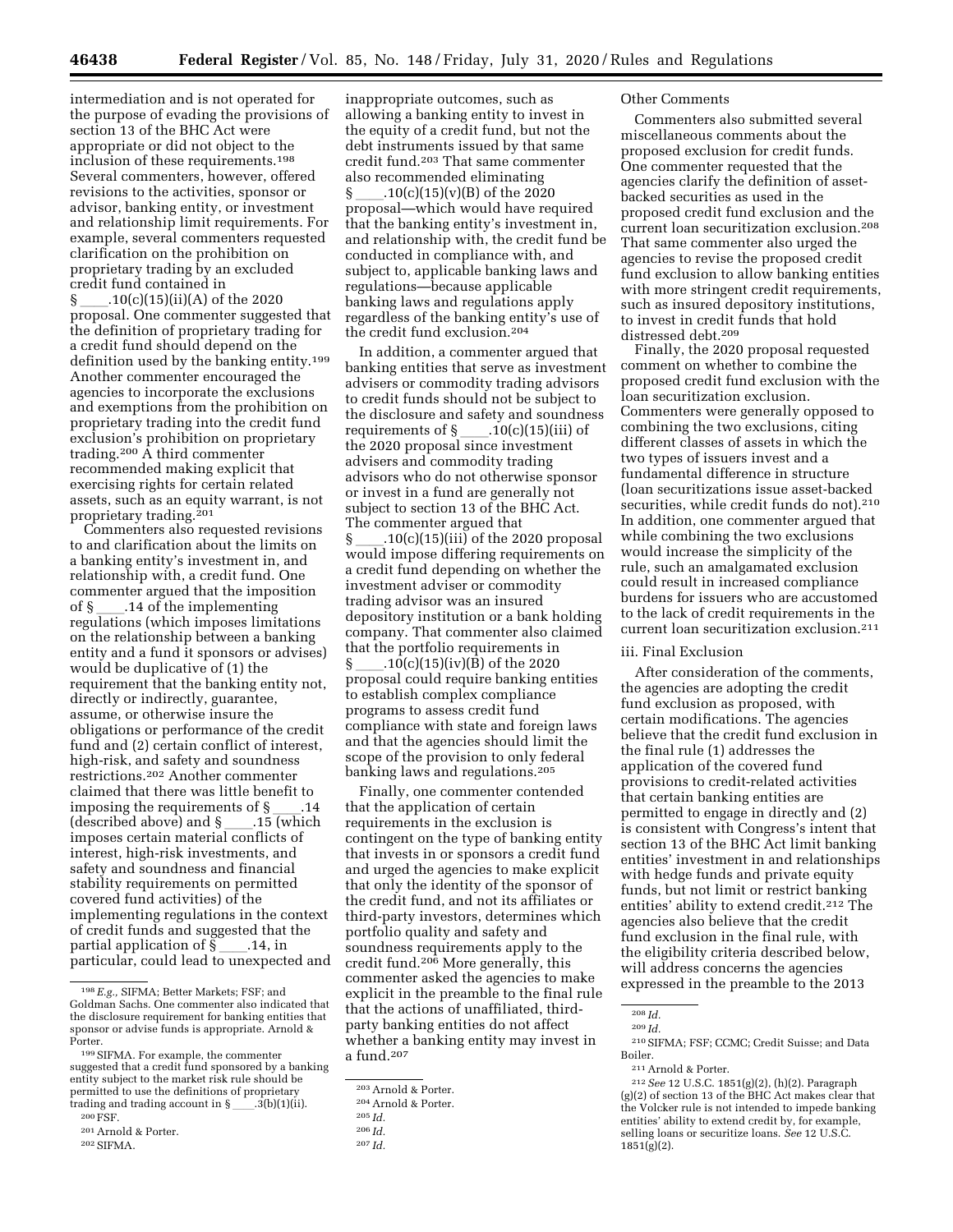intermediation and is not operated for the purpose of evading the provisions of section 13 of the BHC Act were appropriate or did not object to the inclusion of these requirements.198 Several commenters, however, offered revisions to the activities, sponsor or advisor, banking entity, or investment and relationship limit requirements. For example, several commenters requested clarification on the prohibition on proprietary trading by an excluded credit fund contained in

§ \_\_\_\_.10(c)(15)(ii)(A) of the 2020<br>proposal. One commenter suggested that the definition of proprietary trading for a credit fund should depend on the definition used by the banking entity.199 Another commenter encouraged the agencies to incorporate the exclusions and exemptions from the prohibition on proprietary trading into the credit fund exclusion's prohibition on proprietary trading.200 A third commenter recommended making explicit that exercising rights for certain related assets, such as an equity warrant, is not proprietary trading.201

Commenters also requested revisions to and clarification about the limits on a banking entity's investment in, and relationship with, a credit fund. One commenter argued that the imposition of § \_\_\_\_.14 of the implementing<br>regulations (which imposes limitations on the relationship between a banking entity and a fund it sponsors or advises) would be duplicative of (1) the requirement that the banking entity not, directly or indirectly, guarantee, assume, or otherwise insure the obligations or performance of the credit fund and (2) certain conflict of interest, high-risk, and safety and soundness restrictions.202 Another commenter claimed that there was little benefit to imposing the requirements of  $\S$  \_\_\_\_\_.14<br>(described above) and  $\S$  .15 (which (described above) and §\_\_\_\_.15 (which<br>imposes certain material conflicts of interest, high-risk investments, and safety and soundness and financial stability requirements on permitted covered fund activities) of the implementing regulations in the context of credit funds and suggested that the partial application of  $\S$  \_\_\_\_\_.14, in partial application of § \_\_\_\_.14, in<br>particular, could lead to unexpected and

- 201Arnold & Porter.
- 202SIFMA.

inappropriate outcomes, such as allowing a banking entity to invest in the equity of a credit fund, but not the debt instruments issued by that same credit fund.203 That same commenter also recommended eliminating<br> $\S$  .10(c)(15)(v)(B) of the 2020 § \_\_\_\_.10(c)(15)(v)(B) of the 2020<br>proposal—which would have required that the banking entity's investment in, and relationship with, the credit fund be conducted in compliance with, and subject to, applicable banking laws and regulations—because applicable banking laws and regulations apply regardless of the banking entity's use of the credit fund exclusion.204

In addition, a commenter argued that banking entities that serve as investment advisers or commodity trading advisors to credit funds should not be subject to the disclosure and safety and soundness requirements of § \_\_\_\_.10(c)(15)(iii) of<br>the 2020 proposal since investment advisers and commodity trading advisors who do not otherwise sponsor or invest in a fund are generally not subject to section 13 of the BHC Act. The commenter argued that § ll.10(c)(15)(iii) of the 2020 proposal would impose differing requirements on a credit fund depending on whether the investment adviser or commodity trading advisor was an insured depository institution or a bank holding company. That commenter also claimed that the portfolio requirements in § \_\_\_\_.10(c)(15)(iv)(B) of the 2020<br>proposal could require banking entities to establish complex compliance programs to assess credit fund compliance with state and foreign laws and that the agencies should limit the scope of the provision to only federal banking laws and regulations.205

Finally, one commenter contended that the application of certain requirements in the exclusion is contingent on the type of banking entity that invests in or sponsors a credit fund and urged the agencies to make explicit that only the identity of the sponsor of the credit fund, and not its affiliates or third-party investors, determines which portfolio quality and safety and soundness requirements apply to the credit fund.206 More generally, this commenter asked the agencies to make explicit in the preamble to the final rule that the actions of unaffiliated, thirdparty banking entities do not affect whether a banking entity may invest in a fund.207

#### Other Comments

Commenters also submitted several miscellaneous comments about the proposed exclusion for credit funds. One commenter requested that the agencies clarify the definition of assetbacked securities as used in the proposed credit fund exclusion and the current loan securitization exclusion.208 That same commenter also urged the agencies to revise the proposed credit fund exclusion to allow banking entities with more stringent credit requirements, such as insured depository institutions, to invest in credit funds that hold distressed debt.209

Finally, the 2020 proposal requested comment on whether to combine the proposed credit fund exclusion with the loan securitization exclusion. Commenters were generally opposed to combining the two exclusions, citing different classes of assets in which the two types of issuers invest and a fundamental difference in structure (loan securitizations issue asset-backed securities, while credit funds do not).<sup>210</sup> In addition, one commenter argued that while combining the two exclusions would increase the simplicity of the rule, such an amalgamated exclusion could result in increased compliance burdens for issuers who are accustomed to the lack of credit requirements in the current loan securitization exclusion.211

# iii. Final Exclusion

After consideration of the comments, the agencies are adopting the credit fund exclusion as proposed, with certain modifications. The agencies believe that the credit fund exclusion in the final rule (1) addresses the application of the covered fund provisions to credit-related activities that certain banking entities are permitted to engage in directly and (2) is consistent with Congress's intent that section 13 of the BHC Act limit banking entities' investment in and relationships with hedge funds and private equity funds, but not limit or restrict banking entities' ability to extend credit.212 The agencies also believe that the credit fund exclusion in the final rule, with the eligibility criteria described below, will address concerns the agencies expressed in the preamble to the 2013

<sup>198</sup>*E.g.,* SIFMA; Better Markets; FSF; and Goldman Sachs. One commenter also indicated that the disclosure requirement for banking entities that sponsor or advise funds is appropriate. Arnold & Porter.

<sup>199</sup>SIFMA. For example, the commenter suggested that a credit fund sponsored by a banking entity subject to the market risk rule should be permitted to use the definitions of proprietary trading and trading account in  $\S$  .  $3(b)(1)(ii)$ .

<sup>200</sup>FSF.

<sup>203</sup>Arnold & Porter.

<sup>204</sup>Arnold & Porter.

<sup>205</sup> *Id.* 

<sup>206</sup> *Id.* 

<sup>207</sup> *Id.* 

<sup>208</sup> *Id.* 

<sup>209</sup> *Id.* 

<sup>210</sup>SIFMA; FSF; CCMC; Credit Suisse; and Data Boiler.

<sup>211</sup>Arnold & Porter.

<sup>212</sup>*See* 12 U.S.C. 1851(g)(2), (h)(2). Paragraph (g)(2) of section 13 of the BHC Act makes clear that the Volcker rule is not intended to impede banking entities' ability to extend credit by, for example, selling loans or securitize loans. *See* 12 U.S.C.  $1851(g)(2)$ .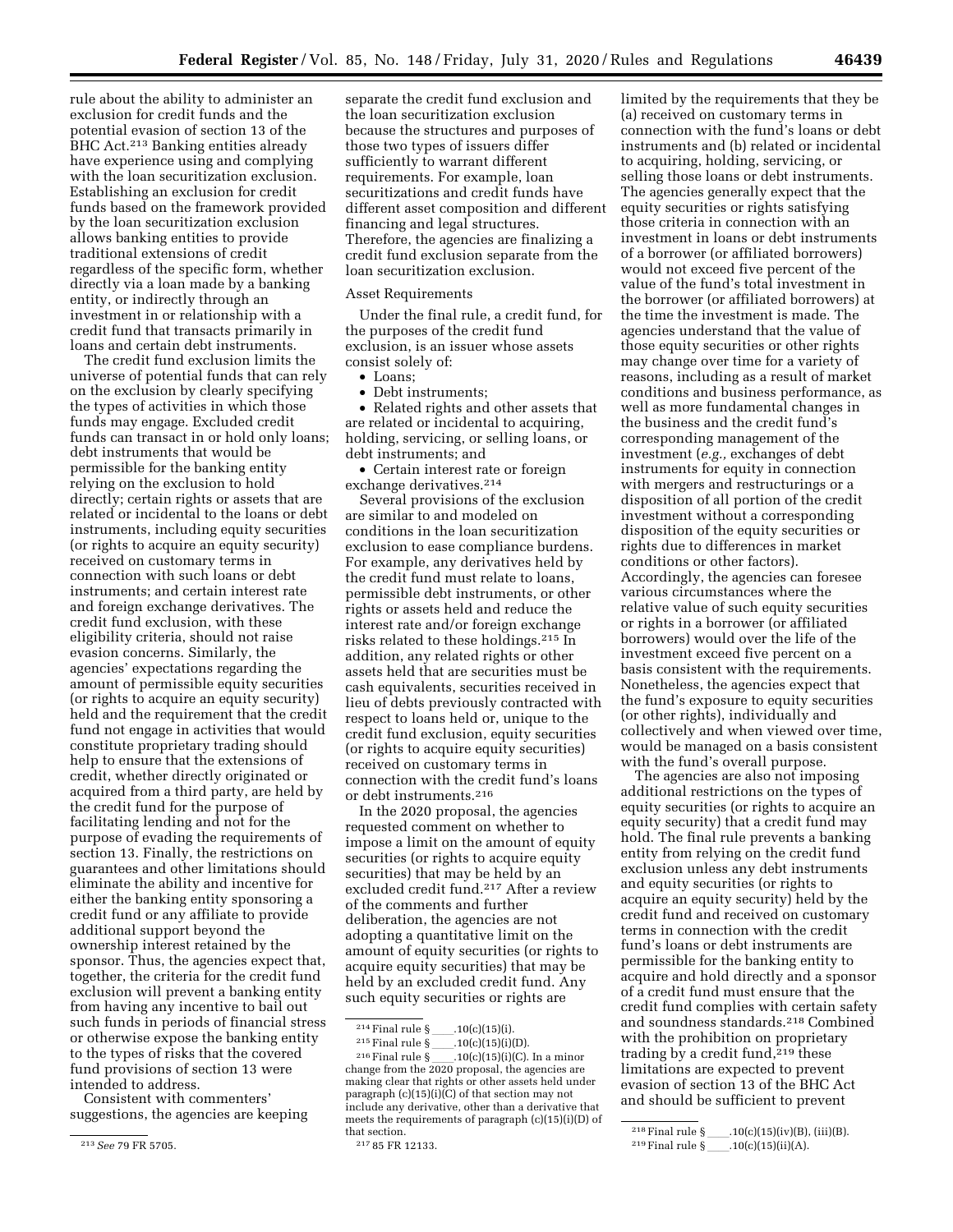rule about the ability to administer an exclusion for credit funds and the potential evasion of section 13 of the BHC Act.213 Banking entities already have experience using and complying with the loan securitization exclusion. Establishing an exclusion for credit funds based on the framework provided by the loan securitization exclusion allows banking entities to provide traditional extensions of credit regardless of the specific form, whether directly via a loan made by a banking entity, or indirectly through an investment in or relationship with a credit fund that transacts primarily in loans and certain debt instruments.

The credit fund exclusion limits the universe of potential funds that can rely on the exclusion by clearly specifying the types of activities in which those funds may engage. Excluded credit funds can transact in or hold only loans; debt instruments that would be permissible for the banking entity relying on the exclusion to hold directly; certain rights or assets that are related or incidental to the loans or debt instruments, including equity securities (or rights to acquire an equity security) received on customary terms in connection with such loans or debt instruments; and certain interest rate and foreign exchange derivatives. The credit fund exclusion, with these eligibility criteria, should not raise evasion concerns. Similarly, the agencies' expectations regarding the amount of permissible equity securities (or rights to acquire an equity security) held and the requirement that the credit fund not engage in activities that would constitute proprietary trading should help to ensure that the extensions of credit, whether directly originated or acquired from a third party, are held by the credit fund for the purpose of facilitating lending and not for the purpose of evading the requirements of section 13. Finally, the restrictions on guarantees and other limitations should eliminate the ability and incentive for either the banking entity sponsoring a credit fund or any affiliate to provide additional support beyond the ownership interest retained by the sponsor. Thus, the agencies expect that, together, the criteria for the credit fund exclusion will prevent a banking entity from having any incentive to bail out such funds in periods of financial stress or otherwise expose the banking entity to the types of risks that the covered fund provisions of section 13 were intended to address.

Consistent with commenters' suggestions, the agencies are keeping

separate the credit fund exclusion and the loan securitization exclusion because the structures and purposes of those two types of issuers differ sufficiently to warrant different requirements. For example, loan securitizations and credit funds have different asset composition and different financing and legal structures. Therefore, the agencies are finalizing a credit fund exclusion separate from the loan securitization exclusion.

#### Asset Requirements

Under the final rule, a credit fund, for the purposes of the credit fund exclusion, is an issuer whose assets consist solely of:

- Loans;
- Debt instruments;<br>• Related rights and

• Related rights and other assets that are related or incidental to acquiring, holding, servicing, or selling loans, or debt instruments; and

• Certain interest rate or foreign exchange derivatives.214

Several provisions of the exclusion are similar to and modeled on conditions in the loan securitization exclusion to ease compliance burdens. For example, any derivatives held by the credit fund must relate to loans, permissible debt instruments, or other rights or assets held and reduce the interest rate and/or foreign exchange risks related to these holdings.215 In addition, any related rights or other assets held that are securities must be cash equivalents, securities received in lieu of debts previously contracted with respect to loans held or, unique to the credit fund exclusion, equity securities (or rights to acquire equity securities) received on customary terms in connection with the credit fund's loans or debt instruments.216

In the 2020 proposal, the agencies requested comment on whether to impose a limit on the amount of equity securities (or rights to acquire equity securities) that may be held by an excluded credit fund.217 After a review of the comments and further deliberation, the agencies are not adopting a quantitative limit on the amount of equity securities (or rights to acquire equity securities) that may be held by an excluded credit fund. Any such equity securities or rights are

<sup>215</sup> Final rule § \_\_\_\_\_. 10(c)(15)(i)(D).<br><sup>216</sup> Final rule § \_\_\_\_\_. 10(c)(15)(i)(C). In a minor <sup>216</sup> Final rule § \_\_\_\_.10(c)(15)(i)(C). In a minor change from the 2020 proposal, the agencies are making clear that rights or other assets held under paragraph (c)(15)(i)(C) of that section may not include any derivative, other than a derivative that meets the requirements of paragraph (c)(15)(i)(D) of that section.

limited by the requirements that they be (a) received on customary terms in connection with the fund's loans or debt instruments and (b) related or incidental to acquiring, holding, servicing, or selling those loans or debt instruments. The agencies generally expect that the equity securities or rights satisfying those criteria in connection with an investment in loans or debt instruments of a borrower (or affiliated borrowers) would not exceed five percent of the value of the fund's total investment in the borrower (or affiliated borrowers) at the time the investment is made. The agencies understand that the value of those equity securities or other rights may change over time for a variety of reasons, including as a result of market conditions and business performance, as well as more fundamental changes in the business and the credit fund's corresponding management of the investment (*e.g.,* exchanges of debt instruments for equity in connection with mergers and restructurings or a disposition of all portion of the credit investment without a corresponding disposition of the equity securities or rights due to differences in market conditions or other factors). Accordingly, the agencies can foresee various circumstances where the relative value of such equity securities or rights in a borrower (or affiliated borrowers) would over the life of the investment exceed five percent on a basis consistent with the requirements. Nonetheless, the agencies expect that the fund's exposure to equity securities (or other rights), individually and collectively and when viewed over time, would be managed on a basis consistent with the fund's overall purpose.

The agencies are also not imposing additional restrictions on the types of equity securities (or rights to acquire an equity security) that a credit fund may hold. The final rule prevents a banking entity from relying on the credit fund exclusion unless any debt instruments and equity securities (or rights to acquire an equity security) held by the credit fund and received on customary terms in connection with the credit fund's loans or debt instruments are permissible for the banking entity to acquire and hold directly and a sponsor of a credit fund must ensure that the credit fund complies with certain safety and soundness standards.218 Combined with the prohibition on proprietary trading by a credit fund, $219$  these limitations are expected to prevent evasion of section 13 of the BHC Act and should be sufficient to prevent

<sup>213</sup>*See* 79 FR 5705.

<sup>&</sup>lt;sup>214</sup> Final rule  $\frac{\gamma}{2}$ .10(c)(15)(i).<br><sup>215</sup> Final rule  $\frac{\gamma}{2}$ .10(c)(15)(i)(

<sup>217</sup> 85 FR 12133.

<sup>&</sup>lt;sup>218</sup> Final rule § \_\_\_\_\_.  $10(c)(15)(iv)(B)$ , (iii)(B).  $219$  Final rule § \_\_\_\_\_.  $10(c)(15)(ii)(A)$ .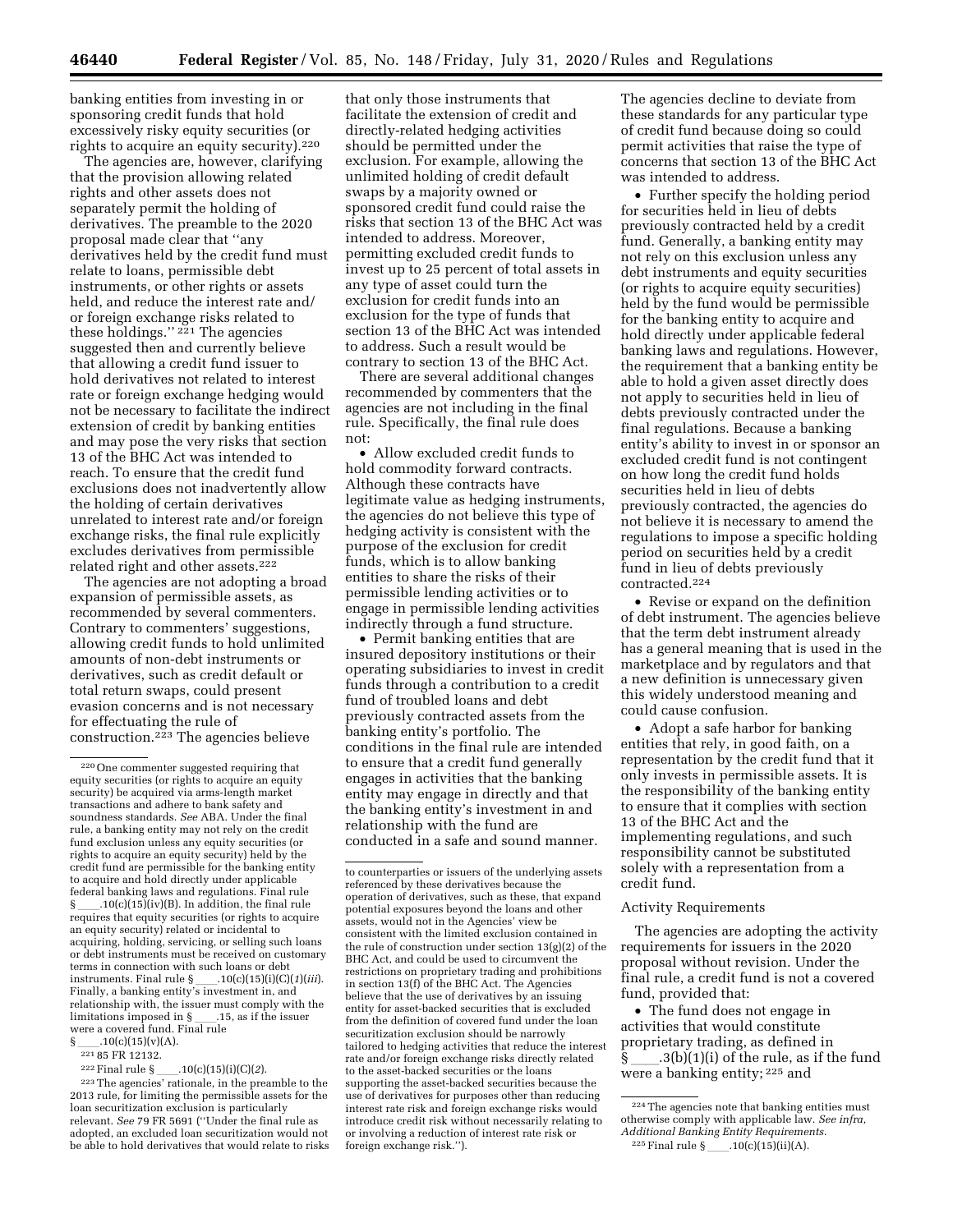banking entities from investing in or sponsoring credit funds that hold excessively risky equity securities (or rights to acquire an equity security).<sup>220</sup>

The agencies are, however, clarifying that the provision allowing related rights and other assets does not separately permit the holding of derivatives. The preamble to the 2020 proposal made clear that ''any derivatives held by the credit fund must relate to loans, permissible debt instruments, or other rights or assets held, and reduce the interest rate and/ or foreign exchange risks related to these holdings."  $2^{21}$  The agencies suggested then and currently believe that allowing a credit fund issuer to hold derivatives not related to interest rate or foreign exchange hedging would not be necessary to facilitate the indirect extension of credit by banking entities and may pose the very risks that section 13 of the BHC Act was intended to reach. To ensure that the credit fund exclusions does not inadvertently allow the holding of certain derivatives unrelated to interest rate and/or foreign exchange risks, the final rule explicitly excludes derivatives from permissible related right and other assets.222

The agencies are not adopting a broad expansion of permissible assets, as recommended by several commenters. Contrary to commenters' suggestions, allowing credit funds to hold unlimited amounts of non-debt instruments or derivatives, such as credit default or total return swaps, could present evasion concerns and is not necessary for effectuating the rule of construction.223 The agencies believe

<sup>222</sup> Final rule §\_\_\_\_\_.10(c)(15)(i)(C)(2).

223The agencies' rationale, in the preamble to the 2013 rule, for limiting the permissible assets for the loan securitization exclusion is particularly relevant. *See* 79 FR 5691 (''Under the final rule as adopted, an excluded loan securitization would not be able to hold derivatives that would relate to risks

that only those instruments that facilitate the extension of credit and directly-related hedging activities should be permitted under the exclusion. For example, allowing the unlimited holding of credit default swaps by a majority owned or sponsored credit fund could raise the risks that section 13 of the BHC Act was intended to address. Moreover, permitting excluded credit funds to invest up to 25 percent of total assets in any type of asset could turn the exclusion for credit funds into an exclusion for the type of funds that section 13 of the BHC Act was intended to address. Such a result would be contrary to section 13 of the BHC Act.

There are several additional changes recommended by commenters that the agencies are not including in the final rule. Specifically, the final rule does not:

• Allow excluded credit funds to hold commodity forward contracts. Although these contracts have legitimate value as hedging instruments, the agencies do not believe this type of hedging activity is consistent with the purpose of the exclusion for credit funds, which is to allow banking entities to share the risks of their permissible lending activities or to engage in permissible lending activities indirectly through a fund structure.

• Permit banking entities that are insured depository institutions or their operating subsidiaries to invest in credit funds through a contribution to a credit fund of troubled loans and debt previously contracted assets from the banking entity's portfolio. The conditions in the final rule are intended to ensure that a credit fund generally engages in activities that the banking entity may engage in directly and that the banking entity's investment in and relationship with the fund are conducted in a safe and sound manner.

The agencies decline to deviate from these standards for any particular type of credit fund because doing so could permit activities that raise the type of concerns that section 13 of the BHC Act was intended to address.

• Further specify the holding period for securities held in lieu of debts previously contracted held by a credit fund. Generally, a banking entity may not rely on this exclusion unless any debt instruments and equity securities (or rights to acquire equity securities) held by the fund would be permissible for the banking entity to acquire and hold directly under applicable federal banking laws and regulations. However, the requirement that a banking entity be able to hold a given asset directly does not apply to securities held in lieu of debts previously contracted under the final regulations. Because a banking entity's ability to invest in or sponsor an excluded credit fund is not contingent on how long the credit fund holds securities held in lieu of debts previously contracted, the agencies do not believe it is necessary to amend the regulations to impose a specific holding period on securities held by a credit fund in lieu of debts previously contracted.224

• Revise or expand on the definition of debt instrument. The agencies believe that the term debt instrument already has a general meaning that is used in the marketplace and by regulators and that a new definition is unnecessary given this widely understood meaning and could cause confusion.

• Adopt a safe harbor for banking entities that rely, in good faith, on a representation by the credit fund that it only invests in permissible assets. It is the responsibility of the banking entity to ensure that it complies with section 13 of the BHC Act and the implementing regulations, and such responsibility cannot be substituted solely with a representation from a credit fund.

## Activity Requirements

The agencies are adopting the activity requirements for issuers in the 2020 proposal without revision. Under the final rule, a credit fund is not a covered fund, provided that:

• The fund does not engage in activities that would constitute proprietary trading, as defined in  $\S$  \_\_\_\_\_.3(b)(1)(i) of the rule, as if the fund were a banking entity; 225 and

<sup>220</sup>One commenter suggested requiring that equity securities (or rights to acquire an equity security) be acquired via arms-length market transactions and adhere to bank safety and soundness standards. *See* ABA. Under the final rule, a banking entity may not rely on the credit fund exclusion unless any equity securities (or rights to acquire an equity security) held by the credit fund are permissible for the banking entity to acquire and hold directly under applicable federal banking laws and regulations. Final rule  $.10(c)(15)(iv)(B)$ . In addition, the final rule requires that equity securities (or rights to acquire an equity security) related or incidental to acquiring, holding, servicing, or selling such loans or debt instruments must be received on customary terms in connection with such loans or debt instruments. Final rule § \_\_\_\_.10(c)(15)(i)(C)(*1)(iii*).<br>Finally, a banking entity's investment in, and relationship with, the issuer must comply with the limitations imposed in §\_\_\_\_.15, as if the issuer<br>were a covered fund. Final rule  $\frac{S}{S}$  . 10(c)(15)(v)(A).

<sup>221</sup> 85 FR 12132.

to counterparties or issuers of the underlying assets referenced by these derivatives because the operation of derivatives, such as these, that expand potential exposures beyond the loans and other assets, would not in the Agencies' view be consistent with the limited exclusion contained in the rule of construction under section 13(g)(2) of the BHC Act, and could be used to circumvent the restrictions on proprietary trading and prohibitions in section 13(f) of the BHC Act. The Agencies believe that the use of derivatives by an issuing entity for asset-backed securities that is excluded from the definition of covered fund under the loan securitization exclusion should be narrowly tailored to hedging activities that reduce the interest rate and/or foreign exchange risks directly related to the asset-backed securities or the loans supporting the asset-backed securities because the use of derivatives for purposes other than reducing interest rate risk and foreign exchange risks would introduce credit risk without necessarily relating to or involving a reduction of interest rate risk or foreign exchange risk.'').

<sup>224</sup>The agencies note that banking entities must otherwise comply with applicable law. *See infra, Additional Banking Entity Requirements.*   $225$  Final rule § \_\_\_\_\_. 10(c)(15)(ii)(A).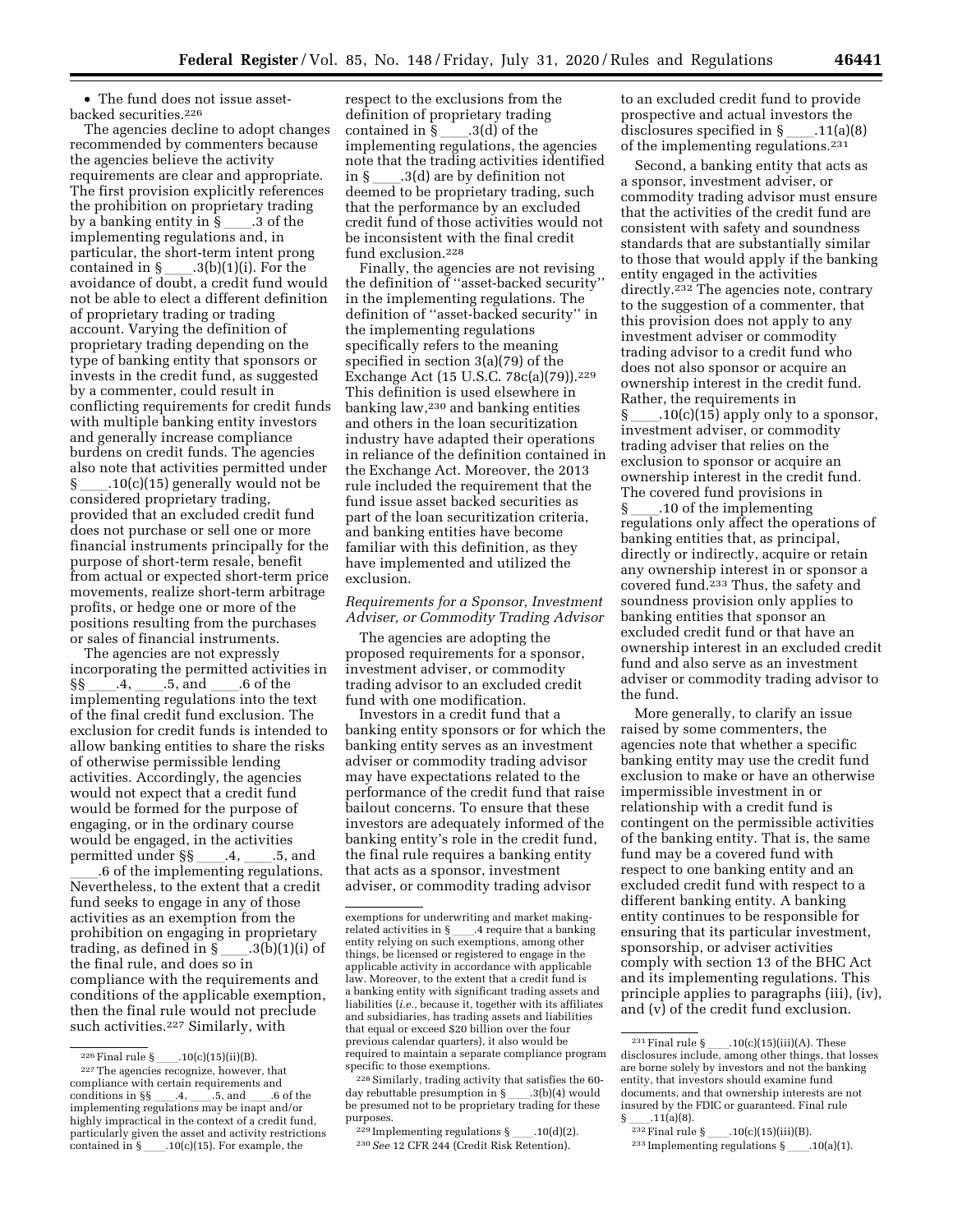• The fund does not issue assetbacked securities.226

The agencies decline to adopt changes recommended by commenters because the agencies believe the activity requirements are clear and appropriate. The first provision explicitly references the prohibition on proprietary trading by a banking entity in § \_\_\_\_.3 of the<br>implementing regulations and, in particular, the short-term intent prong contained in § \_\_\_\_.3(b)(1)(i). For the<br>avoidance of doubt, a credit fund would not be able to elect a different definition of proprietary trading or trading account. Varying the definition of proprietary trading depending on the type of banking entity that sponsors or invests in the credit fund, as suggested by a commenter, could result in conflicting requirements for credit funds with multiple banking entity investors and generally increase compliance burdens on credit funds. The agencies also note that activities permitted under  $\S$  .10(c)(15) generally would not be considered proprietary trading, provided that an excluded credit fund does not purchase or sell one or more financial instruments principally for the purpose of short-term resale, benefit from actual or expected short-term price movements, realize short-term arbitrage profits, or hedge one or more of the positions resulting from the purchases or sales of financial instruments.

The agencies are not expressly incorporating the permitted activities in §§ \_\_\_\_.4, \_\_\_\_.5, and \_\_\_\_.6 of the<br>implementing regulations into the text of the final credit fund exclusion. The exclusion for credit funds is intended to allow banking entities to share the risks of otherwise permissible lending activities. Accordingly, the agencies would not expect that a credit fund would be formed for the purpose of engaging, or in the ordinary course would be engaged, in the activities permitted under §§ \_\_\_\_.4, \_\_\_\_.5, and

.6 of the implementing regulations. Nevertheless, to the extent that a credit fund seeks to engage in any of those activities as an exemption from the prohibition on engaging in proprietary trading, as defined in §\_\_\_.3(b)(1)(i) of<br>the final rule, and does so in compliance with the requirements and conditions of the applicable exemption, then the final rule would not preclude such activities.227 Similarly, with

respect to the exclusions from the definition of proprietary trading contained in § \_\_\_\_.3(d) of the<br>implementing regulations, the agencies note that the trading activities identified<br>in  $\S$  .3(d) are by definition not in §\_\_\_\_.3(d) are by definition not<br>deemed to be proprietary trading, such that the performance by an excluded credit fund of those activities would not be inconsistent with the final credit fund exclusion.228

Finally, the agencies are not revising the definition of ''asset-backed security'' in the implementing regulations. The definition of ''asset-backed security'' in the implementing regulations specifically refers to the meaning specified in section 3(a)(79) of the Exchange Act (15 U.S.C. 78c(a)(79)).229 This definition is used elsewhere in banking law,230 and banking entities and others in the loan securitization industry have adapted their operations in reliance of the definition contained in the Exchange Act. Moreover, the 2013 rule included the requirement that the fund issue asset backed securities as part of the loan securitization criteria, and banking entities have become familiar with this definition, as they have implemented and utilized the exclusion.

# *Requirements for a Sponsor, Investment Adviser, or Commodity Trading Advisor*

The agencies are adopting the proposed requirements for a sponsor, investment adviser, or commodity trading advisor to an excluded credit fund with one modification.

Investors in a credit fund that a banking entity sponsors or for which the banking entity serves as an investment adviser or commodity trading advisor may have expectations related to the performance of the credit fund that raise bailout concerns. To ensure that these investors are adequately informed of the banking entity's role in the credit fund, the final rule requires a banking entity that acts as a sponsor, investment adviser, or commodity trading advisor

to an excluded credit fund to provide prospective and actual investors the disclosures specified in § ll.11(a)(8) of the implementing regulations.231

Second, a banking entity that acts as a sponsor, investment adviser, or commodity trading advisor must ensure that the activities of the credit fund are consistent with safety and soundness standards that are substantially similar to those that would apply if the banking entity engaged in the activities directly.<sup>232</sup> The agencies note, contrary to the suggestion of a commenter, that this provision does not apply to any investment adviser or commodity trading advisor to a credit fund who does not also sponsor or acquire an ownership interest in the credit fund. Rather, the requirements in  $\S$  .10(c)(15) apply only to a sponsor, investment adviser, or commodity trading adviser that relies on the exclusion to sponsor or acquire an ownership interest in the credit fund. The covered fund provisions in § ll.10 of the implementing regulations only affect the operations of banking entities that, as principal, directly or indirectly, acquire or retain any ownership interest in or sponsor a covered fund.233 Thus, the safety and soundness provision only applies to banking entities that sponsor an excluded credit fund or that have an ownership interest in an excluded credit fund and also serve as an investment adviser or commodity trading advisor to the fund.

More generally, to clarify an issue raised by some commenters, the agencies note that whether a specific banking entity may use the credit fund exclusion to make or have an otherwise impermissible investment in or relationship with a credit fund is contingent on the permissible activities of the banking entity. That is, the same fund may be a covered fund with respect to one banking entity and an excluded credit fund with respect to a different banking entity. A banking entity continues to be responsible for ensuring that its particular investment, sponsorship, or adviser activities comply with section 13 of the BHC Act and its implementing regulations. This principle applies to paragraphs (iii), (iv), and (v) of the credit fund exclusion.

 $226$  Final rule §\_\_\_\_.10(c)(15)(ii)(B).

<sup>227</sup>The agencies recognize, however, that compliance with certain requirements and conditions in §§ \_\_\_\_.4, \_\_\_\_.5, and \_\_\_\_.6 of the<br>implementing regulations may be inapt and/or highly impractical in the context of a credit fund, particularly given the asset and activity restrictions contained in  $\S$  \_\_\_\_.10(c)(15). For example, the

exemptions for underwriting and market makingrelated activities in  $\S$  \_\_\_\_.4 require that a banking entity relying on such exemptions, among other things, be licensed or registered to engage in the applicable activity in accordance with applicable law. Moreover, to the extent that a credit fund is a banking entity with significant trading assets and liabilities (*i.e.,* because it, together with its affiliates and subsidiaries, has trading assets and liabilities that equal or exceed \$20 billion over the four previous calendar quarters), it also would be required to maintain a separate compliance program specific to those exemptions.

<sup>&</sup>lt;sup>228</sup> Similarly, trading activity that satisfies the 60-<br>day rebuttable presumption in §  $3(b)(4)$  would day rebuttable presumption in §\_\_\_\_.3(b)(4) would<br>be presumed not to be proprietary trading for these purposes.

<sup>&</sup>lt;sup>229</sup> Implementing regulations §\_\_\_\_.10(d)(2).<br><sup>230</sup> *See* 12 CFR 244 (Credit Risk Retention).

<sup>&</sup>lt;sup>231</sup> Final rule § \_\_\_\_\_.10(c)(15)(iii)(A). These disclosures include, among other things, that losses are borne solely by investors and not the banking entity, that investors should examine fund documents, and that ownership interests are not insured by the FDIC or guaranteed. Final rule<br> $\S$  .11(a)(8).

 $\S$  \_\_\_\_.11(a)(8).<br><sup>232</sup> Final rule §

<sup>232</sup>Final rule §ll.10(c)(15)(iii)(B). <sup>233</sup> Implementing regulations  $\S$  \_\_\_\_\_. 10(a)(1).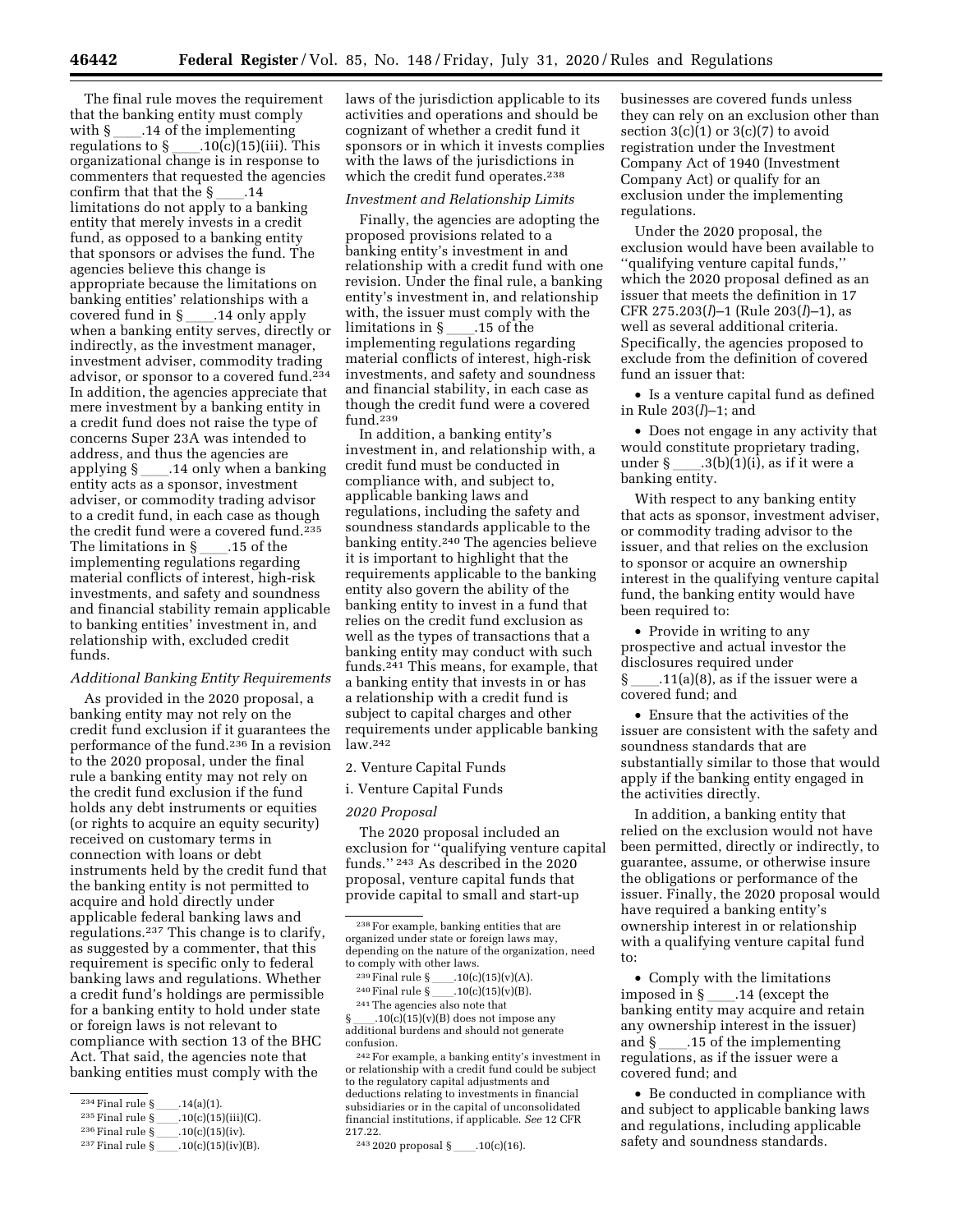The final rule moves the requirement that the banking entity must comply with  $\S$  \_\_\_\_\_.14 of the implementing<br>regulations to  $\S$  \_\_\_\_\_.10(c)(15)(iii). This regulations to § \_\_\_\_.10(c)(15)(iii). This<br>organizational change is in response to commenters that requested the agencies confirm that that the  $\S$ . 14 limitations do not apply to a banking entity that merely invests in a credit fund, as opposed to a banking entity that sponsors or advises the fund. The agencies believe this change is appropriate because the limitations on banking entities' relationships with a covered fund in §\_\_\_\_.14 only apply<br>when a banking entity serves, directly or indirectly, as the investment manager, investment adviser, commodity trading advisor, or sponsor to a covered fund.234 In addition, the agencies appreciate that mere investment by a banking entity in a credit fund does not raise the type of concerns Super 23A was intended to address, and thus the agencies are<br>applying §\_\_\_\_.14 only when a banking applying § \_\_\_\_.14 only when a banking<br>entity acts as a sponsor, investment adviser, or commodity trading advisor to a credit fund, in each case as though the credit fund were a covered fund.<sup>235</sup><br>The limitations in § .15 of the The limitations in §\_\_\_\_.15 of the<br>implementing regulations regarding material conflicts of interest, high-risk investments, and safety and soundness and financial stability remain applicable to banking entities' investment in, and relationship with, excluded credit funds.

## *Additional Banking Entity Requirements*

As provided in the 2020 proposal, a banking entity may not rely on the credit fund exclusion if it guarantees the performance of the fund.<sup>236</sup> In a revision to the 2020 proposal, under the final rule a banking entity may not rely on the credit fund exclusion if the fund holds any debt instruments or equities (or rights to acquire an equity security) received on customary terms in connection with loans or debt instruments held by the credit fund that the banking entity is not permitted to acquire and hold directly under applicable federal banking laws and regulations.237 This change is to clarify, as suggested by a commenter, that this requirement is specific only to federal banking laws and regulations. Whether a credit fund's holdings are permissible for a banking entity to hold under state or foreign laws is not relevant to compliance with section 13 of the BHC Act. That said, the agencies note that banking entities must comply with the

laws of the jurisdiction applicable to its activities and operations and should be cognizant of whether a credit fund it sponsors or in which it invests complies with the laws of the jurisdictions in which the credit fund operates.<sup>238</sup>

#### *Investment and Relationship Limits*

Finally, the agencies are adopting the proposed provisions related to a banking entity's investment in and relationship with a credit fund with one revision. Under the final rule, a banking entity's investment in, and relationship with, the issuer must comply with the limitations in § \_\_\_\_.15 of the<br>implementing regulations regarding material conflicts of interest, high-risk investments, and safety and soundness and financial stability, in each case as though the credit fund were a covered fund.239

In addition, a banking entity's investment in, and relationship with, a credit fund must be conducted in compliance with, and subject to, applicable banking laws and regulations, including the safety and soundness standards applicable to the banking entity.240 The agencies believe it is important to highlight that the requirements applicable to the banking entity also govern the ability of the banking entity to invest in a fund that relies on the credit fund exclusion as well as the types of transactions that a banking entity may conduct with such funds.241 This means, for example, that a banking entity that invests in or has a relationship with a credit fund is subject to capital charges and other requirements under applicable banking law.242

- 2. Venture Capital Funds
- i. Venture Capital Funds

### *2020 Proposal*

The 2020 proposal included an exclusion for ''qualifying venture capital funds.'' 243 As described in the 2020 proposal, venture capital funds that provide capital to small and start-up

- $239$  Final rule § \_\_\_\_\_.  $10(c)(15)(v)(A)$ .
- $240$  Final rule § \_\_\_\_.  $10(c)(15)(v)(B)$ .

241The agencies also note that

 $\S$  . .10(c)(15)(v)(B) does not impose any additional burdens and should not generate confusion.

242For example, a banking entity's investment in or relationship with a credit fund could be subject to the regulatory capital adjustments and deductions relating to investments in financial subsidiaries or in the capital of unconsolidated financial institutions, if applicable. *See* 12 CFR 217.22.

 $243 2020$  proposal §\_\_\_\_.10(c)(16).

businesses are covered funds unless they can rely on an exclusion other than section 3(c)(1) or 3(c)(7) to avoid registration under the Investment Company Act of 1940 (Investment Company Act) or qualify for an exclusion under the implementing regulations.

Under the 2020 proposal, the exclusion would have been available to ''qualifying venture capital funds,'' which the 2020 proposal defined as an issuer that meets the definition in 17 CFR 275.203(*l*)–1 (Rule 203(*l*)–1), as well as several additional criteria. Specifically, the agencies proposed to exclude from the definition of covered fund an issuer that:

• Is a venture capital fund as defined in Rule 203(*l*)–1; and

• Does not engage in any activity that would constitute proprietary trading, under  $\S$  .3(b)(1)(i), as if it were a banking entity.

With respect to any banking entity that acts as sponsor, investment adviser, or commodity trading advisor to the issuer, and that relies on the exclusion to sponsor or acquire an ownership interest in the qualifying venture capital fund, the banking entity would have been required to:

• Provide in writing to any prospective and actual investor the disclosures required under  $\S$  .11(a)(8), as if the issuer were a covered fund; and

• Ensure that the activities of the issuer are consistent with the safety and soundness standards that are substantially similar to those that would apply if the banking entity engaged in the activities directly.

In addition, a banking entity that relied on the exclusion would not have been permitted, directly or indirectly, to guarantee, assume, or otherwise insure the obligations or performance of the issuer. Finally, the 2020 proposal would have required a banking entity's ownership interest in or relationship with a qualifying venture capital fund to:

• Comply with the limitations imposed in  $\S$  \_\_\_\_\_. 14 (except the banking entity may acquire and retain any ownership interest in the issuer) and  $\S$  .15 of the implementing regulations, as if the issuer were a covered fund; and

• Be conducted in compliance with and subject to applicable banking laws and regulations, including applicable safety and soundness standards.

<sup>234</sup> Final rule  $\frac{\gamma}{2}$ .14(a)(1).<br>235 Final rule  $\frac{\gamma}{2}$ .10(c)(15)

<sup>&</sup>lt;sup>235</sup> Final rule § \_\_\_\_\_.10(c)(15)(iii)(C).<br><sup>236</sup> Final rule § \_\_\_\_\_.10(c)(15)(iv).

<sup>236</sup> Final rule  $\frac{\gamma}{2}$ .10(c)(15)(iv).<br>237 Final rule 8 10(c)(15)(iv)(1

 $237$  Final rule §\_\_\_\_\_.10(c)(15)(iv)(B).

<sup>238</sup>For example, banking entities that are organized under state or foreign laws may, depending on the nature of the organization, need to comply with other laws.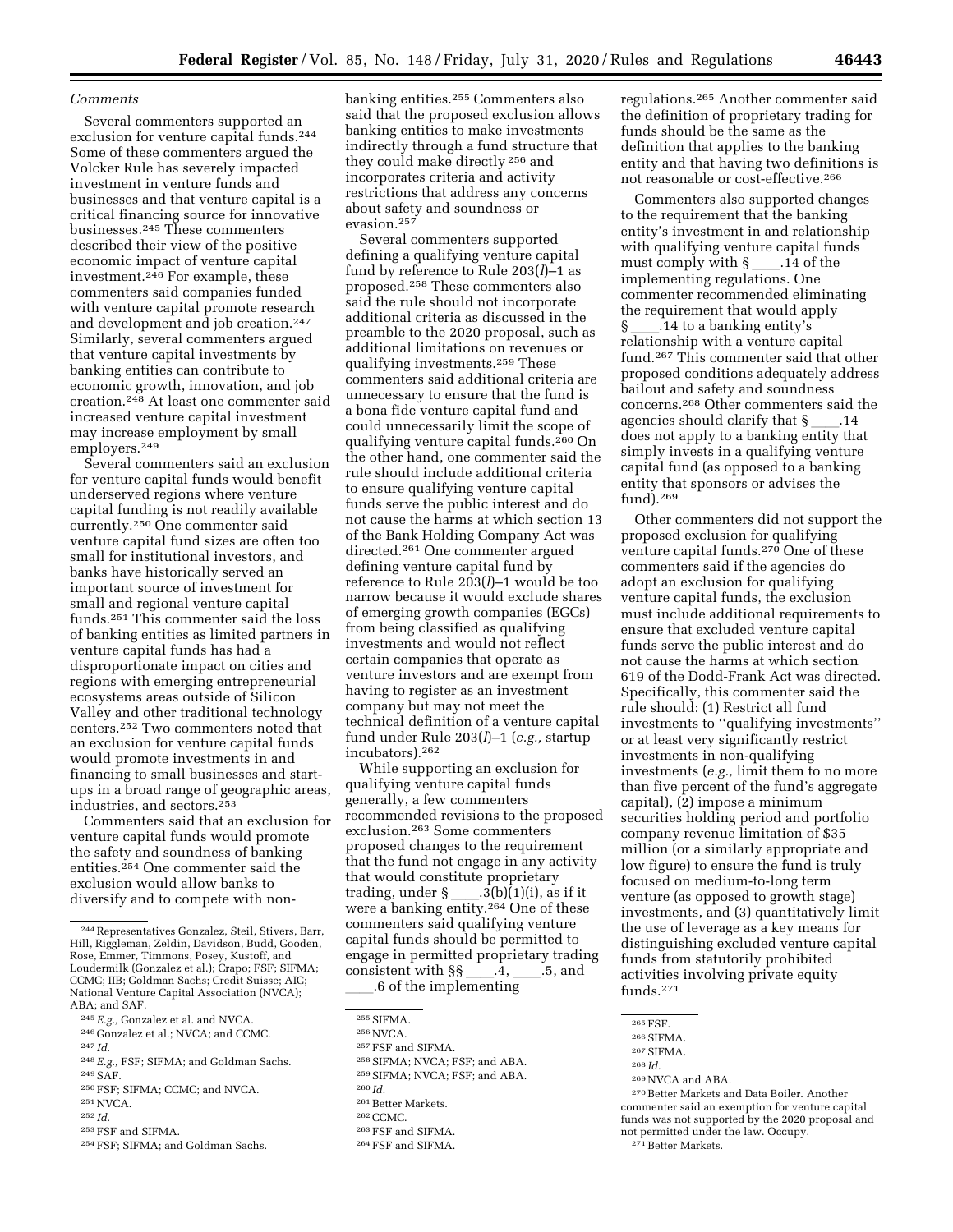## *Comments*

Several commenters supported an exclusion for venture capital funds.244 Some of these commenters argued the Volcker Rule has severely impacted investment in venture funds and businesses and that venture capital is a critical financing source for innovative businesses.245 These commenters described their view of the positive economic impact of venture capital investment.246 For example, these commenters said companies funded with venture capital promote research and development and job creation.247 Similarly, several commenters argued that venture capital investments by banking entities can contribute to economic growth, innovation, and job creation.248 At least one commenter said increased venture capital investment may increase employment by small employers.249

Several commenters said an exclusion for venture capital funds would benefit underserved regions where venture capital funding is not readily available currently.250 One commenter said venture capital fund sizes are often too small for institutional investors, and banks have historically served an important source of investment for small and regional venture capital funds.251 This commenter said the loss of banking entities as limited partners in venture capital funds has had a disproportionate impact on cities and regions with emerging entrepreneurial ecosystems areas outside of Silicon Valley and other traditional technology centers.252 Two commenters noted that an exclusion for venture capital funds would promote investments in and financing to small businesses and startups in a broad range of geographic areas, industries, and sectors.253

Commenters said that an exclusion for venture capital funds would promote the safety and soundness of banking entities.<sup>254</sup> One commenter said the exclusion would allow banks to diversify and to compete with non-

- 248*E.g.,* FSF; SIFMA; and Goldman Sachs. 249SAF.
- 250FSF; SIFMA; CCMC; and NVCA.
- 251NVCA.
- 252 *Id.*
- 253FSF and SIFMA.
- 254FSF; SIFMA; and Goldman Sachs.

banking entities.255 Commenters also said that the proposed exclusion allows banking entities to make investments indirectly through a fund structure that they could make directly 256 and incorporates criteria and activity restrictions that address any concerns about safety and soundness or evasion.257

Several commenters supported defining a qualifying venture capital fund by reference to Rule 203(*l*)–1 as proposed.258 These commenters also said the rule should not incorporate additional criteria as discussed in the preamble to the 2020 proposal, such as additional limitations on revenues or qualifying investments.259 These commenters said additional criteria are unnecessary to ensure that the fund is a bona fide venture capital fund and could unnecessarily limit the scope of qualifying venture capital funds.260 On the other hand, one commenter said the rule should include additional criteria to ensure qualifying venture capital funds serve the public interest and do not cause the harms at which section 13 of the Bank Holding Company Act was directed.261 One commenter argued defining venture capital fund by reference to Rule 203(*l*)–1 would be too narrow because it would exclude shares of emerging growth companies (EGCs) from being classified as qualifying investments and would not reflect certain companies that operate as venture investors and are exempt from having to register as an investment company but may not meet the technical definition of a venture capital fund under Rule 203(*l*)–1 (*e.g.,* startup incubators).262

While supporting an exclusion for qualifying venture capital funds generally, a few commenters recommended revisions to the proposed exclusion.263 Some commenters proposed changes to the requirement that the fund not engage in any activity that would constitute proprietary trading, under § \_\_\_\_.3(b)(1)(i), as if it<br>were a banking entity.<sup>264</sup> One of these commenters said qualifying venture capital funds should be permitted to engage in permitted proprietary trading consistent with  $\S$ <sub>5</sub>  $\ldots$ 4,  $\ldots$ 5, and .6 of the implementing

257FSF and SIFMA.

258SIFMA; NVCA; FSF; and ABA.

259SIFMA; NVCA; FSF; and ABA.

260 *Id.* 

- 263FSF and SIFMA.
- 
- 264FSF and SIFMA.

regulations.265 Another commenter said the definition of proprietary trading for funds should be the same as the definition that applies to the banking entity and that having two definitions is not reasonable or cost-effective.266

Commenters also supported changes to the requirement that the banking entity's investment in and relationship with qualifying venture capital funds must comply with  $\S$ . 14 of the implementing regulations. One commenter recommended eliminating the requirement that would apply § \_\_\_\_.14 to a banking entity's<br>relationship with a venture capital fund.267 This commenter said that other proposed conditions adequately address bailout and safety and soundness concerns.268 Other commenters said the agencies should clarify that § \_\_\_\_.14<br>does not apply to a banking entity that simply invests in a qualifying venture capital fund (as opposed to a banking entity that sponsors or advises the fund).269

Other commenters did not support the proposed exclusion for qualifying venture capital funds.<sup>270</sup> One of these commenters said if the agencies do adopt an exclusion for qualifying venture capital funds, the exclusion must include additional requirements to ensure that excluded venture capital funds serve the public interest and do not cause the harms at which section 619 of the Dodd-Frank Act was directed. Specifically, this commenter said the rule should: (1) Restrict all fund investments to ''qualifying investments'' or at least very significantly restrict investments in non-qualifying investments (*e.g.,* limit them to no more than five percent of the fund's aggregate capital), (2) impose a minimum securities holding period and portfolio company revenue limitation of \$35 million (or a similarly appropriate and low figure) to ensure the fund is truly focused on medium-to-long term venture (as opposed to growth stage) investments, and (3) quantitatively limit the use of leverage as a key means for distinguishing excluded venture capital funds from statutorily prohibited activities involving private equity funds.271

269NVCA and ABA.

270Better Markets and Data Boiler. Another commenter said an exemption for venture capital funds was not supported by the 2020 proposal and not permitted under the law. Occupy.

271Better Markets.

<sup>244</sup>Representatives Gonzalez, Steil, Stivers, Barr, Hill, Riggleman, Zeldin, Davidson, Budd, Gooden, Rose, Emmer, Timmons, Posey, Kustoff, and Loudermilk (Gonzalez et al.); Crapo; FSF; SIFMA; CCMC; IIB; Goldman Sachs; Credit Suisse; AIC; National Venture Capital Association (NVCA); ABA; and SAF.

<sup>245</sup>*E.g.,* Gonzalez et al. and NVCA.

<sup>246</sup> Gonzalez et al.; NVCA; and CCMC. 247 *Id.* 

<sup>255</sup>SIFMA.

<sup>256</sup>NVCA.

<sup>&</sup>lt;sup>261</sup> Better Markets.

<sup>262</sup>CCMC.

<sup>265</sup>FSF.

<sup>266</sup>SIFMA.

<sup>267</sup>SIFMA.

<sup>268</sup> *Id.*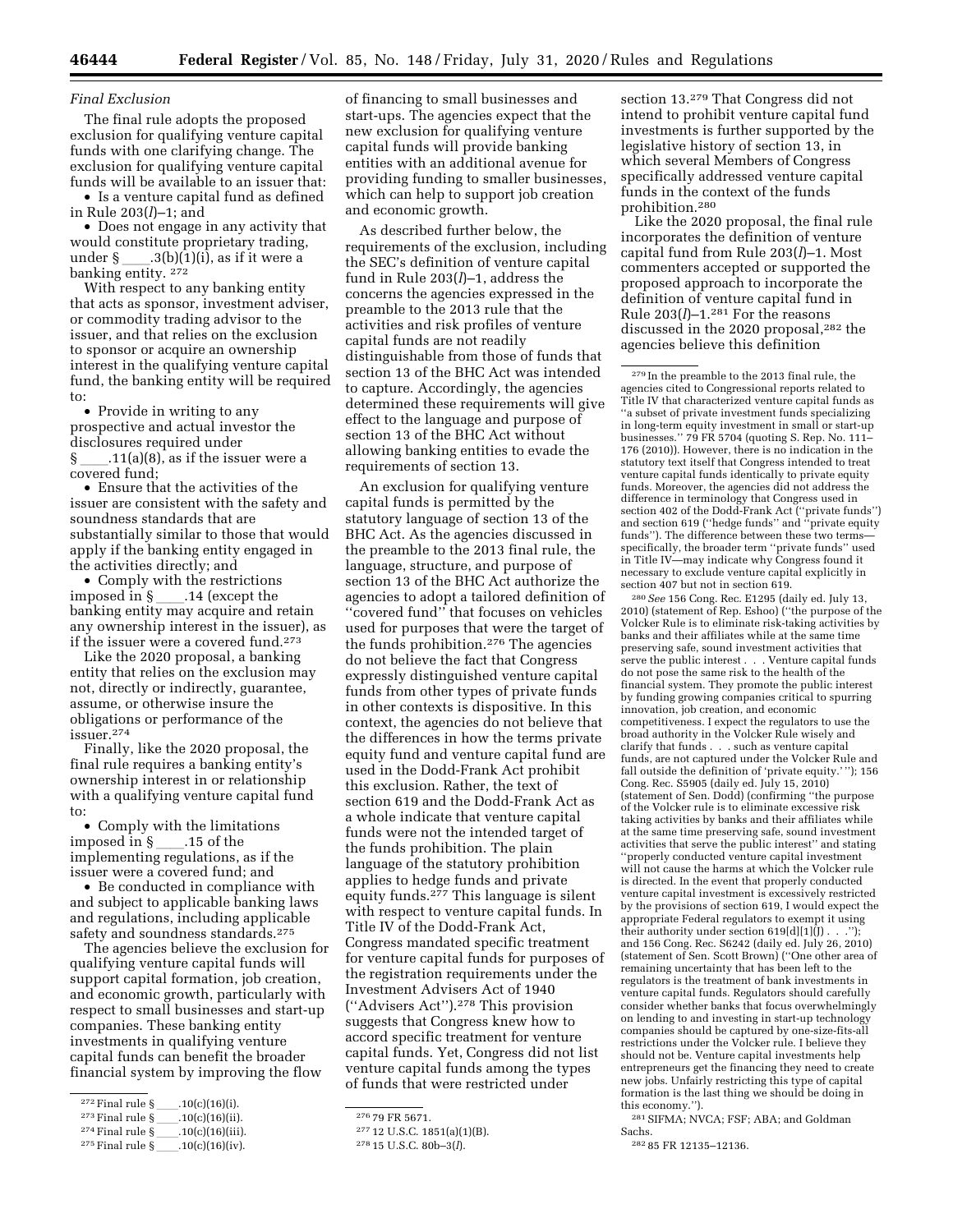## *Final Exclusion*

The final rule adopts the proposed exclusion for qualifying venture capital funds with one clarifying change. The exclusion for qualifying venture capital funds will be available to an issuer that:

• Is a venture capital fund as defined in Rule 203(*l*)–1; and

• Does not engage in any activity that would constitute proprietary trading, under  $\S$  .3(b)(1)(i), as if it were a banking entity. 272

With respect to any banking entity that acts as sponsor, investment adviser, or commodity trading advisor to the issuer, and that relies on the exclusion to sponsor or acquire an ownership interest in the qualifying venture capital fund, the banking entity will be required to:

• Provide in writing to any prospective and actual investor the disclosures required under  $.11(a)(8)$ , as if the issuer were a covered fund;

• Ensure that the activities of the issuer are consistent with the safety and soundness standards that are substantially similar to those that would apply if the banking entity engaged in the activities directly; and

• Comply with the restrictions imposed in § \_\_\_\_.14 (except the<br>banking entity may acquire and retain any ownership interest in the issuer), as if the issuer were a covered fund.273

Like the 2020 proposal, a banking entity that relies on the exclusion may not, directly or indirectly, guarantee, assume, or otherwise insure the obligations or performance of the issuer.274

Finally, like the 2020 proposal, the final rule requires a banking entity's ownership interest in or relationship with a qualifying venture capital fund to:

• Comply with the limitations imposed in  $\S$  .15 of the implementing regulations, as if the issuer were a covered fund; and

• Be conducted in compliance with and subject to applicable banking laws and regulations, including applicable safety and soundness standards.<sup>275</sup>

The agencies believe the exclusion for qualifying venture capital funds will support capital formation, job creation, and economic growth, particularly with respect to small businesses and start-up companies. These banking entity investments in qualifying venture capital funds can benefit the broader financial system by improving the flow

of financing to small businesses and start-ups. The agencies expect that the new exclusion for qualifying venture capital funds will provide banking entities with an additional avenue for providing funding to smaller businesses, which can help to support job creation and economic growth.

As described further below, the requirements of the exclusion, including the SEC's definition of venture capital fund in Rule 203(*l*)–1, address the concerns the agencies expressed in the preamble to the 2013 rule that the activities and risk profiles of venture capital funds are not readily distinguishable from those of funds that section 13 of the BHC Act was intended to capture. Accordingly, the agencies determined these requirements will give effect to the language and purpose of section 13 of the BHC Act without allowing banking entities to evade the requirements of section 13.

An exclusion for qualifying venture capital funds is permitted by the statutory language of section 13 of the BHC Act. As the agencies discussed in the preamble to the 2013 final rule, the language, structure, and purpose of section 13 of the BHC Act authorize the agencies to adopt a tailored definition of ''covered fund'' that focuses on vehicles used for purposes that were the target of the funds prohibition.276 The agencies do not believe the fact that Congress expressly distinguished venture capital funds from other types of private funds in other contexts is dispositive. In this context, the agencies do not believe that the differences in how the terms private equity fund and venture capital fund are used in the Dodd-Frank Act prohibit this exclusion. Rather, the text of section 619 and the Dodd-Frank Act as a whole indicate that venture capital funds were not the intended target of the funds prohibition. The plain language of the statutory prohibition applies to hedge funds and private equity funds.277 This language is silent with respect to venture capital funds. In Title IV of the Dodd-Frank Act, Congress mandated specific treatment for venture capital funds for purposes of the registration requirements under the Investment Advisers Act of 1940 (''Advisers Act'').278 This provision suggests that Congress knew how to accord specific treatment for venture capital funds. Yet, Congress did not list venture capital funds among the types of funds that were restricted under

section 13.279 That Congress did not intend to prohibit venture capital fund investments is further supported by the legislative history of section 13, in which several Members of Congress specifically addressed venture capital funds in the context of the funds prohibition.280

Like the 2020 proposal, the final rule incorporates the definition of venture capital fund from Rule 203(*l*)–1. Most commenters accepted or supported the proposed approach to incorporate the definition of venture capital fund in Rule 203(*l*)–1.281 For the reasons discussed in the 2020 proposal,282 the agencies believe this definition

280*See* 156 Cong. Rec. E1295 (daily ed. July 13, 2010) (statement of Rep. Eshoo) (''the purpose of the Volcker Rule is to eliminate risk-taking activities by banks and their affiliates while at the same time preserving safe, sound investment activities that serve the public interest . . . Venture capital funds do not pose the same risk to the health of the financial system. They promote the public interest by funding growing companies critical to spurring innovation, job creation, and economic competitiveness. I expect the regulators to use the broad authority in the Volcker Rule wisely and clarify that funds . . . such as venture capital funds, are not captured under the Volcker Rule and fall outside the definition of 'private equity.' ''); 156 Cong. Rec. S5905 (daily ed. July 15, 2010) (statement of Sen. Dodd) (confirming ''the purpose of the Volcker rule is to eliminate excessive risk taking activities by banks and their affiliates while at the same time preserving safe, sound investment activities that serve the public interest'' and stating ''properly conducted venture capital investment will not cause the harms at which the Volcker rule is directed. In the event that properly conducted venture capital investment is excessively restricted by the provisions of section 619, I would expect the appropriate Federal regulators to exempt it using their authority under section  $619[d][1](\bar{j})$ . . .'') and 156 Cong. Rec. S6242 (daily ed. July 26, 2010) (statement of Sen. Scott Brown) (''One other area of remaining uncertainty that has been left to the regulators is the treatment of bank investments in venture capital funds. Regulators should carefully consider whether banks that focus overwhelmingly on lending to and investing in start-up technology companies should be captured by one-size-fits-all restrictions under the Volcker rule. I believe they should not be. Venture capital investments help entrepreneurs get the financing they need to create new jobs. Unfairly restricting this type of capital formation is the last thing we should be doing in this economy.'').

281SIFMA; NVCA; FSF; ABA; and Goldman Sachs.

<sup>272</sup> Final rule § \_\_\_\_\_. 10(c)(16)(i).<br>273 Final rule § \_\_\_\_\_. 10(c)(16)(ii).

<sup>&</sup>lt;sup>273</sup> Final rule §\_\_\_\_\_.10(c)(16)(ii).<br><sup>274</sup> Final rule §\_\_\_\_.10(c)(16)(iii).

<sup>274</sup> Final rule  $\sum_{275 \text{Final} \text{ rule } 8} 10(c)(16)(iii).$ 

<sup>&</sup>lt;sup>275</sup> Final rule  $\S$  \_\_\_\_\_\_.10(c)(16)(iv).

<sup>276</sup> 79 FR 5671.

<sup>277</sup> 12 U.S.C. 1851(a)(1)(B).

<sup>278</sup> 15 U.S.C. 80b–3(*l*).

<sup>279</sup> In the preamble to the 2013 final rule, the agencies cited to Congressional reports related to Title IV that characterized venture capital funds as ''a subset of private investment funds specializing in long-term equity investment in small or start-up businesses.'' 79 FR 5704 (quoting S. Rep. No. 111– 176 (2010)). However, there is no indication in the statutory text itself that Congress intended to treat venture capital funds identically to private equity funds. Moreover, the agencies did not address the difference in terminology that Congress used in section 402 of the Dodd-Frank Act (''private funds'') and section 619 (''hedge funds'' and ''private equity funds"). The difference between these two termsspecifically, the broader term ''private funds'' used in Title IV—may indicate why Congress found it necessary to exclude venture capital explicitly in section 407 but not in section 619.

<sup>282</sup> 85 FR 12135–12136.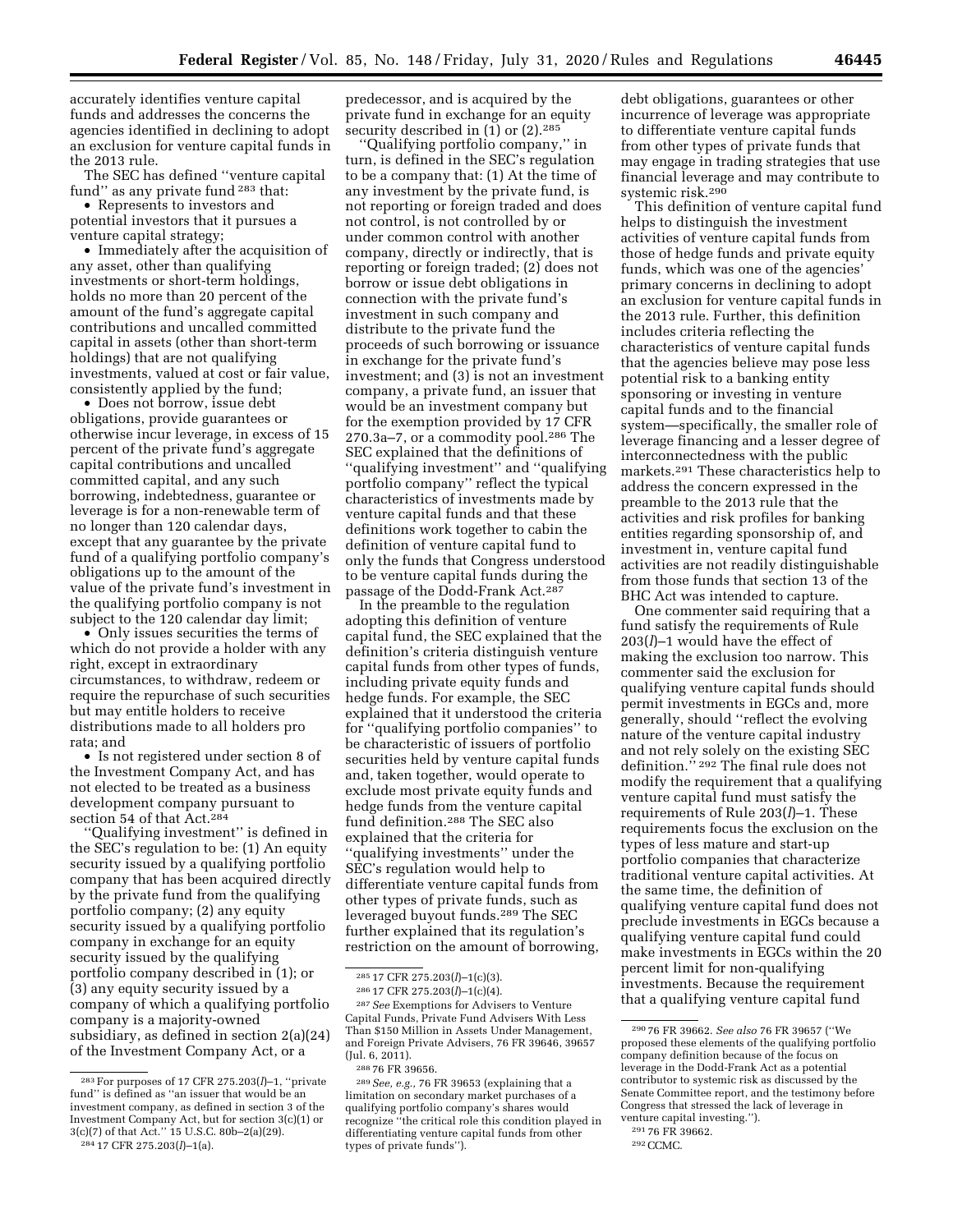accurately identifies venture capital funds and addresses the concerns the agencies identified in declining to adopt an exclusion for venture capital funds in the 2013 rule.

The SEC has defined ''venture capital fund'' as any private fund 283 that:

• Represents to investors and potential investors that it pursues a venture capital strategy;

• Immediately after the acquisition of any asset, other than qualifying investments or short-term holdings, holds no more than 20 percent of the amount of the fund's aggregate capital contributions and uncalled committed capital in assets (other than short-term holdings) that are not qualifying investments, valued at cost or fair value, consistently applied by the fund;

• Does not borrow, issue debt obligations, provide guarantees or otherwise incur leverage, in excess of 15 percent of the private fund's aggregate capital contributions and uncalled committed capital, and any such borrowing, indebtedness, guarantee or leverage is for a non-renewable term of no longer than 120 calendar days, except that any guarantee by the private fund of a qualifying portfolio company's obligations up to the amount of the value of the private fund's investment in the qualifying portfolio company is not subject to the 120 calendar day limit;

• Only issues securities the terms of which do not provide a holder with any right, except in extraordinary circumstances, to withdraw, redeem or require the repurchase of such securities but may entitle holders to receive distributions made to all holders pro rata; and

• Is not registered under section 8 of the Investment Company Act, and has not elected to be treated as a business development company pursuant to section 54 of that Act.284

'Qualifying investment'' is defined in the SEC's regulation to be: (1) An equity security issued by a qualifying portfolio company that has been acquired directly by the private fund from the qualifying portfolio company; (2) any equity security issued by a qualifying portfolio company in exchange for an equity security issued by the qualifying portfolio company described in (1); or (3) any equity security issued by a company of which a qualifying portfolio company is a majority-owned subsidiary, as defined in section 2(a)(24) of the Investment Company Act, or a

predecessor, and is acquired by the private fund in exchange for an equity security described in (1) or (2).<sup>285</sup>

''Qualifying portfolio company,'' in turn, is defined in the SEC's regulation to be a company that: (1) At the time of any investment by the private fund, is not reporting or foreign traded and does not control, is not controlled by or under common control with another company, directly or indirectly, that is reporting or foreign traded; (2) does not borrow or issue debt obligations in connection with the private fund's investment in such company and distribute to the private fund the proceeds of such borrowing or issuance in exchange for the private fund's investment; and (3) is not an investment company, a private fund, an issuer that would be an investment company but for the exemption provided by 17 CFR 270.3a–7, or a commodity pool.<sup>286</sup> The SEC explained that the definitions of ''qualifying investment'' and ''qualifying portfolio company'' reflect the typical characteristics of investments made by venture capital funds and that these definitions work together to cabin the definition of venture capital fund to only the funds that Congress understood to be venture capital funds during the passage of the Dodd-Frank Act.287

In the preamble to the regulation adopting this definition of venture capital fund, the SEC explained that the definition's criteria distinguish venture capital funds from other types of funds, including private equity funds and hedge funds. For example, the SEC explained that it understood the criteria for ''qualifying portfolio companies'' to be characteristic of issuers of portfolio securities held by venture capital funds and, taken together, would operate to exclude most private equity funds and hedge funds from the venture capital fund definition.288 The SEC also explained that the criteria for ''qualifying investments'' under the SEC's regulation would help to differentiate venture capital funds from other types of private funds, such as leveraged buyout funds.289 The SEC further explained that its regulation's restriction on the amount of borrowing,

debt obligations, guarantees or other incurrence of leverage was appropriate to differentiate venture capital funds from other types of private funds that may engage in trading strategies that use financial leverage and may contribute to systemic risk.<sup>290</sup>

This definition of venture capital fund helps to distinguish the investment activities of venture capital funds from those of hedge funds and private equity funds, which was one of the agencies' primary concerns in declining to adopt an exclusion for venture capital funds in the 2013 rule. Further, this definition includes criteria reflecting the characteristics of venture capital funds that the agencies believe may pose less potential risk to a banking entity sponsoring or investing in venture capital funds and to the financial system—specifically, the smaller role of leverage financing and a lesser degree of interconnectedness with the public markets.291 These characteristics help to address the concern expressed in the preamble to the 2013 rule that the activities and risk profiles for banking entities regarding sponsorship of, and investment in, venture capital fund activities are not readily distinguishable from those funds that section 13 of the BHC Act was intended to capture.

One commenter said requiring that a fund satisfy the requirements of Rule 203(*l*)–1 would have the effect of making the exclusion too narrow. This commenter said the exclusion for qualifying venture capital funds should permit investments in EGCs and, more generally, should ''reflect the evolving nature of the venture capital industry and not rely solely on the existing SEC definition.'' 292 The final rule does not modify the requirement that a qualifying venture capital fund must satisfy the requirements of Rule 203(*l*)–1. These requirements focus the exclusion on the types of less mature and start-up portfolio companies that characterize traditional venture capital activities. At the same time, the definition of qualifying venture capital fund does not preclude investments in EGCs because a qualifying venture capital fund could make investments in EGCs within the 20 percent limit for non-qualifying investments. Because the requirement that a qualifying venture capital fund

<sup>283</sup>For purposes of 17 CFR 275.203(*l*)–1, ''private fund'' is defined as ''an issuer that would be an investment company, as defined in section 3 of the Investment Company Act, but for section 3(c)(1) or 3(c)(7) of that Act.'' 15 U.S.C. 80b–2(a)(29). 284 17 CFR 275.203(*l*)–1(a).

<sup>285</sup> 17 CFR 275.203(*l*)–1(c)(3).

<sup>286</sup> 17 CFR 275.203(*l*)–1(c)(4).

<sup>287</sup>*See* Exemptions for Advisers to Venture Capital Funds, Private Fund Advisers With Less Than \$150 Million in Assets Under Management, and Foreign Private Advisers, 76 FR 39646, 39657 (Jul. 6, 2011).

<sup>288</sup> 76 FR 39656.

<sup>289</sup>*See, e.g.,* 76 FR 39653 (explaining that a limitation on secondary market purchases of a qualifying portfolio company's shares would recognize ''the critical role this condition played in differentiating venture capital funds from other types of private funds'').

<sup>290</sup> 76 FR 39662. *See also* 76 FR 39657 (''We proposed these elements of the qualifying portfolio company definition because of the focus on leverage in the Dodd-Frank Act as a potential contributor to systemic risk as discussed by the Senate Committee report, and the testimony before Congress that stressed the lack of leverage in venture capital investing.'').

<sup>291</sup> 76 FR 39662.

<sup>292</sup>CCMC.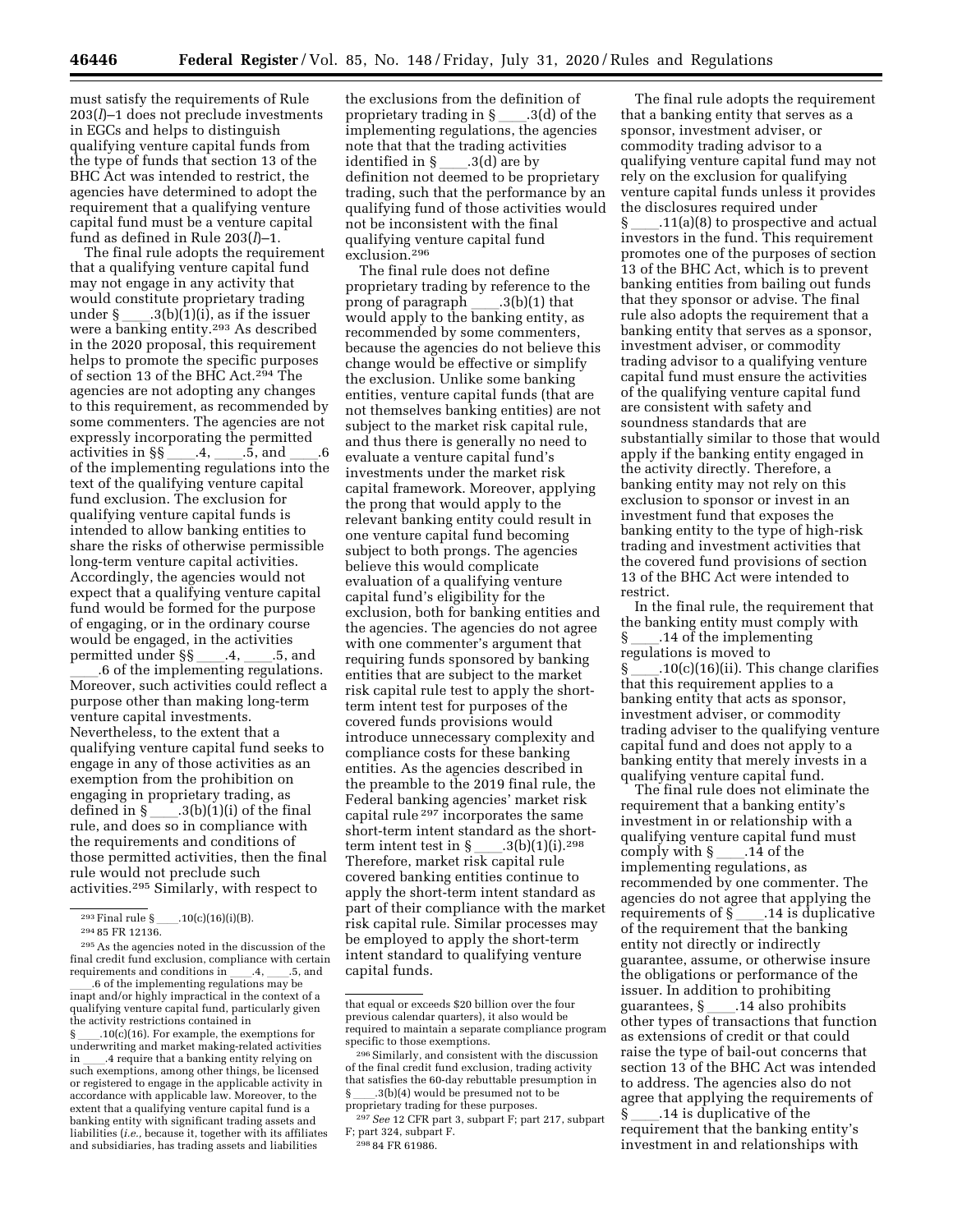must satisfy the requirements of Rule 203(*l*)–1 does not preclude investments in EGCs and helps to distinguish qualifying venture capital funds from the type of funds that section 13 of the BHC Act was intended to restrict, the agencies have determined to adopt the requirement that a qualifying venture capital fund must be a venture capital fund as defined in Rule 203(*l*)–1.

The final rule adopts the requirement that a qualifying venture capital fund may not engage in any activity that would constitute proprietary trading<br>under  $\S$  .3(b)(1)(i), as if the issuer under § \_\_\_\_.3(b)(1)(i), as if the issuer<br>were a banking entity.<sup>293</sup> As described in the 2020 proposal, this requirement helps to promote the specific purposes of section 13 of the BHC Act.294 The agencies are not adopting any changes to this requirement, as recommended by some commenters. The agencies are not expressly incorporating the permitted activities in §§\_\_\_\_.4, \_\_\_\_.5, and \_\_\_\_.6<br>of the implementing regulations into the text of the qualifying venture capital fund exclusion. The exclusion for qualifying venture capital funds is intended to allow banking entities to share the risks of otherwise permissible long-term venture capital activities. Accordingly, the agencies would not expect that a qualifying venture capital fund would be formed for the purpose of engaging, or in the ordinary course would be engaged, in the activities permitted under  $\S \$ <sub>1, 1</sub>.5, and<br>6 of the implementing regulations

6 of the implementing regulations.<br>Moreover, such activities could reflect a Moreover, such activities could reflect a purpose other than making long-term venture capital investments. Nevertheless, to the extent that a qualifying venture capital fund seeks to engage in any of those activities as an exemption from the prohibition on engaging in proprietary trading, as defined in § \_\_\_\_.3(b)(1)(i) of the final<br>rule, and does so in compliance with the requirements and conditions of those permitted activities, then the final rule would not preclude such activities.295 Similarly, with respect to

the exclusions from the definition of proprietary trading in §\_\_\_\_.3(d) of the<br>implementing regulations, the agencies note that that the trading activities identified in §\_\_\_.3(d) are by<br>definition not deemed to be proprietary trading, such that the performance by an qualifying fund of those activities would not be inconsistent with the final qualifying venture capital fund exclusion.296

The final rule does not define proprietary trading by reference to the prong of paragraph \_\_\_\_.3(b)(1) that<br>would apply to the banking entity, as recommended by some commenters, because the agencies do not believe this change would be effective or simplify the exclusion. Unlike some banking entities, venture capital funds (that are not themselves banking entities) are not subject to the market risk capital rule, and thus there is generally no need to evaluate a venture capital fund's investments under the market risk capital framework. Moreover, applying the prong that would apply to the relevant banking entity could result in one venture capital fund becoming subject to both prongs. The agencies believe this would complicate evaluation of a qualifying venture capital fund's eligibility for the exclusion, both for banking entities and the agencies. The agencies do not agree with one commenter's argument that requiring funds sponsored by banking entities that are subject to the market risk capital rule test to apply the shortterm intent test for purposes of the covered funds provisions would introduce unnecessary complexity and compliance costs for these banking entities. As the agencies described in the preamble to the 2019 final rule, the Federal banking agencies' market risk capital rule 297 incorporates the same short-term intent standard as the short-<br>term intent test in  $\S$  .3(b)(1)(i).<sup>298</sup> term intent test in §\_\_\_.3(b)(1)(i).<sup>298</sup><br>Therefore, market risk capital rule covered banking entities continue to apply the short-term intent standard as part of their compliance with the market risk capital rule. Similar processes may be employed to apply the short-term intent standard to qualifying venture capital funds.

298 84 FR 61986.

The final rule adopts the requirement that a banking entity that serves as a sponsor, investment adviser, or commodity trading advisor to a qualifying venture capital fund may not rely on the exclusion for qualifying venture capital funds unless it provides the disclosures required under  $\S$  \_\_\_\_\_.11(a)(8) to prospective and actual investors in the fund. This requirement promotes one of the purposes of section 13 of the BHC Act, which is to prevent banking entities from bailing out funds that they sponsor or advise. The final rule also adopts the requirement that a banking entity that serves as a sponsor, investment adviser, or commodity trading advisor to a qualifying venture capital fund must ensure the activities of the qualifying venture capital fund are consistent with safety and soundness standards that are substantially similar to those that would apply if the banking entity engaged in the activity directly. Therefore, a banking entity may not rely on this exclusion to sponsor or invest in an investment fund that exposes the banking entity to the type of high-risk trading and investment activities that the covered fund provisions of section 13 of the BHC Act were intended to restrict.

In the final rule, the requirement that the banking entity must comply with § .14 of the implementing regulations is moved to § ll.10(c)(16)(ii). This change clarifies that this requirement applies to a banking entity that acts as sponsor, investment adviser, or commodity trading adviser to the qualifying venture capital fund and does not apply to a banking entity that merely invests in a

qualifying venture capital fund. The final rule does not eliminate the requirement that a banking entity's investment in or relationship with a qualifying venture capital fund must comply with § \_\_\_\_.14 of the<br>implementing regulations, as recommended by one commenter. The agencies do not agree that applying the requirements of § \_\_\_\_.14 is duplicative<br>of the requirement that the banking entity not directly or indirectly guarantee, assume, or otherwise insure the obligations or performance of the issuer. In addition to prohibiting guarantees, § \_\_\_\_.14 also prohibits<br>other types of transactions that function as extensions of credit or that could raise the type of bail-out concerns that section 13 of the BHC Act was intended to address. The agencies also do not agree that applying the requirements of § 14 is duplicative of the requirement that the banking entity's investment in and relationships with

<sup>&</sup>lt;sup>293</sup> Final rule §\_\_\_\_.10(c)(16)(i)(B).

<sup>294</sup> 85 FR 12136.

<sup>295</sup>As the agencies noted in the discussion of the final credit fund exclusion, compliance with certain requirements and conditions in  $\dots$ 4,  $\dots$ 5, and requirements and conditions in  $\frac{4}{\text{}}$ ,  $\frac{1}{\text{}}$ ,  $\frac{1}{\text{}}$ , and 6 of the implementing regulations may be

 $\frac{1}{\ln 2}$ .6 of the implementing regulations may be<br>inant and/or highly impractical in the context o inapt and/or highly impractical in the context of a qualifying venture capital fund, particularly given the activity restrictions contained in §ll.10(c)(16). For example, the exemptions for underwriting and market making-related activities in \_\_\_\_\_.4 require that a banking entity relying on such exemptions, among other things, be licensed or registered to engage in the applicable activity in accordance with applicable law. Moreover, to the extent that a qualifying venture capital fund is a banking entity with significant trading assets and liabilities (*i.e.,* because it, together with its affiliates and subsidiaries, has trading assets and liabilities

that equal or exceeds \$20 billion over the four previous calendar quarters), it also would be required to maintain a separate compliance program specific to those exemptions.

<sup>296</sup>Similarly, and consistent with the discussion of the final credit fund exclusion, trading activity that satisfies the 60-day rebuttable presumption in  $\S$  3(b)(4) would be presumed not to be § \_\_\_\_.3(b)(4) would be presumed not to be proprietary trading for these purposes.

<sup>297</sup>*See* 12 CFR part 3, subpart F; part 217, subpart F; part 324, subpart F.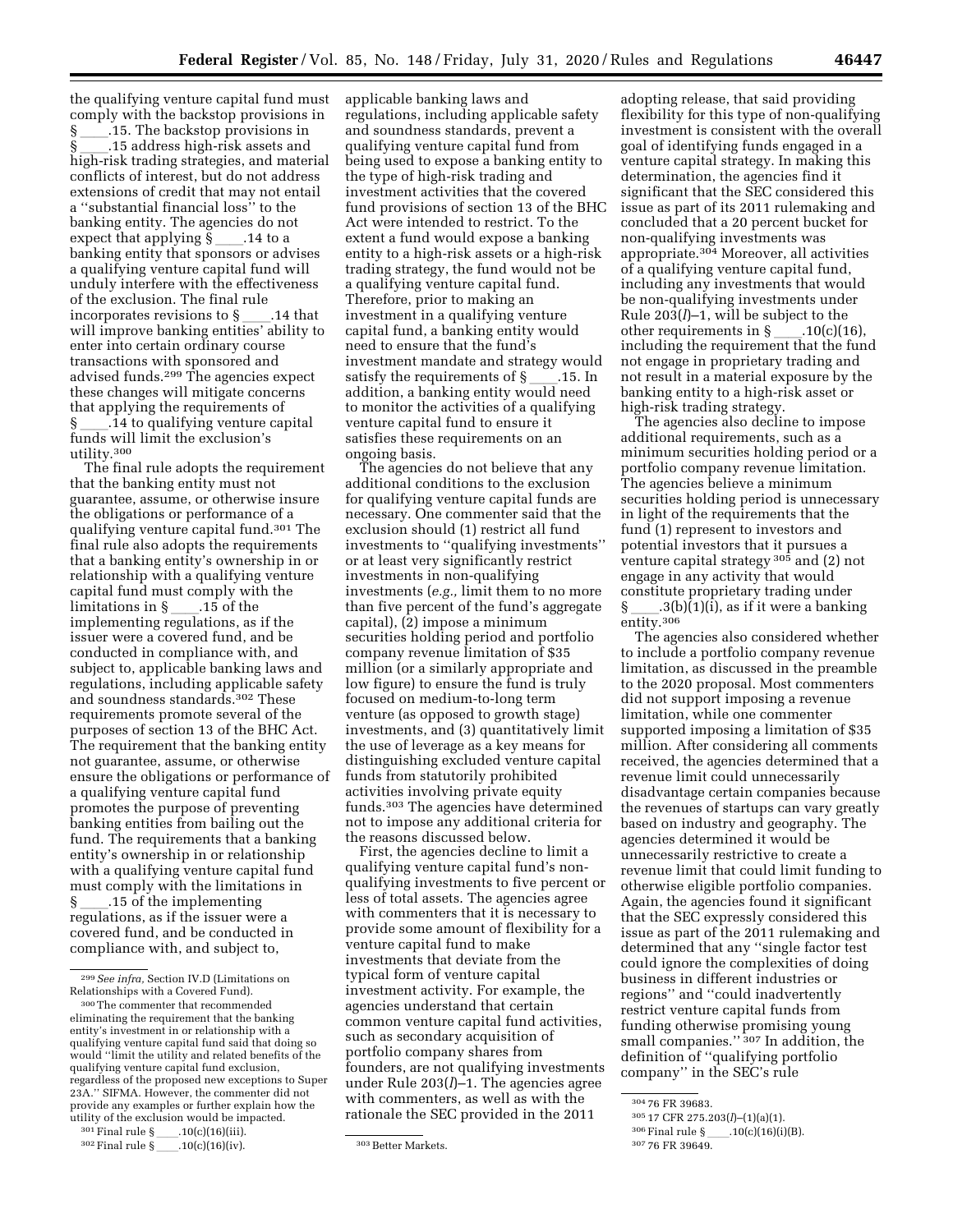the qualifying venture capital fund must comply with the backstop provisions in § ll.15. The backstop provisions in § \_\_\_\_.15 address high-risk assets and<br>high-risk trading strategies, and material conflicts of interest, but do not address extensions of credit that may not entail a ''substantial financial loss'' to the banking entity. The agencies do not expect that applying  $\S$  \_\_\_\_\_. 14 to a banking entity that sponsors or advises a qualifying venture capital fund will unduly interfere with the effectiveness of the exclusion. The final rule incorporates revisions to § \_\_\_\_.14 that<br>will improve banking entities' ability to enter into certain ordinary course transactions with sponsored and advised funds.299 The agencies expect these changes will mitigate concerns that applying the requirements of § ll.14 to qualifying venture capital funds will limit the exclusion's utility.300

The final rule adopts the requirement that the banking entity must not guarantee, assume, or otherwise insure the obligations or performance of a qualifying venture capital fund.301 The final rule also adopts the requirements that a banking entity's ownership in or relationship with a qualifying venture capital fund must comply with the limitations in § \_\_\_\_.15 of the<br>implementing regulations, as if the issuer were a covered fund, and be conducted in compliance with, and subject to, applicable banking laws and regulations, including applicable safety and soundness standards.<sup>302</sup> These requirements promote several of the purposes of section 13 of the BHC Act. The requirement that the banking entity not guarantee, assume, or otherwise ensure the obligations or performance of a qualifying venture capital fund promotes the purpose of preventing banking entities from bailing out the fund. The requirements that a banking entity's ownership in or relationship with a qualifying venture capital fund must comply with the limitations in § ll.15 of the implementing regulations, as if the issuer were a covered fund, and be conducted in compliance with, and subject to,

applicable banking laws and regulations, including applicable safety and soundness standards, prevent a qualifying venture capital fund from being used to expose a banking entity to the type of high-risk trading and investment activities that the covered fund provisions of section 13 of the BHC Act were intended to restrict. To the extent a fund would expose a banking entity to a high-risk assets or a high-risk trading strategy, the fund would not be a qualifying venture capital fund. Therefore, prior to making an investment in a qualifying venture capital fund, a banking entity would need to ensure that the fund's investment mandate and strategy would satisfy the requirements of  $\S$ . 15. In addition, a banking entity would need to monitor the activities of a qualifying venture capital fund to ensure it satisfies these requirements on an ongoing basis.

The agencies do not believe that any additional conditions to the exclusion for qualifying venture capital funds are necessary. One commenter said that the exclusion should (1) restrict all fund investments to ''qualifying investments'' or at least very significantly restrict investments in non-qualifying investments (*e.g.,* limit them to no more than five percent of the fund's aggregate capital), (2) impose a minimum securities holding period and portfolio company revenue limitation of \$35 million (or a similarly appropriate and low figure) to ensure the fund is truly focused on medium-to-long term venture (as opposed to growth stage) investments, and (3) quantitatively limit the use of leverage as a key means for distinguishing excluded venture capital funds from statutorily prohibited activities involving private equity funds.303 The agencies have determined not to impose any additional criteria for the reasons discussed below.

First, the agencies decline to limit a qualifying venture capital fund's nonqualifying investments to five percent or less of total assets. The agencies agree with commenters that it is necessary to provide some amount of flexibility for a venture capital fund to make investments that deviate from the typical form of venture capital investment activity. For example, the agencies understand that certain common venture capital fund activities, such as secondary acquisition of portfolio company shares from founders, are not qualifying investments under Rule 203(*l*)–1. The agencies agree with commenters, as well as with the rationale the SEC provided in the 2011

adopting release, that said providing flexibility for this type of non-qualifying investment is consistent with the overall goal of identifying funds engaged in a venture capital strategy. In making this determination, the agencies find it significant that the SEC considered this issue as part of its 2011 rulemaking and concluded that a 20 percent bucket for non-qualifying investments was appropriate.304 Moreover, all activities of a qualifying venture capital fund, including any investments that would be non-qualifying investments under Rule 203(*l*)–1, will be subject to the other requirements in §\_\_\_\_.10(c)(16),<br>including the requirement that the fund not engage in proprietary trading and not result in a material exposure by the banking entity to a high-risk asset or high-risk trading strategy.

The agencies also decline to impose additional requirements, such as a minimum securities holding period or a portfolio company revenue limitation. The agencies believe a minimum securities holding period is unnecessary in light of the requirements that the fund (1) represent to investors and potential investors that it pursues a venture capital strategy 305 and (2) not engage in any activity that would constitute proprietary trading under  $\S$  .3(b)(1)(i), as if it were a banking entity.306

The agencies also considered whether to include a portfolio company revenue limitation, as discussed in the preamble to the 2020 proposal. Most commenters did not support imposing a revenue limitation, while one commenter supported imposing a limitation of \$35 million. After considering all comments received, the agencies determined that a revenue limit could unnecessarily disadvantage certain companies because the revenues of startups can vary greatly based on industry and geography. The agencies determined it would be unnecessarily restrictive to create a revenue limit that could limit funding to otherwise eligible portfolio companies. Again, the agencies found it significant that the SEC expressly considered this issue as part of the 2011 rulemaking and determined that any ''single factor test could ignore the complexities of doing business in different industries or regions'' and ''could inadvertently restrict venture capital funds from funding otherwise promising young small companies."<sup>307</sup> In addition, the definition of ''qualifying portfolio company'' in the SEC's rule

<sup>299</sup>*See infra,* Section IV.D (Limitations on Relationships with a Covered Fund).

<sup>300</sup>The commenter that recommended eliminating the requirement that the banking entity's investment in or relationship with a qualifying venture capital fund said that doing so would ''limit the utility and related benefits of the qualifying venture capital fund exclusion, regardless of the proposed new exceptions to Super 23A.'' SIFMA. However, the commenter did not provide any examples or further explain how the utility of the exclusion would be impacted.

 $301$  Final rule § \_\_\_\_\_.  $10(c)(16)(iii)$ .

 $302$  Final rule § \_\_\_\_\_.  $10(c)(16)(iv)$ .  $303$  Better Markets.

<sup>304</sup> 76 FR 39683.

<sup>305</sup> 17 CFR 275.203(*l*)–(1)(a)(1).

<sup>306</sup> Final rule § \_\_\_\_\_.10(c)(16)(i)(B).

<sup>307</sup> 76 FR 39649.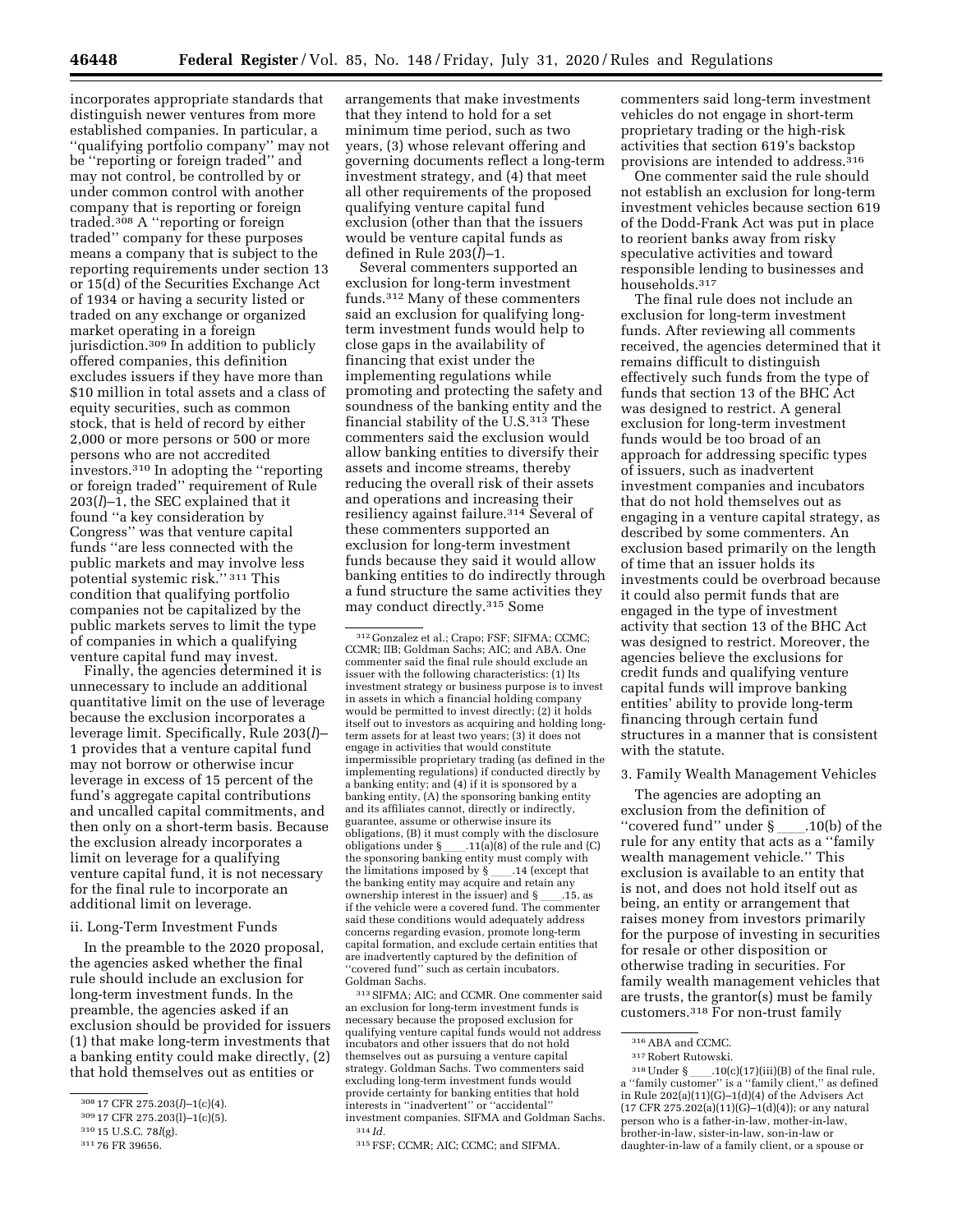incorporates appropriate standards that distinguish newer ventures from more established companies. In particular, a ''qualifying portfolio company'' may not be ''reporting or foreign traded'' and may not control, be controlled by or under common control with another company that is reporting or foreign traded.308 A ''reporting or foreign traded'' company for these purposes means a company that is subject to the reporting requirements under section 13 or 15(d) of the Securities Exchange Act of 1934 or having a security listed or traded on any exchange or organized market operating in a foreign jurisdiction.<sup>309</sup> In addition to publicly offered companies, this definition excludes issuers if they have more than \$10 million in total assets and a class of equity securities, such as common stock, that is held of record by either 2,000 or more persons or 500 or more persons who are not accredited investors.310 In adopting the ''reporting or foreign traded'' requirement of Rule 203(*l*)–1, the SEC explained that it found ''a key consideration by Congress'' was that venture capital funds ''are less connected with the public markets and may involve less potential systemic risk.'' 311 This condition that qualifying portfolio companies not be capitalized by the public markets serves to limit the type of companies in which a qualifying venture capital fund may invest.

Finally, the agencies determined it is unnecessary to include an additional quantitative limit on the use of leverage because the exclusion incorporates a leverage limit. Specifically, Rule 203(*l*)– 1 provides that a venture capital fund may not borrow or otherwise incur leverage in excess of 15 percent of the fund's aggregate capital contributions and uncalled capital commitments, and then only on a short-term basis. Because the exclusion already incorporates a limit on leverage for a qualifying venture capital fund, it is not necessary for the final rule to incorporate an additional limit on leverage.

# ii. Long-Term Investment Funds

In the preamble to the 2020 proposal, the agencies asked whether the final rule should include an exclusion for long-term investment funds. In the preamble, the agencies asked if an exclusion should be provided for issuers (1) that make long-term investments that a banking entity could make directly, (2) that hold themselves out as entities or

arrangements that make investments that they intend to hold for a set minimum time period, such as two years, (3) whose relevant offering and governing documents reflect a long-term investment strategy, and (4) that meet all other requirements of the proposed qualifying venture capital fund exclusion (other than that the issuers would be venture capital funds as defined in Rule 203(*l*)–1.

Several commenters supported an exclusion for long-term investment funds.312 Many of these commenters said an exclusion for qualifying longterm investment funds would help to close gaps in the availability of financing that exist under the implementing regulations while promoting and protecting the safety and soundness of the banking entity and the financial stability of the U.S.313 These commenters said the exclusion would allow banking entities to diversify their assets and income streams, thereby reducing the overall risk of their assets and operations and increasing their resiliency against failure.314 Several of these commenters supported an exclusion for long-term investment funds because they said it would allow banking entities to do indirectly through a fund structure the same activities they may conduct directly.315 Some

312 Gonzalez et al.; Crapo; FSF; SIFMA; CCMC; CCMR; IIB; Goldman Sachs; AIC; and ABA. One commenter said the final rule should exclude an issuer with the following characteristics: (1) Its investment strategy or business purpose is to invest in assets in which a financial holding company would be permitted to invest directly; (2) it holds itself out to investors as acquiring and holding longterm assets for at least two years; (3) it does not engage in activities that would constitute impermissible proprietary trading (as defined in the implementing regulations) if conducted directly by a banking entity; and (4) if it is sponsored by a banking entity, (A) the sponsoring banking entity and its affiliates cannot, directly or indirectly, guarantee, assume or otherwise insure its obligations, (B) it must comply with the disclosure obligations under §  $.11(a)(8)$  of the rule and (C) the sponsoring banking entity must comply with<br>the limitations imposed by  $\S$  .14 (except that the limitations imposed by §\_\_\_\_.14 (except that<br>the banking entity may acquire and retain any ownership interest in the issuer) and §\_\_\_\_.15, as<br>if the vehicle were a covered fund. The commenter said these conditions would adequately address concerns regarding evasion, promote long-term capital formation, and exclude certain entities that are inadvertently captured by the definition of ''covered fund'' such as certain incubators. Goldman Sachs.

313SIFMA; AIC; and CCMR. One commenter said an exclusion for long-term investment funds is necessary because the proposed exclusion for qualifying venture capital funds would not address incubators and other issuers that do not hold themselves out as pursuing a venture capital strategy. Goldman Sachs. Two commenters said excluding long-term investment funds would provide certainty for banking entities that hold interests in ''inadvertent'' or ''accidental'' investment companies. SIFMA and Goldman Sachs. 314 *Id.* 

315FSF; CCMR; AIC; CCMC; and SIFMA.

commenters said long-term investment vehicles do not engage in short-term proprietary trading or the high-risk activities that section 619's backstop provisions are intended to address.<sup>316</sup>

One commenter said the rule should not establish an exclusion for long-term investment vehicles because section 619 of the Dodd-Frank Act was put in place to reorient banks away from risky speculative activities and toward responsible lending to businesses and households.317

The final rule does not include an exclusion for long-term investment funds. After reviewing all comments received, the agencies determined that it remains difficult to distinguish effectively such funds from the type of funds that section 13 of the BHC Act was designed to restrict. A general exclusion for long-term investment funds would be too broad of an approach for addressing specific types of issuers, such as inadvertent investment companies and incubators that do not hold themselves out as engaging in a venture capital strategy, as described by some commenters. An exclusion based primarily on the length of time that an issuer holds its investments could be overbroad because it could also permit funds that are engaged in the type of investment activity that section 13 of the BHC Act was designed to restrict. Moreover, the agencies believe the exclusions for credit funds and qualifying venture capital funds will improve banking entities' ability to provide long-term financing through certain fund structures in a manner that is consistent with the statute.

#### 3. Family Wealth Management Vehicles

The agencies are adopting an exclusion from the definition of<br>"covered fund" under § .10 ''covered fund'' under §ll.10(b) of the rule for any entity that acts as a ''family wealth management vehicle.'' This exclusion is available to an entity that is not, and does not hold itself out as being, an entity or arrangement that raises money from investors primarily for the purpose of investing in securities for resale or other disposition or otherwise trading in securities. For family wealth management vehicles that are trusts, the grantor(s) must be family customers.318 For non-trust family

<sup>308</sup> 17 CFR 275.203(*l*)–1(c)(4).

<sup>309</sup> 17 CFR 275.203(l)–1(c)(5).

<sup>310</sup> 15 U.S.C. 78*l*(g).

<sup>311</sup> 76 FR 39656.

<sup>316</sup>ABA and CCMC.

<sup>317</sup>Robert Rutowski.

 $318$  Under § \_\_\_\_.  $10(c)(17)(iii)(B)$  of the final rule, a ''family customer'' is a ''family client,'' as defined in Rule 202(a)(11)(G)–1(d)(4) of the Advisers Act (17 CFR 275.202(a)(11)(G)–1(d)(4)); or any natural person who is a father-in-law, mother-in-law, brother-in-law, sister-in-law, son-in-law or daughter-in-law of a family client, or a spouse or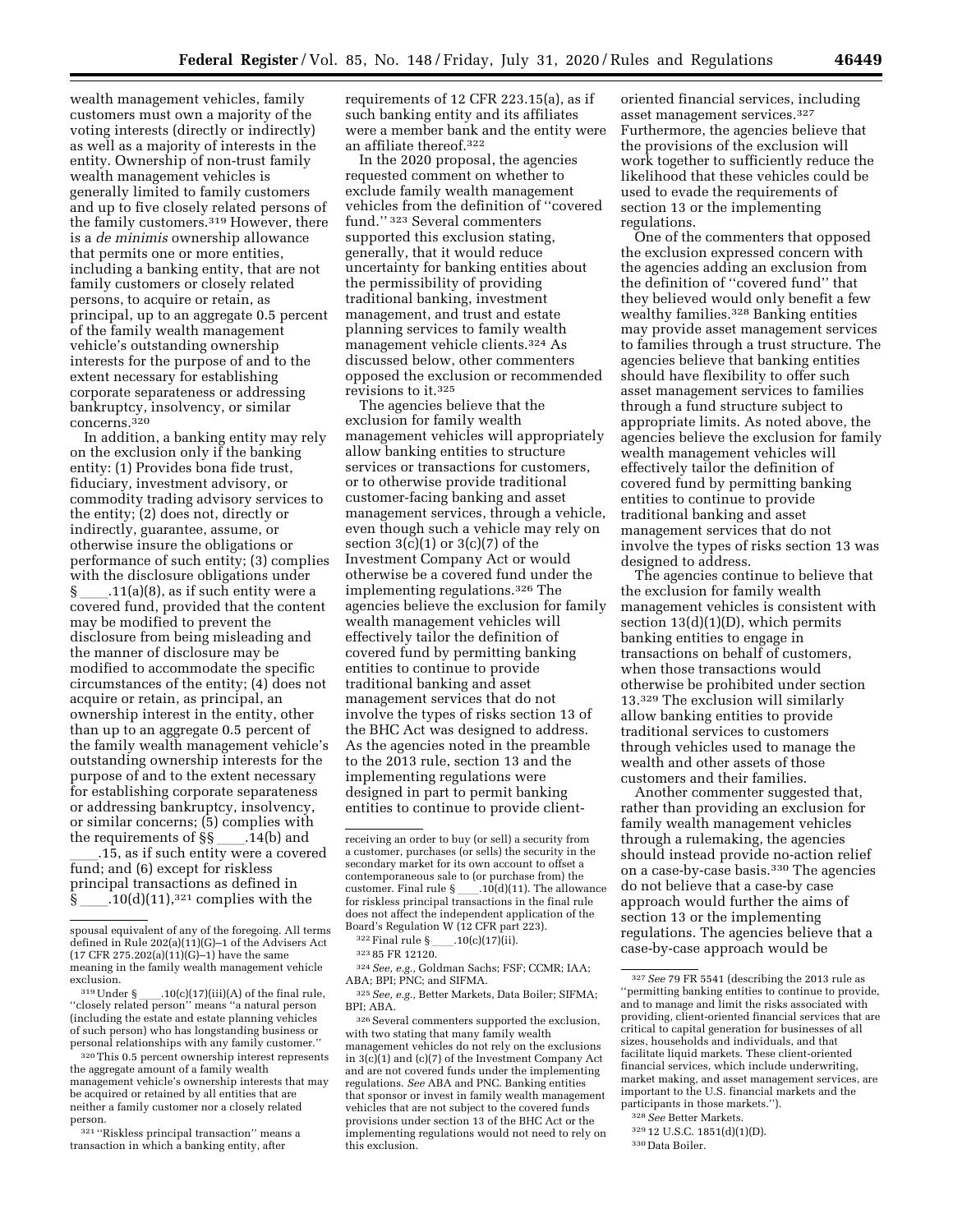wealth management vehicles, family customers must own a majority of the voting interests (directly or indirectly) as well as a majority of interests in the entity. Ownership of non-trust family wealth management vehicles is generally limited to family customers and up to five closely related persons of the family customers.319 However, there is a *de minimis* ownership allowance that permits one or more entities, including a banking entity, that are not family customers or closely related persons, to acquire or retain, as principal, up to an aggregate 0.5 percent of the family wealth management vehicle's outstanding ownership interests for the purpose of and to the extent necessary for establishing corporate separateness or addressing bankruptcy, insolvency, or similar concerns.320

In addition, a banking entity may rely on the exclusion only if the banking entity: (1) Provides bona fide trust, fiduciary, investment advisory, or commodity trading advisory services to the entity; (2) does not, directly or indirectly, guarantee, assume, or otherwise insure the obligations or performance of such entity; (3) complies with the disclosure obligations under  $\S$  .11(a)(8), as if such entity were a covered fund, provided that the content may be modified to prevent the disclosure from being misleading and the manner of disclosure may be modified to accommodate the specific circumstances of the entity; (4) does not acquire or retain, as principal, an ownership interest in the entity, other than up to an aggregate 0.5 percent of the family wealth management vehicle's outstanding ownership interests for the purpose of and to the extent necessary for establishing corporate separateness or addressing bankruptcy, insolvency, or similar concerns; (5) complies with the requirements of  $\S$  $\sim$  14(b) and

.15, as if such entity were a covered fund; and (6) except for riskless principal transactions as defined in  $\S$  . 10(d)(11),<sup>321</sup> complies with the

321 ''Riskless principal transaction'' means a transaction in which a banking entity, after

requirements of 12 CFR 223.15(a), as if such banking entity and its affiliates were a member bank and the entity were an affiliate thereof.322

In the 2020 proposal, the agencies requested comment on whether to exclude family wealth management vehicles from the definition of ''covered fund.'' 323 Several commenters supported this exclusion stating, generally, that it would reduce uncertainty for banking entities about the permissibility of providing traditional banking, investment management, and trust and estate planning services to family wealth management vehicle clients.324 As discussed below, other commenters opposed the exclusion or recommended revisions to it.325

The agencies believe that the exclusion for family wealth management vehicles will appropriately allow banking entities to structure services or transactions for customers, or to otherwise provide traditional customer-facing banking and asset management services, through a vehicle, even though such a vehicle may rely on section  $3(c)(1)$  or  $3(c)(7)$  of the Investment Company Act or would otherwise be a covered fund under the implementing regulations.326 The agencies believe the exclusion for family wealth management vehicles will effectively tailor the definition of covered fund by permitting banking entities to continue to provide traditional banking and asset management services that do not involve the types of risks section 13 of the BHC Act was designed to address. As the agencies noted in the preamble to the 2013 rule, section 13 and the implementing regulations were designed in part to permit banking entities to continue to provide client-

 $322$  Final rule § \_\_\_\_\_.  $10(c)(17)(ii)$ .

324*See, e.g.,* Goldman Sachs; FSF; CCMR; IAA; ABA; BPI; PNC; and SIFMA.

325*See, e.g.,* Better Markets, Data Boiler; SIFMA; BPI; ABA.

 $^{\rm 326}$  Several commenters supported the exclusion, with two stating that many family wealth management vehicles do not rely on the exclusions in 3(c)(1) and (c)(7) of the Investment Company Act and are not covered funds under the implementing regulations. *See* ABA and PNC. Banking entities that sponsor or invest in family wealth management vehicles that are not subject to the covered funds provisions under section 13 of the BHC Act or the implementing regulations would not need to rely on this exclusion.

oriented financial services, including asset management services.327 Furthermore, the agencies believe that the provisions of the exclusion will work together to sufficiently reduce the likelihood that these vehicles could be used to evade the requirements of section 13 or the implementing regulations.

One of the commenters that opposed the exclusion expressed concern with the agencies adding an exclusion from the definition of ''covered fund'' that they believed would only benefit a few wealthy families.328 Banking entities may provide asset management services to families through a trust structure. The agencies believe that banking entities should have flexibility to offer such asset management services to families through a fund structure subject to appropriate limits. As noted above, the agencies believe the exclusion for family wealth management vehicles will effectively tailor the definition of covered fund by permitting banking entities to continue to provide traditional banking and asset management services that do not involve the types of risks section 13 was designed to address.

The agencies continue to believe that the exclusion for family wealth management vehicles is consistent with section  $13(d)(1)(D)$ , which permits banking entities to engage in transactions on behalf of customers, when those transactions would otherwise be prohibited under section 13.329 The exclusion will similarly allow banking entities to provide traditional services to customers through vehicles used to manage the wealth and other assets of those customers and their families.

Another commenter suggested that, rather than providing an exclusion for family wealth management vehicles through a rulemaking, the agencies should instead provide no-action relief on a case-by-case basis.330 The agencies do not believe that a case-by case approach would further the aims of section 13 or the implementing regulations. The agencies believe that a case-by-case approach would be

- 328*See* Better Markets.
- 329 12 U.S.C. 1851(d)(1)(D).

spousal equivalent of any of the foregoing. All terms defined in Rule 202(a)(11)(G)–1 of the Advisers Act (17 CFR 275.202(a)(11)(G)–1) have the same meaning in the family wealth management vehicle exclusion.<br><sup>319</sup>Under §

<sup>&</sup>lt;sup>319</sup>Under § \_\_\_\_.10(c)(17)(iii)(A) of the final rule, "closely related person" means "a natural person (including the estate and estate planning vehicles of such person) who has longstanding business or personal relationships with any family customer.

<sup>320</sup>This 0.5 percent ownership interest represents the aggregate amount of a family wealth management vehicle's ownership interests that may be acquired or retained by all entities that are neither a family customer nor a closely related person.

receiving an order to buy (or sell) a security from a customer, purchases (or sells) the security in the secondary market for its own account to offset a contemporaneous sale to (or purchase from) the customer. Final rule  $\S$  \_\_\_\_\_. 10(d)(11). The allowance for riskless principal transactions in the final rule does not affect the independent application of the Board's Regulation W (12 CFR part 223).

<sup>323</sup> 85 FR 12120.

<sup>327</sup>*See* 79 FR 5541 (describing the 2013 rule as ''permitting banking entities to continue to provide, and to manage and limit the risks associated with providing, client-oriented financial services that are critical to capital generation for businesses of all sizes, households and individuals, and that facilitate liquid markets. These client-oriented financial services, which include underwriting, market making, and asset management services, are important to the U.S. financial markets and the participants in those markets.'').

<sup>330</sup> Data Boiler.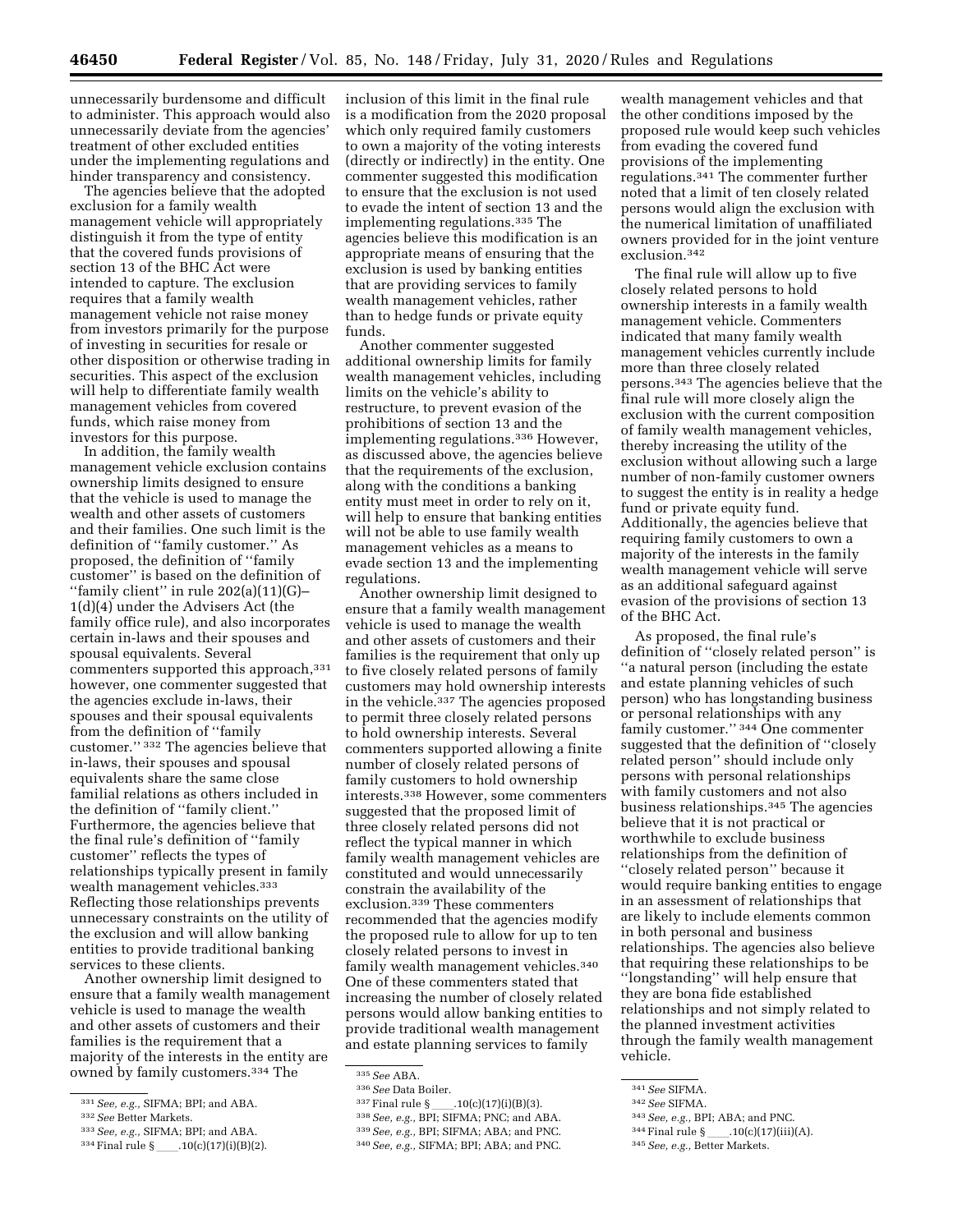unnecessarily burdensome and difficult to administer. This approach would also unnecessarily deviate from the agencies' treatment of other excluded entities under the implementing regulations and hinder transparency and consistency.

The agencies believe that the adopted exclusion for a family wealth management vehicle will appropriately distinguish it from the type of entity that the covered funds provisions of section 13 of the BHC Act were intended to capture. The exclusion requires that a family wealth management vehicle not raise money from investors primarily for the purpose of investing in securities for resale or other disposition or otherwise trading in securities. This aspect of the exclusion will help to differentiate family wealth management vehicles from covered funds, which raise money from investors for this purpose.

In addition, the family wealth management vehicle exclusion contains ownership limits designed to ensure that the vehicle is used to manage the wealth and other assets of customers and their families. One such limit is the definition of ''family customer.'' As proposed, the definition of ''family customer'' is based on the definition of ''family client'' in rule 202(a)(11)(G)– 1(d)(4) under the Advisers Act (the family office rule), and also incorporates certain in-laws and their spouses and spousal equivalents. Several commenters supported this approach, 331 however, one commenter suggested that the agencies exclude in-laws, their spouses and their spousal equivalents from the definition of ''family customer.'' 332 The agencies believe that in-laws, their spouses and spousal equivalents share the same close familial relations as others included in the definition of ''family client.'' Furthermore, the agencies believe that the final rule's definition of ''family customer'' reflects the types of relationships typically present in family wealth management vehicles.333 Reflecting those relationships prevents unnecessary constraints on the utility of the exclusion and will allow banking entities to provide traditional banking services to these clients.

Another ownership limit designed to ensure that a family wealth management vehicle is used to manage the wealth and other assets of customers and their families is the requirement that a majority of the interests in the entity are owned by family customers.334 The

inclusion of this limit in the final rule is a modification from the 2020 proposal which only required family customers to own a majority of the voting interests (directly or indirectly) in the entity. One commenter suggested this modification to ensure that the exclusion is not used to evade the intent of section 13 and the implementing regulations.335 The agencies believe this modification is an appropriate means of ensuring that the exclusion is used by banking entities that are providing services to family wealth management vehicles, rather than to hedge funds or private equity funds.

Another commenter suggested additional ownership limits for family wealth management vehicles, including limits on the vehicle's ability to restructure, to prevent evasion of the prohibitions of section 13 and the implementing regulations.336 However, as discussed above, the agencies believe that the requirements of the exclusion, along with the conditions a banking entity must meet in order to rely on it, will help to ensure that banking entities will not be able to use family wealth management vehicles as a means to evade section 13 and the implementing regulations.

Another ownership limit designed to ensure that a family wealth management vehicle is used to manage the wealth and other assets of customers and their families is the requirement that only up to five closely related persons of family customers may hold ownership interests in the vehicle.337 The agencies proposed to permit three closely related persons to hold ownership interests. Several commenters supported allowing a finite number of closely related persons of family customers to hold ownership interests.338 However, some commenters suggested that the proposed limit of three closely related persons did not reflect the typical manner in which family wealth management vehicles are constituted and would unnecessarily constrain the availability of the exclusion.339 These commenters recommended that the agencies modify the proposed rule to allow for up to ten closely related persons to invest in family wealth management vehicles.340 One of these commenters stated that increasing the number of closely related persons would allow banking entities to provide traditional wealth management and estate planning services to family

337 Final rule §\_\_\_\_\_.10(c)(17)(i)(B)(3). 338*See, e.g.,* BPI; SIFMA; PNC; and ABA.

wealth management vehicles and that the other conditions imposed by the proposed rule would keep such vehicles from evading the covered fund provisions of the implementing regulations.341 The commenter further noted that a limit of ten closely related persons would align the exclusion with the numerical limitation of unaffiliated owners provided for in the joint venture exclusion.342

The final rule will allow up to five closely related persons to hold ownership interests in a family wealth management vehicle. Commenters indicated that many family wealth management vehicles currently include more than three closely related persons.343 The agencies believe that the final rule will more closely align the exclusion with the current composition of family wealth management vehicles, thereby increasing the utility of the exclusion without allowing such a large number of non-family customer owners to suggest the entity is in reality a hedge fund or private equity fund. Additionally, the agencies believe that requiring family customers to own a majority of the interests in the family wealth management vehicle will serve as an additional safeguard against evasion of the provisions of section 13 of the BHC Act.

As proposed, the final rule's definition of ''closely related person'' is ''a natural person (including the estate and estate planning vehicles of such person) who has longstanding business or personal relationships with any family customer." <sup>344</sup> One commenter suggested that the definition of ''closely related person'' should include only persons with personal relationships with family customers and not also business relationships.345 The agencies believe that it is not practical or worthwhile to exclude business relationships from the definition of ''closely related person'' because it would require banking entities to engage in an assessment of relationships that are likely to include elements common in both personal and business relationships. The agencies also believe that requiring these relationships to be ''longstanding'' will help ensure that they are bona fide established relationships and not simply related to the planned investment activities through the family wealth management vehicle.

<sup>331</sup>*See, e.g.,* SIFMA; BPI; and ABA.

<sup>332</sup>*See* Better Markets.

<sup>333</sup>*See, e.g.,* SIFMA; BPI; and ABA.

<sup>334</sup> Final rule §\_\_\_\_\_.10(c)(17)(i)(B)(2).

<sup>335</sup>*See* ABA.

<sup>336</sup>*See* Data Boiler.

<sup>339</sup>*See, e.g.,* BPI; SIFMA; ABA; and PNC.

<sup>340</sup>*See, e.g.,* SIFMA; BPI; ABA; and PNC.

<sup>341</sup>*See* SIFMA.

<sup>342</sup>*See* SIFMA.

<sup>343</sup>*See, e.g.,* BPI; ABA; and PNC.

 $344$  Final rule § \_\_\_\_\_.  $10(c)(17)(iii)(A)$ .

<sup>345</sup>*See, e.g.,* Better Markets.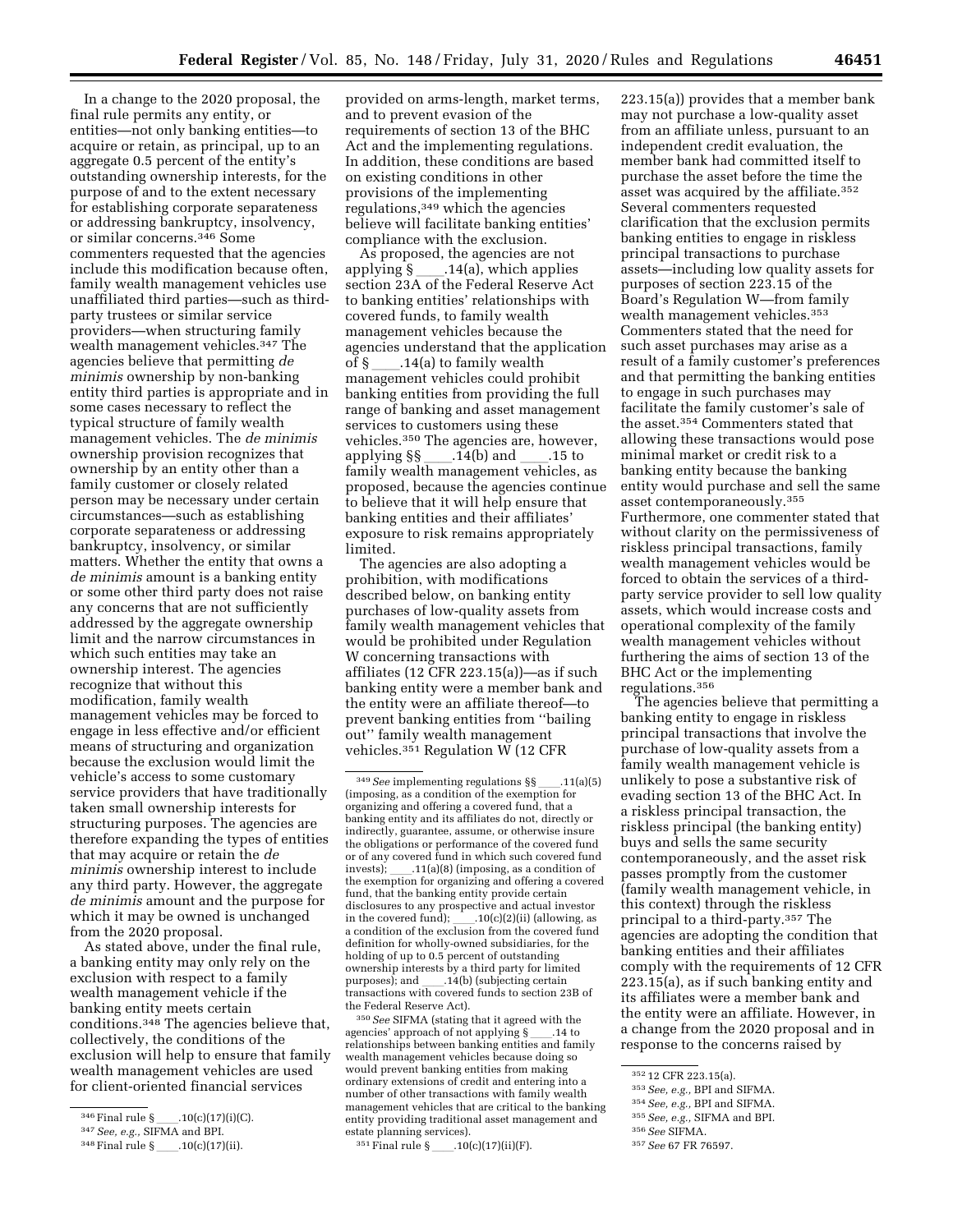In a change to the 2020 proposal, the final rule permits any entity, or entities—not only banking entities—to acquire or retain, as principal, up to an aggregate 0.5 percent of the entity's outstanding ownership interests, for the purpose of and to the extent necessary for establishing corporate separateness or addressing bankruptcy, insolvency, or similar concerns.346 Some commenters requested that the agencies include this modification because often, family wealth management vehicles use unaffiliated third parties—such as thirdparty trustees or similar service providers—when structuring family wealth management vehicles.347 The agencies believe that permitting *de minimis* ownership by non-banking entity third parties is appropriate and in some cases necessary to reflect the typical structure of family wealth management vehicles. The *de minimis*  ownership provision recognizes that ownership by an entity other than a family customer or closely related person may be necessary under certain circumstances—such as establishing corporate separateness or addressing bankruptcy, insolvency, or similar matters. Whether the entity that owns a *de minimis* amount is a banking entity or some other third party does not raise any concerns that are not sufficiently addressed by the aggregate ownership limit and the narrow circumstances in which such entities may take an ownership interest. The agencies recognize that without this modification, family wealth management vehicles may be forced to engage in less effective and/or efficient means of structuring and organization because the exclusion would limit the vehicle's access to some customary service providers that have traditionally taken small ownership interests for structuring purposes. The agencies are therefore expanding the types of entities that may acquire or retain the *de minimis* ownership interest to include any third party. However, the aggregate *de minimis* amount and the purpose for which it may be owned is unchanged from the 2020 proposal.

As stated above, under the final rule, a banking entity may only rely on the exclusion with respect to a family wealth management vehicle if the banking entity meets certain conditions.348 The agencies believe that, collectively, the conditions of the exclusion will help to ensure that family wealth management vehicles are used for client-oriented financial services

provided on arms-length, market terms, and to prevent evasion of the requirements of section 13 of the BHC Act and the implementing regulations. In addition, these conditions are based on existing conditions in other provisions of the implementing regulations,349 which the agencies believe will facilitate banking entities' compliance with the exclusion.

As proposed, the agencies are not applying § \_\_\_\_.14(a), which applies<br>section 23A of the Federal Reserve Act to banking entities' relationships with covered funds, to family wealth management vehicles because the agencies understand that the application of § \_\_\_\_.14(a) to family wealth<br>management vehicles could prohibit banking entities from providing the full range of banking and asset management services to customers using these vehicles.350 The agencies are, however, applying §§ \_\_\_\_.14(b) and \_\_\_\_.15 to<br>family wealth management vehicles, as proposed, because the agencies continue to believe that it will help ensure that banking entities and their affiliates' exposure to risk remains appropriately limited.

The agencies are also adopting a prohibition, with modifications described below, on banking entity purchases of low-quality assets from family wealth management vehicles that would be prohibited under Regulation W concerning transactions with affiliates (12 CFR 223.15(a))—as if such banking entity were a member bank and the entity were an affiliate thereof—to prevent banking entities from ''bailing out'' family wealth management vehicles.351 Regulation W (12 CFR

350*See* SIFMA (stating that it agreed with the agencies' approach of not applying § \_\_\_\_.14 to<br>relationships between banking entities and family wealth management vehicles because doing so would prevent banking entities from making ordinary extensions of credit and entering into a number of other transactions with family wealth management vehicles that are critical to the banking entity providing traditional asset management and estate planning services).

 $351$  Final rule § \_\_\_\_\_.  $10(c)(17)(ii)(F)$ .

223.15(a)) provides that a member bank may not purchase a low-quality asset from an affiliate unless, pursuant to an independent credit evaluation, the member bank had committed itself to purchase the asset before the time the asset was acquired by the affiliate.352 Several commenters requested clarification that the exclusion permits banking entities to engage in riskless principal transactions to purchase assets—including low quality assets for purposes of section 223.15 of the Board's Regulation W—from family wealth management vehicles.353 Commenters stated that the need for such asset purchases may arise as a result of a family customer's preferences and that permitting the banking entities to engage in such purchases may facilitate the family customer's sale of the asset.354 Commenters stated that allowing these transactions would pose minimal market or credit risk to a banking entity because the banking entity would purchase and sell the same asset contemporaneously.355 Furthermore, one commenter stated that without clarity on the permissiveness of riskless principal transactions, family wealth management vehicles would be forced to obtain the services of a thirdparty service provider to sell low quality assets, which would increase costs and operational complexity of the family wealth management vehicles without furthering the aims of section 13 of the BHC Act or the implementing regulations.356

The agencies believe that permitting a banking entity to engage in riskless principal transactions that involve the purchase of low-quality assets from a family wealth management vehicle is unlikely to pose a substantive risk of evading section 13 of the BHC Act. In a riskless principal transaction, the riskless principal (the banking entity) buys and sells the same security contemporaneously, and the asset risk passes promptly from the customer (family wealth management vehicle, in this context) through the riskless principal to a third-party.357 The agencies are adopting the condition that banking entities and their affiliates comply with the requirements of 12 CFR 223.15(a), as if such banking entity and its affiliates were a member bank and the entity were an affiliate. However, in a change from the 2020 proposal and in response to the concerns raised by

- 353*See, e.g.,* BPI and SIFMA.
- 354*See, e.g.,* BPI and SIFMA.

357*See* 67 FR 76597.

<sup>346</sup>Final rule §ll.10(c)(17)(i)(C). 347*See, e.g.,* SIFMA and BPI.

<sup>348</sup> Final rule §\_\_\_\_.10(c)(17)(ii).

<sup>&</sup>lt;sup>349</sup> *See* implementing regulations §§ \_\_\_\_.11(a)(5) (imposing, as a condition of the exemption for organizing and offering a covered fund, that a banking entity and its affiliates do not, directly or indirectly, guarantee, assume, or otherwise insure the obligations or performance of the covered fund or of any covered fund in which such covered fund invests); \_\_\_\_\_.11(a)(8) (imposing, as a condition of<br>the exemption for organizing and offering a covered fund, that the banking entity provide certain disclosures to any prospective and actual investor in the covered fund); \_\_\_\_.10(c)(2)(ii) (allowing, as a condition of the exclusion from the covered fund definition for wholly-owned subsidiaries, for the holding of up to 0.5 percent of outstanding ownership interests by a third party for limited purposes); and \_\_\_\_.14(b) (subjecting certain<br>transactions with covered funds to section 23B of the Federal Reserve Act).

<sup>352</sup> 12 CFR 223.15(a).

<sup>355</sup>*See, e.g.,* SIFMA and BPI. 356*See* SIFMA.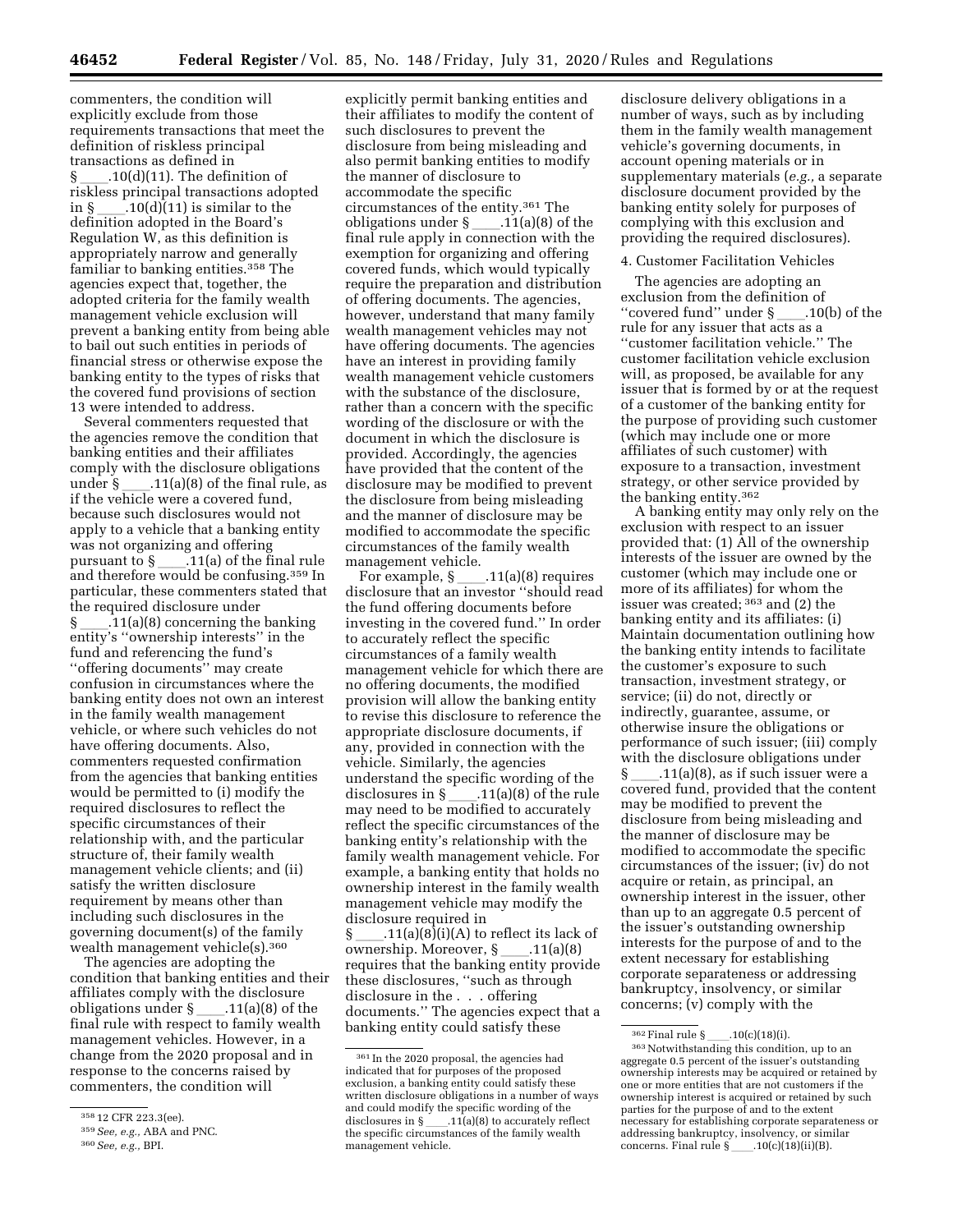commenters, the condition will explicitly exclude from those requirements transactions that meet the definition of riskless principal transactions as defined in<br>§ .10(d)(11). The definition of § \_\_\_\_.10(d)(11). The definition of<br>riskless principal transactions adopted in § \_\_\_\_.10(d)(11) is similar to the<br>definition adopted in the Board's Regulation W, as this definition is appropriately narrow and generally familiar to banking entities.358 The agencies expect that, together, the adopted criteria for the family wealth management vehicle exclusion will prevent a banking entity from being able to bail out such entities in periods of financial stress or otherwise expose the banking entity to the types of risks that the covered fund provisions of section 13 were intended to address.

Several commenters requested that the agencies remove the condition that banking entities and their affiliates comply with the disclosure obligations under  $\S$  .11(a)(8) of the final rule, as if the vehicle were a covered fund, because such disclosures would not apply to a vehicle that a banking entity was not organizing and offering pursuant to § \_\_\_\_.11(a) of the final rule<br>and therefore would be confusing.<sup>359</sup> In particular, these commenters stated that the required disclosure under

 $.11(a)(8)$  concerning the banking entity's ''ownership interests'' in the fund and referencing the fund's ''offering documents'' may create confusion in circumstances where the banking entity does not own an interest in the family wealth management vehicle, or where such vehicles do not have offering documents. Also, commenters requested confirmation from the agencies that banking entities would be permitted to (i) modify the required disclosures to reflect the specific circumstances of their relationship with, and the particular structure of, their family wealth management vehicle clients; and (ii) satisfy the written disclosure requirement by means other than including such disclosures in the governing document(s) of the family wealth management vehicle(s).360

The agencies are adopting the condition that banking entities and their affiliates comply with the disclosure obligations under § \_\_\_\_.11(a)(8) of the<br>final rule with respect to family wealth management vehicles. However, in a change from the 2020 proposal and in response to the concerns raised by commenters, the condition will

explicitly permit banking entities and their affiliates to modify the content of such disclosures to prevent the disclosure from being misleading and also permit banking entities to modify the manner of disclosure to accommodate the specific circumstances of the entity.361 The obligations under  $\S$  \_\_\_\_\_.11(a)(8) of the final rule apply in connection with the exemption for organizing and offering covered funds, which would typically require the preparation and distribution of offering documents. The agencies, however, understand that many family wealth management vehicles may not have offering documents. The agencies have an interest in providing family wealth management vehicle customers with the substance of the disclosure, rather than a concern with the specific wording of the disclosure or with the document in which the disclosure is provided. Accordingly, the agencies have provided that the content of the disclosure may be modified to prevent the disclosure from being misleading and the manner of disclosure may be modified to accommodate the specific circumstances of the family wealth

management vehicle.<br>For example, § For example,  $\S$  \_\_\_\_.11(a)(8) requires disclosure that an investor "should read the fund offering documents before investing in the covered fund.'' In order to accurately reflect the specific circumstances of a family wealth management vehicle for which there are no offering documents, the modified provision will allow the banking entity to revise this disclosure to reference the appropriate disclosure documents, if any, provided in connection with the vehicle. Similarly, the agencies understand the specific wording of the disclosures in § \_\_\_\_.11(a)(8) of the rule<br>may need to be modified to accurately reflect the specific circumstances of the banking entity's relationship with the family wealth management vehicle. For example, a banking entity that holds no ownership interest in the family wealth management vehicle may modify the disclosure required in

 $\S$  \_\_\_\_\_.11(a)(8)(i)(A) to reflect its lack of ownership. Moreover,  $\S$  \_\_\_\_\_.11(a)(8) ownership. Moreover, § \_\_\_.11(a)(8)<br>requires that the banking entity provide these disclosures, ''such as through disclosure in the . . . offering documents.'' The agencies expect that a banking entity could satisfy these

disclosure delivery obligations in a number of ways, such as by including them in the family wealth management vehicle's governing documents, in account opening materials or in supplementary materials (*e.g.,* a separate disclosure document provided by the banking entity solely for purposes of complying with this exclusion and providing the required disclosures).

### 4. Customer Facilitation Vehicles

The agencies are adopting an exclusion from the definition of ''covered fund'' under §ll.10(b) of the rule for any issuer that acts as a ''customer facilitation vehicle.'' The customer facilitation vehicle exclusion will, as proposed, be available for any issuer that is formed by or at the request of a customer of the banking entity for the purpose of providing such customer (which may include one or more affiliates of such customer) with exposure to a transaction, investment strategy, or other service provided by the banking entity.362

A banking entity may only rely on the exclusion with respect to an issuer provided that: (1) All of the ownership interests of the issuer are owned by the customer (which may include one or more of its affiliates) for whom the issuer was created; 363 and (2) the banking entity and its affiliates: (i) Maintain documentation outlining how the banking entity intends to facilitate the customer's exposure to such transaction, investment strategy, or service; (ii) do not, directly or indirectly, guarantee, assume, or otherwise insure the obligations or performance of such issuer; (iii) comply with the disclosure obligations under  $\S$  .11(a)(8), as if such issuer were a covered fund, provided that the content may be modified to prevent the disclosure from being misleading and the manner of disclosure may be modified to accommodate the specific circumstances of the issuer; (iv) do not acquire or retain, as principal, an ownership interest in the issuer, other than up to an aggregate 0.5 percent of the issuer's outstanding ownership interests for the purpose of and to the extent necessary for establishing corporate separateness or addressing bankruptcy, insolvency, or similar concerns; (v) comply with the

<sup>358</sup> 12 CFR 223.3(ee).

<sup>359</sup>*See, e.g.,* ABA and PNC.

<sup>360</sup>*See, e.g.,* BPI.

<sup>361</sup> In the 2020 proposal, the agencies had indicated that for purposes of the proposed exclusion, a banking entity could satisfy these written disclosure obligations in a number of ways and could modify the specific wording of the disclosures in  $\S$  . 11(a)(8) to accurately reflect the specific circumstances of the family wealth management vehicle.

 $^{362}\rm{Final}$  rule § \_\_\_.10(c)(18)(i).  $^{363}\rm{Notwithstanding this condition, up to an}$ aggregate 0.5 percent of the issuer's outstanding ownership interests may be acquired or retained by one or more entities that are not customers if the ownership interest is acquired or retained by such parties for the purpose of and to the extent necessary for establishing corporate separateness or addressing bankruptcy, insolvency, or similar concerns. Final rule  $\sin 10(c)$ (18)(ii)(B).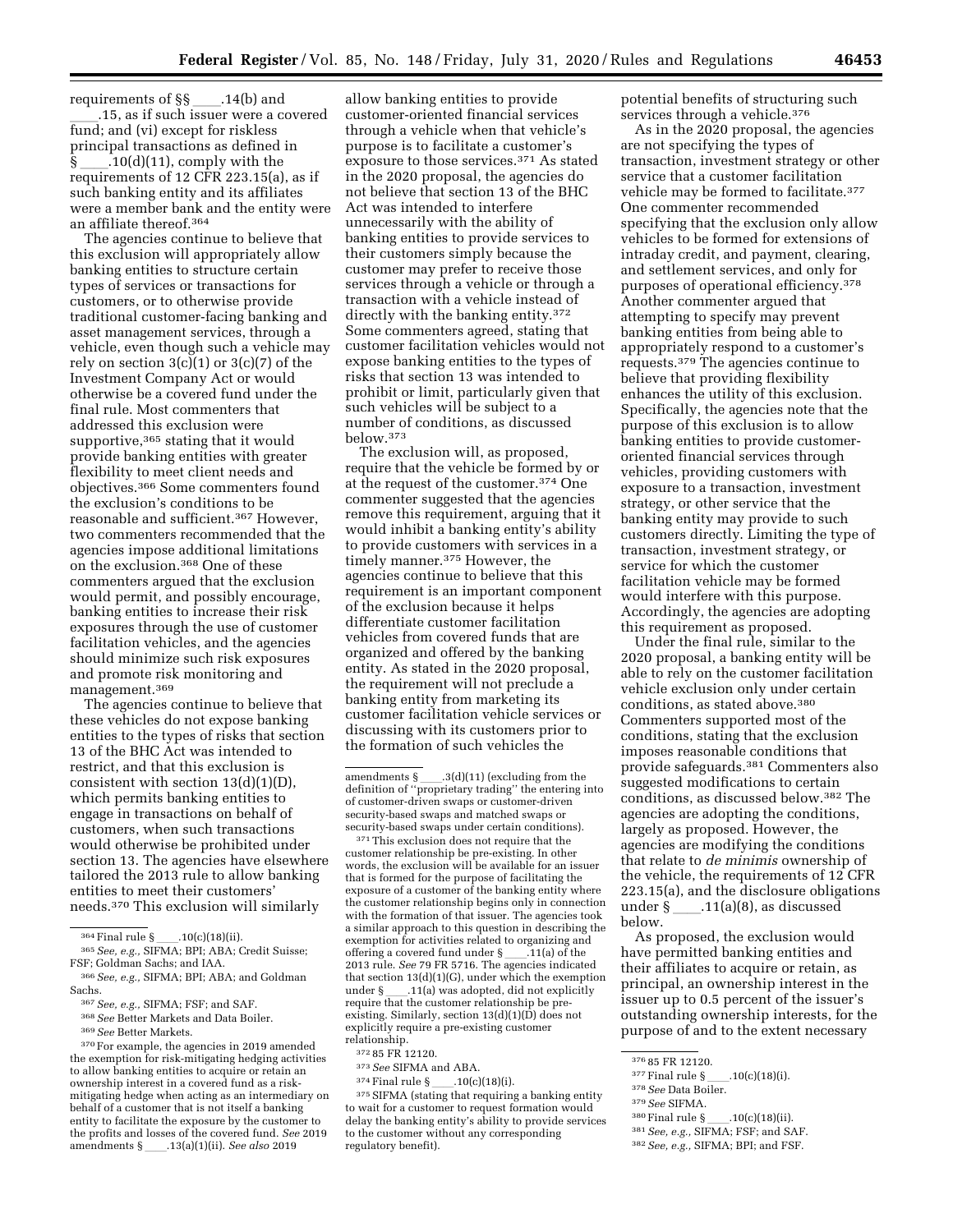requirements of  $\S\S$  \_\_\_\_.14(b) and<br>15 as if such issuer were a co  $\frac{15}{100}$  as if such issuer were a covered. fund; and (vi) except for riskless principal transactions as defined in § \_\_\_\_.10(d)(11), comply with the<br>requirements of 12 CFR 223.15(a), as if such banking entity and its affiliates were a member bank and the entity were an affiliate thereof.364

The agencies continue to believe that this exclusion will appropriately allow banking entities to structure certain types of services or transactions for customers, or to otherwise provide traditional customer-facing banking and asset management services, through a vehicle, even though such a vehicle may rely on section  $3(c)(1)$  or  $3(c)(7)$  of the Investment Company Act or would otherwise be a covered fund under the final rule. Most commenters that addressed this exclusion were supportive,365 stating that it would provide banking entities with greater flexibility to meet client needs and objectives.366 Some commenters found the exclusion's conditions to be reasonable and sufficient.367 However, two commenters recommended that the agencies impose additional limitations on the exclusion.368 One of these commenters argued that the exclusion would permit, and possibly encourage, banking entities to increase their risk exposures through the use of customer facilitation vehicles, and the agencies should minimize such risk exposures and promote risk monitoring and management.369

The agencies continue to believe that these vehicles do not expose banking entities to the types of risks that section 13 of the BHC Act was intended to restrict, and that this exclusion is consistent with section 13(d)(1)(D), which permits banking entities to engage in transactions on behalf of customers, when such transactions would otherwise be prohibited under section 13. The agencies have elsewhere tailored the 2013 rule to allow banking entities to meet their customers' needs.370 This exclusion will similarly

370For example, the agencies in 2019 amended the exemption for risk-mitigating hedging activities to allow banking entities to acquire or retain an ownership interest in a covered fund as a riskmitigating hedge when acting as an intermediary on behalf of a customer that is not itself a banking entity to facilitate the exposure by the customer to the profits and losses of the covered fund. *See* 2019 amendments § \_\_\_\_.13(a)(1)(ii). *See also* 2019

allow banking entities to provide customer-oriented financial services through a vehicle when that vehicle's purpose is to facilitate a customer's exposure to those services.371 As stated in the 2020 proposal, the agencies do not believe that section 13 of the BHC Act was intended to interfere unnecessarily with the ability of banking entities to provide services to their customers simply because the customer may prefer to receive those services through a vehicle or through a transaction with a vehicle instead of directly with the banking entity.372 Some commenters agreed, stating that customer facilitation vehicles would not expose banking entities to the types of risks that section 13 was intended to prohibit or limit, particularly given that such vehicles will be subject to a number of conditions, as discussed below.373

The exclusion will, as proposed, require that the vehicle be formed by or at the request of the customer.374 One commenter suggested that the agencies remove this requirement, arguing that it would inhibit a banking entity's ability to provide customers with services in a timely manner.375 However, the agencies continue to believe that this requirement is an important component of the exclusion because it helps differentiate customer facilitation vehicles from covered funds that are organized and offered by the banking entity. As stated in the 2020 proposal, the requirement will not preclude a banking entity from marketing its customer facilitation vehicle services or discussing with its customers prior to the formation of such vehicles the

371This exclusion does not require that the customer relationship be pre-existing. In other words, the exclusion will be available for an issuer that is formed for the purpose of facilitating the exposure of a customer of the banking entity where the customer relationship begins only in connection with the formation of that issuer. The agencies took a similar approach to this question in describing the exemption for activities related to organizing and<br>offering a covered fund under  $\S$  .11(a) of the offering a covered fund under §\_\_\_\_.11(a) of the<br>2013 rule. *See* 79 FR 5716. The agencies indicated that section  $13(d)(1)(G)$ , under which the exemption<br>under § .11(a) was adopted, did not explicitly under § \_\_\_\_.11(a) was adopted, did not explicitly<br>require that the customer relationship be preexisting. Similarly, section  $13(d)(1)(D)$  does not explicitly require a pre-existing customer relationship.

372 85 FR 12120.

 $373\,See$  SIFMA and ABA.  $^{374}\rm{Final}$  rule  $\S$  \_\_\_\_.10(c)

<sup>374</sup> Final rule § \_\_\_\_.10(c)(18)(i).<br><sup>375</sup> SIFMA (stating that requiring a banking entity to wait for a customer to request formation would delay the banking entity's ability to provide services to the customer without any corresponding regulatory benefit).

potential benefits of structuring such services through a vehicle.<sup>376</sup>

As in the 2020 proposal, the agencies are not specifying the types of transaction, investment strategy or other service that a customer facilitation vehicle may be formed to facilitate.377 One commenter recommended specifying that the exclusion only allow vehicles to be formed for extensions of intraday credit, and payment, clearing, and settlement services, and only for purposes of operational efficiency.378 Another commenter argued that attempting to specify may prevent banking entities from being able to appropriately respond to a customer's requests.379 The agencies continue to believe that providing flexibility enhances the utility of this exclusion. Specifically, the agencies note that the purpose of this exclusion is to allow banking entities to provide customeroriented financial services through vehicles, providing customers with exposure to a transaction, investment strategy, or other service that the banking entity may provide to such customers directly. Limiting the type of transaction, investment strategy, or service for which the customer facilitation vehicle may be formed would interfere with this purpose. Accordingly, the agencies are adopting this requirement as proposed.

Under the final rule, similar to the 2020 proposal, a banking entity will be able to rely on the customer facilitation vehicle exclusion only under certain conditions, as stated above.380 Commenters supported most of the conditions, stating that the exclusion imposes reasonable conditions that provide safeguards.381 Commenters also suggested modifications to certain conditions, as discussed below.382 The agencies are adopting the conditions, largely as proposed. However, the agencies are modifying the conditions that relate to *de minimis* ownership of the vehicle, the requirements of 12 CFR 223.15(a), and the disclosure obligations under  $\S$  .11(a)(8), as discussed below.

As proposed, the exclusion would have permitted banking entities and their affiliates to acquire or retain, as principal, an ownership interest in the issuer up to 0.5 percent of the issuer's outstanding ownership interests, for the purpose of and to the extent necessary

- 
- 379*See* SIFMA.
- 

382*See, e.g.,* SIFMA; BPI; and FSF.

<sup>&</sup>lt;sup>364</sup> Final rule § \_\_\_\_.10(c)(18)(ii).<br><sup>365</sup> *See, e.g., SIFMA*; BPI; ABA; Credit Suisse; FSF; Goldman Sachs; and IAA.

<sup>366</sup>*See, e.g.,* SIFMA; BPI; ABA; and Goldman Sachs.

<sup>367</sup>*See, e.g.,* SIFMA; FSF; and SAF.

<sup>368</sup>*See* Better Markets and Data Boiler.

<sup>369</sup>*See* Better Markets.

amendments § \_\_\_\_.3(d)(11) (excluding from the<br>definition of ''proprietary trading'' the entering into of customer-driven swaps or customer-driven security-based swaps and matched swaps or security-based swaps under certain conditions).

<sup>376 85</sup> FR 12120.<br>377 Final rule §

<sup>377</sup>Final rule §ll.10(c)(18)(i). 378*See* Data Boiler.

<sup>&</sup>lt;sup>380</sup> Final rule § \_\_\_\_.10(c)(18)(ii).<br><sup>381</sup> *See, e.g., SIFMA*; FSF; and SAF.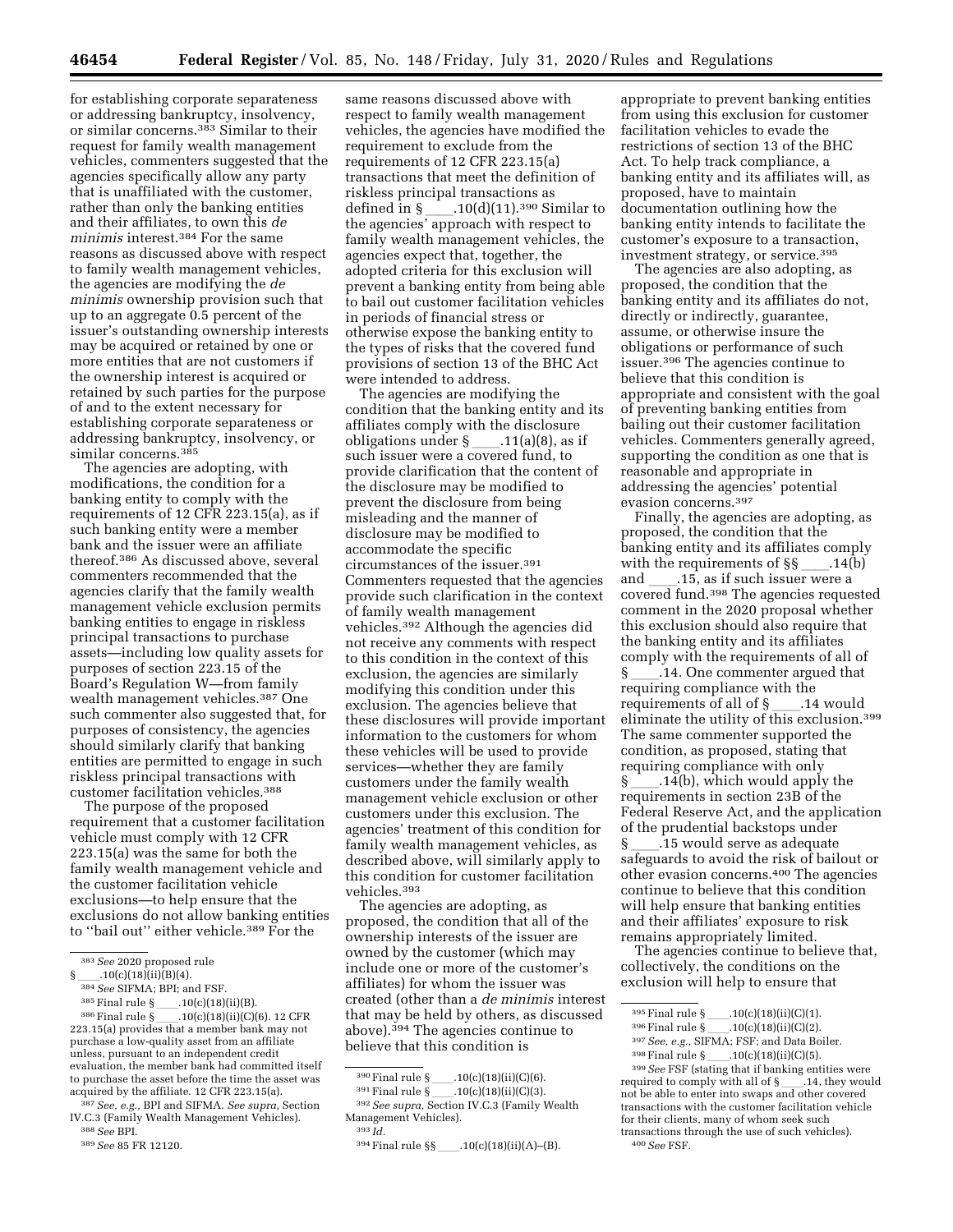for establishing corporate separateness or addressing bankruptcy, insolvency, or similar concerns.383 Similar to their request for family wealth management vehicles, commenters suggested that the agencies specifically allow any party that is unaffiliated with the customer, rather than only the banking entities and their affiliates, to own this *de minimis* interest.384 For the same reasons as discussed above with respect to family wealth management vehicles, the agencies are modifying the *de minimis* ownership provision such that up to an aggregate 0.5 percent of the issuer's outstanding ownership interests may be acquired or retained by one or more entities that are not customers if the ownership interest is acquired or retained by such parties for the purpose of and to the extent necessary for establishing corporate separateness or addressing bankruptcy, insolvency, or similar concerns.385

The agencies are adopting, with modifications, the condition for a banking entity to comply with the requirements of 12 CFR 223.15(a), as if such banking entity were a member bank and the issuer were an affiliate thereof.386 As discussed above, several commenters recommended that the agencies clarify that the family wealth management vehicle exclusion permits banking entities to engage in riskless principal transactions to purchase assets—including low quality assets for purposes of section 223.15 of the Board's Regulation W—from family wealth management vehicles.387 One such commenter also suggested that, for purposes of consistency, the agencies should similarly clarify that banking entities are permitted to engage in such riskless principal transactions with customer facilitation vehicles.388

The purpose of the proposed requirement that a customer facilitation vehicle must comply with 12 CFR 223.15(a) was the same for both the family wealth management vehicle and the customer facilitation vehicle exclusions—to help ensure that the exclusions do not allow banking entities to ''bail out'' either vehicle.389 For the

<sup>385</sup> Final rule § \_\_\_\_.10(c)(18)(ii)(B).<br><sup>386</sup> Final rule § \_\_\_\_.10(c)(18)(ii)(C)(6). 12 CFR <sup>386</sup> Final rule § \_\_\_\_.10(c)(18)(ii)(C)(6). 12 CFR 223.15(a) provides that a member bank may not purchase a low-quality asset from an affiliate unless, pursuant to an independent credit evaluation, the member bank had committed itself to purchase the asset before the time the asset was acquired by the affiliate. 12 CFR 223.15(a).

387*See, e.g.,* BPI and SIFMA. *See supra,* Section IV.C.3 (Family Wealth Management Vehicles).

388*See* BPI.

same reasons discussed above with respect to family wealth management vehicles, the agencies have modified the requirement to exclude from the requirements of 12 CFR 223.15(a) transactions that meet the definition of riskless principal transactions as<br>defined in  $\S$  . 10(d)(11).<sup>390</sup> Si defined in §\_\_\_\_.10(d)(11).<sup>390</sup> Similar to the agencies' approach with respect to family wealth management vehicles, the agencies expect that, together, the adopted criteria for this exclusion will prevent a banking entity from being able to bail out customer facilitation vehicles in periods of financial stress or otherwise expose the banking entity to the types of risks that the covered fund provisions of section 13 of the BHC Act were intended to address.

The agencies are modifying the condition that the banking entity and its affiliates comply with the disclosure<br>obligations under  $\S$  \_\_\_\_\_.11(a)(8), as if obligations under § \_\_\_\_.11(a)(8), as if<br>such issuer were a covered fund, to provide clarification that the content of the disclosure may be modified to prevent the disclosure from being misleading and the manner of disclosure may be modified to accommodate the specific circumstances of the issuer.391 Commenters requested that the agencies provide such clarification in the context of family wealth management vehicles.392 Although the agencies did not receive any comments with respect to this condition in the context of this exclusion, the agencies are similarly modifying this condition under this exclusion. The agencies believe that these disclosures will provide important information to the customers for whom these vehicles will be used to provide services—whether they are family customers under the family wealth management vehicle exclusion or other customers under this exclusion. The agencies' treatment of this condition for family wealth management vehicles, as described above, will similarly apply to this condition for customer facilitation vehicles.393

The agencies are adopting, as proposed, the condition that all of the ownership interests of the issuer are owned by the customer (which may include one or more of the customer's affiliates) for whom the issuer was created (other than a *de minimis* interest that may be held by others, as discussed above).394 The agencies continue to believe that this condition is

 $390$  Final rule §\_\_\_\_\_.10(c)(18)(ii)(C)(6).

 $391$  Final rule § \_\_\_\_\_. 10(c)(18)(ii)(C)(3). 392*See supra,* Section IV.C.3 (Family Wealth Management Vehicles).

appropriate to prevent banking entities from using this exclusion for customer facilitation vehicles to evade the restrictions of section 13 of the BHC Act. To help track compliance, a banking entity and its affiliates will, as proposed, have to maintain documentation outlining how the banking entity intends to facilitate the customer's exposure to a transaction, investment strategy, or service.395

The agencies are also adopting, as proposed, the condition that the banking entity and its affiliates do not, directly or indirectly, guarantee, assume, or otherwise insure the obligations or performance of such issuer.396 The agencies continue to believe that this condition is appropriate and consistent with the goal of preventing banking entities from bailing out their customer facilitation vehicles. Commenters generally agreed, supporting the condition as one that is reasonable and appropriate in addressing the agencies' potential evasion concerns.397

Finally, the agencies are adopting, as proposed, the condition that the banking entity and its affiliates comply<br>with the requirements of §§ .14(b) with the requirements of  $\S\$ <sub>....</sub>.14(<br>and .15, as if such issuer were a and \_\_\_\_.15, as if such issuer were a<br>covered fund.<sup>398</sup> The agencies requested comment in the 2020 proposal whether this exclusion should also require that the banking entity and its affiliates comply with the requirements of all of § ll.14. One commenter argued that requiring compliance with the<br>requirements of all of § 14 would requirements of all of § \_\_\_.14 would<br>eliminate the utility of this exclusion.<sup>399</sup> The same commenter supported the condition, as proposed, stating that requiring compliance with only  $\S$  \_\_\_\_\_.14(b), which would apply the requirements in section 23B of the Federal Reserve Act, and the application of the prudential backstops under § \_\_\_\_.15 would serve as adequate<br>safeguards to avoid the risk of bailout or other evasion concerns.400 The agencies continue to believe that this condition will help ensure that banking entities and their affiliates' exposure to risk remains appropriately limited.

The agencies continue to believe that, collectively, the conditions on the exclusion will help to ensure that

<sup>383</sup>*See* 2020 proposed rule

 $10(c)(18)(ii)(B)(4).$ 

<sup>384</sup>*See* SIFMA; BPI; and FSF.

<sup>389</sup>*See* 85 FR 12120.

<sup>393</sup> *Id.* 

 $394$  Final rule §§ \_\_\_\_.  $10(c)(18)(ii)(A)–(B)$ .

 $395$  Final rule §\_\_\_\_\_.10(c)(18)(ii)(C)(1).

 $396$  Final rule §\_\_\_\_\_.10(c)(18)(ii)(C)(2).

<sup>397</sup>*See, e.g.,* SIFMA; FSF; and Data Boiler.

<sup>398</sup> Final rule §\_\_\_\_.10(c)(18)(ii)(C)(5).

<sup>399</sup>*See* FSF (stating that if banking entities were required to comply with all of §\_\_\_\_.14, they would<br>not be able to enter into swaps and other covered transactions with the customer facilitation vehicle for their clients, many of whom seek such transactions through the use of such vehicles). 400*See* FSF.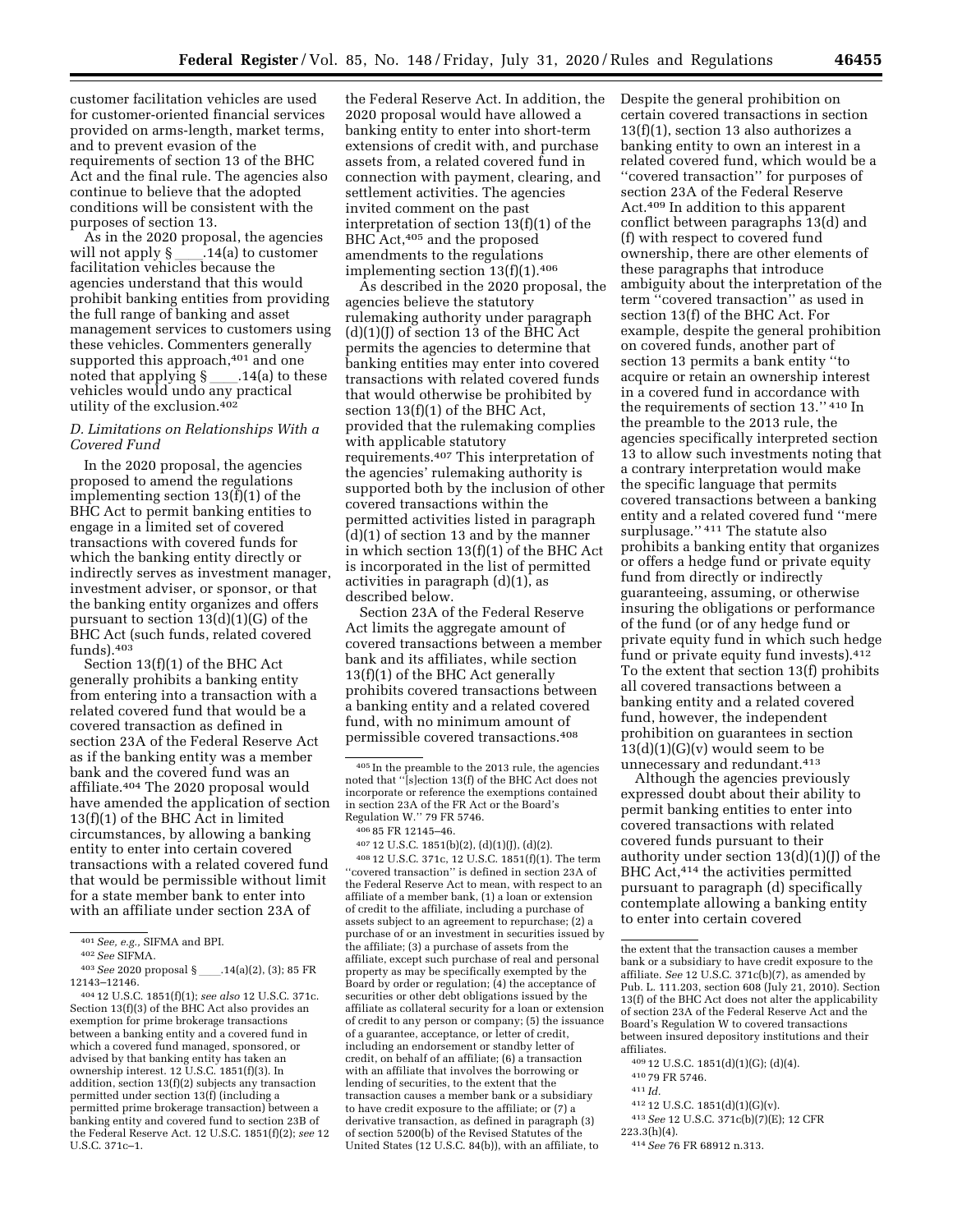customer facilitation vehicles are used for customer-oriented financial services provided on arms-length, market terms, and to prevent evasion of the requirements of section 13 of the BHC Act and the final rule. The agencies also continue to believe that the adopted conditions will be consistent with the purposes of section 13.

As in the 2020 proposal, the agencies will not apply §\_\_\_\_.14(a) to customer<br>facilitation vehicles because the agencies understand that this would prohibit banking entities from providing the full range of banking and asset management services to customers using these vehicles. Commenters generally supported this approach,<sup>401</sup> and one noted that applying § \_\_\_\_.14(a) to these<br>vehicles would undo any practical utility of the exclusion.402

# *D. Limitations on Relationships With a Covered Fund*

In the 2020 proposal, the agencies proposed to amend the regulations implementing section 13(f)(1) of the BHC Act to permit banking entities to engage in a limited set of covered transactions with covered funds for which the banking entity directly or indirectly serves as investment manager, investment adviser, or sponsor, or that the banking entity organizes and offers pursuant to section 13(d)(1)(G) of the BHC Act (such funds, related covered funds).403

Section 13(f)(1) of the BHC Act generally prohibits a banking entity from entering into a transaction with a related covered fund that would be a covered transaction as defined in section 23A of the Federal Reserve Act as if the banking entity was a member bank and the covered fund was an affiliate.404 The 2020 proposal would have amended the application of section 13(f)(1) of the BHC Act in limited circumstances, by allowing a banking entity to enter into certain covered transactions with a related covered fund that would be permissible without limit for a state member bank to enter into with an affiliate under section 23A of

the Federal Reserve Act. In addition, the 2020 proposal would have allowed a banking entity to enter into short-term extensions of credit with, and purchase assets from, a related covered fund in connection with payment, clearing, and settlement activities. The agencies invited comment on the past interpretation of section 13(f)(1) of the BHC Act,<sup>405</sup> and the proposed amendments to the regulations implementing section  $13(f)(1).406$ 

As described in the 2020 proposal, the agencies believe the statutory rulemaking authority under paragraph  $(d)(1)(I)$  of section 13 of the BHC Act permits the agencies to determine that banking entities may enter into covered transactions with related covered funds that would otherwise be prohibited by section 13(f)(1) of the BHC Act, provided that the rulemaking complies with applicable statutory requirements.407 This interpretation of the agencies' rulemaking authority is supported both by the inclusion of other covered transactions within the permitted activities listed in paragraph (d)(1) of section 13 and by the manner in which section 13(f)(1) of the BHC Act is incorporated in the list of permitted activities in paragraph (d)(1), as described below.

Section 23A of the Federal Reserve Act limits the aggregate amount of covered transactions between a member bank and its affiliates, while section 13(f)(1) of the BHC Act generally prohibits covered transactions between a banking entity and a related covered fund, with no minimum amount of permissible covered transactions.408

408 12 U.S.C. 371c, 12 U.S.C. 1851(f)(1). The term ''covered transaction'' is defined in section 23A of the Federal Reserve Act to mean, with respect to an affiliate of a member bank, (1) a loan or extension of credit to the affiliate, including a purchase of assets subject to an agreement to repurchase; (2) a purchase of or an investment in securities issued by the affiliate; (3) a purchase of assets from the affiliate, except such purchase of real and personal property as may be specifically exempted by the Board by order or regulation; (4) the acceptance of securities or other debt obligations issued by the affiliate as collateral security for a loan or extension of credit to any person or company; (5) the issuance of a guarantee, acceptance, or letter of credit, including an endorsement or standby letter of credit, on behalf of an affiliate; (6) a transaction with an affiliate that involves the borrowing or lending of securities, to the extent that the transaction causes a member bank or a subsidiary to have credit exposure to the affiliate; or (7) a derivative transaction, as defined in paragraph (3) of section 5200(b) of the Revised Statutes of the United States (12 U.S.C. 84(b)), with an affiliate, to

Despite the general prohibition on certain covered transactions in section 13(f)(1), section 13 also authorizes a banking entity to own an interest in a related covered fund, which would be a ''covered transaction'' for purposes of section 23A of the Federal Reserve Act.409 In addition to this apparent conflict between paragraphs 13(d) and (f) with respect to covered fund ownership, there are other elements of these paragraphs that introduce ambiguity about the interpretation of the term ''covered transaction'' as used in section 13(f) of the BHC Act. For example, despite the general prohibition on covered funds, another part of section 13 permits a bank entity ''to acquire or retain an ownership interest in a covered fund in accordance with the requirements of section 13.'' 410 In the preamble to the 2013 rule, the agencies specifically interpreted section 13 to allow such investments noting that a contrary interpretation would make the specific language that permits covered transactions between a banking entity and a related covered fund ''mere surplusage." <sup>411</sup> The statute also prohibits a banking entity that organizes or offers a hedge fund or private equity fund from directly or indirectly guaranteeing, assuming, or otherwise insuring the obligations or performance of the fund (or of any hedge fund or private equity fund in which such hedge fund or private equity fund invests).412 To the extent that section 13(f) prohibits all covered transactions between a banking entity and a related covered fund, however, the independent prohibition on guarantees in section  $13(d)(1)(G)(v)$  would seem to be unnecessary and redundant.413

Although the agencies previously expressed doubt about their ability to permit banking entities to enter into covered transactions with related covered funds pursuant to their authority under section  $13(d)(1)(J)$  of the BHC Act,414 the activities permitted pursuant to paragraph (d) specifically contemplate allowing a banking entity to enter into certain covered

- 411 *Id.*
- 412 12 U.S.C. 1851(d)(1)(G)(v).
- 413*See* 12 U.S.C. 371c(b)(7)(E); 12 CFR

<sup>401</sup>*See, e.g.,* SIFMA and BPI.

<sup>402</sup>*See* SIFMA.

<sup>403</sup>*See* 2020 proposal §ll.14(a)(2), (3); 85 FR 12143–12146.

<sup>404</sup> 12 U.S.C. 1851(f)(1); *see also* 12 U.S.C. 371c. Section 13(f)(3) of the BHC Act also provides an exemption for prime brokerage transactions between a banking entity and a covered fund in which a covered fund managed, sponsored, or advised by that banking entity has taken an ownership interest. 12 U.S.C. 1851(f)(3). In addition, section 13(f)(2) subjects any transaction permitted under section 13(f) (including a permitted prime brokerage transaction) between a banking entity and covered fund to section 23B of the Federal Reserve Act. 12 U.S.C. 1851(f)(2); *see* 12 U.S.C. 371c–1.

<sup>405</sup> In the preamble to the 2013 rule, the agencies noted that ''[s]ection 13(f) of the BHC Act does not incorporate or reference the exemptions contained in section 23A of the FR Act or the Board's Regulation W.'' 79 FR 5746.

<sup>406</sup> 85 FR 12145–46.

<sup>407</sup> 12 U.S.C. 1851(b)(2), (d)(1)(J), (d)(2).

the extent that the transaction causes a member bank or a subsidiary to have credit exposure to the affiliate. *See* 12 U.S.C. 371c(b)(7), as amended by Pub. L. 111.203, section 608 (July 21, 2010). Section 13(f) of the BHC Act does not alter the applicability of section 23A of the Federal Reserve Act and the Board's Regulation W to covered transactions between insured depository institutions and their affiliates.

<sup>409</sup> 12 U.S.C. 1851(d)(1)(G); (d)(4).

<sup>410</sup> 79 FR 5746.

 $223.3(h)(4)$ .

<sup>414</sup>*See* 76 FR 68912 n.313.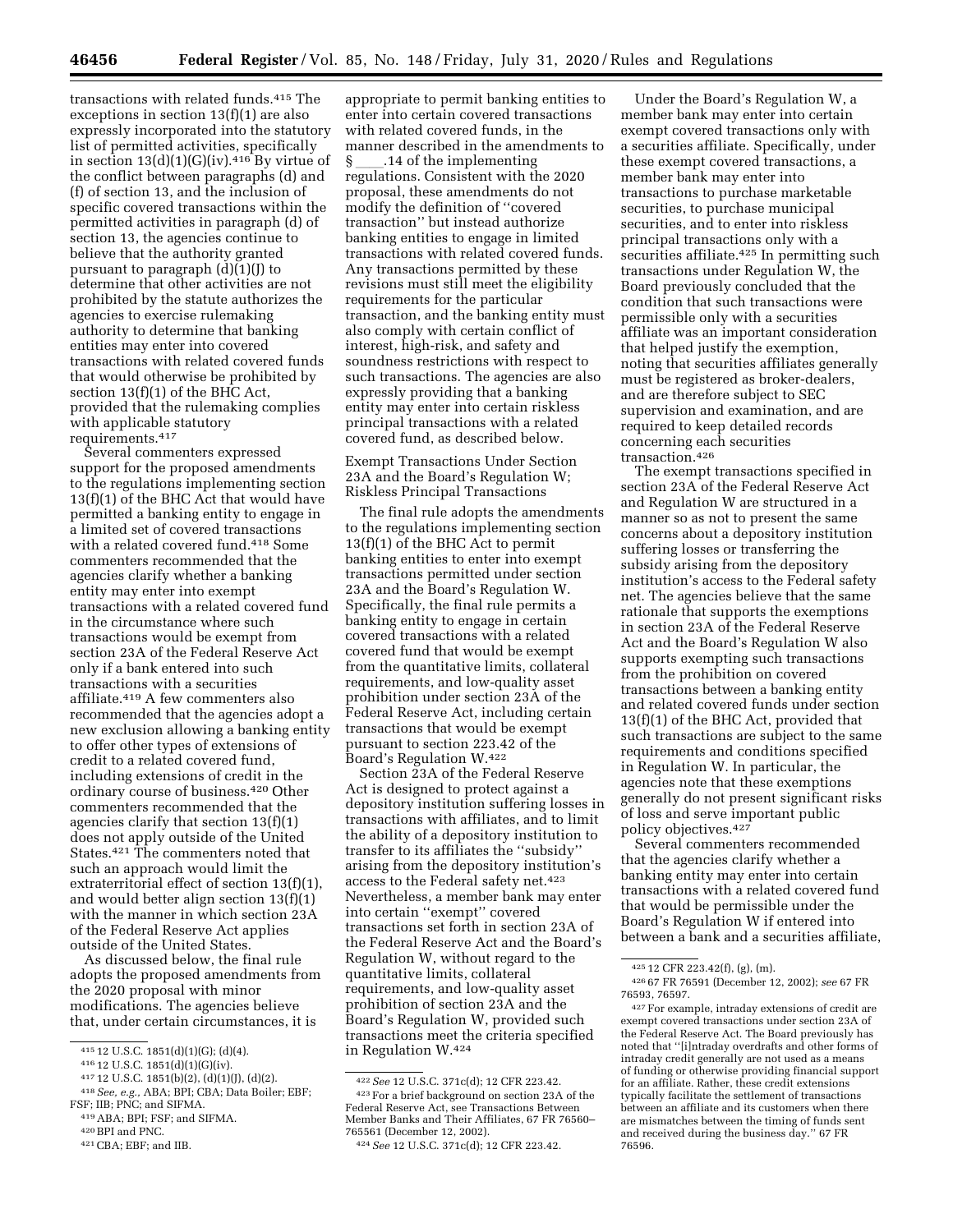transactions with related funds.415 The exceptions in section 13(f)(1) are also expressly incorporated into the statutory list of permitted activities, specifically in section  $13(d)(1)(G)(iv).416$  By virtue of the conflict between paragraphs (d) and (f) of section 13, and the inclusion of specific covered transactions within the permitted activities in paragraph (d) of section 13, the agencies continue to believe that the authority granted pursuant to paragraph (d)(1)(J) to determine that other activities are not prohibited by the statute authorizes the agencies to exercise rulemaking authority to determine that banking entities may enter into covered transactions with related covered funds that would otherwise be prohibited by section 13(f)(1) of the BHC Act, provided that the rulemaking complies with applicable statutory requirements.417

Several commenters expressed support for the proposed amendments to the regulations implementing section 13(f)(1) of the BHC Act that would have permitted a banking entity to engage in a limited set of covered transactions with a related covered fund.418 Some commenters recommended that the agencies clarify whether a banking entity may enter into exempt transactions with a related covered fund in the circumstance where such transactions would be exempt from section 23A of the Federal Reserve Act only if a bank entered into such transactions with a securities affiliate.419 A few commenters also recommended that the agencies adopt a new exclusion allowing a banking entity to offer other types of extensions of credit to a related covered fund, including extensions of credit in the ordinary course of business.420 Other commenters recommended that the agencies clarify that section 13(f)(1) does not apply outside of the United States.421 The commenters noted that such an approach would limit the extraterritorial effect of section 13(f)(1), and would better align section 13(f)(1) with the manner in which section 23A of the Federal Reserve Act applies outside of the United States.

As discussed below, the final rule adopts the proposed amendments from the 2020 proposal with minor modifications. The agencies believe that, under certain circumstances, it is

- 415 12 U.S.C. 1851(d)(1)(G); (d)(4).<br><sup>416</sup> 12 U.S.C. 1851(d)(1)(G)(iv).<br><sup>417</sup> 12 U.S.C. 1851(b)(2), (d)(1)(J), (d)(2).<br><sup>418</sup> *See, e.g.,* ABA; BPI; CBA; Data Boiler; EBF;<br>FSF; IIB; PNC; and SIFMA.
- 
- <sup>419</sup> ABA; BPI; FSF; and SIFMA.<br><sup>420</sup> BPI and PNC.<br><sup>421</sup> CBA; EBF; and IIB.

appropriate to permit banking entities to enter into certain covered transactions with related covered funds, in the manner described in the amendments to<br>§ .14 of the implementing § \_\_\_\_.14 of the implementing<br>regulations. Consistent with the 2020 proposal, these amendments do not modify the definition of ''covered transaction'' but instead authorize banking entities to engage in limited transactions with related covered funds. Any transactions permitted by these revisions must still meet the eligibility requirements for the particular transaction, and the banking entity must also comply with certain conflict of interest, high-risk, and safety and soundness restrictions with respect to such transactions. The agencies are also expressly providing that a banking entity may enter into certain riskless principal transactions with a related covered fund, as described below.

Exempt Transactions Under Section 23A and the Board's Regulation W; Riskless Principal Transactions

The final rule adopts the amendments to the regulations implementing section 13(f)(1) of the BHC Act to permit banking entities to enter into exempt transactions permitted under section 23A and the Board's Regulation W. Specifically, the final rule permits a banking entity to engage in certain covered transactions with a related covered fund that would be exempt from the quantitative limits, collateral requirements, and low-quality asset prohibition under section 23A of the Federal Reserve Act, including certain transactions that would be exempt pursuant to section 223.42 of the Board's Regulation W.422

Section 23A of the Federal Reserve Act is designed to protect against a depository institution suffering losses in transactions with affiliates, and to limit the ability of a depository institution to transfer to its affiliates the ''subsidy'' arising from the depository institution's access to the Federal safety net.423 Nevertheless, a member bank may enter into certain ''exempt'' covered transactions set forth in section 23A of the Federal Reserve Act and the Board's Regulation W, without regard to the quantitative limits, collateral requirements, and low-quality asset prohibition of section 23A and the Board's Regulation W, provided such transactions meet the criteria specified in Regulation W.424

Under the Board's Regulation W, a member bank may enter into certain exempt covered transactions only with a securities affiliate. Specifically, under these exempt covered transactions, a member bank may enter into transactions to purchase marketable securities, to purchase municipal securities, and to enter into riskless principal transactions only with a securities affiliate.<sup>425</sup> In permitting such transactions under Regulation W, the Board previously concluded that the condition that such transactions were permissible only with a securities affiliate was an important consideration that helped justify the exemption, noting that securities affiliates generally must be registered as broker-dealers, and are therefore subject to SEC supervision and examination, and are required to keep detailed records concerning each securities transaction.426

The exempt transactions specified in section 23A of the Federal Reserve Act and Regulation W are structured in a manner so as not to present the same concerns about a depository institution suffering losses or transferring the subsidy arising from the depository institution's access to the Federal safety net. The agencies believe that the same rationale that supports the exemptions in section 23A of the Federal Reserve Act and the Board's Regulation W also supports exempting such transactions from the prohibition on covered transactions between a banking entity and related covered funds under section 13(f)(1) of the BHC Act, provided that such transactions are subject to the same requirements and conditions specified in Regulation W. In particular, the agencies note that these exemptions generally do not present significant risks of loss and serve important public policy objectives.427

Several commenters recommended that the agencies clarify whether a banking entity may enter into certain transactions with a related covered fund that would be permissible under the Board's Regulation W if entered into between a bank and a securities affiliate,

<sup>422</sup>*See* 12 U.S.C. 371c(d); 12 CFR 223.42. 423For a brief background on section 23A of the

Federal Reserve Act, see Transactions Between Member Banks and Their Affiliates, 67 FR 76560– 765561 (December 12, 2002).

<sup>424</sup>*See* 12 U.S.C. 371c(d); 12 CFR 223.42.

<sup>425</sup> 12 CFR 223.42(f), (g), (m).

<sup>426</sup> 67 FR 76591 (December 12, 2002); *see* 67 FR 76593, 76597.

<sup>427</sup>For example, intraday extensions of credit are exempt covered transactions under section 23A of the Federal Reserve Act. The Board previously has noted that ''[i]ntraday overdrafts and other forms of intraday credit generally are not used as a means of funding or otherwise providing financial support for an affiliate. Rather, these credit extensions typically facilitate the settlement of transactions between an affiliate and its customers when there are mismatches between the timing of funds sent and received during the business day.'' 67 FR 76596.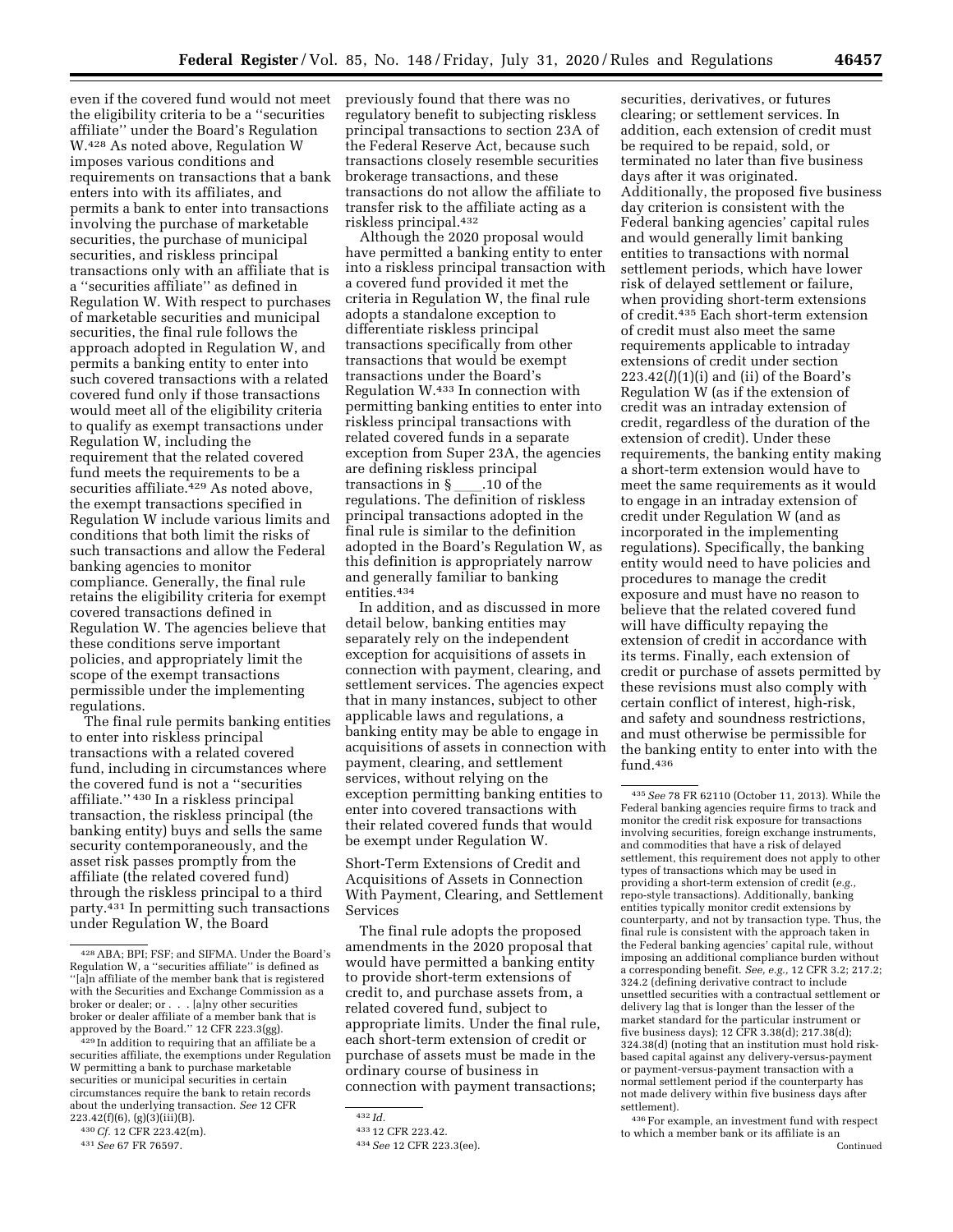even if the covered fund would not meet the eligibility criteria to be a ''securities affiliate'' under the Board's Regulation W.428 As noted above, Regulation W imposes various conditions and requirements on transactions that a bank enters into with its affiliates, and permits a bank to enter into transactions involving the purchase of marketable securities, the purchase of municipal securities, and riskless principal transactions only with an affiliate that is a ''securities affiliate'' as defined in Regulation W. With respect to purchases of marketable securities and municipal securities, the final rule follows the approach adopted in Regulation W, and permits a banking entity to enter into such covered transactions with a related covered fund only if those transactions would meet all of the eligibility criteria to qualify as exempt transactions under Regulation W, including the requirement that the related covered fund meets the requirements to be a securities affiliate.<sup>429</sup> As noted above, the exempt transactions specified in Regulation W include various limits and conditions that both limit the risks of such transactions and allow the Federal banking agencies to monitor compliance. Generally, the final rule retains the eligibility criteria for exempt covered transactions defined in Regulation W. The agencies believe that these conditions serve important policies, and appropriately limit the scope of the exempt transactions permissible under the implementing regulations.

The final rule permits banking entities to enter into riskless principal transactions with a related covered fund, including in circumstances where the covered fund is not a ''securities affiliate.'' 430 In a riskless principal transaction, the riskless principal (the banking entity) buys and sells the same security contemporaneously, and the asset risk passes promptly from the affiliate (the related covered fund) through the riskless principal to a third party.431 In permitting such transactions under Regulation W, the Board

429 In addition to requiring that an affiliate be a securities affiliate, the exemptions under Regulation W permitting a bank to purchase marketable securities or municipal securities in certain circumstances require the bank to retain records about the underlying transaction. *See* 12 CFR 223.42(f)(6), (g)(3)(iii)(B).

previously found that there was no regulatory benefit to subjecting riskless principal transactions to section 23A of the Federal Reserve Act, because such transactions closely resemble securities brokerage transactions, and these transactions do not allow the affiliate to transfer risk to the affiliate acting as a riskless principal.432

Although the 2020 proposal would have permitted a banking entity to enter into a riskless principal transaction with a covered fund provided it met the criteria in Regulation W, the final rule adopts a standalone exception to differentiate riskless principal transactions specifically from other transactions that would be exempt transactions under the Board's Regulation W.433 In connection with permitting banking entities to enter into riskless principal transactions with related covered funds in a separate exception from Super 23A, the agencies are defining riskless principal<br>transactions in §\_0.10 of the transactions in § \_\_\_\_.10 of the<br>regulations. The definition of riskless principal transactions adopted in the final rule is similar to the definition adopted in the Board's Regulation W, as this definition is appropriately narrow and generally familiar to banking entities.434

In addition, and as discussed in more detail below, banking entities may separately rely on the independent exception for acquisitions of assets in connection with payment, clearing, and settlement services. The agencies expect that in many instances, subject to other applicable laws and regulations, a banking entity may be able to engage in acquisitions of assets in connection with payment, clearing, and settlement services, without relying on the exception permitting banking entities to enter into covered transactions with their related covered funds that would be exempt under Regulation W.

Short-Term Extensions of Credit and Acquisitions of Assets in Connection With Payment, Clearing, and Settlement Services

The final rule adopts the proposed amendments in the 2020 proposal that would have permitted a banking entity to provide short-term extensions of credit to, and purchase assets from, a related covered fund, subject to appropriate limits. Under the final rule, each short-term extension of credit or purchase of assets must be made in the ordinary course of business in connection with payment transactions;

securities, derivatives, or futures clearing; or settlement services. In addition, each extension of credit must be required to be repaid, sold, or terminated no later than five business days after it was originated. Additionally, the proposed five business day criterion is consistent with the Federal banking agencies' capital rules and would generally limit banking entities to transactions with normal settlement periods, which have lower risk of delayed settlement or failure, when providing short-term extensions of credit.435 Each short-term extension of credit must also meet the same requirements applicable to intraday extensions of credit under section 223.42(*l*)(1)(i) and (ii) of the Board's Regulation W (as if the extension of credit was an intraday extension of credit, regardless of the duration of the extension of credit). Under these requirements, the banking entity making a short-term extension would have to meet the same requirements as it would to engage in an intraday extension of credit under Regulation W (and as incorporated in the implementing regulations). Specifically, the banking entity would need to have policies and procedures to manage the credit exposure and must have no reason to believe that the related covered fund will have difficulty repaying the extension of credit in accordance with its terms. Finally, each extension of credit or purchase of assets permitted by these revisions must also comply with certain conflict of interest, high-risk, and safety and soundness restrictions, and must otherwise be permissible for the banking entity to enter into with the fund.436

<sup>428</sup>ABA; BPI; FSF; and SIFMA. Under the Board's Regulation W, a ''securities affiliate'' is defined as ''[a]n affiliate of the member bank that is registered with the Securities and Exchange Commission as a broker or dealer; or . . . [a]ny other securities broker or dealer affiliate of a member bank that is approved by the Board.'' 12 CFR 223.3(gg).

<sup>430</sup>*Cf.* 12 CFR 223.42(m).

<sup>431</sup>*See* 67 FR 76597.

<sup>432</sup> *Id.* 

<sup>433</sup> 12 CFR 223.42.

<sup>434</sup>*See* 12 CFR 223.3(ee).

<sup>435</sup>*See* 78 FR 62110 (October 11, 2013). While the Federal banking agencies require firms to track and monitor the credit risk exposure for transactions involving securities, foreign exchange instruments, and commodities that have a risk of delayed settlement, this requirement does not apply to other types of transactions which may be used in providing a short-term extension of credit (*e.g.,*  repo-style transactions). Additionally, banking entities typically monitor credit extensions by counterparty, and not by transaction type. Thus, the final rule is consistent with the approach taken in the Federal banking agencies' capital rule, without imposing an additional compliance burden without a corresponding benefit. *See, e.g.,* 12 CFR 3.2; 217.2; 324.2 (defining derivative contract to include unsettled securities with a contractual settlement or delivery lag that is longer than the lesser of the market standard for the particular instrument or five business days); 12 CFR 3.38(d); 217.38(d); 324.38(d) (noting that an institution must hold riskbased capital against any delivery-versus-payment or payment-versus-payment transaction with a normal settlement period if the counterparty has not made delivery within five business days after settlement).

<sup>436</sup>For example, an investment fund with respect to which a member bank or its affiliate is an Continued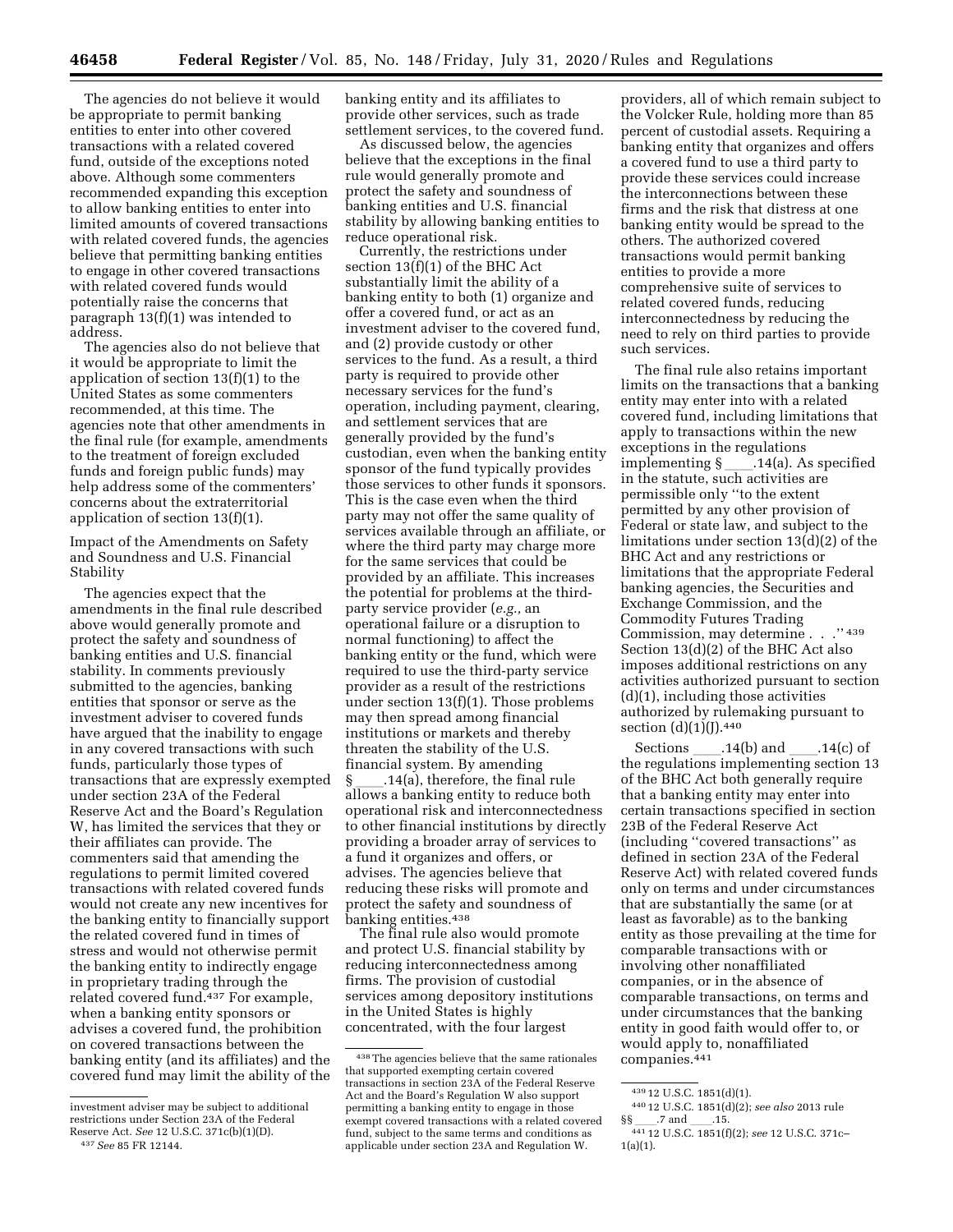The agencies do not believe it would be appropriate to permit banking entities to enter into other covered transactions with a related covered fund, outside of the exceptions noted above. Although some commenters recommended expanding this exception to allow banking entities to enter into limited amounts of covered transactions with related covered funds, the agencies believe that permitting banking entities to engage in other covered transactions with related covered funds would potentially raise the concerns that paragraph 13(f)(1) was intended to address.

The agencies also do not believe that it would be appropriate to limit the application of section 13(f)(1) to the United States as some commenters recommended, at this time. The agencies note that other amendments in the final rule (for example, amendments to the treatment of foreign excluded funds and foreign public funds) may help address some of the commenters' concerns about the extraterritorial application of section 13(f)(1).

Impact of the Amendments on Safety and Soundness and U.S. Financial Stability

The agencies expect that the amendments in the final rule described above would generally promote and protect the safety and soundness of banking entities and U.S. financial stability. In comments previously submitted to the agencies, banking entities that sponsor or serve as the investment adviser to covered funds have argued that the inability to engage in any covered transactions with such funds, particularly those types of transactions that are expressly exempted under section 23A of the Federal Reserve Act and the Board's Regulation W, has limited the services that they or their affiliates can provide. The commenters said that amending the regulations to permit limited covered transactions with related covered funds would not create any new incentives for the banking entity to financially support the related covered fund in times of stress and would not otherwise permit the banking entity to indirectly engage in proprietary trading through the related covered fund.437 For example, when a banking entity sponsors or advises a covered fund, the prohibition on covered transactions between the banking entity (and its affiliates) and the covered fund may limit the ability of the

As discussed below, the agencies believe that the exceptions in the final rule would generally promote and protect the safety and soundness of banking entities and U.S. financial stability by allowing banking entities to reduce operational risk.

Currently, the restrictions under section 13(f)(1) of the BHC Act substantially limit the ability of a banking entity to both (1) organize and offer a covered fund, or act as an investment adviser to the covered fund, and (2) provide custody or other services to the fund. As a result, a third party is required to provide other necessary services for the fund's operation, including payment, clearing, and settlement services that are generally provided by the fund's custodian, even when the banking entity sponsor of the fund typically provides those services to other funds it sponsors. This is the case even when the third party may not offer the same quality of services available through an affiliate, or where the third party may charge more for the same services that could be provided by an affiliate. This increases the potential for problems at the thirdparty service provider (*e.g.,* an operational failure or a disruption to normal functioning) to affect the banking entity or the fund, which were required to use the third-party service provider as a result of the restrictions under section 13(f)(1). Those problems may then spread among financial institutions or markets and thereby threaten the stability of the U.S. financial system. By amending  $\S$  .14(a), therefore, the final rule allows a banking entity to reduce both operational risk and interconnectedness to other financial institutions by directly providing a broader array of services to a fund it organizes and offers, or advises. The agencies believe that reducing these risks will promote and protect the safety and soundness of banking entities.438

The final rule also would promote and protect U.S. financial stability by reducing interconnectedness among firms. The provision of custodial services among depository institutions in the United States is highly concentrated, with the four largest

providers, all of which remain subject to the Volcker Rule, holding more than 85 percent of custodial assets. Requiring a banking entity that organizes and offers a covered fund to use a third party to provide these services could increase the interconnections between these firms and the risk that distress at one banking entity would be spread to the others. The authorized covered transactions would permit banking entities to provide a more comprehensive suite of services to related covered funds, reducing interconnectedness by reducing the need to rely on third parties to provide such services.

The final rule also retains important limits on the transactions that a banking entity may enter into with a related covered fund, including limitations that apply to transactions within the new exceptions in the regulations implementing § \_\_\_\_.14(a). As specified<br>in the statute, such activities are permissible only ''to the extent permitted by any other provision of Federal or state law, and subject to the limitations under section 13(d)(2) of the BHC Act and any restrictions or limitations that the appropriate Federal banking agencies, the Securities and Exchange Commission, and the Commodity Futures Trading Commission, may determine . . . "439 Section 13(d)(2) of the BHC Act also imposes additional restrictions on any activities authorized pursuant to section (d)(1), including those activities authorized by rulemaking pursuant to section (d)(1)(J).<sup>440</sup>

Sections  $\_\_14(b)$  and  $\_\_14(c)$  of the regulations implementing section 13 of the BHC Act both generally require that a banking entity may enter into certain transactions specified in section 23B of the Federal Reserve Act (including ''covered transactions'' as defined in section 23A of the Federal Reserve Act) with related covered funds only on terms and under circumstances that are substantially the same (or at least as favorable) as to the banking entity as those prevailing at the time for comparable transactions with or involving other nonaffiliated companies, or in the absence of comparable transactions, on terms and under circumstances that the banking entity in good faith would offer to, or would apply to, nonaffiliated companies.441

investment adviser may be subject to additional restrictions under Section 23A of the Federal Reserve Act. *See* 12 U.S.C. 371c(b)(1)(D). 437*See* 85 FR 12144.

banking entity and its affiliates to provide other services, such as trade settlement services, to the covered fund.

<sup>438</sup>The agencies believe that the same rationales that supported exempting certain covered transactions in section 23A of the Federal Reserve Act and the Board's Regulation W also support permitting a banking entity to engage in those exempt covered transactions with a related covered fund, subject to the same terms and conditions as applicable under section 23A and Regulation W.

<sup>439</sup> 12 U.S.C. 1851(d)(1).

<sup>440</sup> 12 U.S.C. 1851(d)(2); *see also* 2013 rule  $\frac{3}{10}$ .7 and  $\frac{1}{10}$ .15.

<sup>441</sup> 12 U.S.C. 1851(f)(2); *see* 12 U.S.C. 371c– 1(a)(1).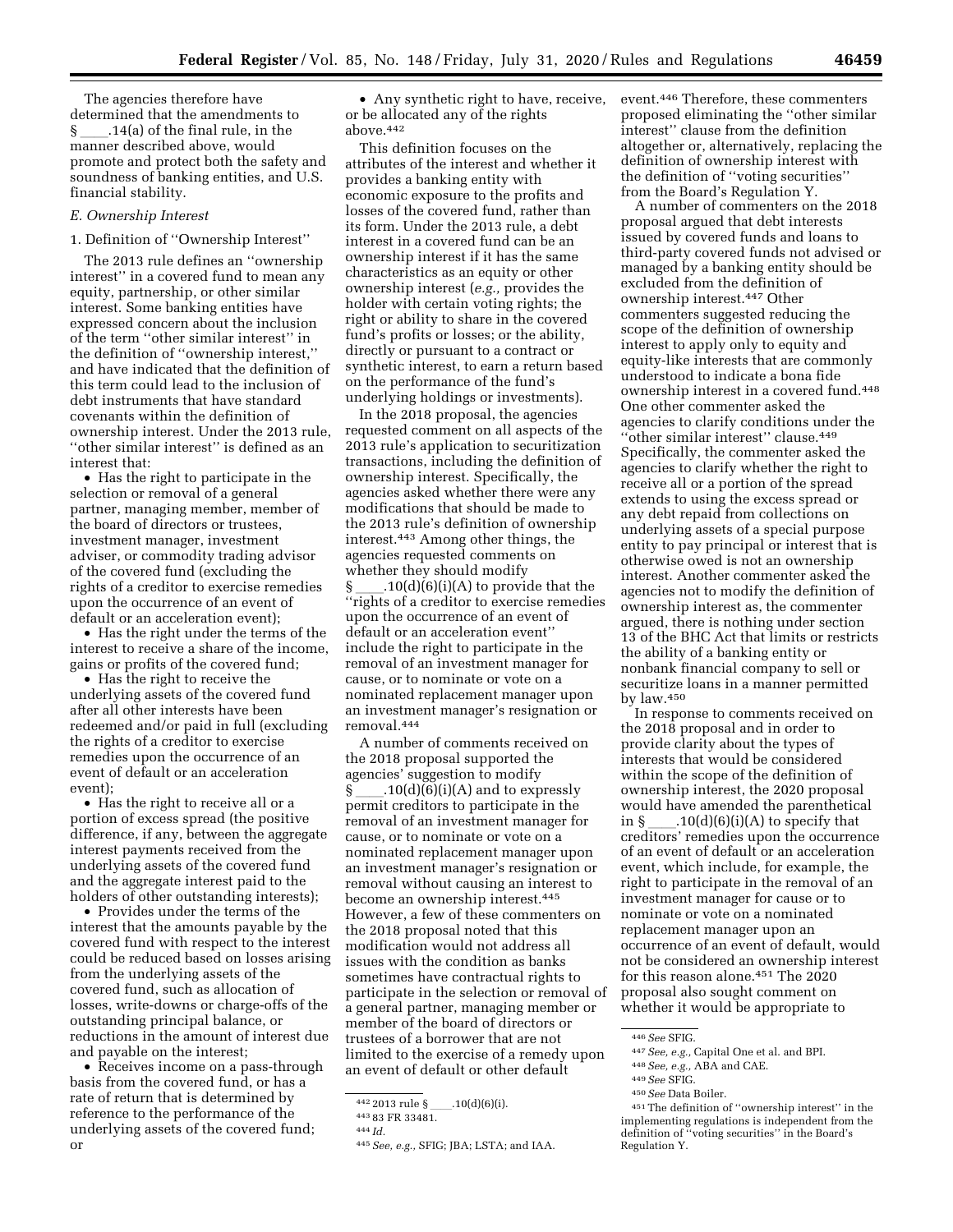The agencies therefore have determined that the amendments to  $\S$  .14(a) of the final rule, in the manner described above, would promote and protect both the safety and soundness of banking entities, and U.S. financial stability.

#### *E. Ownership Interest*

1. Definition of ''Ownership Interest''

The 2013 rule defines an ''ownership interest'' in a covered fund to mean any equity, partnership, or other similar interest. Some banking entities have expressed concern about the inclusion of the term ''other similar interest'' in the definition of ''ownership interest,'' and have indicated that the definition of this term could lead to the inclusion of debt instruments that have standard covenants within the definition of ownership interest. Under the 2013 rule, ''other similar interest'' is defined as an interest that:

• Has the right to participate in the selection or removal of a general partner, managing member, member of the board of directors or trustees, investment manager, investment adviser, or commodity trading advisor of the covered fund (excluding the rights of a creditor to exercise remedies upon the occurrence of an event of default or an acceleration event);

• Has the right under the terms of the interest to receive a share of the income, gains or profits of the covered fund;

• Has the right to receive the underlying assets of the covered fund after all other interests have been redeemed and/or paid in full (excluding the rights of a creditor to exercise remedies upon the occurrence of an event of default or an acceleration event);

• Has the right to receive all or a portion of excess spread (the positive difference, if any, between the aggregate interest payments received from the underlying assets of the covered fund and the aggregate interest paid to the holders of other outstanding interests);

• Provides under the terms of the interest that the amounts payable by the covered fund with respect to the interest could be reduced based on losses arising from the underlying assets of the covered fund, such as allocation of losses, write-downs or charge-offs of the outstanding principal balance, or reductions in the amount of interest due and payable on the interest;

• Receives income on a pass-through basis from the covered fund, or has a rate of return that is determined by reference to the performance of the underlying assets of the covered fund; or

• Any synthetic right to have, receive, or be allocated any of the rights above.442

This definition focuses on the attributes of the interest and whether it provides a banking entity with economic exposure to the profits and losses of the covered fund, rather than its form. Under the 2013 rule, a debt interest in a covered fund can be an ownership interest if it has the same characteristics as an equity or other ownership interest (*e.g.,* provides the holder with certain voting rights; the right or ability to share in the covered fund's profits or losses; or the ability, directly or pursuant to a contract or synthetic interest, to earn a return based on the performance of the fund's underlying holdings or investments).

In the 2018 proposal, the agencies requested comment on all aspects of the 2013 rule's application to securitization transactions, including the definition of ownership interest. Specifically, the agencies asked whether there were any modifications that should be made to the 2013 rule's definition of ownership interest.443 Among other things, the agencies requested comments on whether they should modify

§ \_\_\_\_.10(d)(6)(i)(A) to provide that the<br>''rights of a creditor to exercise remedies upon the occurrence of an event of default or an acceleration event'' include the right to participate in the removal of an investment manager for cause, or to nominate or vote on a nominated replacement manager upon an investment manager's resignation or removal.444

A number of comments received on the 2018 proposal supported the agencies' suggestion to modify

 $\S$  .10(d)(6)(i)(A) and to expressly permit creditors to participate in the removal of an investment manager for cause, or to nominate or vote on a nominated replacement manager upon an investment manager's resignation or removal without causing an interest to become an ownership interest.445 However, a few of these commenters on the 2018 proposal noted that this modification would not address all issues with the condition as banks sometimes have contractual rights to participate in the selection or removal of a general partner, managing member or member of the board of directors or trustees of a borrower that are not limited to the exercise of a remedy upon an event of default or other default

event.446 Therefore, these commenters proposed eliminating the ''other similar interest'' clause from the definition altogether or, alternatively, replacing the definition of ownership interest with the definition of ''voting securities'' from the Board's Regulation Y.

A number of commenters on the 2018 proposal argued that debt interests issued by covered funds and loans to third-party covered funds not advised or managed by a banking entity should be excluded from the definition of ownership interest.447 Other commenters suggested reducing the scope of the definition of ownership interest to apply only to equity and equity-like interests that are commonly understood to indicate a bona fide ownership interest in a covered fund.448 One other commenter asked the agencies to clarify conditions under the "other similar interest" clause.<sup>449</sup> Specifically, the commenter asked the agencies to clarify whether the right to receive all or a portion of the spread extends to using the excess spread or any debt repaid from collections on underlying assets of a special purpose entity to pay principal or interest that is otherwise owed is not an ownership interest. Another commenter asked the agencies not to modify the definition of ownership interest as, the commenter argued, there is nothing under section 13 of the BHC Act that limits or restricts the ability of a banking entity or nonbank financial company to sell or securitize loans in a manner permitted by law.450

In response to comments received on the 2018 proposal and in order to provide clarity about the types of interests that would be considered within the scope of the definition of ownership interest, the 2020 proposal would have amended the parenthetical in § \_\_\_\_.10(d)(6)(i)(A) to specify that<br>creditors' remedies upon the occurrence of an event of default or an acceleration event, which include, for example, the right to participate in the removal of an investment manager for cause or to nominate or vote on a nominated replacement manager upon an occurrence of an event of default, would not be considered an ownership interest for this reason alone.451 The 2020 proposal also sought comment on whether it would be appropriate to

<sup>442 2013</sup> rule §\_\_\_\_.10(d)(6)(i).

<sup>443</sup> 83 FR 33481.

<sup>444</sup> *Id.* 

<sup>445</sup>*See, e.g.,* SFIG; JBA; LSTA; and IAA.

<sup>446</sup>*See* SFIG.

<sup>447</sup>*See, e.g.,* Capital One et al. and BPI.

<sup>448</sup>*See, e.g.,* ABA and CAE.

<sup>449</sup>*See* SFIG.

<sup>450</sup>*See* Data Boiler.

<sup>451</sup>The definition of ''ownership interest'' in the implementing regulations is independent from the definition of ''voting securities'' in the Board's Regulation Y.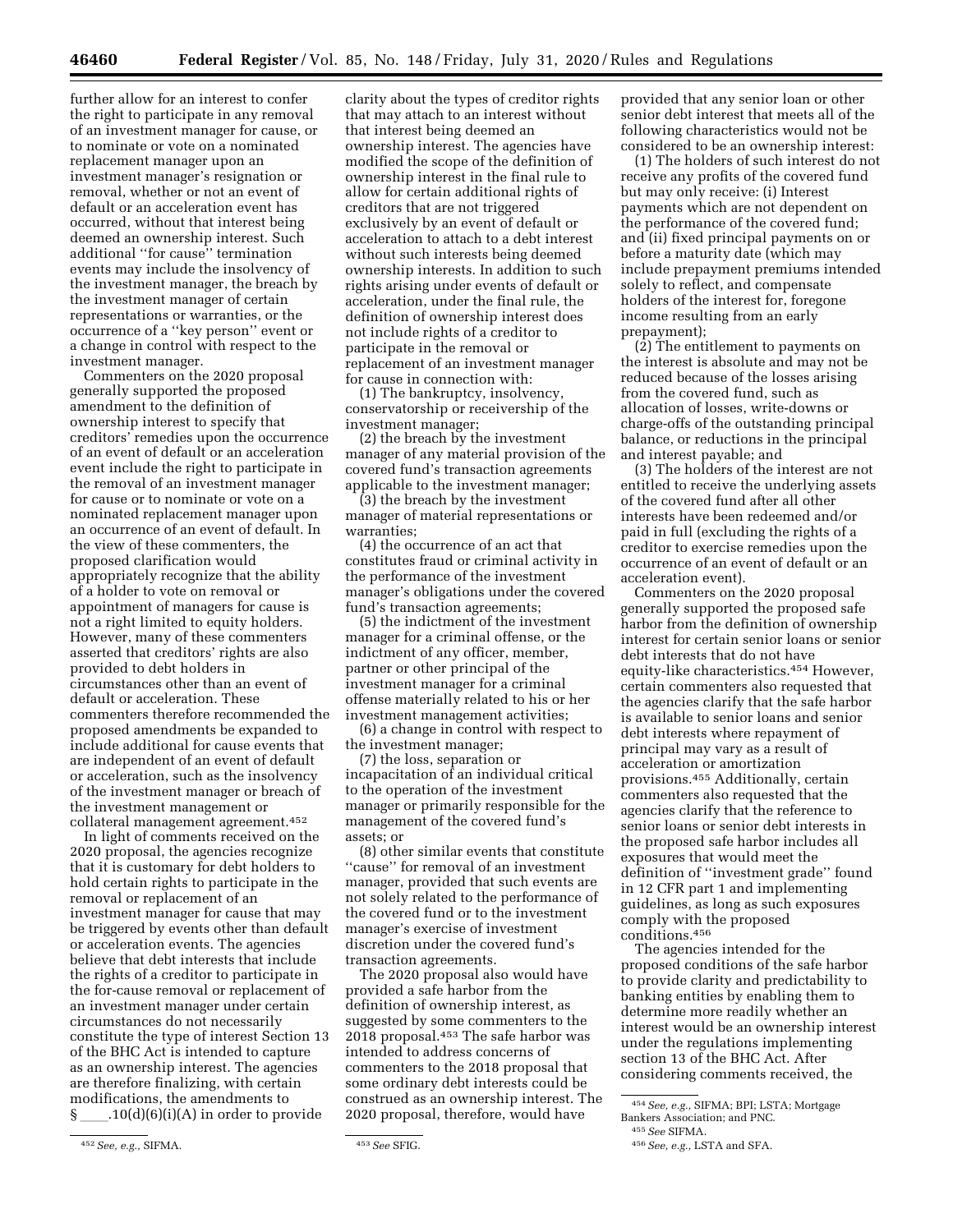further allow for an interest to confer the right to participate in any removal of an investment manager for cause, or to nominate or vote on a nominated replacement manager upon an investment manager's resignation or removal, whether or not an event of default or an acceleration event has occurred, without that interest being deemed an ownership interest. Such additional ''for cause'' termination events may include the insolvency of the investment manager, the breach by the investment manager of certain representations or warranties, or the occurrence of a ''key person'' event or a change in control with respect to the investment manager.

Commenters on the 2020 proposal generally supported the proposed amendment to the definition of ownership interest to specify that creditors' remedies upon the occurrence of an event of default or an acceleration event include the right to participate in the removal of an investment manager for cause or to nominate or vote on a nominated replacement manager upon an occurrence of an event of default. In the view of these commenters, the proposed clarification would appropriately recognize that the ability of a holder to vote on removal or appointment of managers for cause is not a right limited to equity holders. However, many of these commenters asserted that creditors' rights are also provided to debt holders in circumstances other than an event of default or acceleration. These commenters therefore recommended the proposed amendments be expanded to include additional for cause events that are independent of an event of default or acceleration, such as the insolvency of the investment manager or breach of the investment management or collateral management agreement.452

In light of comments received on the 2020 proposal, the agencies recognize that it is customary for debt holders to hold certain rights to participate in the removal or replacement of an investment manager for cause that may be triggered by events other than default or acceleration events. The agencies believe that debt interests that include the rights of a creditor to participate in the for-cause removal or replacement of an investment manager under certain circumstances do not necessarily constitute the type of interest Section 13 of the BHC Act is intended to capture as an ownership interest. The agencies are therefore finalizing, with certain modifications, the amendments to  $\S$  .10(d)(6)(i)(A) in order to provide

clarity about the types of creditor rights that may attach to an interest without that interest being deemed an ownership interest. The agencies have modified the scope of the definition of ownership interest in the final rule to allow for certain additional rights of creditors that are not triggered exclusively by an event of default or acceleration to attach to a debt interest without such interests being deemed ownership interests. In addition to such rights arising under events of default or acceleration, under the final rule, the definition of ownership interest does not include rights of a creditor to participate in the removal or replacement of an investment manager for cause in connection with:

(1) The bankruptcy, insolvency, conservatorship or receivership of the investment manager;

(2) the breach by the investment manager of any material provision of the covered fund's transaction agreements applicable to the investment manager;

(3) the breach by the investment manager of material representations or warranties;

(4) the occurrence of an act that constitutes fraud or criminal activity in the performance of the investment manager's obligations under the covered fund's transaction agreements;

(5) the indictment of the investment manager for a criminal offense, or the indictment of any officer, member, partner or other principal of the investment manager for a criminal offense materially related to his or her investment management activities;

(6) a change in control with respect to the investment manager;

(7) the loss, separation or incapacitation of an individual critical to the operation of the investment manager or primarily responsible for the management of the covered fund's assets; or

(8) other similar events that constitute ''cause'' for removal of an investment manager, provided that such events are not solely related to the performance of the covered fund or to the investment manager's exercise of investment discretion under the covered fund's transaction agreements.

The 2020 proposal also would have provided a safe harbor from the definition of ownership interest, as suggested by some commenters to the 2018 proposal.453 The safe harbor was intended to address concerns of commenters to the 2018 proposal that some ordinary debt interests could be construed as an ownership interest. The 2020 proposal, therefore, would have

provided that any senior loan or other senior debt interest that meets all of the following characteristics would not be considered to be an ownership interest:

(1) The holders of such interest do not receive any profits of the covered fund but may only receive: (i) Interest payments which are not dependent on the performance of the covered fund; and (ii) fixed principal payments on or before a maturity date (which may include prepayment premiums intended solely to reflect, and compensate holders of the interest for, foregone income resulting from an early prepayment);

(2) The entitlement to payments on the interest is absolute and may not be reduced because of the losses arising from the covered fund, such as allocation of losses, write-downs or charge-offs of the outstanding principal balance, or reductions in the principal and interest payable; and

(3) The holders of the interest are not entitled to receive the underlying assets of the covered fund after all other interests have been redeemed and/or paid in full (excluding the rights of a creditor to exercise remedies upon the occurrence of an event of default or an acceleration event).

Commenters on the 2020 proposal generally supported the proposed safe harbor from the definition of ownership interest for certain senior loans or senior debt interests that do not have equity-like characteristics.454 However, certain commenters also requested that the agencies clarify that the safe harbor is available to senior loans and senior debt interests where repayment of principal may vary as a result of acceleration or amortization provisions.455 Additionally, certain commenters also requested that the agencies clarify that the reference to senior loans or senior debt interests in the proposed safe harbor includes all exposures that would meet the definition of ''investment grade'' found in 12 CFR part 1 and implementing guidelines, as long as such exposures comply with the proposed conditions.456

The agencies intended for the proposed conditions of the safe harbor to provide clarity and predictability to banking entities by enabling them to determine more readily whether an interest would be an ownership interest under the regulations implementing section 13 of the BHC Act. After considering comments received, the

<sup>452</sup>*See, e.g.,* SIFMA. 453*See* SFIG.

<sup>454</sup>*See, e.g.,* SIFMA; BPI; LSTA; Mortgage Bankers Association; and PNC.

<sup>455</sup>*See* SIFMA.

<sup>456</sup>*See, e.g.,* LSTA and SFA.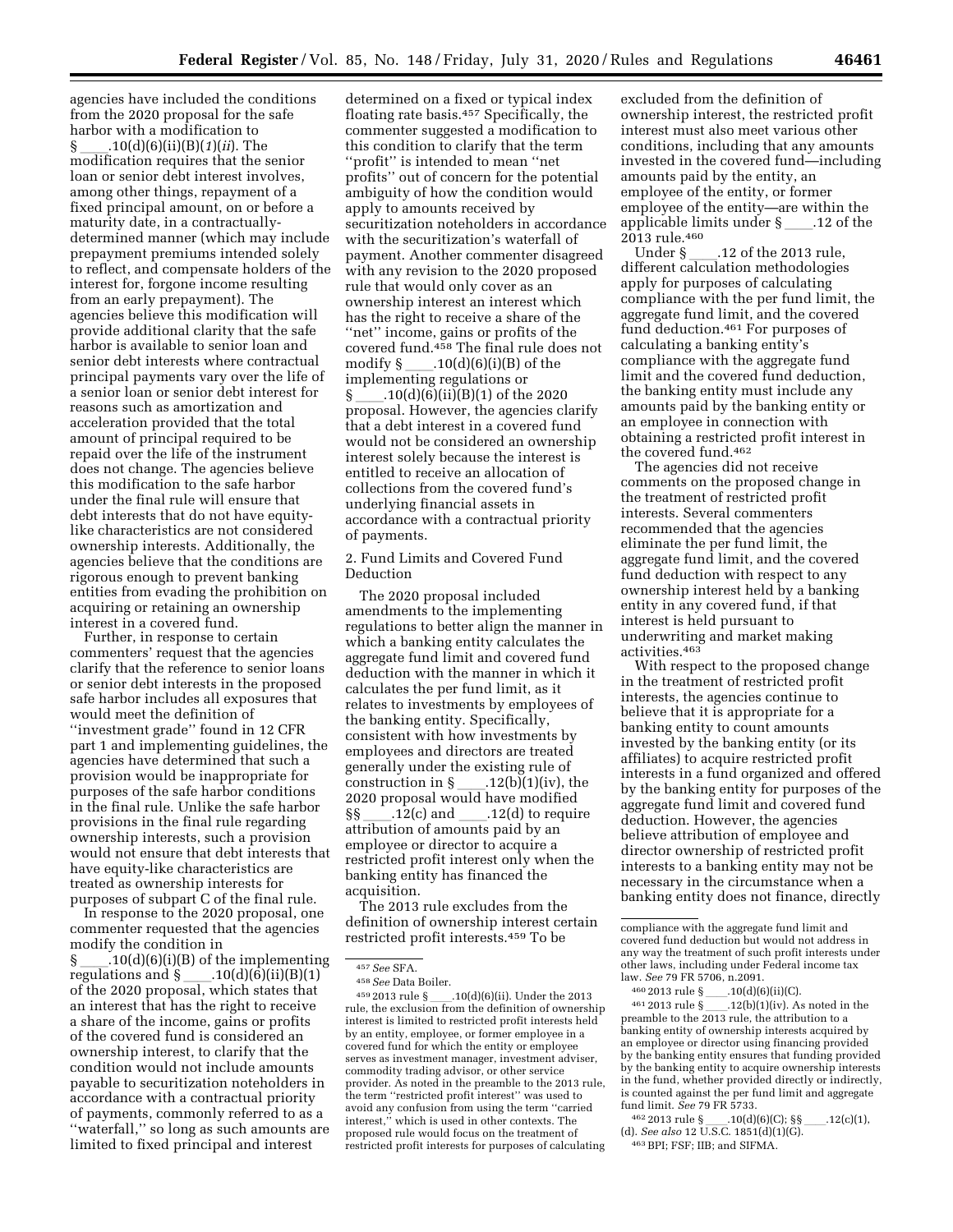agencies have included the conditions from the 2020 proposal for the safe harbor with a modification to § \_\_\_\_.10(d)(6)(ii)(B)(*1*)(*ii*). The<br>modification requires that the senior loan or senior debt interest involves, among other things, repayment of a fixed principal amount, on or before a maturity date, in a contractuallydetermined manner (which may include prepayment premiums intended solely to reflect, and compensate holders of the interest for, forgone income resulting from an early prepayment). The agencies believe this modification will provide additional clarity that the safe harbor is available to senior loan and senior debt interests where contractual principal payments vary over the life of a senior loan or senior debt interest for reasons such as amortization and acceleration provided that the total amount of principal required to be repaid over the life of the instrument does not change. The agencies believe this modification to the safe harbor under the final rule will ensure that debt interests that do not have equitylike characteristics are not considered ownership interests. Additionally, the agencies believe that the conditions are rigorous enough to prevent banking entities from evading the prohibition on acquiring or retaining an ownership interest in a covered fund.

Further, in response to certain commenters' request that the agencies clarify that the reference to senior loans or senior debt interests in the proposed safe harbor includes all exposures that would meet the definition of ''investment grade'' found in 12 CFR part 1 and implementing guidelines, the agencies have determined that such a provision would be inappropriate for purposes of the safe harbor conditions in the final rule. Unlike the safe harbor provisions in the final rule regarding ownership interests, such a provision would not ensure that debt interests that have equity-like characteristics are treated as ownership interests for purposes of subpart C of the final rule.

In response to the 2020 proposal, one commenter requested that the agencies modify the condition in

 $\S$  \_\_\_\_.10(d)(6)(i)(B) of the implementing<br>regulations and  $\S$  .10(d)(6)(ii)(B)(1) regulations and § \_\_\_\_.10(d)(6)(ii)(B)(1)<br>of the 2020 proposal, which states that an interest that has the right to receive a share of the income, gains or profits of the covered fund is considered an ownership interest, to clarify that the condition would not include amounts payable to securitization noteholders in accordance with a contractual priority of payments, commonly referred to as a ''waterfall,'' so long as such amounts are limited to fixed principal and interest

determined on a fixed or typical index floating rate basis.457 Specifically, the commenter suggested a modification to this condition to clarify that the term ''profit'' is intended to mean ''net profits'' out of concern for the potential ambiguity of how the condition would apply to amounts received by securitization noteholders in accordance with the securitization's waterfall of payment. Another commenter disagreed with any revision to the 2020 proposed rule that would only cover as an ownership interest an interest which has the right to receive a share of the "net" income, gains or profits of the covered fund.458 The final rule does not modify § \_\_\_\_.10(d)(6)(i)(B) of the<br>implementing regulations or  $\S$  .10(d)(6)(ii)(B)(1) of the 2020 proposal. However, the agencies clarify that a debt interest in a covered fund would not be considered an ownership interest solely because the interest is entitled to receive an allocation of collections from the covered fund's underlying financial assets in accordance with a contractual priority of payments.

2. Fund Limits and Covered Fund Deduction

The 2020 proposal included amendments to the implementing regulations to better align the manner in which a banking entity calculates the aggregate fund limit and covered fund deduction with the manner in which it calculates the per fund limit, as it relates to investments by employees of the banking entity. Specifically, consistent with how investments by employees and directors are treated generally under the existing rule of construction in § \_\_\_\_.12(b)(1)(iv), the<br>2020 proposal would have modified  $\S\$  \_\_\_\_\_.12(c) and \_\_\_\_\_.12(d) to require attribution of amounts paid by an employee or director to acquire a restricted profit interest only when the banking entity has financed the acquisition.

The 2013 rule excludes from the definition of ownership interest certain restricted profit interests.459 To be

458*See* Data Boiler. <sup>459</sup> 2013 rule § \_\_\_\_.10(d)(6)(ii). Under the 2013 rule, the exclusion from the definition of ownership interest is limited to restricted profit interests held by an entity, employee, or former employee in a covered fund for which the entity or employee serves as investment manager, investment adviser, commodity trading advisor, or other service provider. As noted in the preamble to the 2013 rule, the term ''restricted profit interest'' was used to avoid any confusion from using the term ''carried interest,'' which is used in other contexts. The proposed rule would focus on the treatment of restricted profit interests for purposes of calculating

excluded from the definition of ownership interest, the restricted profit interest must also meet various other conditions, including that any amounts invested in the covered fund—including amounts paid by the entity, an employee of the entity, or former employee of the entity—are within the applicable limits under  $\S$  \_\_\_\_\_.12 of the 2013 rule.<sup>460</sup><br>Under §

Under § \_\_\_\_.12 of the 2013 rule,<br>different calculation methodologies apply for purposes of calculating compliance with the per fund limit, the aggregate fund limit, and the covered fund deduction.461 For purposes of calculating a banking entity's compliance with the aggregate fund limit and the covered fund deduction, the banking entity must include any amounts paid by the banking entity or an employee in connection with obtaining a restricted profit interest in the covered fund.462

The agencies did not receive comments on the proposed change in the treatment of restricted profit interests. Several commenters recommended that the agencies eliminate the per fund limit, the aggregate fund limit, and the covered fund deduction with respect to any ownership interest held by a banking entity in any covered fund, if that interest is held pursuant to underwriting and market making activities.463

With respect to the proposed change in the treatment of restricted profit interests, the agencies continue to believe that it is appropriate for a banking entity to count amounts invested by the banking entity (or its affiliates) to acquire restricted profit interests in a fund organized and offered by the banking entity for purposes of the aggregate fund limit and covered fund deduction. However, the agencies believe attribution of employee and director ownership of restricted profit interests to a banking entity may not be necessary in the circumstance when a banking entity does not finance, directly

<sup>460</sup> 2013 rule § \_\_\_\_\_\_.10(d)(6)(ii)(C).<br><sup>461</sup> 2013 rule § \_\_\_\_\_\_.12(b)(1)(iv). As noted in the <sup>461</sup> 2013 rule §<sub>\_\_\_\_</sub>\_\_.12(b)(1)(iv). As noted in the preamble to the 2013 rule, the attribution to a banking entity of ownership interests acquired by an employee or director using financing provided by the banking entity ensures that funding provided by the banking entity to acquire ownership interests in the fund, whether provided directly or indirectly, is counted against the per fund limit and aggregate fund limit. *See* 79 FR 5733.

4<sup>62</sup> 2013 rule § \_\_\_\_\_.10(d)(6)(C); §§ \_\_\_\_\_.12(c)(1), (d). *See also* 12 U.S.C. 1851(d)(1)(G).

<sup>457</sup>*See* SFA.

compliance with the aggregate fund limit and covered fund deduction but would not address in any way the treatment of such profit interests under other laws, including under Federal income tax law. *See* 79 FR 5706, n.2091.

<sup>463</sup>BPI; FSF; IIB; and SIFMA.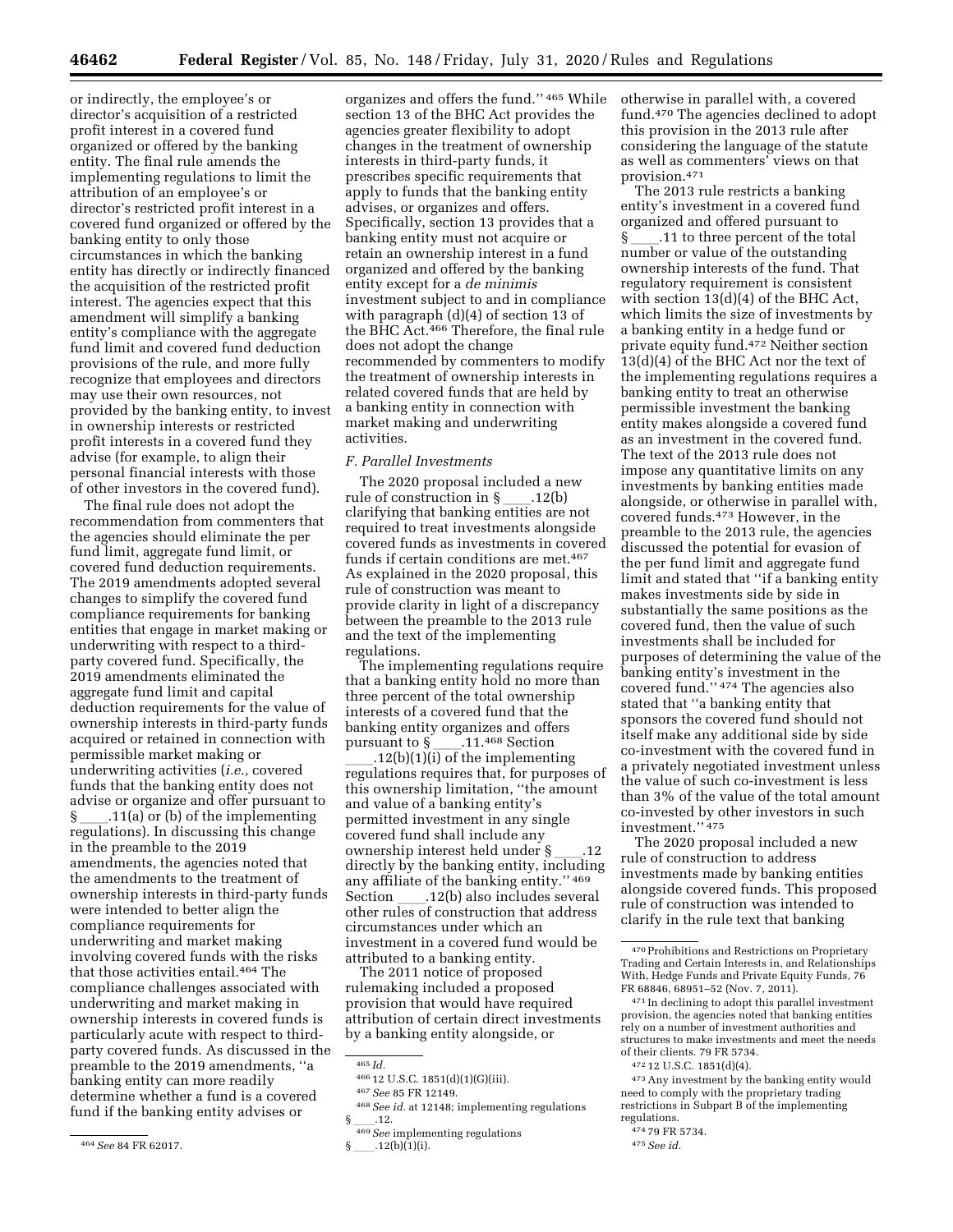or indirectly, the employee's or director's acquisition of a restricted profit interest in a covered fund organized or offered by the banking entity. The final rule amends the implementing regulations to limit the attribution of an employee's or director's restricted profit interest in a covered fund organized or offered by the banking entity to only those circumstances in which the banking entity has directly or indirectly financed the acquisition of the restricted profit interest. The agencies expect that this amendment will simplify a banking entity's compliance with the aggregate fund limit and covered fund deduction provisions of the rule, and more fully recognize that employees and directors may use their own resources, not provided by the banking entity, to invest in ownership interests or restricted profit interests in a covered fund they advise (for example, to align their personal financial interests with those of other investors in the covered fund).

The final rule does not adopt the recommendation from commenters that the agencies should eliminate the per fund limit, aggregate fund limit, or covered fund deduction requirements. The 2019 amendments adopted several changes to simplify the covered fund compliance requirements for banking entities that engage in market making or underwriting with respect to a thirdparty covered fund. Specifically, the 2019 amendments eliminated the aggregate fund limit and capital deduction requirements for the value of ownership interests in third-party funds acquired or retained in connection with permissible market making or underwriting activities (*i.e.,* covered funds that the banking entity does not advise or organize and offer pursuant to  $\S$  .11(a) or (b) of the implementing regulations). In discussing this change in the preamble to the 2019 amendments, the agencies noted that the amendments to the treatment of ownership interests in third-party funds were intended to better align the compliance requirements for underwriting and market making involving covered funds with the risks that those activities entail.464 The compliance challenges associated with underwriting and market making in ownership interests in covered funds is particularly acute with respect to thirdparty covered funds. As discussed in the preamble to the 2019 amendments, ''a banking entity can more readily determine whether a fund is a covered fund if the banking entity advises or

464*See* 84 FR 62017.

organizes and offers the fund.'' 465 While section 13 of the BHC Act provides the agencies greater flexibility to adopt changes in the treatment of ownership interests in third-party funds, it prescribes specific requirements that apply to funds that the banking entity advises, or organizes and offers. Specifically, section 13 provides that a banking entity must not acquire or retain an ownership interest in a fund organized and offered by the banking entity except for a *de minimis*  investment subject to and in compliance with paragraph (d)(4) of section 13 of the BHC Act.466 Therefore, the final rule does not adopt the change recommended by commenters to modify the treatment of ownership interests in related covered funds that are held by a banking entity in connection with market making and underwriting activities.

#### *F. Parallel Investments*

The 2020 proposal included a new<br>rule of construction in  $\S$  .12(b) rule of construction in §\_\_\_\_.12(b)<br>clarifying that banking entities are not required to treat investments alongside covered funds as investments in covered funds if certain conditions are met.467 As explained in the 2020 proposal, this rule of construction was meant to provide clarity in light of a discrepancy between the preamble to the 2013 rule and the text of the implementing regulations.

The implementing regulations require that a banking entity hold no more than three percent of the total ownership interests of a covered fund that the banking entity organizes and offers<br>pursuant to § .11.<sup>468</sup> Section pursuant to  $\frac{1}{2}$ .11.<sup>468</sup> Section<br>.12(b)(1)(i) of the implementi

ll.12(b)(1)(i) of the implementing regulations requires that, for purposes of this ownership limitation, ''the amount and value of a banking entity's permitted investment in any single covered fund shall include any ownership interest held under §\_\_\_.12<br>directly by the banking entity, including any affiliate of the banking entity.'' 469 Section ll.12(b) also includes several other rules of construction that address circumstances under which an investment in a covered fund would be attributed to a banking entity.

The 2011 notice of proposed rulemaking included a proposed provision that would have required attribution of certain direct investments by a banking entity alongside, or

466 12 U.S.C. 1851(d)(1)(G)(iii).

otherwise in parallel with, a covered fund.470 The agencies declined to adopt this provision in the 2013 rule after considering the language of the statute as well as commenters' views on that provision.471

The 2013 rule restricts a banking entity's investment in a covered fund organized and offered pursuant to<br>§ .11 to three percent of the to § ll.11 to three percent of the total number or value of the outstanding ownership interests of the fund. That regulatory requirement is consistent with section 13(d)(4) of the BHC Act, which limits the size of investments by a banking entity in a hedge fund or private equity fund.472 Neither section 13(d)(4) of the BHC Act nor the text of the implementing regulations requires a banking entity to treat an otherwise permissible investment the banking entity makes alongside a covered fund as an investment in the covered fund. The text of the 2013 rule does not impose any quantitative limits on any investments by banking entities made alongside, or otherwise in parallel with, covered funds.473 However, in the preamble to the 2013 rule, the agencies discussed the potential for evasion of the per fund limit and aggregate fund limit and stated that ''if a banking entity makes investments side by side in substantially the same positions as the covered fund, then the value of such investments shall be included for purposes of determining the value of the banking entity's investment in the covered fund.'' 474 The agencies also stated that ''a banking entity that sponsors the covered fund should not itself make any additional side by side co-investment with the covered fund in a privately negotiated investment unless the value of such co-investment is less than 3% of the value of the total amount co-invested by other investors in such investment.'' 475

The 2020 proposal included a new rule of construction to address investments made by banking entities alongside covered funds. This proposed rule of construction was intended to clarify in the rule text that banking

471 In declining to adopt this parallel investment provision, the agencies noted that banking entities rely on a number of investment authorities and structures to make investments and meet the needs of their clients. 79 FR 5734.

472 12 U.S.C. 1851(d)(4).

473Any investment by the banking entity would need to comply with the proprietary trading restrictions in Subpart B of the implementing regulations.

474 79 FR 5734.

475*See id.* 

<sup>465</sup> *Id.* 

<sup>467</sup>*See* 85 FR 12149.

<sup>468</sup>*See id.* at 12148; implementing regulations §ll.12. 469*See* implementing regulations

 $\S$  \_\_\_\_\_\_. 12(b)(1)(i).

 $\rm ^{470}$  Prohibitions and Restrictions on Proprietary Trading and Certain Interests in, and Relationships With, Hedge Funds and Private Equity Funds, 76 FR 68846, 68951–52 (Nov. 7, 2011).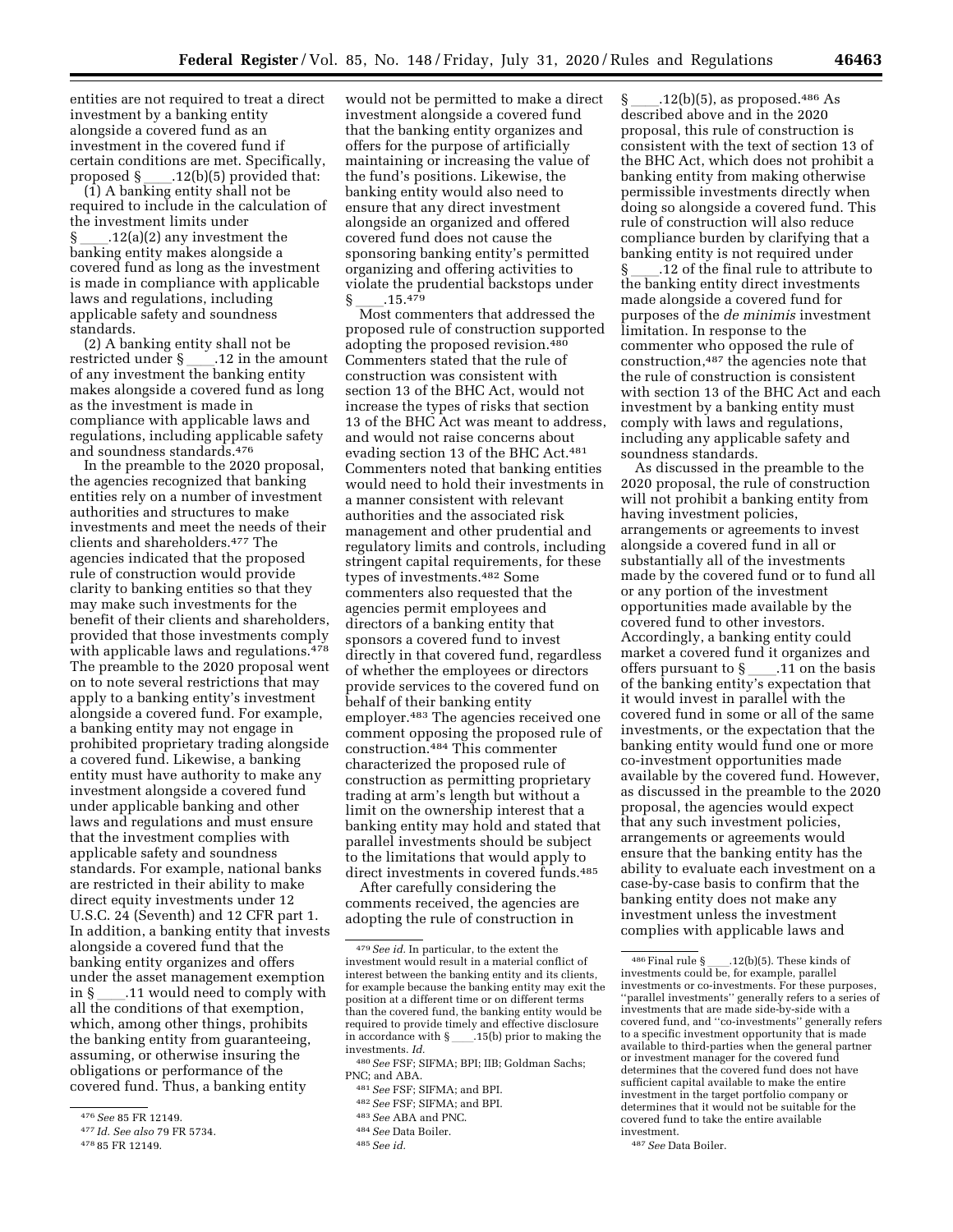entities are not required to treat a direct investment by a banking entity alongside a covered fund as an investment in the covered fund if certain conditions are met. Specifically,<br>proposed  $\S$  .12(b)(5) provided that:  $.12(b)(5)$  provided that:

(1) A banking entity shall not be required to include in the calculation of the investment limits under  $.12(a)(2)$  any investment the banking entity makes alongside a covered fund as long as the investment is made in compliance with applicable laws and regulations, including applicable safety and soundness standards.

(2) A banking entity shall not be restricted under § \_\_\_\_.12 in the amount<br>of any investment the banking entity makes alongside a covered fund as long as the investment is made in compliance with applicable laws and regulations, including applicable safety and soundness standards.476

In the preamble to the 2020 proposal, the agencies recognized that banking entities rely on a number of investment authorities and structures to make investments and meet the needs of their clients and shareholders.477 The agencies indicated that the proposed rule of construction would provide clarity to banking entities so that they may make such investments for the benefit of their clients and shareholders, provided that those investments comply with applicable laws and regulations.<sup>478</sup> The preamble to the 2020 proposal went on to note several restrictions that may apply to a banking entity's investment alongside a covered fund. For example, a banking entity may not engage in prohibited proprietary trading alongside a covered fund. Likewise, a banking entity must have authority to make any investment alongside a covered fund under applicable banking and other laws and regulations and must ensure that the investment complies with applicable safety and soundness standards. For example, national banks are restricted in their ability to make direct equity investments under 12 U.S.C. 24 (Seventh) and 12 CFR part 1. In addition, a banking entity that invests alongside a covered fund that the banking entity organizes and offers under the asset management exemption in  $\S$  .11 would need to comply with all the conditions of that exemption, which, among other things, prohibits the banking entity from guaranteeing, assuming, or otherwise insuring the obligations or performance of the covered fund. Thus, a banking entity

would not be permitted to make a direct investment alongside a covered fund that the banking entity organizes and offers for the purpose of artificially maintaining or increasing the value of the fund's positions. Likewise, the banking entity would also need to ensure that any direct investment alongside an organized and offered covered fund does not cause the sponsoring banking entity's permitted organizing and offering activities to violate the prudential backstops under<br>§ .15.<sup>479</sup>

 $\frac{\S}{\S}$  .15.<sup>479</sup><br>Most commenters that addressed the proposed rule of construction supported adopting the proposed revision.480 Commenters stated that the rule of construction was consistent with section 13 of the BHC Act, would not increase the types of risks that section 13 of the BHC Act was meant to address, and would not raise concerns about evading section 13 of the BHC Act.481 Commenters noted that banking entities would need to hold their investments in a manner consistent with relevant authorities and the associated risk management and other prudential and regulatory limits and controls, including stringent capital requirements, for these types of investments.482 Some commenters also requested that the agencies permit employees and directors of a banking entity that sponsors a covered fund to invest directly in that covered fund, regardless of whether the employees or directors provide services to the covered fund on behalf of their banking entity employer.483 The agencies received one comment opposing the proposed rule of construction.484 This commenter characterized the proposed rule of construction as permitting proprietary trading at arm's length but without a limit on the ownership interest that a banking entity may hold and stated that parallel investments should be subject to the limitations that would apply to direct investments in covered funds.485

After carefully considering the comments received, the agencies are adopting the rule of construction in

- 483*See* ABA and PNC.
- 484*See* Data Boiler.

 $\S$  .12(b)(5), as proposed.<sup>486</sup> As described above and in the 2020 proposal, this rule of construction is consistent with the text of section 13 of the BHC Act, which does not prohibit a banking entity from making otherwise permissible investments directly when doing so alongside a covered fund. This rule of construction will also reduce compliance burden by clarifying that a banking entity is not required under § ll.12 of the final rule to attribute to the banking entity direct investments made alongside a covered fund for purposes of the *de minimis* investment limitation. In response to the commenter who opposed the rule of construction,487 the agencies note that the rule of construction is consistent with section 13 of the BHC Act and each investment by a banking entity must comply with laws and regulations, including any applicable safety and soundness standards.

As discussed in the preamble to the 2020 proposal, the rule of construction will not prohibit a banking entity from having investment policies, arrangements or agreements to invest alongside a covered fund in all or substantially all of the investments made by the covered fund or to fund all or any portion of the investment opportunities made available by the covered fund to other investors. Accordingly, a banking entity could market a covered fund it organizes and offers pursuant to §\_\_\_\_.11 on the basis<br>of the banking entity's expectation that it would invest in parallel with the covered fund in some or all of the same investments, or the expectation that the banking entity would fund one or more co-investment opportunities made available by the covered fund. However, as discussed in the preamble to the 2020 proposal, the agencies would expect that any such investment policies, arrangements or agreements would ensure that the banking entity has the ability to evaluate each investment on a case-by-case basis to confirm that the banking entity does not make any investment unless the investment complies with applicable laws and

<sup>476</sup>*See* 85 FR 12149.

<sup>477</sup> *Id. See also* 79 FR 5734.

<sup>478</sup> 85 FR 12149.

<sup>479</sup>*See id.* In particular, to the extent the investment would result in a material conflict of interest between the banking entity and its clients, for example because the banking entity may exit the position at a different time or on different terms than the covered fund, the banking entity would be required to provide timely and effective disclosure in accordance with  $\S$  \_\_\_\_.15(b) prior to making the investments. *Id.* 

<sup>480</sup>*See* FSF; SIFMA; BPI; IIB; Goldman Sachs; PNC; and ABA.

<sup>481</sup>*See* FSF; SIFMA; and BPI.

<sup>482</sup>*See* FSF; SIFMA; and BPI.

<sup>485</sup>*See id.* 

<sup>&</sup>lt;sup>486</sup> Final rule § \_\_\_\_.12(b)(5). These kinds of investments could be, for example, parallel investments or co-investments. For these purposes, ''parallel investments'' generally refers to a series of investments that are made side-by-side with a covered fund, and ''co-investments'' generally refers to a specific investment opportunity that is made available to third-parties when the general partner or investment manager for the covered fund determines that the covered fund does not have sufficient capital available to make the entire investment in the target portfolio company or determines that it would not be suitable for the covered fund to take the entire available investment.

<sup>487</sup>*See* Data Boiler.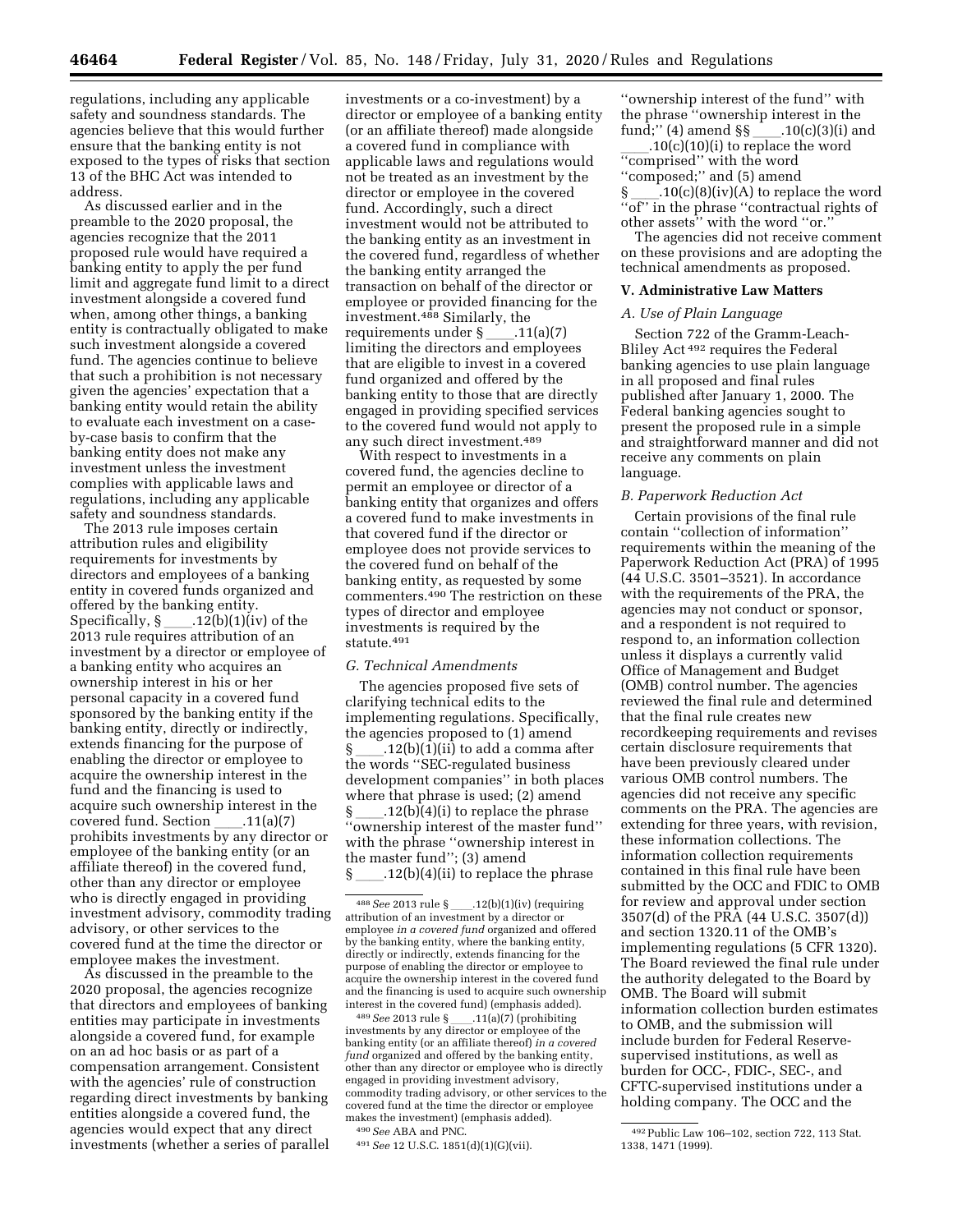regulations, including any applicable safety and soundness standards. The agencies believe that this would further ensure that the banking entity is not exposed to the types of risks that section 13 of the BHC Act was intended to address.

As discussed earlier and in the preamble to the 2020 proposal, the agencies recognize that the 2011 proposed rule would have required a banking entity to apply the per fund limit and aggregate fund limit to a direct investment alongside a covered fund when, among other things, a banking entity is contractually obligated to make such investment alongside a covered fund. The agencies continue to believe that such a prohibition is not necessary given the agencies' expectation that a banking entity would retain the ability to evaluate each investment on a caseby-case basis to confirm that the banking entity does not make any investment unless the investment complies with applicable laws and regulations, including any applicable safety and soundness standards.

The 2013 rule imposes certain attribution rules and eligibility requirements for investments by directors and employees of a banking entity in covered funds organized and % offered by the banking entity.<br>Specifically,  $\S$  .12(b)(1)(iv) of the Specifically, § \_\_\_\_.12(b)(1)(iv) of the<br>2013 rule requires attribution of an investment by a director or employee of a banking entity who acquires an ownership interest in his or her personal capacity in a covered fund sponsored by the banking entity if the banking entity, directly or indirectly, extends financing for the purpose of enabling the director or employee to acquire the ownership interest in the fund and the financing is used to acquire such ownership interest in the covered fund. Section \_\_\_\_.11(a)(7)<br>prohibits investments by any director or employee of the banking entity (or an affiliate thereof) in the covered fund, other than any director or employee who is directly engaged in providing investment advisory, commodity trading advisory, or other services to the covered fund at the time the director or employee makes the investment.

As discussed in the preamble to the 2020 proposal, the agencies recognize that directors and employees of banking entities may participate in investments alongside a covered fund, for example on an ad hoc basis or as part of a compensation arrangement. Consistent with the agencies' rule of construction regarding direct investments by banking entities alongside a covered fund, the agencies would expect that any direct investments (whether a series of parallel

investments or a co-investment) by a director or employee of a banking entity (or an affiliate thereof) made alongside a covered fund in compliance with applicable laws and regulations would not be treated as an investment by the director or employee in the covered fund. Accordingly, such a direct investment would not be attributed to the banking entity as an investment in the covered fund, regardless of whether the banking entity arranged the transaction on behalf of the director or employee or provided financing for the investment. $488$  Similarly, the requirements under § .11 requirements under § \_\_\_\_.11(a)(7)<br>limiting the directors and employees that are eligible to invest in a covered fund organized and offered by the banking entity to those that are directly engaged in providing specified services to the covered fund would not apply to any such direct investment.489

With respect to investments in a covered fund, the agencies decline to permit an employee or director of a banking entity that organizes and offers a covered fund to make investments in that covered fund if the director or employee does not provide services to the covered fund on behalf of the banking entity, as requested by some commenters.490 The restriction on these types of director and employee investments is required by the statute.491

# *G. Technical Amendments*

The agencies proposed five sets of clarifying technical edits to the implementing regulations. Specifically, the agencies proposed to (1) amend  $.12(b)(1)(ii)$  to add a comma after the words ''SEC-regulated business development companies'' in both places where that phrase is used; (2) amend § ll.12(b)(4)(i) to replace the phrase ''ownership interest of the master fund'' with the phrase ''ownership interest in the master fund''; (3) amend  $\S$  \_\_\_\_\_.12(b)(4)(ii) to replace the phrase

<sup>489</sup>*See* 2013 rule §ll.11(a)(7) (prohibiting investments by any director or employee of the banking entity (or an affiliate thereof) *in a covered fund* organized and offered by the banking entity, other than any director or employee who is directly engaged in providing investment advisory, commodity trading advisory, or other services to the covered fund at the time the director or employee makes the investment) (emphasis added). 490*See* ABA and PNC.

491*See* 12 U.S.C. 1851(d)(1)(G)(vii).

''ownership interest of the fund'' with the phrase ''ownership interest in the fund;'' (4) amend §§ll.10(c)(3)(i) and

 $\frac{10(c)(10)(i)}{10(c)}$  to replace the word ''comprised'' with the word ''composed;'' and (5) amend

§ ll.10(c)(8)(iv)(A) to replace the word ''of'' in the phrase ''contractual rights of other assets'' with the word ''or.''

The agencies did not receive comment on these provisions and are adopting the technical amendments as proposed.

#### **V. Administrative Law Matters**

# *A. Use of Plain Language*

Section 722 of the Gramm-Leach-Bliley Act 492 requires the Federal banking agencies to use plain language in all proposed and final rules published after January 1, 2000. The Federal banking agencies sought to present the proposed rule in a simple and straightforward manner and did not receive any comments on plain language.

#### *B. Paperwork Reduction Act*

Certain provisions of the final rule contain ''collection of information'' requirements within the meaning of the Paperwork Reduction Act (PRA) of 1995 (44 U.S.C. 3501–3521). In accordance with the requirements of the PRA, the agencies may not conduct or sponsor, and a respondent is not required to respond to, an information collection unless it displays a currently valid Office of Management and Budget (OMB) control number. The agencies reviewed the final rule and determined that the final rule creates new recordkeeping requirements and revises certain disclosure requirements that have been previously cleared under various OMB control numbers. The agencies did not receive any specific comments on the PRA. The agencies are extending for three years, with revision, these information collections. The information collection requirements contained in this final rule have been submitted by the OCC and FDIC to OMB for review and approval under section 3507(d) of the PRA (44 U.S.C. 3507(d)) and section 1320.11 of the OMB's implementing regulations (5 CFR 1320). The Board reviewed the final rule under the authority delegated to the Board by OMB. The Board will submit information collection burden estimates to OMB, and the submission will include burden for Federal Reservesupervised institutions, as well as burden for OCC-, FDIC-, SEC-, and CFTC-supervised institutions under a holding company. The OCC and the

<sup>&</sup>lt;sup>488</sup> See 2013 rule §\_\_\_\_.12(b)(1)(iv) (requiring attribution of an investment by a director or employee *in a covered fund* organized and offered by the banking entity, where the banking entity, directly or indirectly, extends financing for the purpose of enabling the director or employee to acquire the ownership interest in the covered fund and the financing is used to acquire such ownership interest in the covered fund) (emphasis added).

<sup>492</sup>Public Law 106–102, section 722, 113 Stat. 1338, 1471 (1999).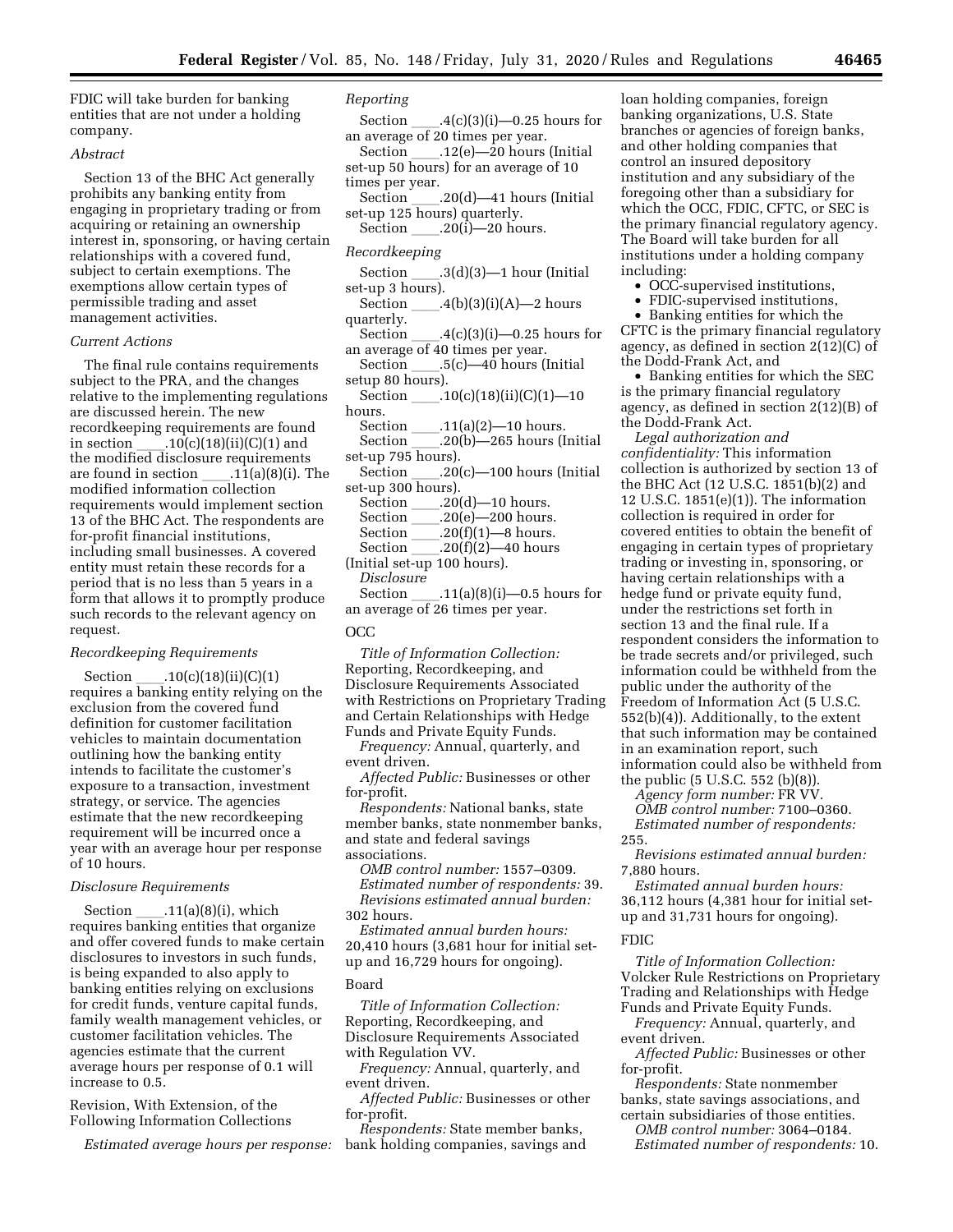FDIC will take burden for banking entities that are not under a holding company.

#### *Abstract*

Section 13 of the BHC Act generally prohibits any banking entity from engaging in proprietary trading or from acquiring or retaining an ownership interest in, sponsoring, or having certain relationships with a covered fund, subject to certain exemptions. The exemptions allow certain types of permissible trading and asset management activities.

## *Current Actions*

The final rule contains requirements subject to the PRA, and the changes relative to the implementing regulations are discussed herein. The new recordkeeping requirements are found in section \_\_\_\_.10(c)(18)(ii)(C)(1) and<br>the modified disclosure requirements are found in section \_\_\_\_.11(a)(8)(i). The<br>modified information collection requirements would implement section 13 of the BHC Act. The respondents are for-profit financial institutions, including small businesses. A covered entity must retain these records for a period that is no less than 5 years in a form that allows it to promptly produce such records to the relevant agency on request.

## *Recordkeeping Requirements*

Section \_\_\_\_.10(c)(18)(ii)(C)(1)<br>requires a banking entity relying on the exclusion from the covered fund definition for customer facilitation vehicles to maintain documentation outlining how the banking entity intends to facilitate the customer's exposure to a transaction, investment strategy, or service. The agencies estimate that the new recordkeeping requirement will be incurred once a year with an average hour per response of 10 hours.

### *Disclosure Requirements*

Section \_\_\_\_.11(a)(8)(i), which<br>requires banking entities that organize and offer covered funds to make certain disclosures to investors in such funds, is being expanded to also apply to banking entities relying on exclusions for credit funds, venture capital funds, family wealth management vehicles, or customer facilitation vehicles. The agencies estimate that the current average hours per response of 0.1 will increase to 0.5.

Revision, With Extension, of the Following Information Collections

*Estimated average hours per response:* 

## *Reporting*

- Section ll.4(c)(3)(i)—0.25 hours for an average of 20 times per year.
- Section ll.12(e)—20 hours (Initial set-up 50 hours) for an average of 10
- times per year.<br>Section  $.20(d)$ —41 hours (Initial set-up 125 hours) quarterly.
- Section  $\_\_2.20(i)$ —20 hours.

#### *Recordkeeping*

- Section  $\qquad \qquad .3(d)(3)$ —1 hour (Initial set-up 3 hours).
- Section  $.4(b)(3)(i)(A) 2$  hours quarterly.
- Section  $\_\_4(c)(3)(i)$ —0.25 hours for an average of 40 times per year.
- Section  $.5(c)$ —40 hours (Initial setup 80 hours).
- Section  $.10(c)(18)(ii)(C)(1) 10$ hours.<br>Section
- Section  $\frac{.11(a)(2)-10 \text{ hours}}{.20(b)-265 \text{ hours}}$  $.20(b)$ —265 hours (Initial
- set-up 795 hours). Section  $.20(c)$ —100 hours (Initial
- set-up 300 hours).
- Section  $\frac{.20(d) 10 \text{ hours}}{.20(e) 200 \text{ hours}}$ 
	- Section \_\_\_\_\_.20(e)—200 hours.<br>Section \_\_\_\_\_.20(f)(1)—8 hours.
	-
- Section  $\frac{1}{2}$ .20(f)(2)—40 hours. Section \_\_\_\_.20(f)(2)—40 hours<br>(Initial set-up 100 hours).
- *Disclosure*
- Section \_\_\_\_.11(a)(8)(i)—0.5 hours for<br>an average of 26 times per year.

#### OCC

*Title of Information Collection:*  Reporting, Recordkeeping, and Disclosure Requirements Associated with Restrictions on Proprietary Trading and Certain Relationships with Hedge Funds and Private Equity Funds.

*Frequency:* Annual, quarterly, and event driven.

*Affected Public:* Businesses or other for-profit.

*Respondents:* National banks, state member banks, state nonmember banks, and state and federal savings associations.

*OMB control number:* 1557–0309. *Estimated number of respondents:* 39. *Revisions estimated annual burden:*  302 hours.

*Estimated annual burden hours:*  20,410 hours (3,681 hour for initial setup and 16,729 hours for ongoing).

#### Board

*Title of Information Collection:*  Reporting, Recordkeeping, and Disclosure Requirements Associated with Regulation VV.

*Frequency:* Annual, quarterly, and event driven.

*Affected Public:* Businesses or other for-profit.

*Respondents:* State member banks, bank holding companies, savings and loan holding companies, foreign banking organizations, U.S. State branches or agencies of foreign banks, and other holding companies that control an insured depository institution and any subsidiary of the foregoing other than a subsidiary for which the OCC, FDIC, CFTC, or SEC is the primary financial regulatory agency. The Board will take burden for all institutions under a holding company including:

• OCC-supervised institutions,

• FDIC-supervised institutions,

• Banking entities for which the CFTC is the primary financial regulatory agency, as defined in section 2(12)(C) of the Dodd-Frank Act, and

• Banking entities for which the SEC is the primary financial regulatory agency, as defined in section 2(12)(B) of the Dodd-Frank Act.

*Legal authorization and confidentiality:* This information collection is authorized by section 13 of the BHC Act (12 U.S.C. 1851(b)(2) and 12 U.S.C. 1851(e)(1)). The information collection is required in order for covered entities to obtain the benefit of engaging in certain types of proprietary trading or investing in, sponsoring, or having certain relationships with a hedge fund or private equity fund, under the restrictions set forth in section 13 and the final rule. If a respondent considers the information to be trade secrets and/or privileged, such information could be withheld from the public under the authority of the Freedom of Information Act (5 U.S.C. 552(b)(4)). Additionally, to the extent that such information may be contained in an examination report, such information could also be withheld from the public (5 U.S.C. 552 (b)(8)).

*Agency form number:* FR VV.

*OMB control number:* 7100–0360. *Estimated number of respondents:*  255.

*Revisions estimated annual burden:*  7,880 hours.

*Estimated annual burden hours:*  36,112 hours (4,381 hour for initial setup and 31,731 hours for ongoing).

#### FDIC

*Title of Information Collection:*  Volcker Rule Restrictions on Proprietary Trading and Relationships with Hedge Funds and Private Equity Funds.

*Frequency:* Annual, quarterly, and event driven.

*Affected Public:* Businesses or other for-profit.

*Respondents:* State nonmember banks, state savings associations, and certain subsidiaries of those entities.

*OMB control number:* 3064–0184. *Estimated number of respondents:* 10.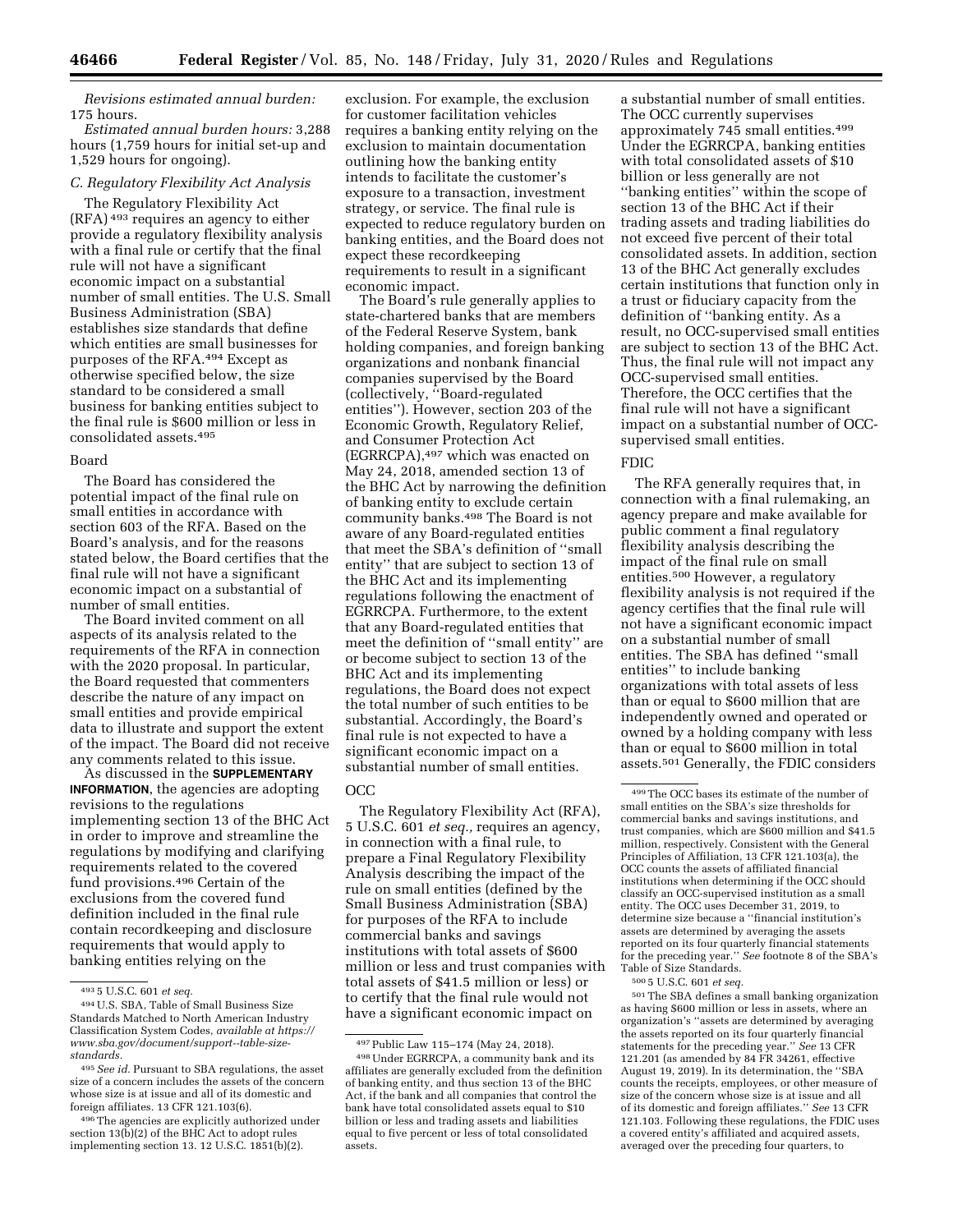*Revisions estimated annual burden:*  175 hours.

*Estimated annual burden hours:* 3,288 hours (1,759 hours for initial set-up and 1,529 hours for ongoing).

#### *C. Regulatory Flexibility Act Analysis*

The Regulatory Flexibility Act (RFA) 493 requires an agency to either provide a regulatory flexibility analysis with a final rule or certify that the final rule will not have a significant economic impact on a substantial number of small entities. The U.S. Small Business Administration (SBA) establishes size standards that define which entities are small businesses for purposes of the RFA.494 Except as otherwise specified below, the size standard to be considered a small business for banking entities subject to the final rule is \$600 million or less in consolidated assets.495

## Board

The Board has considered the potential impact of the final rule on small entities in accordance with section 603 of the RFA. Based on the Board's analysis, and for the reasons stated below, the Board certifies that the final rule will not have a significant economic impact on a substantial of number of small entities.

The Board invited comment on all aspects of its analysis related to the requirements of the RFA in connection with the 2020 proposal. In particular, the Board requested that commenters describe the nature of any impact on small entities and provide empirical data to illustrate and support the extent of the impact. The Board did not receive any comments related to this issue.

As discussed in the **SUPPLEMENTARY INFORMATION**, the agencies are adopting revisions to the regulations implementing section 13 of the BHC Act in order to improve and streamline the regulations by modifying and clarifying requirements related to the covered fund provisions.496 Certain of the exclusions from the covered fund definition included in the final rule contain recordkeeping and disclosure requirements that would apply to banking entities relying on the

exclusion. For example, the exclusion for customer facilitation vehicles requires a banking entity relying on the exclusion to maintain documentation outlining how the banking entity intends to facilitate the customer's exposure to a transaction, investment strategy, or service. The final rule is expected to reduce regulatory burden on banking entities, and the Board does not expect these recordkeeping requirements to result in a significant economic impact.

The Board's rule generally applies to state-chartered banks that are members of the Federal Reserve System, bank holding companies, and foreign banking organizations and nonbank financial companies supervised by the Board (collectively, ''Board-regulated entities''). However, section 203 of the Economic Growth, Regulatory Relief, and Consumer Protection Act (EGRRCPA),497 which was enacted on May 24, 2018, amended section 13 of the BHC Act by narrowing the definition of banking entity to exclude certain community banks.498 The Board is not aware of any Board-regulated entities that meet the SBA's definition of ''small entity'' that are subject to section 13 of the BHC Act and its implementing regulations following the enactment of EGRRCPA. Furthermore, to the extent that any Board-regulated entities that meet the definition of ''small entity'' are or become subject to section 13 of the BHC Act and its implementing regulations, the Board does not expect the total number of such entities to be substantial. Accordingly, the Board's final rule is not expected to have a significant economic impact on a substantial number of small entities.

#### OCC

The Regulatory Flexibility Act (RFA), 5 U.S.C. 601 *et seq.,* requires an agency, in connection with a final rule, to prepare a Final Regulatory Flexibility Analysis describing the impact of the rule on small entities (defined by the Small Business Administration (SBA) for purposes of the RFA to include commercial banks and savings institutions with total assets of \$600 million or less and trust companies with total assets of \$41.5 million or less) or to certify that the final rule would not have a significant economic impact on

a substantial number of small entities. The OCC currently supervises approximately 745 small entities.499 Under the EGRRCPA, banking entities with total consolidated assets of \$10 billion or less generally are not ''banking entities'' within the scope of section 13 of the BHC Act if their trading assets and trading liabilities do not exceed five percent of their total consolidated assets. In addition, section 13 of the BHC Act generally excludes certain institutions that function only in a trust or fiduciary capacity from the definition of ''banking entity. As a result, no OCC-supervised small entities are subject to section 13 of the BHC Act. Thus, the final rule will not impact any OCC-supervised small entities. Therefore, the OCC certifies that the final rule will not have a significant impact on a substantial number of OCCsupervised small entities.

#### FDIC

The RFA generally requires that, in connection with a final rulemaking, an agency prepare and make available for public comment a final regulatory flexibility analysis describing the impact of the final rule on small entities.500 However, a regulatory flexibility analysis is not required if the agency certifies that the final rule will not have a significant economic impact on a substantial number of small entities. The SBA has defined ''small entities'' to include banking organizations with total assets of less than or equal to \$600 million that are independently owned and operated or owned by a holding company with less than or equal to \$600 million in total assets.501 Generally, the FDIC considers

501The SBA defines a small banking organization as having \$600 million or less in assets, where an organization's ''assets are determined by averaging the assets reported on its four quarterly financial statements for the preceding year.'' *See* 13 CFR 121.201 (as amended by 84 FR 34261, effective August 19, 2019). In its determination, the ''SBA counts the receipts, employees, or other measure of size of the concern whose size is at issue and all of its domestic and foreign affiliates.'' *See* 13 CFR 121.103. Following these regulations, the FDIC uses a covered entity's affiliated and acquired assets, averaged over the preceding four quarters, to

<sup>493</sup> 5 U.S.C. 601 *et seq.* 

<sup>494</sup>U.S. SBA, Table of Small Business Size Standards Matched to North American Industry Classification System Codes, *available a[t https://](https://www.sba.gov/document/support--table-size-standards) [www.sba.gov/document/support--table-size](https://www.sba.gov/document/support--table-size-standards)[standards](https://www.sba.gov/document/support--table-size-standards).* 

<sup>495</sup>*See id.* Pursuant to SBA regulations, the asset size of a concern includes the assets of the concern whose size is at issue and all of its domestic and foreign affiliates. 13 CFR 121.103(6).

<sup>&</sup>lt;sup>496</sup> The agencies are explicitly authorized under section  $13(b)(2)$  of the BHC Act to adopt rules implementing section 13. 12 U.S.C. 1851(b)(2).

<sup>497</sup>Public Law 115–174 (May 24, 2018).

<sup>498</sup>Under EGRRCPA, a community bank and its affiliates are generally excluded from the definition of banking entity, and thus section 13 of the BHC Act, if the bank and all companies that control the bank have total consolidated assets equal to \$10 billion or less and trading assets and liabilities equal to five percent or less of total consolidated assets.

<sup>499</sup>The OCC bases its estimate of the number of small entities on the SBA's size thresholds for commercial banks and savings institutions, and trust companies, which are \$600 million and \$41.5 million, respectively. Consistent with the General Principles of Affiliation, 13 CFR 121.103(a), the OCC counts the assets of affiliated financial institutions when determining if the OCC should classify an OCC-supervised institution as a small entity. The OCC uses December 31, 2019, to determine size because a ''financial institution's assets are determined by averaging the assets reported on its four quarterly financial statements for the preceding year.'' *See* footnote 8 of the SBA's Table of Size Standards.

<sup>500</sup> 5 U.S.C. 601 *et seq.*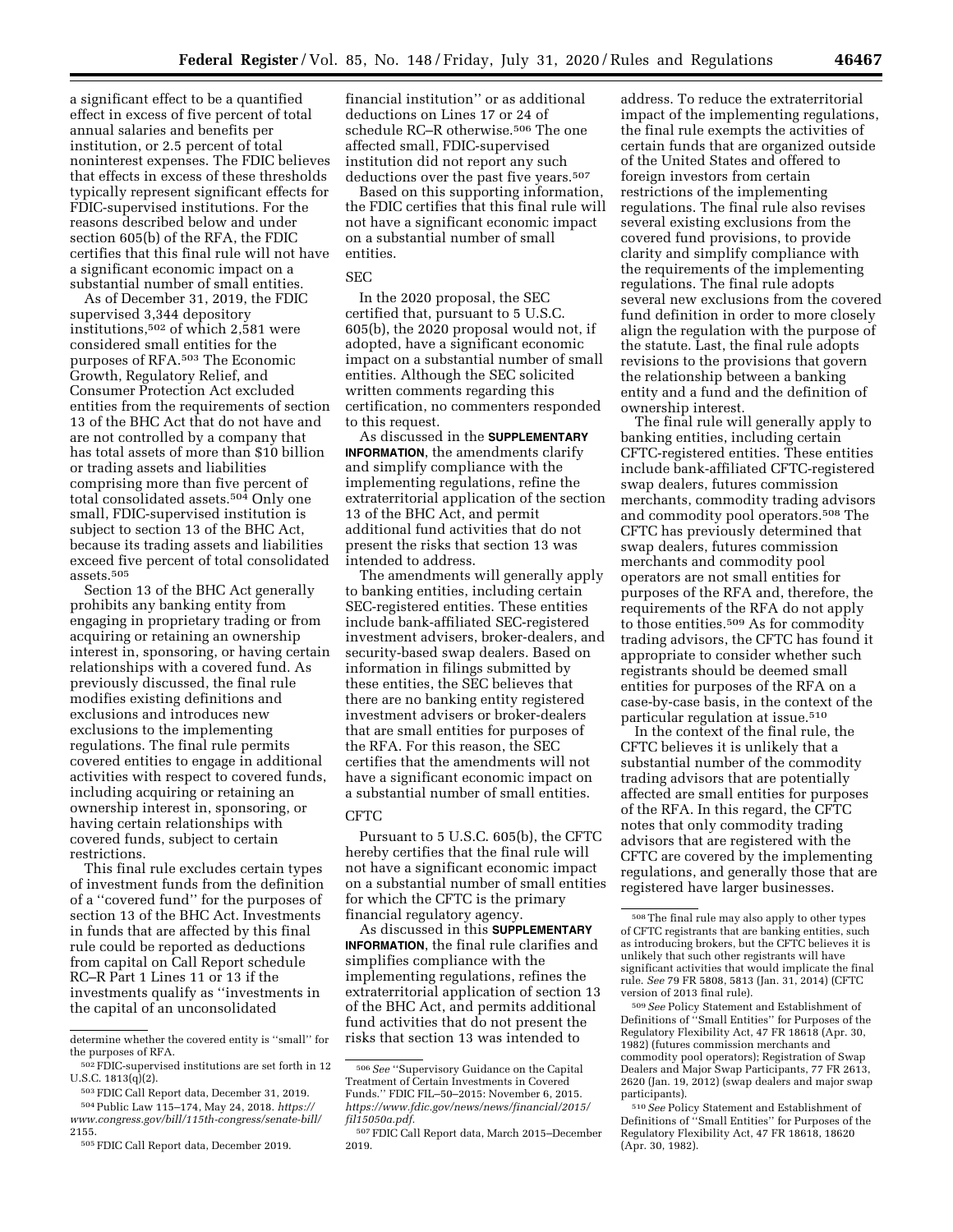a significant effect to be a quantified effect in excess of five percent of total annual salaries and benefits per institution, or 2.5 percent of total noninterest expenses. The FDIC believes that effects in excess of these thresholds typically represent significant effects for FDIC-supervised institutions. For the reasons described below and under section 605(b) of the RFA, the FDIC certifies that this final rule will not have a significant economic impact on a substantial number of small entities.

As of December 31, 2019, the FDIC supervised 3,344 depository institutions,502 of which 2,581 were considered small entities for the purposes of RFA.503 The Economic Growth, Regulatory Relief, and Consumer Protection Act excluded entities from the requirements of section 13 of the BHC Act that do not have and are not controlled by a company that has total assets of more than \$10 billion or trading assets and liabilities comprising more than five percent of total consolidated assets.<sup>504</sup> Only one small, FDIC-supervised institution is subject to section 13 of the BHC Act, because its trading assets and liabilities exceed five percent of total consolidated assets.505

Section 13 of the BHC Act generally prohibits any banking entity from engaging in proprietary trading or from acquiring or retaining an ownership interest in, sponsoring, or having certain relationships with a covered fund. As previously discussed, the final rule modifies existing definitions and exclusions and introduces new exclusions to the implementing regulations. The final rule permits covered entities to engage in additional activities with respect to covered funds, including acquiring or retaining an ownership interest in, sponsoring, or having certain relationships with covered funds, subject to certain restrictions.

This final rule excludes certain types of investment funds from the definition of a ''covered fund'' for the purposes of section 13 of the BHC Act. Investments in funds that are affected by this final rule could be reported as deductions from capital on Call Report schedule RC–R Part 1 Lines 11 or 13 if the investments qualify as ''investments in the capital of an unconsolidated

financial institution'' or as additional deductions on Lines 17 or 24 of schedule RC–R otherwise.506 The one affected small, FDIC-supervised institution did not report any such deductions over the past five years.<sup>507</sup>

Based on this supporting information, the FDIC certifies that this final rule will not have a significant economic impact on a substantial number of small entities.

## SEC

In the 2020 proposal, the SEC certified that, pursuant to 5 U.S.C. 605(b), the 2020 proposal would not, if adopted, have a significant economic impact on a substantial number of small entities. Although the SEC solicited written comments regarding this certification, no commenters responded to this request.

As discussed in the **SUPPLEMENTARY INFORMATION**, the amendments clarify and simplify compliance with the implementing regulations, refine the extraterritorial application of the section 13 of the BHC Act, and permit additional fund activities that do not present the risks that section 13 was intended to address.

The amendments will generally apply to banking entities, including certain SEC-registered entities. These entities include bank-affiliated SEC-registered investment advisers, broker-dealers, and security-based swap dealers. Based on information in filings submitted by these entities, the SEC believes that there are no banking entity registered investment advisers or broker-dealers that are small entities for purposes of the RFA. For this reason, the SEC certifies that the amendments will not have a significant economic impact on a substantial number of small entities.

## CFTC

Pursuant to 5 U.S.C. 605(b), the CFTC hereby certifies that the final rule will not have a significant economic impact on a substantial number of small entities for which the CFTC is the primary financial regulatory agency.

As discussed in this **SUPPLEMENTARY INFORMATION**, the final rule clarifies and simplifies compliance with the implementing regulations, refines the extraterritorial application of section 13 of the BHC Act, and permits additional fund activities that do not present the risks that section 13 was intended to

address. To reduce the extraterritorial impact of the implementing regulations, the final rule exempts the activities of certain funds that are organized outside of the United States and offered to foreign investors from certain restrictions of the implementing regulations. The final rule also revises several existing exclusions from the covered fund provisions, to provide clarity and simplify compliance with the requirements of the implementing regulations. The final rule adopts several new exclusions from the covered fund definition in order to more closely align the regulation with the purpose of the statute. Last, the final rule adopts revisions to the provisions that govern the relationship between a banking entity and a fund and the definition of ownership interest.

The final rule will generally apply to banking entities, including certain CFTC-registered entities. These entities include bank-affiliated CFTC-registered swap dealers, futures commission merchants, commodity trading advisors and commodity pool operators.508 The CFTC has previously determined that swap dealers, futures commission merchants and commodity pool operators are not small entities for purposes of the RFA and, therefore, the requirements of the RFA do not apply to those entities.509 As for commodity trading advisors, the CFTC has found it appropriate to consider whether such registrants should be deemed small entities for purposes of the RFA on a case-by-case basis, in the context of the particular regulation at issue.510

In the context of the final rule, the CFTC believes it is unlikely that a substantial number of the commodity trading advisors that are potentially affected are small entities for purposes of the RFA. In this regard, the CFTC notes that only commodity trading advisors that are registered with the CFTC are covered by the implementing regulations, and generally those that are registered have larger businesses.

509*See* Policy Statement and Establishment of Definitions of ''Small Entities'' for Purposes of the Regulatory Flexibility Act, 47 FR 18618 (Apr. 30, 1982) (futures commission merchants and commodity pool operators); Registration of Swap Dealers and Major Swap Participants, 77 FR 2613, 2620 (Jan. 19, 2012) (swap dealers and major swap participants).

determine whether the covered entity is ''small'' for the purposes of RFA.

<sup>502</sup>FDIC-supervised institutions are set forth in 12 U.S.C.  $1813(q)(2)$ .

<sup>503</sup>FDIC Call Report data, December 31, 2019.

<sup>504</sup>Public Law 115–174, May 24, 2018. *[https://](https://www.congress.gov/bill/115th-congress/senate-bill/2155) [www.congress.gov/bill/115th-congress/senate-bill/](https://www.congress.gov/bill/115th-congress/senate-bill/2155)*  [2155.](https://www.congress.gov/bill/115th-congress/senate-bill/2155) 

<sup>505</sup>FDIC Call Report data, December 2019.

<sup>506</sup>*See* ''Supervisory Guidance on the Capital Treatment of Certain Investments in Covered Funds.'' FDIC FIL–50–2015: November 6, 2015. *[https://www.fdic.gov/news/news/financial/2015/](https://www.fdic.gov/news/news/financial/2015/fil15050a.pdf) [fil15050a.pdf.](https://www.fdic.gov/news/news/financial/2015/fil15050a.pdf)* 

<sup>507</sup>FDIC Call Report data, March 2015–December 2019.

<sup>508</sup>The final rule may also apply to other types of CFTC registrants that are banking entities, such as introducing brokers, but the CFTC believes it is unlikely that such other registrants will have significant activities that would implicate the final rule. *See* 79 FR 5808, 5813 (Jan. 31, 2014) (CFTC version of 2013 final rule).

<sup>510</sup>*See* Policy Statement and Establishment of Definitions of ''Small Entities'' for Purposes of the Regulatory Flexibility Act, 47 FR 18618, 18620 (Apr. 30, 1982).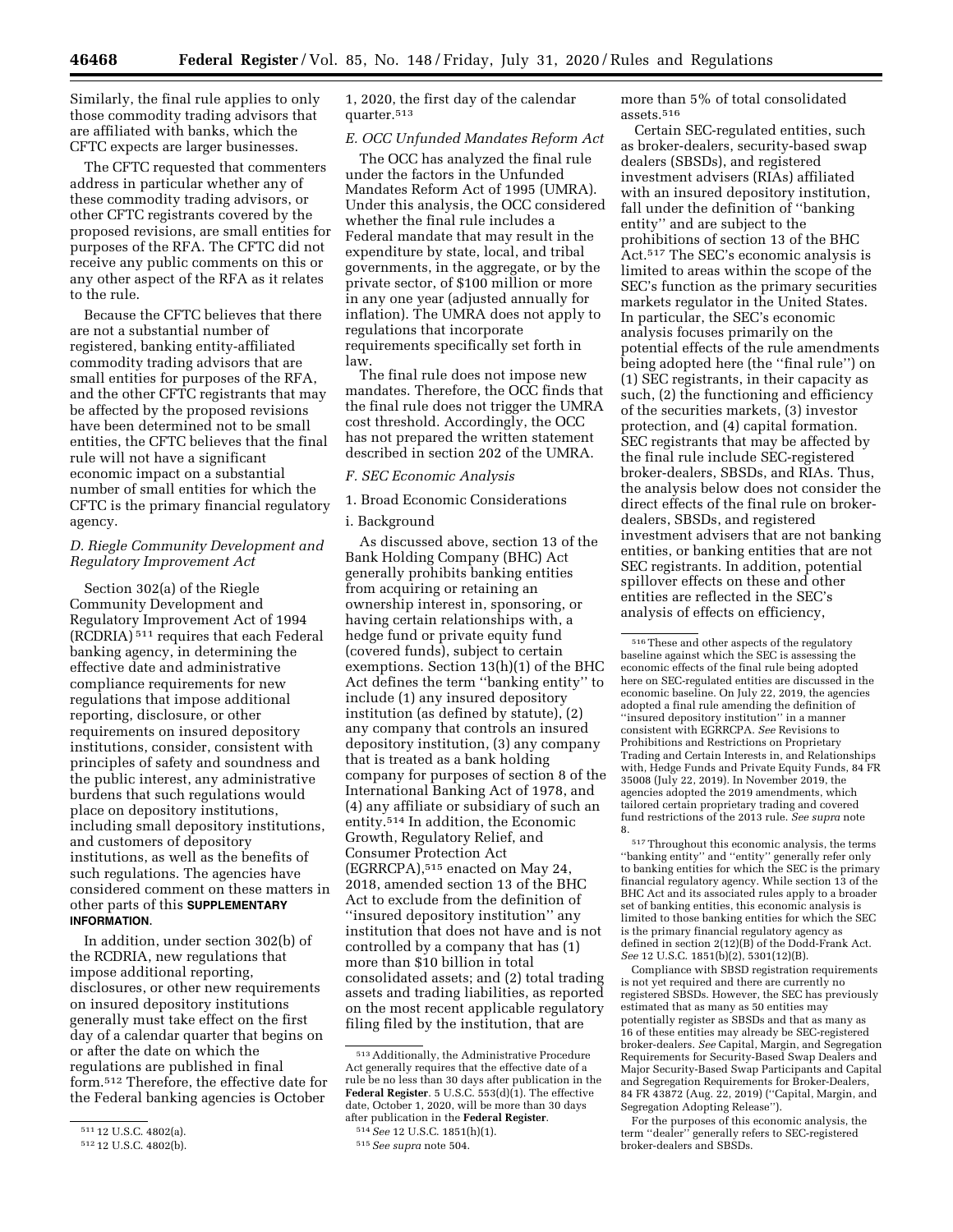Similarly, the final rule applies to only those commodity trading advisors that are affiliated with banks, which the CFTC expects are larger businesses.

The CFTC requested that commenters address in particular whether any of these commodity trading advisors, or other CFTC registrants covered by the proposed revisions, are small entities for purposes of the RFA. The CFTC did not receive any public comments on this or any other aspect of the RFA as it relates to the rule.

Because the CFTC believes that there are not a substantial number of registered, banking entity-affiliated commodity trading advisors that are small entities for purposes of the RFA, and the other CFTC registrants that may be affected by the proposed revisions have been determined not to be small entities, the CFTC believes that the final rule will not have a significant economic impact on a substantial number of small entities for which the CFTC is the primary financial regulatory agency.

# *D. Riegle Community Development and Regulatory Improvement Act*

Section 302(a) of the Riegle Community Development and Regulatory Improvement Act of 1994 (RCDRIA) 511 requires that each Federal banking agency, in determining the effective date and administrative compliance requirements for new regulations that impose additional reporting, disclosure, or other requirements on insured depository institutions, consider, consistent with principles of safety and soundness and the public interest, any administrative burdens that such regulations would place on depository institutions, including small depository institutions, and customers of depository institutions, as well as the benefits of such regulations. The agencies have considered comment on these matters in other parts of this **SUPPLEMENTARY INFORMATION**.

In addition, under section 302(b) of the RCDRIA, new regulations that impose additional reporting, disclosures, or other new requirements on insured depository institutions generally must take effect on the first day of a calendar quarter that begins on or after the date on which the regulations are published in final form.512 Therefore, the effective date for the Federal banking agencies is October

1, 2020, the first day of the calendar quarter.513

# *E. OCC Unfunded Mandates Reform Act*

The OCC has analyzed the final rule under the factors in the Unfunded Mandates Reform Act of 1995 (UMRA). Under this analysis, the OCC considered whether the final rule includes a Federal mandate that may result in the expenditure by state, local, and tribal governments, in the aggregate, or by the private sector, of \$100 million or more in any one year (adjusted annually for inflation). The UMRA does not apply to regulations that incorporate requirements specifically set forth in law.

The final rule does not impose new mandates. Therefore, the OCC finds that the final rule does not trigger the UMRA cost threshold. Accordingly, the OCC has not prepared the written statement described in section 202 of the UMRA.

# *F. SEC Economic Analysis*

1. Broad Economic Considerations

## i. Background

As discussed above, section 13 of the Bank Holding Company (BHC) Act generally prohibits banking entities from acquiring or retaining an ownership interest in, sponsoring, or having certain relationships with, a hedge fund or private equity fund (covered funds), subject to certain exemptions. Section 13(h)(1) of the BHC Act defines the term ''banking entity'' to include (1) any insured depository institution (as defined by statute), (2) any company that controls an insured depository institution, (3) any company that is treated as a bank holding company for purposes of section 8 of the International Banking Act of 1978, and (4) any affiliate or subsidiary of such an entity.514 In addition, the Economic Growth, Regulatory Relief, and Consumer Protection Act (EGRRCPA),515 enacted on May 24, 2018, amended section 13 of the BHC Act to exclude from the definition of ''insured depository institution'' any institution that does not have and is not controlled by a company that has (1) more than \$10 billion in total consolidated assets; and (2) total trading assets and trading liabilities, as reported on the most recent applicable regulatory filing filed by the institution, that are

more than 5% of total consolidated assets.516

Certain SEC-regulated entities, such as broker-dealers, security-based swap dealers (SBSDs), and registered investment advisers (RIAs) affiliated with an insured depository institution, fall under the definition of ''banking entity'' and are subject to the prohibitions of section 13 of the BHC Act.517 The SEC's economic analysis is limited to areas within the scope of the SEC's function as the primary securities markets regulator in the United States. In particular, the SEC's economic analysis focuses primarily on the potential effects of the rule amendments being adopted here (the ''final rule'') on (1) SEC registrants, in their capacity as such, (2) the functioning and efficiency of the securities markets, (3) investor protection, and (4) capital formation. SEC registrants that may be affected by the final rule include SEC-registered broker-dealers, SBSDs, and RIAs. Thus, the analysis below does not consider the direct effects of the final rule on brokerdealers, SBSDs, and registered investment advisers that are not banking entities, or banking entities that are not SEC registrants. In addition, potential spillover effects on these and other entities are reflected in the SEC's analysis of effects on efficiency,

Compliance with SBSD registration requirements is not yet required and there are currently no registered SBSDs. However, the SEC has previously estimated that as many as 50 entities may potentially register as SBSDs and that as many as 16 of these entities may already be SEC-registered broker-dealers. *See* Capital, Margin, and Segregation Requirements for Security-Based Swap Dealers and Major Security-Based Swap Participants and Capital and Segregation Requirements for Broker-Dealers, 84 FR 43872 (Aug. 22, 2019) (''Capital, Margin, and Segregation Adopting Release'').

For the purposes of this economic analysis, the term ''dealer'' generally refers to SEC-registered broker-dealers and SBSDs.

<sup>511</sup> 12 U.S.C. 4802(a).

<sup>512</sup> 12 U.S.C. 4802(b).

<sup>513</sup>Additionally, the Administrative Procedure Act generally requires that the effective date of a rule be no less than 30 days after publication in the **Federal Register**. 5 U.S.C. 553(d)(1). The effective date, October 1, 2020, will be more than 30 days after publication in the **Federal Register**.

<sup>514</sup>*See* 12 U.S.C. 1851(h)(1).

<sup>515</sup>*See supra* note 504.

 $^{\rm 516}\rm{These}$  and other aspects of the regulatory baseline against which the SEC is assessing the economic effects of the final rule being adopted here on SEC-regulated entities are discussed in the economic baseline. On July 22, 2019, the agencies adopted a final rule amending the definition of ''insured depository institution'' in a manner consistent with EGRRCPA. *See* Revisions to Prohibitions and Restrictions on Proprietary Trading and Certain Interests in, and Relationships with, Hedge Funds and Private Equity Funds, 84 FR 35008 (July 22, 2019). In November 2019, the agencies adopted the 2019 amendments, which tailored certain proprietary trading and covered fund restrictions of the 2013 rule. *See supra* note 8.

<sup>517</sup>Throughout this economic analysis, the terms ''banking entity'' and ''entity'' generally refer only to banking entities for which the SEC is the primary financial regulatory agency. While section 13 of the BHC Act and its associated rules apply to a broader set of banking entities, this economic analysis is limited to those banking entities for which the SEC is the primary financial regulatory agency as defined in section 2(12)(B) of the Dodd-Frank Act. *See* 12 U.S.C. 1851(b)(2), 5301(12)(B).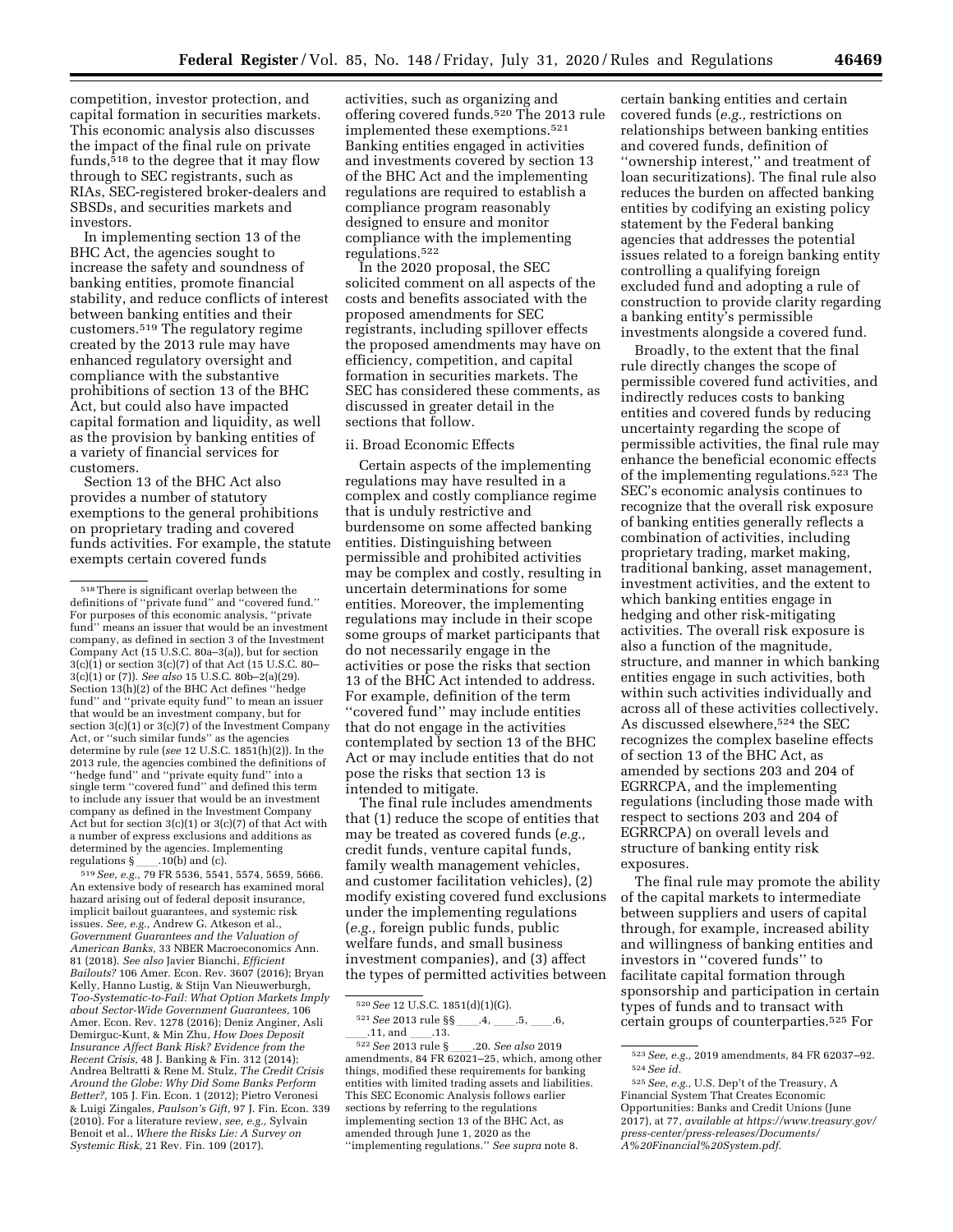competition, investor protection, and capital formation in securities markets. This economic analysis also discusses the impact of the final rule on private funds, $\bar{5}18$  to the degree that it may flow through to SEC registrants, such as RIAs, SEC-registered broker-dealers and SBSDs, and securities markets and investors.

In implementing section 13 of the BHC Act, the agencies sought to increase the safety and soundness of banking entities, promote financial stability, and reduce conflicts of interest between banking entities and their customers.519 The regulatory regime created by the 2013 rule may have enhanced regulatory oversight and compliance with the substantive prohibitions of section 13 of the BHC Act, but could also have impacted capital formation and liquidity, as well as the provision by banking entities of a variety of financial services for customers.

Section 13 of the BHC Act also provides a number of statutory exemptions to the general prohibitions on proprietary trading and covered funds activities. For example, the statute exempts certain covered funds

519*See, e.g.,* 79 FR 5536, 5541, 5574, 5659, 5666. An extensive body of research has examined moral hazard arising out of federal deposit insurance, implicit bailout guarantees, and systemic risk issues. *See, e.g.,* Andrew G. Atkeson et al., *Government Guarantees and the Valuation of American Banks,* 33 NBER Macroeconomics Ann. 81 (2018). *See also* Javier Bianchi, *Efficient Bailouts?* 106 Amer. Econ. Rev. 3607 (2016); Bryan Kelly, Hanno Lustig, & Stijn Van Nieuwerburgh, *Too-Systematic-to-Fail: What Option Markets Imply about Sector-Wide Government Guarantees,* 106 Amer. Econ. Rev. 1278 (2016); Deniz Anginer, Asli Demirguc-Kunt, & Min Zhu, *How Does Deposit Insurance Affect Bank Risk? Evidence from the Recent Crisis,* 48 J. Banking & Fin. 312 (2014); Andrea Beltratti & Rene M. Stulz, *The Credit Crisis Around the Globe: Why Did Some Banks Perform Better?,* 105 J. Fin. Econ. 1 (2012); Pietro Veronesi & Luigi Zingales, *Paulson's Gift,* 97 J. Fin. Econ. 339 (2010). For a literature review, *see, e.g.,* Sylvain Benoit et al., *Where the Risks Lie: A Survey on Systemic Risk,* 21 Rev. Fin. 109 (2017).

activities, such as organizing and offering covered funds.520 The 2013 rule implemented these exemptions.521 Banking entities engaged in activities and investments covered by section 13 of the BHC Act and the implementing regulations are required to establish a compliance program reasonably designed to ensure and monitor compliance with the implementing regulations.522

In the 2020 proposal, the SEC solicited comment on all aspects of the costs and benefits associated with the proposed amendments for SEC registrants, including spillover effects the proposed amendments may have on efficiency, competition, and capital formation in securities markets. The SEC has considered these comments, as discussed in greater detail in the sections that follow.

#### ii. Broad Economic Effects

Certain aspects of the implementing regulations may have resulted in a complex and costly compliance regime that is unduly restrictive and burdensome on some affected banking entities. Distinguishing between permissible and prohibited activities may be complex and costly, resulting in uncertain determinations for some entities. Moreover, the implementing regulations may include in their scope some groups of market participants that do not necessarily engage in the activities or pose the risks that section 13 of the BHC Act intended to address. For example, definition of the term ''covered fund'' may include entities that do not engage in the activities contemplated by section 13 of the BHC Act or may include entities that do not pose the risks that section 13 is intended to mitigate.

The final rule includes amendments that (1) reduce the scope of entities that may be treated as covered funds (*e.g.,*  credit funds, venture capital funds, family wealth management vehicles, and customer facilitation vehicles), (2) modify existing covered fund exclusions under the implementing regulations (*e.g.,* foreign public funds, public welfare funds, and small business investment companies), and (3) affect the types of permitted activities between certain banking entities and certain covered funds (*e.g.,* restrictions on relationships between banking entities and covered funds, definition of ''ownership interest,'' and treatment of loan securitizations). The final rule also reduces the burden on affected banking entities by codifying an existing policy statement by the Federal banking agencies that addresses the potential issues related to a foreign banking entity controlling a qualifying foreign excluded fund and adopting a rule of construction to provide clarity regarding a banking entity's permissible investments alongside a covered fund.

Broadly, to the extent that the final rule directly changes the scope of permissible covered fund activities, and indirectly reduces costs to banking entities and covered funds by reducing uncertainty regarding the scope of permissible activities, the final rule may enhance the beneficial economic effects of the implementing regulations.523 The SEC's economic analysis continues to recognize that the overall risk exposure of banking entities generally reflects a combination of activities, including proprietary trading, market making, traditional banking, asset management, investment activities, and the extent to which banking entities engage in hedging and other risk-mitigating activities. The overall risk exposure is also a function of the magnitude, structure, and manner in which banking entities engage in such activities, both within such activities individually and across all of these activities collectively. As discussed elsewhere,524 the SEC recognizes the complex baseline effects of section 13 of the BHC Act, as amended by sections 203 and 204 of EGRRCPA, and the implementing regulations (including those made with respect to sections 203 and 204 of EGRRCPA) on overall levels and structure of banking entity risk exposures.

The final rule may promote the ability of the capital markets to intermediate between suppliers and users of capital through, for example, increased ability and willingness of banking entities and investors in ''covered funds'' to facilitate capital formation through sponsorship and participation in certain types of funds and to transact with certain groups of counterparties.525 For

<sup>518</sup>There is significant overlap between the definitions of ''private fund'' and ''covered fund.'' For purposes of this economic analysis, ''private fund" means an issuer that would be an investment company, as defined in section 3 of the Investment Company Act (15 U.S.C. 80a–3(a)), but for section  $3(c)(1)$  or section  $3(c)(7)$  of that Act (15 U.S.C. 80– 3(c)(1) or (7)). *See also* 15 U.S.C. 80b–2(a)(29). Section 13(h)(2) of the BHC Act defines ''hedge fund'' and ''private equity fund'' to mean an issuer that would be an investment company, but for section 3(c)(1) or 3(c)(7) of the Investment Company Act, or ''such similar funds'' as the agencies determine by rule (*see* 12 U.S.C. 1851(h)(2)). In the 2013 rule, the agencies combined the definitions of ''hedge fund'' and ''private equity fund'' into a single term ''covered fund'' and defined this term to include any issuer that would be an investment company as defined in the Investment Company Act but for section  $3(c)(1)$  or  $3(c)(7)$  of that Act with a number of express exclusions and additions as determined by the agencies. Implementing regulations  $\S$  \_\_\_\_\_. 10(b) and (c).

<sup>520</sup>*See* 12 U.S.C. 1851(d)(1)(G).

<sup>&</sup>lt;sup>521</sup> *See* 2013 rule §§ 4, .5, .6,

<sup>11,</sup> and \_\_\_\_.13.<br> $\frac{522}$  *See* 2013 rule § <sup>522</sup>*See* 2013 rule §ll.20. *See also* <sup>2019</sup> amendments, 84 FR 62021–25, which, among other things, modified these requirements for banking entities with limited trading assets and liabilities. This SEC Economic Analysis follows earlier sections by referring to the regulations implementing section 13 of the BHC Act, as amended through June 1, 2020 as the ''implementing regulations.'' *See supra* note 8.

<sup>523</sup>*See, e.g.,* 2019 amendments, 84 FR 62037–92. 524*See id.* 

<sup>525</sup>*See, e.g.,* U.S. Dep't of the Treasury, A Financial System That Creates Economic Opportunities: Banks and Credit Unions (June 2017), at 77, *available at [https://www.treasury.gov/](https://www.treasury.gov/press-center/press-releases/Documents/A%20Financial%20System.pdf) [press-center/press-releases/Documents/](https://www.treasury.gov/press-center/press-releases/Documents/A%20Financial%20System.pdf)  [A%20Financial%20System.pdf.](https://www.treasury.gov/press-center/press-releases/Documents/A%20Financial%20System.pdf)*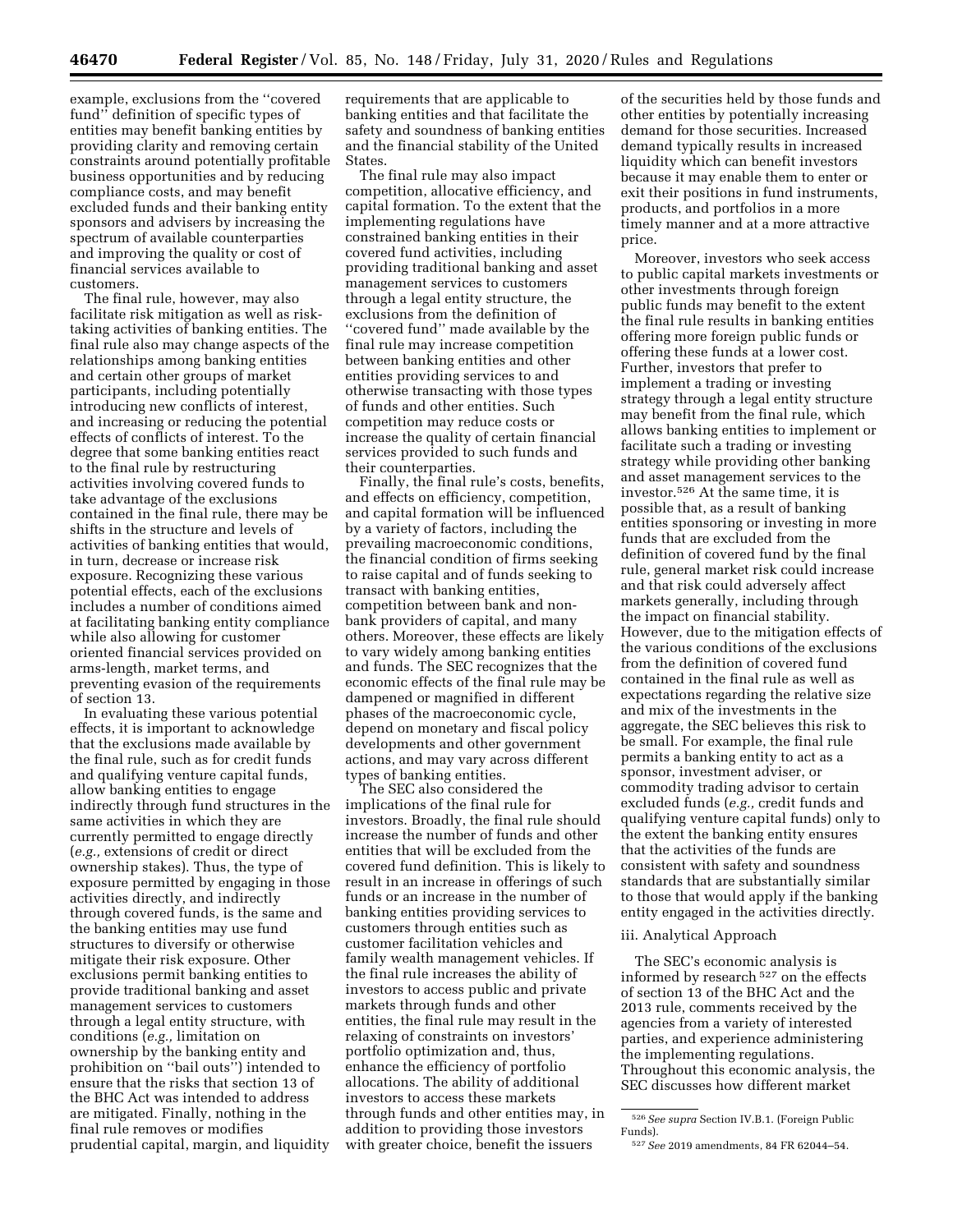example, exclusions from the ''covered fund'' definition of specific types of entities may benefit banking entities by providing clarity and removing certain constraints around potentially profitable business opportunities and by reducing compliance costs, and may benefit excluded funds and their banking entity sponsors and advisers by increasing the spectrum of available counterparties and improving the quality or cost of financial services available to customers.

The final rule, however, may also facilitate risk mitigation as well as risktaking activities of banking entities. The final rule also may change aspects of the relationships among banking entities and certain other groups of market participants, including potentially introducing new conflicts of interest, and increasing or reducing the potential effects of conflicts of interest. To the degree that some banking entities react to the final rule by restructuring activities involving covered funds to take advantage of the exclusions contained in the final rule, there may be shifts in the structure and levels of activities of banking entities that would, in turn, decrease or increase risk exposure. Recognizing these various potential effects, each of the exclusions includes a number of conditions aimed at facilitating banking entity compliance while also allowing for customer oriented financial services provided on arms-length, market terms, and preventing evasion of the requirements of section 13.

In evaluating these various potential effects, it is important to acknowledge that the exclusions made available by the final rule, such as for credit funds and qualifying venture capital funds, allow banking entities to engage indirectly through fund structures in the same activities in which they are currently permitted to engage directly (*e.g.,* extensions of credit or direct ownership stakes). Thus, the type of exposure permitted by engaging in those activities directly, and indirectly through covered funds, is the same and the banking entities may use fund structures to diversify or otherwise mitigate their risk exposure. Other exclusions permit banking entities to provide traditional banking and asset management services to customers through a legal entity structure, with conditions (*e.g.,* limitation on ownership by the banking entity and prohibition on ''bail outs'') intended to ensure that the risks that section 13 of the BHC Act was intended to address are mitigated. Finally, nothing in the final rule removes or modifies prudential capital, margin, and liquidity

requirements that are applicable to banking entities and that facilitate the safety and soundness of banking entities and the financial stability of the United States.

The final rule may also impact competition, allocative efficiency, and capital formation. To the extent that the implementing regulations have constrained banking entities in their covered fund activities, including providing traditional banking and asset management services to customers through a legal entity structure, the exclusions from the definition of ''covered fund'' made available by the final rule may increase competition between banking entities and other entities providing services to and otherwise transacting with those types of funds and other entities. Such competition may reduce costs or increase the quality of certain financial services provided to such funds and their counterparties.

Finally, the final rule's costs, benefits, and effects on efficiency, competition, and capital formation will be influenced by a variety of factors, including the prevailing macroeconomic conditions, the financial condition of firms seeking to raise capital and of funds seeking to transact with banking entities, competition between bank and nonbank providers of capital, and many others. Moreover, these effects are likely to vary widely among banking entities and funds. The SEC recognizes that the economic effects of the final rule may be dampened or magnified in different phases of the macroeconomic cycle, depend on monetary and fiscal policy developments and other government actions, and may vary across different types of banking entities.

The SEC also considered the implications of the final rule for investors. Broadly, the final rule should increase the number of funds and other entities that will be excluded from the covered fund definition. This is likely to result in an increase in offerings of such funds or an increase in the number of banking entities providing services to customers through entities such as customer facilitation vehicles and family wealth management vehicles. If the final rule increases the ability of investors to access public and private markets through funds and other entities, the final rule may result in the relaxing of constraints on investors' portfolio optimization and, thus, enhance the efficiency of portfolio allocations. The ability of additional investors to access these markets through funds and other entities may, in addition to providing those investors with greater choice, benefit the issuers

of the securities held by those funds and other entities by potentially increasing demand for those securities. Increased demand typically results in increased liquidity which can benefit investors because it may enable them to enter or exit their positions in fund instruments, products, and portfolios in a more timely manner and at a more attractive price.

Moreover, investors who seek access to public capital markets investments or other investments through foreign public funds may benefit to the extent the final rule results in banking entities offering more foreign public funds or offering these funds at a lower cost. Further, investors that prefer to implement a trading or investing strategy through a legal entity structure may benefit from the final rule, which allows banking entities to implement or facilitate such a trading or investing strategy while providing other banking and asset management services to the investor.526 At the same time, it is possible that, as a result of banking entities sponsoring or investing in more funds that are excluded from the definition of covered fund by the final rule, general market risk could increase and that risk could adversely affect markets generally, including through the impact on financial stability. However, due to the mitigation effects of the various conditions of the exclusions from the definition of covered fund contained in the final rule as well as expectations regarding the relative size and mix of the investments in the aggregate, the SEC believes this risk to be small. For example, the final rule permits a banking entity to act as a sponsor, investment adviser, or commodity trading advisor to certain excluded funds (*e.g.,* credit funds and qualifying venture capital funds) only to the extent the banking entity ensures that the activities of the funds are consistent with safety and soundness standards that are substantially similar to those that would apply if the banking entity engaged in the activities directly.

# iii. Analytical Approach

The SEC's economic analysis is informed by research 527 on the effects of section 13 of the BHC Act and the 2013 rule, comments received by the agencies from a variety of interested parties, and experience administering the implementing regulations. Throughout this economic analysis, the SEC discusses how different market

<sup>526</sup>*See supra* Section IV.B.1. (Foreign Public Funds).

<sup>527</sup>*See* 2019 amendments, 84 FR 62044–54.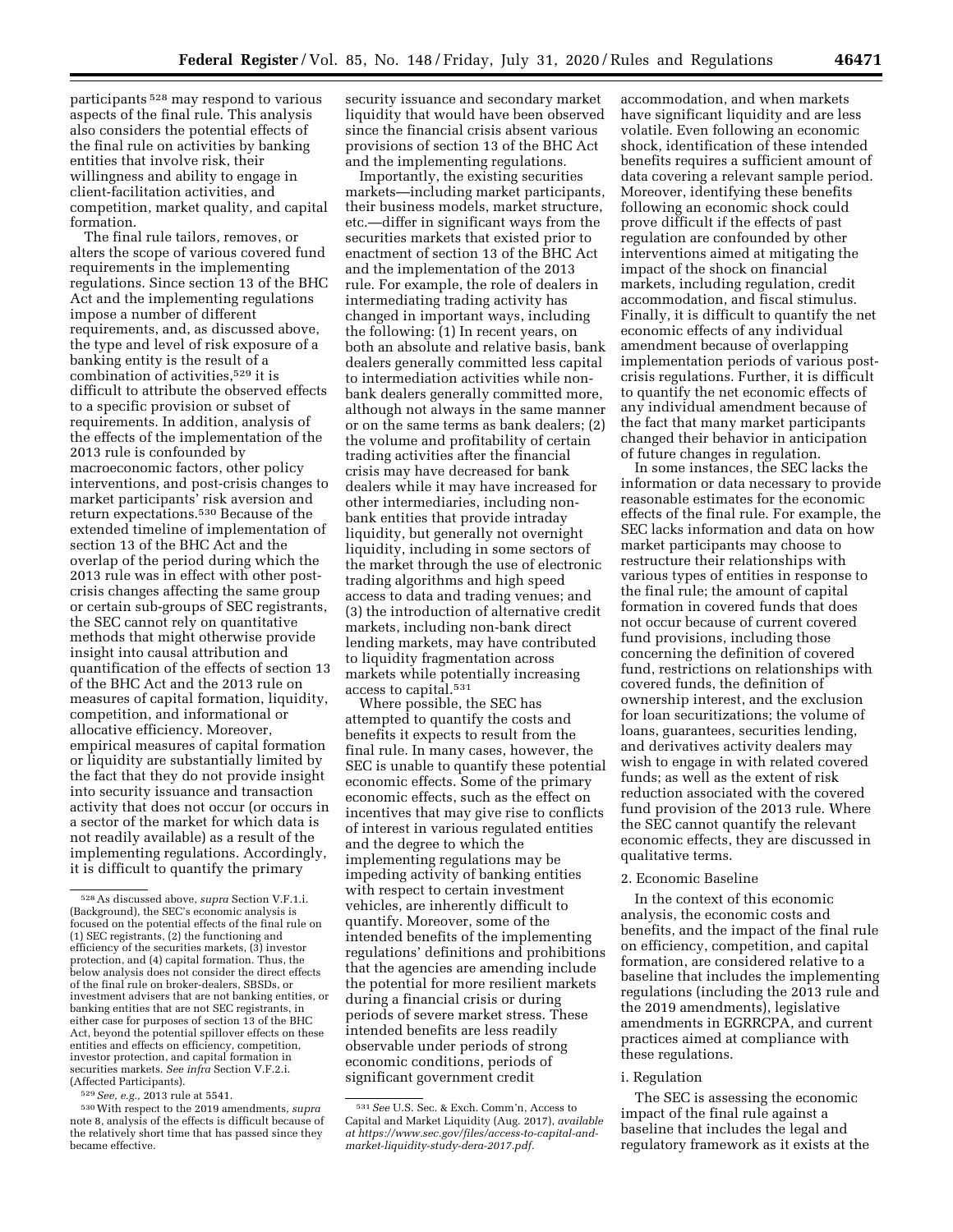participants 528 may respond to various aspects of the final rule. This analysis also considers the potential effects of the final rule on activities by banking entities that involve risk, their willingness and ability to engage in client-facilitation activities, and competition, market quality, and capital formation.

The final rule tailors, removes, or alters the scope of various covered fund requirements in the implementing regulations. Since section 13 of the BHC Act and the implementing regulations impose a number of different requirements, and, as discussed above, the type and level of risk exposure of a banking entity is the result of a combination of activities,529 it is difficult to attribute the observed effects to a specific provision or subset of requirements. In addition, analysis of the effects of the implementation of the 2013 rule is confounded by macroeconomic factors, other policy interventions, and post-crisis changes to market participants' risk aversion and return expectations.530 Because of the extended timeline of implementation of section 13 of the BHC Act and the overlap of the period during which the 2013 rule was in effect with other postcrisis changes affecting the same group or certain sub-groups of SEC registrants, the SEC cannot rely on quantitative methods that might otherwise provide insight into causal attribution and quantification of the effects of section 13 of the BHC Act and the 2013 rule on measures of capital formation, liquidity, competition, and informational or allocative efficiency. Moreover, empirical measures of capital formation or liquidity are substantially limited by the fact that they do not provide insight into security issuance and transaction activity that does not occur (or occurs in a sector of the market for which data is not readily available) as a result of the implementing regulations. Accordingly, it is difficult to quantify the primary

security issuance and secondary market liquidity that would have been observed since the financial crisis absent various provisions of section 13 of the BHC Act and the implementing regulations.

Importantly, the existing securities markets—including market participants, their business models, market structure, etc.—differ in significant ways from the securities markets that existed prior to enactment of section 13 of the BHC Act and the implementation of the 2013 rule. For example, the role of dealers in intermediating trading activity has changed in important ways, including the following: (1) In recent years, on both an absolute and relative basis, bank dealers generally committed less capital to intermediation activities while nonbank dealers generally committed more, although not always in the same manner or on the same terms as bank dealers; (2) the volume and profitability of certain trading activities after the financial crisis may have decreased for bank dealers while it may have increased for other intermediaries, including nonbank entities that provide intraday liquidity, but generally not overnight liquidity, including in some sectors of the market through the use of electronic trading algorithms and high speed access to data and trading venues; and (3) the introduction of alternative credit markets, including non-bank direct lending markets, may have contributed to liquidity fragmentation across markets while potentially increasing access to capital.531

Where possible, the SEC has attempted to quantify the costs and benefits it expects to result from the final rule. In many cases, however, the SEC is unable to quantify these potential economic effects. Some of the primary economic effects, such as the effect on incentives that may give rise to conflicts of interest in various regulated entities and the degree to which the implementing regulations may be impeding activity of banking entities with respect to certain investment vehicles, are inherently difficult to quantify. Moreover, some of the intended benefits of the implementing regulations' definitions and prohibitions that the agencies are amending include the potential for more resilient markets during a financial crisis or during periods of severe market stress. These intended benefits are less readily observable under periods of strong economic conditions, periods of significant government credit

accommodation, and when markets have significant liquidity and are less volatile. Even following an economic shock, identification of these intended benefits requires a sufficient amount of data covering a relevant sample period. Moreover, identifying these benefits following an economic shock could prove difficult if the effects of past regulation are confounded by other interventions aimed at mitigating the impact of the shock on financial markets, including regulation, credit accommodation, and fiscal stimulus. Finally, it is difficult to quantify the net economic effects of any individual amendment because of overlapping implementation periods of various postcrisis regulations. Further, it is difficult to quantify the net economic effects of any individual amendment because of the fact that many market participants changed their behavior in anticipation of future changes in regulation.

In some instances, the SEC lacks the information or data necessary to provide reasonable estimates for the economic effects of the final rule. For example, the SEC lacks information and data on how market participants may choose to restructure their relationships with various types of entities in response to the final rule; the amount of capital formation in covered funds that does not occur because of current covered fund provisions, including those concerning the definition of covered fund, restrictions on relationships with covered funds, the definition of ownership interest, and the exclusion for loan securitizations; the volume of loans, guarantees, securities lending, and derivatives activity dealers may wish to engage in with related covered funds; as well as the extent of risk reduction associated with the covered fund provision of the 2013 rule. Where the SEC cannot quantify the relevant economic effects, they are discussed in qualitative terms.

## 2. Economic Baseline

In the context of this economic analysis, the economic costs and benefits, and the impact of the final rule on efficiency, competition, and capital formation, are considered relative to a baseline that includes the implementing regulations (including the 2013 rule and the 2019 amendments), legislative amendments in EGRRCPA, and current practices aimed at compliance with these regulations.

### i. Regulation

The SEC is assessing the economic impact of the final rule against a baseline that includes the legal and regulatory framework as it exists at the

<sup>528</sup>As discussed above, *supra* Section V.F.1.i. (Background), the SEC's economic analysis is focused on the potential effects of the final rule on (1) SEC registrants, (2) the functioning and efficiency of the securities markets, (3) investor protection, and (4) capital formation. Thus, the below analysis does not consider the direct effects of the final rule on broker-dealers, SBSDs, or investment advisers that are not banking entities, or banking entities that are not SEC registrants, in either case for purposes of section 13 of the BHC Act, beyond the potential spillover effects on these entities and effects on efficiency, competition, investor protection, and capital formation in securities markets. *See infra* Section V.F.2.i. (Affected Participants).

<sup>529</sup>*See, e.g.,* 2013 rule at 5541. 530With respect to the 2019 amendments, *supra*  note 8, analysis of the effects is difficult because of the relatively short time that has passed since they became effective.

<sup>531</sup>*See* U.S. Sec. & Exch. Comm'n, Access to Capital and Market Liquidity (Aug. 2017), *available at [https://www.sec.gov/files/access-to-capital-and](https://www.sec.gov/files/access-to-capital-and-market-liquidity-study-dera-2017.pdf)[market-liquidity-study-dera-2017.pdf.](https://www.sec.gov/files/access-to-capital-and-market-liquidity-study-dera-2017.pdf)*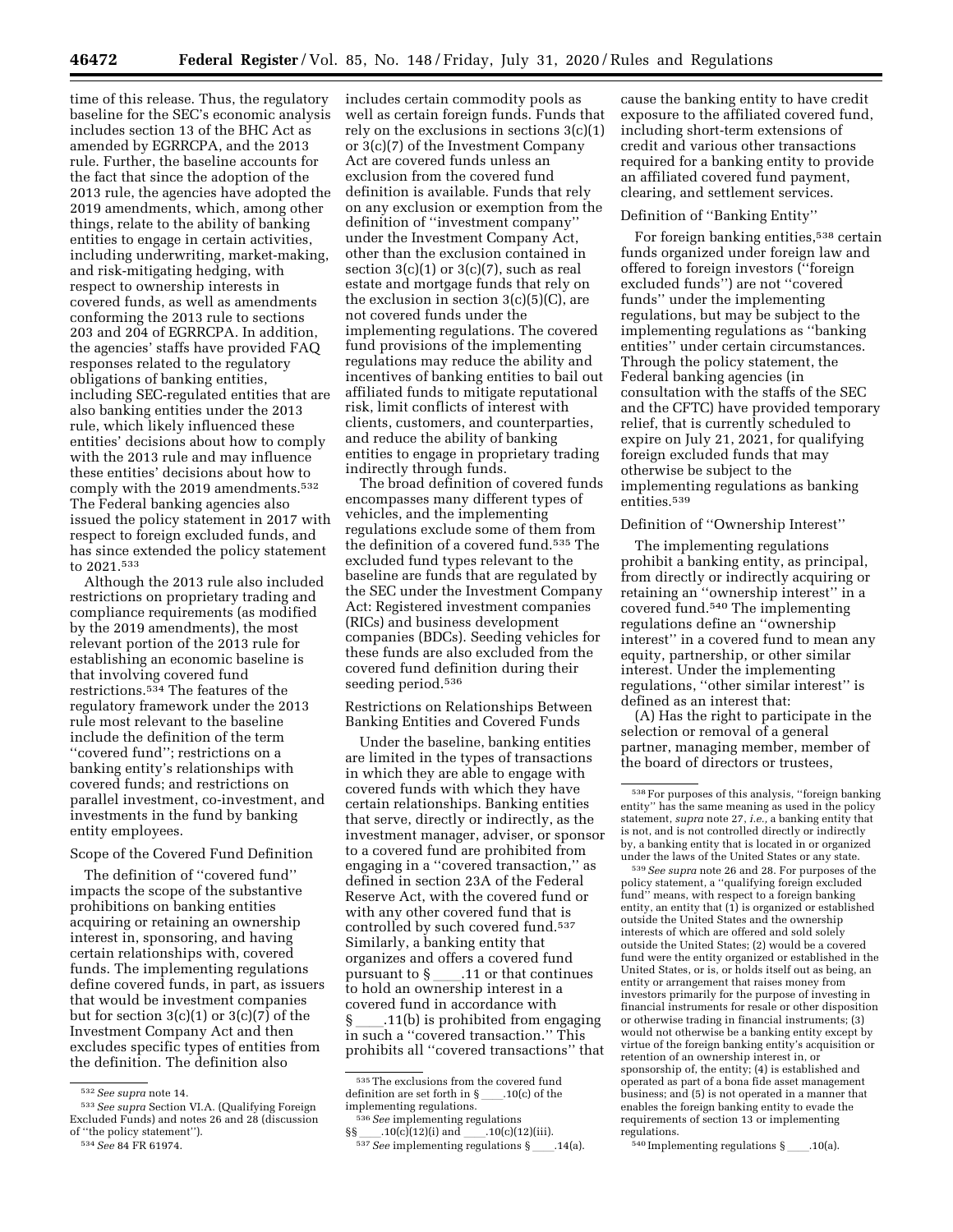time of this release. Thus, the regulatory baseline for the SEC's economic analysis includes section 13 of the BHC Act as amended by EGRRCPA, and the 2013 rule. Further, the baseline accounts for the fact that since the adoption of the 2013 rule, the agencies have adopted the 2019 amendments, which, among other things, relate to the ability of banking entities to engage in certain activities, including underwriting, market-making, and risk-mitigating hedging, with respect to ownership interests in covered funds, as well as amendments conforming the 2013 rule to sections 203 and 204 of EGRRCPA. In addition, the agencies' staffs have provided FAQ responses related to the regulatory obligations of banking entities, including SEC-regulated entities that are also banking entities under the 2013 rule, which likely influenced these entities' decisions about how to comply with the 2013 rule and may influence these entities' decisions about how to comply with the 2019 amendments.532 The Federal banking agencies also issued the policy statement in 2017 with respect to foreign excluded funds, and has since extended the policy statement to 2021.533

Although the 2013 rule also included restrictions on proprietary trading and compliance requirements (as modified by the 2019 amendments), the most relevant portion of the 2013 rule for establishing an economic baseline is that involving covered fund restrictions.534 The features of the regulatory framework under the 2013 rule most relevant to the baseline include the definition of the term ''covered fund''; restrictions on a banking entity's relationships with covered funds; and restrictions on parallel investment, co-investment, and investments in the fund by banking entity employees.

## Scope of the Covered Fund Definition

The definition of ''covered fund'' impacts the scope of the substantive prohibitions on banking entities acquiring or retaining an ownership interest in, sponsoring, and having certain relationships with, covered funds. The implementing regulations define covered funds, in part, as issuers that would be investment companies but for section 3(c)(1) or 3(c)(7) of the Investment Company Act and then excludes specific types of entities from the definition. The definition also

includes certain commodity pools as well as certain foreign funds. Funds that rely on the exclusions in sections 3(c)(1) or 3(c)(7) of the Investment Company Act are covered funds unless an exclusion from the covered fund definition is available. Funds that rely on any exclusion or exemption from the definition of ''investment company'' under the Investment Company Act, other than the exclusion contained in section  $3(c)(1)$  or  $3(c)(7)$ , such as real estate and mortgage funds that rely on the exclusion in section  $3(c)(5)(C)$ , are not covered funds under the implementing regulations. The covered fund provisions of the implementing regulations may reduce the ability and incentives of banking entities to bail out affiliated funds to mitigate reputational risk, limit conflicts of interest with clients, customers, and counterparties, and reduce the ability of banking entities to engage in proprietary trading indirectly through funds.

The broad definition of covered funds encompasses many different types of vehicles, and the implementing regulations exclude some of them from the definition of a covered fund.535 The excluded fund types relevant to the baseline are funds that are regulated by the SEC under the Investment Company Act: Registered investment companies (RICs) and business development companies (BDCs). Seeding vehicles for these funds are also excluded from the covered fund definition during their seeding period.<sup>536</sup>

Restrictions on Relationships Between Banking Entities and Covered Funds

Under the baseline, banking entities are limited in the types of transactions in which they are able to engage with covered funds with which they have certain relationships. Banking entities that serve, directly or indirectly, as the investment manager, adviser, or sponsor to a covered fund are prohibited from engaging in a ''covered transaction,'' as defined in section 23A of the Federal Reserve Act, with the covered fund or with any other covered fund that is controlled by such covered fund.537 Similarly, a banking entity that organizes and offers a covered fund<br>pursuant to  $\S$  .11 or that continues pursuant to § \_\_\_\_.11 or that continues<br>to hold an ownership interest in a covered fund in accordance with § ll.11(b) is prohibited from engaging in such a ''covered transaction.'' This prohibits all ''covered transactions'' that

cause the banking entity to have credit exposure to the affiliated covered fund, including short-term extensions of credit and various other transactions required for a banking entity to provide an affiliated covered fund payment, clearing, and settlement services.

## Definition of ''Banking Entity''

For foreign banking entities,<sup>538</sup> certain funds organized under foreign law and offered to foreign investors (''foreign excluded funds'') are not ''covered funds'' under the implementing regulations, but may be subject to the implementing regulations as ''banking entities'' under certain circumstances. Through the policy statement, the Federal banking agencies (in consultation with the staffs of the SEC and the CFTC) have provided temporary relief, that is currently scheduled to expire on July 21, 2021, for qualifying foreign excluded funds that may otherwise be subject to the implementing regulations as banking entities.539

## Definition of ''Ownership Interest''

The implementing regulations prohibit a banking entity, as principal, from directly or indirectly acquiring or retaining an ''ownership interest'' in a covered fund.540 The implementing regulations define an ''ownership interest'' in a covered fund to mean any equity, partnership, or other similar interest. Under the implementing regulations, ''other similar interest'' is defined as an interest that:

(A) Has the right to participate in the selection or removal of a general partner, managing member, member of the board of directors or trustees,

539*See supra* note 26 and 28. For purposes of the policy statement, a ''qualifying foreign excluded fund" means, with respect to a foreign banking entity, an entity that  $(1)$  is organized or established outside the United States and the ownership interests of which are offered and sold solely outside the United States; (2) would be a covered fund were the entity organized or established in the United States, or is, or holds itself out as being, an entity or arrangement that raises money from investors primarily for the purpose of investing in financial instruments for resale or other disposition or otherwise trading in financial instruments; (3) would not otherwise be a banking entity except by virtue of the foreign banking entity's acquisition or retention of an ownership interest in, or sponsorship of, the entity; (4) is established and operated as part of a bona fide asset management business; and (5) is not operated in a manner that enables the foreign banking entity to evade the requirements of section 13 or implementing regulations.

 $540$  Implementing regulations §\_\_\_\_.10(a).

<sup>532</sup>*See supra* note 14.

<sup>533</sup>*See supra* Section VI.A. (Qualifying Foreign Excluded Funds) and notes 26 and 28 (discussion of ''the policy statement'').

<sup>534</sup>*See* 84 FR 61974.

<sup>535</sup>The exclusions from the covered fund definition are set forth in  $\S$  \_\_\_\_\_. 10(c) of the implementing regulations.

implementing regulations. 536*See* implementing regulations

 $\S$ \\\langlent{bmatrix}\$\sqrt{\bmatrix}\$\sqrt{\bmatrix}\$\sqrt{\bmatrix}\$\sqrt{\bmatrix}\$\sqrt{\bmatrix}\$\sqrt{\bmatrix}\$\sqrt{\bmatrix}\$\sqrt{\bmatrix}\$\sqrt{\bmatrix}\$\sqrt{\bmatrix}\$\sqrt{\bmatrix}\$\sqrt{\bmatrix}\$\sqrt <sup>537</sup> *See* implementing regulations §\_\_\_\_\_.14(a).

<sup>538</sup>For purposes of this analysis, ''foreign banking entity'' has the same meaning as used in the policy statement, *supra* note 27, *i.e.,* a banking entity that is not, and is not controlled directly or indirectly by, a banking entity that is located in or organized under the laws of the United States or any state.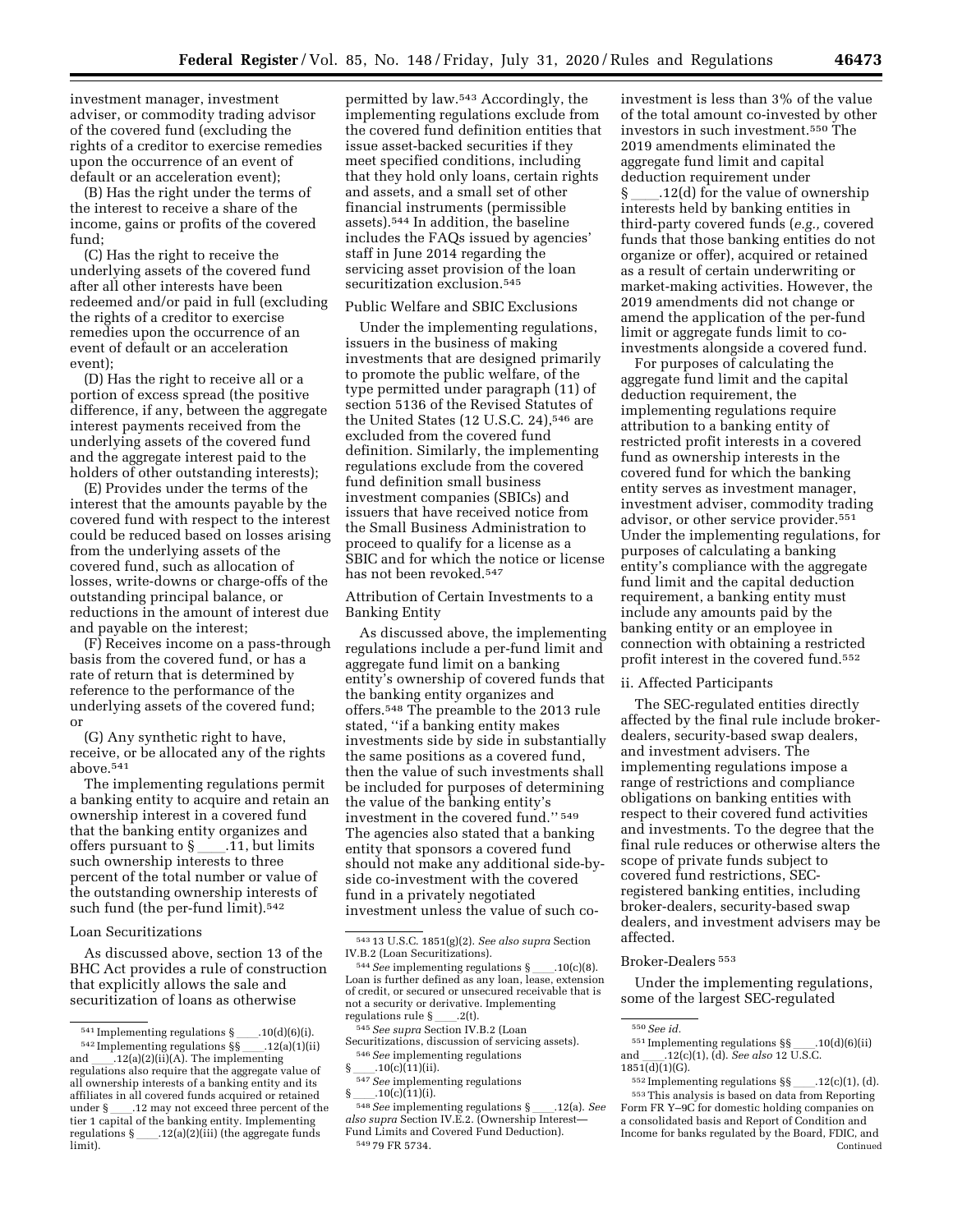investment manager, investment adviser, or commodity trading advisor of the covered fund (excluding the rights of a creditor to exercise remedies upon the occurrence of an event of default or an acceleration event);

(B) Has the right under the terms of the interest to receive a share of the income, gains or profits of the covered fund;

(C) Has the right to receive the underlying assets of the covered fund after all other interests have been redeemed and/or paid in full (excluding the rights of a creditor to exercise remedies upon the occurrence of an event of default or an acceleration event);

(D) Has the right to receive all or a portion of excess spread (the positive difference, if any, between the aggregate interest payments received from the underlying assets of the covered fund and the aggregate interest paid to the holders of other outstanding interests);

(E) Provides under the terms of the interest that the amounts payable by the covered fund with respect to the interest could be reduced based on losses arising from the underlying assets of the covered fund, such as allocation of losses, write-downs or charge-offs of the outstanding principal balance, or reductions in the amount of interest due and payable on the interest;

(F) Receives income on a pass-through basis from the covered fund, or has a rate of return that is determined by reference to the performance of the underlying assets of the covered fund; or

(G) Any synthetic right to have, receive, or be allocated any of the rights above.541

The implementing regulations permit a banking entity to acquire and retain an ownership interest in a covered fund that the banking entity organizes and<br>offers pursuant to  $\S$  \_\_\_\_\_\_.11, but limits offers pursuant to §\_\_\_\_.11, but limits<br>such ownership interests to three percent of the total number or value of the outstanding ownership interests of such fund (the per-fund limit).542

## Loan Securitizations

As discussed above, section 13 of the BHC Act provides a rule of construction that explicitly allows the sale and securitization of loans as otherwise

permitted by law.543 Accordingly, the implementing regulations exclude from the covered fund definition entities that issue asset-backed securities if they meet specified conditions, including that they hold only loans, certain rights and assets, and a small set of other financial instruments (permissible assets).544 In addition, the baseline includes the FAQs issued by agencies' staff in June 2014 regarding the servicing asset provision of the loan securitization exclusion.<sup>545</sup>

#### Public Welfare and SBIC Exclusions

Under the implementing regulations, issuers in the business of making investments that are designed primarily to promote the public welfare, of the type permitted under paragraph (11) of section 5136 of the Revised Statutes of the United States (12 U.S.C. 24),<sup>546</sup> are excluded from the covered fund definition. Similarly, the implementing regulations exclude from the covered fund definition small business investment companies (SBICs) and issuers that have received notice from the Small Business Administration to proceed to qualify for a license as a SBIC and for which the notice or license has not been revoked.<sup>547</sup>

Attribution of Certain Investments to a Banking Entity

As discussed above, the implementing regulations include a per-fund limit and aggregate fund limit on a banking entity's ownership of covered funds that the banking entity organizes and offers.548 The preamble to the 2013 rule stated, ''if a banking entity makes investments side by side in substantially the same positions as a covered fund, then the value of such investments shall be included for purposes of determining the value of the banking entity's investment in the covered fund.'' 549 The agencies also stated that a banking entity that sponsors a covered fund should not make any additional side-byside co-investment with the covered fund in a privately negotiated investment unless the value of such co-

investment is less than 3% of the value of the total amount co-invested by other investors in such investment.550 The 2019 amendments eliminated the aggregate fund limit and capital deduction requirement under  $\S$  .12(d) for the value of ownership interests held by banking entities in third-party covered funds (*e.g.,* covered funds that those banking entities do not organize or offer), acquired or retained as a result of certain underwriting or market-making activities. However, the 2019 amendments did not change or amend the application of the per-fund limit or aggregate funds limit to coinvestments alongside a covered fund.

For purposes of calculating the aggregate fund limit and the capital deduction requirement, the implementing regulations require attribution to a banking entity of restricted profit interests in a covered fund as ownership interests in the covered fund for which the banking entity serves as investment manager, investment adviser, commodity trading advisor, or other service provider.551 Under the implementing regulations, for purposes of calculating a banking entity's compliance with the aggregate fund limit and the capital deduction requirement, a banking entity must include any amounts paid by the banking entity or an employee in connection with obtaining a restricted profit interest in the covered fund.552

# ii. Affected Participants

The SEC-regulated entities directly affected by the final rule include brokerdealers, security-based swap dealers, and investment advisers. The implementing regulations impose a range of restrictions and compliance obligations on banking entities with respect to their covered fund activities and investments. To the degree that the final rule reduces or otherwise alters the scope of private funds subject to covered fund restrictions, SECregistered banking entities, including broker-dealers, security-based swap dealers, and investment advisers may be affected.

#### Broker-Dealers 553

Under the implementing regulations, some of the largest SEC-regulated

 $541$  Implementing regulations §\_\_\_\_.10(d)(6)(i).

 $542$  Implementing regulations §§ \_\_\_\_.12(a)(1)(ii) and \_\_\_\_\_.12(a)(2)(ii)(A). The implementing and \_\_\_\_.12(a)(2)(ii)(A). The implementing<br>regulations also require that the aggregate value of all ownership interests of a banking entity and its affiliates in all covered funds acquired or retained<br>under §\_\_\_\_\_.12 may not exceed three percent of the under § \_\_\_\_.12 may not exceed three percent of the<br>tier 1 capital of the banking entity. Implementing regulations § \_\_\_\_\_.12(a)(2)(iii) (the aggregate funds limit).

<sup>543</sup> 13 U.S.C. 1851(g)(2). *See also supra* Section

<sup>&</sup>lt;sup>544</sup> See implementing regulations §\_\_\_\_.10(c)(8). Loan is further defined as any loan, lease, extension of credit, or secured or unsecured receivable that is not a security or derivative. Implementing regulations rule §ll.2(t). 545*See supra* Section IV.B.2 (Loan

Securitizations, discussion of servicing assets).<br><sup>546</sup> *See* implementing regulations<br>§ .10(c)(11)(ii).

 $\sqrt{\frac{547}{9}}$ *See* implementing regulations  $\frac{8}{10}$ .

 $\frac{10(c)(11)(i)}{248 \text{ S}}$ <sup>548</sup> See implementing regulations §\_\_\_\_.12(a). See <br>so supra Section IV E 2. (Ownership Interest *also supra* Section IV.E.2. (Ownership Interest— Fund Limits and Covered Fund Deduction). 549 79 FR 5734.

<sup>550</sup>*See id.* 

<sup>551</sup> Implementing regulations §§ll.10(d)(6)(ii) and ll.12(c)(1), (d). *See also* 12 U.S.C.  $1851\overline{d}(d)(1)(G)$ .

 $^{552}$  Implementing regulations  $\S\$  \_\_\_\_.12(c)(1), (d). 553This analysis is based on data from Reporting Form FR Y–9C for domestic holding companies on a consolidated basis and Report of Condition and Income for banks regulated by the Board, FDIC, and Continued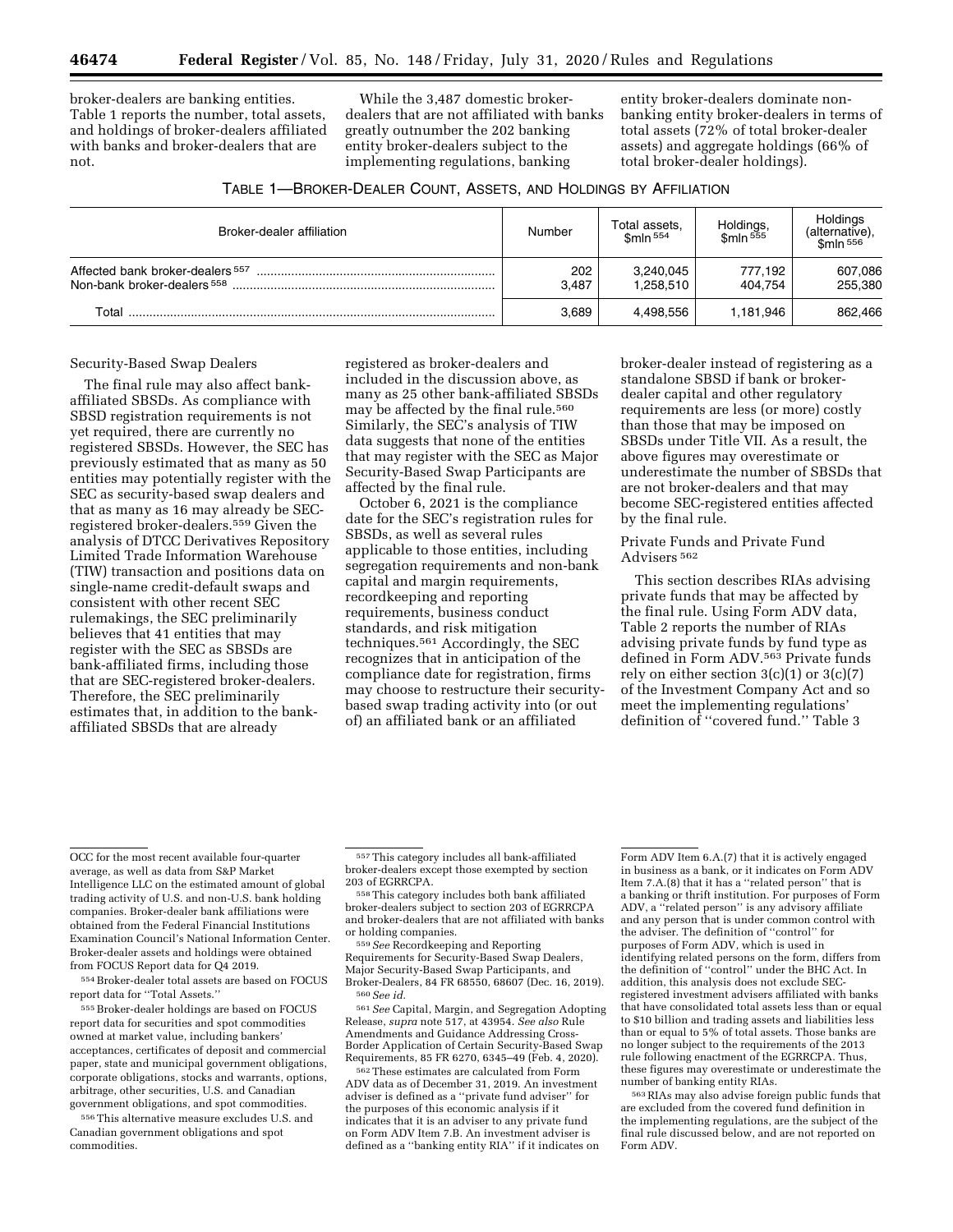broker-dealers are banking entities. Table 1 reports the number, total assets, and holdings of broker-dealers affiliated with banks and broker-dealers that are not.

While the 3,487 domestic brokerdealers that are not affiliated with banks greatly outnumber the 202 banking entity broker-dealers subject to the implementing regulations, banking

entity broker-dealers dominate nonbanking entity broker-dealers in terms of total assets (72% of total broker-dealer assets) and aggregate holdings (66% of total broker-dealer holdings).

| TABLE 1-BROKER-DEALER COUNT, ASSETS, AND HOLDINGS BY AFFILIATION |  |  |  |
|------------------------------------------------------------------|--|--|--|
|------------------------------------------------------------------|--|--|--|

| Broker-dealer affiliation                                       | Number       | Total assets.<br>\$mln <sup>554</sup> | Holdings,<br>\$mln <sup>555</sup> | Holdings<br>(alternative),<br>\$mln <sup>556</sup> |
|-----------------------------------------------------------------|--------------|---------------------------------------|-----------------------------------|----------------------------------------------------|
| Affected bank broker-dealers 557<br>Non-bank broker-dealers 558 | 202<br>3.487 | 3,240,045<br>1.258.510                | 777.192<br>404.754                | 607,086<br>255,380                                 |
| Total                                                           | 3.689        | 4.498.556                             | 1,181,946                         | 862,466                                            |

#### Security-Based Swap Dealers

The final rule may also affect bankaffiliated SBSDs. As compliance with SBSD registration requirements is not yet required, there are currently no registered SBSDs. However, the SEC has previously estimated that as many as 50 entities may potentially register with the SEC as security-based swap dealers and that as many as 16 may already be SECregistered broker-dealers.559 Given the analysis of DTCC Derivatives Repository Limited Trade Information Warehouse (TIW) transaction and positions data on single-name credit-default swaps and consistent with other recent SEC rulemakings, the SEC preliminarily believes that 41 entities that may register with the SEC as SBSDs are bank-affiliated firms, including those that are SEC-registered broker-dealers. Therefore, the SEC preliminarily estimates that, in addition to the bankaffiliated SBSDs that are already

registered as broker-dealers and included in the discussion above, as many as 25 other bank-affiliated SBSDs may be affected by the final rule.<sup>560</sup> Similarly, the SEC's analysis of TIW data suggests that none of the entities that may register with the SEC as Major Security-Based Swap Participants are affected by the final rule.

October 6, 2021 is the compliance date for the SEC's registration rules for SBSDs, as well as several rules applicable to those entities, including segregation requirements and non-bank capital and margin requirements, recordkeeping and reporting requirements, business conduct standards, and risk mitigation techniques.561 Accordingly, the SEC recognizes that in anticipation of the compliance date for registration, firms may choose to restructure their securitybased swap trading activity into (or out of) an affiliated bank or an affiliated

broker-dealer instead of registering as a standalone SBSD if bank or brokerdealer capital and other regulatory requirements are less (or more) costly than those that may be imposed on SBSDs under Title VII. As a result, the above figures may overestimate or underestimate the number of SBSDs that are not broker-dealers and that may become SEC-registered entities affected by the final rule.

## Private Funds and Private Fund Advisers 562

This section describes RIAs advising private funds that may be affected by the final rule. Using Form ADV data, Table 2 reports the number of RIAs advising private funds by fund type as defined in Form ADV.563 Private funds rely on either section  $3(c)(1)$  or  $3(c)(7)$ of the Investment Company Act and so meet the implementing regulations' definition of ''covered fund.'' Table 3

554Broker-dealer total assets are based on FOCUS report data for ''Total Assets.''

555Broker-dealer holdings are based on FOCUS report data for securities and spot commodities owned at market value, including bankers' acceptances, certificates of deposit and commercial paper, state and municipal government obligations, corporate obligations, stocks and warrants, options, arbitrage, other securities, U.S. and Canadian government obligations, and spot commodities.

556This alternative measure excludes U.S. and Canadian government obligations and spot commodities.

<sup>559</sup> See Recordkeeping and Reporting Requirements for Security-Based Swap Dealers, Major Security-Based Swap Participants, and Broker-Dealers, 84 FR 68550, 68607 (Dec. 16, 2019). 560*See id.* 

561*See* Capital, Margin, and Segregation Adopting Release, *supra* note 517, at 43954. *See also* Rule Amendments and Guidance Addressing Cross-Border Application of Certain Security-Based Swap Requirements, 85 FR 6270, 6345–49 (Feb. 4, 2020).

562These estimates are calculated from Form ADV data as of December 31, 2019. An investment adviser is defined as a ''private fund adviser'' for the purposes of this economic analysis if it indicates that it is an adviser to any private fund on Form ADV Item 7.B. An investment adviser is defined as a ''banking entity RIA'' if it indicates on

Form ADV Item 6.A.(7) that it is actively engaged in business as a bank, or it indicates on Form ADV Item 7.A.(8) that it has a ''related person'' that is a banking or thrift institution. For purposes of Form ADV, a ''related person'' is any advisory affiliate and any person that is under common control with the adviser. The definition of ''control'' for purposes of Form ADV, which is used in identifying related persons on the form, differs from the definition of ''control'' under the BHC Act. In addition, this analysis does not exclude SECregistered investment advisers affiliated with banks that have consolidated total assets less than or equal to \$10 billion and trading assets and liabilities less than or equal to 5% of total assets. Those banks are no longer subject to the requirements of the 2013 rule following enactment of the EGRRCPA. Thus, these figures may overestimate or underestimate the number of banking entity RIAs.

563RIAs may also advise foreign public funds that are excluded from the covered fund definition in the implementing regulations, are the subject of the final rule discussed below, and are not reported on Form ADV.

OCC for the most recent available four-quarter average, as well as data from S&P Market Intelligence LLC on the estimated amount of global trading activity of U.S. and non-U.S. bank holding companies. Broker-dealer bank affiliations were obtained from the Federal Financial Institutions Examination Council's National Information Center. Broker-dealer assets and holdings were obtained from FOCUS Report data for Q4 2019.

<sup>557</sup>This category includes all bank-affiliated broker-dealers except those exempted by section

<sup>558</sup> This category includes both bank affiliated broker-dealers subject to section 203 of EGRRCPA and broker-dealers that are not affiliated with banks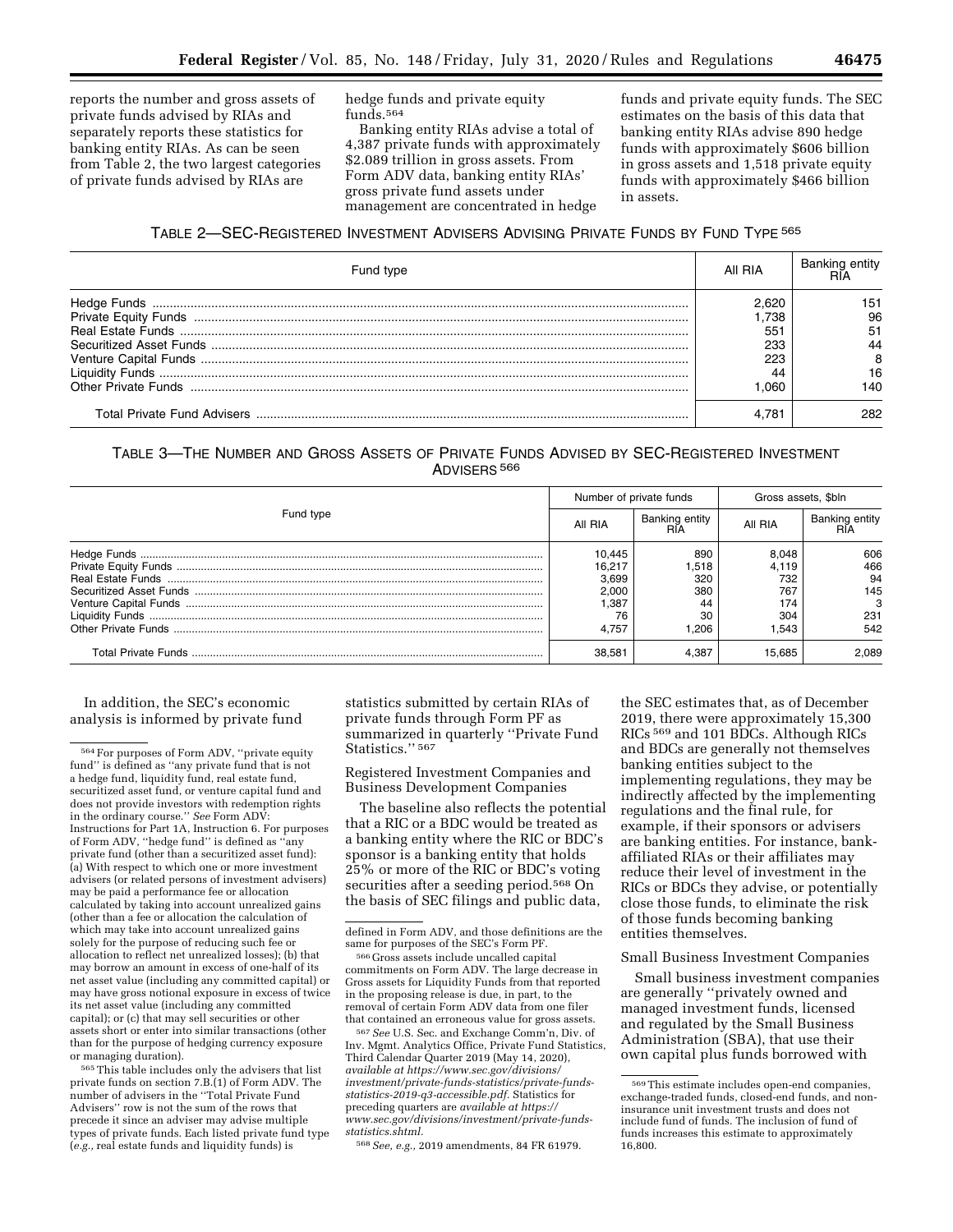reports the number and gross assets of private funds advised by RIAs and separately reports these statistics for banking entity RIAs. As can be seen from Table 2, the two largest categories of private funds advised by RIAs are

hedge funds and private equity funds.564

Banking entity RIAs advise a total of 4,387 private funds with approximately \$2.089 trillion in gross assets. From Form ADV data, banking entity RIAs' gross private fund assets under management are concentrated in hedge

funds and private equity funds. The SEC estimates on the basis of this data that banking entity RIAs advise 890 hedge funds with approximately \$606 billion in gross assets and 1,518 private equity funds with approximately \$466 billion in assets.

TABLE 2—SEC-REGISTERED INVESTMENT ADVISERS ADVISING PRIVATE FUNDS BY FUND TYPE 565

| Fund type | AII RIA      | Bankıng |
|-----------|--------------|---------|
|           | 2 R21        | 151     |
|           | .738         | 96      |
|           | $55^{\circ}$ | 5       |
|           | 233          |         |
|           | 223          |         |
|           | ΔΔ           | 16      |
|           | .060         | 140     |
|           | 4.781        | 282     |

# TABLE 3—THE NUMBER AND GROSS ASSETS OF PRIVATE FUNDS ADVISED BY SEC-REGISTERED INVESTMENT ADVISERS 566

|           |         | Number of private funds |         | Gross assets, \$bln |  |
|-----------|---------|-------------------------|---------|---------------------|--|
| Fund type | AII RIA | Banking entity          | All RIA | Banking entity      |  |
|           | 10.445  | 890                     | 8.048   | 606                 |  |
|           | 16.217  | 1.518                   | 4.119   | 466                 |  |
|           | 3,699   | 320                     | 732     | 94                  |  |
|           | 2,000   | 380                     | 767     | 145                 |  |
|           | .387    | 44                      | 174     |                     |  |
|           |         | 30                      | 304     | 231                 |  |
|           | 4.757   | .206                    | .543    | 542                 |  |
|           | 38.581  | 4.387                   | 15.685  | 2.089               |  |

In addition, the SEC's economic analysis is informed by private fund

565This table includes only the advisers that list private funds on section 7.B.(1) of Form ADV. The number of advisers in the ''Total Private Fund Advisers'' row is not the sum of the rows that precede it since an adviser may advise multiple types of private funds. Each listed private fund type (*e.g.,* real estate funds and liquidity funds) is

statistics submitted by certain RIAs of private funds through Form PF as summarized in quarterly ''Private Fund Statistics." 567

Registered Investment Companies and Business Development Companies

The baseline also reflects the potential that a RIC or a BDC would be treated as a banking entity where the RIC or BDC's sponsor is a banking entity that holds 25% or more of the RIC or BDC's voting securities after a seeding period.568 On the basis of SEC filings and public data,

566 Gross assets include uncalled capital commitments on Form ADV. The large decrease in Gross assets for Liquidity Funds from that reported in the proposing release is due, in part, to the removal of certain Form ADV data from one filer that contained an erroneous value for gross assets.

567*See* U.S. Sec. and Exchange Comm'n, Div. of Inv. Mgmt. Analytics Office, Private Fund Statistics, Third Calendar Quarter 2019 (May 14, 2020), *available at [https://www.sec.gov/divisions/](https://www.sec.gov/divisions/investment/private-funds-statistics/private-funds-statistics-2019-q3-accessible.pdf) [investment/private-funds-statistics/private-funds](https://www.sec.gov/divisions/investment/private-funds-statistics/private-funds-statistics-2019-q3-accessible.pdf)[statistics-2019-q3-accessible.pdf.](https://www.sec.gov/divisions/investment/private-funds-statistics/private-funds-statistics-2019-q3-accessible.pdf)* Statistics for preceding quarters are *available at [https://](https://www.sec.gov/divisions/investment/private-funds-statistics.shtml) [www.sec.gov/divisions/investment/private-funds](https://www.sec.gov/divisions/investment/private-funds-statistics.shtml)[statistics.shtml.](https://www.sec.gov/divisions/investment/private-funds-statistics.shtml)* 

568*See, e.g.,* 2019 amendments, 84 FR 61979.

the SEC estimates that, as of December 2019, there were approximately 15,300 RICs 569 and 101 BDCs. Although RICs and BDCs are generally not themselves banking entities subject to the implementing regulations, they may be indirectly affected by the implementing regulations and the final rule, for example, if their sponsors or advisers are banking entities. For instance, bankaffiliated RIAs or their affiliates may reduce their level of investment in the RICs or BDCs they advise, or potentially close those funds, to eliminate the risk of those funds becoming banking entities themselves.

#### Small Business Investment Companies

Small business investment companies are generally ''privately owned and managed investment funds, licensed and regulated by the Small Business Administration (SBA), that use their own capital plus funds borrowed with

<sup>564</sup>For purposes of Form ADV, ''private equity fund'' is defined as ''any private fund that is not a hedge fund, liquidity fund, real estate fund, securitized asset fund, or venture capital fund and does not provide investors with redemption rights in the ordinary course.'' *See* Form ADV: Instructions for Part 1A, Instruction 6. For purposes of Form ADV, ''hedge fund'' is defined as ''any private fund (other than a securitized asset fund): (a) With respect to which one or more investment advisers (or related persons of investment advisers) may be paid a performance fee or allocation calculated by taking into account unrealized gains (other than a fee or allocation the calculation of which may take into account unrealized gains solely for the purpose of reducing such fee or allocation to reflect net unrealized losses); (b) that may borrow an amount in excess of one-half of its net asset value (including any committed capital) or may have gross notional exposure in excess of twice its net asset value (including any committed capital); or (c) that may sell securities or other assets short or enter into similar transactions (other than for the purpose of hedging currency exposure or managing duration).

defined in Form ADV, and those definitions are the same for purposes of the SEC's Form PF.

<sup>569</sup>This estimate includes open-end companies, exchange-traded funds, closed-end funds, and noninsurance unit investment trusts and does not include fund of funds. The inclusion of fund of funds increases this estimate to approximately 16,800.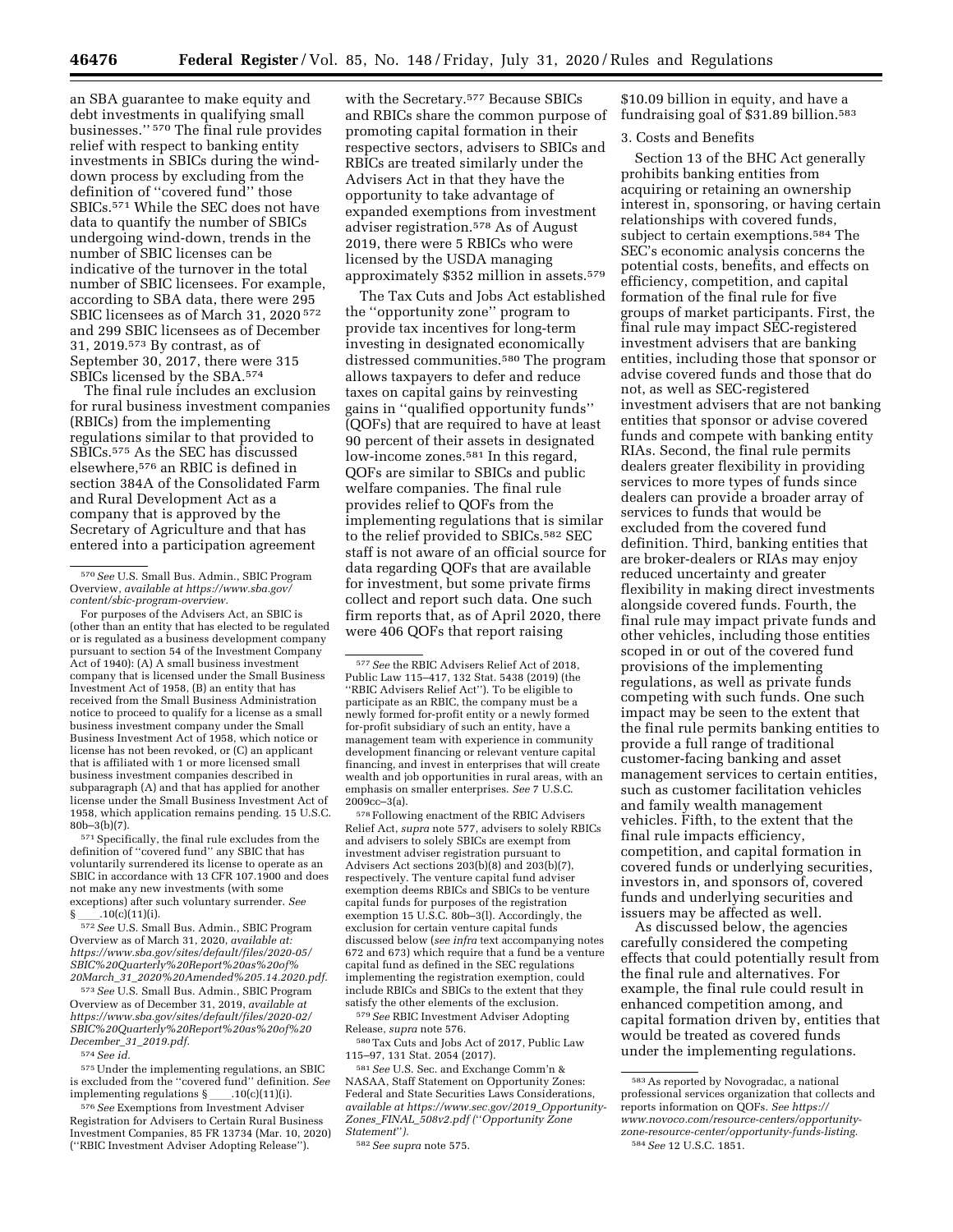an SBA guarantee to make equity and debt investments in qualifying small businesses.'' 570 The final rule provides relief with respect to banking entity investments in SBICs during the winddown process by excluding from the definition of ''covered fund'' those SBICs.571 While the SEC does not have data to quantify the number of SBICs undergoing wind-down, trends in the number of SBIC licenses can be indicative of the turnover in the total number of SBIC licensees. For example, according to SBA data, there were 295 SBIC licensees as of March 31, 2020 572 and 299 SBIC licensees as of December 31, 2019.573 By contrast, as of September 30, 2017, there were 315 SBICs licensed by the SBA.574

The final rule includes an exclusion for rural business investment companies (RBICs) from the implementing regulations similar to that provided to SBICs.575 As the SEC has discussed elsewhere,576 an RBIC is defined in section 384A of the Consolidated Farm and Rural Development Act as a company that is approved by the Secretary of Agriculture and that has entered into a participation agreement

For purposes of the Advisers Act, an SBIC is (other than an entity that has elected to be regulated or is regulated as a business development company pursuant to section 54 of the Investment Company Act of 1940): (A) A small business investment company that is licensed under the Small Business Investment Act of 1958, (B) an entity that has received from the Small Business Administration notice to proceed to qualify for a license as a small business investment company under the Small Business Investment Act of 1958, which notice or license has not been revoked, or (C) an applicant that is affiliated with 1 or more licensed small business investment companies described in subparagraph (A) and that has applied for another license under the Small Business Investment Act of 1958, which application remains pending. 15 U.S.C. 80b–3(b)(7).

571Specifically, the final rule excludes from the definition of ''covered fund'' any SBIC that has voluntarily surrendered its license to operate as an SBIC in accordance with 13 CFR 107.1900 and does not make any new investments (with some exceptions) after such voluntary surrender. *See*   $10(c)(11)(i).$ 

572*See* U.S. Small Bus. Admin., SBIC Program Overview as of March 31, 2020, *available at: [https://www.sba.gov/sites/default/files/2020-05/](https://www.sba.gov/sites/default/files/2020-05/SBIC%20Quarterly%20Report%20as%20of%20March_31_2020%20Amended%205.14.2020.pdf) [SBIC%20Quarterly%20Report%20as%20of%](https://www.sba.gov/sites/default/files/2020-05/SBIC%20Quarterly%20Report%20as%20of%20March_31_2020%20Amended%205.14.2020.pdf) 20March*\_*31*\_*[2020%20Amended%205.14.2020.pdf.](https://www.sba.gov/sites/default/files/2020-05/SBIC%20Quarterly%20Report%20as%20of%20March_31_2020%20Amended%205.14.2020.pdf)* 

573*See* U.S. Small Bus. Admin., SBIC Program Overview as of December 31, 2019, *available at [https://www.sba.gov/sites/default/files/2020-02/](https://www.sba.gov/sites/default/files/2020-02/SBIC%20Quarterly%20Report%20as%20of%20December_31_2019.pdf) [SBIC%20Quarterly%20Report%20as%20of%20](https://www.sba.gov/sites/default/files/2020-02/SBIC%20Quarterly%20Report%20as%20of%20December_31_2019.pdf) [December](https://www.sba.gov/sites/default/files/2020-02/SBIC%20Quarterly%20Report%20as%20of%20December_31_2019.pdf)*\_*31*\_*2019.pdf.* 

574*See id.* 

 $^{\rm 575}\rm$  Under the implementing regulations, an SBIC is excluded from the ''covered fund'' definition. *See*  implementing regulations  $\S$  \_\_\_\_.10(c)(11)(i).

576*See* Exemptions from Investment Adviser Registration for Advisers to Certain Rural Business Investment Companies, 85 FR 13734 (Mar. 10, 2020) (''RBIC Investment Adviser Adopting Release'').

with the Secretary.577 Because SBICs and RBICs share the common purpose of promoting capital formation in their respective sectors, advisers to SBICs and RBICs are treated similarly under the Advisers Act in that they have the opportunity to take advantage of expanded exemptions from investment adviser registration.578 As of August 2019, there were 5 RBICs who were licensed by the USDA managing approximately \$352 million in assets.579

The Tax Cuts and Jobs Act established the ''opportunity zone'' program to provide tax incentives for long-term investing in designated economically distressed communities.580 The program allows taxpayers to defer and reduce taxes on capital gains by reinvesting gains in ''qualified opportunity funds'' (QOFs) that are required to have at least 90 percent of their assets in designated low-income zones.<sup>581</sup> In this regard, QOFs are similar to SBICs and public welfare companies. The final rule provides relief to QOFs from the implementing regulations that is similar to the relief provided to SBICs.582 SEC staff is not aware of an official source for data regarding QOFs that are available for investment, but some private firms collect and report such data. One such firm reports that, as of April 2020, there were 406 QOFs that report raising

577*See* the RBIC Advisers Relief Act of 2018, Public Law 115–417, 132 Stat. 5438 (2019) (the ''RBIC Advisers Relief Act''). To be eligible to participate as an RBIC, the company must be a newly formed for-profit entity or a newly formed for-profit subsidiary of such an entity, have a management team with experience in community development financing or relevant venture capital financing, and invest in enterprises that will create wealth and job opportunities in rural areas, with an emphasis on smaller enterprises. *See* 7 U.S.C. 2009cc–3(a).

578Following enactment of the RBIC Advisers Relief Act, *supra* note 577, advisers to solely RBICs and advisers to solely SBICs are exempt from investment adviser registration pursuant to Advisers Act sections 203(b)(8) and 203(b)(7), respectively. The venture capital fund adviser exemption deems RBICs and SBICs to be venture capital funds for purposes of the registration exemption 15 U.S.C. 80b–3(l). Accordingly, the exclusion for certain venture capital funds discussed below (*see infra* text accompanying notes 672 and 673) which require that a fund be a venture capital fund as defined in the SEC regulations implementing the registration exemption, could include RBICs and SBICs to the extent that they satisfy the other elements of the exclusion.

579*See* RBIC Investment Adviser Adopting Release, *supra* note 576.

580Tax Cuts and Jobs Act of 2017, Public Law 115–97, 131 Stat. 2054 (2017).

581*See* U.S. Sec. and Exchange Comm'n & NASAA, Staff Statement on Opportunity Zones: Federal and State Securities Laws Considerations, *available at [https://www.sec.gov/2019](https://www.sec.gov/2019_Opportunity-Zones_FINAL_508v2.pdf)*\_*Opportunity-Zones*\_*FINAL*\_*[508v2.pdf](https://www.sec.gov/2019_Opportunity-Zones_FINAL_508v2.pdf) (*''*Opportunity Zone Statement*''*).* 

582*See supra* note 575.

\$10.09 billion in equity, and have a fundraising goal of \$31.89 billion.583

# 3. Costs and Benefits

Section 13 of the BHC Act generally prohibits banking entities from acquiring or retaining an ownership interest in, sponsoring, or having certain relationships with covered funds, subject to certain exemptions.584 The SEC's economic analysis concerns the potential costs, benefits, and effects on efficiency, competition, and capital formation of the final rule for five groups of market participants. First, the final rule may impact SEC-registered investment advisers that are banking entities, including those that sponsor or advise covered funds and those that do not, as well as SEC-registered investment advisers that are not banking entities that sponsor or advise covered funds and compete with banking entity RIAs. Second, the final rule permits dealers greater flexibility in providing services to more types of funds since dealers can provide a broader array of services to funds that would be excluded from the covered fund definition. Third, banking entities that are broker-dealers or RIAs may enjoy reduced uncertainty and greater flexibility in making direct investments alongside covered funds. Fourth, the final rule may impact private funds and other vehicles, including those entities scoped in or out of the covered fund provisions of the implementing regulations, as well as private funds competing with such funds. One such impact may be seen to the extent that the final rule permits banking entities to provide a full range of traditional customer-facing banking and asset management services to certain entities, such as customer facilitation vehicles and family wealth management vehicles. Fifth, to the extent that the final rule impacts efficiency, competition, and capital formation in covered funds or underlying securities, investors in, and sponsors of, covered funds and underlying securities and issuers may be affected as well.

As discussed below, the agencies carefully considered the competing effects that could potentially result from the final rule and alternatives. For example, the final rule could result in enhanced competition among, and capital formation driven by, entities that would be treated as covered funds under the implementing regulations.

<sup>570</sup>*See* U.S. Small Bus. Admin., SBIC Program Overview, *available at [https://www.sba.gov/](https://www.sba.gov/content/sbic-program-overview)  [content/sbic-program-overview.](https://www.sba.gov/content/sbic-program-overview)* 

<sup>583</sup>As reported by Novogradac, a national professional services organization that collects and reports information on QOFs. *See [https://](https://www.novoco.com/resource-centers/opportunity-zone-resource-center/opportunity-funds-listing) [www.novoco.com/resource-centers/opportunity](https://www.novoco.com/resource-centers/opportunity-zone-resource-center/opportunity-funds-listing)[zone-resource-center/opportunity-funds-listing.](https://www.novoco.com/resource-centers/opportunity-zone-resource-center/opportunity-funds-listing)*  584*See* 12 U.S.C. 1851.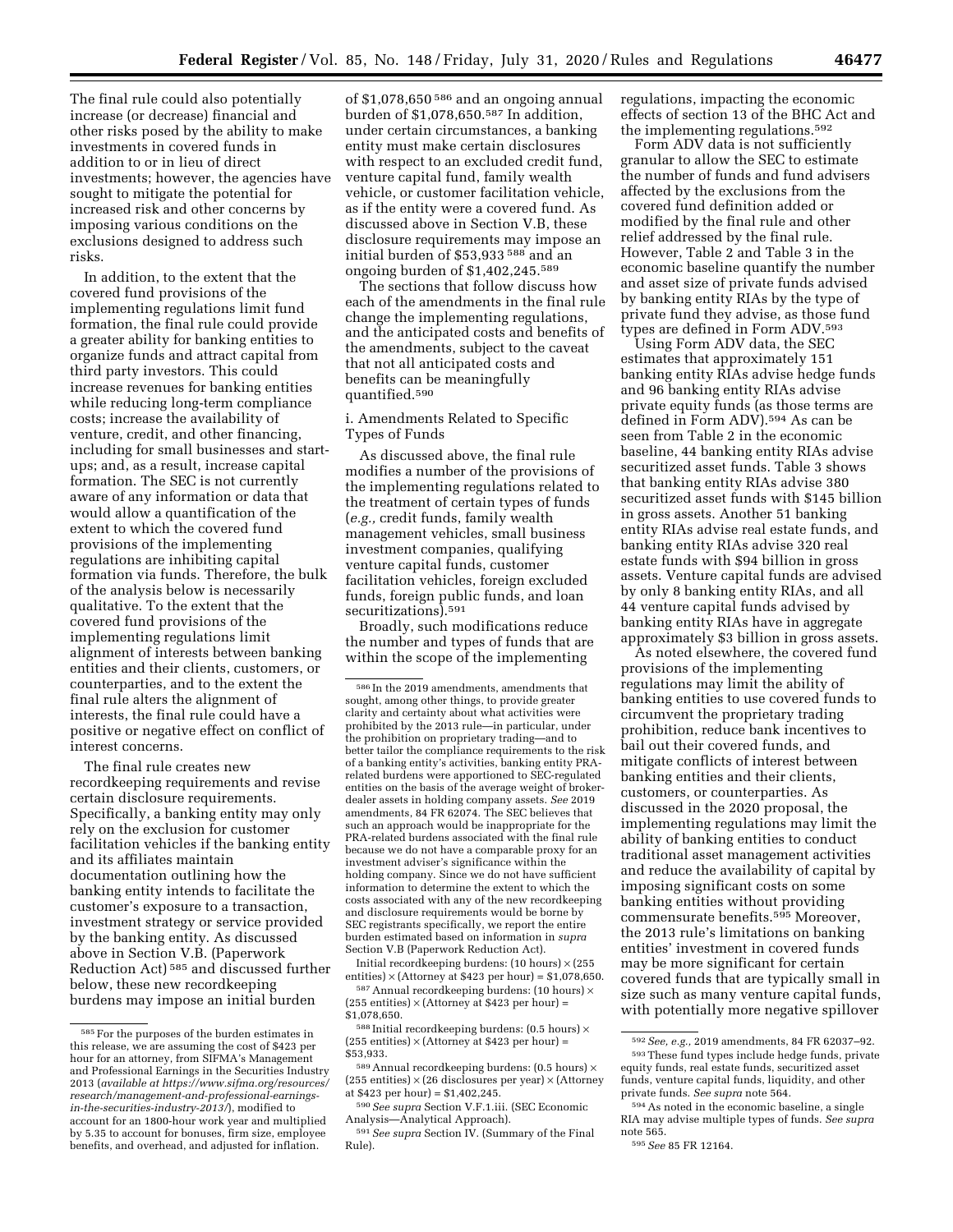The final rule could also potentially increase (or decrease) financial and other risks posed by the ability to make investments in covered funds in addition to or in lieu of direct investments; however, the agencies have sought to mitigate the potential for increased risk and other concerns by imposing various conditions on the exclusions designed to address such risks.

In addition, to the extent that the covered fund provisions of the implementing regulations limit fund formation, the final rule could provide a greater ability for banking entities to organize funds and attract capital from third party investors. This could increase revenues for banking entities while reducing long-term compliance costs; increase the availability of venture, credit, and other financing, including for small businesses and startups; and, as a result, increase capital formation. The SEC is not currently aware of any information or data that would allow a quantification of the extent to which the covered fund provisions of the implementing regulations are inhibiting capital formation via funds. Therefore, the bulk of the analysis below is necessarily qualitative. To the extent that the covered fund provisions of the implementing regulations limit alignment of interests between banking entities and their clients, customers, or counterparties, and to the extent the final rule alters the alignment of interests, the final rule could have a positive or negative effect on conflict of interest concerns.

The final rule creates new recordkeeping requirements and revise certain disclosure requirements. Specifically, a banking entity may only rely on the exclusion for customer facilitation vehicles if the banking entity and its affiliates maintain documentation outlining how the banking entity intends to facilitate the customer's exposure to a transaction, investment strategy or service provided by the banking entity. As discussed above in Section V.B. (Paperwork Reduction Act) 585 and discussed further below, these new recordkeeping burdens may impose an initial burden

of  $$1,078,650$ <sup>586</sup> and an ongoing annual burden of \$1,078,650.587 In addition, under certain circumstances, a banking entity must make certain disclosures with respect to an excluded credit fund, venture capital fund, family wealth vehicle, or customer facilitation vehicle, as if the entity were a covered fund. As discussed above in Section V.B, these disclosure requirements may impose an initial burden of \$53,933 588 and an ongoing burden of \$1,402,245.589

The sections that follow discuss how each of the amendments in the final rule change the implementing regulations, and the anticipated costs and benefits of the amendments, subject to the caveat that not all anticipated costs and benefits can be meaningfully quantified.590

# i. Amendments Related to Specific Types of Funds

As discussed above, the final rule modifies a number of the provisions of the implementing regulations related to the treatment of certain types of funds (*e.g.,* credit funds, family wealth management vehicles, small business investment companies, qualifying venture capital funds, customer facilitation vehicles, foreign excluded funds, foreign public funds, and loan securitizations).591

Broadly, such modifications reduce the number and types of funds that are within the scope of the implementing

586 In the 2019 amendments, amendments that sought, among other things, to provide greater clarity and certainty about what activities were prohibited by the 2013 rule—in particular, under the prohibition on proprietary trading—and to better tailor the compliance requirements to the risk of a banking entity's activities, banking entity PRArelated burdens were apportioned to SEC-regulated entities on the basis of the average weight of brokerdealer assets in holding company assets. *See* 2019 amendments, 84 FR 62074. The SEC believes that such an approach would be inappropriate for the PRA-related burdens associated with the final rule because we do not have a comparable proxy for an investment adviser's significance within the holding company. Since we do not have sufficient information to determine the extent to which the costs associated with any of the new recordkeeping and disclosure requirements would be borne by SEC registrants specifically, we report the entire burden estimated based on information in *supra*  Section V.B (Paperwork Reduction Act).

Initial recordkeeping burdens: (10 hours) × (255 entities)  $\times$  (Attorney at \$423 per hour) = \$1,078,650.

587Annual recordkeeping burdens: (10 hours) × (255 entities)  $\times$  (Attorney at \$423 per hour) = \$1,078,650.

 $^{588}\,$  Initial record<br>keeping burdens: (0.5 hours)  $\times$ (255 entities)  $\times$  (Attorney at \$423 per hour) = \$53,933.

589Annual recordkeeping burdens: (0.5 hours) × (255 entities) × (26 disclosures per year) × (Attorney at \$423 per hour) = \$1,402,245.

590*See supra* Section V.F.1.iii. (SEC Economic Analysis—Analytical Approach).

591*See supra* Section IV. (Summary of the Final Rule).

regulations, impacting the economic effects of section 13 of the BHC Act and the implementing regulations.592

Form ADV data is not sufficiently granular to allow the SEC to estimate the number of funds and fund advisers affected by the exclusions from the covered fund definition added or modified by the final rule and other relief addressed by the final rule. However, Table 2 and Table 3 in the economic baseline quantify the number and asset size of private funds advised by banking entity RIAs by the type of private fund they advise, as those fund types are defined in Form ADV.593

Using Form ADV data, the SEC estimates that approximately 151 banking entity RIAs advise hedge funds and 96 banking entity RIAs advise private equity funds (as those terms are defined in Form ADV).594 As can be seen from Table 2 in the economic baseline, 44 banking entity RIAs advise securitized asset funds. Table 3 shows that banking entity RIAs advise 380 securitized asset funds with \$145 billion in gross assets. Another 51 banking entity RIAs advise real estate funds, and banking entity RIAs advise 320 real estate funds with \$94 billion in gross assets. Venture capital funds are advised by only 8 banking entity RIAs, and all 44 venture capital funds advised by banking entity RIAs have in aggregate approximately \$3 billion in gross assets.

As noted elsewhere, the covered fund provisions of the implementing regulations may limit the ability of banking entities to use covered funds to circumvent the proprietary trading prohibition, reduce bank incentives to bail out their covered funds, and mitigate conflicts of interest between banking entities and their clients, customers, or counterparties. As discussed in the 2020 proposal, the implementing regulations may limit the ability of banking entities to conduct traditional asset management activities and reduce the availability of capital by imposing significant costs on some banking entities without providing commensurate benefits.595 Moreover, the 2013 rule's limitations on banking entities' investment in covered funds may be more significant for certain covered funds that are typically small in size such as many venture capital funds, with potentially more negative spillover

RIA may advise multiple types of funds. *See supra*  note 565. 595*See* 85 FR 12164.

<sup>585</sup>For the purposes of the burden estimates in this release, we are assuming the cost of \$423 per hour for an attorney, from SIFMA's Management and Professional Earnings in the Securities Industry 2013 (*available at [https://www.sifma.org/resources/](https://www.sifma.org/resources/research/management-and-professional-earnings-in-the-securities-industry-2013/) [research/management-and-professional-earnings](https://www.sifma.org/resources/research/management-and-professional-earnings-in-the-securities-industry-2013/)[in-the-securities-industry-2013/](https://www.sifma.org/resources/research/management-and-professional-earnings-in-the-securities-industry-2013/)*), modified to account for an 1800-hour work year and multiplied by 5.35 to account for bonuses, firm size, employee benefits, and overhead, and adjusted for inflation.

<sup>592</sup>*See, e.g.,* 2019 amendments, 84 FR 62037–92. 593These fund types include hedge funds, private equity funds, real estate funds, securitized asset

funds, venture capital funds, liquidity, and other private funds. *See supra* note 564. 594As noted in the economic baseline, a single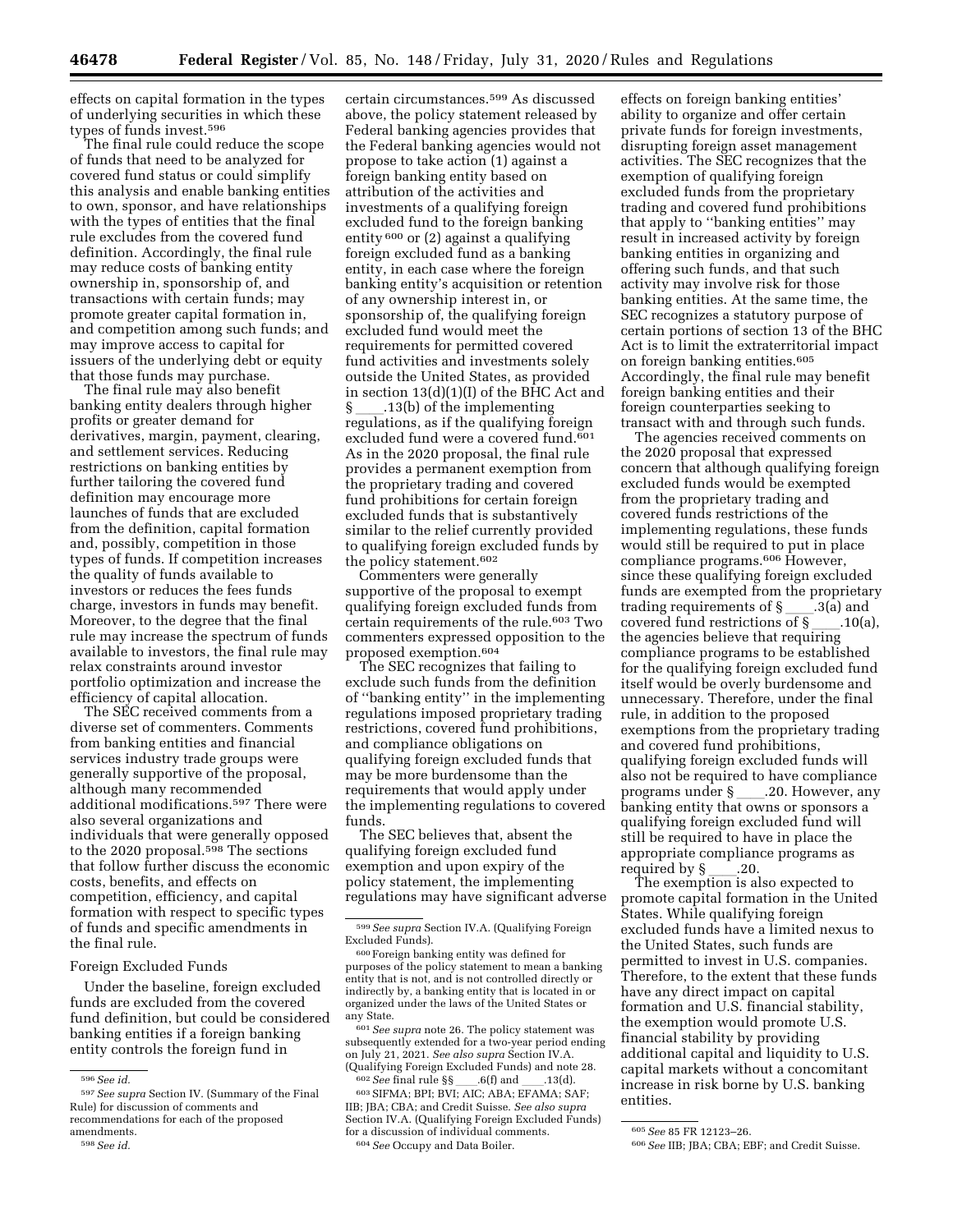effects on capital formation in the types of underlying securities in which these types of funds invest.596

The final rule could reduce the scope of funds that need to be analyzed for covered fund status or could simplify this analysis and enable banking entities to own, sponsor, and have relationships with the types of entities that the final rule excludes from the covered fund definition. Accordingly, the final rule may reduce costs of banking entity ownership in, sponsorship of, and transactions with certain funds; may promote greater capital formation in, and competition among such funds; and may improve access to capital for issuers of the underlying debt or equity that those funds may purchase.

The final rule may also benefit banking entity dealers through higher profits or greater demand for derivatives, margin, payment, clearing, and settlement services. Reducing restrictions on banking entities by further tailoring the covered fund definition may encourage more launches of funds that are excluded from the definition, capital formation and, possibly, competition in those types of funds. If competition increases the quality of funds available to investors or reduces the fees funds charge, investors in funds may benefit. Moreover, to the degree that the final rule may increase the spectrum of funds available to investors, the final rule may relax constraints around investor portfolio optimization and increase the efficiency of capital allocation.

The SEC received comments from a diverse set of commenters. Comments from banking entities and financial services industry trade groups were generally supportive of the proposal, although many recommended additional modifications.597 There were also several organizations and individuals that were generally opposed to the 2020 proposal.<sup>598</sup> The sections that follow further discuss the economic costs, benefits, and effects on competition, efficiency, and capital formation with respect to specific types of funds and specific amendments in the final rule.

# Foreign Excluded Funds

Under the baseline, foreign excluded funds are excluded from the covered fund definition, but could be considered banking entities if a foreign banking entity controls the foreign fund in

certain circumstances.599 As discussed above, the policy statement released by Federal banking agencies provides that the Federal banking agencies would not propose to take action (1) against a foreign banking entity based on attribution of the activities and investments of a qualifying foreign excluded fund to the foreign banking entity 600 or (2) against a qualifying foreign excluded fund as a banking entity, in each case where the foreign banking entity's acquisition or retention of any ownership interest in, or sponsorship of, the qualifying foreign excluded fund would meet the requirements for permitted covered fund activities and investments solely outside the United States, as provided in section 13(d)(1)(I) of the BHC Act and § .13(b) of the implementing regulations, as if the qualifying foreign excluded fund were a covered fund.601 As in the 2020 proposal, the final rule provides a permanent exemption from the proprietary trading and covered fund prohibitions for certain foreign excluded funds that is substantively similar to the relief currently provided to qualifying foreign excluded funds by the policy statement.<sup>602</sup>

Commenters were generally supportive of the proposal to exempt qualifying foreign excluded funds from certain requirements of the rule.603 Two commenters expressed opposition to the proposed exemption.604

The SEC recognizes that failing to exclude such funds from the definition of ''banking entity'' in the implementing regulations imposed proprietary trading restrictions, covered fund prohibitions, and compliance obligations on qualifying foreign excluded funds that may be more burdensome than the requirements that would apply under the implementing regulations to covered funds.

The SEC believes that, absent the qualifying foreign excluded fund exemption and upon expiry of the policy statement, the implementing regulations may have significant adverse

601*See supra* note 26. The policy statement was subsequently extended for a two-year period ending on July 21, 2021. *See also supra* Section IV.A. (Qualifying Foreign Excluded Funds) and note 28.

<sup>602</sup> See final rule §§ \_\_\_\_\_6(f) and \_\_\_\_\_13(d).<br><sup>603</sup> SIFMA; BPI; BVI; AIC; ABA; EFAMA; SAF; IIB; JBA; CBA; and Credit Suisse. *See also supra*  Section IV.A. (Qualifying Foreign Excluded Funds) for a discussion of individual comments. 604*See* Occupy and Data Boiler.

effects on foreign banking entities' ability to organize and offer certain private funds for foreign investments, disrupting foreign asset management activities. The SEC recognizes that the exemption of qualifying foreign excluded funds from the proprietary trading and covered fund prohibitions that apply to ''banking entities'' may result in increased activity by foreign banking entities in organizing and offering such funds, and that such activity may involve risk for those banking entities. At the same time, the SEC recognizes a statutory purpose of certain portions of section 13 of the BHC Act is to limit the extraterritorial impact on foreign banking entities.605 Accordingly, the final rule may benefit foreign banking entities and their foreign counterparties seeking to transact with and through such funds.

The agencies received comments on the 2020 proposal that expressed concern that although qualifying foreign excluded funds would be exempted from the proprietary trading and covered funds restrictions of the implementing regulations, these funds would still be required to put in place compliance programs.606 However, since these qualifying foreign excluded funds are exempted from the proprietary trading requirements of  $\S$  .3(a) and<br>covered fund restrictions of  $\S$  .10(a), covered fund restrictions of  $\S$ the agencies believe that requiring compliance programs to be established for the qualifying foreign excluded fund itself would be overly burdensome and unnecessary. Therefore, under the final rule, in addition to the proposed exemptions from the proprietary trading and covered fund prohibitions, qualifying foreign excluded funds will also not be required to have compliance programs under § \_\_\_\_.20. However, any<br>banking entity that owns or sponsors a qualifying foreign excluded fund will still be required to have in place the appropriate compliance programs as

required by §\_\_\_\_.20.<br>The exemption is also expected to promote capital formation in the United States. While qualifying foreign excluded funds have a limited nexus to the United States, such funds are permitted to invest in U.S. companies. Therefore, to the extent that these funds have any direct impact on capital formation and U.S. financial stability, the exemption would promote U.S. financial stability by providing additional capital and liquidity to U.S. capital markets without a concomitant increase in risk borne by U.S. banking entities.

<sup>596</sup>*See id.* 

<sup>597</sup>*See supra* Section IV. (Summary of the Final Rule) for discussion of comments and recommendations for each of the proposed amendments. 598*See id.* 

<sup>599</sup>*See supra* Section IV.A. (Qualifying Foreign Excluded Funds).

<sup>600</sup>Foreign banking entity was defined for purposes of the policy statement to mean a banking entity that is not, and is not controlled directly or indirectly by, a banking entity that is located in or organized under the laws of the United States or any State.

<sup>605</sup>*See* 85 FR 12123–26.

<sup>606</sup>*See* IIB; JBA; CBA; EBF; and Credit Suisse.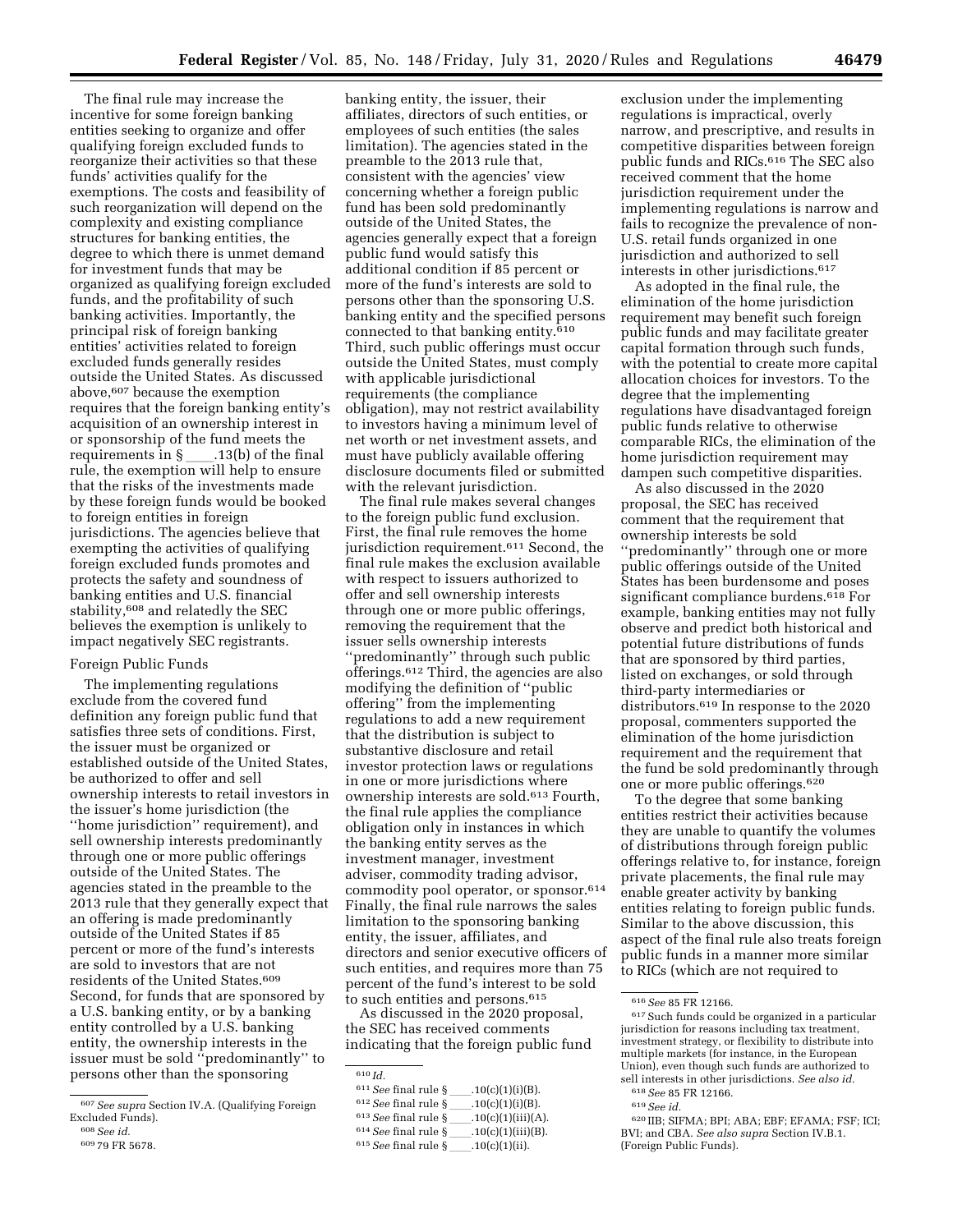The final rule may increase the incentive for some foreign banking entities seeking to organize and offer qualifying foreign excluded funds to reorganize their activities so that these funds' activities qualify for the exemptions. The costs and feasibility of such reorganization will depend on the complexity and existing compliance structures for banking entities, the degree to which there is unmet demand for investment funds that may be organized as qualifying foreign excluded funds, and the profitability of such banking activities. Importantly, the principal risk of foreign banking entities' activities related to foreign excluded funds generally resides outside the United States. As discussed above,607 because the exemption requires that the foreign banking entity's acquisition of an ownership interest in or sponsorship of the fund meets the requirements in § \_\_\_\_.13(b) of the final<br>rule, the exemption will help to ensure that the risks of the investments made by these foreign funds would be booked to foreign entities in foreign jurisdictions. The agencies believe that exempting the activities of qualifying foreign excluded funds promotes and protects the safety and soundness of banking entities and U.S. financial stability,<sup>608</sup> and relatedly the SEC believes the exemption is unlikely to impact negatively SEC registrants.

# Foreign Public Funds

The implementing regulations exclude from the covered fund definition any foreign public fund that satisfies three sets of conditions. First, the issuer must be organized or established outside of the United States, be authorized to offer and sell ownership interests to retail investors in the issuer's home jurisdiction (the ''home jurisdiction'' requirement), and sell ownership interests predominantly through one or more public offerings outside of the United States. The agencies stated in the preamble to the 2013 rule that they generally expect that an offering is made predominantly outside of the United States if 85 percent or more of the fund's interests are sold to investors that are not residents of the United States.609 Second, for funds that are sponsored by a U.S. banking entity, or by a banking entity controlled by a U.S. banking entity, the ownership interests in the issuer must be sold ''predominantly'' to persons other than the sponsoring

609 79 FR 5678.

banking entity, the issuer, their affiliates, directors of such entities, or employees of such entities (the sales limitation). The agencies stated in the preamble to the 2013 rule that, consistent with the agencies' view concerning whether a foreign public fund has been sold predominantly outside of the United States, the agencies generally expect that a foreign public fund would satisfy this additional condition if 85 percent or more of the fund's interests are sold to persons other than the sponsoring U.S. banking entity and the specified persons connected to that banking entity.610 Third, such public offerings must occur outside the United States, must comply with applicable jurisdictional requirements (the compliance obligation), may not restrict availability to investors having a minimum level of net worth or net investment assets, and must have publicly available offering disclosure documents filed or submitted with the relevant jurisdiction.

The final rule makes several changes to the foreign public fund exclusion. First, the final rule removes the home jurisdiction requirement.611 Second, the final rule makes the exclusion available with respect to issuers authorized to offer and sell ownership interests through one or more public offerings, removing the requirement that the issuer sells ownership interests ''predominantly'' through such public offerings.612 Third, the agencies are also modifying the definition of ''public offering'' from the implementing regulations to add a new requirement that the distribution is subject to substantive disclosure and retail investor protection laws or regulations in one or more jurisdictions where ownership interests are sold.613 Fourth, the final rule applies the compliance obligation only in instances in which the banking entity serves as the investment manager, investment adviser, commodity trading advisor, commodity pool operator, or sponsor.614 Finally, the final rule narrows the sales limitation to the sponsoring banking entity, the issuer, affiliates, and directors and senior executive officers of such entities, and requires more than 75 percent of the fund's interest to be sold to such entities and persons.615

As discussed in the 2020 proposal, the SEC has received comments indicating that the foreign public fund

exclusion under the implementing regulations is impractical, overly narrow, and prescriptive, and results in competitive disparities between foreign public funds and RICs.616 The SEC also received comment that the home jurisdiction requirement under the implementing regulations is narrow and fails to recognize the prevalence of non-U.S. retail funds organized in one jurisdiction and authorized to sell interests in other jurisdictions.617

As adopted in the final rule, the elimination of the home jurisdiction requirement may benefit such foreign public funds and may facilitate greater capital formation through such funds, with the potential to create more capital allocation choices for investors. To the degree that the implementing regulations have disadvantaged foreign public funds relative to otherwise comparable RICs, the elimination of the home jurisdiction requirement may dampen such competitive disparities.

As also discussed in the 2020 proposal, the SEC has received comment that the requirement that ownership interests be sold ''predominantly'' through one or more public offerings outside of the United States has been burdensome and poses significant compliance burdens.618 For example, banking entities may not fully observe and predict both historical and potential future distributions of funds that are sponsored by third parties, listed on exchanges, or sold through third-party intermediaries or distributors.619 In response to the 2020 proposal, commenters supported the elimination of the home jurisdiction requirement and the requirement that the fund be sold predominantly through one or more public offerings.620

To the degree that some banking entities restrict their activities because they are unable to quantify the volumes of distributions through foreign public offerings relative to, for instance, foreign private placements, the final rule may enable greater activity by banking entities relating to foreign public funds. Similar to the above discussion, this aspect of the final rule also treats foreign public funds in a manner more similar to RICs (which are not required to

<sup>607</sup>*See supra* Section IV.A. (Qualifying Foreign Excluded Funds). 608*See id.* 

<sup>610</sup> *Id.* 

<sup>611</sup>*See* final rule §ll.10(c)(1)(i)(B). .10(c)(1)(i)(B).<br>.10(c)(1)(iii)(A). <sup>613</sup> See final rule §\_\_\_\_\_\_.10(c)(1)(iii)(A).<br><sup>614</sup> See final rule §\_\_\_\_\_.10(c)(1)(iii)(B).

<sup>614</sup>*See* final rule §ll.10(c)(1)(iii)(B).

<sup>615</sup> *See* final rule §\_\_\_\_\_.10(c)(1)(ii).

<sup>616</sup>*See* 85 FR 12166.

 $\ensuremath{^{617}}$  Such funds could be organized in a particular jurisdiction for reasons including tax treatment, investment strategy, or flexibility to distribute into multiple markets (for instance, in the European Union), even though such funds are authorized to sell interests in other jurisdictions. *See also id.*  618*See* 85 FR 12166.

<sup>619</sup>*See id.* 

<sup>620</sup> IIB; SIFMA; BPI; ABA; EBF; EFAMA; FSF; ICI;

BVI; and CBA. *See also supra* Section IV.B.1. (Foreign Public Funds).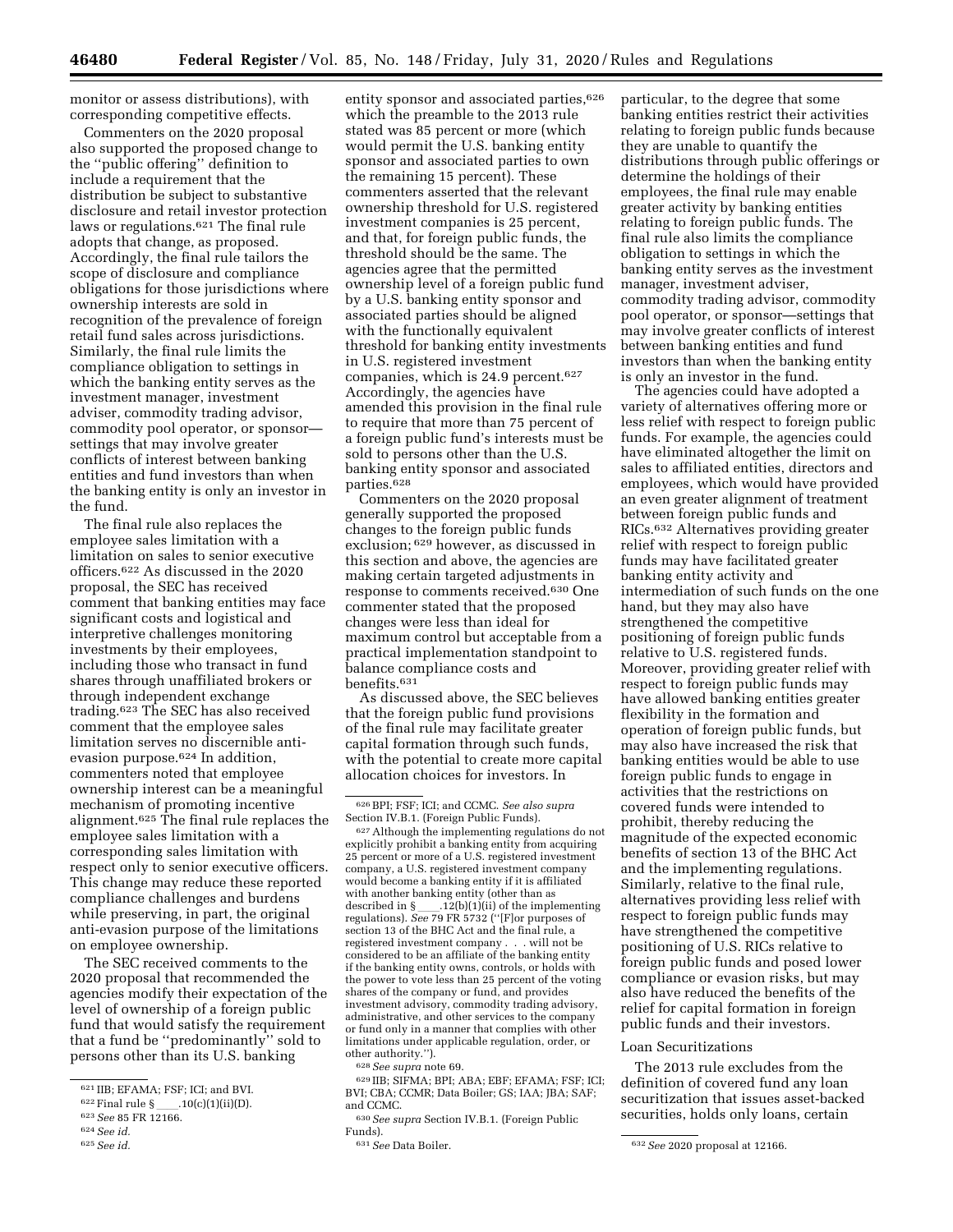monitor or assess distributions), with corresponding competitive effects.

Commenters on the 2020 proposal also supported the proposed change to the ''public offering'' definition to include a requirement that the distribution be subject to substantive disclosure and retail investor protection laws or regulations.621 The final rule adopts that change, as proposed. Accordingly, the final rule tailors the scope of disclosure and compliance obligations for those jurisdictions where ownership interests are sold in recognition of the prevalence of foreign retail fund sales across jurisdictions. Similarly, the final rule limits the compliance obligation to settings in which the banking entity serves as the investment manager, investment adviser, commodity trading advisor, commodity pool operator, or sponsor settings that may involve greater conflicts of interest between banking entities and fund investors than when the banking entity is only an investor in the fund.

The final rule also replaces the employee sales limitation with a limitation on sales to senior executive officers.622 As discussed in the 2020 proposal, the SEC has received comment that banking entities may face significant costs and logistical and interpretive challenges monitoring investments by their employees, including those who transact in fund shares through unaffiliated brokers or through independent exchange trading.623 The SEC has also received comment that the employee sales limitation serves no discernible antievasion purpose.624 In addition, commenters noted that employee ownership interest can be a meaningful mechanism of promoting incentive alignment.625 The final rule replaces the employee sales limitation with a corresponding sales limitation with respect only to senior executive officers. This change may reduce these reported compliance challenges and burdens while preserving, in part, the original anti-evasion purpose of the limitations on employee ownership.

The SEC received comments to the 2020 proposal that recommended the agencies modify their expectation of the level of ownership of a foreign public fund that would satisfy the requirement that a fund be ''predominantly'' sold to persons other than its U.S. banking

entity sponsor and associated parties, 626 which the preamble to the 2013 rule stated was 85 percent or more (which would permit the U.S. banking entity sponsor and associated parties to own the remaining 15 percent). These commenters asserted that the relevant ownership threshold for U.S. registered investment companies is 25 percent, and that, for foreign public funds, the threshold should be the same. The agencies agree that the permitted ownership level of a foreign public fund by a U.S. banking entity sponsor and associated parties should be aligned with the functionally equivalent threshold for banking entity investments in U.S. registered investment companies, which is 24.9 percent.627 Accordingly, the agencies have amended this provision in the final rule to require that more than 75 percent of a foreign public fund's interests must be sold to persons other than the U.S. banking entity sponsor and associated parties.<sup>628</sup>

Commenters on the 2020 proposal generally supported the proposed changes to the foreign public funds exclusion; 629 however, as discussed in this section and above, the agencies are making certain targeted adjustments in response to comments received.630 One commenter stated that the proposed changes were less than ideal for maximum control but acceptable from a practical implementation standpoint to balance compliance costs and benefits.631

As discussed above, the SEC believes that the foreign public fund provisions of the final rule may facilitate greater capital formation through such funds, with the potential to create more capital allocation choices for investors. In

628*See supra* note 69.

629 IIB; SIFMA; BPI; ABA; EBF; EFAMA; FSF; ICI; BVI; CBA; CCMR; Data Boiler; GS; IAA; JBA; SAF; and CCMC.

630*See supra* Section IV.B.1. (Foreign Public Funds).

particular, to the degree that some banking entities restrict their activities relating to foreign public funds because they are unable to quantify the distributions through public offerings or determine the holdings of their employees, the final rule may enable greater activity by banking entities relating to foreign public funds. The final rule also limits the compliance obligation to settings in which the banking entity serves as the investment manager, investment adviser, commodity trading advisor, commodity pool operator, or sponsor—settings that may involve greater conflicts of interest between banking entities and fund investors than when the banking entity is only an investor in the fund.

The agencies could have adopted a variety of alternatives offering more or less relief with respect to foreign public funds. For example, the agencies could have eliminated altogether the limit on sales to affiliated entities, directors and employees, which would have provided an even greater alignment of treatment between foreign public funds and RICs.632 Alternatives providing greater relief with respect to foreign public funds may have facilitated greater banking entity activity and intermediation of such funds on the one hand, but they may also have strengthened the competitive positioning of foreign public funds relative to U.S. registered funds. Moreover, providing greater relief with respect to foreign public funds may have allowed banking entities greater flexibility in the formation and operation of foreign public funds, but may also have increased the risk that banking entities would be able to use foreign public funds to engage in activities that the restrictions on covered funds were intended to prohibit, thereby reducing the magnitude of the expected economic benefits of section 13 of the BHC Act and the implementing regulations. Similarly, relative to the final rule, alternatives providing less relief with respect to foreign public funds may have strengthened the competitive positioning of U.S. RICs relative to foreign public funds and posed lower compliance or evasion risks, but may also have reduced the benefits of the relief for capital formation in foreign public funds and their investors.

#### Loan Securitizations

The 2013 rule excludes from the definition of covered fund any loan securitization that issues asset-backed securities, holds only loans, certain

<sup>621</sup> IIB; EFAMA; FSF; ICI; and BVI.

 $622$  Final rule § \_\_\_\_.  $10(c)(1)(ii)(D)$ .

<sup>623</sup>*See* 85 FR 12166.

<sup>624</sup>*See id.* 

<sup>625</sup>*See id.* 

<sup>626</sup>BPI; FSF; ICI; and CCMC. *See also supra*  Section IV.B.1. (Foreign Public Funds).

<sup>627</sup>Although the implementing regulations do not explicitly prohibit a banking entity from acquiring 25 percent or more of a U.S. registered investment company, a U.S. registered investment company would become a banking entity if it is affiliated with another banking entity (other than as described in  $\S$  \_\_\_\_.12(b)(1)(ii) of the implementing regulations). *See* 79 FR 5732 (''[F]or purposes of section 13 of the BHC Act and the final rule, a registered investment company . . . will not be considered to be an affiliate of the banking entity if the banking entity owns, controls, or holds with the power to vote less than 25 percent of the voting shares of the company or fund, and provides investment advisory, commodity trading advisory, administrative, and other services to the company or fund only in a manner that complies with other limitations under applicable regulation, order, or other authority.'').

<sup>631</sup>*See* Data Boiler. 632*See* 2020 proposal at 12166.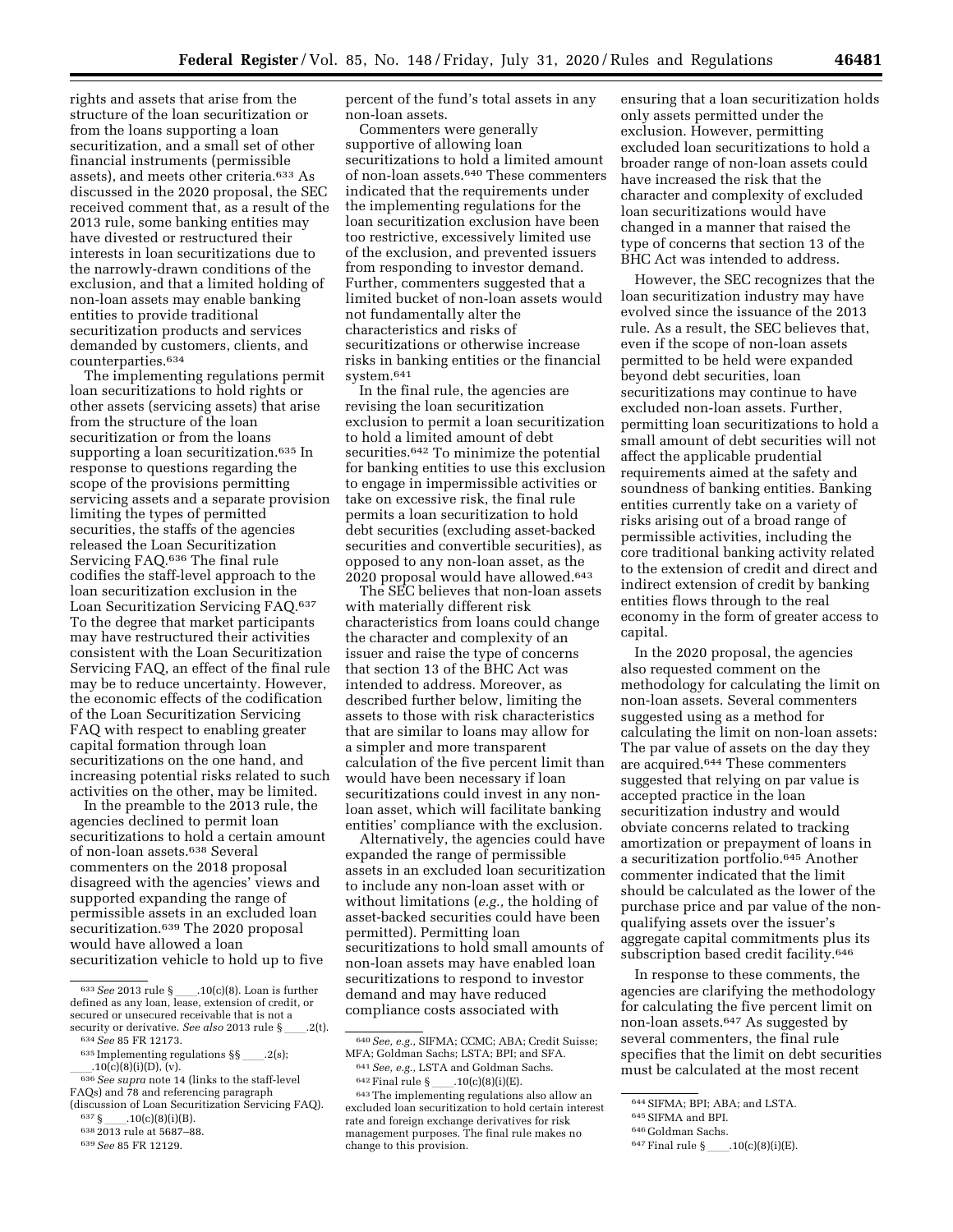rights and assets that arise from the structure of the loan securitization or from the loans supporting a loan securitization, and a small set of other financial instruments (permissible assets), and meets other criteria.633 As discussed in the 2020 proposal, the SEC received comment that, as a result of the 2013 rule, some banking entities may have divested or restructured their interests in loan securitizations due to the narrowly-drawn conditions of the exclusion, and that a limited holding of non-loan assets may enable banking entities to provide traditional securitization products and services demanded by customers, clients, and counterparties.634

The implementing regulations permit loan securitizations to hold rights or other assets (servicing assets) that arise from the structure of the loan securitization or from the loans supporting a loan securitization.<sup>635</sup> In response to questions regarding the scope of the provisions permitting servicing assets and a separate provision limiting the types of permitted securities, the staffs of the agencies released the Loan Securitization Servicing FAQ.636 The final rule codifies the staff-level approach to the loan securitization exclusion in the Loan Securitization Servicing FAQ.637 To the degree that market participants may have restructured their activities consistent with the Loan Securitization Servicing FAQ, an effect of the final rule may be to reduce uncertainty. However, the economic effects of the codification of the Loan Securitization Servicing FAQ with respect to enabling greater capital formation through loan securitizations on the one hand, and increasing potential risks related to such activities on the other, may be limited.

In the preamble to the 2013 rule, the agencies declined to permit loan securitizations to hold a certain amount of non-loan assets.638 Several commenters on the 2018 proposal disagreed with the agencies' views and supported expanding the range of permissible assets in an excluded loan securitization.<sup>639</sup> The 2020 proposal would have allowed a loan securitization vehicle to hold up to five

percent of the fund's total assets in any non-loan assets.

Commenters were generally supportive of allowing loan securitizations to hold a limited amount of non-loan assets.640 These commenters indicated that the requirements under the implementing regulations for the loan securitization exclusion have been too restrictive, excessively limited use of the exclusion, and prevented issuers from responding to investor demand. Further, commenters suggested that a limited bucket of non-loan assets would not fundamentally alter the characteristics and risks of securitizations or otherwise increase risks in banking entities or the financial system.641

In the final rule, the agencies are revising the loan securitization exclusion to permit a loan securitization to hold a limited amount of debt securities.642 To minimize the potential for banking entities to use this exclusion to engage in impermissible activities or take on excessive risk, the final rule permits a loan securitization to hold debt securities (excluding asset-backed securities and convertible securities), as opposed to any non-loan asset, as the 2020 proposal would have allowed.643

The SEC believes that non-loan assets with materially different risk characteristics from loans could change the character and complexity of an issuer and raise the type of concerns that section 13 of the BHC Act was intended to address. Moreover, as described further below, limiting the assets to those with risk characteristics that are similar to loans may allow for a simpler and more transparent calculation of the five percent limit than would have been necessary if loan securitizations could invest in any nonloan asset, which will facilitate banking entities' compliance with the exclusion.

Alternatively, the agencies could have expanded the range of permissible assets in an excluded loan securitization to include any non-loan asset with or without limitations (*e.g.,* the holding of asset-backed securities could have been permitted). Permitting loan securitizations to hold small amounts of non-loan assets may have enabled loan securitizations to respond to investor demand and may have reduced compliance costs associated with

ensuring that a loan securitization holds only assets permitted under the exclusion. However, permitting excluded loan securitizations to hold a broader range of non-loan assets could have increased the risk that the character and complexity of excluded loan securitizations would have changed in a manner that raised the type of concerns that section 13 of the BHC Act was intended to address.

However, the SEC recognizes that the loan securitization industry may have evolved since the issuance of the 2013 rule. As a result, the SEC believes that, even if the scope of non-loan assets permitted to be held were expanded beyond debt securities, loan securitizations may continue to have excluded non-loan assets. Further, permitting loan securitizations to hold a small amount of debt securities will not affect the applicable prudential requirements aimed at the safety and soundness of banking entities. Banking entities currently take on a variety of risks arising out of a broad range of permissible activities, including the core traditional banking activity related to the extension of credit and direct and indirect extension of credit by banking entities flows through to the real economy in the form of greater access to capital.

In the 2020 proposal, the agencies also requested comment on the methodology for calculating the limit on non-loan assets. Several commenters suggested using as a method for calculating the limit on non-loan assets: The par value of assets on the day they are acquired.644 These commenters suggested that relying on par value is accepted practice in the loan securitization industry and would obviate concerns related to tracking amortization or prepayment of loans in a securitization portfolio.645 Another commenter indicated that the limit should be calculated as the lower of the purchase price and par value of the nonqualifying assets over the issuer's aggregate capital commitments plus its subscription based credit facility.646

In response to these comments, the agencies are clarifying the methodology for calculating the five percent limit on non-loan assets.647 As suggested by several commenters, the final rule specifies that the limit on debt securities must be calculated at the most recent

<sup>&</sup>lt;sup>633</sup> See 2013 rule §\_\_\_\_.10(c)(8). Loan is further defined as any loan, lease, extension of credit, or secured or unsecured receivable that is not a<br>security or derivative. See also 2013 rule § scurity or derivative. *See also* 2013 rule §<br>  $\frac{634 \text{ See } 85 \text{ FR } 12173.}{635 \text{ Implementing regulations }$ §§<br>
...2(s);<br>
.10(c)(8)(i)(D), (v).

<sup>636</sup> See supra note 14 (links to the staff-level FAQs) and 78 and referencing paragraph

<sup>(</sup>discussion of Loan Securitization Servicing FAQ).<br>  $^{637}$ S<sub>2</sub> ...10(c)(8)(i)(B).<br>  $^{638}$ 2013 rule at 5687–88.<br>  $^{639}$ *See* 85 FR 12129.

<sup>640</sup>*See, e.g.,* SIFMA; CCMC; ABA; Credit Suisse; MFA; Goldman Sachs; LSTA; BPI; and SFA.

 $^{641}See,$   $e.g.,$  LSTA and Goldman Sachs.  $^{642}\mathrm{Final}$  rule  $\mathcal{\S}$  \_\_\_\_.10(c)(8)(i)(E).

<sup>&</sup>lt;sup>642</sup> Final rule § \_\_\_\_.10(c)(8)(i)(E).<br><sup>643</sup> The implementing regulations also allow an

excluded loan securitization to hold certain interest rate and foreign exchange derivatives for risk management purposes. The final rule makes no change to this provision.

<sup>644</sup>SIFMA; BPI; ABA; and LSTA.

<sup>645</sup>SIFMA and BPI.

<sup>646</sup> Goldman Sachs.

 $647$  Final rule § \_\_\_\_\_.  $10(c)(8)(i)(E)$ .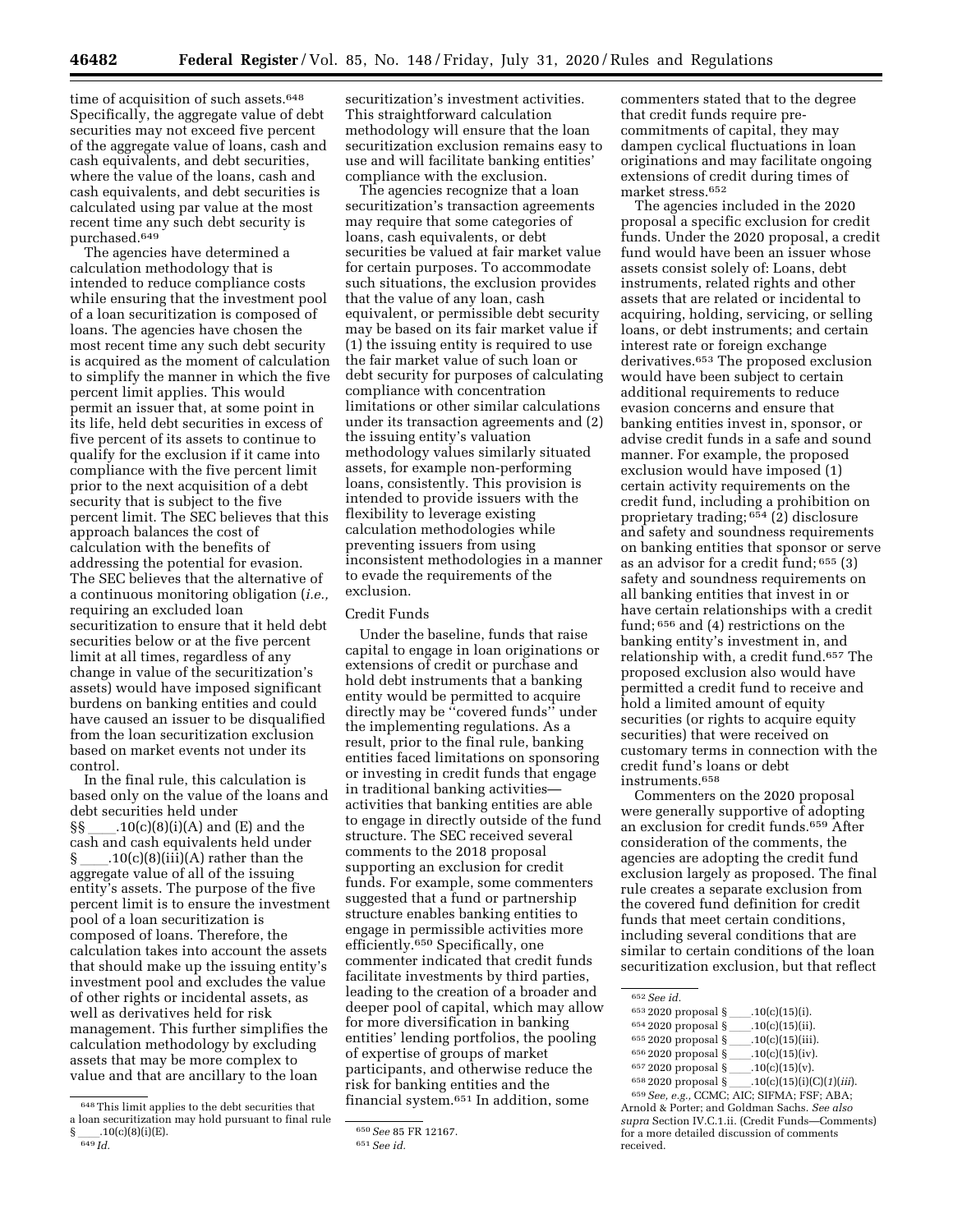time of acquisition of such assets.<sup>648</sup> Specifically, the aggregate value of debt securities may not exceed five percent of the aggregate value of loans, cash and cash equivalents, and debt securities, where the value of the loans, cash and cash equivalents, and debt securities is calculated using par value at the most recent time any such debt security is purchased.649

The agencies have determined a calculation methodology that is intended to reduce compliance costs while ensuring that the investment pool of a loan securitization is composed of loans. The agencies have chosen the most recent time any such debt security is acquired as the moment of calculation to simplify the manner in which the five percent limit applies. This would permit an issuer that, at some point in its life, held debt securities in excess of five percent of its assets to continue to qualify for the exclusion if it came into compliance with the five percent limit prior to the next acquisition of a debt security that is subject to the five percent limit. The SEC believes that this approach balances the cost of calculation with the benefits of addressing the potential for evasion. The SEC believes that the alternative of a continuous monitoring obligation (*i.e.,*  requiring an excluded loan securitization to ensure that it held debt securities below or at the five percent limit at all times, regardless of any change in value of the securitization's assets) would have imposed significant burdens on banking entities and could have caused an issuer to be disqualified from the loan securitization exclusion based on market events not under its control.

In the final rule, this calculation is based only on the value of the loans and debt securities held under  $\S\$  \_\_\_\_\_.10(c)(8)(i)(A) and (E) and the cash and cash equivalents held under  $\S$  .10(c)(8)(iii)(A) rather than the aggregate value of all of the issuing entity's assets. The purpose of the five percent limit is to ensure the investment pool of a loan securitization is composed of loans. Therefore, the calculation takes into account the assets that should make up the issuing entity's investment pool and excludes the value of other rights or incidental assets, as well as derivatives held for risk management. This further simplifies the calculation methodology by excluding assets that may be more complex to value and that are ancillary to the loan

securitization's investment activities. This straightforward calculation methodology will ensure that the loan securitization exclusion remains easy to use and will facilitate banking entities' compliance with the exclusion.

The agencies recognize that a loan securitization's transaction agreements may require that some categories of loans, cash equivalents, or debt securities be valued at fair market value for certain purposes. To accommodate such situations, the exclusion provides that the value of any loan, cash equivalent, or permissible debt security may be based on its fair market value if (1) the issuing entity is required to use the fair market value of such loan or debt security for purposes of calculating compliance with concentration limitations or other similar calculations under its transaction agreements and (2) the issuing entity's valuation methodology values similarly situated assets, for example non-performing loans, consistently. This provision is intended to provide issuers with the flexibility to leverage existing calculation methodologies while preventing issuers from using inconsistent methodologies in a manner to evade the requirements of the exclusion.

# Credit Funds

Under the baseline, funds that raise capital to engage in loan originations or extensions of credit or purchase and hold debt instruments that a banking entity would be permitted to acquire directly may be ''covered funds'' under the implementing regulations. As a result, prior to the final rule, banking entities faced limitations on sponsoring or investing in credit funds that engage in traditional banking activities activities that banking entities are able to engage in directly outside of the fund structure. The SEC received several comments to the 2018 proposal supporting an exclusion for credit funds. For example, some commenters suggested that a fund or partnership structure enables banking entities to engage in permissible activities more efficiently.650 Specifically, one commenter indicated that credit funds facilitate investments by third parties, leading to the creation of a broader and deeper pool of capital, which may allow for more diversification in banking entities' lending portfolios, the pooling of expertise of groups of market participants, and otherwise reduce the risk for banking entities and the financial system.651 In addition, some

650*See* 85 FR 12167.

commenters stated that to the degree that credit funds require precommitments of capital, they may dampen cyclical fluctuations in loan originations and may facilitate ongoing extensions of credit during times of market stress.652

The agencies included in the 2020 proposal a specific exclusion for credit funds. Under the 2020 proposal, a credit fund would have been an issuer whose assets consist solely of: Loans, debt instruments, related rights and other assets that are related or incidental to acquiring, holding, servicing, or selling loans, or debt instruments; and certain interest rate or foreign exchange derivatives.<sup>653</sup> The proposed exclusion would have been subject to certain additional requirements to reduce evasion concerns and ensure that banking entities invest in, sponsor, or advise credit funds in a safe and sound manner. For example, the proposed exclusion would have imposed (1) certain activity requirements on the credit fund, including a prohibition on proprietary trading; 654 (2) disclosure and safety and soundness requirements on banking entities that sponsor or serve as an advisor for a credit fund; 655 (3) safety and soundness requirements on all banking entities that invest in or have certain relationships with a credit fund; 656 and (4) restrictions on the banking entity's investment in, and relationship with, a credit fund.657 The proposed exclusion also would have permitted a credit fund to receive and hold a limited amount of equity securities (or rights to acquire equity securities) that were received on customary terms in connection with the credit fund's loans or debt instruments.658

Commenters on the 2020 proposal were generally supportive of adopting an exclusion for credit funds.659 After consideration of the comments, the agencies are adopting the credit fund exclusion largely as proposed. The final rule creates a separate exclusion from the covered fund definition for credit funds that meet certain conditions, including several conditions that are similar to certain conditions of the loan securitization exclusion, but that reflect

 $^{655}\,2020$  proposal §  $\_$ 

 $\rm ^{648}$  This limit applies to the debt securities that a loan securitization may hold pursuant to final rule  $10(c)(8)(i)(E).$ 

<sup>649</sup> *Id.* 

<sup>651</sup>*See id.* 

<sup>652</sup>*See id.* 

<sup>653 2020</sup> proposal  $\gamma$ \_\_\_\_\_.10(c)(15)(i).

<sup>654</sup> 2020 proposal §ll.10(c)(15)(ii).

<sup>656 2020</sup> proposal §\_\_\_\_.10(c)(15)(iv).

<sup>&</sup>lt;sup>657</sup> 2020 proposal §\_\_\_\_.10(c)(15)(v).<br><sup>658</sup> 2020 proposal §\_\_\_\_.10(c)(15)(i)(C)(1)(*iii*). <sup>658</sup> 2020 proposal §\_\_\_\_.10(c)(15)(i)(C)(*1*)(*iii*).<br><sup>659</sup> *See, e.g.,* CCMC; AIC; SIFMA; FSF; ABA;

Arnold & Porter; and Goldman Sachs. *See also supra* Section IV.C.1.ii. (Credit Funds—Comments) for a more detailed discussion of comments received.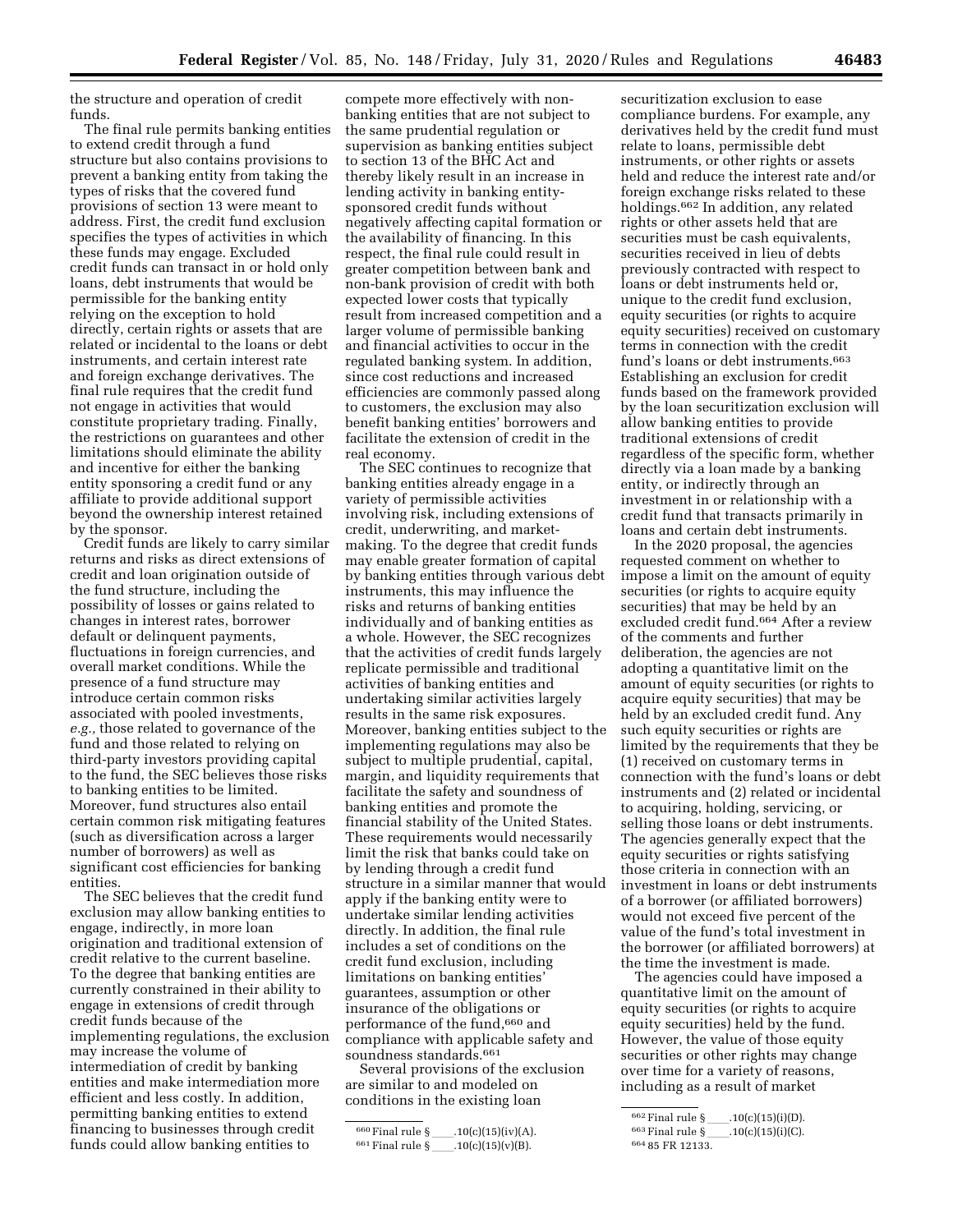the structure and operation of credit funds.

The final rule permits banking entities to extend credit through a fund structure but also contains provisions to prevent a banking entity from taking the types of risks that the covered fund provisions of section 13 were meant to address. First, the credit fund exclusion specifies the types of activities in which these funds may engage. Excluded credit funds can transact in or hold only loans, debt instruments that would be permissible for the banking entity relying on the exception to hold directly, certain rights or assets that are related or incidental to the loans or debt instruments, and certain interest rate and foreign exchange derivatives. The final rule requires that the credit fund not engage in activities that would constitute proprietary trading. Finally, the restrictions on guarantees and other limitations should eliminate the ability and incentive for either the banking entity sponsoring a credit fund or any affiliate to provide additional support beyond the ownership interest retained by the sponsor.

Credit funds are likely to carry similar returns and risks as direct extensions of credit and loan origination outside of the fund structure, including the possibility of losses or gains related to changes in interest rates, borrower default or delinquent payments, fluctuations in foreign currencies, and overall market conditions. While the presence of a fund structure may introduce certain common risks associated with pooled investments, *e.g.,* those related to governance of the fund and those related to relying on third-party investors providing capital to the fund, the SEC believes those risks to banking entities to be limited. Moreover, fund structures also entail certain common risk mitigating features (such as diversification across a larger number of borrowers) as well as significant cost efficiencies for banking entities.

The SEC believes that the credit fund exclusion may allow banking entities to engage, indirectly, in more loan origination and traditional extension of credit relative to the current baseline. To the degree that banking entities are currently constrained in their ability to engage in extensions of credit through credit funds because of the implementing regulations, the exclusion may increase the volume of intermediation of credit by banking entities and make intermediation more efficient and less costly. In addition, permitting banking entities to extend financing to businesses through credit funds could allow banking entities to

compete more effectively with nonbanking entities that are not subject to the same prudential regulation or supervision as banking entities subject to section 13 of the BHC Act and thereby likely result in an increase in lending activity in banking entitysponsored credit funds without negatively affecting capital formation or the availability of financing. In this respect, the final rule could result in greater competition between bank and non-bank provision of credit with both expected lower costs that typically result from increased competition and a larger volume of permissible banking and financial activities to occur in the regulated banking system. In addition, since cost reductions and increased efficiencies are commonly passed along to customers, the exclusion may also benefit banking entities' borrowers and facilitate the extension of credit in the real economy.

The SEC continues to recognize that banking entities already engage in a variety of permissible activities involving risk, including extensions of credit, underwriting, and marketmaking. To the degree that credit funds may enable greater formation of capital by banking entities through various debt instruments, this may influence the risks and returns of banking entities individually and of banking entities as a whole. However, the SEC recognizes that the activities of credit funds largely replicate permissible and traditional activities of banking entities and undertaking similar activities largely results in the same risk exposures. Moreover, banking entities subject to the implementing regulations may also be subject to multiple prudential, capital, margin, and liquidity requirements that facilitate the safety and soundness of banking entities and promote the financial stability of the United States. These requirements would necessarily limit the risk that banks could take on by lending through a credit fund structure in a similar manner that would apply if the banking entity were to undertake similar lending activities directly. In addition, the final rule includes a set of conditions on the credit fund exclusion, including limitations on banking entities' guarantees, assumption or other insurance of the obligations or performance of the fund,660 and compliance with applicable safety and soundness standards.<sup>661</sup>

Several provisions of the exclusion are similar to and modeled on conditions in the existing loan

| <sup>660</sup> Final rule § | .10(c)(15)(iv)(A). |
|-----------------------------|--------------------|
| <sup>661</sup> Final rule § | .10(c)(15)(v)(B).  |
|                             |                    |

securitization exclusion to ease compliance burdens. For example, any derivatives held by the credit fund must relate to loans, permissible debt instruments, or other rights or assets held and reduce the interest rate and/or foreign exchange risks related to these holdings.662 In addition, any related rights or other assets held that are securities must be cash equivalents, securities received in lieu of debts previously contracted with respect to loans or debt instruments held or, unique to the credit fund exclusion, equity securities (or rights to acquire equity securities) received on customary terms in connection with the credit fund's loans or debt instruments.663 Establishing an exclusion for credit funds based on the framework provided by the loan securitization exclusion will allow banking entities to provide traditional extensions of credit regardless of the specific form, whether directly via a loan made by a banking entity, or indirectly through an investment in or relationship with a credit fund that transacts primarily in loans and certain debt instruments.

In the 2020 proposal, the agencies requested comment on whether to impose a limit on the amount of equity securities (or rights to acquire equity securities) that may be held by an excluded credit fund.664 After a review of the comments and further deliberation, the agencies are not adopting a quantitative limit on the amount of equity securities (or rights to acquire equity securities) that may be held by an excluded credit fund. Any such equity securities or rights are limited by the requirements that they be (1) received on customary terms in connection with the fund's loans or debt instruments and (2) related or incidental to acquiring, holding, servicing, or selling those loans or debt instruments. The agencies generally expect that the equity securities or rights satisfying those criteria in connection with an investment in loans or debt instruments of a borrower (or affiliated borrowers) would not exceed five percent of the value of the fund's total investment in the borrower (or affiliated borrowers) at the time the investment is made.

The agencies could have imposed a quantitative limit on the amount of equity securities (or rights to acquire equity securities) held by the fund. However, the value of those equity securities or other rights may change over time for a variety of reasons, including as a result of market

<sup>662</sup> Final rule  $\sum_{663}$  -  $\frac{10(c)(15)(i)(D)}{10(c)(15)(i)(C)}$ .

 $10(c)(15)(i)(C).$ 

<sup>664</sup> 85 FR 12133.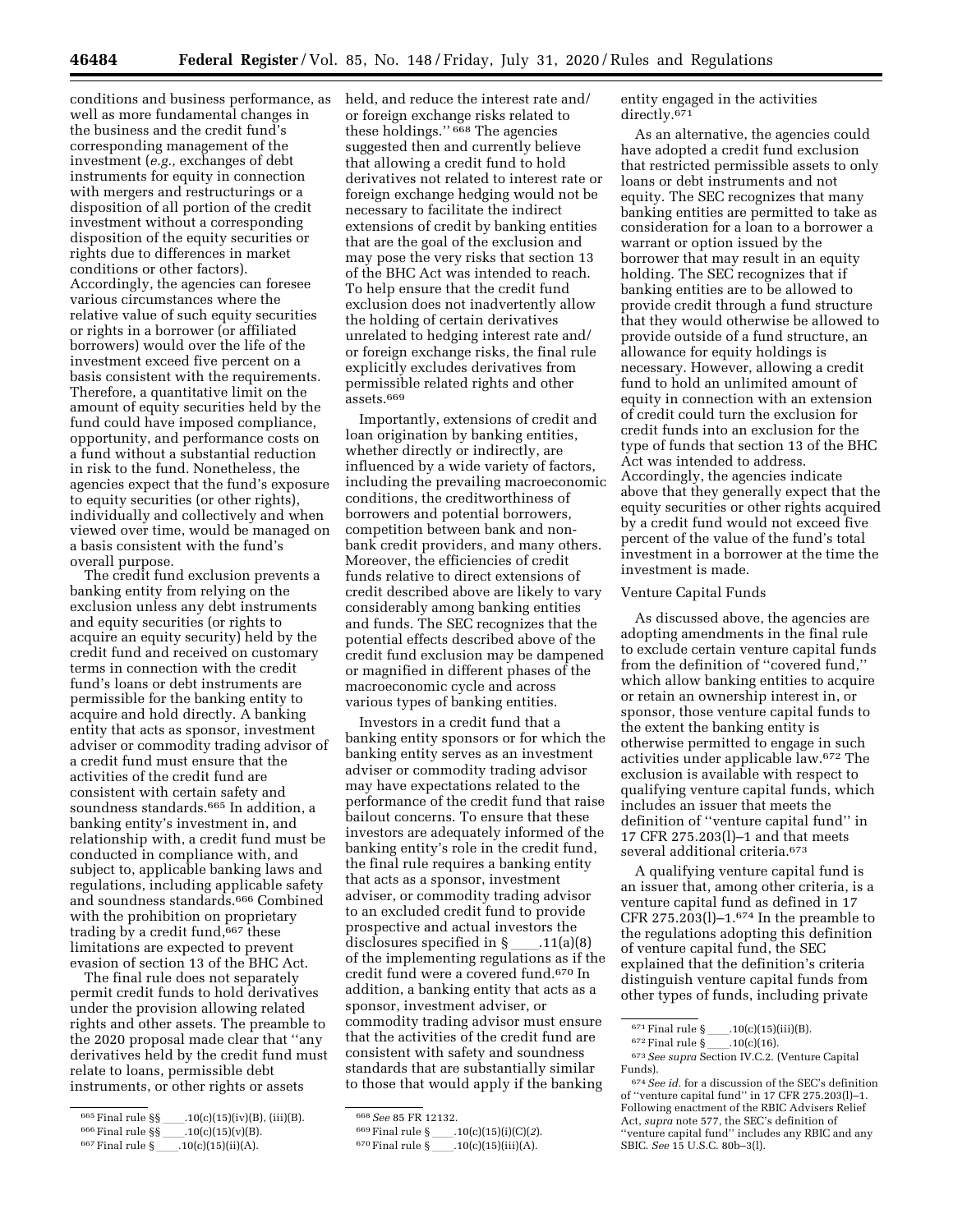conditions and business performance, as well as more fundamental changes in the business and the credit fund's corresponding management of the investment (*e.g.,* exchanges of debt instruments for equity in connection with mergers and restructurings or a disposition of all portion of the credit investment without a corresponding disposition of the equity securities or rights due to differences in market conditions or other factors). Accordingly, the agencies can foresee various circumstances where the relative value of such equity securities or rights in a borrower (or affiliated borrowers) would over the life of the investment exceed five percent on a basis consistent with the requirements. Therefore, a quantitative limit on the amount of equity securities held by the fund could have imposed compliance, opportunity, and performance costs on a fund without a substantial reduction in risk to the fund. Nonetheless, the agencies expect that the fund's exposure to equity securities (or other rights), individually and collectively and when viewed over time, would be managed on a basis consistent with the fund's overall purpose.

The credit fund exclusion prevents a banking entity from relying on the exclusion unless any debt instruments and equity securities (or rights to acquire an equity security) held by the credit fund and received on customary terms in connection with the credit fund's loans or debt instruments are permissible for the banking entity to acquire and hold directly. A banking entity that acts as sponsor, investment adviser or commodity trading advisor of a credit fund must ensure that the activities of the credit fund are consistent with certain safety and soundness standards.665 In addition, a banking entity's investment in, and relationship with, a credit fund must be conducted in compliance with, and subject to, applicable banking laws and regulations, including applicable safety and soundness standards.666 Combined with the prohibition on proprietary trading by a credit fund,667 these limitations are expected to prevent evasion of section 13 of the BHC Act.

The final rule does not separately permit credit funds to hold derivatives under the provision allowing related rights and other assets. The preamble to the 2020 proposal made clear that ''any derivatives held by the credit fund must relate to loans, permissible debt instruments, or other rights or assets

held, and reduce the interest rate and/ or foreign exchange risks related to these holdings.'' 668 The agencies suggested then and currently believe that allowing a credit fund to hold derivatives not related to interest rate or foreign exchange hedging would not be necessary to facilitate the indirect extensions of credit by banking entities that are the goal of the exclusion and may pose the very risks that section 13 of the BHC Act was intended to reach. To help ensure that the credit fund exclusion does not inadvertently allow the holding of certain derivatives unrelated to hedging interest rate and/ or foreign exchange risks, the final rule explicitly excludes derivatives from permissible related rights and other assets.669

Importantly, extensions of credit and loan origination by banking entities, whether directly or indirectly, are influenced by a wide variety of factors, including the prevailing macroeconomic conditions, the creditworthiness of borrowers and potential borrowers, competition between bank and nonbank credit providers, and many others. Moreover, the efficiencies of credit funds relative to direct extensions of credit described above are likely to vary considerably among banking entities and funds. The SEC recognizes that the potential effects described above of the credit fund exclusion may be dampened or magnified in different phases of the macroeconomic cycle and across various types of banking entities.

Investors in a credit fund that a banking entity sponsors or for which the banking entity serves as an investment adviser or commodity trading advisor may have expectations related to the performance of the credit fund that raise bailout concerns. To ensure that these investors are adequately informed of the banking entity's role in the credit fund, the final rule requires a banking entity that acts as a sponsor, investment adviser, or commodity trading advisor to an excluded credit fund to provide prospective and actual investors the disclosures specified in  $\S$  .11(a)(8) of the implementing regulations as if the credit fund were a covered fund.670 In addition, a banking entity that acts as a sponsor, investment adviser, or commodity trading advisor must ensure that the activities of the credit fund are consistent with safety and soundness standards that are substantially similar to those that would apply if the banking

669Final rule §ll.10(c)(15)(i)(C)(*2*).

entity engaged in the activities directly.671

As an alternative, the agencies could have adopted a credit fund exclusion that restricted permissible assets to only loans or debt instruments and not equity. The SEC recognizes that many banking entities are permitted to take as consideration for a loan to a borrower a warrant or option issued by the borrower that may result in an equity holding. The SEC recognizes that if banking entities are to be allowed to provide credit through a fund structure that they would otherwise be allowed to provide outside of a fund structure, an allowance for equity holdings is necessary. However, allowing a credit fund to hold an unlimited amount of equity in connection with an extension of credit could turn the exclusion for credit funds into an exclusion for the type of funds that section 13 of the BHC Act was intended to address. Accordingly, the agencies indicate above that they generally expect that the equity securities or other rights acquired by a credit fund would not exceed five percent of the value of the fund's total investment in a borrower at the time the investment is made.

#### Venture Capital Funds

As discussed above, the agencies are adopting amendments in the final rule to exclude certain venture capital funds from the definition of ''covered fund,'' which allow banking entities to acquire or retain an ownership interest in, or sponsor, those venture capital funds to the extent the banking entity is otherwise permitted to engage in such activities under applicable law.672 The exclusion is available with respect to qualifying venture capital funds, which includes an issuer that meets the definition of ''venture capital fund'' in 17 CFR 275.203(l)–1 and that meets several additional criteria.<sup>673</sup>

A qualifying venture capital fund is an issuer that, among other criteria, is a venture capital fund as defined in 17 CFR 275.203(l)- $1.674$  In the preamble to the regulations adopting this definition of venture capital fund, the SEC explained that the definition's criteria distinguish venture capital funds from other types of funds, including private

<sup>665</sup> Final rule  $\S\$  \_\_\_\_.10(c)(15)(iv)(B), (iii)(B).<br>666 Final rule  $\S\$  \_\_\_\_.10(c)(15)(v)(B).

<sup>666</sup> Final rule  $\S\S$  \_\_\_\_\_.10(c)(15)(v)(B).<br>667 Final rule  $\S$  \_\_\_\_\_\_10(c)(15)(ji)(A)

<sup>667</sup> Final rule §\_\_\_\_\_.10(c)(15)(ii)(A).

<sup>668</sup>*See* 85 FR 12132.

 $670$  Final rule § \_\_\_\_\_.  $10(c)(15)(iii)(A)$ .

 $^{671}\mathrm{Final}$  rule § \_\_\_\_.10(c)(15)(iii)(B).

 $672$  Final rule §\_\_\_\_.10(c)(16).

<sup>673</sup>*See supra* Section IV.C.2. (Venture Capital Funds).

<sup>674</sup>*See id.* for a discussion of the SEC's definition of ''venture capital fund'' in 17 CFR 275.203(l)–1. Following enactment of the RBIC Advisers Relief Act, *supra* note 577, the SEC's definition of 'venture capital fund'' includes any RBIC and any SBIC. *See* 15 U.S.C. 80b–3(l).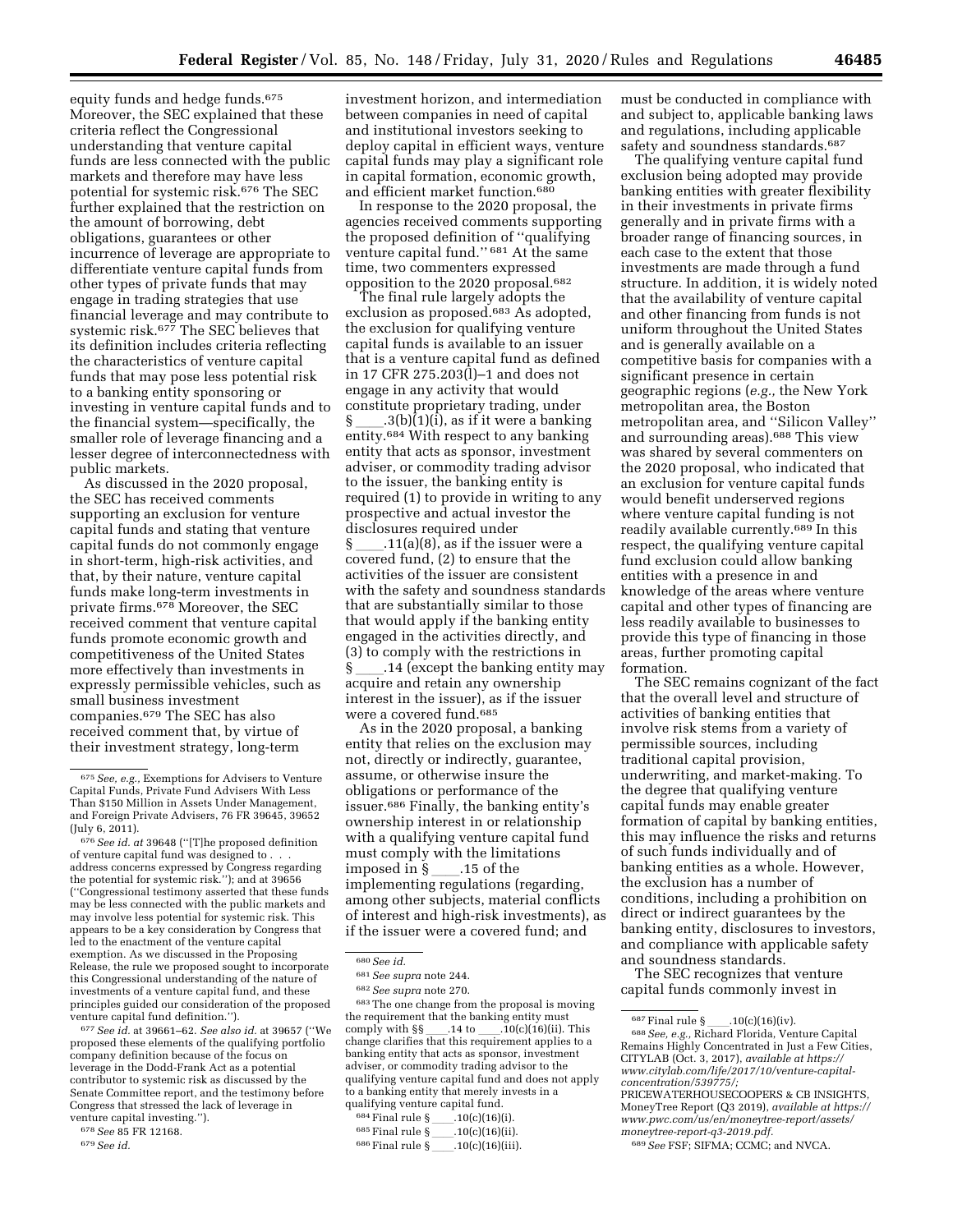equity funds and hedge funds.675 Moreover, the SEC explained that these criteria reflect the Congressional understanding that venture capital funds are less connected with the public markets and therefore may have less potential for systemic risk.676 The SEC further explained that the restriction on the amount of borrowing, debt obligations, guarantees or other incurrence of leverage are appropriate to differentiate venture capital funds from other types of private funds that may engage in trading strategies that use financial leverage and may contribute to systemic risk.677 The SEC believes that its definition includes criteria reflecting the characteristics of venture capital funds that may pose less potential risk

to a banking entity sponsoring or investing in venture capital funds and to the financial system—specifically, the smaller role of leverage financing and a lesser degree of interconnectedness with public markets.

As discussed in the 2020 proposal, the SEC has received comments supporting an exclusion for venture capital funds and stating that venture capital funds do not commonly engage in short-term, high-risk activities, and that, by their nature, venture capital funds make long-term investments in private firms.678 Moreover, the SEC received comment that venture capital funds promote economic growth and competitiveness of the United States more effectively than investments in expressly permissible vehicles, such as small business investment companies.679 The SEC has also received comment that, by virtue of their investment strategy, long-term

677*See id.* at 39661–62. *See also id.* at 39657 (''We proposed these elements of the qualifying portfolio company definition because of the focus on leverage in the Dodd-Frank Act as a potential contributor to systemic risk as discussed by the Senate Committee report, and the testimony before Congress that stressed the lack of leverage in venture capital investing.'').

- 678*See* 85 FR 12168.
- 679*See id.*

investment horizon, and intermediation between companies in need of capital and institutional investors seeking to deploy capital in efficient ways, venture capital funds may play a significant role in capital formation, economic growth, and efficient market function.680

In response to the 2020 proposal, the agencies received comments supporting the proposed definition of ''qualifying venture capital fund.'' 681 At the same time, two commenters expressed opposition to the 2020 proposal.682

The final rule largely adopts the exclusion as proposed.683 As adopted, the exclusion for qualifying venture capital funds is available to an issuer that is a venture capital fund as defined in 17 CFR 275.203 $(l)$ –1 and does not engage in any activity that would constitute proprietary trading, under § \_\_\_\_.3(b)(1)(i), as if it were a banking<br>entity.<sup>684</sup> With respect to any banking entity that acts as sponsor, investment adviser, or commodity trading advisor to the issuer, the banking entity is required (1) to provide in writing to any prospective and actual investor the disclosures required under  $\S$  .11(a)(8), as if the issuer were a covered fund, (2) to ensure that the activities of the issuer are consistent with the safety and soundness standards that are substantially similar to those that would apply if the banking entity engaged in the activities directly, and (3) to comply with the restrictions in § ll.14 (except the banking entity may acquire and retain any ownership interest in the issuer), as if the issuer were a covered fund.685

As in the 2020 proposal, a banking entity that relies on the exclusion may not, directly or indirectly, guarantee, assume, or otherwise insure the obligations or performance of the issuer.686 Finally, the banking entity's ownership interest in or relationship with a qualifying venture capital fund must comply with the limitations imposed in § \_\_\_\_.15 of the<br>implementing regulations (regarding, among other subjects, material conflicts of interest and high-risk investments), as if the issuer were a covered fund; and

683The one change from the proposal is moving the requirement that the banking entity must comply with §§ \_\_\_\_.14 to \_\_\_\_.10(c)(16)(ii). This change clarifies that this requirement applies to a banking entity that acts as sponsor, investment adviser, or commodity trading advisor to the qualifying venture capital fund and does not apply to a banking entity that merely invests in a qualifying venture capital fund.

- $\frac{684 \text{Final rule } \S}{10(c)(16)(i)}$ .<br> $\frac{685 \text{Final rule } \S}{10(c)(16)(i)}$ .
- $\frac{685 \text{Final rule } \S}{10(c)(16)(ii)}$ .<br> $\frac{686 \text{Final rule } S}{10(c)(16)(iii)}$ .
- 686 Final rule §\_\_\_\_.10(c)(16)(iii).

must be conducted in compliance with and subject to, applicable banking laws and regulations, including applicable safety and soundness standards.<sup>687</sup>

The qualifying venture capital fund exclusion being adopted may provide banking entities with greater flexibility in their investments in private firms generally and in private firms with a broader range of financing sources, in each case to the extent that those investments are made through a fund structure. In addition, it is widely noted that the availability of venture capital and other financing from funds is not uniform throughout the United States and is generally available on a competitive basis for companies with a significant presence in certain geographic regions (*e.g.,* the New York metropolitan area, the Boston metropolitan area, and ''Silicon Valley'' and surrounding areas).688 This view was shared by several commenters on the 2020 proposal, who indicated that an exclusion for venture capital funds would benefit underserved regions where venture capital funding is not readily available currently.<sup>689</sup> In this respect, the qualifying venture capital fund exclusion could allow banking entities with a presence in and knowledge of the areas where venture capital and other types of financing are less readily available to businesses to provide this type of financing in those areas, further promoting capital formation.

The SEC remains cognizant of the fact that the overall level and structure of activities of banking entities that involve risk stems from a variety of permissible sources, including traditional capital provision, underwriting, and market-making. To the degree that qualifying venture capital funds may enable greater formation of capital by banking entities, this may influence the risks and returns of such funds individually and of banking entities as a whole. However, the exclusion has a number of conditions, including a prohibition on direct or indirect guarantees by the banking entity, disclosures to investors, and compliance with applicable safety and soundness standards.

The SEC recognizes that venture capital funds commonly invest in

PRICEWATERHOUSECOOPERS & CB INSIGHTS, MoneyTree Report (Q3 2019), *available at [https://](https://www.pwc.com/us/en/moneytree-report/assets/moneytree-report-q3-2019.pdf) [www.pwc.com/us/en/moneytree-report/assets/](https://www.pwc.com/us/en/moneytree-report/assets/moneytree-report-q3-2019.pdf)  [moneytree-report-q3-2019.pdf.](https://www.pwc.com/us/en/moneytree-report/assets/moneytree-report-q3-2019.pdf)* 

<sup>675</sup>*See, e.g.,* Exemptions for Advisers to Venture Capital Funds, Private Fund Advisers With Less Than \$150 Million in Assets Under Management, and Foreign Private Advisers, 76 FR 39645, 39652 (July 6, 2011).

<sup>676</sup>*See id. at* 39648 (''[T]he proposed definition of venture capital fund was designed to . . . address concerns expressed by Congress regarding the potential for systemic risk.''); and at 39656 (''Congressional testimony asserted that these funds may be less connected with the public markets and may involve less potential for systemic risk. This appears to be a key consideration by Congress that led to the enactment of the venture capital exemption. As we discussed in the Proposing Release, the rule we proposed sought to incorporate this Congressional understanding of the nature of investments of a venture capital fund, and these principles guided our consideration of the proposed venture capital fund definition.'').

<sup>680</sup>*See id.* 

<sup>681</sup>*See supra* note 244.

<sup>682</sup>*See supra* note 270.

<sup>&</sup>lt;sup>687</sup> Final rule §<sub>ll.10</sub>(c)(16)(iv).<br><sup>688</sup> *See, e.g.,* Richard Florida, Venture Capital Remains Highly Concentrated in Just a Few Cities, CITYLAB (Oct. 3, 2017), *available at [https://](https://www.citylab.com/life/2017/10/venture-capital-concentration/539775/) [www.citylab.com/life/2017/10/venture-capital](https://www.citylab.com/life/2017/10/venture-capital-concentration/539775/)[concentration/539775/;](https://www.citylab.com/life/2017/10/venture-capital-concentration/539775/)* 

<sup>689</sup>*See* FSF; SIFMA; CCMC; and NVCA.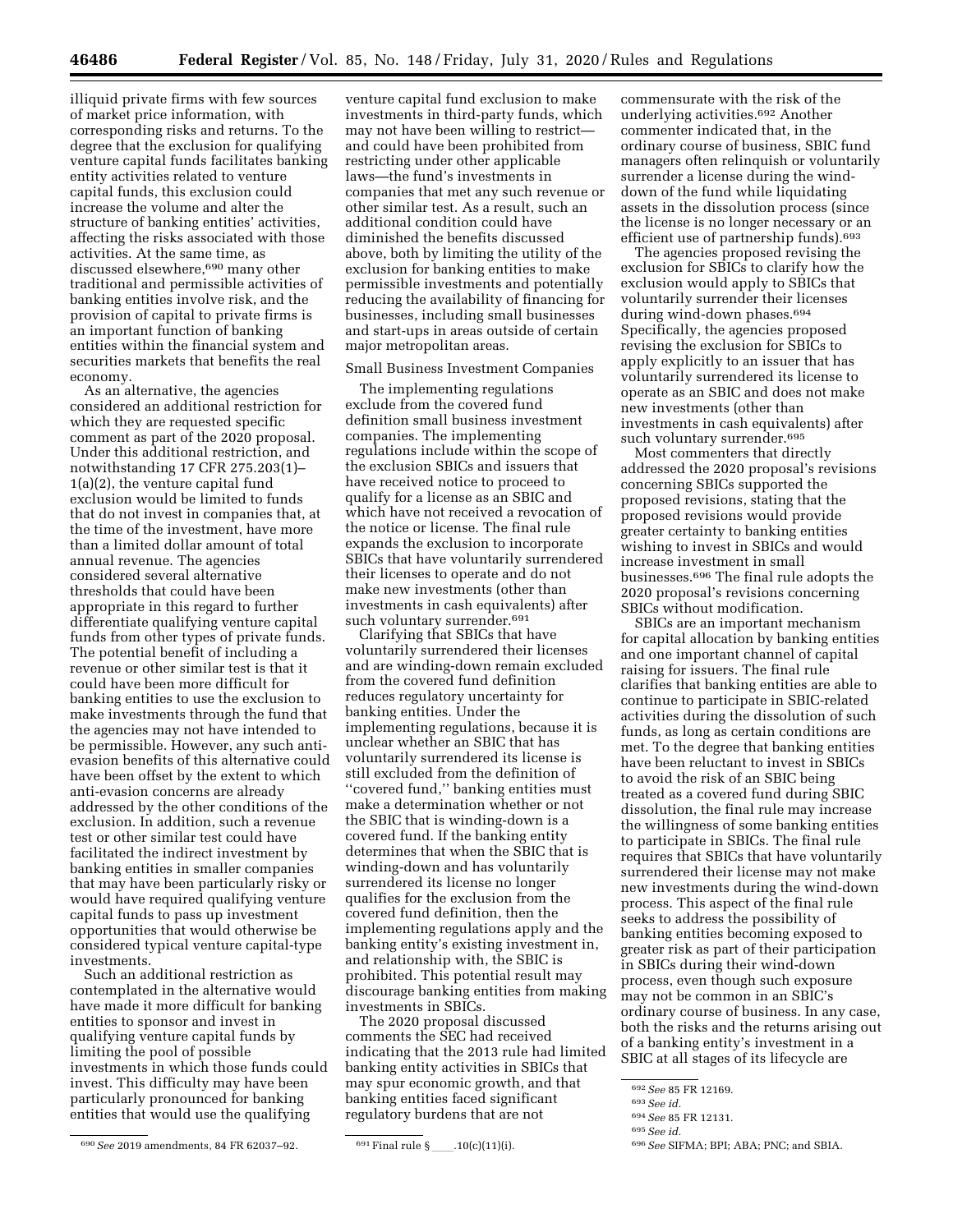illiquid private firms with few sources of market price information, with corresponding risks and returns. To the degree that the exclusion for qualifying venture capital funds facilitates banking entity activities related to venture capital funds, this exclusion could increase the volume and alter the structure of banking entities' activities, affecting the risks associated with those activities. At the same time, as discussed elsewhere,<sup>690</sup> many other traditional and permissible activities of banking entities involve risk, and the provision of capital to private firms is an important function of banking entities within the financial system and securities markets that benefits the real economy.

As an alternative, the agencies considered an additional restriction for which they are requested specific comment as part of the 2020 proposal. Under this additional restriction, and notwithstanding 17 CFR 275.203(1)– 1(a)(2), the venture capital fund exclusion would be limited to funds that do not invest in companies that, at the time of the investment, have more than a limited dollar amount of total annual revenue. The agencies considered several alternative thresholds that could have been appropriate in this regard to further differentiate qualifying venture capital funds from other types of private funds. The potential benefit of including a revenue or other similar test is that it could have been more difficult for banking entities to use the exclusion to make investments through the fund that the agencies may not have intended to be permissible. However, any such antievasion benefits of this alternative could have been offset by the extent to which anti-evasion concerns are already addressed by the other conditions of the exclusion. In addition, such a revenue test or other similar test could have facilitated the indirect investment by banking entities in smaller companies that may have been particularly risky or would have required qualifying venture capital funds to pass up investment opportunities that would otherwise be considered typical venture capital-type investments.

Such an additional restriction as contemplated in the alternative would have made it more difficult for banking entities to sponsor and invest in qualifying venture capital funds by limiting the pool of possible investments in which those funds could invest. This difficulty may have been particularly pronounced for banking entities that would use the qualifying

venture capital fund exclusion to make investments in third-party funds, which may not have been willing to restrict and could have been prohibited from restricting under other applicable laws—the fund's investments in companies that met any such revenue or other similar test. As a result, such an additional condition could have diminished the benefits discussed above, both by limiting the utility of the exclusion for banking entities to make permissible investments and potentially reducing the availability of financing for businesses, including small businesses and start-ups in areas outside of certain major metropolitan areas.

## Small Business Investment Companies

The implementing regulations exclude from the covered fund definition small business investment companies. The implementing regulations include within the scope of the exclusion SBICs and issuers that have received notice to proceed to qualify for a license as an SBIC and which have not received a revocation of the notice or license. The final rule expands the exclusion to incorporate SBICs that have voluntarily surrendered their licenses to operate and do not make new investments (other than investments in cash equivalents) after such voluntary surrender.<sup>691</sup>

Clarifying that SBICs that have voluntarily surrendered their licenses and are winding-down remain excluded from the covered fund definition reduces regulatory uncertainty for banking entities. Under the implementing regulations, because it is unclear whether an SBIC that has voluntarily surrendered its license is still excluded from the definition of ''covered fund,'' banking entities must make a determination whether or not the SBIC that is winding-down is a covered fund. If the banking entity determines that when the SBIC that is winding-down and has voluntarily surrendered its license no longer qualifies for the exclusion from the covered fund definition, then the implementing regulations apply and the banking entity's existing investment in, and relationship with, the SBIC is prohibited. This potential result may discourage banking entities from making investments in SBICs.

The 2020 proposal discussed comments the SEC had received indicating that the 2013 rule had limited banking entity activities in SBICs that may spur economic growth, and that banking entities faced significant regulatory burdens that are not

commensurate with the risk of the underlying activities.692 Another commenter indicated that, in the ordinary course of business, SBIC fund managers often relinquish or voluntarily surrender a license during the winddown of the fund while liquidating assets in the dissolution process (since the license is no longer necessary or an efficient use of partnership funds).693

The agencies proposed revising the exclusion for SBICs to clarify how the exclusion would apply to SBICs that voluntarily surrender their licenses during wind-down phases.<sup>694</sup> Specifically, the agencies proposed revising the exclusion for SBICs to apply explicitly to an issuer that has voluntarily surrendered its license to operate as an SBIC and does not make new investments (other than investments in cash equivalents) after such voluntary surrender.<sup>695</sup>

Most commenters that directly addressed the 2020 proposal's revisions concerning SBICs supported the proposed revisions, stating that the proposed revisions would provide greater certainty to banking entities wishing to invest in SBICs and would increase investment in small businesses.696 The final rule adopts the 2020 proposal's revisions concerning SBICs without modification.

SBICs are an important mechanism for capital allocation by banking entities and one important channel of capital raising for issuers. The final rule clarifies that banking entities are able to continue to participate in SBIC-related activities during the dissolution of such funds, as long as certain conditions are met. To the degree that banking entities have been reluctant to invest in SBICs to avoid the risk of an SBIC being treated as a covered fund during SBIC dissolution, the final rule may increase the willingness of some banking entities to participate in SBICs. The final rule requires that SBICs that have voluntarily surrendered their license may not make new investments during the wind-down process. This aspect of the final rule seeks to address the possibility of banking entities becoming exposed to greater risk as part of their participation in SBICs during their wind-down process, even though such exposure may not be common in an SBIC's ordinary course of business. In any case, both the risks and the returns arising out of a banking entity's investment in a SBIC at all stages of its lifecycle are

<sup>&</sup>lt;sup>690</sup> See 2019 amendments, 84 FR 62037-92. <sup>691</sup> Final rule §\_\_\_\_.10(c)(11)(i).

<sup>692</sup>*See* 85 FR 12169.

<sup>693</sup>*See id.* 

<sup>694</sup>*See* 85 FR 12131.

<sup>695</sup>*See id.* 

<sup>696</sup>*See* SIFMA; BPI; ABA; PNC; and SBIA.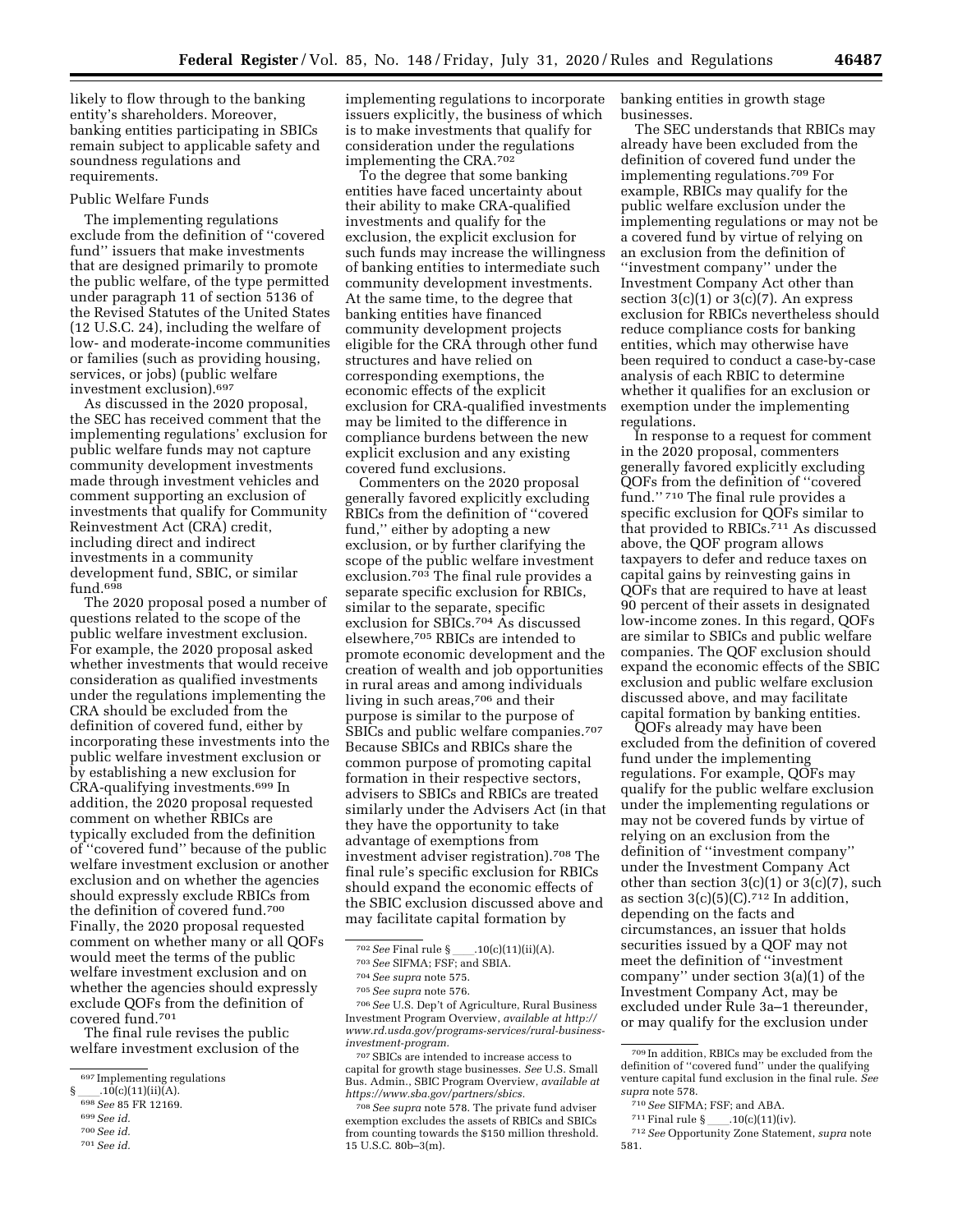implementing regulations to incorporate

likely to flow through to the banking entity's shareholders. Moreover, banking entities participating in SBICs remain subject to applicable safety and soundness regulations and requirements.

#### Public Welfare Funds

The implementing regulations exclude from the definition of ''covered fund'' issuers that make investments that are designed primarily to promote the public welfare, of the type permitted under paragraph 11 of section 5136 of the Revised Statutes of the United States (12 U.S.C. 24), including the welfare of low- and moderate-income communities or families (such as providing housing, services, or jobs) (public welfare investment exclusion).697

As discussed in the 2020 proposal, the SEC has received comment that the implementing regulations' exclusion for public welfare funds may not capture community development investments made through investment vehicles and comment supporting an exclusion of investments that qualify for Community Reinvestment Act (CRA) credit, including direct and indirect investments in a community development fund, SBIC, or similar  ${\rm fund.^{698}}$ 

The 2020 proposal posed a number of questions related to the scope of the public welfare investment exclusion. For example, the 2020 proposal asked whether investments that would receive consideration as qualified investments under the regulations implementing the CRA should be excluded from the definition of covered fund, either by incorporating these investments into the public welfare investment exclusion or by establishing a new exclusion for CRA-qualifying investments.699 In addition, the 2020 proposal requested comment on whether RBICs are typically excluded from the definition of ''covered fund'' because of the public welfare investment exclusion or another exclusion and on whether the agencies should expressly exclude RBICs from the definition of covered fund.700 Finally, the 2020 proposal requested comment on whether many or all QOFs would meet the terms of the public welfare investment exclusion and on whether the agencies should expressly exclude QOFs from the definition of covered fund.701

The final rule revises the public welfare investment exclusion of the

700*See id.* 

issuers explicitly, the business of which is to make investments that qualify for consideration under the regulations implementing the CRA.702

To the degree that some banking entities have faced uncertainty about their ability to make CRA-qualified investments and qualify for the exclusion, the explicit exclusion for such funds may increase the willingness of banking entities to intermediate such community development investments. At the same time, to the degree that banking entities have financed community development projects eligible for the CRA through other fund structures and have relied on corresponding exemptions, the economic effects of the explicit exclusion for CRA-qualified investments may be limited to the difference in compliance burdens between the new explicit exclusion and any existing covered fund exclusions.

Commenters on the 2020 proposal generally favored explicitly excluding RBICs from the definition of ''covered fund,'' either by adopting a new exclusion, or by further clarifying the scope of the public welfare investment exclusion.703 The final rule provides a separate specific exclusion for RBICs, similar to the separate, specific exclusion for SBICs.704 As discussed elsewhere,705 RBICs are intended to promote economic development and the creation of wealth and job opportunities in rural areas and among individuals living in such areas,<sup>706</sup> and their purpose is similar to the purpose of SBICs and public welfare companies.707 Because SBICs and RBICs share the common purpose of promoting capital formation in their respective sectors, advisers to SBICs and RBICs are treated similarly under the Advisers Act (in that they have the opportunity to take advantage of exemptions from investment adviser registration).708 The final rule's specific exclusion for RBICs should expand the economic effects of the SBIC exclusion discussed above and may facilitate capital formation by

706*See* U.S. Dep't of Agriculture, Rural Business Investment Program Overview, *available at [http://](http://www.rd.usda.gov/programs-services/rural-business-investment-program) [www.rd.usda.gov/programs-services/rural-business](http://www.rd.usda.gov/programs-services/rural-business-investment-program)[investment-program.](http://www.rd.usda.gov/programs-services/rural-business-investment-program)* 

707SBICs are intended to increase access to capital for growth stage businesses. *See* U.S. Small Bus. Admin., SBIC Program Overview, *available at [https://www.sba.gov/partners/sbics.](https://www.sba.gov/partners/sbics)* 

708*See supra* note 578. The private fund adviser exemption excludes the assets of RBICs and SBICs from counting towards the \$150 million threshold. 15 U.S.C. 80b–3(m).

banking entities in growth stage businesses.

The SEC understands that RBICs may already have been excluded from the definition of covered fund under the implementing regulations.709 For example, RBICs may qualify for the public welfare exclusion under the implementing regulations or may not be a covered fund by virtue of relying on an exclusion from the definition of ''investment company'' under the Investment Company Act other than section  $3(c)(1)$  or  $3(c)(7)$ . An express exclusion for RBICs nevertheless should reduce compliance costs for banking entities, which may otherwise have been required to conduct a case-by-case analysis of each RBIC to determine whether it qualifies for an exclusion or exemption under the implementing regulations.

In response to a request for comment in the 2020 proposal, commenters generally favored explicitly excluding QOFs from the definition of ''covered fund.'' 710 The final rule provides a specific exclusion for QOFs similar to that provided to RBICs.711 As discussed above, the QOF program allows taxpayers to defer and reduce taxes on capital gains by reinvesting gains in QOFs that are required to have at least 90 percent of their assets in designated low-income zones. In this regard, QOFs are similar to SBICs and public welfare companies. The QOF exclusion should expand the economic effects of the SBIC exclusion and public welfare exclusion discussed above, and may facilitate capital formation by banking entities.

QOFs already may have been excluded from the definition of covered fund under the implementing regulations. For example, QOFs may qualify for the public welfare exclusion under the implementing regulations or may not be covered funds by virtue of relying on an exclusion from the definition of ''investment company'' under the Investment Company Act other than section  $3(c)(1)$  or  $3(c)(7)$ , such as section  $3(c)(5)(C)$ .<sup>712</sup> In addition, depending on the facts and circumstances, an issuer that holds securities issued by a QOF may not meet the definition of ''investment company'' under section 3(a)(1) of the Investment Company Act, may be excluded under Rule 3a–1 thereunder, or may qualify for the exclusion under

- 710*See* SIFMA; FSF; and ABA.
- $^{711}\mathrm{Final}$  rule § \_\_\_\_\_.10(c)(11)(iv).

 $697$  Implementing regulations<br>.10(c)(11)(ii)(A).

<sup>§</sup>ll.10(c)(11)(ii)(A). 698*See* 85 FR 12169. 699*See id.* 

<sup>701</sup>*See id.* 

<sup>702</sup>*See* Final rule §ll.10(c)(11)(ii)(A). 703*See* SIFMA; FSF; and SBIA.

<sup>704</sup>*See supra* note 575.

<sup>705</sup>*See supra* note 576.

<sup>709</sup> In addition, RBICs may be excluded from the definition of ''covered fund'' under the qualifying venture capital fund exclusion in the final rule. *See supra* note 578.

<sup>712</sup>*See* Opportunity Zone Statement, *supra* note 581.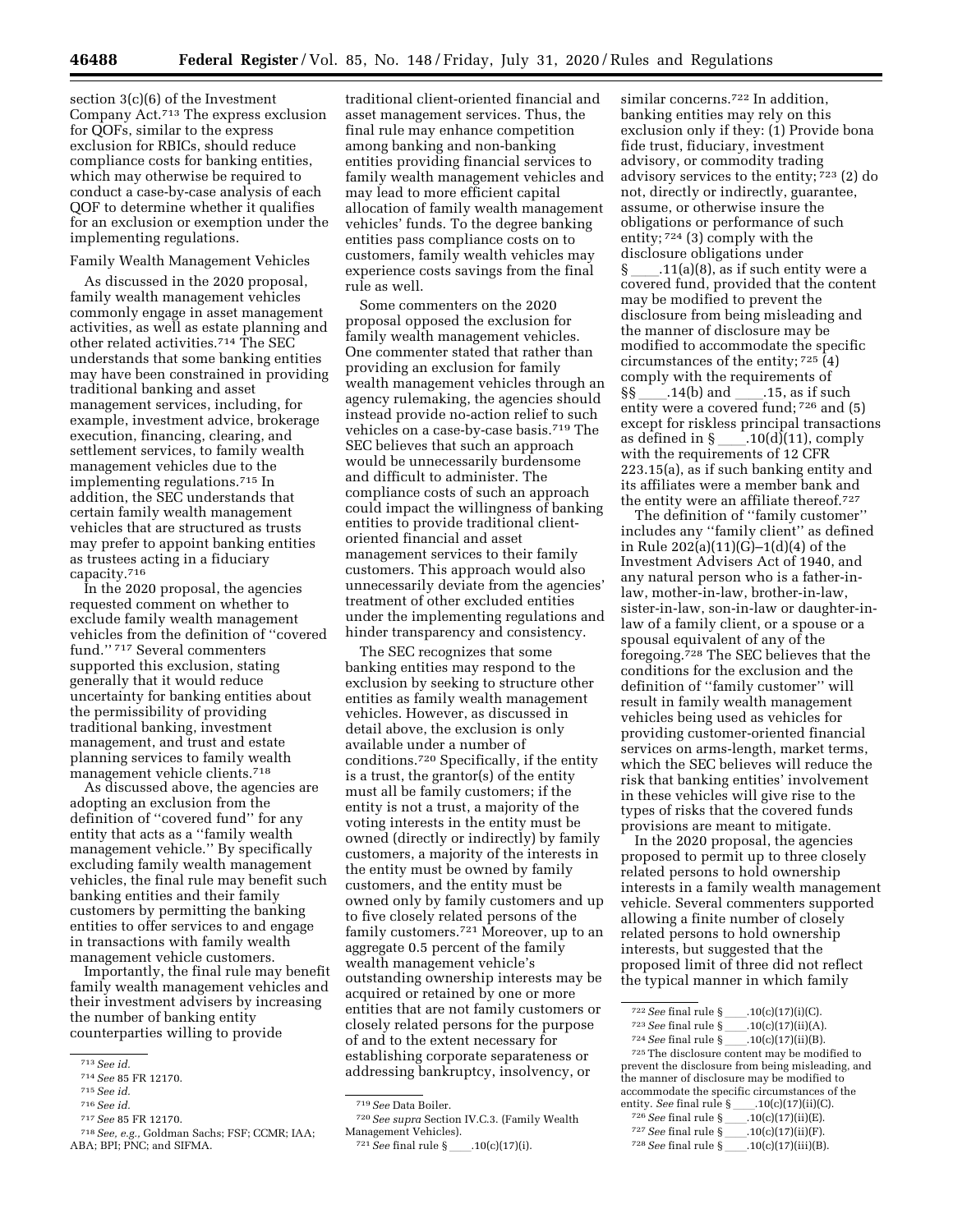section 3(c)(6) of the Investment Company Act.713 The express exclusion for QOFs, similar to the express exclusion for RBICs, should reduce compliance costs for banking entities, which may otherwise be required to conduct a case-by-case analysis of each QOF to determine whether it qualifies for an exclusion or exemption under the implementing regulations.

#### Family Wealth Management Vehicles

As discussed in the 2020 proposal, family wealth management vehicles commonly engage in asset management activities, as well as estate planning and other related activities.714 The SEC understands that some banking entities may have been constrained in providing traditional banking and asset management services, including, for example, investment advice, brokerage execution, financing, clearing, and settlement services, to family wealth management vehicles due to the implementing regulations.715 In addition, the SEC understands that certain family wealth management vehicles that are structured as trusts may prefer to appoint banking entities as trustees acting in a fiduciary capacity.716

In the 2020 proposal, the agencies requested comment on whether to exclude family wealth management vehicles from the definition of ''covered fund.'' 717 Several commenters supported this exclusion, stating generally that it would reduce uncertainty for banking entities about the permissibility of providing traditional banking, investment management, and trust and estate planning services to family wealth management vehicle clients.718

As discussed above, the agencies are adopting an exclusion from the definition of ''covered fund'' for any entity that acts as a ''family wealth management vehicle.'' By specifically excluding family wealth management vehicles, the final rule may benefit such banking entities and their family customers by permitting the banking entities to offer services to and engage in transactions with family wealth management vehicle customers.

Importantly, the final rule may benefit family wealth management vehicles and their investment advisers by increasing the number of banking entity counterparties willing to provide

716*See id.* 

traditional client-oriented financial and asset management services. Thus, the final rule may enhance competition among banking and non-banking entities providing financial services to family wealth management vehicles and may lead to more efficient capital allocation of family wealth management vehicles' funds. To the degree banking entities pass compliance costs on to customers, family wealth vehicles may experience costs savings from the final rule as well.

Some commenters on the 2020 proposal opposed the exclusion for family wealth management vehicles. One commenter stated that rather than providing an exclusion for family wealth management vehicles through an agency rulemaking, the agencies should instead provide no-action relief to such vehicles on a case-by-case basis.719 The SEC believes that such an approach would be unnecessarily burdensome and difficult to administer. The compliance costs of such an approach could impact the willingness of banking entities to provide traditional clientoriented financial and asset management services to their family customers. This approach would also unnecessarily deviate from the agencies' treatment of other excluded entities under the implementing regulations and hinder transparency and consistency.

The SEC recognizes that some banking entities may respond to the exclusion by seeking to structure other entities as family wealth management vehicles. However, as discussed in detail above, the exclusion is only available under a number of conditions.720 Specifically, if the entity is a trust, the grantor(s) of the entity must all be family customers; if the entity is not a trust, a majority of the voting interests in the entity must be owned (directly or indirectly) by family customers, a majority of the interests in the entity must be owned by family customers, and the entity must be owned only by family customers and up to five closely related persons of the family customers.721 Moreover, up to an aggregate 0.5 percent of the family wealth management vehicle's outstanding ownership interests may be acquired or retained by one or more entities that are not family customers or closely related persons for the purpose of and to the extent necessary for establishing corporate separateness or addressing bankruptcy, insolvency, or

similar concerns.722 In addition, banking entities may rely on this exclusion only if they: (1) Provide bona fide trust, fiduciary, investment advisory, or commodity trading advisory services to the entity; 723 (2) do not, directly or indirectly, guarantee, assume, or otherwise insure the obligations or performance of such entity; 724 (3) comply with the disclosure obligations under  $\S$  .11(a)(8), as if such entity were a covered fund, provided that the content may be modified to prevent the disclosure from being misleading and the manner of disclosure may be modified to accommodate the specific circumstances of the entity; 725 (4) comply with the requirements of  $\S\$  \_\_\_\_\_.14(b) and \_\_\_\_\_.15, as if such entity were a covered fund; <sup>726</sup> and (5) except for riskless principal transactions as defined in § \_\_\_\_.10(d)(11), comply<br>with the requirements of 12 CFR

223.15(a), as if such banking entity and its affiliates were a member bank and the entity were an affiliate thereof.727

The definition of ''family customer'' includes any ''family client'' as defined in Rule 202(a)(11)(G)–1(d)(4) of the Investment Advisers Act of 1940, and any natural person who is a father-inlaw, mother-in-law, brother-in-law, sister-in-law, son-in-law or daughter-inlaw of a family client, or a spouse or a spousal equivalent of any of the foregoing.728 The SEC believes that the conditions for the exclusion and the definition of ''family customer'' will result in family wealth management vehicles being used as vehicles for providing customer-oriented financial services on arms-length, market terms, which the SEC believes will reduce the risk that banking entities' involvement in these vehicles will give rise to the types of risks that the covered funds provisions are meant to mitigate.

In the 2020 proposal, the agencies proposed to permit up to three closely related persons to hold ownership interests in a family wealth management vehicle. Several commenters supported allowing a finite number of closely related persons to hold ownership interests, but suggested that the proposed limit of three did not reflect the typical manner in which family

<sup>724</sup> See final rule § \_\_\_\_.10(c)(17)(ii)(B).<br><sup>725</sup> The disclosure content may be modified to prevent the disclosure from being misleading, and the manner of disclosure may be modified to accommodate the specific circumstances of the

<sup>713</sup>*See id.* 

<sup>714</sup>*See* 85 FR 12170.

<sup>715</sup>*See id.* 

<sup>717</sup>*See* 85 FR 12170.

<sup>718</sup>*See, e.g.,* Goldman Sachs; FSF; CCMR; IAA; ABA; BPI; PNC; and SIFMA.

<sup>719</sup>*See* Data Boiler.

<sup>720</sup>*See supra* Section IV.C.3. (Family Wealth Management Vehicles). <sup>721</sup> See final rule §\_\_\_\_.10(c)(17)(i).

 $^{722}See$  final rule § \_\_\_\_.10(c)(17)(i)(C).

<sup>&</sup>lt;sup>723</sup> See final rule § \_\_\_\_\_\_,10(c)(17)(ii)(A).<br><sup>724</sup> See final rule § \_\_\_\_\_,10(c)(17)(ii)(B).

entity. *See* final rule §ll.10(c)(17)(ii)(C).

<sup>&</sup>lt;sup>726</sup> See final rule § \_\_\_\_\_.10(c)(17)(ii)(E).<br><sup>727</sup> See final rule § \_\_\_\_\_.10(c)(17)(ii)(F). 727 See final rule § \_\_\_\_\_, 10(c)(17)(ii)(F).<br><sup>728</sup> See final rule § \_\_\_\_\_\_ 10(c)(17)(iii)(B)

<sup>728</sup>*See* final rule §ll.10(c)(17)(iii)(B).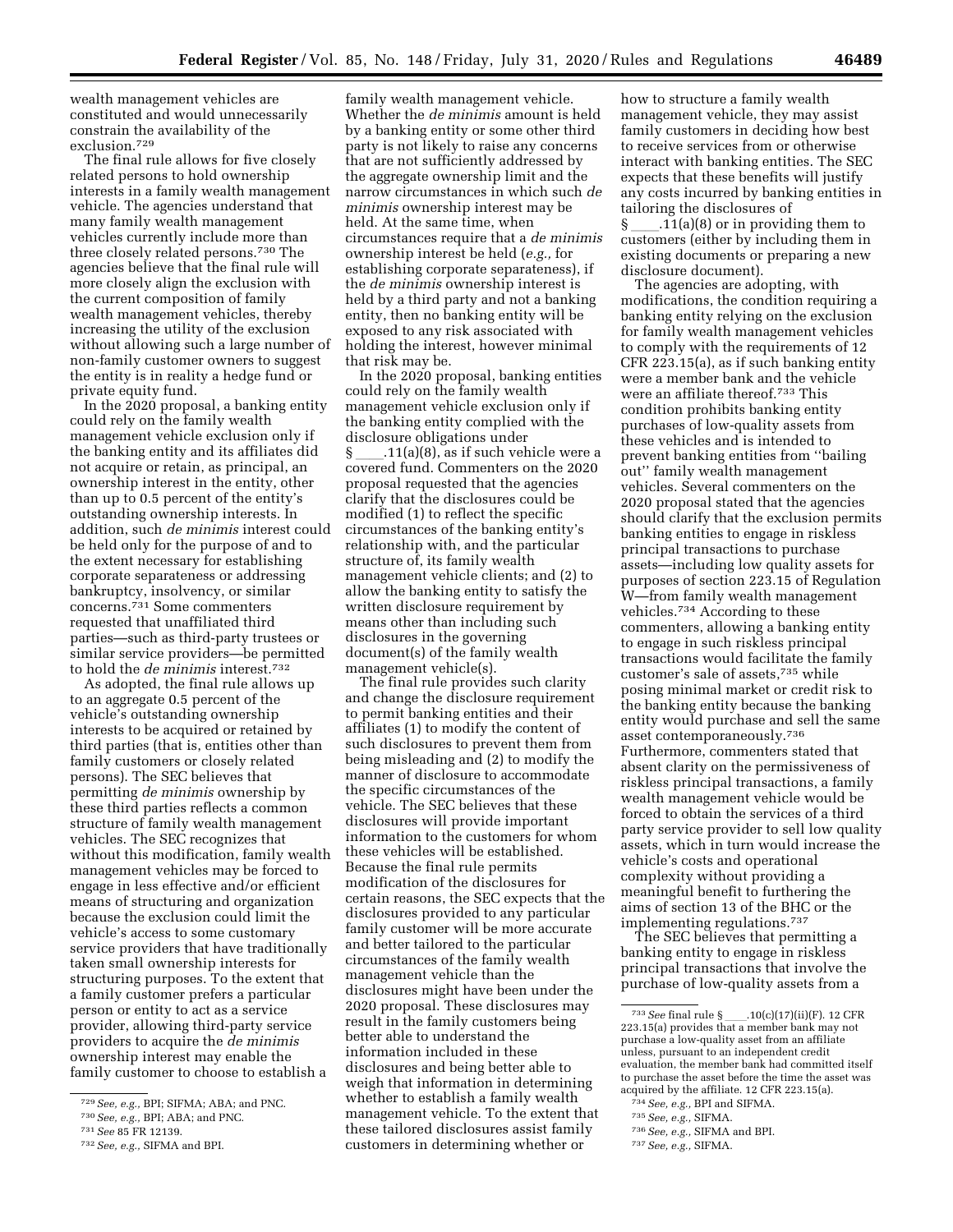wealth management vehicles are constituted and would unnecessarily constrain the availability of the exclusion.729

The final rule allows for five closely related persons to hold ownership interests in a family wealth management vehicle. The agencies understand that many family wealth management vehicles currently include more than three closely related persons.730 The agencies believe that the final rule will more closely align the exclusion with the current composition of family wealth management vehicles, thereby increasing the utility of the exclusion without allowing such a large number of non-family customer owners to suggest the entity is in reality a hedge fund or private equity fund.

In the 2020 proposal, a banking entity could rely on the family wealth management vehicle exclusion only if the banking entity and its affiliates did not acquire or retain, as principal, an ownership interest in the entity, other than up to 0.5 percent of the entity's outstanding ownership interests. In addition, such *de minimis* interest could be held only for the purpose of and to the extent necessary for establishing corporate separateness or addressing bankruptcy, insolvency, or similar concerns.731 Some commenters requested that unaffiliated third parties—such as third-party trustees or similar service providers—be permitted to hold the *de minimis* interest.732

As adopted, the final rule allows up to an aggregate 0.5 percent of the vehicle's outstanding ownership interests to be acquired or retained by third parties (that is, entities other than family customers or closely related persons). The SEC believes that permitting *de minimis* ownership by these third parties reflects a common structure of family wealth management vehicles. The SEC recognizes that without this modification, family wealth management vehicles may be forced to engage in less effective and/or efficient means of structuring and organization because the exclusion could limit the vehicle's access to some customary service providers that have traditionally taken small ownership interests for structuring purposes. To the extent that a family customer prefers a particular person or entity to act as a service provider, allowing third-party service providers to acquire the *de minimis*  ownership interest may enable the family customer to choose to establish a

family wealth management vehicle. Whether the *de minimis* amount is held by a banking entity or some other third party is not likely to raise any concerns that are not sufficiently addressed by the aggregate ownership limit and the narrow circumstances in which such *de minimis* ownership interest may be held. At the same time, when circumstances require that a *de minimis*  ownership interest be held (*e.g.,* for establishing corporate separateness), if the *de minimis* ownership interest is held by a third party and not a banking entity, then no banking entity will be exposed to any risk associated with holding the interest, however minimal that risk may be.

In the 2020 proposal, banking entities could rely on the family wealth management vehicle exclusion only if the banking entity complied with the disclosure obligations under  $\S$  .11(a)(8), as if such vehicle were a covered fund. Commenters on the 2020 proposal requested that the agencies clarify that the disclosures could be modified (1) to reflect the specific circumstances of the banking entity's relationship with, and the particular structure of, its family wealth management vehicle clients; and (2) to allow the banking entity to satisfy the written disclosure requirement by means other than including such disclosures in the governing document(s) of the family wealth management vehicle(s).

The final rule provides such clarity and change the disclosure requirement to permit banking entities and their affiliates (1) to modify the content of such disclosures to prevent them from being misleading and (2) to modify the manner of disclosure to accommodate the specific circumstances of the vehicle. The SEC believes that these disclosures will provide important information to the customers for whom these vehicles will be established. Because the final rule permits modification of the disclosures for certain reasons, the SEC expects that the disclosures provided to any particular family customer will be more accurate and better tailored to the particular circumstances of the family wealth management vehicle than the disclosures might have been under the 2020 proposal. These disclosures may result in the family customers being better able to understand the information included in these disclosures and being better able to weigh that information in determining whether to establish a family wealth management vehicle. To the extent that these tailored disclosures assist family customers in determining whether or

how to structure a family wealth management vehicle, they may assist family customers in deciding how best to receive services from or otherwise interact with banking entities. The SEC expects that these benefits will justify any costs incurred by banking entities in tailoring the disclosures of

§ \_\_\_\_.11(a)(8) or in providing them to<br>customers (either by including them in existing documents or preparing a new disclosure document).

The agencies are adopting, with modifications, the condition requiring a banking entity relying on the exclusion for family wealth management vehicles to comply with the requirements of 12 CFR 223.15(a), as if such banking entity were a member bank and the vehicle were an affiliate thereof.733 This condition prohibits banking entity purchases of low-quality assets from these vehicles and is intended to prevent banking entities from ''bailing out'' family wealth management vehicles. Several commenters on the 2020 proposal stated that the agencies should clarify that the exclusion permits banking entities to engage in riskless principal transactions to purchase assets—including low quality assets for purposes of section 223.15 of Regulation W—from family wealth management vehicles.734 According to these commenters, allowing a banking entity to engage in such riskless principal transactions would facilitate the family customer's sale of assets,735 while posing minimal market or credit risk to the banking entity because the banking entity would purchase and sell the same asset contemporaneously.736 Furthermore, commenters stated that absent clarity on the permissiveness of riskless principal transactions, a family wealth management vehicle would be forced to obtain the services of a third party service provider to sell low quality assets, which in turn would increase the vehicle's costs and operational complexity without providing a meaningful benefit to furthering the aims of section 13 of the BHC or the implementing regulations.737

The SEC believes that permitting a banking entity to engage in riskless principal transactions that involve the purchase of low-quality assets from a

735*See, e.g.,* SIFMA.

<sup>729</sup>*See, e.g.,* BPI; SIFMA; ABA; and PNC.

<sup>730</sup>*See, e.g.,* BPI; ABA; and PNC.

<sup>731</sup>*See* 85 FR 12139.

<sup>732</sup>*See, e.g.,* SIFMA and BPI.

<sup>&</sup>lt;sup>733</sup> See final rule  $\underline{\S}$  \_\_\_\_.10(c)(17)(ii)(F). 12 CFR<br>223.15(a) provides that a member bank may not purchase a low-quality asset from an affiliate unless, pursuant to an independent credit evaluation, the member bank had committed itself to purchase the asset before the time the asset was acquired by the affiliate. 12 CFR 223.15(a).

<sup>734</sup>*See, e.g.,* BPI and SIFMA.

<sup>736</sup>*See, e.g.,* SIFMA and BPI.

<sup>737</sup>*See, e.g.,* SIFMA.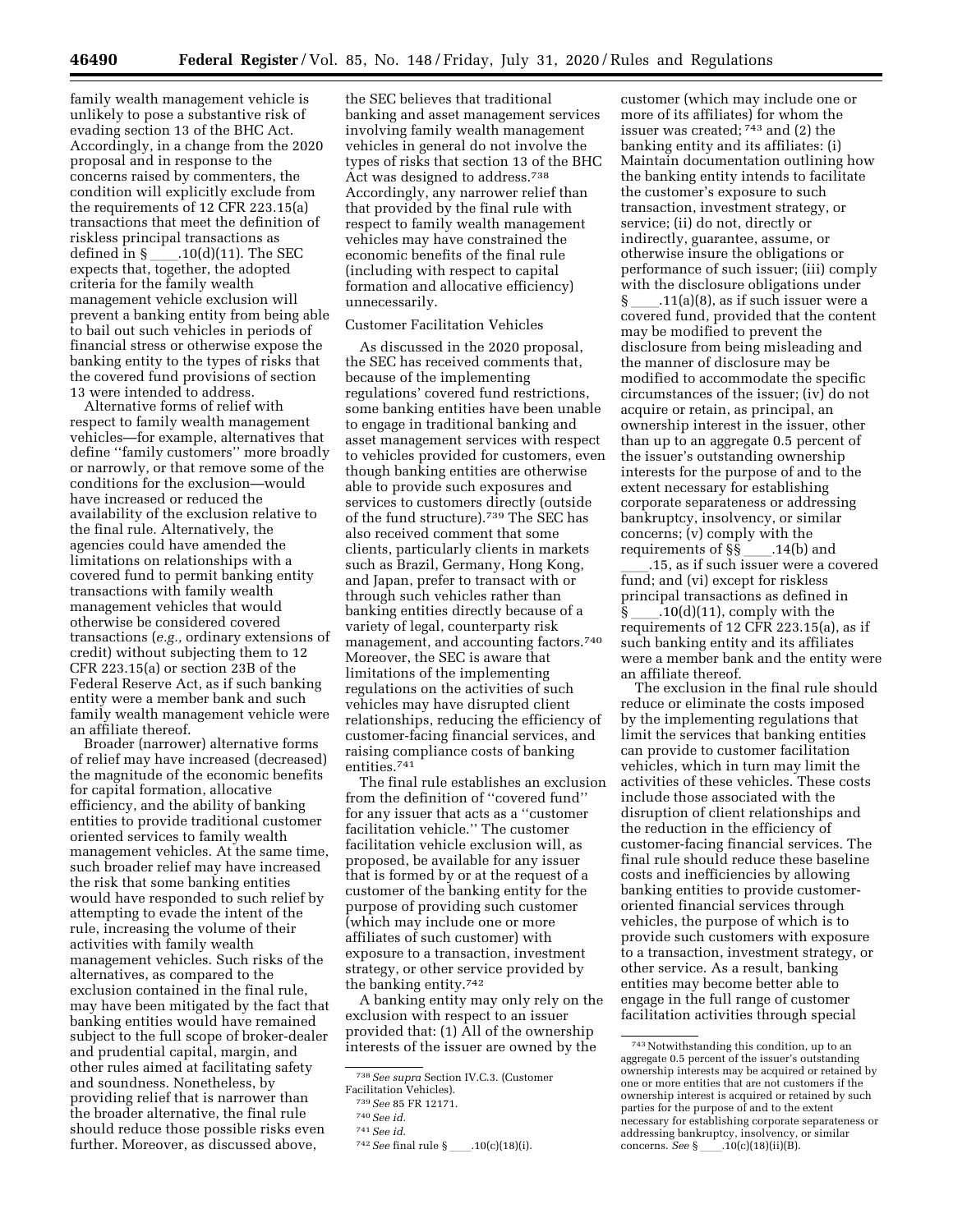family wealth management vehicle is unlikely to pose a substantive risk of evading section 13 of the BHC Act. Accordingly, in a change from the 2020 proposal and in response to the concerns raised by commenters, the condition will explicitly exclude from the requirements of 12 CFR 223.15(a) transactions that meet the definition of riskless principal transactions as<br>defined in  $\S$  .10(d)(11). The SEC defined in § \_\_\_\_.10(d)(11). The SEC<br>expects that, together, the adopted criteria for the family wealth management vehicle exclusion will prevent a banking entity from being able to bail out such vehicles in periods of financial stress or otherwise expose the banking entity to the types of risks that the covered fund provisions of section 13 were intended to address.

Alternative forms of relief with respect to family wealth management vehicles—for example, alternatives that define ''family customers'' more broadly or narrowly, or that remove some of the conditions for the exclusion—would have increased or reduced the availability of the exclusion relative to the final rule. Alternatively, the agencies could have amended the limitations on relationships with a covered fund to permit banking entity transactions with family wealth management vehicles that would otherwise be considered covered transactions (*e.g.,* ordinary extensions of credit) without subjecting them to 12 CFR 223.15(a) or section 23B of the Federal Reserve Act, as if such banking entity were a member bank and such family wealth management vehicle were an affiliate thereof.

Broader (narrower) alternative forms of relief may have increased (decreased) the magnitude of the economic benefits for capital formation, allocative efficiency, and the ability of banking entities to provide traditional customer oriented services to family wealth management vehicles. At the same time, such broader relief may have increased the risk that some banking entities would have responded to such relief by attempting to evade the intent of the rule, increasing the volume of their activities with family wealth management vehicles. Such risks of the alternatives, as compared to the exclusion contained in the final rule, may have been mitigated by the fact that banking entities would have remained subject to the full scope of broker-dealer and prudential capital, margin, and other rules aimed at facilitating safety and soundness. Nonetheless, by providing relief that is narrower than the broader alternative, the final rule should reduce those possible risks even further. Moreover, as discussed above,

the SEC believes that traditional banking and asset management services involving family wealth management vehicles in general do not involve the types of risks that section 13 of the BHC Act was designed to address.738 Accordingly, any narrower relief than that provided by the final rule with respect to family wealth management vehicles may have constrained the economic benefits of the final rule (including with respect to capital formation and allocative efficiency) unnecessarily.

## Customer Facilitation Vehicles

As discussed in the 2020 proposal, the SEC has received comments that, because of the implementing regulations' covered fund restrictions, some banking entities have been unable to engage in traditional banking and asset management services with respect to vehicles provided for customers, even though banking entities are otherwise able to provide such exposures and services to customers directly (outside of the fund structure).739 The SEC has also received comment that some clients, particularly clients in markets such as Brazil, Germany, Hong Kong, and Japan, prefer to transact with or through such vehicles rather than banking entities directly because of a variety of legal, counterparty risk management, and accounting factors.740 Moreover, the SEC is aware that limitations of the implementing regulations on the activities of such vehicles may have disrupted client relationships, reducing the efficiency of customer-facing financial services, and raising compliance costs of banking entities.741

The final rule establishes an exclusion from the definition of ''covered fund'' for any issuer that acts as a ''customer facilitation vehicle.'' The customer facilitation vehicle exclusion will, as proposed, be available for any issuer that is formed by or at the request of a customer of the banking entity for the purpose of providing such customer (which may include one or more affiliates of such customer) with exposure to a transaction, investment strategy, or other service provided by the banking entity.742

A banking entity may only rely on the exclusion with respect to an issuer provided that: (1) All of the ownership interests of the issuer are owned by the

customer (which may include one or more of its affiliates) for whom the issuer was created; 743 and (2) the banking entity and its affiliates: (i) Maintain documentation outlining how the banking entity intends to facilitate the customer's exposure to such transaction, investment strategy, or service; (ii) do not, directly or indirectly, guarantee, assume, or otherwise insure the obligations or performance of such issuer; (iii) comply with the disclosure obligations under  $\S$  11(a)(8), as if such issuer were a covered fund, provided that the content may be modified to prevent the disclosure from being misleading and the manner of disclosure may be modified to accommodate the specific circumstances of the issuer; (iv) do not acquire or retain, as principal, an ownership interest in the issuer, other than up to an aggregate 0.5 percent of the issuer's outstanding ownership interests for the purpose of and to the extent necessary for establishing corporate separateness or addressing bankruptcy, insolvency, or similar concerns; (v) comply with the requirements of §§ \_\_\_\_.14(b) and<br>15 as if such issuer were a co

.15, as if such issuer were a covered<br> $\frac{1}{\text{fund}}$  and (vi) except for risklessfund; and (vi) except for riskless principal transactions as defined in § \_\_\_\_.10(d)(11), comply with the<br>requirements of 12 CFR 223.15(a), as if such banking entity and its affiliates were a member bank and the entity were an affiliate thereof.

The exclusion in the final rule should reduce or eliminate the costs imposed by the implementing regulations that limit the services that banking entities can provide to customer facilitation vehicles, which in turn may limit the activities of these vehicles. These costs include those associated with the disruption of client relationships and the reduction in the efficiency of customer-facing financial services. The final rule should reduce these baseline costs and inefficiencies by allowing banking entities to provide customeroriented financial services through vehicles, the purpose of which is to provide such customers with exposure to a transaction, investment strategy, or other service. As a result, banking entities may become better able to engage in the full range of customer facilitation activities through special

<sup>738</sup>*See supra* Section IV.C.3. (Customer

Facilitation Vehicles).

<sup>739</sup>*See* 85 FR 12171.

<sup>740</sup>*See id.* 

<sup>741</sup>*See id.* 

<sup>&</sup>lt;sup>742</sup> See final rule §\_\_\_\_.10(c)(18)(i).

 $^{743}\,$  Notwithstanding this condition, up to an aggregate 0.5 percent of the issuer's outstanding ownership interests may be acquired or retained by one or more entities that are not customers if the ownership interest is acquired or retained by such parties for the purpose of and to the extent necessary for establishing corporate separateness or addressing bankruptcy, insolvency, or similar concerns. *See* § \_\_\_\_\_.10(c)(18)(ii)(B).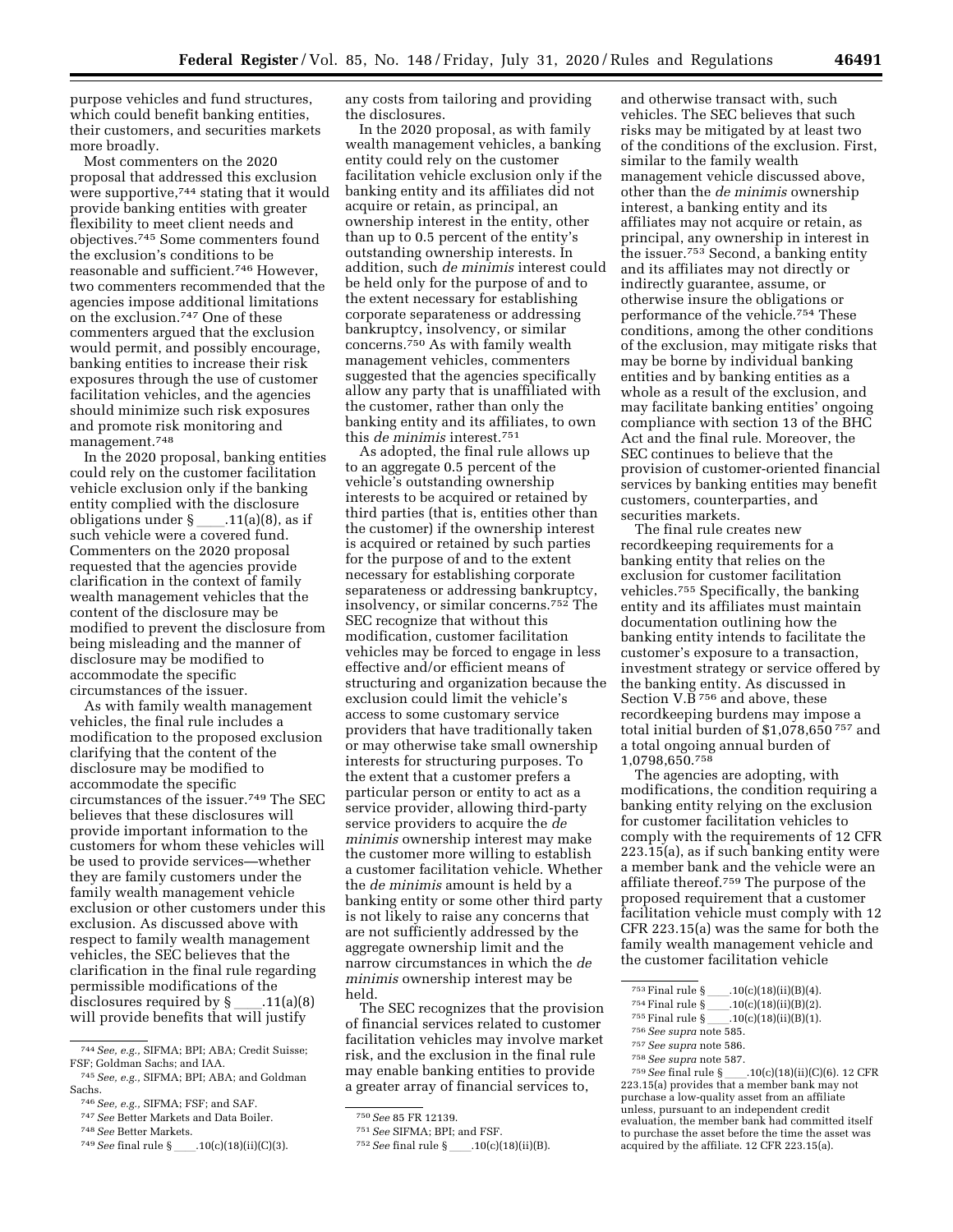purpose vehicles and fund structures, which could benefit banking entities, their customers, and securities markets more broadly.

Most commenters on the 2020 proposal that addressed this exclusion were supportive,<sup>744</sup> stating that it would provide banking entities with greater flexibility to meet client needs and objectives.745 Some commenters found the exclusion's conditions to be reasonable and sufficient.746 However, two commenters recommended that the agencies impose additional limitations on the exclusion.747 One of these commenters argued that the exclusion would permit, and possibly encourage, banking entities to increase their risk exposures through the use of customer facilitation vehicles, and the agencies should minimize such risk exposures and promote risk monitoring and management.748

In the 2020 proposal, banking entities could rely on the customer facilitation vehicle exclusion only if the banking entity complied with the disclosure obligations under § \_\_\_\_.11(a)(8), as if<br>such vehicle were a covered fund. Commenters on the 2020 proposal requested that the agencies provide clarification in the context of family wealth management vehicles that the content of the disclosure may be modified to prevent the disclosure from being misleading and the manner of disclosure may be modified to accommodate the specific circumstances of the issuer.

As with family wealth management vehicles, the final rule includes a modification to the proposed exclusion clarifying that the content of the disclosure may be modified to accommodate the specific circumstances of the issuer.749 The SEC believes that these disclosures will provide important information to the customers for whom these vehicles will be used to provide services—whether they are family customers under the family wealth management vehicle exclusion or other customers under this exclusion. As discussed above with respect to family wealth management vehicles, the SEC believes that the clarification in the final rule regarding permissible modifications of the disclosures required by § \_\_\_\_.11(a)(8)<br>will provide benefits that will justify

any costs from tailoring and providing the disclosures.

In the 2020 proposal, as with family wealth management vehicles, a banking entity could rely on the customer facilitation vehicle exclusion only if the banking entity and its affiliates did not acquire or retain, as principal, an ownership interest in the entity, other than up to 0.5 percent of the entity's outstanding ownership interests. In addition, such *de minimis* interest could be held only for the purpose of and to the extent necessary for establishing corporate separateness or addressing bankruptcy, insolvency, or similar concerns.750 As with family wealth management vehicles, commenters suggested that the agencies specifically allow any party that is unaffiliated with the customer, rather than only the banking entity and its affiliates, to own this *de minimis* interest.751

As adopted, the final rule allows up to an aggregate 0.5 percent of the vehicle's outstanding ownership interests to be acquired or retained by third parties (that is, entities other than the customer) if the ownership interest is acquired or retained by such parties for the purpose of and to the extent necessary for establishing corporate separateness or addressing bankruptcy, insolvency, or similar concerns.752 The SEC recognize that without this modification, customer facilitation vehicles may be forced to engage in less effective and/or efficient means of structuring and organization because the exclusion could limit the vehicle's access to some customary service providers that have traditionally taken or may otherwise take small ownership interests for structuring purposes. To the extent that a customer prefers a particular person or entity to act as a service provider, allowing third-party service providers to acquire the *de minimis* ownership interest may make the customer more willing to establish a customer facilitation vehicle. Whether the *de minimis* amount is held by a banking entity or some other third party is not likely to raise any concerns that are not sufficiently addressed by the aggregate ownership limit and the narrow circumstances in which the *de minimis* ownership interest may be held.

The SEC recognizes that the provision of financial services related to customer facilitation vehicles may involve market risk, and the exclusion in the final rule may enable banking entities to provide a greater array of financial services to,

and otherwise transact with, such vehicles. The SEC believes that such risks may be mitigated by at least two of the conditions of the exclusion. First, similar to the family wealth management vehicle discussed above, other than the *de minimis* ownership interest, a banking entity and its affiliates may not acquire or retain, as principal, any ownership in interest in the issuer.753 Second, a banking entity and its affiliates may not directly or indirectly guarantee, assume, or otherwise insure the obligations or performance of the vehicle.754 These conditions, among the other conditions of the exclusion, may mitigate risks that may be borne by individual banking entities and by banking entities as a whole as a result of the exclusion, and may facilitate banking entities' ongoing compliance with section 13 of the BHC Act and the final rule. Moreover, the SEC continues to believe that the provision of customer-oriented financial services by banking entities may benefit customers, counterparties, and securities markets.

The final rule creates new recordkeeping requirements for a banking entity that relies on the exclusion for customer facilitation vehicles.755 Specifically, the banking entity and its affiliates must maintain documentation outlining how the banking entity intends to facilitate the customer's exposure to a transaction, investment strategy or service offered by the banking entity. As discussed in Section V.B<sup>756</sup> and above, these recordkeeping burdens may impose a total initial burden of \$1,078,650 757 and a total ongoing annual burden of 1,0798,650.758

The agencies are adopting, with modifications, the condition requiring a banking entity relying on the exclusion for customer facilitation vehicles to comply with the requirements of 12 CFR 223.15(a), as if such banking entity were a member bank and the vehicle were an affiliate thereof.759 The purpose of the proposed requirement that a customer facilitation vehicle must comply with 12 CFR 223.15(a) was the same for both the family wealth management vehicle and the customer facilitation vehicle

223.15(a) provides that a member bank may not purchase a low-quality asset from an affiliate unless, pursuant to an independent credit evaluation, the member bank had committed itself to purchase the asset before the time the asset was acquired by the affiliate. 12 CFR 223.15(a).

<sup>744</sup>*See, e.g.,* SIFMA; BPI; ABA; Credit Suisse; FSF; Goldman Sachs; and IAA.

<sup>745</sup>*See, e.g.,* SIFMA; BPI; ABA; and Goldman Sachs.

<sup>746</sup>*See, e.g.,* SIFMA; FSF; and SAF.

<sup>747</sup>*See* Better Markets and Data Boiler.

<sup>748</sup>*See* Better Markets.

<sup>749</sup>*See* final rule §ll.10(c)(18)(ii)(C)(3).

<sup>750</sup>*See* 85 FR 12139.

<sup>751</sup>*See* SIFMA; BPI; and FSF.

<sup>&</sup>lt;sup>752</sup> See final rule §\_\_\_\_.10(c)(18)(ii)(B).

<sup>753</sup>Final rule §ll.10(c)(18)(ii)(B)(4). 754Final rule §ll.10(c)(18)(ii)(B)(2). 755Final rule §ll.10(c)(18)(ii)(B)(1). 756*See supra* note 585. 757*See supra* note 586. 758*See supra* note 587. 759*See* final rule §ll.10(c)(18)(ii)(C)(6). 12 CFR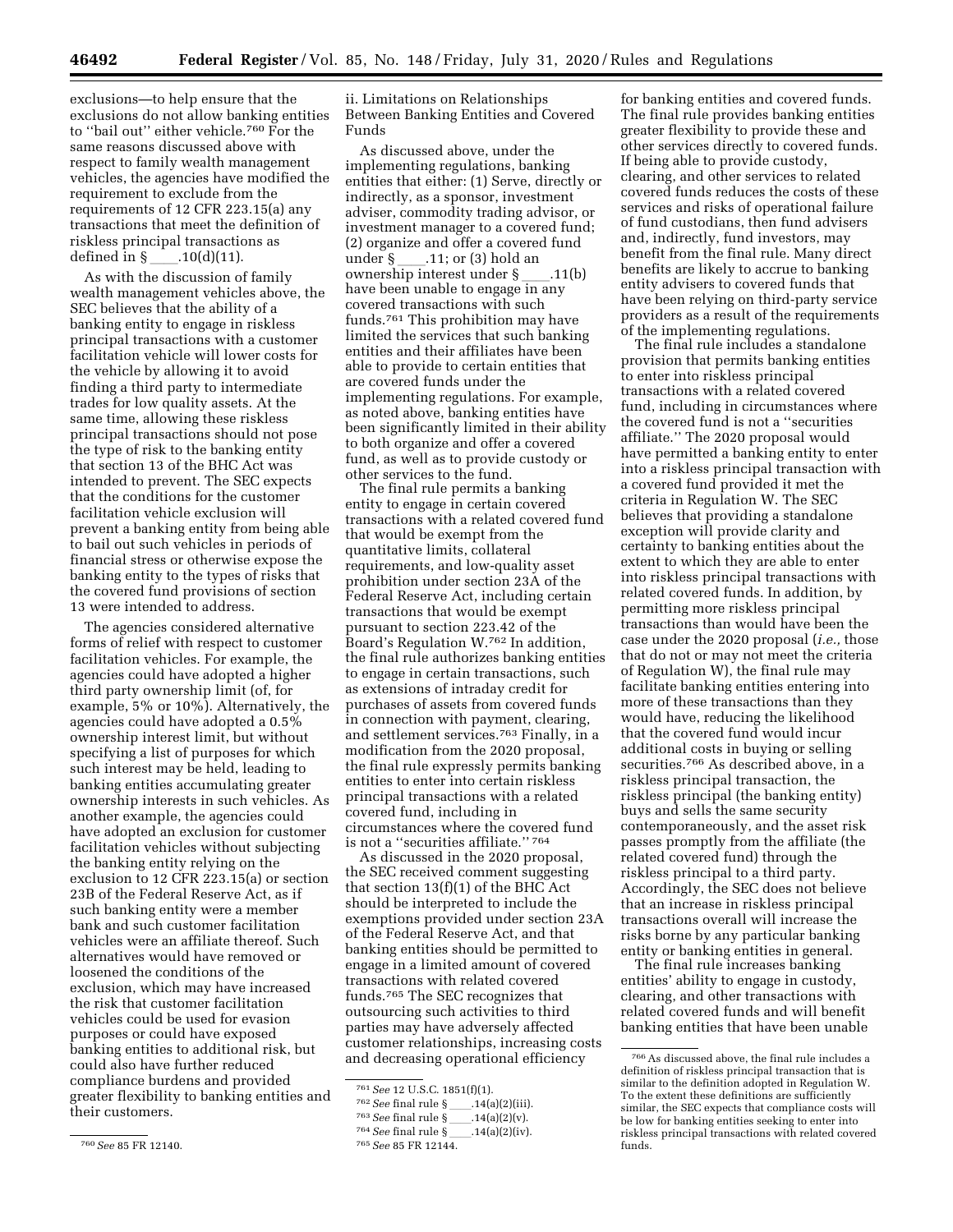exclusions—to help ensure that the exclusions do not allow banking entities to ''bail out'' either vehicle.760 For the same reasons discussed above with respect to family wealth management vehicles, the agencies have modified the requirement to exclude from the requirements of 12 CFR 223.15(a) any transactions that meet the definition of riskless principal transactions as defined in  $\S$  .10(d)(11).

As with the discussion of family wealth management vehicles above, the SEC believes that the ability of a banking entity to engage in riskless principal transactions with a customer facilitation vehicle will lower costs for the vehicle by allowing it to avoid finding a third party to intermediate trades for low quality assets. At the same time, allowing these riskless principal transactions should not pose the type of risk to the banking entity that section 13 of the BHC Act was intended to prevent. The SEC expects that the conditions for the customer facilitation vehicle exclusion will prevent a banking entity from being able to bail out such vehicles in periods of financial stress or otherwise expose the banking entity to the types of risks that the covered fund provisions of section 13 were intended to address.

The agencies considered alternative forms of relief with respect to customer facilitation vehicles. For example, the agencies could have adopted a higher third party ownership limit (of, for example, 5% or 10%). Alternatively, the agencies could have adopted a 0.5% ownership interest limit, but without specifying a list of purposes for which such interest may be held, leading to banking entities accumulating greater ownership interests in such vehicles. As another example, the agencies could have adopted an exclusion for customer facilitation vehicles without subjecting the banking entity relying on the exclusion to 12 CFR 223.15(a) or section 23B of the Federal Reserve Act, as if such banking entity were a member bank and such customer facilitation vehicles were an affiliate thereof. Such alternatives would have removed or loosened the conditions of the exclusion, which may have increased the risk that customer facilitation vehicles could be used for evasion purposes or could have exposed banking entities to additional risk, but could also have further reduced compliance burdens and provided greater flexibility to banking entities and their customers.

ii. Limitations on Relationships Between Banking Entities and Covered Funds

As discussed above, under the implementing regulations, banking entities that either: (1) Serve, directly or indirectly, as a sponsor, investment adviser, commodity trading advisor, or investment manager to a covered fund; (2) organize and offer a covered fund under § \_\_\_\_.11; or (3) hold an<br>ownershin interest under § ownership interest under § \_\_\_\_.11(b)<br>have been unable to engage in any have been unable to engage in any covered transactions with such funds.761 This prohibition may have limited the services that such banking entities and their affiliates have been able to provide to certain entities that are covered funds under the implementing regulations. For example, as noted above, banking entities have been significantly limited in their ability to both organize and offer a covered fund, as well as to provide custody or other services to the fund.

The final rule permits a banking entity to engage in certain covered transactions with a related covered fund that would be exempt from the quantitative limits, collateral requirements, and low-quality asset prohibition under section 23A of the Federal Reserve Act, including certain transactions that would be exempt pursuant to section 223.42 of the Board's Regulation W.762 In addition, the final rule authorizes banking entities to engage in certain transactions, such as extensions of intraday credit for purchases of assets from covered funds in connection with payment, clearing, and settlement services.763 Finally, in a modification from the 2020 proposal, the final rule expressly permits banking entities to enter into certain riskless principal transactions with a related covered fund, including in circumstances where the covered fund is not a ''securities affiliate.'' 764

As discussed in the 2020 proposal, the SEC received comment suggesting that section  $13(f)(1)$  of the BHC Act should be interpreted to include the exemptions provided under section 23A of the Federal Reserve Act, and that banking entities should be permitted to engage in a limited amount of covered transactions with related covered funds.765 The SEC recognizes that outsourcing such activities to third parties may have adversely affected customer relationships, increasing costs and decreasing operational efficiency

for banking entities and covered funds. The final rule provides banking entities greater flexibility to provide these and other services directly to covered funds. If being able to provide custody, clearing, and other services to related covered funds reduces the costs of these services and risks of operational failure of fund custodians, then fund advisers and, indirectly, fund investors, may benefit from the final rule. Many direct benefits are likely to accrue to banking entity advisers to covered funds that have been relying on third-party service providers as a result of the requirements of the implementing regulations.

The final rule includes a standalone provision that permits banking entities to enter into riskless principal transactions with a related covered fund, including in circumstances where the covered fund is not a ''securities affiliate.'' The 2020 proposal would have permitted a banking entity to enter into a riskless principal transaction with a covered fund provided it met the criteria in Regulation W. The SEC believes that providing a standalone exception will provide clarity and certainty to banking entities about the extent to which they are able to enter into riskless principal transactions with related covered funds. In addition, by permitting more riskless principal transactions than would have been the case under the 2020 proposal (*i.e.,* those that do not or may not meet the criteria of Regulation W), the final rule may facilitate banking entities entering into more of these transactions than they would have, reducing the likelihood that the covered fund would incur additional costs in buying or selling securities.766 As described above, in a riskless principal transaction, the riskless principal (the banking entity) buys and sells the same security contemporaneously, and the asset risk passes promptly from the affiliate (the related covered fund) through the riskless principal to a third party. Accordingly, the SEC does not believe that an increase in riskless principal transactions overall will increase the risks borne by any particular banking entity or banking entities in general.

The final rule increases banking entities' ability to engage in custody, clearing, and other transactions with related covered funds and will benefit banking entities that have been unable

<sup>761</sup>*See* 12 U.S.C. 1851(f)(1).

<sup>&</sup>lt;sup>762</sup> See final rule §\_\_\_\_\_\_.14(a)(2)(iii).<br><sup>763</sup> See final rule §\_\_\_\_\_\_.14(a)(2)(v).

<sup>763</sup>*See* final rule §ll.14(a)(2)(v).

<sup>764</sup>*See* final rule §ll.14(a)(2)(iv). 765*See* 85 FR 12144.

 $^{766}\mathrm{As}$  discussed above, the final rule includes a definition of riskless principal transaction that is similar to the definition adopted in Regulation W. To the extent these definitions are sufficiently similar, the SEC expects that compliance costs will be low for banking entities seeking to enter into riskless principal transactions with related covered funds.

<sup>760</sup>*See* 85 FR 12140.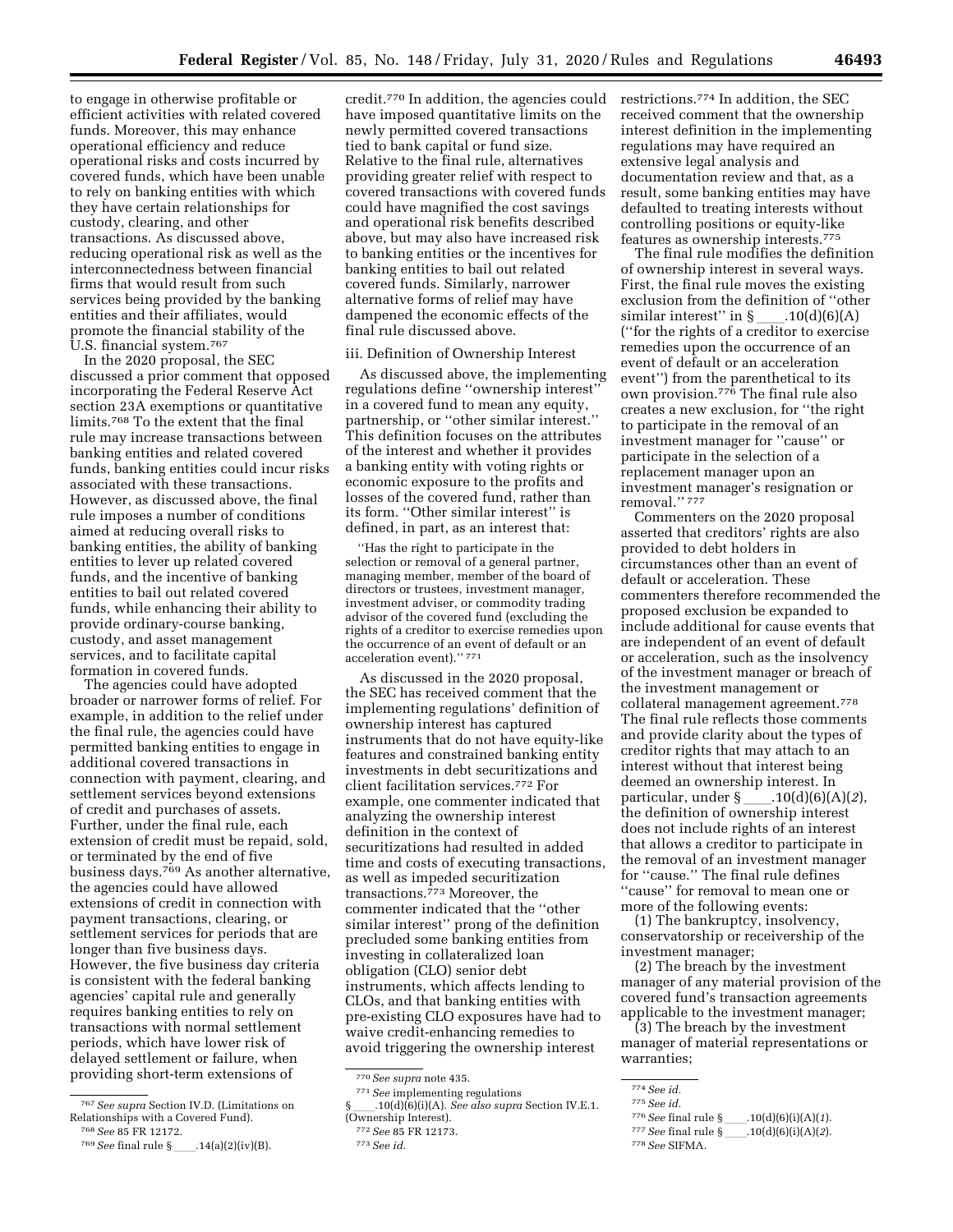to engage in otherwise profitable or efficient activities with related covered funds. Moreover, this may enhance operational efficiency and reduce operational risks and costs incurred by covered funds, which have been unable to rely on banking entities with which they have certain relationships for custody, clearing, and other transactions. As discussed above, reducing operational risk as well as the interconnectedness between financial firms that would result from such services being provided by the banking entities and their affiliates, would promote the financial stability of the U.S. financial system.767

In the 2020 proposal, the SEC discussed a prior comment that opposed incorporating the Federal Reserve Act section 23A exemptions or quantitative limits.768 To the extent that the final rule may increase transactions between banking entities and related covered funds, banking entities could incur risks associated with these transactions. However, as discussed above, the final rule imposes a number of conditions aimed at reducing overall risks to banking entities, the ability of banking entities to lever up related covered funds, and the incentive of banking entities to bail out related covered funds, while enhancing their ability to provide ordinary-course banking, custody, and asset management services, and to facilitate capital formation in covered funds.

The agencies could have adopted broader or narrower forms of relief. For example, in addition to the relief under the final rule, the agencies could have permitted banking entities to engage in additional covered transactions in connection with payment, clearing, and settlement services beyond extensions of credit and purchases of assets. Further, under the final rule, each extension of credit must be repaid, sold, or terminated by the end of five business days.<sup>769</sup> As another alternative, the agencies could have allowed extensions of credit in connection with payment transactions, clearing, or settlement services for periods that are longer than five business days. However, the five business day criteria is consistent with the federal banking agencies' capital rule and generally requires banking entities to rely on transactions with normal settlement periods, which have lower risk of delayed settlement or failure, when providing short-term extensions of

credit.770 In addition, the agencies could have imposed quantitative limits on the newly permitted covered transactions tied to bank capital or fund size. Relative to the final rule, alternatives providing greater relief with respect to covered transactions with covered funds could have magnified the cost savings and operational risk benefits described above, but may also have increased risk to banking entities or the incentives for banking entities to bail out related covered funds. Similarly, narrower alternative forms of relief may have dampened the economic effects of the final rule discussed above.

#### iii. Definition of Ownership Interest

As discussed above, the implementing regulations define ''ownership interest'' in a covered fund to mean any equity, partnership, or "other similar interest.' This definition focuses on the attributes of the interest and whether it provides a banking entity with voting rights or economic exposure to the profits and losses of the covered fund, rather than its form. ''Other similar interest'' is defined, in part, as an interest that:

''Has the right to participate in the selection or removal of a general partner, managing member, member of the board of directors or trustees, investment manager, investment adviser, or commodity trading advisor of the covered fund (excluding the rights of a creditor to exercise remedies upon the occurrence of an event of default or an acceleration event).'' 771

As discussed in the 2020 proposal, the SEC has received comment that the implementing regulations' definition of ownership interest has captured instruments that do not have equity-like features and constrained banking entity investments in debt securitizations and client facilitation services.772 For example, one commenter indicated that analyzing the ownership interest definition in the context of securitizations had resulted in added time and costs of executing transactions, as well as impeded securitization transactions.773 Moreover, the commenter indicated that the ''other similar interest'' prong of the definition precluded some banking entities from investing in collateralized loan obligation (CLO) senior debt instruments, which affects lending to CLOs, and that banking entities with pre-existing CLO exposures have had to waive credit-enhancing remedies to avoid triggering the ownership interest

771*See* implementing regulations §ll.10(d)(6)(i)(A). *See also supra* Section IV.E.1. (Ownership Interest).

restrictions.774 In addition, the SEC received comment that the ownership interest definition in the implementing regulations may have required an extensive legal analysis and documentation review and that, as a result, some banking entities may have defaulted to treating interests without controlling positions or equity-like features as ownership interests.775

The final rule modifies the definition of ownership interest in several ways. First, the final rule moves the existing exclusion from the definition of "other<br>similar interest" in  $\S$  .10(d)(6)(A) similar interest'' in §\_\_\_\_.10(d)(6)(A)<br>(''for the rights of a creditor to exercise remedies upon the occurrence of an event of default or an acceleration event'') from the parenthetical to its own provision.776 The final rule also creates a new exclusion, for ''the right to participate in the removal of an investment manager for ''cause'' or participate in the selection of a replacement manager upon an investment manager's resignation or removal.'' 777

Commenters on the 2020 proposal asserted that creditors' rights are also provided to debt holders in circumstances other than an event of default or acceleration. These commenters therefore recommended the proposed exclusion be expanded to include additional for cause events that are independent of an event of default or acceleration, such as the insolvency of the investment manager or breach of the investment management or collateral management agreement.778 The final rule reflects those comments and provide clarity about the types of creditor rights that may attach to an interest without that interest being deemed an ownership interest. In particular, under § \_\_\_\_.10(d)(6)(A)(2), the definition of ownership interest does not include rights of an interest that allows a creditor to participate in the removal of an investment manager for ''cause.'' The final rule defines ''cause'' for removal to mean one or more of the following events:

(1) The bankruptcy, insolvency, conservatorship or receivership of the investment manager;

(2) The breach by the investment manager of any material provision of the covered fund's transaction agreements applicable to the investment manager;

(3) The breach by the investment manager of material representations or warranties;

<sup>767</sup>*See supra* Section IV.D. (Limitations on Relationships with a Covered Fund). 768*See* 85 FR 12172.

<sup>&</sup>lt;sup>769</sup> See final rule §\_\_\_\_.14(a)(2)(iv)(B).

<sup>770</sup>*See supra* note 435.

<sup>772</sup>*See* 85 FR 12173.

<sup>773</sup>*See id.* 

<sup>774</sup>*See id.* 

<sup>775</sup>*See id.* 

<sup>776</sup> *See* final rule §\_\_\_\_\_.10(d)(6)(i)(A)(1).<br>777 *See* final rule §\_\_\_\_\_.10(d)(6)(i)(A)(2).

<sup>777</sup>*See* final rule §ll.10(d)(6)(i)(A)(*2*).

<sup>778</sup>*See* SIFMA.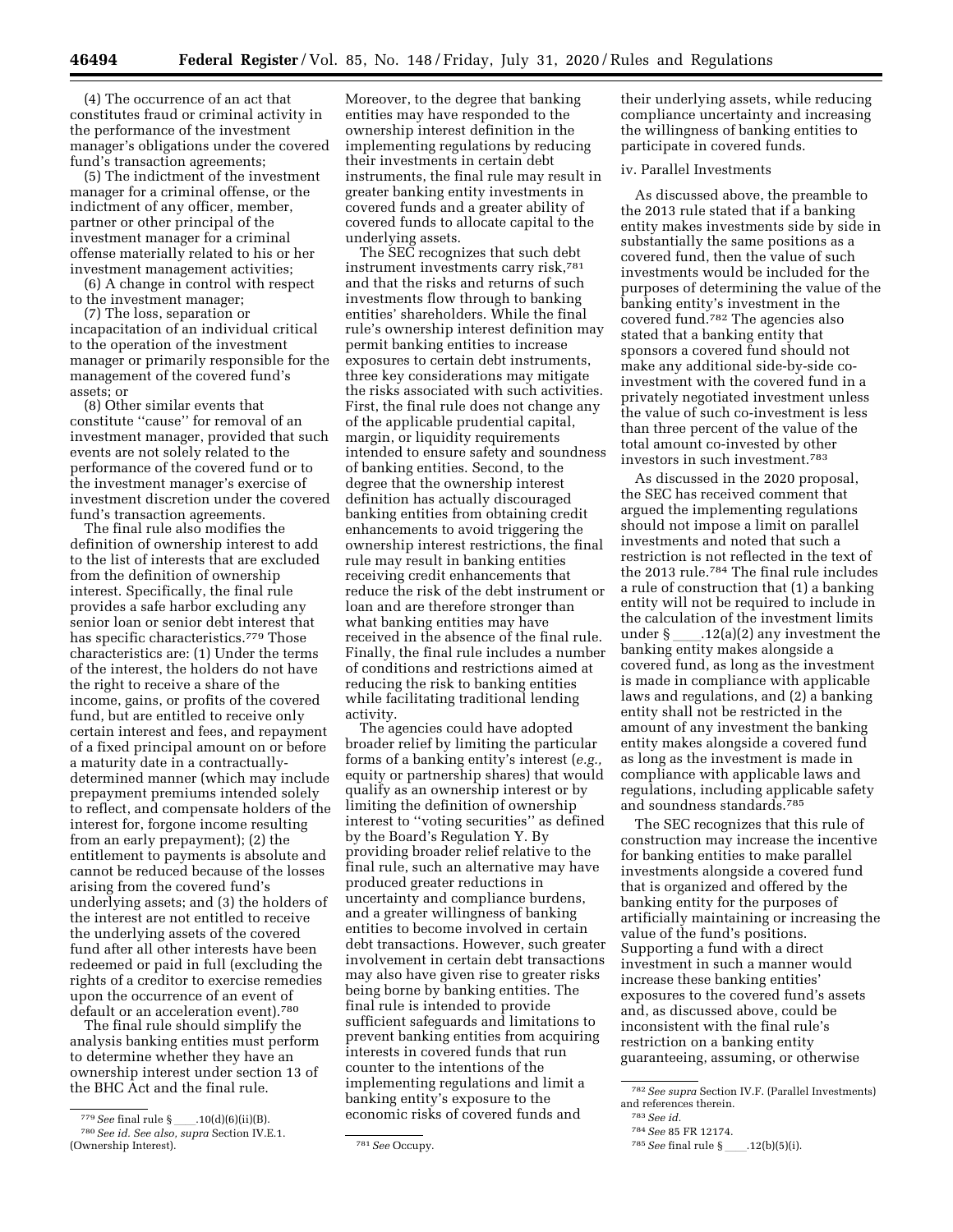(4) The occurrence of an act that constitutes fraud or criminal activity in the performance of the investment manager's obligations under the covered fund's transaction agreements;

(5) The indictment of the investment manager for a criminal offense, or the indictment of any officer, member, partner or other principal of the investment manager for a criminal offense materially related to his or her investment management activities;

(6) A change in control with respect to the investment manager;

(7) The loss, separation or incapacitation of an individual critical to the operation of the investment manager or primarily responsible for the management of the covered fund's assets; or

(8) Other similar events that constitute ''cause'' for removal of an investment manager, provided that such events are not solely related to the performance of the covered fund or to the investment manager's exercise of investment discretion under the covered fund's transaction agreements.

The final rule also modifies the definition of ownership interest to add to the list of interests that are excluded from the definition of ownership interest. Specifically, the final rule provides a safe harbor excluding any senior loan or senior debt interest that has specific characteristics.779 Those characteristics are: (1) Under the terms of the interest, the holders do not have the right to receive a share of the income, gains, or profits of the covered fund, but are entitled to receive only certain interest and fees, and repayment of a fixed principal amount on or before a maturity date in a contractuallydetermined manner (which may include prepayment premiums intended solely to reflect, and compensate holders of the interest for, forgone income resulting from an early prepayment); (2) the entitlement to payments is absolute and cannot be reduced because of the losses arising from the covered fund's underlying assets; and (3) the holders of the interest are not entitled to receive the underlying assets of the covered fund after all other interests have been redeemed or paid in full (excluding the rights of a creditor to exercise remedies upon the occurrence of an event of default or an acceleration event).780

The final rule should simplify the analysis banking entities must perform to determine whether they have an ownership interest under section 13 of the BHC Act and the final rule.

Moreover, to the degree that banking entities may have responded to the ownership interest definition in the implementing regulations by reducing their investments in certain debt instruments, the final rule may result in greater banking entity investments in covered funds and a greater ability of covered funds to allocate capital to the underlying assets.

The SEC recognizes that such debt instrument investments carry risk,781 and that the risks and returns of such investments flow through to banking entities' shareholders. While the final rule's ownership interest definition may permit banking entities to increase exposures to certain debt instruments, three key considerations may mitigate the risks associated with such activities. First, the final rule does not change any of the applicable prudential capital, margin, or liquidity requirements intended to ensure safety and soundness of banking entities. Second, to the degree that the ownership interest definition has actually discouraged banking entities from obtaining credit enhancements to avoid triggering the ownership interest restrictions, the final rule may result in banking entities receiving credit enhancements that reduce the risk of the debt instrument or loan and are therefore stronger than what banking entities may have received in the absence of the final rule. Finally, the final rule includes a number of conditions and restrictions aimed at reducing the risk to banking entities while facilitating traditional lending activity.

The agencies could have adopted broader relief by limiting the particular forms of a banking entity's interest (*e.g.,*  equity or partnership shares) that would qualify as an ownership interest or by limiting the definition of ownership interest to ''voting securities'' as defined by the Board's Regulation Y. By providing broader relief relative to the final rule, such an alternative may have produced greater reductions in uncertainty and compliance burdens, and a greater willingness of banking entities to become involved in certain debt transactions. However, such greater involvement in certain debt transactions may also have given rise to greater risks being borne by banking entities. The final rule is intended to provide sufficient safeguards and limitations to prevent banking entities from acquiring interests in covered funds that run counter to the intentions of the implementing regulations and limit a banking entity's exposure to the economic risks of covered funds and

their underlying assets, while reducing compliance uncertainty and increasing the willingness of banking entities to participate in covered funds.

# iv. Parallel Investments

As discussed above, the preamble to the 2013 rule stated that if a banking entity makes investments side by side in substantially the same positions as a covered fund, then the value of such investments would be included for the purposes of determining the value of the banking entity's investment in the covered fund.782 The agencies also stated that a banking entity that sponsors a covered fund should not make any additional side-by-side coinvestment with the covered fund in a privately negotiated investment unless the value of such co-investment is less than three percent of the value of the total amount co-invested by other investors in such investment.783

As discussed in the 2020 proposal, the SEC has received comment that argued the implementing regulations should not impose a limit on parallel investments and noted that such a restriction is not reflected in the text of the 2013 rule.784 The final rule includes a rule of construction that (1) a banking entity will not be required to include in the calculation of the investment limits<br>under  $\S$  \_\_\_\_\_.12(a)(2) any investment the under § \_\_\_\_.12(a)(2) any investment the<br>banking entity makes alongside a covered fund, as long as the investment is made in compliance with applicable laws and regulations, and (2) a banking entity shall not be restricted in the amount of any investment the banking entity makes alongside a covered fund as long as the investment is made in compliance with applicable laws and regulations, including applicable safety and soundness standards.785

The SEC recognizes that this rule of construction may increase the incentive for banking entities to make parallel investments alongside a covered fund that is organized and offered by the banking entity for the purposes of artificially maintaining or increasing the value of the fund's positions. Supporting a fund with a direct investment in such a manner would increase these banking entities' exposures to the covered fund's assets and, as discussed above, could be inconsistent with the final rule's restriction on a banking entity guaranteeing, assuming, or otherwise

<sup>&</sup>lt;sup>779</sup> See final rule §\_\_\_\_.10(d)(6)(ii)(B). 780*See id. See also, supra* Section IV.E.1. (Ownership Interest). 781*See* Occupy.

<sup>782</sup>*See supra* Section IV.F. (Parallel Investments) and references therein.

<sup>783</sup>*See id.* 

<sup>784</sup>*See* 85 FR 12174.

<sup>&</sup>lt;sup>785</sup> See final rule §\_\_\_\_.12(b)(5)(i).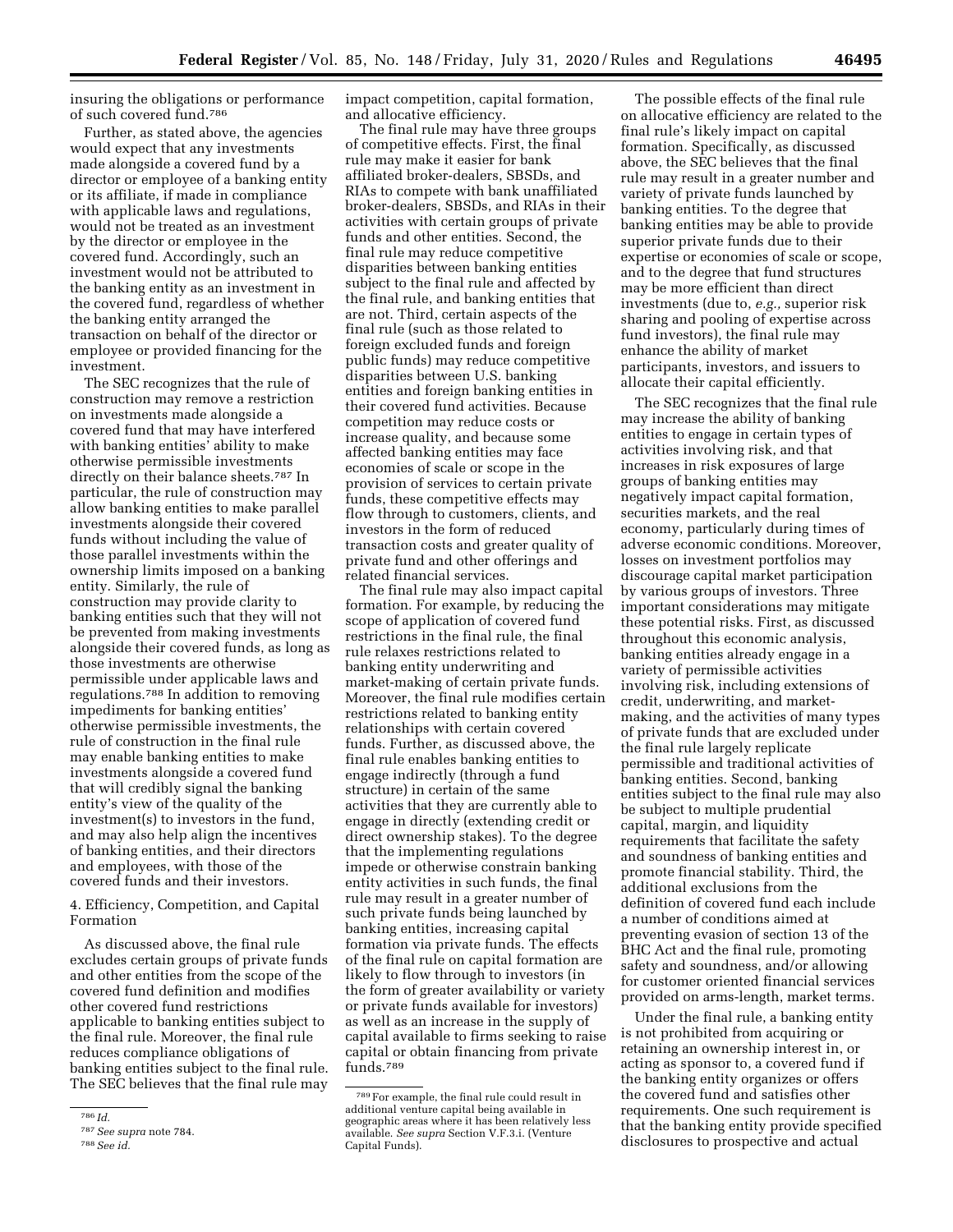insuring the obligations or performance of such covered fund.786

Further, as stated above, the agencies would expect that any investments made alongside a covered fund by a director or employee of a banking entity or its affiliate, if made in compliance with applicable laws and regulations, would not be treated as an investment by the director or employee in the covered fund. Accordingly, such an investment would not be attributed to the banking entity as an investment in the covered fund, regardless of whether the banking entity arranged the transaction on behalf of the director or employee or provided financing for the investment.

The SEC recognizes that the rule of construction may remove a restriction on investments made alongside a covered fund that may have interfered with banking entities' ability to make otherwise permissible investments directly on their balance sheets.787 In particular, the rule of construction may allow banking entities to make parallel investments alongside their covered funds without including the value of those parallel investments within the ownership limits imposed on a banking entity. Similarly, the rule of construction may provide clarity to banking entities such that they will not be prevented from making investments alongside their covered funds, as long as those investments are otherwise permissible under applicable laws and regulations.788 In addition to removing impediments for banking entities' otherwise permissible investments, the rule of construction in the final rule may enable banking entities to make investments alongside a covered fund that will credibly signal the banking entity's view of the quality of the investment(s) to investors in the fund, and may also help align the incentives of banking entities, and their directors and employees, with those of the covered funds and their investors.

4. Efficiency, Competition, and Capital Formation

As discussed above, the final rule excludes certain groups of private funds and other entities from the scope of the covered fund definition and modifies other covered fund restrictions applicable to banking entities subject to the final rule. Moreover, the final rule reduces compliance obligations of banking entities subject to the final rule. The SEC believes that the final rule may

impact competition, capital formation, and allocative efficiency.

The final rule may have three groups of competitive effects. First, the final rule may make it easier for bank affiliated broker-dealers, SBSDs, and RIAs to compete with bank unaffiliated broker-dealers, SBSDs, and RIAs in their activities with certain groups of private funds and other entities. Second, the final rule may reduce competitive disparities between banking entities subject to the final rule and affected by the final rule, and banking entities that are not. Third, certain aspects of the final rule (such as those related to foreign excluded funds and foreign public funds) may reduce competitive disparities between U.S. banking entities and foreign banking entities in their covered fund activities. Because competition may reduce costs or increase quality, and because some affected banking entities may face economies of scale or scope in the provision of services to certain private funds, these competitive effects may flow through to customers, clients, and investors in the form of reduced transaction costs and greater quality of private fund and other offerings and related financial services.

The final rule may also impact capital formation. For example, by reducing the scope of application of covered fund restrictions in the final rule, the final rule relaxes restrictions related to banking entity underwriting and market-making of certain private funds. Moreover, the final rule modifies certain restrictions related to banking entity relationships with certain covered funds. Further, as discussed above, the final rule enables banking entities to engage indirectly (through a fund structure) in certain of the same activities that they are currently able to engage in directly (extending credit or direct ownership stakes). To the degree that the implementing regulations impede or otherwise constrain banking entity activities in such funds, the final rule may result in a greater number of such private funds being launched by banking entities, increasing capital formation via private funds. The effects of the final rule on capital formation are likely to flow through to investors (in the form of greater availability or variety or private funds available for investors) as well as an increase in the supply of capital available to firms seeking to raise capital or obtain financing from private funds.789

The possible effects of the final rule on allocative efficiency are related to the final rule's likely impact on capital formation. Specifically, as discussed above, the SEC believes that the final rule may result in a greater number and variety of private funds launched by banking entities. To the degree that banking entities may be able to provide superior private funds due to their expertise or economies of scale or scope, and to the degree that fund structures may be more efficient than direct investments (due to, *e.g.,* superior risk sharing and pooling of expertise across fund investors), the final rule may enhance the ability of market participants, investors, and issuers to allocate their capital efficiently.

The SEC recognizes that the final rule may increase the ability of banking entities to engage in certain types of activities involving risk, and that increases in risk exposures of large groups of banking entities may negatively impact capital formation, securities markets, and the real economy, particularly during times of adverse economic conditions. Moreover, losses on investment portfolios may discourage capital market participation by various groups of investors. Three important considerations may mitigate these potential risks. First, as discussed throughout this economic analysis, banking entities already engage in a variety of permissible activities involving risk, including extensions of credit, underwriting, and marketmaking, and the activities of many types of private funds that are excluded under the final rule largely replicate permissible and traditional activities of banking entities. Second, banking entities subject to the final rule may also be subject to multiple prudential capital, margin, and liquidity requirements that facilitate the safety and soundness of banking entities and promote financial stability. Third, the additional exclusions from the definition of covered fund each include a number of conditions aimed at preventing evasion of section 13 of the BHC Act and the final rule, promoting safety and soundness, and/or allowing for customer oriented financial services provided on arms-length, market terms.

Under the final rule, a banking entity is not prohibited from acquiring or retaining an ownership interest in, or acting as sponsor to, a covered fund if the banking entity organizes or offers the covered fund and satisfies other requirements. One such requirement is that the banking entity provide specified disclosures to prospective and actual

<sup>786</sup> *Id.* 

<sup>787</sup>*See supra* note 784.

<sup>788</sup>*See id.* 

<sup>789</sup>For example, the final rule could result in additional venture capital being available in geographic areas where it has been relatively less available. *See supra* Section V.F.3.i. (Venture Capital Funds).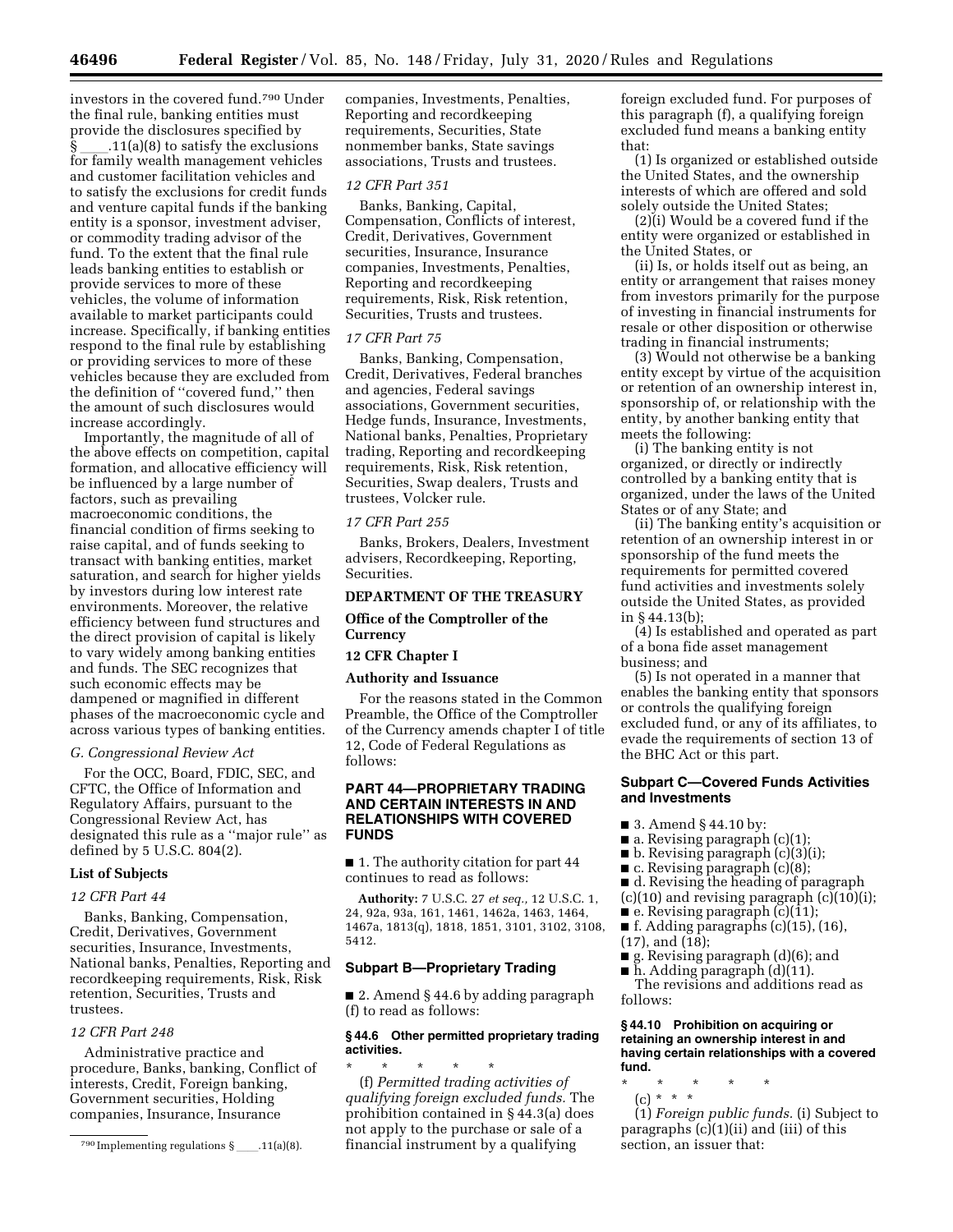investors in the covered fund.790 Under the final rule, banking entities must

provide the disclosures specified by § \_\_\_\_.11(a)(8) to satisfy the exclusions<br>for family wealth management vehicles and customer facilitation vehicles and to satisfy the exclusions for credit funds and venture capital funds if the banking entity is a sponsor, investment adviser, or commodity trading advisor of the fund. To the extent that the final rule leads banking entities to establish or provide services to more of these vehicles, the volume of information available to market participants could increase. Specifically, if banking entities respond to the final rule by establishing or providing services to more of these vehicles because they are excluded from the definition of ''covered fund,'' then the amount of such disclosures would increase accordingly.

Importantly, the magnitude of all of the above effects on competition, capital formation, and allocative efficiency will be influenced by a large number of factors, such as prevailing macroeconomic conditions, the financial condition of firms seeking to raise capital, and of funds seeking to transact with banking entities, market saturation, and search for higher yields by investors during low interest rate environments. Moreover, the relative efficiency between fund structures and the direct provision of capital is likely to vary widely among banking entities and funds. The SEC recognizes that such economic effects may be dampened or magnified in different phases of the macroeconomic cycle and across various types of banking entities.

## *G. Congressional Review Act*

For the OCC, Board, FDIC, SEC, and CFTC, the Office of Information and Regulatory Affairs, pursuant to the Congressional Review Act, has designated this rule as a ''major rule'' as defined by 5 U.S.C. 804(2).

# **List of Subjects**

# *12 CFR Part 44*

Banks, Banking, Compensation, Credit, Derivatives, Government securities, Insurance, Investments, National banks, Penalties, Reporting and recordkeeping requirements, Risk, Risk retention, Securities, Trusts and trustees.

### *12 CFR Part 248*

Administrative practice and procedure, Banks, banking, Conflict of interests, Credit, Foreign banking, Government securities, Holding companies, Insurance, Insurance

companies, Investments, Penalties, Reporting and recordkeeping requirements, Securities, State nonmember banks, State savings associations, Trusts and trustees.

## *12 CFR Part 351*

Banks, Banking, Capital, Compensation, Conflicts of interest, Credit, Derivatives, Government securities, Insurance, Insurance companies, Investments, Penalties, Reporting and recordkeeping requirements, Risk, Risk retention, Securities, Trusts and trustees.

#### *17 CFR Part 75*

Banks, Banking, Compensation, Credit, Derivatives, Federal branches and agencies, Federal savings associations, Government securities, Hedge funds, Insurance, Investments, National banks, Penalties, Proprietary trading, Reporting and recordkeeping requirements, Risk, Risk retention, Securities, Swap dealers, Trusts and trustees, Volcker rule.

#### *17 CFR Part 255*

Banks, Brokers, Dealers, Investment advisers, Recordkeeping, Reporting, Securities.

# **DEPARTMENT OF THE TREASURY**

# **Office of the Comptroller of the Currency**

## **12 CFR Chapter I**

## **Authority and Issuance**

For the reasons stated in the Common Preamble, the Office of the Comptroller of the Currency amends chapter I of title 12, Code of Federal Regulations as follows:

# **PART 44—PROPRIETARY TRADING AND CERTAIN INTERESTS IN AND RELATIONSHIPS WITH COVERED FUNDS**

■ 1. The authority citation for part 44 continues to read as follows:

**Authority:** 7 U.S.C. 27 *et seq.,* 12 U.S.C. 1, 24, 92a, 93a, 161, 1461, 1462a, 1463, 1464, 1467a, 1813(q), 1818, 1851, 3101, 3102, 3108, 5412.

### **Subpart B—Proprietary Trading**

■ 2. Amend § 44.6 by adding paragraph (f) to read as follows:

## **§ 44.6 Other permitted proprietary trading activities.**

\* \* \* \* \* (f) *Permitted trading activities of qualifying foreign excluded funds.* The prohibition contained in § 44.3(a) does not apply to the purchase or sale of a financial instrument by a qualifying

foreign excluded fund. For purposes of this paragraph (f), a qualifying foreign excluded fund means a banking entity that:

(1) Is organized or established outside the United States, and the ownership interests of which are offered and sold solely outside the United States;

(2)(i) Would be a covered fund if the entity were organized or established in the United States, or

(ii) Is, or holds itself out as being, an entity or arrangement that raises money from investors primarily for the purpose of investing in financial instruments for resale or other disposition or otherwise trading in financial instruments;

(3) Would not otherwise be a banking entity except by virtue of the acquisition or retention of an ownership interest in, sponsorship of, or relationship with the entity, by another banking entity that meets the following:

(i) The banking entity is not organized, or directly or indirectly controlled by a banking entity that is organized, under the laws of the United States or of any State; and

(ii) The banking entity's acquisition or retention of an ownership interest in or sponsorship of the fund meets the requirements for permitted covered fund activities and investments solely outside the United States, as provided in § 44.13(b);

(4) Is established and operated as part of a bona fide asset management business; and

(5) Is not operated in a manner that enables the banking entity that sponsors or controls the qualifying foreign excluded fund, or any of its affiliates, to evade the requirements of section 13 of the BHC Act or this part.

# **Subpart C—Covered Funds Activities and Investments**

- 3. Amend § 44.10 by:
- a. Revising paragraph (c)(1);
- $\blacksquare$  b. Revising paragraph  $(c)(3)(i)$ ;
- c. Revising paragraph (c)(8);
- d. Revising the heading of paragraph
- $(c)(10)$  and revising paragraph  $(c)(10)(i);$
- $\blacksquare$  e. Revising paragraph (c)(11);
- f. Adding paragraphs  $(c)(15)$ ,  $(16)$ ,
- (17), and (18);
- $\blacksquare$  g. Revising paragraph  $(d)(6)$ ; and
- h. Adding paragraph (d)(11).

The revisions and additions read as follows:

#### **§ 44.10 Prohibition on acquiring or retaining an ownership interest in and having certain relationships with a covered fund.**

- \* \* \* \* \*
- (c) \* \* \*

(1) *Foreign public funds.* (i) Subject to paragraphs (c)(1)(ii) and (iii) of this section, an issuer that:

 $790$  Implementing regulations §\_\_\_\_.11(a)(8).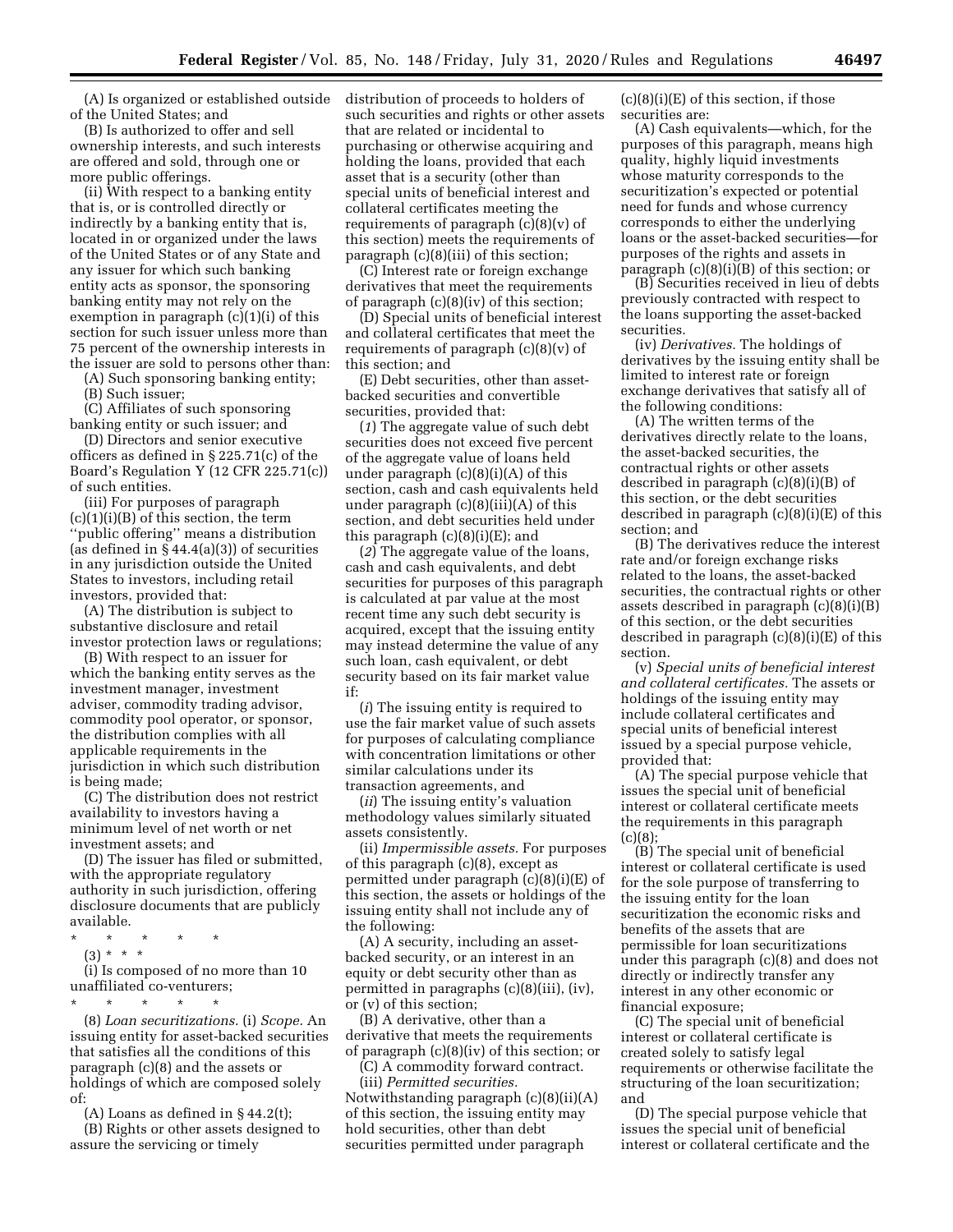(A) Is organized or established outside of the United States; and

(B) Is authorized to offer and sell ownership interests, and such interests are offered and sold, through one or more public offerings.

(ii) With respect to a banking entity that is, or is controlled directly or indirectly by a banking entity that is, located in or organized under the laws of the United States or of any State and any issuer for which such banking entity acts as sponsor, the sponsoring banking entity may not rely on the exemption in paragraph  $(c)(1)(i)$  of this section for such issuer unless more than 75 percent of the ownership interests in the issuer are sold to persons other than:

(A) Such sponsoring banking entity;

(B) Such issuer;

(C) Affiliates of such sponsoring banking entity or such issuer; and

(D) Directors and senior executive officers as defined in § 225.71(c) of the Board's Regulation Y (12 CFR 225.71(c)) of such entities.

(iii) For purposes of paragraph  $(c)(1)(i)(B)$  of this section, the term ''public offering'' means a distribution (as defined in  $\S 44.4(a)(3)$ ) of securities in any jurisdiction outside the United States to investors, including retail investors, provided that:

(A) The distribution is subject to substantive disclosure and retail investor protection laws or regulations;

(B) With respect to an issuer for which the banking entity serves as the investment manager, investment adviser, commodity trading advisor, commodity pool operator, or sponsor, the distribution complies with all applicable requirements in the jurisdiction in which such distribution is being made;

(C) The distribution does not restrict availability to investors having a minimum level of net worth or net investment assets; and

(D) The issuer has filed or submitted, with the appropriate regulatory authority in such jurisdiction, offering disclosure documents that are publicly available.

- \* \* \* \* \*
	- (3) \* \* \*

(i) Is composed of no more than 10 unaffiliated co-venturers;

\* \* \* \* \* (8) *Loan securitizations.* (i) *Scope.* An issuing entity for asset-backed securities that satisfies all the conditions of this paragraph (c)(8) and the assets or holdings of which are composed solely of:

(A) Loans as defined in § 44.2(t); (B) Rights or other assets designed to assure the servicing or timely

distribution of proceeds to holders of such securities and rights or other assets that are related or incidental to purchasing or otherwise acquiring and holding the loans, provided that each asset that is a security (other than special units of beneficial interest and collateral certificates meeting the requirements of paragraph (c)(8)(v) of this section) meets the requirements of paragraph (c)(8)(iii) of this section;

(C) Interest rate or foreign exchange derivatives that meet the requirements of paragraph (c)(8)(iv) of this section;

(D) Special units of beneficial interest and collateral certificates that meet the requirements of paragraph  $(c)(8)(v)$  of this section; and

(E) Debt securities, other than assetbacked securities and convertible securities, provided that:

(*1*) The aggregate value of such debt securities does not exceed five percent of the aggregate value of loans held under paragraph  $(c)(8)(i)(A)$  of this section, cash and cash equivalents held under paragraph  $(c)(8)(iii)(A)$  of this section, and debt securities held under this paragraph  $(c)(8)(i)(E)$ ; and

(*2*) The aggregate value of the loans, cash and cash equivalents, and debt securities for purposes of this paragraph is calculated at par value at the most recent time any such debt security is acquired, except that the issuing entity may instead determine the value of any such loan, cash equivalent, or debt security based on its fair market value if:

(*i*) The issuing entity is required to use the fair market value of such assets for purposes of calculating compliance with concentration limitations or other similar calculations under its transaction agreements, and

(*ii*) The issuing entity's valuation methodology values similarly situated assets consistently.

(ii) *Impermissible assets.* For purposes of this paragraph (c)(8), except as permitted under paragraph (c)(8)(i)(E) of this section, the assets or holdings of the issuing entity shall not include any of the following:

(A) A security, including an assetbacked security, or an interest in an equity or debt security other than as permitted in paragraphs (c)(8)(iii), (iv), or (v) of this section;

(B) A derivative, other than a derivative that meets the requirements of paragraph (c)(8)(iv) of this section; or

(C) A commodity forward contract. (iii) *Permitted securities.*  Notwithstanding paragraph (c)(8)(ii)(A) of this section, the issuing entity may hold securities, other than debt securities permitted under paragraph

 $(c)(8)(i)(E)$  of this section, if those securities are:

(A) Cash equivalents—which, for the purposes of this paragraph, means high quality, highly liquid investments whose maturity corresponds to the securitization's expected or potential need for funds and whose currency corresponds to either the underlying loans or the asset-backed securities—for purposes of the rights and assets in paragraph (c)(8)(i)(B) of this section; or

(B) Securities received in lieu of debts previously contracted with respect to the loans supporting the asset-backed securities.

(iv) *Derivatives.* The holdings of derivatives by the issuing entity shall be limited to interest rate or foreign exchange derivatives that satisfy all of the following conditions:

(A) The written terms of the derivatives directly relate to the loans, the asset-backed securities, the contractual rights or other assets described in paragraph (c)(8)(i)(B) of this section, or the debt securities described in paragraph (c)(8)(i)(E) of this section; and

(B) The derivatives reduce the interest rate and/or foreign exchange risks related to the loans, the asset-backed securities, the contractual rights or other assets described in paragraph (c)(8)(i)(B) of this section, or the debt securities described in paragraph (c)(8)(i)(E) of this section.

(v) *Special units of beneficial interest and collateral certificates.* The assets or holdings of the issuing entity may include collateral certificates and special units of beneficial interest issued by a special purpose vehicle, provided that:

(A) The special purpose vehicle that issues the special unit of beneficial interest or collateral certificate meets the requirements in this paragraph  $(c)(8)$ 

(B) The special unit of beneficial interest or collateral certificate is used for the sole purpose of transferring to the issuing entity for the loan securitization the economic risks and benefits of the assets that are permissible for loan securitizations under this paragraph (c)(8) and does not directly or indirectly transfer any interest in any other economic or financial exposure;

(C) The special unit of beneficial interest or collateral certificate is created solely to satisfy legal requirements or otherwise facilitate the structuring of the loan securitization; and

(D) The special purpose vehicle that issues the special unit of beneficial interest or collateral certificate and the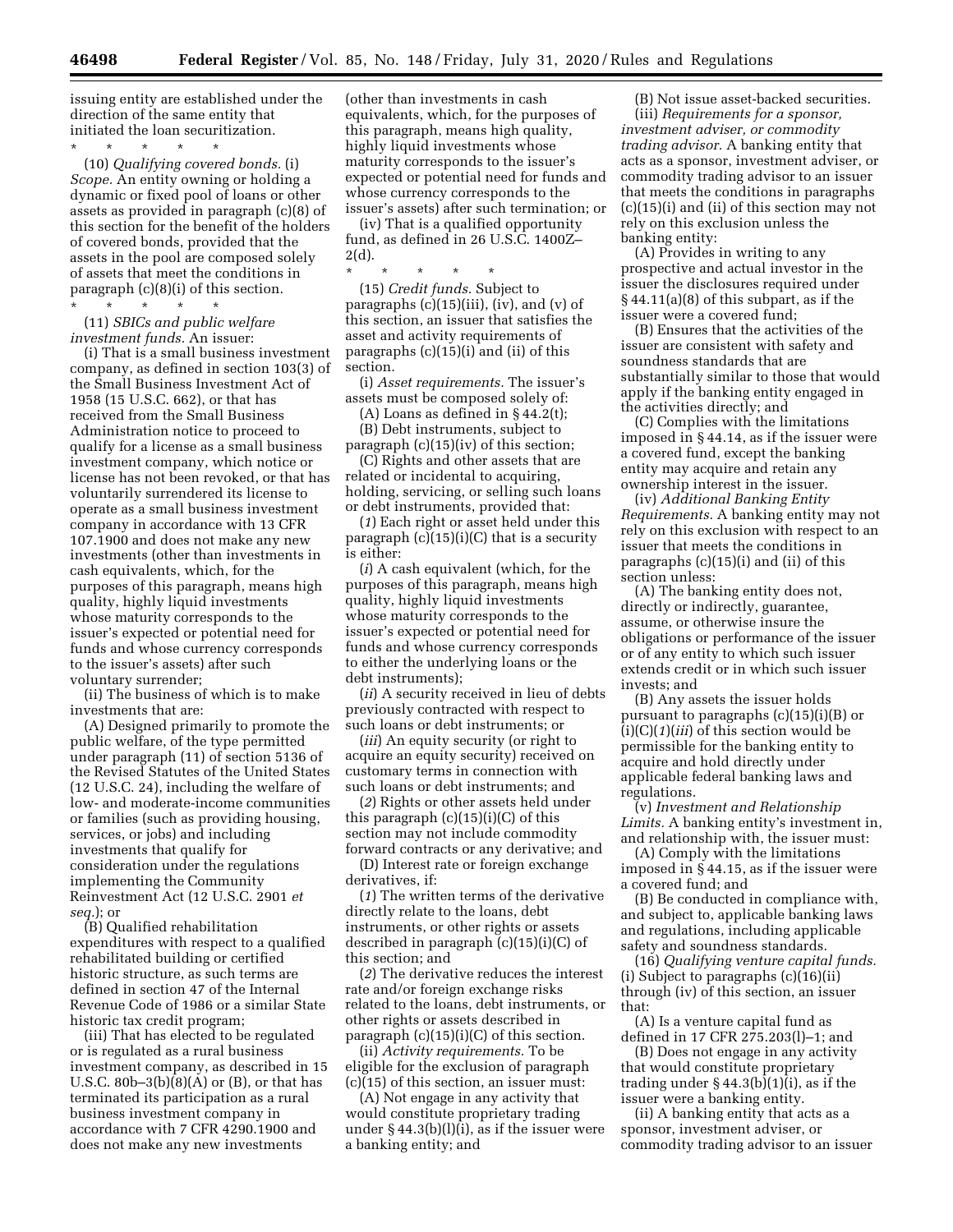issuing entity are established under the direction of the same entity that initiated the loan securitization.

\* \* \* \* \* (10) *Qualifying covered bonds.* (i) *Scope.* An entity owning or holding a dynamic or fixed pool of loans or other assets as provided in paragraph (c)(8) of this section for the benefit of the holders of covered bonds, provided that the assets in the pool are composed solely of assets that meet the conditions in paragraph (c)(8)(i) of this section.

\* \* \* \* \* (11) *SBICs and public welfare investment funds.* An issuer:

(i) That is a small business investment company, as defined in section 103(3) of the Small Business Investment Act of 1958 (15 U.S.C. 662), or that has received from the Small Business Administration notice to proceed to qualify for a license as a small business investment company, which notice or license has not been revoked, or that has voluntarily surrendered its license to operate as a small business investment company in accordance with 13 CFR 107.1900 and does not make any new investments (other than investments in cash equivalents, which, for the purposes of this paragraph, means high quality, highly liquid investments whose maturity corresponds to the issuer's expected or potential need for funds and whose currency corresponds to the issuer's assets) after such voluntary surrender;

(ii) The business of which is to make investments that are:

(A) Designed primarily to promote the public welfare, of the type permitted under paragraph (11) of section 5136 of the Revised Statutes of the United States (12 U.S.C. 24), including the welfare of low- and moderate-income communities or families (such as providing housing, services, or jobs) and including investments that qualify for consideration under the regulations implementing the Community Reinvestment Act (12 U.S.C. 2901 *et seq.*); or

(B) Qualified rehabilitation expenditures with respect to a qualified rehabilitated building or certified historic structure, as such terms are defined in section 47 of the Internal Revenue Code of 1986 or a similar State historic tax credit program;

(iii) That has elected to be regulated or is regulated as a rural business investment company, as described in 15 U.S.C.  $80b-3(b)(8)(A)$  or (B), or that has terminated its participation as a rural business investment company in accordance with 7 CFR 4290.1900 and does not make any new investments

(other than investments in cash equivalents, which, for the purposes of this paragraph, means high quality, highly liquid investments whose maturity corresponds to the issuer's expected or potential need for funds and whose currency corresponds to the issuer's assets) after such termination; or

(iv) That is a qualified opportunity fund, as defined in 26 U.S.C. 1400Z– 2(d).

\* \* \* \* \* (15) *Credit funds.* Subject to

paragraphs  $(c)(15)(iii)$ ,  $(iv)$ , and  $(v)$  of this section, an issuer that satisfies the asset and activity requirements of paragraphs (c)(15)(i) and (ii) of this section.

(i) *Asset requirements.* The issuer's assets must be composed solely of:

(A) Loans as defined in § 44.2(t);

(B) Debt instruments, subject to paragraph (c)(15)(iv) of this section;

(C) Rights and other assets that are related or incidental to acquiring, holding, servicing, or selling such loans or debt instruments, provided that:

(*1*) Each right or asset held under this paragraph  $(c)(15)(i)(C)$  that is a security is either:

(*i*) A cash equivalent (which, for the purposes of this paragraph, means high quality, highly liquid investments whose maturity corresponds to the issuer's expected or potential need for funds and whose currency corresponds to either the underlying loans or the debt instruments);

(*ii*) A security received in lieu of debts previously contracted with respect to such loans or debt instruments; or

(*iii*) An equity security (or right to acquire an equity security) received on customary terms in connection with such loans or debt instruments; and

(*2*) Rights or other assets held under this paragraph  $(c)(15)(i)(C)$  of this section may not include commodity forward contracts or any derivative; and

(D) Interest rate or foreign exchange derivatives, if:

(*1*) The written terms of the derivative directly relate to the loans, debt instruments, or other rights or assets described in paragraph (c)(15)(i)(C) of this section; and

(*2*) The derivative reduces the interest rate and/or foreign exchange risks related to the loans, debt instruments, or other rights or assets described in paragraph  $(c)(15)(i)(C)$  of this section.

(ii) *Activity requirements.* To be eligible for the exclusion of paragraph (c)(15) of this section, an issuer must:

(A) Not engage in any activity that would constitute proprietary trading under  $\S$  44.3(b)(l)(i), as if the issuer were a banking entity; and

(B) Not issue asset-backed securities. (iii) *Requirements for a sponsor, investment adviser, or commodity trading advisor.* A banking entity that acts as a sponsor, investment adviser, or commodity trading advisor to an issuer that meets the conditions in paragraphs (c)(15)(i) and (ii) of this section may not rely on this exclusion unless the banking entity:

(A) Provides in writing to any prospective and actual investor in the issuer the disclosures required under § 44.11(a)(8) of this subpart, as if the issuer were a covered fund;

(B) Ensures that the activities of the issuer are consistent with safety and soundness standards that are substantially similar to those that would apply if the banking entity engaged in the activities directly; and

(C) Complies with the limitations imposed in § 44.14, as if the issuer were a covered fund, except the banking entity may acquire and retain any ownership interest in the issuer.

(iv) *Additional Banking Entity Requirements.* A banking entity may not rely on this exclusion with respect to an issuer that meets the conditions in paragraphs (c)(15)(i) and (ii) of this section unless:

(A) The banking entity does not, directly or indirectly, guarantee, assume, or otherwise insure the obligations or performance of the issuer or of any entity to which such issuer extends credit or in which such issuer invests; and

(B) Any assets the issuer holds pursuant to paragraphs  $(c)(15)(i)(B)$  or (i)(C)(*1*)(*iii*) of this section would be permissible for the banking entity to acquire and hold directly under applicable federal banking laws and regulations.

(v) *Investment and Relationship Limits.* A banking entity's investment in, and relationship with, the issuer must:

(A) Comply with the limitations imposed in § 44.15, as if the issuer were a covered fund; and

(B) Be conducted in compliance with, and subject to, applicable banking laws and regulations, including applicable safety and soundness standards.

(16) *Qualifying venture capital funds.*  (i) Subject to paragraphs (c)(16)(ii) through (iv) of this section, an issuer that:

(A) Is a venture capital fund as defined in 17 CFR 275.203(l)–1; and

(B) Does not engage in any activity that would constitute proprietary trading under  $\S$  44.3(b)(1)(i), as if the issuer were a banking entity.

(ii) A banking entity that acts as a sponsor, investment adviser, or commodity trading advisor to an issuer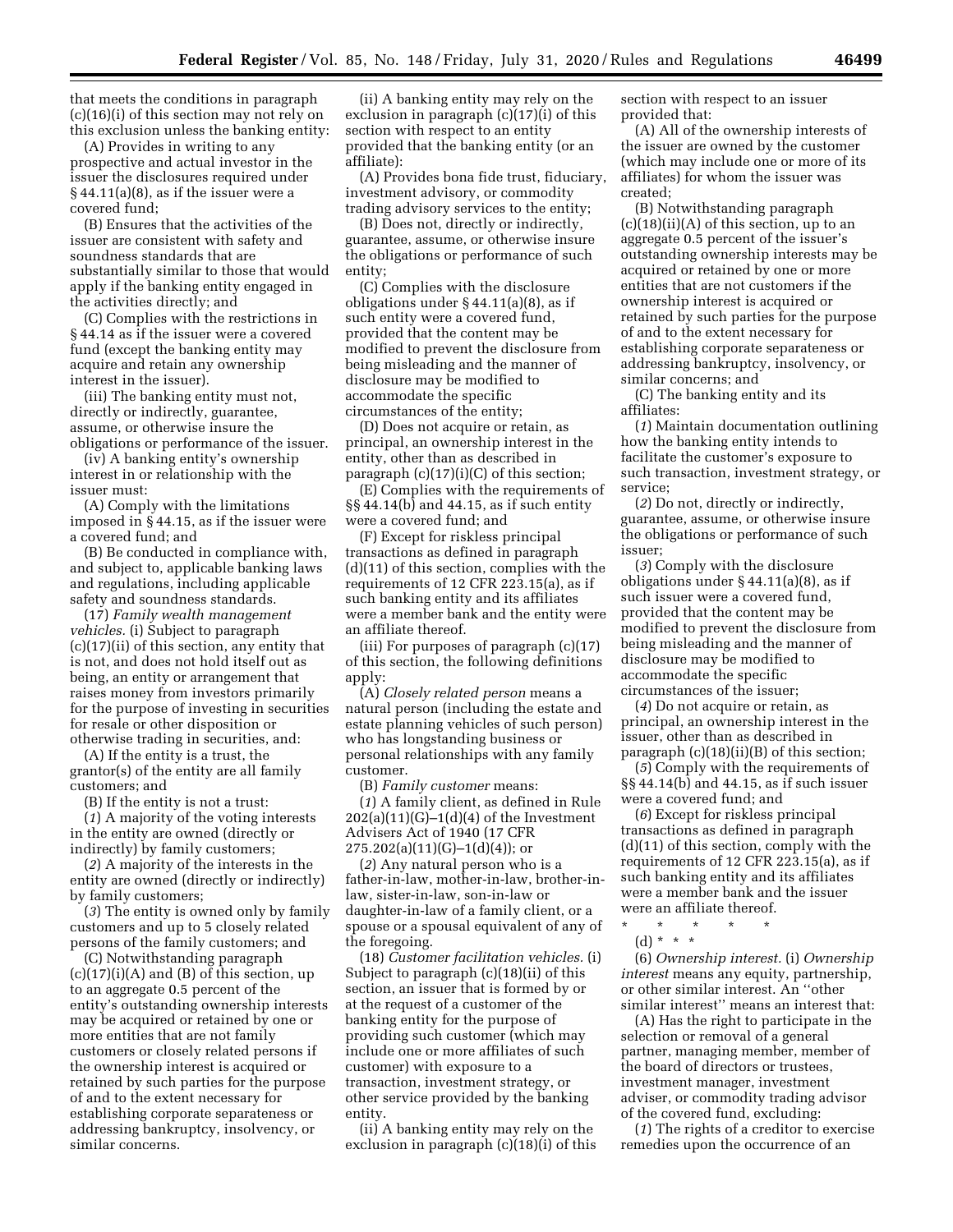that meets the conditions in paragraph (c)(16)(i) of this section may not rely on this exclusion unless the banking entity:

(A) Provides in writing to any prospective and actual investor in the issuer the disclosures required under § 44.11(a)(8), as if the issuer were a covered fund;

(B) Ensures that the activities of the issuer are consistent with safety and soundness standards that are substantially similar to those that would apply if the banking entity engaged in the activities directly; and

(C) Complies with the restrictions in § 44.14 as if the issuer were a covered fund (except the banking entity may acquire and retain any ownership interest in the issuer).

(iii) The banking entity must not, directly or indirectly, guarantee, assume, or otherwise insure the obligations or performance of the issuer.

(iv) A banking entity's ownership interest in or relationship with the issuer must:

(A) Comply with the limitations imposed in § 44.15, as if the issuer were a covered fund; and

(B) Be conducted in compliance with, and subject to, applicable banking laws and regulations, including applicable safety and soundness standards.

(17) *Family wealth management vehicles.* (i) Subject to paragraph (c)(17)(ii) of this section, any entity that is not, and does not hold itself out as being, an entity or arrangement that raises money from investors primarily for the purpose of investing in securities for resale or other disposition or otherwise trading in securities, and:

(A) If the entity is a trust, the grantor(s) of the entity are all family customers; and

(B) If the entity is not a trust:

(*1*) A majority of the voting interests in the entity are owned (directly or indirectly) by family customers;

(*2*) A majority of the interests in the entity are owned (directly or indirectly) by family customers;

(*3*) The entity is owned only by family customers and up to 5 closely related persons of the family customers; and

(C) Notwithstanding paragraph  $(c)(17)(i)(A)$  and  $(B)$  of this section, up to an aggregate 0.5 percent of the entity's outstanding ownership interests may be acquired or retained by one or more entities that are not family customers or closely related persons if the ownership interest is acquired or retained by such parties for the purpose of and to the extent necessary for establishing corporate separateness or addressing bankruptcy, insolvency, or similar concerns.

(ii) A banking entity may rely on the exclusion in paragraph (c)(17)(i) of this section with respect to an entity provided that the banking entity (or an affiliate):

(A) Provides bona fide trust, fiduciary, investment advisory, or commodity trading advisory services to the entity;

(B) Does not, directly or indirectly, guarantee, assume, or otherwise insure the obligations or performance of such entity;

(C) Complies with the disclosure obligations under § 44.11(a)(8), as if such entity were a covered fund, provided that the content may be modified to prevent the disclosure from being misleading and the manner of disclosure may be modified to accommodate the specific circumstances of the entity;

(D) Does not acquire or retain, as principal, an ownership interest in the entity, other than as described in paragraph (c)(17)(i)(C) of this section;

(E) Complies with the requirements of §§ 44.14(b) and 44.15, as if such entity were a covered fund; and

(F) Except for riskless principal transactions as defined in paragraph (d)(11) of this section, complies with the requirements of 12 CFR 223.15(a), as if such banking entity and its affiliates were a member bank and the entity were an affiliate thereof.

(iii) For purposes of paragraph (c)(17) of this section, the following definitions apply:

(A) *Closely related person* means a natural person (including the estate and estate planning vehicles of such person) who has longstanding business or personal relationships with any family customer.

(B) *Family customer* means:

(*1*) A family client, as defined in Rule  $202(a)(11)(G)-1(d)(4)$  of the Investment Advisers Act of 1940 (17 CFR  $275.202(a)(11)(G)-1(d)(4)$ ; or

(*2*) Any natural person who is a father-in-law, mother-in-law, brother-inlaw, sister-in-law, son-in-law or daughter-in-law of a family client, or a spouse or a spousal equivalent of any of the foregoing.

(18) *Customer facilitation vehicles.* (i) Subject to paragraph (c)(18)(ii) of this section, an issuer that is formed by or at the request of a customer of the banking entity for the purpose of providing such customer (which may include one or more affiliates of such customer) with exposure to a transaction, investment strategy, or other service provided by the banking entity.

(ii) A banking entity may rely on the exclusion in paragraph (c)(18)(i) of this section with respect to an issuer provided that:

(A) All of the ownership interests of the issuer are owned by the customer (which may include one or more of its affiliates) for whom the issuer was created;

(B) Notwithstanding paragraph  $(c)(18)(ii)(A)$  of this section, up to an aggregate 0.5 percent of the issuer's outstanding ownership interests may be acquired or retained by one or more entities that are not customers if the ownership interest is acquired or retained by such parties for the purpose of and to the extent necessary for establishing corporate separateness or addressing bankruptcy, insolvency, or similar concerns; and

(C) The banking entity and its affiliates:

(*1*) Maintain documentation outlining how the banking entity intends to facilitate the customer's exposure to such transaction, investment strategy, or service;

(*2*) Do not, directly or indirectly, guarantee, assume, or otherwise insure the obligations or performance of such issuer;

(*3*) Comply with the disclosure obligations under § 44.11(a)(8), as if such issuer were a covered fund, provided that the content may be modified to prevent the disclosure from being misleading and the manner of disclosure may be modified to accommodate the specific circumstances of the issuer;

(*4*) Do not acquire or retain, as principal, an ownership interest in the issuer, other than as described in paragraph  $(c)(18)(ii)(B)$  of this section;

(*5*) Comply with the requirements of §§ 44.14(b) and 44.15, as if such issuer were a covered fund; and

(*6*) Except for riskless principal transactions as defined in paragraph (d)(11) of this section, comply with the requirements of 12 CFR 223.15(a), as if such banking entity and its affiliates were a member bank and the issuer were an affiliate thereof.

\* \* \* \* \* (d) \* \* \*

(6) *Ownership interest.* (i) *Ownership interest* means any equity, partnership, or other similar interest. An ''other similar interest'' means an interest that:

(A) Has the right to participate in the selection or removal of a general partner, managing member, member of the board of directors or trustees, investment manager, investment adviser, or commodity trading advisor of the covered fund, excluding:

(*1*) The rights of a creditor to exercise remedies upon the occurrence of an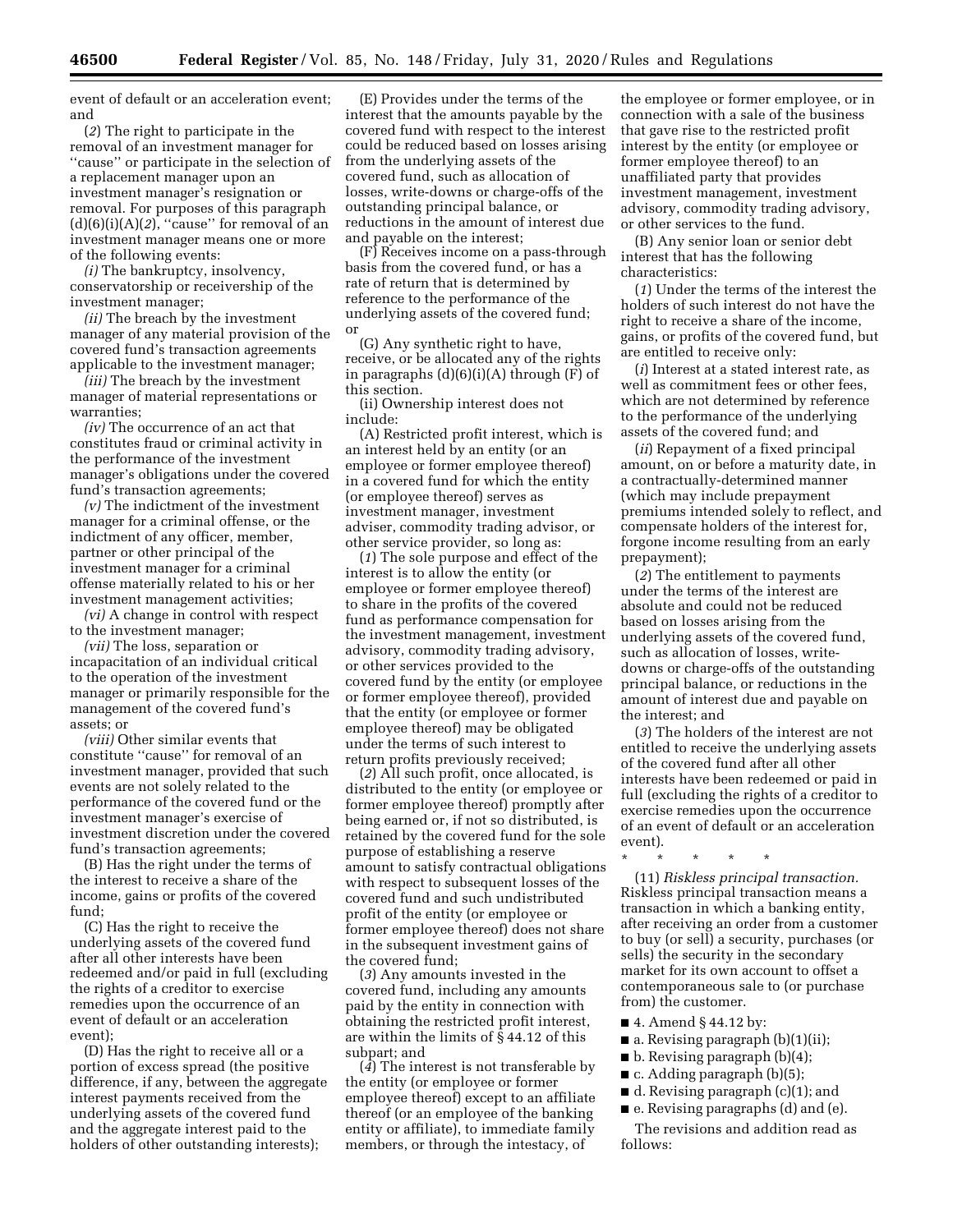event of default or an acceleration event; and

(*2*) The right to participate in the removal of an investment manager for ''cause'' or participate in the selection of a replacement manager upon an investment manager's resignation or removal. For purposes of this paragraph  $(d)(6)(i)(A)(2)$ , "cause" for removal of an investment manager means one or more of the following events:

*(i)* The bankruptcy, insolvency, conservatorship or receivership of the investment manager;

*(ii)* The breach by the investment manager of any material provision of the covered fund's transaction agreements applicable to the investment manager;

*(iii)* The breach by the investment manager of material representations or warranties;

*(iv)* The occurrence of an act that constitutes fraud or criminal activity in the performance of the investment manager's obligations under the covered fund's transaction agreements;

*(v)* The indictment of the investment manager for a criminal offense, or the indictment of any officer, member, partner or other principal of the investment manager for a criminal offense materially related to his or her investment management activities;

*(vi)* A change in control with respect to the investment manager;

*(vii)* The loss, separation or incapacitation of an individual critical to the operation of the investment manager or primarily responsible for the management of the covered fund's assets; or

*(viii)* Other similar events that constitute ''cause'' for removal of an investment manager, provided that such events are not solely related to the performance of the covered fund or the investment manager's exercise of investment discretion under the covered fund's transaction agreements;

(B) Has the right under the terms of the interest to receive a share of the income, gains or profits of the covered fund;

(C) Has the right to receive the underlying assets of the covered fund after all other interests have been redeemed and/or paid in full (excluding the rights of a creditor to exercise remedies upon the occurrence of an event of default or an acceleration event);

(D) Has the right to receive all or a portion of excess spread (the positive difference, if any, between the aggregate interest payments received from the underlying assets of the covered fund and the aggregate interest paid to the holders of other outstanding interests);

(E) Provides under the terms of the interest that the amounts payable by the covered fund with respect to the interest could be reduced based on losses arising from the underlying assets of the covered fund, such as allocation of losses, write-downs or charge-offs of the outstanding principal balance, or reductions in the amount of interest due and payable on the interest;

(F) Receives income on a pass-through basis from the covered fund, or has a rate of return that is determined by reference to the performance of the underlying assets of the covered fund; or

(G) Any synthetic right to have, receive, or be allocated any of the rights in paragraphs (d)(6)(i)(A) through (F) of this section.

(ii) Ownership interest does not include:

(A) Restricted profit interest, which is an interest held by an entity (or an employee or former employee thereof) in a covered fund for which the entity (or employee thereof) serves as investment manager, investment adviser, commodity trading advisor, or other service provider, so long as:

(*1*) The sole purpose and effect of the interest is to allow the entity (or employee or former employee thereof) to share in the profits of the covered fund as performance compensation for the investment management, investment advisory, commodity trading advisory, or other services provided to the covered fund by the entity (or employee or former employee thereof), provided that the entity (or employee or former employee thereof) may be obligated under the terms of such interest to return profits previously received;

(*2*) All such profit, once allocated, is distributed to the entity (or employee or former employee thereof) promptly after being earned or, if not so distributed, is retained by the covered fund for the sole purpose of establishing a reserve amount to satisfy contractual obligations with respect to subsequent losses of the covered fund and such undistributed profit of the entity (or employee or former employee thereof) does not share in the subsequent investment gains of the covered fund;

(*3*) Any amounts invested in the covered fund, including any amounts paid by the entity in connection with obtaining the restricted profit interest, are within the limits of § 44.12 of this subpart; and

(*4*) The interest is not transferable by the entity (or employee or former employee thereof) except to an affiliate thereof (or an employee of the banking entity or affiliate), to immediate family members, or through the intestacy, of

the employee or former employee, or in connection with a sale of the business that gave rise to the restricted profit interest by the entity (or employee or former employee thereof) to an unaffiliated party that provides investment management, investment advisory, commodity trading advisory, or other services to the fund.

(B) Any senior loan or senior debt interest that has the following characteristics:

(*1*) Under the terms of the interest the holders of such interest do not have the right to receive a share of the income, gains, or profits of the covered fund, but are entitled to receive only:

(*i*) Interest at a stated interest rate, as well as commitment fees or other fees, which are not determined by reference to the performance of the underlying assets of the covered fund; and

(*ii*) Repayment of a fixed principal amount, on or before a maturity date, in a contractually-determined manner (which may include prepayment premiums intended solely to reflect, and compensate holders of the interest for, forgone income resulting from an early prepayment);

(*2*) The entitlement to payments under the terms of the interest are absolute and could not be reduced based on losses arising from the underlying assets of the covered fund, such as allocation of losses, writedowns or charge-offs of the outstanding principal balance, or reductions in the amount of interest due and payable on the interest; and

(*3*) The holders of the interest are not entitled to receive the underlying assets of the covered fund after all other interests have been redeemed or paid in full (excluding the rights of a creditor to exercise remedies upon the occurrence of an event of default or an acceleration event).

\* \* \* \* \*

(11) *Riskless principal transaction.*  Riskless principal transaction means a transaction in which a banking entity, after receiving an order from a customer to buy (or sell) a security, purchases (or sells) the security in the secondary market for its own account to offset a contemporaneous sale to (or purchase from) the customer.

- 4. Amend § 44.12 by:
- $\blacksquare$  a. Revising paragraph (b)(1)(ii);
- $\blacksquare$  b. Revising paragraph (b)(4);
- c. Adding paragraph (b)(5);
- d. Revising paragraph (c)(1); and
- e. Revising paragraphs (d) and (e).

The revisions and addition read as follows: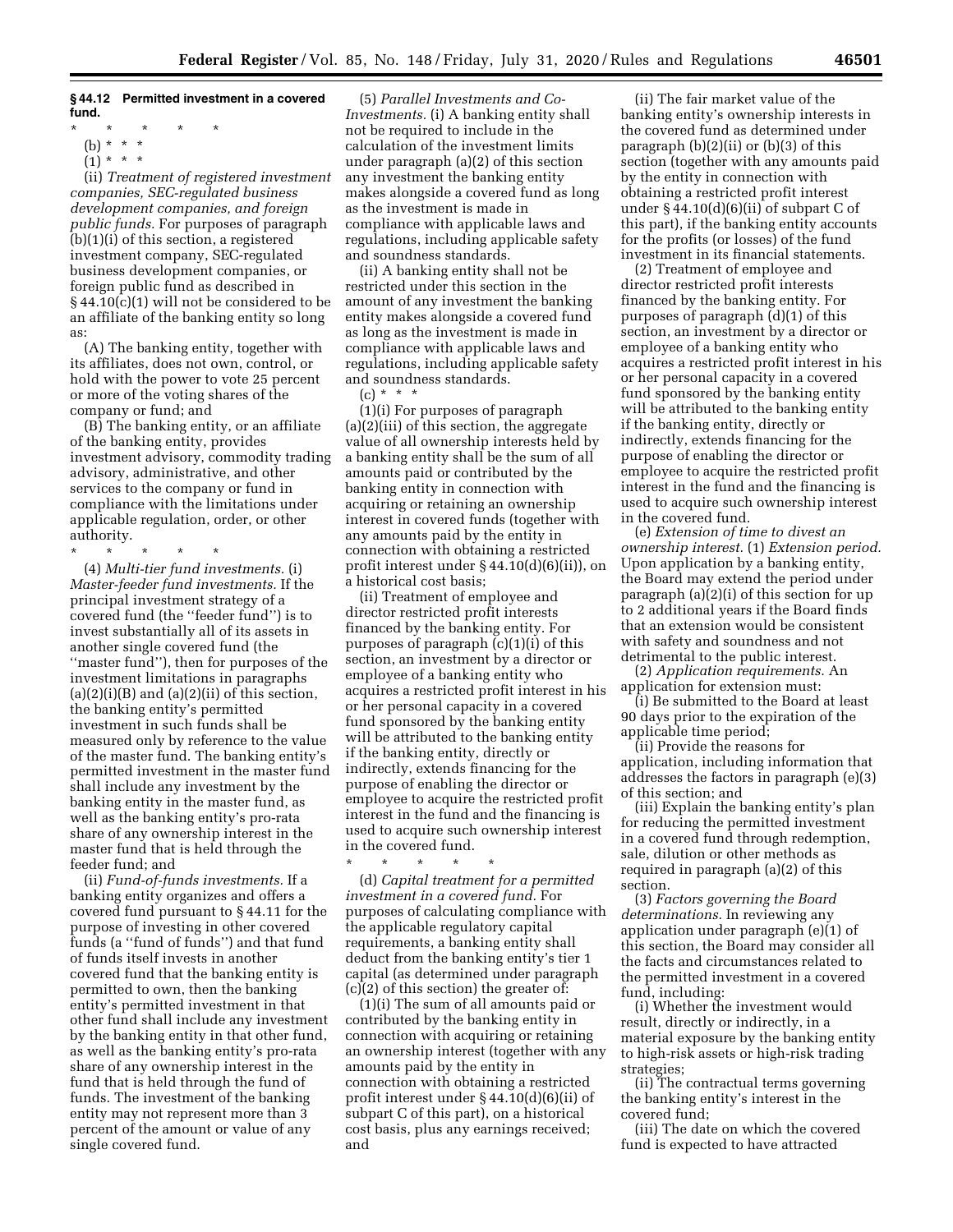# **§ 44.12 Permitted investment in a covered fund.**

| $\star$ |  | * * * * |  |
|---------|--|---------|--|
|         |  |         |  |

- (b) \* \* \*
- $(1) * * * *$

(ii) *Treatment of registered investment companies, SEC-regulated business development companies, and foreign public funds.* For purposes of paragraph (b)(1)(i) of this section, a registered investment company, SEC-regulated business development companies, or foreign public fund as described in § 44.10(c)(1) will not be considered to be an affiliate of the banking entity so long as:

(A) The banking entity, together with its affiliates, does not own, control, or hold with the power to vote 25 percent or more of the voting shares of the company or fund; and

(B) The banking entity, or an affiliate of the banking entity, provides investment advisory, commodity trading advisory, administrative, and other services to the company or fund in compliance with the limitations under applicable regulation, order, or other authority.

\* \* \* \* \*

(4) *Multi-tier fund investments.* (i) *Master-feeder fund investments.* If the principal investment strategy of a covered fund (the ''feeder fund'') is to invest substantially all of its assets in another single covered fund (the ''master fund''), then for purposes of the investment limitations in paragraphs  $(a)(2)(i)(B)$  and  $(a)(2)(ii)$  of this section, the banking entity's permitted investment in such funds shall be measured only by reference to the value of the master fund. The banking entity's permitted investment in the master fund shall include any investment by the banking entity in the master fund, as well as the banking entity's pro-rata share of any ownership interest in the master fund that is held through the feeder fund; and

(ii) *Fund-of-funds investments.* If a banking entity organizes and offers a covered fund pursuant to § 44.11 for the purpose of investing in other covered funds (a ''fund of funds'') and that fund of funds itself invests in another covered fund that the banking entity is permitted to own, then the banking entity's permitted investment in that other fund shall include any investment by the banking entity in that other fund, as well as the banking entity's pro-rata share of any ownership interest in the fund that is held through the fund of funds. The investment of the banking entity may not represent more than 3 percent of the amount or value of any single covered fund.

(5) *Parallel Investments and Co-Investments.* (i) A banking entity shall not be required to include in the calculation of the investment limits under paragraph (a)(2) of this section any investment the banking entity makes alongside a covered fund as long as the investment is made in compliance with applicable laws and regulations, including applicable safety and soundness standards.

(ii) A banking entity shall not be restricted under this section in the amount of any investment the banking entity makes alongside a covered fund as long as the investment is made in compliance with applicable laws and regulations, including applicable safety and soundness standards.

# $(c) * * * *$

(1)(i) For purposes of paragraph (a)(2)(iii) of this section, the aggregate value of all ownership interests held by a banking entity shall be the sum of all amounts paid or contributed by the banking entity in connection with acquiring or retaining an ownership interest in covered funds (together with any amounts paid by the entity in connection with obtaining a restricted profit interest under § 44.10(d)(6)(ii)), on a historical cost basis;

(ii) Treatment of employee and director restricted profit interests financed by the banking entity. For purposes of paragraph (c)(1)(i) of this section, an investment by a director or employee of a banking entity who acquires a restricted profit interest in his or her personal capacity in a covered fund sponsored by the banking entity will be attributed to the banking entity if the banking entity, directly or indirectly, extends financing for the purpose of enabling the director or employee to acquire the restricted profit interest in the fund and the financing is used to acquire such ownership interest in the covered fund.

\* \* \* \* \* (d) *Capital treatment for a permitted investment in a covered fund.* For purposes of calculating compliance with the applicable regulatory capital requirements, a banking entity shall deduct from the banking entity's tier 1 capital (as determined under paragraph (c)(2) of this section) the greater of:

(1)(i) The sum of all amounts paid or contributed by the banking entity in connection with acquiring or retaining an ownership interest (together with any amounts paid by the entity in connection with obtaining a restricted profit interest under § 44.10(d)(6)(ii) of subpart C of this part), on a historical cost basis, plus any earnings received; and

(ii) The fair market value of the banking entity's ownership interests in the covered fund as determined under paragraph (b)(2)(ii) or (b)(3) of this section (together with any amounts paid by the entity in connection with obtaining a restricted profit interest under  $\S 44.10(d)(6)(ii)$  of subpart C of this part), if the banking entity accounts for the profits (or losses) of the fund investment in its financial statements.

(2) Treatment of employee and director restricted profit interests financed by the banking entity. For purposes of paragraph (d)(1) of this section, an investment by a director or employee of a banking entity who acquires a restricted profit interest in his or her personal capacity in a covered fund sponsored by the banking entity will be attributed to the banking entity if the banking entity, directly or indirectly, extends financing for the purpose of enabling the director or employee to acquire the restricted profit interest in the fund and the financing is used to acquire such ownership interest in the covered fund.

(e) *Extension of time to divest an ownership interest.* (1) *Extension period.*  Upon application by a banking entity, the Board may extend the period under paragraph (a)(2)(i) of this section for up to 2 additional years if the Board finds that an extension would be consistent with safety and soundness and not detrimental to the public interest.

(2) *Application requirements.* An application for extension must:

(i) Be submitted to the Board at least 90 days prior to the expiration of the applicable time period;

(ii) Provide the reasons for application, including information that addresses the factors in paragraph (e)(3) of this section; and

(iii) Explain the banking entity's plan for reducing the permitted investment in a covered fund through redemption, sale, dilution or other methods as required in paragraph (a)(2) of this section.

(3) *Factors governing the Board determinations.* In reviewing any application under paragraph (e)(1) of this section, the Board may consider all the facts and circumstances related to the permitted investment in a covered fund, including:

(i) Whether the investment would result, directly or indirectly, in a material exposure by the banking entity to high-risk assets or high-risk trading strategies;

(ii) The contractual terms governing the banking entity's interest in the covered fund;

(iii) The date on which the covered fund is expected to have attracted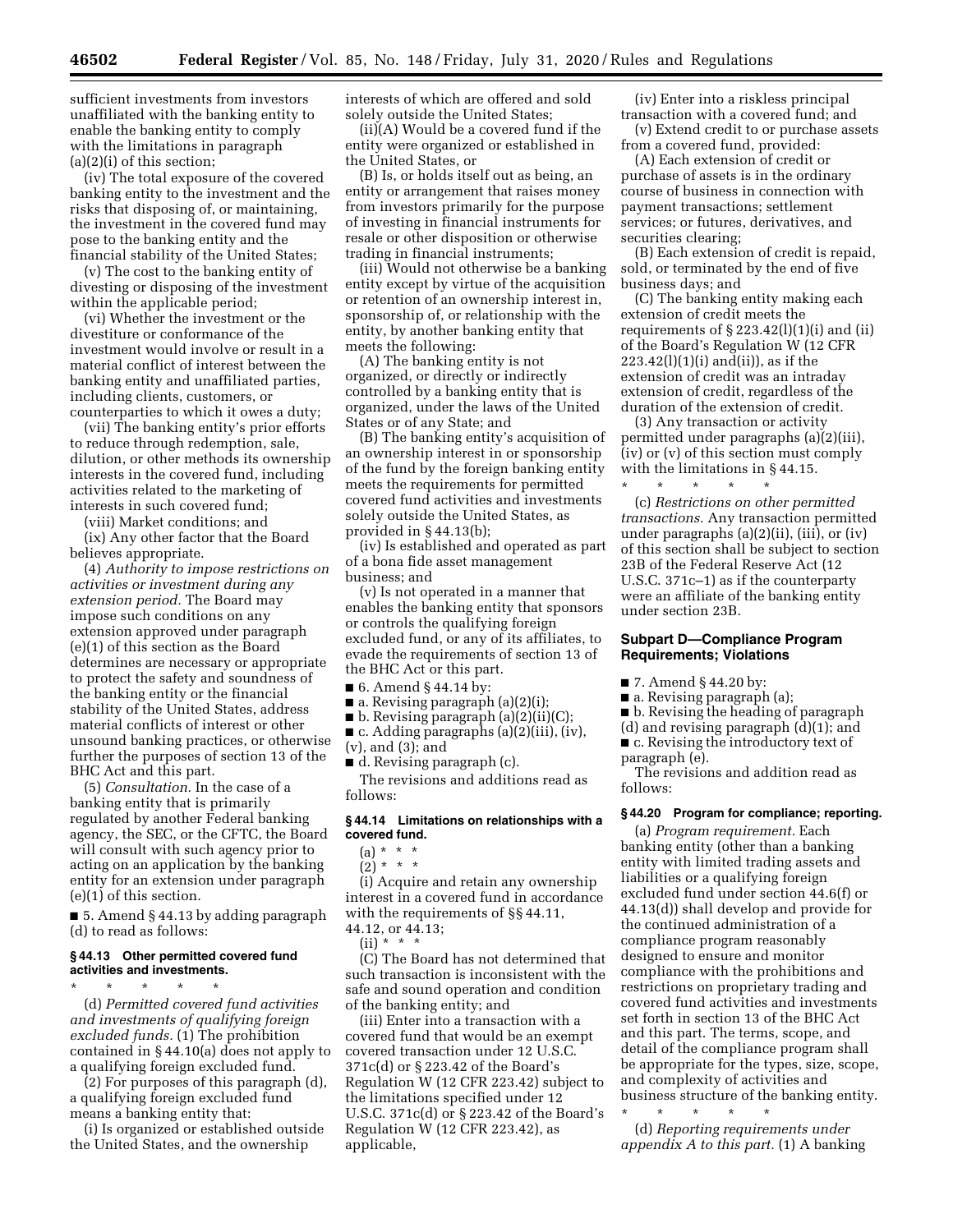sufficient investments from investors unaffiliated with the banking entity to enable the banking entity to comply with the limitations in paragraph (a)(2)(i) of this section;

(iv) The total exposure of the covered banking entity to the investment and the risks that disposing of, or maintaining, the investment in the covered fund may pose to the banking entity and the financial stability of the United States;

(v) The cost to the banking entity of divesting or disposing of the investment within the applicable period;

(vi) Whether the investment or the divestiture or conformance of the investment would involve or result in a material conflict of interest between the banking entity and unaffiliated parties, including clients, customers, or counterparties to which it owes a duty;

(vii) The banking entity's prior efforts to reduce through redemption, sale, dilution, or other methods its ownership interests in the covered fund, including activities related to the marketing of interests in such covered fund;

(viii) Market conditions; and

(ix) Any other factor that the Board believes appropriate.

(4) *Authority to impose restrictions on activities or investment during any extension period.* The Board may impose such conditions on any extension approved under paragraph (e)(1) of this section as the Board determines are necessary or appropriate to protect the safety and soundness of the banking entity or the financial stability of the United States, address material conflicts of interest or other unsound banking practices, or otherwise further the purposes of section 13 of the BHC Act and this part.

(5) *Consultation.* In the case of a banking entity that is primarily regulated by another Federal banking agency, the SEC, or the CFTC, the Board will consult with such agency prior to acting on an application by the banking entity for an extension under paragraph (e)(1) of this section.

■ 5. Amend § 44.13 by adding paragraph (d) to read as follows:

### **§ 44.13 Other permitted covered fund activities and investments.**

\* \* \* \* \* (d) *Permitted covered fund activities* 

*and investments of qualifying foreign excluded funds.* (1) The prohibition contained in § 44.10(a) does not apply to a qualifying foreign excluded fund.

(2) For purposes of this paragraph (d), a qualifying foreign excluded fund means a banking entity that:

(i) Is organized or established outside the United States, and the ownership

interests of which are offered and sold solely outside the United States;

(ii)(A) Would be a covered fund if the entity were organized or established in the United States, or

(B) Is, or holds itself out as being, an entity or arrangement that raises money from investors primarily for the purpose of investing in financial instruments for resale or other disposition or otherwise trading in financial instruments;

(iii) Would not otherwise be a banking entity except by virtue of the acquisition or retention of an ownership interest in, sponsorship of, or relationship with the entity, by another banking entity that meets the following:

(A) The banking entity is not organized, or directly or indirectly controlled by a banking entity that is organized, under the laws of the United States or of any State; and

(B) The banking entity's acquisition of an ownership interest in or sponsorship of the fund by the foreign banking entity meets the requirements for permitted covered fund activities and investments solely outside the United States, as provided in § 44.13(b);

(iv) Is established and operated as part of a bona fide asset management business; and

(v) Is not operated in a manner that enables the banking entity that sponsors or controls the qualifying foreign excluded fund, or any of its affiliates, to evade the requirements of section 13 of the BHC Act or this part.

■ 6. Amend § 44.14 by:

 $\blacksquare$  a. Revising paragraph  $(a)(2)(i)$ ;

■ b. Revising paragraph (a)(2)(ii)(C);

■ c. Adding paragraphs (a)(2)(iii), (iv),

(v), and (3); and

■ d. Revising paragraph (c).

The revisions and additions read as follows:

#### **§ 44.14 Limitations on relationships with a covered fund.**

- (a) \* \* \*
- $(2) * * * *$

(i) Acquire and retain any ownership interest in a covered fund in accordance with the requirements of §§ 44.11, 44.12, or 44.13;

 $(ii) * * * *$ 

(C) The Board has not determined that such transaction is inconsistent with the safe and sound operation and condition of the banking entity; and

(iii) Enter into a transaction with a covered fund that would be an exempt covered transaction under 12 U.S.C. 371c(d) or § 223.42 of the Board's Regulation W (12 CFR 223.42) subject to the limitations specified under 12 U.S.C. 371c(d) or § 223.42 of the Board's Regulation W (12 CFR 223.42), as applicable,

(iv) Enter into a riskless principal transaction with a covered fund; and

(v) Extend credit to or purchase assets from a covered fund, provided:

(A) Each extension of credit or purchase of assets is in the ordinary course of business in connection with payment transactions; settlement services; or futures, derivatives, and securities clearing;

(B) Each extension of credit is repaid, sold, or terminated by the end of five business days; and

(C) The banking entity making each extension of credit meets the requirements of  $\S 223.42(l)(1)(i)$  and (ii) of the Board's Regulation W (12 CFR  $223.42(l)(1)(i)$  and(ii)), as if the extension of credit was an intraday extension of credit, regardless of the duration of the extension of credit.

(3) Any transaction or activity permitted under paragraphs (a)(2)(iii), (iv) or (v) of this section must comply with the limitations in § 44.15.

\* \* \* \* \* (c) *Restrictions on other permitted transactions.* Any transaction permitted under paragraphs (a)(2)(ii), (iii), or (iv) of this section shall be subject to section 23B of the Federal Reserve Act (12 U.S.C. 371c–1) as if the counterparty were an affiliate of the banking entity under section 23B.

## **Subpart D—Compliance Program Requirements; Violations**

- 7. Amend § 44.20 by:
- a. Revising paragraph (a);
- b. Revising the heading of paragraph
- (d) and revising paragraph (d)(1); and

■ c. Revising the introductory text of paragraph (e).

The revisions and addition read as follows:

## **§ 44.20 Program for compliance; reporting.**

(a) *Program requirement.* Each banking entity (other than a banking entity with limited trading assets and liabilities or a qualifying foreign excluded fund under section 44.6(f) or 44.13(d)) shall develop and provide for the continued administration of a compliance program reasonably designed to ensure and monitor compliance with the prohibitions and restrictions on proprietary trading and covered fund activities and investments set forth in section 13 of the BHC Act and this part. The terms, scope, and detail of the compliance program shall be appropriate for the types, size, scope, and complexity of activities and business structure of the banking entity.

\* \* \* \* \* (d) *Reporting requirements under appendix A to this part.* (1) A banking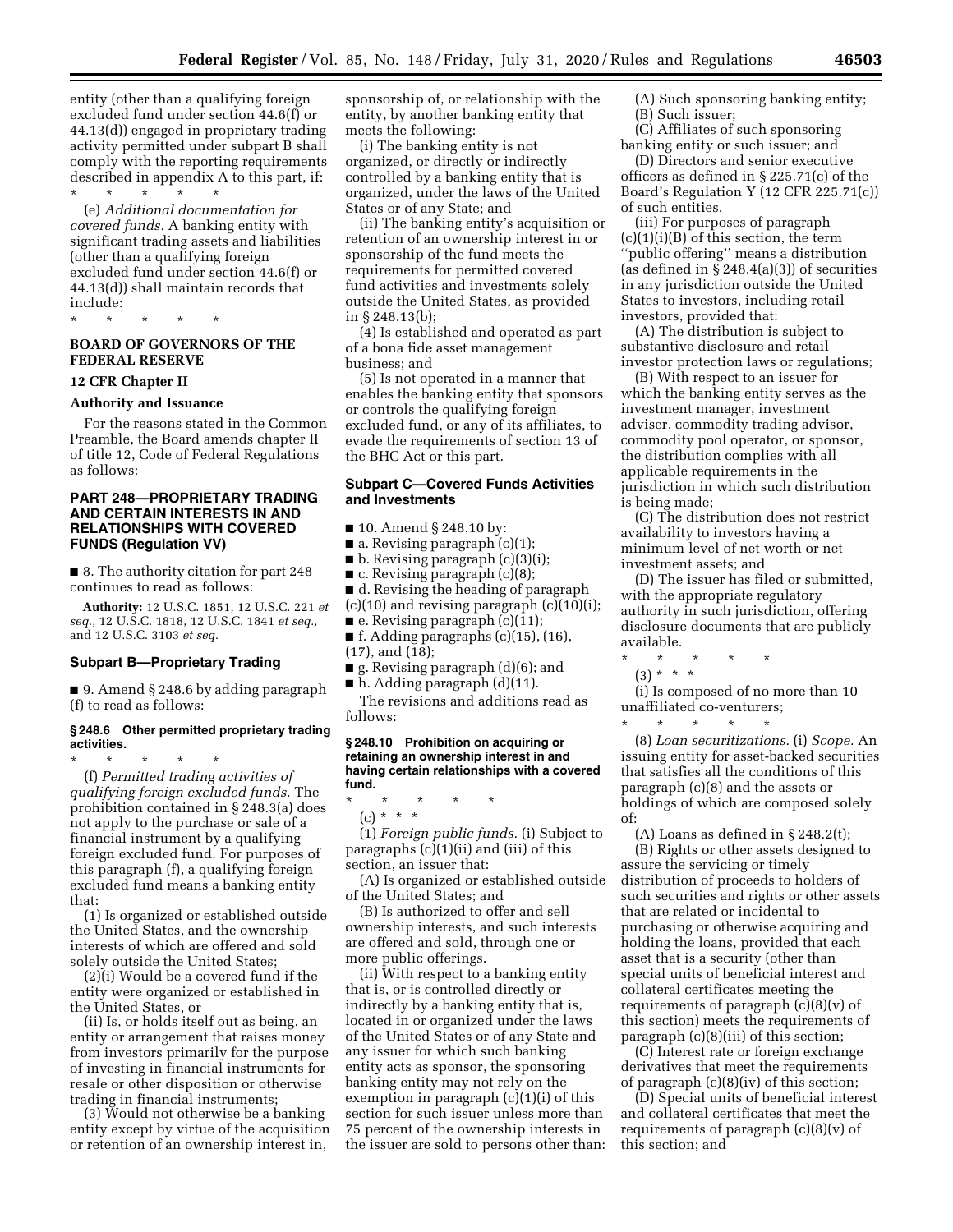entity (other than a qualifying foreign excluded fund under section 44.6(f) or 44.13(d)) engaged in proprietary trading activity permitted under subpart B shall comply with the reporting requirements described in appendix A to this part, if:

\* \* \* \* \* (e) *Additional documentation for covered funds.* A banking entity with significant trading assets and liabilities (other than a qualifying foreign excluded fund under section 44.6(f) or 44.13(d)) shall maintain records that include:

\* \* \* \* \*

# **BOARD OF GOVERNORS OF THE FEDERAL RESERVE**

# **12 CFR Chapter II**

#### **Authority and Issuance**

For the reasons stated in the Common Preamble, the Board amends chapter II of title 12, Code of Federal Regulations as follows:

# **PART 248—PROPRIETARY TRADING AND CERTAIN INTERESTS IN AND RELATIONSHIPS WITH COVERED FUNDS (Regulation VV)**

■ 8. The authority citation for part 248 continues to read as follows:

**Authority:** 12 U.S.C. 1851, 12 U.S.C. 221 *et seq.,* 12 U.S.C. 1818, 12 U.S.C. 1841 *et seq.,*  and 12 U.S.C. 3103 *et seq.* 

#### **Subpart B—Proprietary Trading**

■ 9. Amend § 248.6 by adding paragraph (f) to read as follows:

#### **§ 248.6 Other permitted proprietary trading activities.**

\* \* \* \* \* (f) *Permitted trading activities of qualifying foreign excluded funds.* The prohibition contained in § 248.3(a) does not apply to the purchase or sale of a financial instrument by a qualifying foreign excluded fund. For purposes of this paragraph (f), a qualifying foreign excluded fund means a banking entity that:

(1) Is organized or established outside the United States, and the ownership interests of which are offered and sold solely outside the United States;

(2)(i) Would be a covered fund if the entity were organized or established in the United States, or

(ii) Is, or holds itself out as being, an entity or arrangement that raises money from investors primarily for the purpose of investing in financial instruments for resale or other disposition or otherwise trading in financial instruments;

(3) Would not otherwise be a banking entity except by virtue of the acquisition or retention of an ownership interest in,

sponsorship of, or relationship with the entity, by another banking entity that meets the following:

(i) The banking entity is not organized, or directly or indirectly controlled by a banking entity that is organized, under the laws of the United States or of any State; and

(ii) The banking entity's acquisition or retention of an ownership interest in or sponsorship of the fund meets the requirements for permitted covered fund activities and investments solely outside the United States, as provided in § 248.13(b);

(4) Is established and operated as part of a bona fide asset management business; and

(5) Is not operated in a manner that enables the banking entity that sponsors or controls the qualifying foreign excluded fund, or any of its affiliates, to evade the requirements of section 13 of the BHC Act or this part.

# **Subpart C—Covered Funds Activities and Investments**

■ 10. Amend § 248.10 by:

■ a. Revising paragraph (c)(1);

- b. Revising paragraph (c)(3)(i);
- $\blacksquare$  c. Revising paragraph (c)(8);
- d. Revising the heading of paragraph
- $(c)(10)$  and revising paragraph  $(c)(10)(i);$
- e. Revising paragraph (c)(11);
- $\blacksquare$  f. Adding paragraphs (c)(15), (16), (17), and (18);
- g. Revising paragraph (d)(6); and
- h. Adding paragraph (d)(11).

The revisions and additions read as follows:

### **§ 248.10 Prohibition on acquiring or retaining an ownership interest in and having certain relationships with a covered fund.**

\* \* \* \* \*

(c) \* \* \*

(1) *Foreign public funds.* (i) Subject to paragraphs (c)(1)(ii) and (iii) of this section, an issuer that:

(A) Is organized or established outside of the United States; and

(B) Is authorized to offer and sell ownership interests, and such interests are offered and sold, through one or more public offerings.

(ii) With respect to a banking entity that is, or is controlled directly or indirectly by a banking entity that is, located in or organized under the laws of the United States or of any State and any issuer for which such banking entity acts as sponsor, the sponsoring banking entity may not rely on the exemption in paragraph (c)(1)(i) of this section for such issuer unless more than 75 percent of the ownership interests in the issuer are sold to persons other than: (A) Such sponsoring banking entity; (B) Such issuer;

(C) Affiliates of such sponsoring banking entity or such issuer; and

(D) Directors and senior executive officers as defined in § 225.71(c) of the Board's Regulation Y (12 CFR 225.71(c)) of such entities.

(iii) For purposes of paragraph  $(c)(1)(i)(B)$  of this section, the term ''public offering'' means a distribution (as defined in  $\S 248.4(a)(3)$ ) of securities in any jurisdiction outside the United States to investors, including retail investors, provided that:

(A) The distribution is subject to substantive disclosure and retail investor protection laws or regulations;

(B) With respect to an issuer for which the banking entity serves as the investment manager, investment adviser, commodity trading advisor, commodity pool operator, or sponsor, the distribution complies with all applicable requirements in the jurisdiction in which such distribution is being made;

(C) The distribution does not restrict availability to investors having a minimum level of net worth or net investment assets; and

(D) The issuer has filed or submitted, with the appropriate regulatory authority in such jurisdiction, offering disclosure documents that are publicly available.

\* \* \* \* \* (3) \* \* \*

(i) Is composed of no more than 10 unaffiliated co-venturers;

\* \* \* \* \* (8) *Loan securitizations.* (i) *Scope.* An issuing entity for asset-backed securities that satisfies all the conditions of this paragraph (c)(8) and the assets or holdings of which are composed solely of:

(A) Loans as defined in § 248.2(t);

(B) Rights or other assets designed to assure the servicing or timely distribution of proceeds to holders of such securities and rights or other assets that are related or incidental to purchasing or otherwise acquiring and holding the loans, provided that each asset that is a security (other than special units of beneficial interest and collateral certificates meeting the requirements of paragraph (c)(8)(v) of this section) meets the requirements of paragraph (c)(8)(iii) of this section;

(C) Interest rate or foreign exchange derivatives that meet the requirements of paragraph (c)(8)(iv) of this section;

(D) Special units of beneficial interest and collateral certificates that meet the requirements of paragraph (c)(8)(v) of this section; and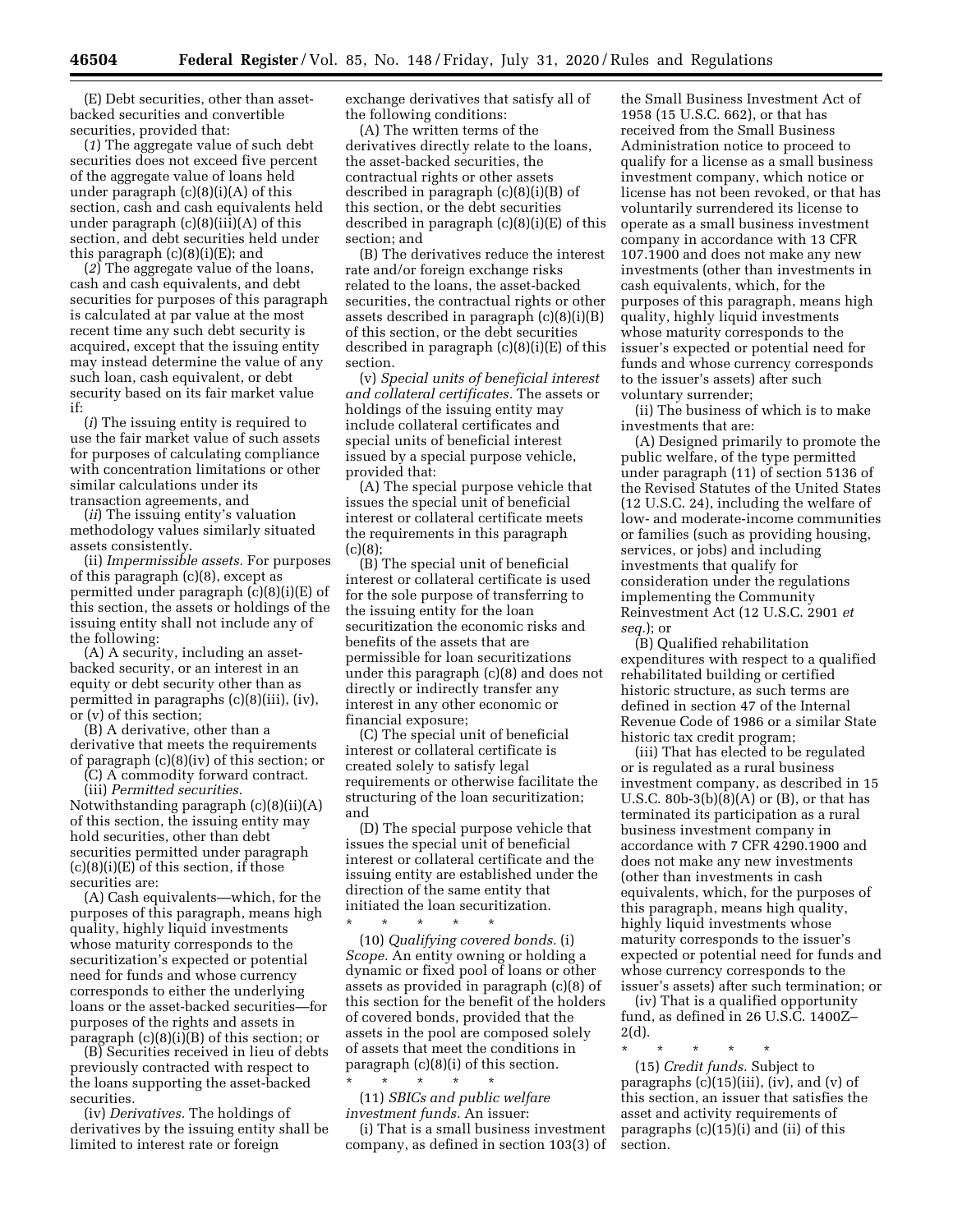(E) Debt securities, other than assetbacked securities and convertible securities, provided that:

(*1*) The aggregate value of such debt securities does not exceed five percent of the aggregate value of loans held under paragraph  $(c)(8)(i)(A)$  of this section, cash and cash equivalents held under paragraph  $(c)(8)(iii)(A)$  of this section, and debt securities held under this paragraph  $(c)(8)(i)(E)$ ; and

(*2*) The aggregate value of the loans, cash and cash equivalents, and debt securities for purposes of this paragraph is calculated at par value at the most recent time any such debt security is acquired, except that the issuing entity may instead determine the value of any such loan, cash equivalent, or debt security based on its fair market value if:

(*i*) The issuing entity is required to use the fair market value of such assets for purposes of calculating compliance with concentration limitations or other similar calculations under its transaction agreements, and

(*ii*) The issuing entity's valuation methodology values similarly situated assets consistently.

(ii) *Impermissible assets.* For purposes of this paragraph (c)(8), except as permitted under paragraph (c)(8)(i)(E) of this section, the assets or holdings of the issuing entity shall not include any of the following:

(A) A security, including an assetbacked security, or an interest in an equity or debt security other than as permitted in paragraphs (c)(8)(iii), (iv), or (v) of this section;

(B) A derivative, other than a derivative that meets the requirements of paragraph (c)(8)(iv) of this section; or

(C) A commodity forward contract.

(iii) *Permitted securities.*  Notwithstanding paragraph (c)(8)(ii)(A) of this section, the issuing entity may hold securities, other than debt securities permitted under paragraph  $(c)(8)(i)(E)$  of this section, if those securities are:

(A) Cash equivalents—which, for the purposes of this paragraph, means high quality, highly liquid investments whose maturity corresponds to the securitization's expected or potential need for funds and whose currency corresponds to either the underlying loans or the asset-backed securities—for purposes of the rights and assets in paragraph (c)(8)(i)(B) of this section; or

(B) Securities received in lieu of debts previously contracted with respect to the loans supporting the asset-backed securities.

(iv) *Derivatives.* The holdings of derivatives by the issuing entity shall be limited to interest rate or foreign

exchange derivatives that satisfy all of the following conditions:

(A) The written terms of the derivatives directly relate to the loans, the asset-backed securities, the contractual rights or other assets described in paragraph (c)(8)(i)(B) of this section, or the debt securities described in paragraph (c)(8)(i)(E) of this section; and

(B) The derivatives reduce the interest rate and/or foreign exchange risks related to the loans, the asset-backed securities, the contractual rights or other assets described in paragraph (c)(8)(i)(B) of this section, or the debt securities described in paragraph (c)(8)(i)(E) of this section.

(v) *Special units of beneficial interest and collateral certificates.* The assets or holdings of the issuing entity may include collateral certificates and special units of beneficial interest issued by a special purpose vehicle, provided that:

(A) The special purpose vehicle that issues the special unit of beneficial interest or collateral certificate meets the requirements in this paragraph  $(c)(8)$ :

(B) The special unit of beneficial interest or collateral certificate is used for the sole purpose of transferring to the issuing entity for the loan securitization the economic risks and benefits of the assets that are permissible for loan securitizations under this paragraph (c)(8) and does not directly or indirectly transfer any interest in any other economic or financial exposure;

(C) The special unit of beneficial interest or collateral certificate is created solely to satisfy legal requirements or otherwise facilitate the structuring of the loan securitization; and

(D) The special purpose vehicle that issues the special unit of beneficial interest or collateral certificate and the issuing entity are established under the direction of the same entity that initiated the loan securitization.

\* \* \* \* \* (10) *Qualifying covered bonds.* (i) *Scope.* An entity owning or holding a dynamic or fixed pool of loans or other assets as provided in paragraph (c)(8) of this section for the benefit of the holders of covered bonds, provided that the assets in the pool are composed solely of assets that meet the conditions in paragraph (c)(8)(i) of this section. \* \* \* \* \*

(11) *SBICs and public welfare investment funds.* An issuer:

(i) That is a small business investment company, as defined in section 103(3) of

the Small Business Investment Act of 1958 (15 U.S.C. 662), or that has received from the Small Business Administration notice to proceed to qualify for a license as a small business investment company, which notice or license has not been revoked, or that has voluntarily surrendered its license to operate as a small business investment company in accordance with 13 CFR 107.1900 and does not make any new investments (other than investments in cash equivalents, which, for the purposes of this paragraph, means high quality, highly liquid investments whose maturity corresponds to the issuer's expected or potential need for funds and whose currency corresponds to the issuer's assets) after such voluntary surrender;

(ii) The business of which is to make investments that are:

(A) Designed primarily to promote the public welfare, of the type permitted under paragraph (11) of section 5136 of the Revised Statutes of the United States (12 U.S.C. 24), including the welfare of low- and moderate-income communities or families (such as providing housing, services, or jobs) and including investments that qualify for consideration under the regulations implementing the Community Reinvestment Act (12 U.S.C. 2901 *et seq.*); or

(B) Qualified rehabilitation expenditures with respect to a qualified rehabilitated building or certified historic structure, as such terms are defined in section 47 of the Internal Revenue Code of 1986 or a similar State historic tax credit program;

(iii) That has elected to be regulated or is regulated as a rural business investment company, as described in 15 U.S.C. 80 $b-3(b)(8)(A)$  or (B), or that has terminated its participation as a rural business investment company in accordance with 7 CFR 4290.1900 and does not make any new investments (other than investments in cash equivalents, which, for the purposes of this paragraph, means high quality, highly liquid investments whose maturity corresponds to the issuer's expected or potential need for funds and whose currency corresponds to the issuer's assets) after such termination; or

(iv) That is a qualified opportunity fund, as defined in 26 U.S.C. 1400Z– 2(d).

\* \* \* \* \* (15) *Credit funds.* Subject to paragraphs (c)(15)(iii), (iv), and (v) of this section, an issuer that satisfies the asset and activity requirements of paragraphs (c)(15)(i) and (ii) of this section.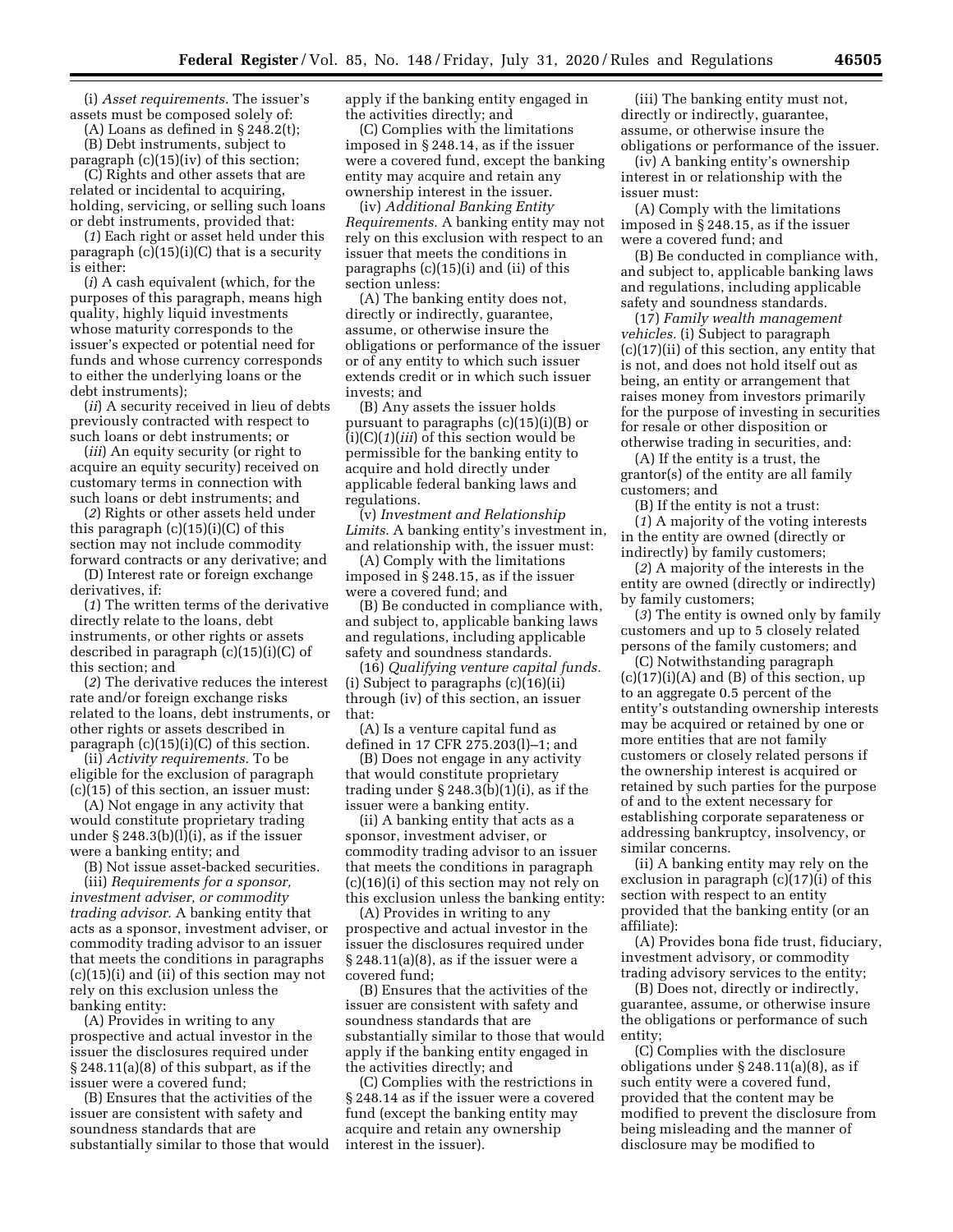(i) *Asset requirements.* The issuer's assets must be composed solely of:

(A) Loans as defined in § 248.2(t);

(B) Debt instruments, subject to paragraph (c)(15)(iv) of this section;

(C) Rights and other assets that are related or incidental to acquiring, holding, servicing, or selling such loans or debt instruments, provided that:

(*1*) Each right or asset held under this paragraph (c)(15)(i)(C) that is a security is either:

(*i*) A cash equivalent (which, for the purposes of this paragraph, means high quality, highly liquid investments whose maturity corresponds to the issuer's expected or potential need for funds and whose currency corresponds to either the underlying loans or the debt instruments);

(*ii*) A security received in lieu of debts previously contracted with respect to such loans or debt instruments; or

(*iii*) An equity security (or right to acquire an equity security) received on customary terms in connection with such loans or debt instruments; and

(*2*) Rights or other assets held under this paragraph  $(c)(15)(i)(C)$  of this section may not include commodity forward contracts or any derivative; and

(D) Interest rate or foreign exchange derivatives, if:

(*1*) The written terms of the derivative directly relate to the loans, debt instruments, or other rights or assets described in paragraph (c)(15)(i)(C) of this section; and

(*2*) The derivative reduces the interest rate and/or foreign exchange risks related to the loans, debt instruments, or other rights or assets described in paragraph  $(c)(15)(i)(C)$  of this section.

(ii) *Activity requirements.* To be eligible for the exclusion of paragraph (c)(15) of this section, an issuer must:

(A) Not engage in any activity that would constitute proprietary trading under  $\S 248.3(b)(l)(i)$ , as if the issuer were a banking entity; and

(B) Not issue asset-backed securities.

(iii) *Requirements for a sponsor, investment adviser, or commodity trading advisor.* A banking entity that acts as a sponsor, investment adviser, or commodity trading advisor to an issuer that meets the conditions in paragraphs (c)(15)(i) and (ii) of this section may not rely on this exclusion unless the banking entity:

(A) Provides in writing to any prospective and actual investor in the issuer the disclosures required under § 248.11(a)(8) of this subpart, as if the issuer were a covered fund;

(B) Ensures that the activities of the issuer are consistent with safety and soundness standards that are substantially similar to those that would apply if the banking entity engaged in the activities directly; and

(C) Complies with the limitations imposed in § 248.14, as if the issuer were a covered fund, except the banking entity may acquire and retain any ownership interest in the issuer.

(iv) *Additional Banking Entity Requirements.* A banking entity may not rely on this exclusion with respect to an issuer that meets the conditions in paragraphs (c)(15)(i) and (ii) of this section unless:

(A) The banking entity does not, directly or indirectly, guarantee, assume, or otherwise insure the obligations or performance of the issuer or of any entity to which such issuer extends credit or in which such issuer invests; and

(B) Any assets the issuer holds pursuant to paragraphs (c)(15)(i)(B) or (i)(C)(*1*)(*iii*) of this section would be permissible for the banking entity to acquire and hold directly under applicable federal banking laws and regulations.

(v) *Investment and Relationship Limits.* A banking entity's investment in, and relationship with, the issuer must:

(A) Comply with the limitations imposed in § 248.15, as if the issuer were a covered fund; and

(B) Be conducted in compliance with, and subject to, applicable banking laws and regulations, including applicable safety and soundness standards.

(16) *Qualifying venture capital funds.*  (i) Subject to paragraphs (c)(16)(ii) through (iv) of this section, an issuer that:

(A) Is a venture capital fund as defined in 17 CFR 275.203(l)–1; and

(B) Does not engage in any activity that would constitute proprietary trading under § 248.3(b)(1)(i), as if the issuer were a banking entity.

(ii) A banking entity that acts as a sponsor, investment adviser, or commodity trading advisor to an issuer that meets the conditions in paragraph (c)(16)(i) of this section may not rely on this exclusion unless the banking entity:

(A) Provides in writing to any prospective and actual investor in the issuer the disclosures required under § 248.11(a)(8), as if the issuer were a covered fund;

(B) Ensures that the activities of the issuer are consistent with safety and soundness standards that are substantially similar to those that would apply if the banking entity engaged in the activities directly; and

(C) Complies with the restrictions in § 248.14 as if the issuer were a covered fund (except the banking entity may acquire and retain any ownership interest in the issuer).

(iii) The banking entity must not, directly or indirectly, guarantee, assume, or otherwise insure the obligations or performance of the issuer.

(iv) A banking entity's ownership interest in or relationship with the issuer must:

(A) Comply with the limitations imposed in § 248.15, as if the issuer were a covered fund; and

(B) Be conducted in compliance with, and subject to, applicable banking laws and regulations, including applicable safety and soundness standards.

(17) *Family wealth management vehicles.* (i) Subject to paragraph (c)(17)(ii) of this section, any entity that is not, and does not hold itself out as being, an entity or arrangement that raises money from investors primarily for the purpose of investing in securities for resale or other disposition or otherwise trading in securities, and:

(A) If the entity is a trust, the grantor(s) of the entity are all family customers; and

(B) If the entity is not a trust:

(*1*) A majority of the voting interests in the entity are owned (directly or indirectly) by family customers;

(*2*) A majority of the interests in the entity are owned (directly or indirectly) by family customers;

(*3*) The entity is owned only by family customers and up to 5 closely related persons of the family customers; and

(C) Notwithstanding paragraph  $(c)(17)(i)(A)$  and  $(B)$  of this section, up to an aggregate 0.5 percent of the entity's outstanding ownership interests may be acquired or retained by one or more entities that are not family customers or closely related persons if the ownership interest is acquired or retained by such parties for the purpose of and to the extent necessary for establishing corporate separateness or addressing bankruptcy, insolvency, or similar concerns.

(ii) A banking entity may rely on the exclusion in paragraph  $(c)(17)(i)$  of this section with respect to an entity provided that the banking entity (or an affiliate):

(A) Provides bona fide trust, fiduciary, investment advisory, or commodity trading advisory services to the entity;

(B) Does not, directly or indirectly, guarantee, assume, or otherwise insure the obligations or performance of such entity;

(C) Complies with the disclosure obligations under § 248.11(a)(8), as if such entity were a covered fund, provided that the content may be modified to prevent the disclosure from being misleading and the manner of disclosure may be modified to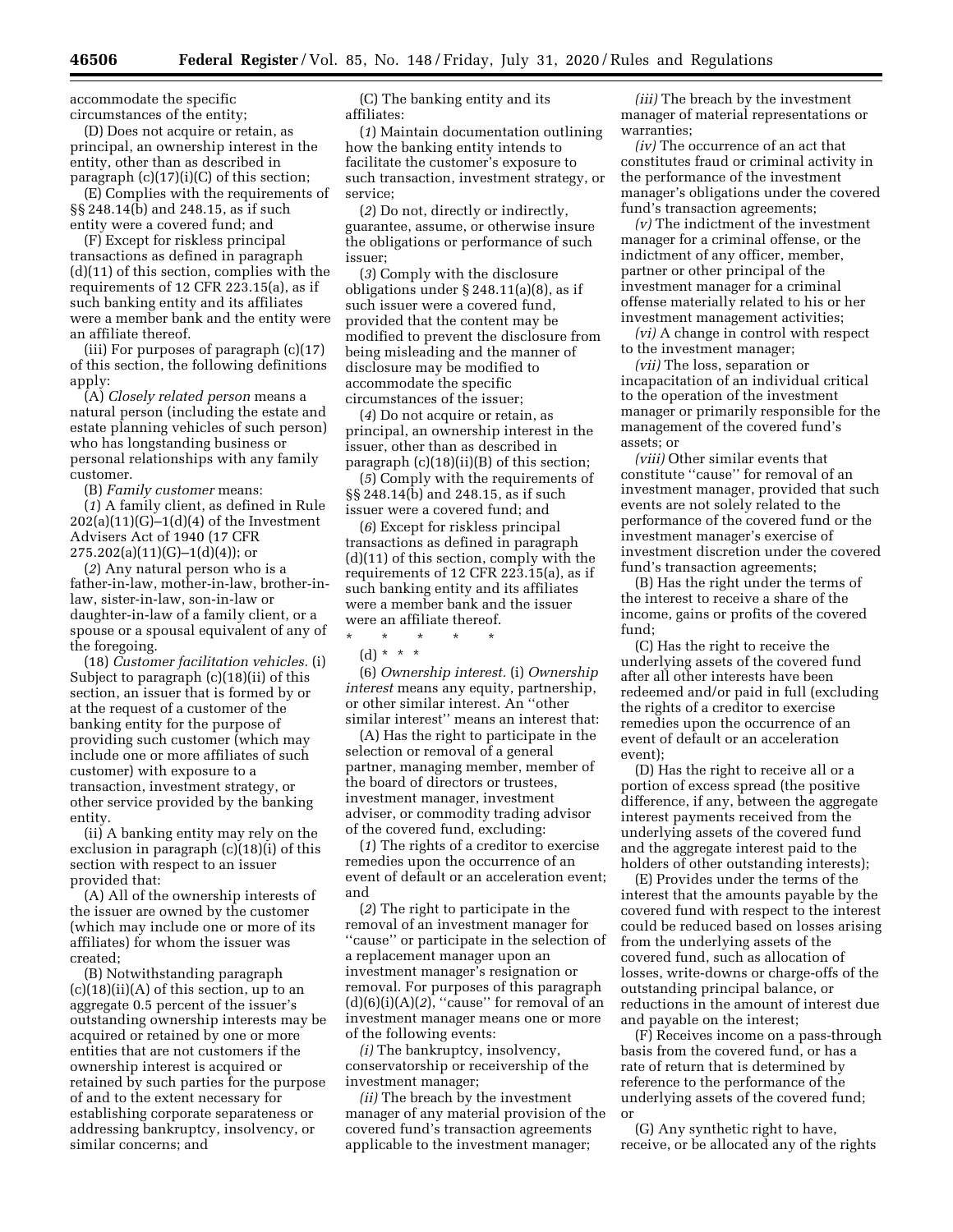accommodate the specific circumstances of the entity;

(D) Does not acquire or retain, as principal, an ownership interest in the entity, other than as described in paragraph (c)(17)(i)(C) of this section;

(E) Complies with the requirements of §§ 248.14(b) and 248.15, as if such entity were a covered fund; and

(F) Except for riskless principal transactions as defined in paragraph (d)(11) of this section, complies with the requirements of 12 CFR 223.15(a), as if such banking entity and its affiliates were a member bank and the entity were an affiliate thereof.

(iii) For purposes of paragraph (c)(17) of this section, the following definitions apply:

(A) *Closely related person* means a natural person (including the estate and estate planning vehicles of such person) who has longstanding business or personal relationships with any family customer.

(B) *Family customer* means:

(*1*) A family client, as defined in Rule  $202(a)(11)(G)-1(d)(4)$  of the Investment Advisers Act of 1940 (17 CFR  $275.202(a)(11)(G)-1(d)(4)$ ; or

(*2*) Any natural person who is a father-in-law, mother-in-law, brother-inlaw, sister-in-law, son-in-law or daughter-in-law of a family client, or a spouse or a spousal equivalent of any of the foregoing.

(18) *Customer facilitation vehicles.* (i) Subject to paragraph (c)(18)(ii) of this section, an issuer that is formed by or at the request of a customer of the banking entity for the purpose of providing such customer (which may include one or more affiliates of such customer) with exposure to a transaction, investment strategy, or other service provided by the banking entity.

(ii) A banking entity may rely on the exclusion in paragraph (c)(18)(i) of this section with respect to an issuer provided that:

(A) All of the ownership interests of the issuer are owned by the customer (which may include one or more of its affiliates) for whom the issuer was created;

(B) Notwithstanding paragraph  $(c)(18)(ii)(A)$  of this section, up to an aggregate 0.5 percent of the issuer's outstanding ownership interests may be acquired or retained by one or more entities that are not customers if the ownership interest is acquired or retained by such parties for the purpose of and to the extent necessary for establishing corporate separateness or addressing bankruptcy, insolvency, or similar concerns; and

(C) The banking entity and its affiliates:

(*1*) Maintain documentation outlining how the banking entity intends to facilitate the customer's exposure to such transaction, investment strategy, or service;

(*2*) Do not, directly or indirectly, guarantee, assume, or otherwise insure the obligations or performance of such issuer;

(*3*) Comply with the disclosure obligations under § 248.11(a)(8), as if such issuer were a covered fund, provided that the content may be modified to prevent the disclosure from being misleading and the manner of disclosure may be modified to accommodate the specific circumstances of the issuer;

(*4*) Do not acquire or retain, as principal, an ownership interest in the issuer, other than as described in paragraph (c)(18)(ii)(B) of this section;

(*5*) Comply with the requirements of §§ 248.14(b) and 248.15, as if such issuer were a covered fund; and

(*6*) Except for riskless principal transactions as defined in paragraph (d)(11) of this section, comply with the requirements of 12 CFR 223.15(a), as if such banking entity and its affiliates were a member bank and the issuer were an affiliate thereof.

\* \* \* \* \*

(d) \* \* \*

(6) *Ownership interest.* (i) *Ownership interest* means any equity, partnership, or other similar interest. An ''other similar interest'' means an interest that:

(A) Has the right to participate in the selection or removal of a general partner, managing member, member of the board of directors or trustees, investment manager, investment adviser, or commodity trading advisor of the covered fund, excluding:

(*1*) The rights of a creditor to exercise remedies upon the occurrence of an event of default or an acceleration event; and

(*2*) The right to participate in the removal of an investment manager for ''cause'' or participate in the selection of a replacement manager upon an investment manager's resignation or removal. For purposes of this paragraph  $(d)(6)(i)(A)(2)$ , "cause" for removal of an investment manager means one or more of the following events:

*(i)* The bankruptcy, insolvency, conservatorship or receivership of the investment manager;

*(ii)* The breach by the investment manager of any material provision of the covered fund's transaction agreements applicable to the investment manager;

*(iii)* The breach by the investment manager of material representations or warranties;

*(iv)* The occurrence of an act that constitutes fraud or criminal activity in the performance of the investment manager's obligations under the covered fund's transaction agreements;

*(v)* The indictment of the investment manager for a criminal offense, or the indictment of any officer, member, partner or other principal of the investment manager for a criminal offense materially related to his or her investment management activities;

*(vi)* A change in control with respect to the investment manager;

*(vii)* The loss, separation or incapacitation of an individual critical to the operation of the investment manager or primarily responsible for the management of the covered fund's assets; or

*(viii)* Other similar events that constitute ''cause'' for removal of an investment manager, provided that such events are not solely related to the performance of the covered fund or the investment manager's exercise of investment discretion under the covered fund's transaction agreements;

(B) Has the right under the terms of the interest to receive a share of the income, gains or profits of the covered fund;

(C) Has the right to receive the underlying assets of the covered fund after all other interests have been redeemed and/or paid in full (excluding the rights of a creditor to exercise remedies upon the occurrence of an event of default or an acceleration event);

(D) Has the right to receive all or a portion of excess spread (the positive difference, if any, between the aggregate interest payments received from the underlying assets of the covered fund and the aggregate interest paid to the holders of other outstanding interests);

(E) Provides under the terms of the interest that the amounts payable by the covered fund with respect to the interest could be reduced based on losses arising from the underlying assets of the covered fund, such as allocation of losses, write-downs or charge-offs of the outstanding principal balance, or reductions in the amount of interest due and payable on the interest;

(F) Receives income on a pass-through basis from the covered fund, or has a rate of return that is determined by reference to the performance of the underlying assets of the covered fund; or

(G) Any synthetic right to have, receive, or be allocated any of the rights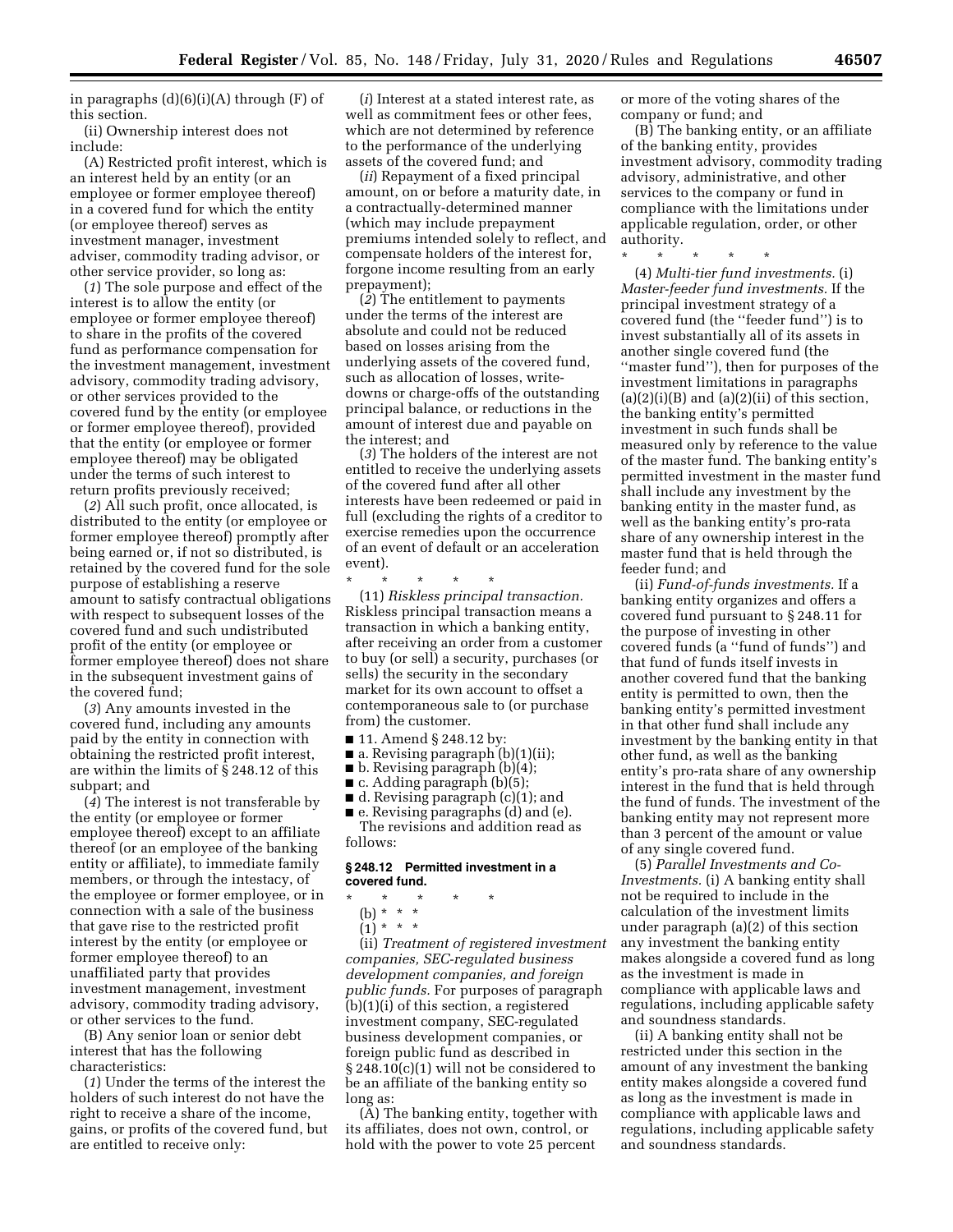in paragraphs  $(d)(6)(i)(A)$  through  $(F)$  of this section.

(ii) Ownership interest does not include:

(A) Restricted profit interest, which is an interest held by an entity (or an employee or former employee thereof) in a covered fund for which the entity (or employee thereof) serves as investment manager, investment adviser, commodity trading advisor, or other service provider, so long as:

(*1*) The sole purpose and effect of the interest is to allow the entity (or employee or former employee thereof) to share in the profits of the covered fund as performance compensation for the investment management, investment advisory, commodity trading advisory, or other services provided to the covered fund by the entity (or employee or former employee thereof), provided that the entity (or employee or former employee thereof) may be obligated under the terms of such interest to return profits previously received;

(*2*) All such profit, once allocated, is distributed to the entity (or employee or former employee thereof) promptly after being earned or, if not so distributed, is retained by the covered fund for the sole purpose of establishing a reserve amount to satisfy contractual obligations with respect to subsequent losses of the covered fund and such undistributed profit of the entity (or employee or former employee thereof) does not share in the subsequent investment gains of the covered fund;

(*3*) Any amounts invested in the covered fund, including any amounts paid by the entity in connection with obtaining the restricted profit interest, are within the limits of § 248.12 of this subpart; and

(*4*) The interest is not transferable by the entity (or employee or former employee thereof) except to an affiliate thereof (or an employee of the banking entity or affiliate), to immediate family members, or through the intestacy, of the employee or former employee, or in connection with a sale of the business that gave rise to the restricted profit interest by the entity (or employee or former employee thereof) to an unaffiliated party that provides investment management, investment advisory, commodity trading advisory, or other services to the fund.

(B) Any senior loan or senior debt interest that has the following characteristics:

(*1*) Under the terms of the interest the holders of such interest do not have the right to receive a share of the income, gains, or profits of the covered fund, but are entitled to receive only:

(*i*) Interest at a stated interest rate, as well as commitment fees or other fees, which are not determined by reference to the performance of the underlying assets of the covered fund; and

(*ii*) Repayment of a fixed principal amount, on or before a maturity date, in a contractually-determined manner (which may include prepayment premiums intended solely to reflect, and compensate holders of the interest for, forgone income resulting from an early prepayment);

(*2*) The entitlement to payments under the terms of the interest are absolute and could not be reduced based on losses arising from the underlying assets of the covered fund, such as allocation of losses, writedowns or charge-offs of the outstanding principal balance, or reductions in the amount of interest due and payable on the interest; and

(*3*) The holders of the interest are not entitled to receive the underlying assets of the covered fund after all other interests have been redeemed or paid in full (excluding the rights of a creditor to exercise remedies upon the occurrence of an event of default or an acceleration event).

\* \* \* \* \*

(11) *Riskless principal transaction.*  Riskless principal transaction means a transaction in which a banking entity, after receiving an order from a customer to buy (or sell) a security, purchases (or sells) the security in the secondary market for its own account to offset a contemporaneous sale to (or purchase from) the customer.

- 11. Amend § 248.12 by:
- $\blacksquare$  a. Revising paragraph  $(b)(1)(ii)$ ;
- b. Revising paragraph (b)(4);
- $\blacksquare$  c. Adding paragraph (b)(5);
- d. Revising paragraph (c)(1); and ■ e. Revising paragraphs (d) and (e).

The revisions and addition read as follows:

#### **§ 248.12 Permitted investment in a covered fund.**

- \* \* \* \* \*
- (b) \* \* \*
- (1) \* \* \*

(ii) *Treatment of registered investment companies, SEC-regulated business development companies, and foreign public funds.* For purposes of paragraph (b)(1)(i) of this section, a registered investment company, SEC-regulated business development companies, or foreign public fund as described in § 248.10(c)(1) will not be considered to be an affiliate of the banking entity so long as:

(A) The banking entity, together with its affiliates, does not own, control, or hold with the power to vote 25 percent

or more of the voting shares of the company or fund; and

(B) The banking entity, or an affiliate of the banking entity, provides investment advisory, commodity trading advisory, administrative, and other services to the company or fund in compliance with the limitations under applicable regulation, order, or other authority.

\* \* \* \* \*

(4) *Multi-tier fund investments.* (i) *Master-feeder fund investments.* If the principal investment strategy of a covered fund (the ''feeder fund'') is to invest substantially all of its assets in another single covered fund (the ''master fund''), then for purposes of the investment limitations in paragraphs  $(a)(2)(i)(B)$  and  $(a)(2)(ii)$  of this section, the banking entity's permitted investment in such funds shall be measured only by reference to the value of the master fund. The banking entity's permitted investment in the master fund shall include any investment by the banking entity in the master fund, as well as the banking entity's pro-rata share of any ownership interest in the master fund that is held through the feeder fund; and

(ii) *Fund-of-funds investments.* If a banking entity organizes and offers a covered fund pursuant to § 248.11 for the purpose of investing in other covered funds (a ''fund of funds'') and that fund of funds itself invests in another covered fund that the banking entity is permitted to own, then the banking entity's permitted investment in that other fund shall include any investment by the banking entity in that other fund, as well as the banking entity's pro-rata share of any ownership interest in the fund that is held through the fund of funds. The investment of the banking entity may not represent more than 3 percent of the amount or value of any single covered fund.

(5) *Parallel Investments and Co-Investments.* (i) A banking entity shall not be required to include in the calculation of the investment limits under paragraph (a)(2) of this section any investment the banking entity makes alongside a covered fund as long as the investment is made in compliance with applicable laws and regulations, including applicable safety and soundness standards.

(ii) A banking entity shall not be restricted under this section in the amount of any investment the banking entity makes alongside a covered fund as long as the investment is made in compliance with applicable laws and regulations, including applicable safety and soundness standards.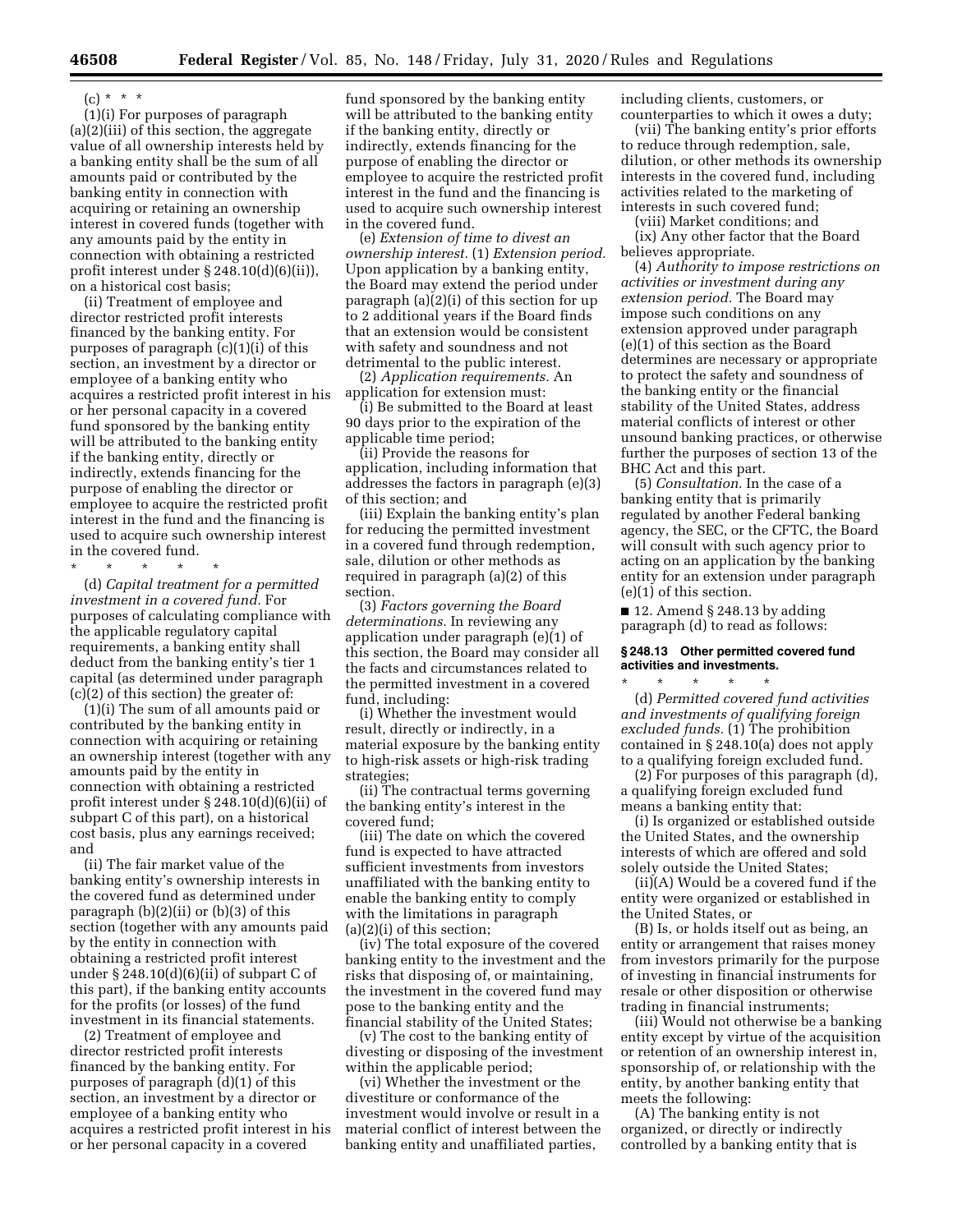#### $(c) * * * *$

(1)(i) For purposes of paragraph (a)(2)(iii) of this section, the aggregate value of all ownership interests held by a banking entity shall be the sum of all amounts paid or contributed by the banking entity in connection with acquiring or retaining an ownership interest in covered funds (together with any amounts paid by the entity in connection with obtaining a restricted profit interest under § 248.10(d)(6)(ii)), on a historical cost basis;

(ii) Treatment of employee and director restricted profit interests financed by the banking entity. For purposes of paragraph (c)(1)(i) of this section, an investment by a director or employee of a banking entity who acquires a restricted profit interest in his or her personal capacity in a covered fund sponsored by the banking entity will be attributed to the banking entity if the banking entity, directly or indirectly, extends financing for the purpose of enabling the director or employee to acquire the restricted profit interest in the fund and the financing is used to acquire such ownership interest in the covered fund.

\* \* \* \* \*

(d) *Capital treatment for a permitted investment in a covered fund.* For purposes of calculating compliance with the applicable regulatory capital requirements, a banking entity shall deduct from the banking entity's tier 1 capital (as determined under paragraph (c)(2) of this section) the greater of:

(1)(i) The sum of all amounts paid or contributed by the banking entity in connection with acquiring or retaining an ownership interest (together with any amounts paid by the entity in connection with obtaining a restricted profit interest under § 248.10(d)(6)(ii) of subpart C of this part), on a historical cost basis, plus any earnings received; and

(ii) The fair market value of the banking entity's ownership interests in the covered fund as determined under paragraph  $(b)(2)(ii)$  or  $(b)(3)$  of this section (together with any amounts paid by the entity in connection with obtaining a restricted profit interest under  $\S$  248.10(d)(6)(ii) of subpart C of this part), if the banking entity accounts for the profits (or losses) of the fund investment in its financial statements.

(2) Treatment of employee and director restricted profit interests financed by the banking entity. For purposes of paragraph (d)(1) of this section, an investment by a director or employee of a banking entity who acquires a restricted profit interest in his or her personal capacity in a covered

fund sponsored by the banking entity will be attributed to the banking entity if the banking entity, directly or indirectly, extends financing for the purpose of enabling the director or employee to acquire the restricted profit interest in the fund and the financing is used to acquire such ownership interest in the covered fund.

(e) *Extension of time to divest an ownership interest.* (1) *Extension period.*  Upon application by a banking entity, the Board may extend the period under paragraph (a)(2)(i) of this section for up to 2 additional years if the Board finds that an extension would be consistent with safety and soundness and not detrimental to the public interest.

(2) *Application requirements.* An application for extension must:

(i) Be submitted to the Board at least 90 days prior to the expiration of the applicable time period;

(ii) Provide the reasons for application, including information that addresses the factors in paragraph (e)(3) of this section; and

(iii) Explain the banking entity's plan for reducing the permitted investment in a covered fund through redemption, sale, dilution or other methods as required in paragraph (a)(2) of this section.

(3) *Factors governing the Board determinations.* In reviewing any application under paragraph (e)(1) of this section, the Board may consider all the facts and circumstances related to the permitted investment in a covered fund, including:

(i) Whether the investment would result, directly or indirectly, in a material exposure by the banking entity to high-risk assets or high-risk trading strategies;

(ii) The contractual terms governing the banking entity's interest in the covered fund;

(iii) The date on which the covered fund is expected to have attracted sufficient investments from investors unaffiliated with the banking entity to enable the banking entity to comply with the limitations in paragraph (a)(2)(i) of this section;

(iv) The total exposure of the covered banking entity to the investment and the risks that disposing of, or maintaining, the investment in the covered fund may pose to the banking entity and the financial stability of the United States;

(v) The cost to the banking entity of divesting or disposing of the investment within the applicable period;

(vi) Whether the investment or the divestiture or conformance of the investment would involve or result in a material conflict of interest between the banking entity and unaffiliated parties,

including clients, customers, or counterparties to which it owes a duty;

(vii) The banking entity's prior efforts to reduce through redemption, sale, dilution, or other methods its ownership interests in the covered fund, including activities related to the marketing of interests in such covered fund;

(viii) Market conditions; and (ix) Any other factor that the Board believes appropriate.

(4) *Authority to impose restrictions on activities or investment during any extension period.* The Board may impose such conditions on any extension approved under paragraph (e)(1) of this section as the Board determines are necessary or appropriate to protect the safety and soundness of the banking entity or the financial stability of the United States, address material conflicts of interest or other unsound banking practices, or otherwise further the purposes of section 13 of the BHC Act and this part.

(5) *Consultation.* In the case of a banking entity that is primarily regulated by another Federal banking agency, the SEC, or the CFTC, the Board will consult with such agency prior to acting on an application by the banking entity for an extension under paragraph (e)(1) of this section.

 $\blacksquare$  12. Amend § 248.13 by adding paragraph (d) to read as follows:

# **§ 248.13 Other permitted covered fund activities and investments.**

\* \* \* \* \* (d) *Permitted covered fund activities and investments of qualifying foreign excluded funds.* (1) The prohibition contained in § 248.10(a) does not apply to a qualifying foreign excluded fund.

(2) For purposes of this paragraph (d), a qualifying foreign excluded fund means a banking entity that:

(i) Is organized or established outside the United States, and the ownership interests of which are offered and sold solely outside the United States;

(ii)(A) Would be a covered fund if the entity were organized or established in the United States, or

(B) Is, or holds itself out as being, an entity or arrangement that raises money from investors primarily for the purpose of investing in financial instruments for resale or other disposition or otherwise trading in financial instruments;

(iii) Would not otherwise be a banking entity except by virtue of the acquisition or retention of an ownership interest in, sponsorship of, or relationship with the entity, by another banking entity that meets the following:

(A) The banking entity is not organized, or directly or indirectly controlled by a banking entity that is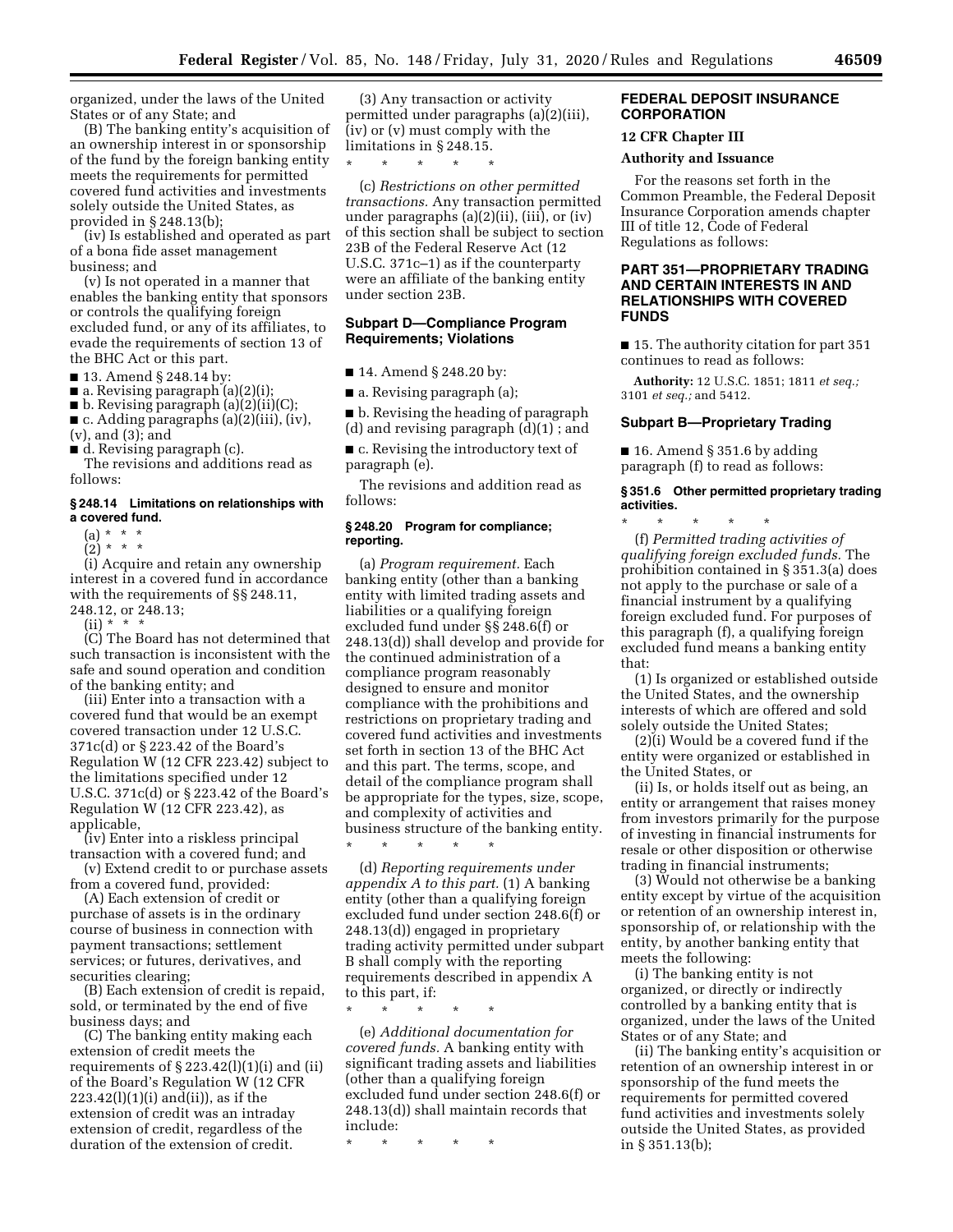organized, under the laws of the United States or of any State; and

(B) The banking entity's acquisition of an ownership interest in or sponsorship of the fund by the foreign banking entity meets the requirements for permitted covered fund activities and investments solely outside the United States, as provided in § 248.13(b);

(iv) Is established and operated as part of a bona fide asset management business; and

(v) Is not operated in a manner that enables the banking entity that sponsors or controls the qualifying foreign excluded fund, or any of its affiliates, to evade the requirements of section 13 of the BHC Act or this part.

■ 13. Amend § 248.14 by:

■ a. Revising paragraph (a)(2)(i);

■ b. Revising paragraph (a)(2)(ii)(C);

■ c. Adding paragraphs (a)(2)(iii), (iv), (v), and (3); and

■ d. Revising paragraph (c).

The revisions and additions read as follows:

## **§ 248.14 Limitations on relationships with a covered fund.**

 $(a) * * * *$ 

 $(2) * * * *$ 

(i) Acquire and retain any ownership interest in a covered fund in accordance with the requirements of §§ 248.11, 248.12, or 248.13;

 $(ii)$  \*

(C) The Board has not determined that such transaction is inconsistent with the safe and sound operation and condition of the banking entity; and

(iii) Enter into a transaction with a covered fund that would be an exempt covered transaction under 12 U.S.C. 371c(d) or § 223.42 of the Board's Regulation W (12 CFR 223.42) subject to the limitations specified under 12 U.S.C. 371c(d) or § 223.42 of the Board's Regulation W (12 CFR 223.42), as applicable,

(iv) Enter into a riskless principal transaction with a covered fund; and

(v) Extend credit to or purchase assets from a covered fund, provided:

(A) Each extension of credit or purchase of assets is in the ordinary course of business in connection with payment transactions; settlement services; or futures, derivatives, and securities clearing;

(B) Each extension of credit is repaid, sold, or terminated by the end of five business days; and

(C) The banking entity making each extension of credit meets the requirements of  $\S 223.42(l)(1)(i)$  and (ii) of the Board's Regulation W (12 CFR  $223.42(l)(1)(i)$  and(ii)), as if the extension of credit was an intraday extension of credit, regardless of the duration of the extension of credit.

(3) Any transaction or activity permitted under paragraphs (a)(2)(iii), (iv) or (v) must comply with the limitations in § 248.15.

\* \* \* \* \*

(c) *Restrictions on other permitted transactions.* Any transaction permitted under paragraphs (a)(2)(ii), (iii), or (iv) of this section shall be subject to section 23B of the Federal Reserve Act (12 U.S.C. 371c–1) as if the counterparty were an affiliate of the banking entity under section 23B.

# **Subpart D—Compliance Program Requirements; Violations**

■ 14. Amend § 248.20 by:

■ a. Revising paragraph (a);

■ b. Revising the heading of paragraph (d) and revising paragraph (d)(1) ; and

■ c. Revising the introductory text of paragraph (e).

The revisions and addition read as follows:

# **§ 248.20 Program for compliance; reporting.**

(a) *Program requirement.* Each banking entity (other than a banking entity with limited trading assets and liabilities or a qualifying foreign excluded fund under §§ 248.6(f) or 248.13(d)) shall develop and provide for the continued administration of a compliance program reasonably designed to ensure and monitor compliance with the prohibitions and restrictions on proprietary trading and covered fund activities and investments set forth in section 13 of the BHC Act and this part. The terms, scope, and detail of the compliance program shall be appropriate for the types, size, scope, and complexity of activities and business structure of the banking entity.

\* \* \* \* \*

(d) *Reporting requirements under appendix A to this part.* (1) A banking entity (other than a qualifying foreign excluded fund under section 248.6(f) or 248.13(d)) engaged in proprietary trading activity permitted under subpart B shall comply with the reporting requirements described in appendix A to this part, if:

\* \* \* \* \*

(e) *Additional documentation for covered funds.* A banking entity with significant trading assets and liabilities (other than a qualifying foreign excluded fund under section 248.6(f) or 248.13(d)) shall maintain records that include:

\* \* \* \* \*

# **FEDERAL DEPOSIT INSURANCE CORPORATION**

# **12 CFR Chapter III**

#### **Authority and Issuance**

For the reasons set forth in the Common Preamble, the Federal Deposit Insurance Corporation amends chapter III of title 12, Code of Federal Regulations as follows:

# **PART 351—PROPRIETARY TRADING AND CERTAIN INTERESTS IN AND RELATIONSHIPS WITH COVERED FUNDS**

■ 15. The authority citation for part 351 continues to read as follows:

**Authority:** 12 U.S.C. 1851; 1811 *et seq.;*  3101 *et seq.;* and 5412.

#### **Subpart B—Proprietary Trading**

 $\blacksquare$  16. Amend § 351.6 by adding paragraph (f) to read as follows:

### **§ 351.6 Other permitted proprietary trading activities.**

\* \* \* \* \* (f) *Permitted trading activities of qualifying foreign excluded funds.* The prohibition contained in § 351.3(a) does not apply to the purchase or sale of a financial instrument by a qualifying foreign excluded fund. For purposes of this paragraph (f), a qualifying foreign excluded fund means a banking entity that:

(1) Is organized or established outside the United States, and the ownership interests of which are offered and sold solely outside the United States;

(2)(i) Would be a covered fund if the entity were organized or established in the United States, or

(ii) Is, or holds itself out as being, an entity or arrangement that raises money from investors primarily for the purpose of investing in financial instruments for resale or other disposition or otherwise trading in financial instruments;

(3) Would not otherwise be a banking entity except by virtue of the acquisition or retention of an ownership interest in, sponsorship of, or relationship with the entity, by another banking entity that meets the following:

(i) The banking entity is not organized, or directly or indirectly controlled by a banking entity that is organized, under the laws of the United States or of any State; and

(ii) The banking entity's acquisition or retention of an ownership interest in or sponsorship of the fund meets the requirements for permitted covered fund activities and investments solely outside the United States, as provided in § 351.13(b);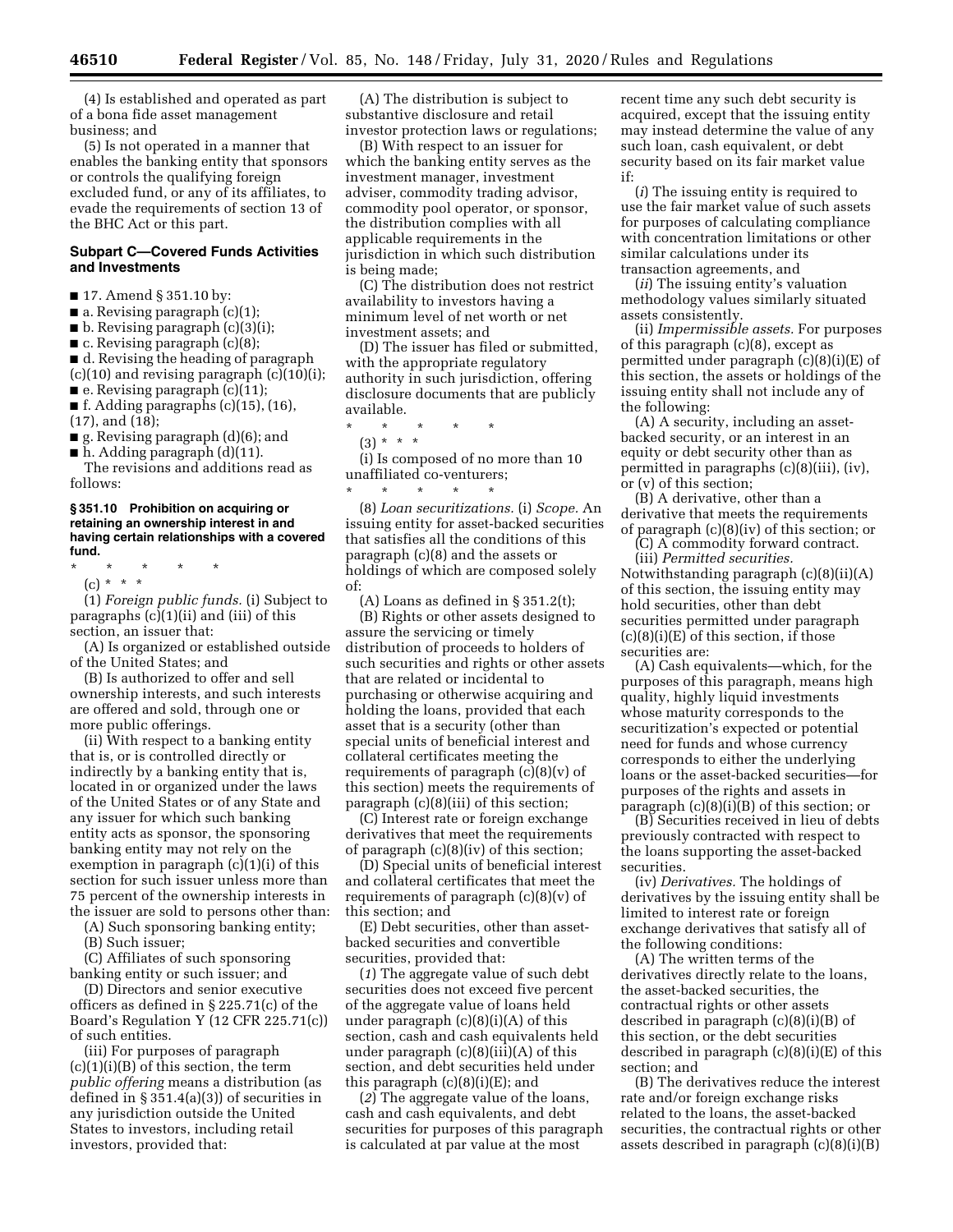(4) Is established and operated as part of a bona fide asset management business; and

(5) Is not operated in a manner that enables the banking entity that sponsors or controls the qualifying foreign excluded fund, or any of its affiliates, to evade the requirements of section 13 of the BHC Act or this part.

# **Subpart C—Covered Funds Activities and Investments**

■ 17. Amend § 351.10 by:

- $\blacksquare$  a. Revising paragraph (c)(1);
- $\blacksquare$  b. Revising paragraph  $(c)(3)(i);$
- $\blacksquare$  c. Revising paragraph (c)(8);

■ d. Revising the heading of paragraph (c)(10) and revising paragraph (c)(10)(i);

 $\blacksquare$  e. Revising paragraph (c)(11);

 $\blacksquare$  f. Adding paragraphs (c)(15), (16),

(17), and (18);

- g. Revising paragraph (d)(6); and
- h. Adding paragraph (d)(11).

The revisions and additions read as follows:

**§ 351.10 Prohibition on acquiring or retaining an ownership interest in and having certain relationships with a covered fund.** 

- \* \* \* \* \*
- (c) \* \* \*

(1) *Foreign public funds.* (i) Subject to paragraphs (c)(1)(ii) and (iii) of this section, an issuer that:

(A) Is organized or established outside of the United States; and

(B) Is authorized to offer and sell ownership interests, and such interests are offered and sold, through one or more public offerings.

(ii) With respect to a banking entity that is, or is controlled directly or indirectly by a banking entity that is, located in or organized under the laws of the United States or of any State and any issuer for which such banking entity acts as sponsor, the sponsoring banking entity may not rely on the exemption in paragraph (c)(1)(i) of this section for such issuer unless more than 75 percent of the ownership interests in the issuer are sold to persons other than:

(A) Such sponsoring banking entity;

(B) Such issuer;

(C) Affiliates of such sponsoring banking entity or such issuer; and

(D) Directors and senior executive officers as defined in § 225.71(c) of the Board's Regulation Y (12 CFR 225.71(c)) of such entities.

(iii) For purposes of paragraph  $(c)(1)(i)(B)$  of this section, the term *public offering* means a distribution (as defined in § 351.4(a)(3)) of securities in any jurisdiction outside the United States to investors, including retail investors, provided that:

(A) The distribution is subject to substantive disclosure and retail investor protection laws or regulations;

(B) With respect to an issuer for which the banking entity serves as the investment manager, investment adviser, commodity trading advisor, commodity pool operator, or sponsor, the distribution complies with all applicable requirements in the jurisdiction in which such distribution is being made;

(C) The distribution does not restrict availability to investors having a minimum level of net worth or net investment assets; and

(D) The issuer has filed or submitted, with the appropriate regulatory authority in such jurisdiction, offering disclosure documents that are publicly available.

\* \* \* \* \*

(3) \* \* \* (i) Is composed of no more than 10 unaffiliated co-venturers;

\* \* \* \* \* (8) *Loan securitizations.* (i) *Scope.* An issuing entity for asset-backed securities that satisfies all the conditions of this paragraph (c)(8) and the assets or holdings of which are composed solely of:

(A) Loans as defined in § 351.2(t);

(B) Rights or other assets designed to assure the servicing or timely distribution of proceeds to holders of such securities and rights or other assets that are related or incidental to purchasing or otherwise acquiring and holding the loans, provided that each asset that is a security (other than special units of beneficial interest and collateral certificates meeting the requirements of paragraph  $(c)(8)(v)$  of this section) meets the requirements of paragraph (c)(8)(iii) of this section;

(C) Interest rate or foreign exchange derivatives that meet the requirements of paragraph (c)(8)(iv) of this section;

(D) Special units of beneficial interest and collateral certificates that meet the requirements of paragraph (c)(8)(v) of this section; and

(E) Debt securities, other than assetbacked securities and convertible securities, provided that:

(*1*) The aggregate value of such debt securities does not exceed five percent of the aggregate value of loans held under paragraph (c)(8)(i)(A) of this section, cash and cash equivalents held under paragraph  $(c)(8)(iii)(A)$  of this section, and debt securities held under this paragraph (c)(8)(i)(E); and

(*2*) The aggregate value of the loans, cash and cash equivalents, and debt securities for purposes of this paragraph is calculated at par value at the most

recent time any such debt security is acquired, except that the issuing entity may instead determine the value of any such loan, cash equivalent, or debt security based on its fair market value if:

(*i*) The issuing entity is required to use the fair market value of such assets for purposes of calculating compliance with concentration limitations or other similar calculations under its transaction agreements, and

(*ii*) The issuing entity's valuation methodology values similarly situated assets consistently.

(ii) *Impermissible assets.* For purposes of this paragraph (c)(8), except as permitted under paragraph (c)(8)(i)(E) of this section, the assets or holdings of the issuing entity shall not include any of the following:

(A) A security, including an assetbacked security, or an interest in an equity or debt security other than as permitted in paragraphs (c)(8)(iii), (iv), or (v) of this section;

(B) A derivative, other than a derivative that meets the requirements of paragraph (c)(8)(iv) of this section; or

(C) A commodity forward contract. (iii) *Permitted securities.* 

Notwithstanding paragraph (c)(8)(ii)(A) of this section, the issuing entity may hold securities, other than debt securities permitted under paragraph  $(c)(8)(i)(E)$  of this section, if those securities are:

(A) Cash equivalents—which, for the purposes of this paragraph, means high quality, highly liquid investments whose maturity corresponds to the securitization's expected or potential need for funds and whose currency corresponds to either the underlying loans or the asset-backed securities—for purposes of the rights and assets in paragraph (c)(8)(i)(B) of this section; or

(B) Securities received in lieu of debts previously contracted with respect to the loans supporting the asset-backed securities.

(iv) *Derivatives.* The holdings of derivatives by the issuing entity shall be limited to interest rate or foreign exchange derivatives that satisfy all of the following conditions:

(A) The written terms of the derivatives directly relate to the loans, the asset-backed securities, the contractual rights or other assets described in paragraph (c)(8)(i)(B) of this section, or the debt securities described in paragraph (c)(8)(i)(E) of this section; and

(B) The derivatives reduce the interest rate and/or foreign exchange risks related to the loans, the asset-backed securities, the contractual rights or other assets described in paragraph (c)(8)(i)(B)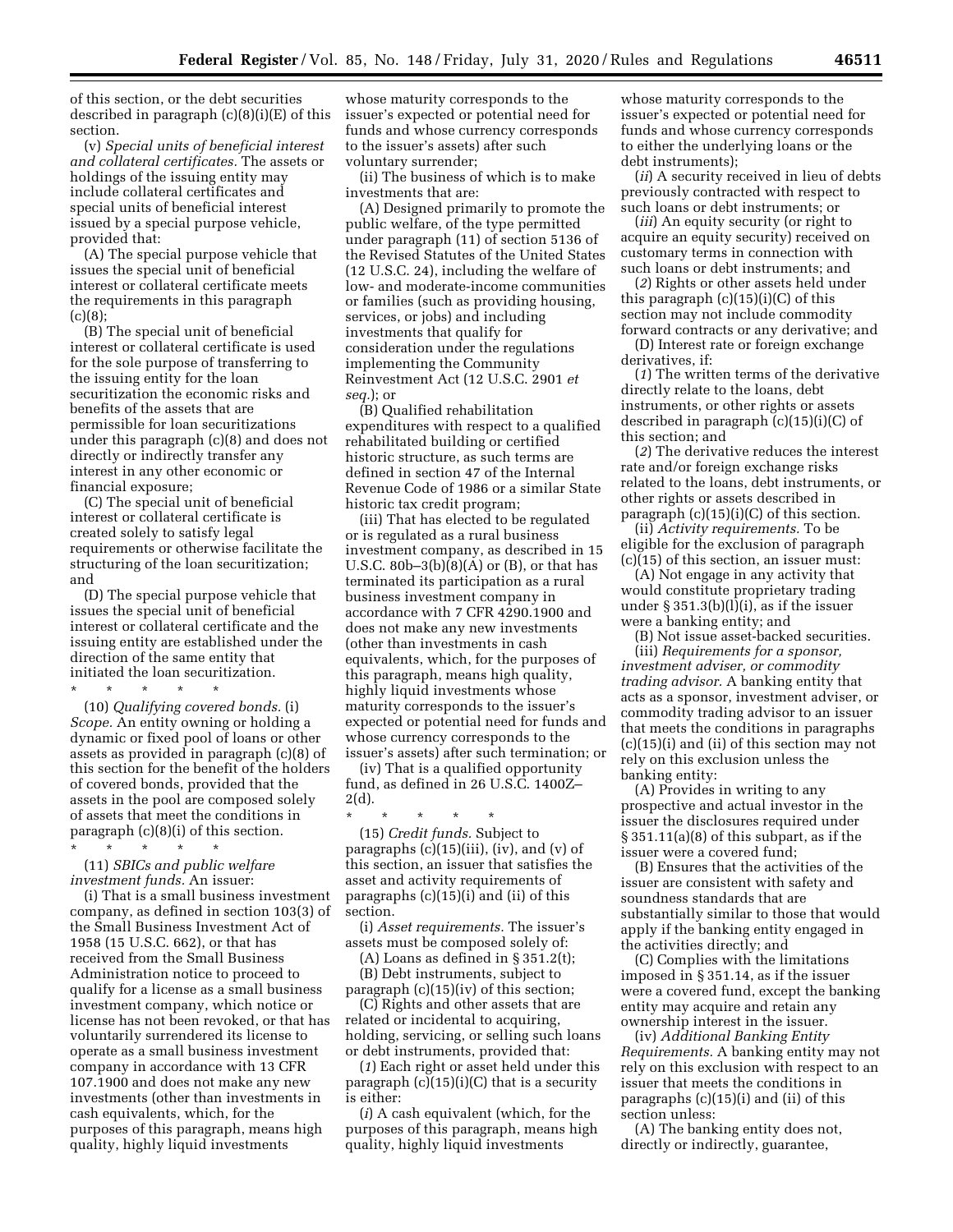of this section, or the debt securities described in paragraph (c)(8)(i)(E) of this section.

(v) *Special units of beneficial interest and collateral certificates.* The assets or holdings of the issuing entity may include collateral certificates and special units of beneficial interest issued by a special purpose vehicle, provided that:

(A) The special purpose vehicle that issues the special unit of beneficial interest or collateral certificate meets the requirements in this paragraph  $(c)(8);$ 

(B) The special unit of beneficial interest or collateral certificate is used for the sole purpose of transferring to the issuing entity for the loan securitization the economic risks and benefits of the assets that are permissible for loan securitizations under this paragraph (c)(8) and does not directly or indirectly transfer any interest in any other economic or financial exposure;

(C) The special unit of beneficial interest or collateral certificate is created solely to satisfy legal requirements or otherwise facilitate the structuring of the loan securitization; and

(D) The special purpose vehicle that issues the special unit of beneficial interest or collateral certificate and the issuing entity are established under the direction of the same entity that initiated the loan securitization.

\* \* \* \* \* (10) *Qualifying covered bonds.* (i) *Scope.* An entity owning or holding a dynamic or fixed pool of loans or other assets as provided in paragraph (c)(8) of this section for the benefit of the holders of covered bonds, provided that the assets in the pool are composed solely of assets that meet the conditions in paragraph (c)(8)(i) of this section. \* \* \* \* \*

(11) *SBICs and public welfare investment funds.* An issuer:

(i) That is a small business investment company, as defined in section 103(3) of the Small Business Investment Act of 1958 (15 U.S.C. 662), or that has received from the Small Business Administration notice to proceed to qualify for a license as a small business investment company, which notice or license has not been revoked, or that has voluntarily surrendered its license to operate as a small business investment company in accordance with 13 CFR 107.1900 and does not make any new investments (other than investments in cash equivalents, which, for the purposes of this paragraph, means high quality, highly liquid investments

whose maturity corresponds to the issuer's expected or potential need for funds and whose currency corresponds to the issuer's assets) after such voluntary surrender;

(ii) The business of which is to make investments that are:

(A) Designed primarily to promote the public welfare, of the type permitted under paragraph (11) of section 5136 of the Revised Statutes of the United States (12 U.S.C. 24), including the welfare of low- and moderate-income communities or families (such as providing housing, services, or jobs) and including investments that qualify for consideration under the regulations implementing the Community Reinvestment Act (12 U.S.C. 2901 *et seq.*); or

(B) Qualified rehabilitation expenditures with respect to a qualified rehabilitated building or certified historic structure, as such terms are defined in section 47 of the Internal Revenue Code of 1986 or a similar State historic tax credit program;

(iii) That has elected to be regulated or is regulated as a rural business investment company, as described in 15 U.S.C. 80b $-3(b)(8)(A)$  or (B), or that has terminated its participation as a rural business investment company in accordance with 7 CFR 4290.1900 and does not make any new investments (other than investments in cash equivalents, which, for the purposes of this paragraph, means high quality, highly liquid investments whose maturity corresponds to the issuer's expected or potential need for funds and whose currency corresponds to the issuer's assets) after such termination; or

(iv) That is a qualified opportunity fund, as defined in 26 U.S.C. 1400Z– 2(d).

\* \* \* \* \* (15) *Credit funds.* Subject to paragraphs  $(c)(15)(iii)$ ,  $(iv)$ , and  $(v)$  of this section, an issuer that satisfies the asset and activity requirements of paragraphs (c)(15)(i) and (ii) of this section.

(i) *Asset requirements.* The issuer's assets must be composed solely of:

(A) Loans as defined in  $\S 351.2(t)$ ;

(B) Debt instruments, subject to paragraph (c)(15)(iv) of this section;

(C) Rights and other assets that are related or incidental to acquiring, holding, servicing, or selling such loans or debt instruments, provided that:

(*1*) Each right or asset held under this paragraph (c)(15)(i)(C) that is a security is either:

(*i*) A cash equivalent (which, for the purposes of this paragraph, means high quality, highly liquid investments

whose maturity corresponds to the issuer's expected or potential need for funds and whose currency corresponds to either the underlying loans or the debt instruments);

(*ii*) A security received in lieu of debts previously contracted with respect to such loans or debt instruments; or

(*iii*) An equity security (or right to acquire an equity security) received on customary terms in connection with such loans or debt instruments; and

(*2*) Rights or other assets held under this paragraph  $(c)(15)(i)(C)$  of this section may not include commodity forward contracts or any derivative; and

(D) Interest rate or foreign exchange derivatives, if:

(*1*) The written terms of the derivative directly relate to the loans, debt instruments, or other rights or assets described in paragraph (c)(15)(i)(C) of this section; and

(*2*) The derivative reduces the interest rate and/or foreign exchange risks related to the loans, debt instruments, or other rights or assets described in paragraph  $(c)(15)(i)(C)$  of this section.

(ii) *Activity requirements.* To be eligible for the exclusion of paragraph (c)(15) of this section, an issuer must:

(A) Not engage in any activity that would constitute proprietary trading under  $\S 351.3(b)(1)(i)$ , as if the issuer were a banking entity; and

(B) Not issue asset-backed securities. (iii) *Requirements for a sponsor, investment adviser, or commodity trading advisor.* A banking entity that acts as a sponsor, investment adviser, or commodity trading advisor to an issuer that meets the conditions in paragraphs (c)(15)(i) and (ii) of this section may not rely on this exclusion unless the banking entity:

(A) Provides in writing to any prospective and actual investor in the issuer the disclosures required under § 351.11(a)(8) of this subpart, as if the issuer were a covered fund;

(B) Ensures that the activities of the issuer are consistent with safety and soundness standards that are substantially similar to those that would apply if the banking entity engaged in the activities directly; and

(C) Complies with the limitations imposed in § 351.14, as if the issuer were a covered fund, except the banking entity may acquire and retain any ownership interest in the issuer.

(iv) *Additional Banking Entity Requirements.* A banking entity may not rely on this exclusion with respect to an issuer that meets the conditions in paragraphs (c)(15)(i) and (ii) of this section unless:

(A) The banking entity does not, directly or indirectly, guarantee,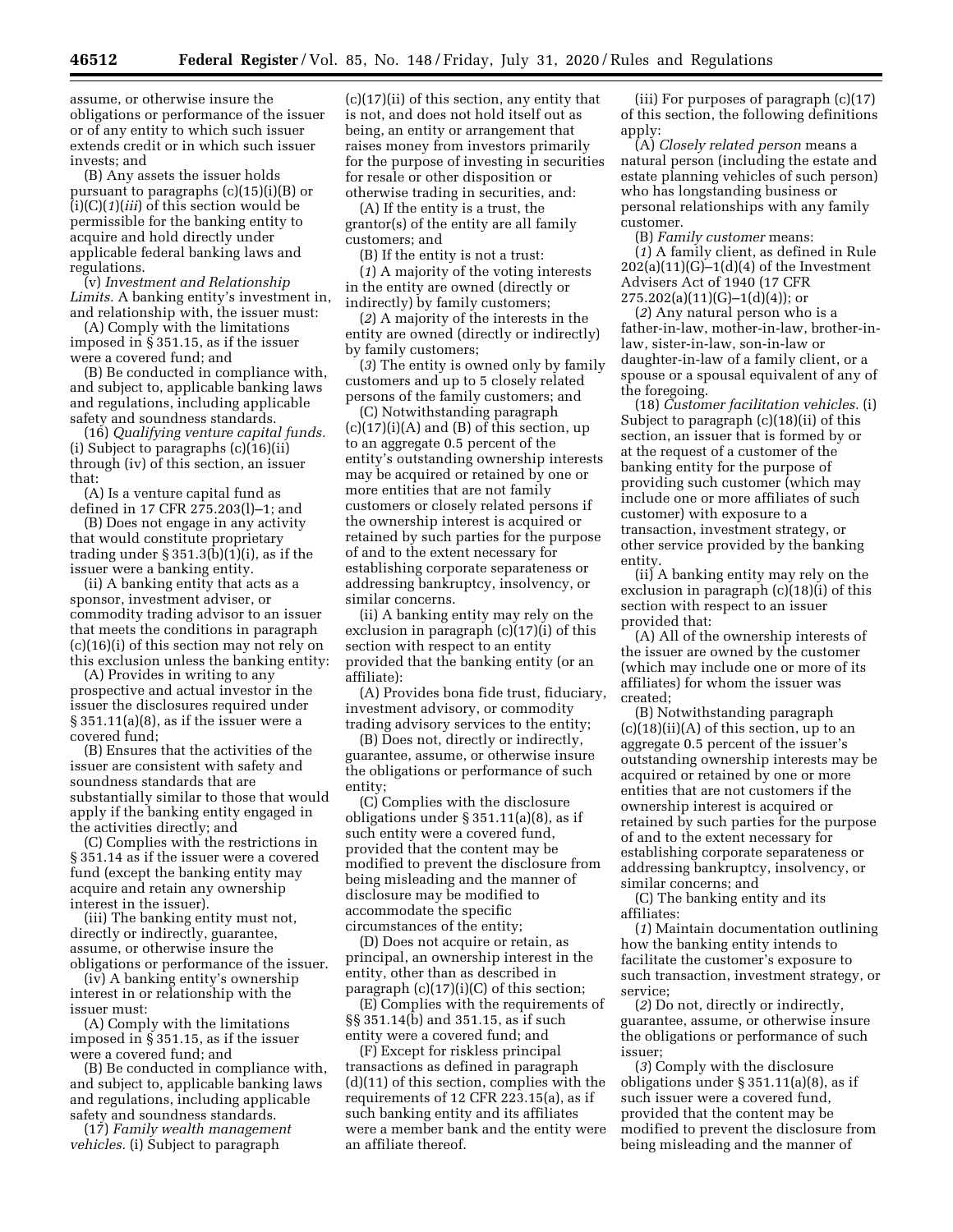assume, or otherwise insure the obligations or performance of the issuer or of any entity to which such issuer extends credit or in which such issuer invests; and

(B) Any assets the issuer holds pursuant to paragraphs (c)(15)(i)(B) or (i)(C)(*1*)(*iii*) of this section would be permissible for the banking entity to acquire and hold directly under applicable federal banking laws and regulations.

(v) *Investment and Relationship Limits.* A banking entity's investment in, and relationship with, the issuer must:

(A) Comply with the limitations imposed in § 351.15, as if the issuer were a covered fund; and

(B) Be conducted in compliance with, and subject to, applicable banking laws and regulations, including applicable safety and soundness standards.

(16) *Qualifying venture capital funds.*  (i) Subject to paragraphs (c)(16)(ii) through (iv) of this section, an issuer that:

(A) Is a venture capital fund as defined in 17 CFR 275.203(l)–1; and

(B) Does not engage in any activity that would constitute proprietary trading under  $\S 351.3(b)(1)(i)$ , as if the issuer were a banking entity.

(ii) A banking entity that acts as a sponsor, investment adviser, or commodity trading advisor to an issuer that meets the conditions in paragraph (c)(16)(i) of this section may not rely on this exclusion unless the banking entity:

(A) Provides in writing to any prospective and actual investor in the issuer the disclosures required under § 351.11(a)(8), as if the issuer were a covered fund;

(B) Ensures that the activities of the issuer are consistent with safety and soundness standards that are substantially similar to those that would apply if the banking entity engaged in the activities directly; and

(C) Complies with the restrictions in § 351.14 as if the issuer were a covered fund (except the banking entity may acquire and retain any ownership interest in the issuer).

(iii) The banking entity must not, directly or indirectly, guarantee, assume, or otherwise insure the obligations or performance of the issuer.

(iv) A banking entity's ownership interest in or relationship with the issuer must:

(A) Comply with the limitations imposed in § 351.15, as if the issuer were a covered fund; and

(B) Be conducted in compliance with, and subject to, applicable banking laws and regulations, including applicable safety and soundness standards.

(17) *Family wealth management vehicles.* (i) Subject to paragraph

(c)(17)(ii) of this section, any entity that is not, and does not hold itself out as being, an entity or arrangement that raises money from investors primarily for the purpose of investing in securities for resale or other disposition or otherwise trading in securities, and:

(A) If the entity is a trust, the grantor(s) of the entity are all family customers; and

(B) If the entity is not a trust:

(*1*) A majority of the voting interests in the entity are owned (directly or indirectly) by family customers;

(*2*) A majority of the interests in the entity are owned (directly or indirectly) by family customers;

(*3*) The entity is owned only by family customers and up to 5 closely related persons of the family customers; and

(C) Notwithstanding paragraph  $(c)(17)(i)(A)$  and  $(B)$  of this section, up to an aggregate 0.5 percent of the entity's outstanding ownership interests may be acquired or retained by one or more entities that are not family customers or closely related persons if the ownership interest is acquired or retained by such parties for the purpose of and to the extent necessary for establishing corporate separateness or addressing bankruptcy, insolvency, or similar concerns.

(ii) A banking entity may rely on the exclusion in paragraph (c)(17)(i) of this section with respect to an entity provided that the banking entity (or an affiliate):

(A) Provides bona fide trust, fiduciary, investment advisory, or commodity trading advisory services to the entity;

(B) Does not, directly or indirectly, guarantee, assume, or otherwise insure the obligations or performance of such entity;

(C) Complies with the disclosure obligations under § 351.11(a)(8), as if such entity were a covered fund, provided that the content may be modified to prevent the disclosure from being misleading and the manner of disclosure may be modified to accommodate the specific circumstances of the entity;

(D) Does not acquire or retain, as principal, an ownership interest in the entity, other than as described in paragraph (c)(17)(i)(C) of this section;

(E) Complies with the requirements of §§ 351.14(b) and 351.15, as if such entity were a covered fund; and

(F) Except for riskless principal transactions as defined in paragraph (d)(11) of this section, complies with the requirements of 12 CFR 223.15(a), as if such banking entity and its affiliates were a member bank and the entity were an affiliate thereof.

(iii) For purposes of paragraph (c)(17) of this section, the following definitions apply:

(A) *Closely related person* means a natural person (including the estate and estate planning vehicles of such person) who has longstanding business or personal relationships with any family customer.

(B) *Family customer* means: (*1*) A family client, as defined in Rule  $202(a)(11)(G)-1(d)(4)$  of the Investment Advisers Act of 1940 (17 CFR  $275.202(a)(11)(G)-1(d)(4)$ ; or

(*2*) Any natural person who is a father-in-law, mother-in-law, brother-inlaw, sister-in-law, son-in-law or daughter-in-law of a family client, or a spouse or a spousal equivalent of any of the foregoing.

(18) *Customer facilitation vehicles.* (i) Subject to paragraph (c)(18)(ii) of this section, an issuer that is formed by or at the request of a customer of the banking entity for the purpose of providing such customer (which may include one or more affiliates of such customer) with exposure to a transaction, investment strategy, or other service provided by the banking entity.

(ii) A banking entity may rely on the exclusion in paragraph (c)(18)(i) of this section with respect to an issuer provided that:

(A) All of the ownership interests of the issuer are owned by the customer (which may include one or more of its affiliates) for whom the issuer was created;

(B) Notwithstanding paragraph  $(c)(18)(ii)(A)$  of this section, up to an aggregate 0.5 percent of the issuer's outstanding ownership interests may be acquired or retained by one or more entities that are not customers if the ownership interest is acquired or retained by such parties for the purpose of and to the extent necessary for establishing corporate separateness or addressing bankruptcy, insolvency, or similar concerns; and

(C) The banking entity and its affiliates:

(*1*) Maintain documentation outlining how the banking entity intends to facilitate the customer's exposure to such transaction, investment strategy, or service;

(*2*) Do not, directly or indirectly, guarantee, assume, or otherwise insure the obligations or performance of such issuer;

(*3*) Comply with the disclosure obligations under § 351.11(a)(8), as if such issuer were a covered fund, provided that the content may be modified to prevent the disclosure from being misleading and the manner of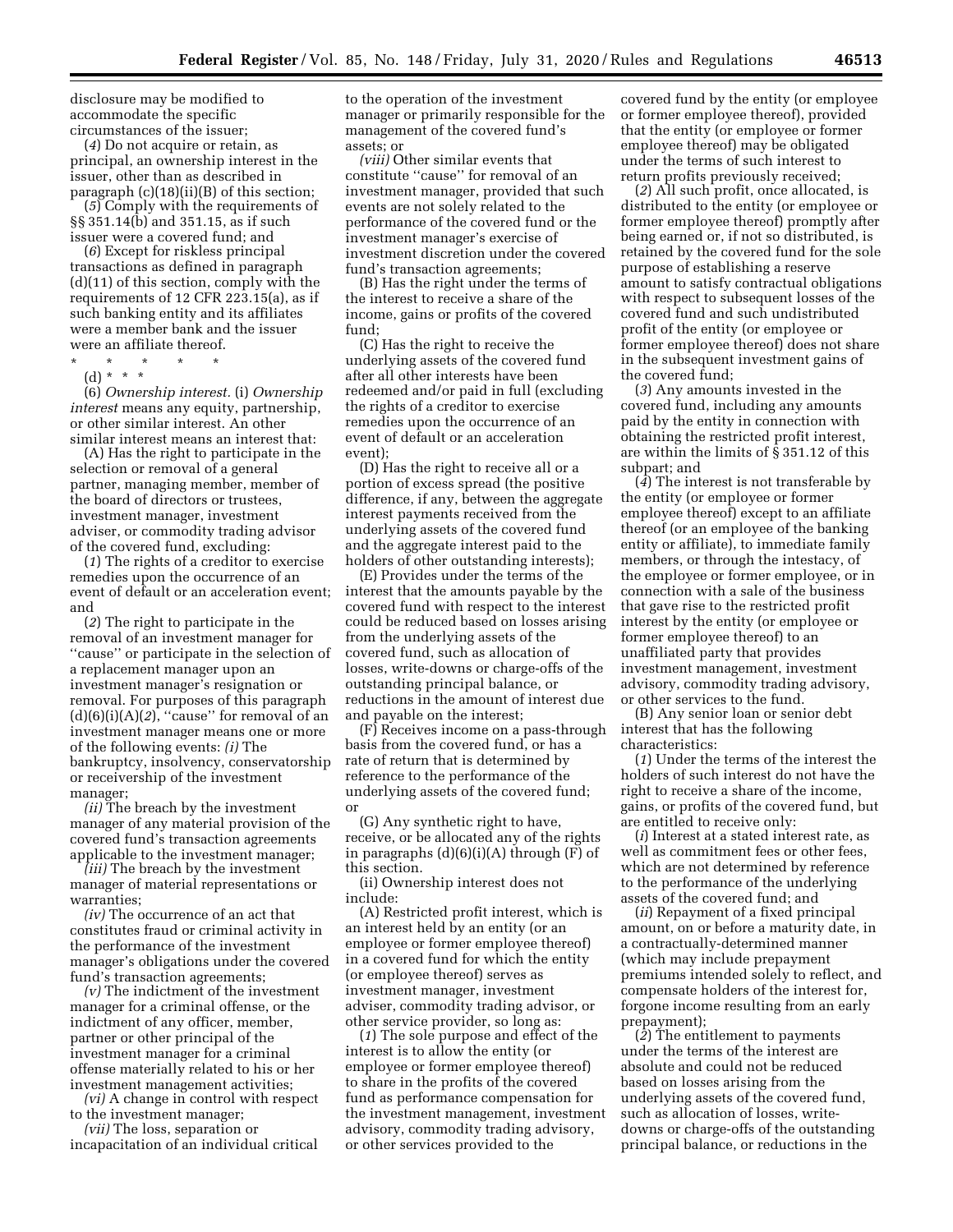disclosure may be modified to accommodate the specific circumstances of the issuer;

(*4*) Do not acquire or retain, as principal, an ownership interest in the issuer, other than as described in paragraph (c)(18)(ii)(B) of this section;

(*5*) Comply with the requirements of §§ 351.14(b) and 351.15, as if such issuer were a covered fund; and

(*6*) Except for riskless principal transactions as defined in paragraph (d)(11) of this section, comply with the requirements of 12 CFR 223.15(a), as if such banking entity and its affiliates were a member bank and the issuer were an affiliate thereof.

\* \* \* \* \*

(d) \* \* \*

(6) *Ownership interest.* (i) *Ownership interest* means any equity, partnership, or other similar interest. An other similar interest means an interest that:

(A) Has the right to participate in the selection or removal of a general partner, managing member, member of the board of directors or trustees, investment manager, investment adviser, or commodity trading advisor of the covered fund, excluding:

(*1*) The rights of a creditor to exercise remedies upon the occurrence of an event of default or an acceleration event; and

(*2*) The right to participate in the removal of an investment manager for ''cause'' or participate in the selection of a replacement manager upon an investment manager's resignation or removal. For purposes of this paragraph  $(d)(6)(i)(A)(2)$ , "cause" for removal of an investment manager means one or more of the following events: *(i)* The bankruptcy, insolvency, conservatorship or receivership of the investment manager;

*(ii)* The breach by the investment manager of any material provision of the covered fund's transaction agreements applicable to the investment manager;

*(iii)* The breach by the investment manager of material representations or warranties;

*(iv)* The occurrence of an act that constitutes fraud or criminal activity in the performance of the investment manager's obligations under the covered fund's transaction agreements;

*(v)* The indictment of the investment manager for a criminal offense, or the indictment of any officer, member, partner or other principal of the investment manager for a criminal offense materially related to his or her investment management activities;

*(vi)* A change in control with respect to the investment manager;

*(vii)* The loss, separation or incapacitation of an individual critical to the operation of the investment manager or primarily responsible for the management of the covered fund's assets; or

*(viii)* Other similar events that constitute ''cause'' for removal of an investment manager, provided that such events are not solely related to the performance of the covered fund or the investment manager's exercise of investment discretion under the covered fund's transaction agreements;

(B) Has the right under the terms of the interest to receive a share of the income, gains or profits of the covered fund;

(C) Has the right to receive the underlying assets of the covered fund after all other interests have been redeemed and/or paid in full (excluding the rights of a creditor to exercise remedies upon the occurrence of an event of default or an acceleration event);

(D) Has the right to receive all or a portion of excess spread (the positive difference, if any, between the aggregate interest payments received from the underlying assets of the covered fund and the aggregate interest paid to the holders of other outstanding interests);

(E) Provides under the terms of the interest that the amounts payable by the covered fund with respect to the interest could be reduced based on losses arising from the underlying assets of the covered fund, such as allocation of losses, write-downs or charge-offs of the outstanding principal balance, or reductions in the amount of interest due and payable on the interest;

(F) Receives income on a pass-through basis from the covered fund, or has a rate of return that is determined by reference to the performance of the underlying assets of the covered fund; or

(G) Any synthetic right to have, receive, or be allocated any of the rights in paragraphs  $(d)(6)(i)(A)$  through  $(F)$  of this section.

(ii) Ownership interest does not include:

(A) Restricted profit interest, which is an interest held by an entity (or an employee or former employee thereof) in a covered fund for which the entity (or employee thereof) serves as investment manager, investment adviser, commodity trading advisor, or other service provider, so long as:

(*1*) The sole purpose and effect of the interest is to allow the entity (or employee or former employee thereof) to share in the profits of the covered fund as performance compensation for the investment management, investment advisory, commodity trading advisory, or other services provided to the

covered fund by the entity (or employee or former employee thereof), provided that the entity (or employee or former employee thereof) may be obligated under the terms of such interest to return profits previously received;

(*2*) All such profit, once allocated, is distributed to the entity (or employee or former employee thereof) promptly after being earned or, if not so distributed, is retained by the covered fund for the sole purpose of establishing a reserve amount to satisfy contractual obligations with respect to subsequent losses of the covered fund and such undistributed profit of the entity (or employee or former employee thereof) does not share in the subsequent investment gains of the covered fund;

(*3*) Any amounts invested in the covered fund, including any amounts paid by the entity in connection with obtaining the restricted profit interest, are within the limits of § 351.12 of this subpart; and

(*4*) The interest is not transferable by the entity (or employee or former employee thereof) except to an affiliate thereof (or an employee of the banking entity or affiliate), to immediate family members, or through the intestacy, of the employee or former employee, or in connection with a sale of the business that gave rise to the restricted profit interest by the entity (or employee or former employee thereof) to an unaffiliated party that provides investment management, investment advisory, commodity trading advisory, or other services to the fund.

(B) Any senior loan or senior debt interest that has the following characteristics:

(*1*) Under the terms of the interest the holders of such interest do not have the right to receive a share of the income, gains, or profits of the covered fund, but are entitled to receive only:

(*i*) Interest at a stated interest rate, as well as commitment fees or other fees, which are not determined by reference to the performance of the underlying assets of the covered fund; and

(*ii*) Repayment of a fixed principal amount, on or before a maturity date, in a contractually-determined manner (which may include prepayment premiums intended solely to reflect, and compensate holders of the interest for, forgone income resulting from an early prepayment);

(*2*) The entitlement to payments under the terms of the interest are absolute and could not be reduced based on losses arising from the underlying assets of the covered fund, such as allocation of losses, writedowns or charge-offs of the outstanding principal balance, or reductions in the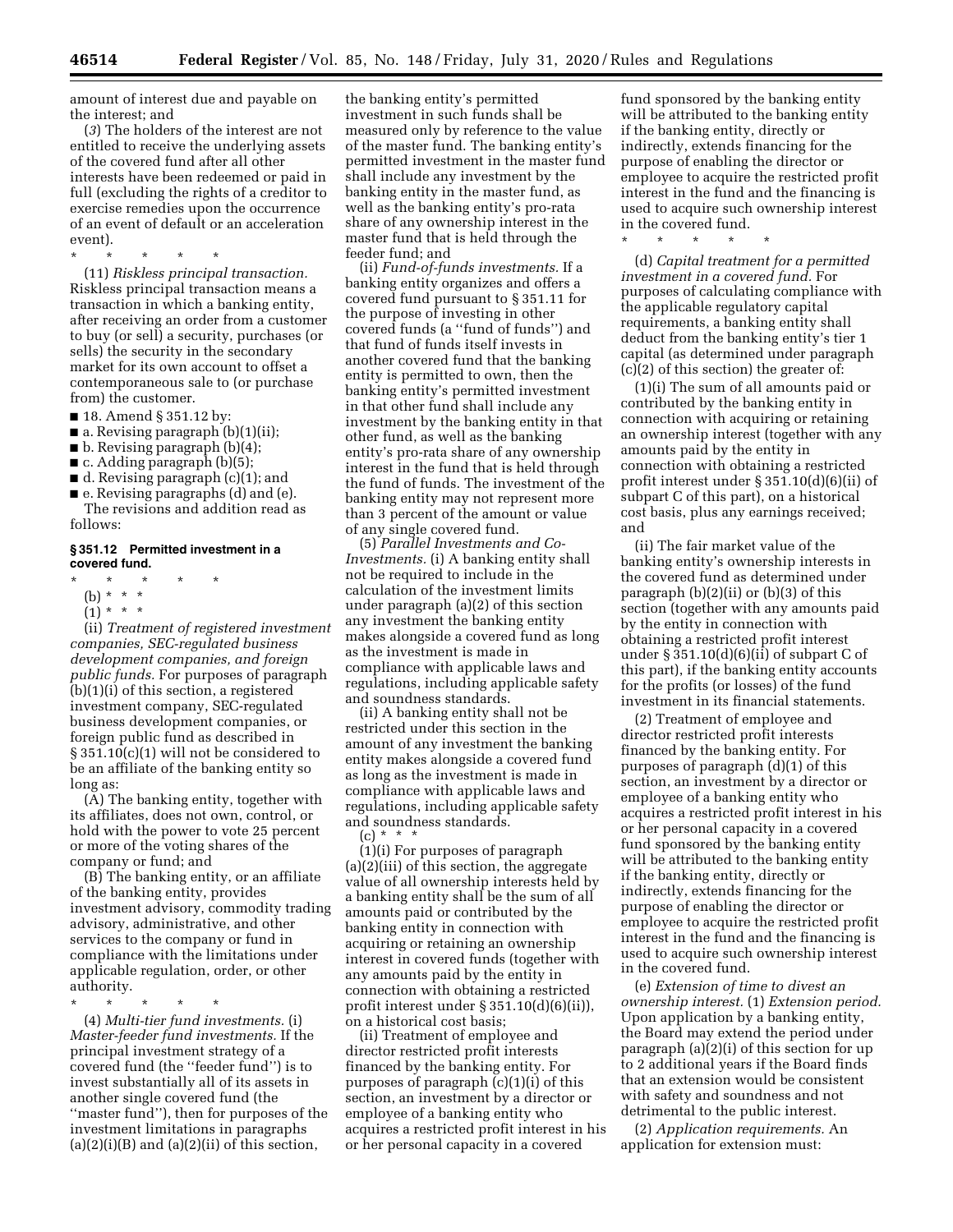amount of interest due and payable on the interest; and

(*3*) The holders of the interest are not entitled to receive the underlying assets of the covered fund after all other interests have been redeemed or paid in full (excluding the rights of a creditor to exercise remedies upon the occurrence of an event of default or an acceleration event).

\* \* \* \* \*

(11) *Riskless principal transaction.*  Riskless principal transaction means a transaction in which a banking entity, after receiving an order from a customer to buy (or sell) a security, purchases (or sells) the security in the secondary market for its own account to offset a contemporaneous sale to (or purchase from) the customer.

- 18. Amend § 351.12 by:
- $\blacksquare$  a. Revising paragraph  $(b)(1)(ii)$ ;
- $\blacksquare$  b. Revising paragraph (b)(4);
- c. Adding paragraph (b)(5);
- d. Revising paragraph (c)(1); and
- e. Revising paragraphs (d) and (e). The revisions and addition read as follows:

#### **§ 351.12 Permitted investment in a covered fund.**

- \* \* \* \* \*
- (b) \* \* \*
- $(1) * * * *$

(ii) *Treatment of registered investment companies, SEC-regulated business development companies, and foreign public funds.* For purposes of paragraph  $(b)(1)(i)$  of this section, a registered investment company, SEC-regulated business development companies, or foreign public fund as described in § 351.10(c)(1) will not be considered to be an affiliate of the banking entity so long as:

(A) The banking entity, together with its affiliates, does not own, control, or hold with the power to vote 25 percent or more of the voting shares of the company or fund; and

(B) The banking entity, or an affiliate of the banking entity, provides investment advisory, commodity trading advisory, administrative, and other services to the company or fund in compliance with the limitations under applicable regulation, order, or other authority.

\* \* \* \* \* (4) *Multi-tier fund investments.* (i) *Master-feeder fund investments.* If the principal investment strategy of a covered fund (the ''feeder fund'') is to invest substantially all of its assets in another single covered fund (the ''master fund''), then for purposes of the investment limitations in paragraphs  $(a)(2)(i)(B)$  and  $(a)(2)(ii)$  of this section,

the banking entity's permitted investment in such funds shall be measured only by reference to the value of the master fund. The banking entity's permitted investment in the master fund shall include any investment by the banking entity in the master fund, as well as the banking entity's pro-rata share of any ownership interest in the master fund that is held through the feeder fund; and

(ii) *Fund-of-funds investments.* If a banking entity organizes and offers a covered fund pursuant to § 351.11 for the purpose of investing in other covered funds (a ''fund of funds'') and that fund of funds itself invests in another covered fund that the banking entity is permitted to own, then the banking entity's permitted investment in that other fund shall include any investment by the banking entity in that other fund, as well as the banking entity's pro-rata share of any ownership interest in the fund that is held through the fund of funds. The investment of the banking entity may not represent more than 3 percent of the amount or value of any single covered fund.

(5) *Parallel Investments and Co-Investments.* (i) A banking entity shall not be required to include in the calculation of the investment limits under paragraph (a)(2) of this section any investment the banking entity makes alongside a covered fund as long as the investment is made in compliance with applicable laws and regulations, including applicable safety and soundness standards.

(ii) A banking entity shall not be restricted under this section in the amount of any investment the banking entity makes alongside a covered fund as long as the investment is made in compliance with applicable laws and regulations, including applicable safety and soundness standards.

 $(c) * * * *$ (1)(i) For purposes of paragraph (a)(2)(iii) of this section, the aggregate value of all ownership interests held by a banking entity shall be the sum of all amounts paid or contributed by the banking entity in connection with acquiring or retaining an ownership interest in covered funds (together with any amounts paid by the entity in connection with obtaining a restricted profit interest under § 351.10(d)(6)(ii)),

on a historical cost basis; (ii) Treatment of employee and director restricted profit interests financed by the banking entity. For purposes of paragraph (c)(1)(i) of this section, an investment by a director or employee of a banking entity who acquires a restricted profit interest in his or her personal capacity in a covered

fund sponsored by the banking entity will be attributed to the banking entity if the banking entity, directly or indirectly, extends financing for the purpose of enabling the director or employee to acquire the restricted profit interest in the fund and the financing is used to acquire such ownership interest in the covered fund.

\* \* \* \* \*

(d) *Capital treatment for a permitted investment in a covered fund.* For purposes of calculating compliance with the applicable regulatory capital requirements, a banking entity shall deduct from the banking entity's tier 1 capital (as determined under paragraph (c)(2) of this section) the greater of:

(1)(i) The sum of all amounts paid or contributed by the banking entity in connection with acquiring or retaining an ownership interest (together with any amounts paid by the entity in connection with obtaining a restricted profit interest under § 351.10(d)(6)(ii) of subpart C of this part), on a historical cost basis, plus any earnings received; and

(ii) The fair market value of the banking entity's ownership interests in the covered fund as determined under paragraph (b)(2)(ii) or (b)(3) of this section (together with any amounts paid by the entity in connection with obtaining a restricted profit interest under  $\S 351.10(d)(6)(ii)$  of subpart C of this part), if the banking entity accounts for the profits (or losses) of the fund investment in its financial statements.

(2) Treatment of employee and director restricted profit interests financed by the banking entity. For purposes of paragraph (d)(1) of this section, an investment by a director or employee of a banking entity who acquires a restricted profit interest in his or her personal capacity in a covered fund sponsored by the banking entity will be attributed to the banking entity if the banking entity, directly or indirectly, extends financing for the purpose of enabling the director or employee to acquire the restricted profit interest in the fund and the financing is used to acquire such ownership interest in the covered fund.

(e) *Extension of time to divest an ownership interest.* (1) *Extension period.*  Upon application by a banking entity, the Board may extend the period under paragraph (a)(2)(i) of this section for up to 2 additional years if the Board finds that an extension would be consistent with safety and soundness and not detrimental to the public interest.

(2) *Application requirements.* An application for extension must: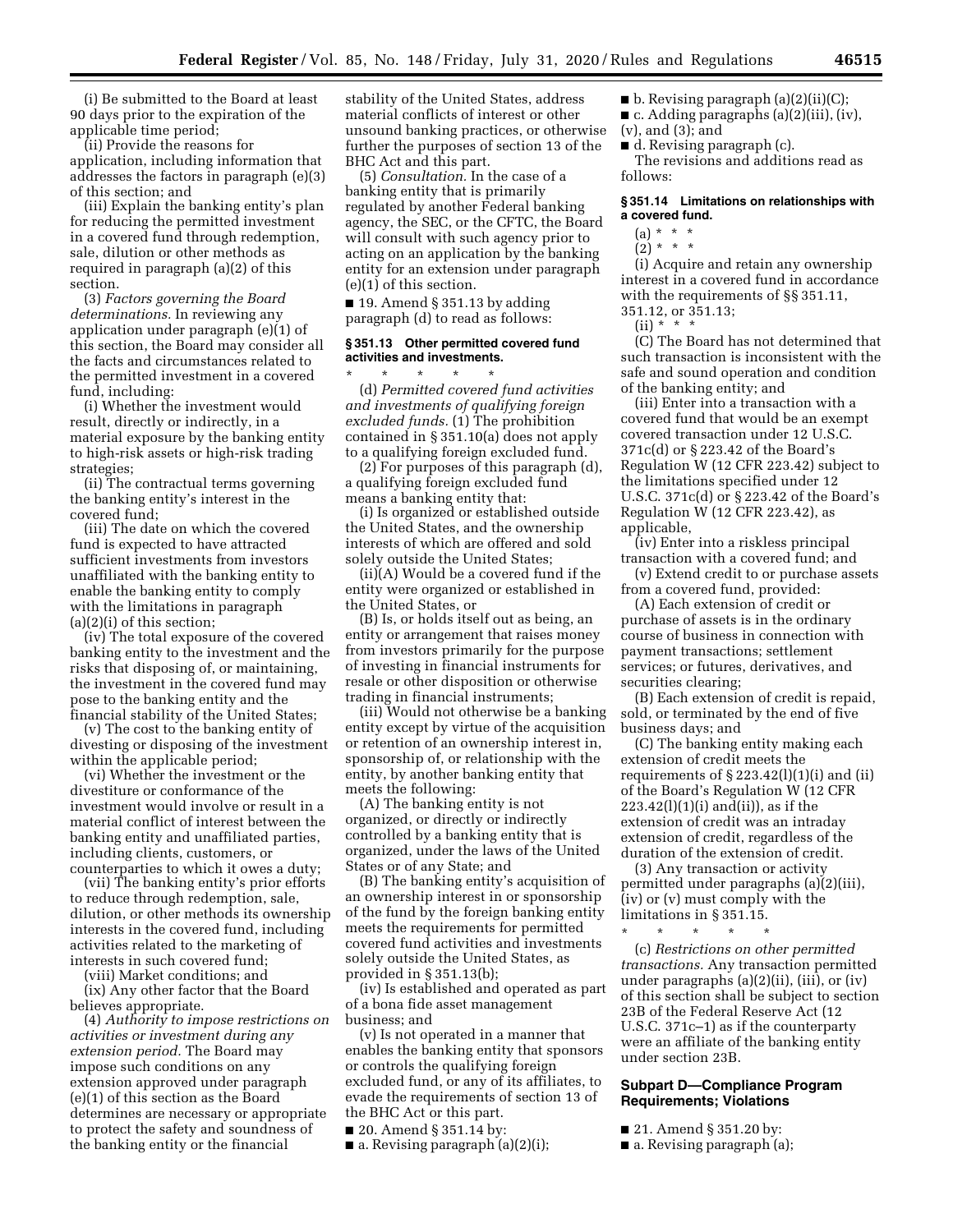(i) Be submitted to the Board at least 90 days prior to the expiration of the applicable time period;

(ii) Provide the reasons for application, including information that addresses the factors in paragraph (e)(3) of this section; and

(iii) Explain the banking entity's plan for reducing the permitted investment in a covered fund through redemption, sale, dilution or other methods as required in paragraph (a)(2) of this section.

(3) *Factors governing the Board determinations.* In reviewing any application under paragraph (e)(1) of this section, the Board may consider all the facts and circumstances related to the permitted investment in a covered fund, including:

(i) Whether the investment would result, directly or indirectly, in a material exposure by the banking entity to high-risk assets or high-risk trading strategies;

(ii) The contractual terms governing the banking entity's interest in the covered fund;

(iii) The date on which the covered fund is expected to have attracted sufficient investments from investors unaffiliated with the banking entity to enable the banking entity to comply with the limitations in paragraph (a)(2)(i) of this section;

(iv) The total exposure of the covered banking entity to the investment and the risks that disposing of, or maintaining, the investment in the covered fund may pose to the banking entity and the financial stability of the United States;

(v) The cost to the banking entity of divesting or disposing of the investment within the applicable period;

(vi) Whether the investment or the divestiture or conformance of the investment would involve or result in a material conflict of interest between the banking entity and unaffiliated parties, including clients, customers, or counterparties to which it owes a duty;

(vii) The banking entity's prior efforts to reduce through redemption, sale, dilution, or other methods its ownership interests in the covered fund, including activities related to the marketing of interests in such covered fund;

(viii) Market conditions; and

(ix) Any other factor that the Board believes appropriate.

(4) *Authority to impose restrictions on activities or investment during any extension period.* The Board may impose such conditions on any extension approved under paragraph (e)(1) of this section as the Board determines are necessary or appropriate to protect the safety and soundness of the banking entity or the financial

stability of the United States, address material conflicts of interest or other unsound banking practices, or otherwise further the purposes of section 13 of the BHC Act and this part.

(5) *Consultation.* In the case of a banking entity that is primarily regulated by another Federal banking agency, the SEC, or the CFTC, the Board will consult with such agency prior to acting on an application by the banking entity for an extension under paragraph (e)(1) of this section.

 $\blacksquare$  19. Amend § 351.13 by adding paragraph (d) to read as follows:

## **§ 351.13 Other permitted covered fund activities and investments.**

\* \* \* \* \* (d) *Permitted covered fund activities and investments of qualifying foreign excluded funds.* (1) The prohibition contained in § 351.10(a) does not apply to a qualifying foreign excluded fund.

(2) For purposes of this paragraph (d), a qualifying foreign excluded fund means a banking entity that:

(i) Is organized or established outside the United States, and the ownership interests of which are offered and sold solely outside the United States;

(ii)(A) Would be a covered fund if the entity were organized or established in the United States, or

(B) Is, or holds itself out as being, an entity or arrangement that raises money from investors primarily for the purpose of investing in financial instruments for resale or other disposition or otherwise trading in financial instruments;

(iii) Would not otherwise be a banking entity except by virtue of the acquisition or retention of an ownership interest in, sponsorship of, or relationship with the entity, by another banking entity that meets the following:

(A) The banking entity is not organized, or directly or indirectly controlled by a banking entity that is organized, under the laws of the United States or of any State; and

(B) The banking entity's acquisition of an ownership interest in or sponsorship of the fund by the foreign banking entity meets the requirements for permitted covered fund activities and investments solely outside the United States, as provided in § 351.13(b);

(iv) Is established and operated as part of a bona fide asset management business; and

(v) Is not operated in a manner that enables the banking entity that sponsors or controls the qualifying foreign excluded fund, or any of its affiliates, to evade the requirements of section 13 of the BHC Act or this part.

■ 20. Amend § 351.14 by:

 $\blacksquare$  a. Revising paragraph  $(a)(2)(i)$ ;

- $\blacksquare$  b. Revising paragraph (a)(2)(ii)(C);
- c. Adding paragraphs (a)(2)(iii), (iv),
- (v), and (3); and

■ d. Revising paragraph (c).

The revisions and additions read as follows:

### **§ 351.14 Limitations on relationships with a covered fund.**

 $(a) * * * *$ 

 $(2) * * * *$ 

(i) Acquire and retain any ownership interest in a covered fund in accordance with the requirements of §§ 351.11, 351.12, or 351.13;

 $(ii) * * * *$ 

(C) The Board has not determined that such transaction is inconsistent with the safe and sound operation and condition of the banking entity; and

(iii) Enter into a transaction with a covered fund that would be an exempt covered transaction under 12 U.S.C. 371c(d) or § 223.42 of the Board's Regulation W (12 CFR 223.42) subject to the limitations specified under 12 U.S.C. 371c(d) or § 223.42 of the Board's Regulation W (12 CFR 223.42), as applicable,

(iv) Enter into a riskless principal transaction with a covered fund; and

(v) Extend credit to or purchase assets from a covered fund, provided:

(A) Each extension of credit or purchase of assets is in the ordinary course of business in connection with payment transactions; settlement services; or futures, derivatives, and securities clearing;

(B) Each extension of credit is repaid, sold, or terminated by the end of five business days; and

(C) The banking entity making each extension of credit meets the requirements of  $\S 223.42(l)(1)(i)$  and (ii) of the Board's Regulation W (12 CFR 223.42(l)(1)(i) and(ii)), as if the extension of credit was an intraday extension of credit, regardless of the duration of the extension of credit.

(3) Any transaction or activity permitted under paragraphs (a)(2)(iii), (iv) or (v) must comply with the limitations in § 351.15.

\* \* \* \* \*

(c) *Restrictions on other permitted transactions.* Any transaction permitted under paragraphs (a)(2)(ii), (iii), or (iv) of this section shall be subject to section 23B of the Federal Reserve Act (12 U.S.C. 371c–1) as if the counterparty were an affiliate of the banking entity under section 23B.

# **Subpart D—Compliance Program Requirements; Violations**

- 21. Amend § 351.20 by:
- a. Revising paragraph (a);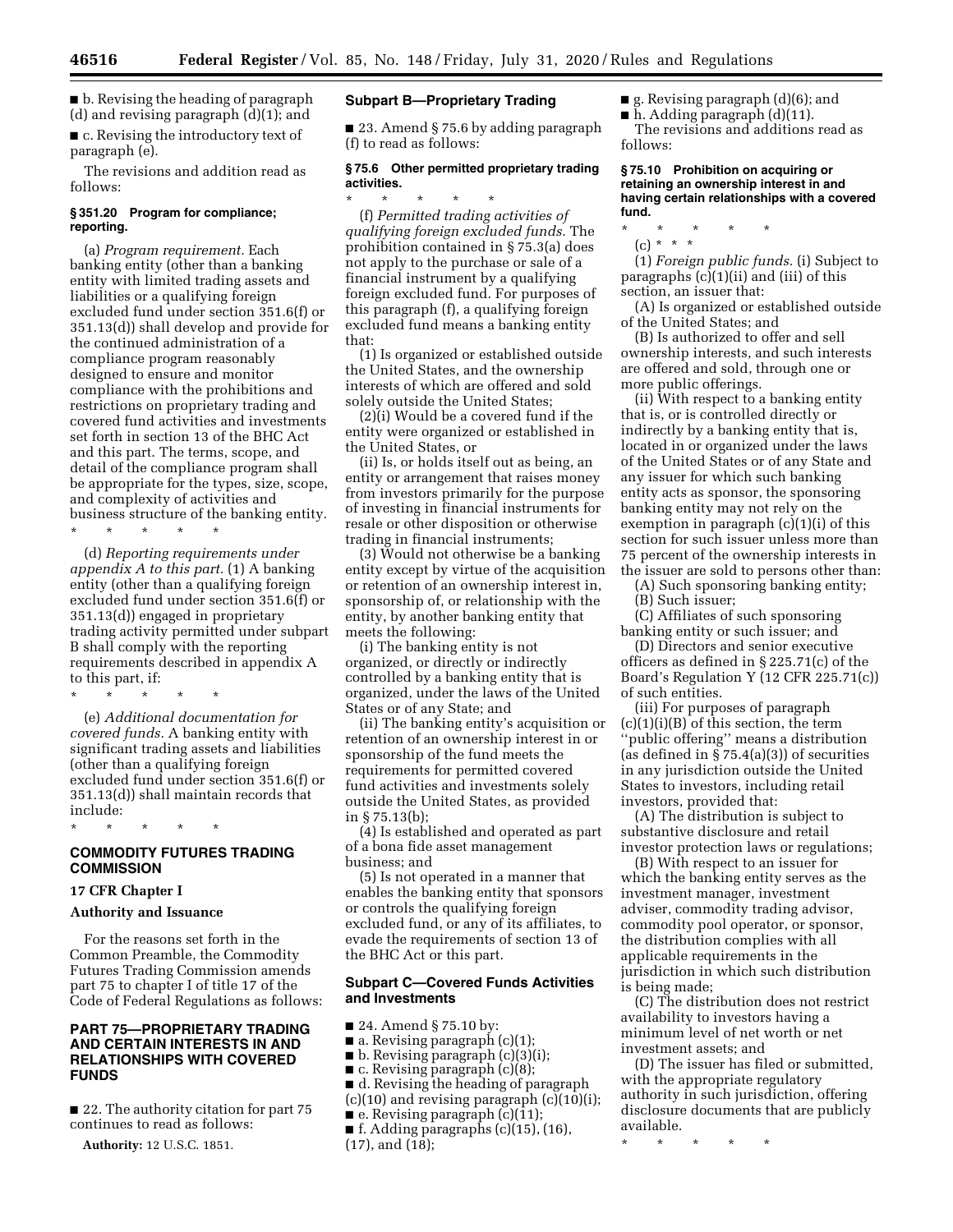■ b. Revising the heading of paragraph (d) and revising paragraph (d)(1); and

■ c. Revising the introductory text of paragraph (e).

The revisions and addition read as follows:

### **§ 351.20 Program for compliance; reporting.**

(a) *Program requirement.* Each banking entity (other than a banking entity with limited trading assets and liabilities or a qualifying foreign excluded fund under section 351.6(f) or 351.13(d)) shall develop and provide for the continued administration of a compliance program reasonably designed to ensure and monitor compliance with the prohibitions and restrictions on proprietary trading and covered fund activities and investments set forth in section 13 of the BHC Act and this part. The terms, scope, and detail of the compliance program shall be appropriate for the types, size, scope, and complexity of activities and business structure of the banking entity.

\* \* \* \* \*

(d) *Reporting requirements under appendix A to this part.* (1) A banking entity (other than a qualifying foreign excluded fund under section 351.6(f) or 351.13(d)) engaged in proprietary trading activity permitted under subpart B shall comply with the reporting requirements described in appendix A to this part, if:

\* \* \* \* \*

(e) *Additional documentation for covered funds.* A banking entity with significant trading assets and liabilities (other than a qualifying foreign excluded fund under section 351.6(f) or 351.13(d)) shall maintain records that include:

\* \* \* \* \* **COMMODITY FUTURES TRADING COMMISSION** 

# **17 CFR Chapter I**

# **Authority and Issuance**

For the reasons set forth in the Common Preamble, the Commodity Futures Trading Commission amends part 75 to chapter I of title 17 of the Code of Federal Regulations as follows:

# **PART 75—PROPRIETARY TRADING AND CERTAIN INTERESTS IN AND RELATIONSHIPS WITH COVERED FUNDS**

■ 22. The authority citation for part 75 continues to read as follows:

**Authority:** 12 U.S.C. 1851.

# **Subpart B—Proprietary Trading**

■ 23. Amend § 75.6 by adding paragraph (f) to read as follows:

# **§ 75.6 Other permitted proprietary trading activities.**

\* \* \* \* \* (f) *Permitted trading activities of qualifying foreign excluded funds.* The prohibition contained in § 75.3(a) does not apply to the purchase or sale of a financial instrument by a qualifying foreign excluded fund. For purposes of this paragraph (f), a qualifying foreign excluded fund means a banking entity that:

(1) Is organized or established outside the United States, and the ownership interests of which are offered and sold solely outside the United States;

(2)(i) Would be a covered fund if the entity were organized or established in the United States, or

(ii) Is, or holds itself out as being, an entity or arrangement that raises money from investors primarily for the purpose of investing in financial instruments for resale or other disposition or otherwise trading in financial instruments;

(3) Would not otherwise be a banking entity except by virtue of the acquisition or retention of an ownership interest in, sponsorship of, or relationship with the entity, by another banking entity that meets the following:

(i) The banking entity is not organized, or directly or indirectly controlled by a banking entity that is organized, under the laws of the United States or of any State; and

(ii) The banking entity's acquisition or retention of an ownership interest in or sponsorship of the fund meets the requirements for permitted covered fund activities and investments solely outside the United States, as provided in § 75.13(b);

(4) Is established and operated as part of a bona fide asset management business; and

(5) Is not operated in a manner that enables the banking entity that sponsors or controls the qualifying foreign excluded fund, or any of its affiliates, to evade the requirements of section 13 of the BHC Act or this part.

# **Subpart C—Covered Funds Activities and Investments**

- 24. Amend § 75.10 by:
- $\blacksquare$  a. Revising paragraph (c)(1);
- $\blacksquare$  b. Revising paragraph  $(c)(3)(i);$
- c. Revising paragraph (c)(8);
- d. Revising the heading of paragraph
- $(c)(10)$  and revising paragraph  $(c)(10)(i);$
- $\blacksquare$  e. Revising paragraph (c)(11);
- $\blacksquare$  f. Adding paragraphs (c)(15), (16), (17), and (18);

 $\blacksquare$  g. Revising paragraph  $(d)(6)$ ; and

■ h. Adding paragraph (d)(11).

The revisions and additions read as follows:

#### **§ 75.10 Prohibition on acquiring or retaining an ownership interest in and having certain relationships with a covered fund.**

\* \* \* \* \*

(c) \* \* \*

(1) *Foreign public funds.* (i) Subject to paragraphs  $(c)(1)(ii)$  and  $(iii)$  of this section, an issuer that:

(A) Is organized or established outside of the United States; and

(B) Is authorized to offer and sell ownership interests, and such interests are offered and sold, through one or more public offerings.

(ii) With respect to a banking entity that is, or is controlled directly or indirectly by a banking entity that is, located in or organized under the laws of the United States or of any State and any issuer for which such banking entity acts as sponsor, the sponsoring banking entity may not rely on the exemption in paragraph (c)(1)(i) of this section for such issuer unless more than 75 percent of the ownership interests in the issuer are sold to persons other than:

(A) Such sponsoring banking entity; (B) Such issuer;

(C) Affiliates of such sponsoring banking entity or such issuer; and

(D) Directors and senior executive officers as defined in § 225.71(c) of the Board's Regulation Y (12 CFR 225.71(c)) of such entities.

(iii) For purposes of paragraph  $(c)(1)(i)(B)$  of this section, the term ''public offering'' means a distribution (as defined in  $\S 75.4(a)(3)$ ) of securities in any jurisdiction outside the United States to investors, including retail investors, provided that:

(A) The distribution is subject to substantive disclosure and retail investor protection laws or regulations;

(B) With respect to an issuer for which the banking entity serves as the investment manager, investment adviser, commodity trading advisor, commodity pool operator, or sponsor, the distribution complies with all applicable requirements in the jurisdiction in which such distribution is being made;

(C) The distribution does not restrict availability to investors having a minimum level of net worth or net investment assets; and

(D) The issuer has filed or submitted, with the appropriate regulatory authority in such jurisdiction, offering disclosure documents that are publicly available.

\* \* \* \* \*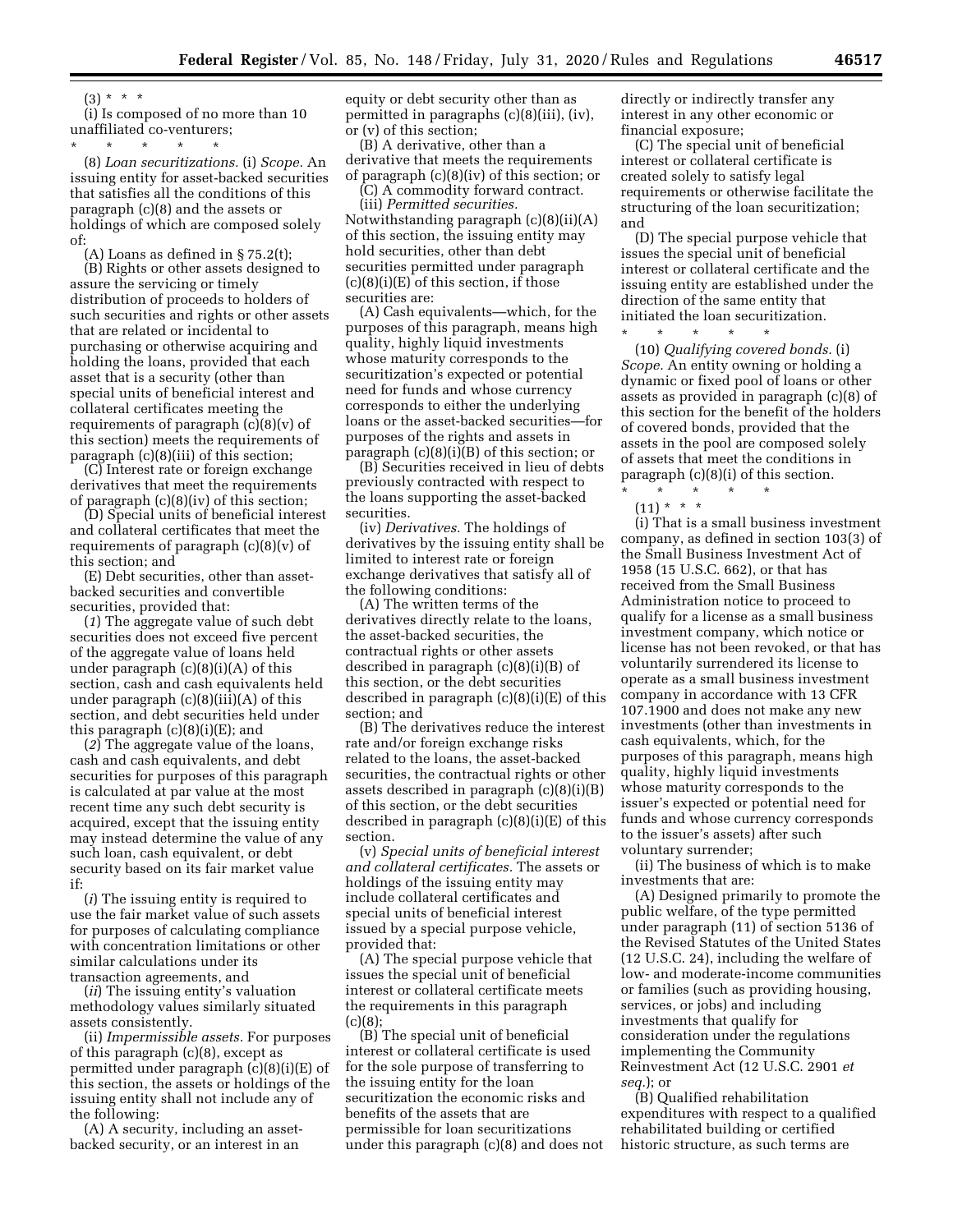$(3) * * * *$ 

\* \* \* \* \*

(i) Is composed of no more than 10 unaffiliated co-venturers;

(8) *Loan securitizations.* (i) *Scope.* An issuing entity for asset-backed securities that satisfies all the conditions of this paragraph (c)(8) and the assets or holdings of which are composed solely of:

(A) Loans as defined in  $\S 75.2(t)$ ; (B) Rights or other assets designed to assure the servicing or timely distribution of proceeds to holders of such securities and rights or other assets that are related or incidental to purchasing or otherwise acquiring and holding the loans, provided that each asset that is a security (other than special units of beneficial interest and collateral certificates meeting the requirements of paragraph (c)(8)(v) of this section) meets the requirements of paragraph (c)(8)(iii) of this section;

(C) Interest rate or foreign exchange derivatives that meet the requirements of paragraph (c)(8)(iv) of this section;

(D) Special units of beneficial interest and collateral certificates that meet the requirements of paragraph  $(c)(8)(v)$  of this section; and

(E) Debt securities, other than assetbacked securities and convertible securities, provided that:

(*1*) The aggregate value of such debt securities does not exceed five percent of the aggregate value of loans held under paragraph  $(c)(8)(i)(A)$  of this section, cash and cash equivalents held under paragraph (c)(8)(iii)(A) of this section, and debt securities held under this paragraph  $(c)(8)(i)(E)$ ; and

(*2*) The aggregate value of the loans, cash and cash equivalents, and debt securities for purposes of this paragraph is calculated at par value at the most recent time any such debt security is acquired, except that the issuing entity may instead determine the value of any such loan, cash equivalent, or debt security based on its fair market value if:

(*i*) The issuing entity is required to use the fair market value of such assets for purposes of calculating compliance with concentration limitations or other similar calculations under its transaction agreements, and

(*ii*) The issuing entity's valuation methodology values similarly situated assets consistently.

(ii) *Impermissible assets.* For purposes of this paragraph (c)(8), except as permitted under paragraph (c)(8)(i)(E) of this section, the assets or holdings of the issuing entity shall not include any of the following:

(A) A security, including an assetbacked security, or an interest in an

equity or debt security other than as permitted in paragraphs (c)(8)(iii), (iv), or (v) of this section;

(B) A derivative, other than a derivative that meets the requirements of paragraph (c)(8)(iv) of this section; or (C) A commodity forward contract.

(iii) *Permitted securities.*  Notwithstanding paragraph (c)(8)(ii)(A) of this section, the issuing entity may hold securities, other than debt securities permitted under paragraph  $(c)(8)(i)(E)$  of this section, if those securities are:

(A) Cash equivalents—which, for the purposes of this paragraph, means high quality, highly liquid investments whose maturity corresponds to the securitization's expected or potential need for funds and whose currency corresponds to either the underlying loans or the asset-backed securities—for purposes of the rights and assets in paragraph  $(c)(8)(i)(B)$  of this section; or

(B) Securities received in lieu of debts previously contracted with respect to the loans supporting the asset-backed securities.

(iv) *Derivatives.* The holdings of derivatives by the issuing entity shall be limited to interest rate or foreign exchange derivatives that satisfy all of the following conditions:

(A) The written terms of the derivatives directly relate to the loans, the asset-backed securities, the contractual rights or other assets described in paragraph (c)(8)(i)(B) of this section, or the debt securities described in paragraph (c)(8)(i)(E) of this section; and

(B) The derivatives reduce the interest rate and/or foreign exchange risks related to the loans, the asset-backed securities, the contractual rights or other assets described in paragraph (c)(8)(i)(B) of this section, or the debt securities described in paragraph (c)(8)(i)(E) of this section.

(v) *Special units of beneficial interest and collateral certificates.* The assets or holdings of the issuing entity may include collateral certificates and special units of beneficial interest issued by a special purpose vehicle, provided that:

(A) The special purpose vehicle that issues the special unit of beneficial interest or collateral certificate meets the requirements in this paragraph  $(c)(8)$ ;

(B) The special unit of beneficial interest or collateral certificate is used for the sole purpose of transferring to the issuing entity for the loan securitization the economic risks and benefits of the assets that are permissible for loan securitizations under this paragraph (c)(8) and does not directly or indirectly transfer any interest in any other economic or financial exposure;

(C) The special unit of beneficial interest or collateral certificate is created solely to satisfy legal requirements or otherwise facilitate the structuring of the loan securitization; and

(D) The special purpose vehicle that issues the special unit of beneficial interest or collateral certificate and the issuing entity are established under the direction of the same entity that initiated the loan securitization.

\* \* \* \* \* (10) *Qualifying covered bonds.* (i) *Scope.* An entity owning or holding a dynamic or fixed pool of loans or other assets as provided in paragraph (c)(8) of this section for the benefit of the holders of covered bonds, provided that the assets in the pool are composed solely of assets that meet the conditions in paragraph (c)(8)(i) of this section.

\* \* \* \* \*  $(11) * * * *$ 

(i) That is a small business investment company, as defined in section 103(3) of the Small Business Investment Act of 1958 (15 U.S.C. 662), or that has received from the Small Business Administration notice to proceed to qualify for a license as a small business investment company, which notice or license has not been revoked, or that has voluntarily surrendered its license to operate as a small business investment company in accordance with 13 CFR 107.1900 and does not make any new investments (other than investments in cash equivalents, which, for the purposes of this paragraph, means high quality, highly liquid investments whose maturity corresponds to the issuer's expected or potential need for funds and whose currency corresponds to the issuer's assets) after such voluntary surrender;

(ii) The business of which is to make investments that are:

(A) Designed primarily to promote the public welfare, of the type permitted under paragraph (11) of section 5136 of the Revised Statutes of the United States (12 U.S.C. 24), including the welfare of low- and moderate-income communities or families (such as providing housing, services, or jobs) and including investments that qualify for consideration under the regulations implementing the Community Reinvestment Act (12 U.S.C. 2901 *et seq.*); or

(B) Qualified rehabilitation expenditures with respect to a qualified rehabilitated building or certified historic structure, as such terms are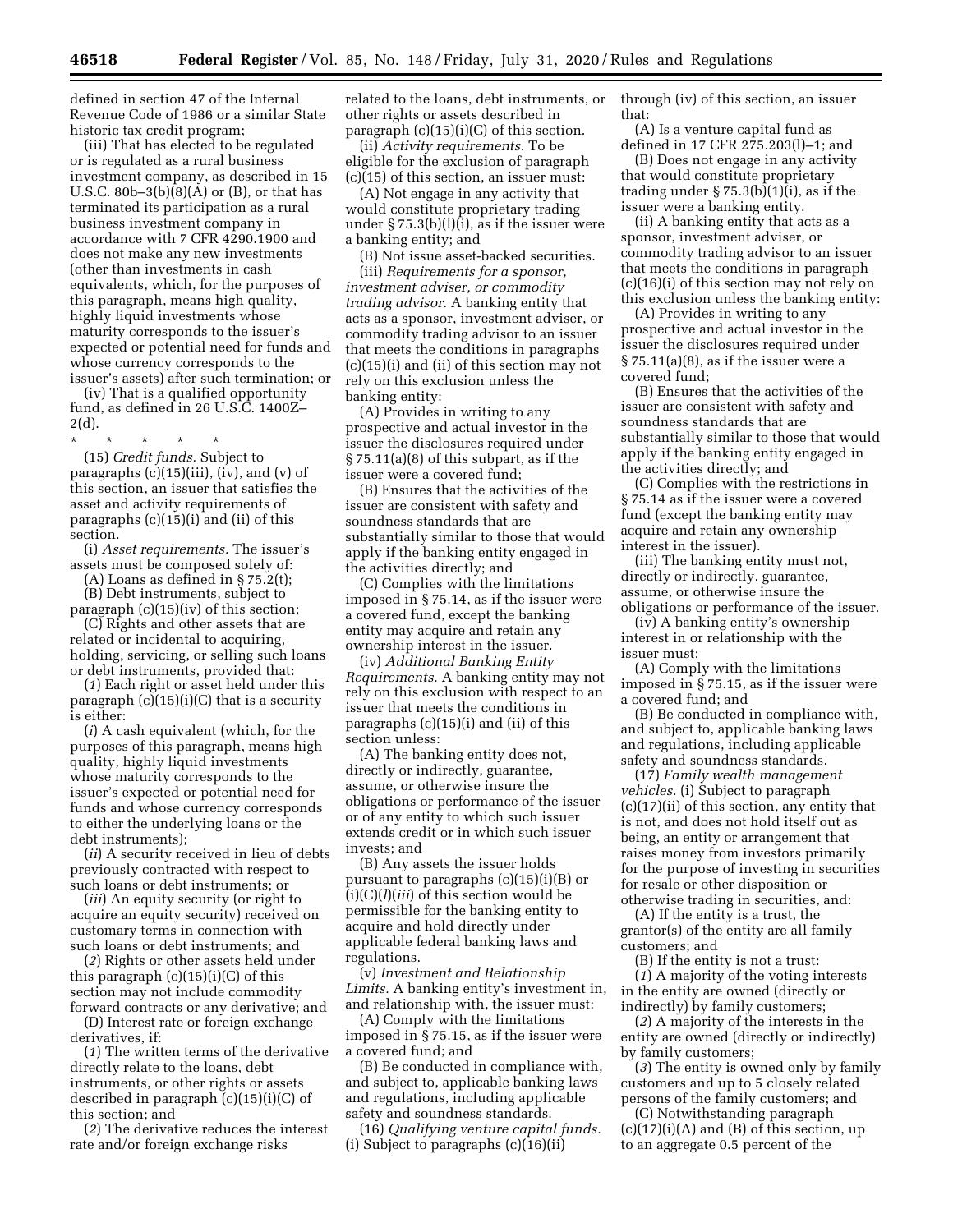defined in section 47 of the Internal Revenue Code of 1986 or a similar State historic tax credit program;

(iii) That has elected to be regulated or is regulated as a rural business investment company, as described in 15 U.S.C. 80 $b-3(b)(8)(A)$  or (B), or that has terminated its participation as a rural business investment company in accordance with 7 CFR 4290.1900 and does not make any new investments (other than investments in cash equivalents, which, for the purposes of this paragraph, means high quality, highly liquid investments whose maturity corresponds to the issuer's expected or potential need for funds and whose currency corresponds to the issuer's assets) after such termination; or

(iv) That is a qualified opportunity fund, as defined in 26 U.S.C. 1400Z– 2(d).

\* \* \* \* \* (15) *Credit funds.* Subject to paragraphs  $(c)(15)(iii)$ ,  $(iv)$ , and  $(v)$  of this section, an issuer that satisfies the asset and activity requirements of paragraphs (c)(15)(i) and (ii) of this section.

(i) *Asset requirements.* The issuer's assets must be composed solely of:

(A) Loans as defined in  $\S 75.2(t)$ ;

(B) Debt instruments, subject to paragraph (c)(15)(iv) of this section;

(C) Rights and other assets that are related or incidental to acquiring, holding, servicing, or selling such loans or debt instruments, provided that:

(*1*) Each right or asset held under this paragraph  $(c)(15)(i)(C)$  that is a security is either:

(*i*) A cash equivalent (which, for the purposes of this paragraph, means high quality, highly liquid investments whose maturity corresponds to the issuer's expected or potential need for funds and whose currency corresponds to either the underlying loans or the debt instruments);

(*ii*) A security received in lieu of debts previously contracted with respect to such loans or debt instruments; or

(*iii*) An equity security (or right to acquire an equity security) received on customary terms in connection with such loans or debt instruments; and

(*2*) Rights or other assets held under this paragraph  $(c)(15)(i)(C)$  of this section may not include commodity forward contracts or any derivative; and

(D) Interest rate or foreign exchange derivatives, if:

(*1*) The written terms of the derivative directly relate to the loans, debt instruments, or other rights or assets described in paragraph (c)(15)(i)(C) of this section; and

(*2*) The derivative reduces the interest rate and/or foreign exchange risks

related to the loans, debt instruments, or other rights or assets described in paragraph  $(c)(15)(i)(C)$  of this section.

(ii) *Activity requirements.* To be eligible for the exclusion of paragraph (c)(15) of this section, an issuer must:

(A) Not engage in any activity that would constitute proprietary trading under § 75.3(b)(l)(i), as if the issuer were a banking entity; and

(B) Not issue asset-backed securities. (iii) *Requirements for a sponsor, investment adviser, or commodity trading advisor.* A banking entity that acts as a sponsor, investment adviser, or commodity trading advisor to an issuer that meets the conditions in paragraphs (c)(15)(i) and (ii) of this section may not rely on this exclusion unless the

banking entity:

(A) Provides in writing to any prospective and actual investor in the issuer the disclosures required under § 75.11(a)(8) of this subpart, as if the issuer were a covered fund;

(B) Ensures that the activities of the issuer are consistent with safety and soundness standards that are substantially similar to those that would apply if the banking entity engaged in the activities directly; and

(C) Complies with the limitations imposed in § 75.14, as if the issuer were a covered fund, except the banking entity may acquire and retain any ownership interest in the issuer.

(iv) *Additional Banking Entity Requirements.* A banking entity may not rely on this exclusion with respect to an issuer that meets the conditions in paragraphs (c)(15)(i) and (ii) of this section unless:

(A) The banking entity does not, directly or indirectly, guarantee, assume, or otherwise insure the obligations or performance of the issuer or of any entity to which such issuer extends credit or in which such issuer invests; and

(B) Any assets the issuer holds pursuant to paragraphs (c)(15)(i)(B) or (i)(C)(*l*)(*iii*) of this section would be permissible for the banking entity to acquire and hold directly under applicable federal banking laws and regulations.

(v) *Investment and Relationship Limits.* A banking entity's investment in, and relationship with, the issuer must:

(A) Comply with the limitations imposed in § 75.15, as if the issuer were a covered fund; and

(B) Be conducted in compliance with, and subject to, applicable banking laws and regulations, including applicable safety and soundness standards.

(16) *Qualifying venture capital funds.*  (i) Subject to paragraphs (c)(16)(ii)

through (iv) of this section, an issuer that:

(A) Is a venture capital fund as defined in 17 CFR 275.203(l)–1; and

(B) Does not engage in any activity that would constitute proprietary trading under § 75.3(b)(1)(i), as if the issuer were a banking entity.

(ii) A banking entity that acts as a sponsor, investment adviser, or commodity trading advisor to an issuer that meets the conditions in paragraph (c)(16)(i) of this section may not rely on this exclusion unless the banking entity:

(A) Provides in writing to any prospective and actual investor in the issuer the disclosures required under § 75.11(a)(8), as if the issuer were a covered fund;

(B) Ensures that the activities of the issuer are consistent with safety and soundness standards that are substantially similar to those that would apply if the banking entity engaged in the activities directly; and

(C) Complies with the restrictions in § 75.14 as if the issuer were a covered fund (except the banking entity may acquire and retain any ownership interest in the issuer).

(iii) The banking entity must not, directly or indirectly, guarantee, assume, or otherwise insure the obligations or performance of the issuer.

(iv) A banking entity's ownership interest in or relationship with the issuer must:

(A) Comply with the limitations imposed in § 75.15, as if the issuer were a covered fund; and

(B) Be conducted in compliance with, and subject to, applicable banking laws and regulations, including applicable safety and soundness standards.

(17) *Family wealth management vehicles.* (i) Subject to paragraph (c)(17)(ii) of this section, any entity that is not, and does not hold itself out as being, an entity or arrangement that raises money from investors primarily for the purpose of investing in securities for resale or other disposition or otherwise trading in securities, and:

(A) If the entity is a trust, the grantor(s) of the entity are all family customers; and

(B) If the entity is not a trust:

(*1*) A majority of the voting interests in the entity are owned (directly or indirectly) by family customers;

(*2*) A majority of the interests in the entity are owned (directly or indirectly) by family customers;

(*3*) The entity is owned only by family customers and up to 5 closely related persons of the family customers; and

(C) Notwithstanding paragraph  $(c)(17)(i)(A)$  and  $(B)$  of this section, up to an aggregate 0.5 percent of the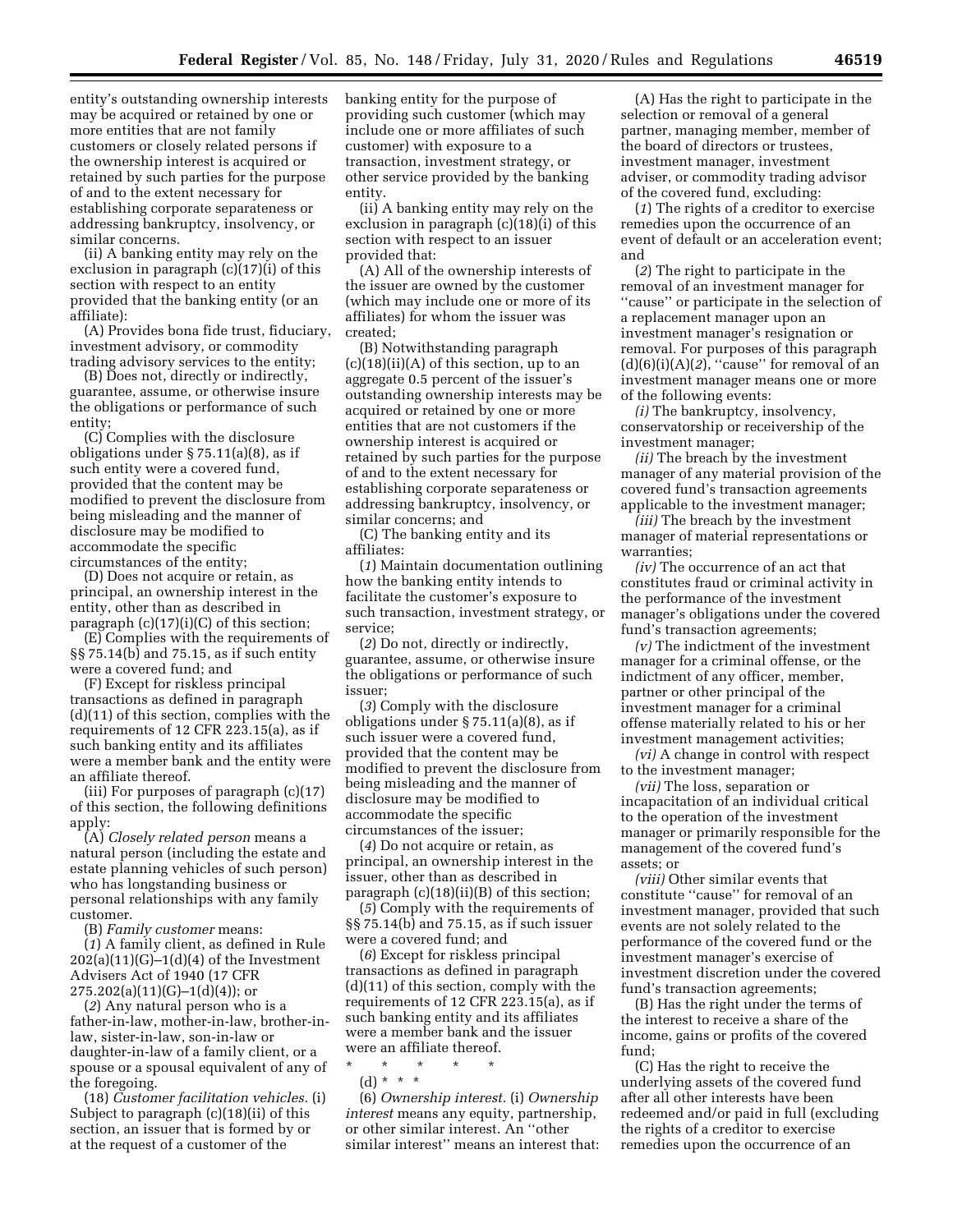entity's outstanding ownership interests may be acquired or retained by one or more entities that are not family customers or closely related persons if the ownership interest is acquired or retained by such parties for the purpose of and to the extent necessary for establishing corporate separateness or addressing bankruptcy, insolvency, or similar concerns.

(ii) A banking entity may rely on the exclusion in paragraph (c)(17)(i) of this section with respect to an entity provided that the banking entity (or an affiliate):

(A) Provides bona fide trust, fiduciary, investment advisory, or commodity trading advisory services to the entity;

(B) Does not, directly or indirectly, guarantee, assume, or otherwise insure the obligations or performance of such entity;

(C) Complies with the disclosure obligations under § 75.11(a)(8), as if such entity were a covered fund, provided that the content may be modified to prevent the disclosure from being misleading and the manner of disclosure may be modified to accommodate the specific circumstances of the entity;

(D) Does not acquire or retain, as principal, an ownership interest in the entity, other than as described in paragraph  $(c)(17)(i)(C)$  of this section;

(E) Complies with the requirements of §§ 75.14(b) and 75.15, as if such entity were a covered fund; and

(F) Except for riskless principal transactions as defined in paragraph (d)(11) of this section, complies with the requirements of 12 CFR 223.15(a), as if such banking entity and its affiliates were a member bank and the entity were an affiliate thereof.

(iii) For purposes of paragraph (c)(17) of this section, the following definitions apply:

(A) *Closely related person* means a natural person (including the estate and estate planning vehicles of such person) who has longstanding business or personal relationships with any family customer.

(B) *Family customer* means:

(*1*) A family client, as defined in Rule  $202(a)(11)(G)-1(d)(4)$  of the Investment Advisers Act of 1940 (17 CFR  $275.202(a)(11)(G)-1(d)(4)$ ; or

(*2*) Any natural person who is a father-in-law, mother-in-law, brother-inlaw, sister-in-law, son-in-law or daughter-in-law of a family client, or a spouse or a spousal equivalent of any of the foregoing.

(18) *Customer facilitation vehicles.* (i) Subject to paragraph (c)(18)(ii) of this section, an issuer that is formed by or at the request of a customer of the

banking entity for the purpose of providing such customer (which may include one or more affiliates of such customer) with exposure to a transaction, investment strategy, or other service provided by the banking entity.

(ii) A banking entity may rely on the exclusion in paragraph (c)(18)(i) of this section with respect to an issuer provided that:

(A) All of the ownership interests of the issuer are owned by the customer (which may include one or more of its affiliates) for whom the issuer was created;

(B) Notwithstanding paragraph  $(c)(18)(ii)(A)$  of this section, up to an aggregate 0.5 percent of the issuer's outstanding ownership interests may be acquired or retained by one or more entities that are not customers if the ownership interest is acquired or retained by such parties for the purpose of and to the extent necessary for establishing corporate separateness or addressing bankruptcy, insolvency, or similar concerns; and

(C) The banking entity and its affiliates:

(*1*) Maintain documentation outlining how the banking entity intends to facilitate the customer's exposure to such transaction, investment strategy, or service;

(*2*) Do not, directly or indirectly, guarantee, assume, or otherwise insure the obligations or performance of such issuer;

(*3*) Comply with the disclosure obligations under § 75.11(a)(8), as if such issuer were a covered fund, provided that the content may be modified to prevent the disclosure from being misleading and the manner of disclosure may be modified to accommodate the specific circumstances of the issuer;

(*4*) Do not acquire or retain, as principal, an ownership interest in the issuer, other than as described in paragraph (c)(18)(ii)(B) of this section;

(*5*) Comply with the requirements of §§ 75.14(b) and 75.15, as if such issuer were a covered fund; and

(*6*) Except for riskless principal transactions as defined in paragraph (d)(11) of this section, comply with the requirements of 12 CFR 223.15(a), as if such banking entity and its affiliates were a member bank and the issuer were an affiliate thereof.

\* \* \* \* \* (d) \* \* \*

(6) *Ownership interest.* (i) *Ownership interest* means any equity, partnership, or other similar interest. An ''other similar interest'' means an interest that:

(A) Has the right to participate in the selection or removal of a general partner, managing member, member of the board of directors or trustees, investment manager, investment adviser, or commodity trading advisor of the covered fund, excluding:

(*1*) The rights of a creditor to exercise remedies upon the occurrence of an event of default or an acceleration event; and

(*2*) The right to participate in the removal of an investment manager for ''cause'' or participate in the selection of a replacement manager upon an investment manager's resignation or removal. For purposes of this paragraph  $(d)(6)(i)(A)(2)$ , "cause" for removal of an investment manager means one or more of the following events:

*(i)* The bankruptcy, insolvency, conservatorship or receivership of the investment manager;

*(ii)* The breach by the investment manager of any material provision of the covered fund's transaction agreements applicable to the investment manager;

*(iii)* The breach by the investment manager of material representations or warranties;

*(iv)* The occurrence of an act that constitutes fraud or criminal activity in the performance of the investment manager's obligations under the covered fund's transaction agreements;

*(v)* The indictment of the investment manager for a criminal offense, or the indictment of any officer, member, partner or other principal of the investment manager for a criminal offense materially related to his or her investment management activities;

*(vi)* A change in control with respect to the investment manager;

*(vii)* The loss, separation or incapacitation of an individual critical to the operation of the investment manager or primarily responsible for the management of the covered fund's assets; or

*(viii)* Other similar events that constitute ''cause'' for removal of an investment manager, provided that such events are not solely related to the performance of the covered fund or the investment manager's exercise of investment discretion under the covered fund's transaction agreements;

(B) Has the right under the terms of the interest to receive a share of the income, gains or profits of the covered fund;

(C) Has the right to receive the underlying assets of the covered fund after all other interests have been redeemed and/or paid in full (excluding the rights of a creditor to exercise remedies upon the occurrence of an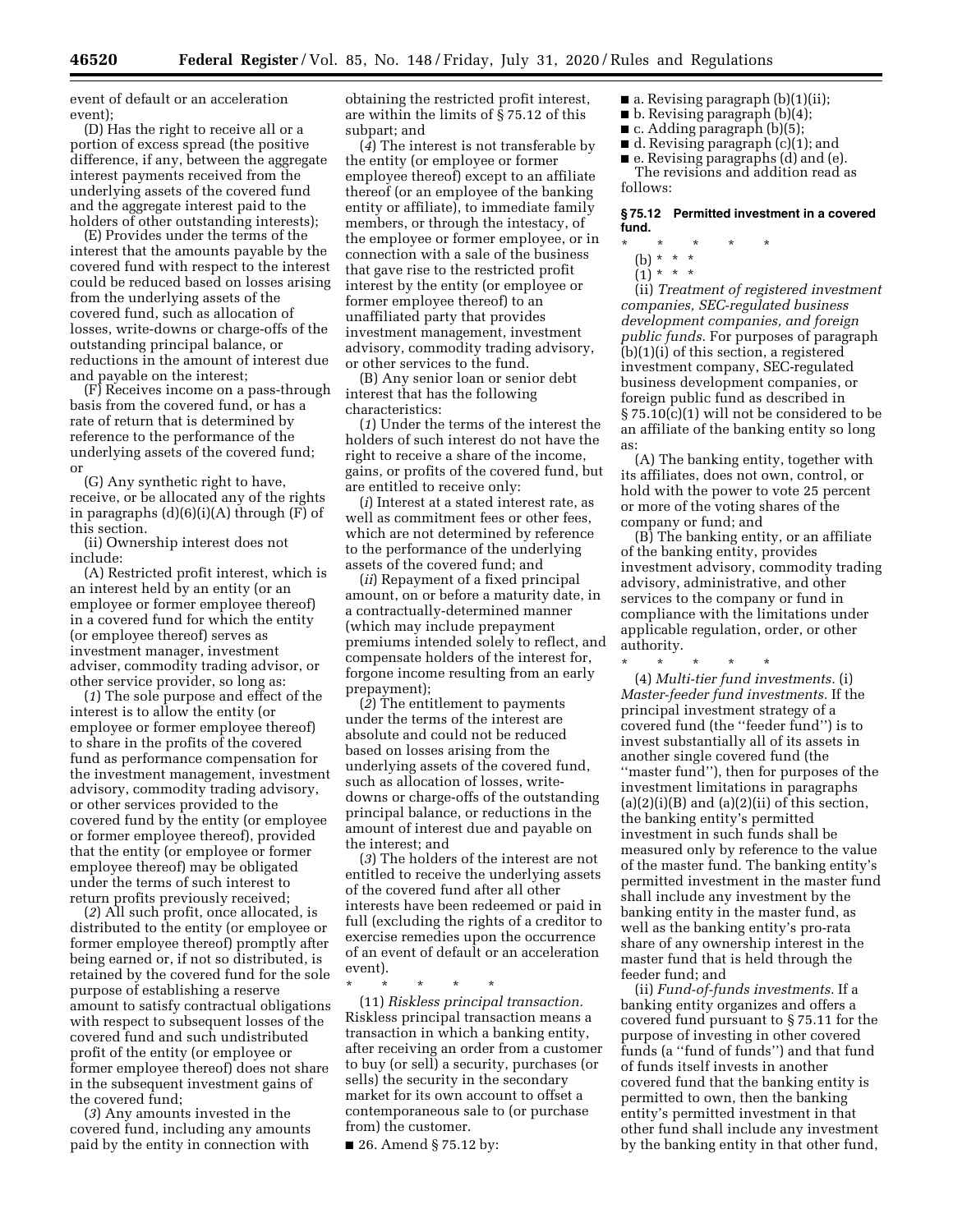event of default or an acceleration event);

(D) Has the right to receive all or a portion of excess spread (the positive difference, if any, between the aggregate interest payments received from the underlying assets of the covered fund and the aggregate interest paid to the holders of other outstanding interests);

(E) Provides under the terms of the interest that the amounts payable by the covered fund with respect to the interest could be reduced based on losses arising from the underlying assets of the covered fund, such as allocation of losses, write-downs or charge-offs of the outstanding principal balance, or reductions in the amount of interest due and payable on the interest;

(F) Receives income on a pass-through basis from the covered fund, or has a rate of return that is determined by reference to the performance of the underlying assets of the covered fund; or

(G) Any synthetic right to have, receive, or be allocated any of the rights in paragraphs (d)(6)(i)(A) through (F) of this section.

(ii) Ownership interest does not include:

(A) Restricted profit interest, which is an interest held by an entity (or an employee or former employee thereof) in a covered fund for which the entity (or employee thereof) serves as investment manager, investment adviser, commodity trading advisor, or other service provider, so long as:

(*1*) The sole purpose and effect of the interest is to allow the entity (or employee or former employee thereof) to share in the profits of the covered fund as performance compensation for the investment management, investment advisory, commodity trading advisory, or other services provided to the covered fund by the entity (or employee or former employee thereof), provided that the entity (or employee or former employee thereof) may be obligated under the terms of such interest to return profits previously received;

(*2*) All such profit, once allocated, is distributed to the entity (or employee or former employee thereof) promptly after being earned or, if not so distributed, is retained by the covered fund for the sole purpose of establishing a reserve amount to satisfy contractual obligations with respect to subsequent losses of the covered fund and such undistributed profit of the entity (or employee or former employee thereof) does not share in the subsequent investment gains of the covered fund;

(*3*) Any amounts invested in the covered fund, including any amounts paid by the entity in connection with

obtaining the restricted profit interest, are within the limits of § 75.12 of this subpart; and

(*4*) The interest is not transferable by the entity (or employee or former employee thereof) except to an affiliate thereof (or an employee of the banking entity or affiliate), to immediate family members, or through the intestacy, of the employee or former employee, or in connection with a sale of the business that gave rise to the restricted profit interest by the entity (or employee or former employee thereof) to an unaffiliated party that provides investment management, investment advisory, commodity trading advisory, or other services to the fund.

(B) Any senior loan or senior debt interest that has the following characteristics:

(*1*) Under the terms of the interest the holders of such interest do not have the right to receive a share of the income, gains, or profits of the covered fund, but are entitled to receive only:

(*i*) Interest at a stated interest rate, as well as commitment fees or other fees, which are not determined by reference to the performance of the underlying assets of the covered fund; and

(*ii*) Repayment of a fixed principal amount, on or before a maturity date, in a contractually-determined manner (which may include prepayment premiums intended solely to reflect, and compensate holders of the interest for, forgone income resulting from an early prepayment);

(*2*) The entitlement to payments under the terms of the interest are absolute and could not be reduced based on losses arising from the underlying assets of the covered fund, such as allocation of losses, writedowns or charge-offs of the outstanding principal balance, or reductions in the amount of interest due and payable on the interest; and

(*3*) The holders of the interest are not entitled to receive the underlying assets of the covered fund after all other interests have been redeemed or paid in full (excluding the rights of a creditor to exercise remedies upon the occurrence of an event of default or an acceleration event).

\* \* \* \* \*

(11) *Riskless principal transaction.*  Riskless principal transaction means a transaction in which a banking entity, after receiving an order from a customer to buy (or sell) a security, purchases (or sells) the security in the secondary market for its own account to offset a contemporaneous sale to (or purchase from) the customer.

■ 26. Amend § 75.12 by:

- $\blacksquare$  a. Revising paragraph (b)(1)(ii);
- $\blacksquare$  b. Revising paragraph (b)(4);
- c. Adding paragraph (b)(5);
- d. Revising paragraph (c)(1); and ■ e. Revising paragraphs (d) and (e).

The revisions and addition read as follows:

### **§ 75.12 Permitted investment in a covered fund.**

- \* \* \* \* \*
	- (b) \* \* \*
	- $(1)^*$  \* \*

(ii) *Treatment of registered investment companies, SEC-regulated business development companies, and foreign public funds.* For purposes of paragraph (b)(1)(i) of this section, a registered investment company, SEC-regulated business development companies, or foreign public fund as described in § 75.10(c)(1) will not be considered to be an affiliate of the banking entity so long as:

(A) The banking entity, together with its affiliates, does not own, control, or hold with the power to vote 25 percent or more of the voting shares of the company or fund; and

(B) The banking entity, or an affiliate of the banking entity, provides investment advisory, commodity trading advisory, administrative, and other services to the company or fund in compliance with the limitations under applicable regulation, order, or other authority.

\* \* \* \* \*

(4) *Multi-tier fund investments.* (i) *Master-feeder fund investments.* If the principal investment strategy of a covered fund (the ''feeder fund'') is to invest substantially all of its assets in another single covered fund (the ''master fund''), then for purposes of the investment limitations in paragraphs  $(a)(2)(i)(B)$  and  $(a)(2)(ii)$  of this section, the banking entity's permitted investment in such funds shall be measured only by reference to the value of the master fund. The banking entity's permitted investment in the master fund shall include any investment by the banking entity in the master fund, as well as the banking entity's pro-rata share of any ownership interest in the master fund that is held through the feeder fund; and

(ii) *Fund-of-funds investments.* If a banking entity organizes and offers a covered fund pursuant to § 75.11 for the purpose of investing in other covered funds (a ''fund of funds'') and that fund of funds itself invests in another covered fund that the banking entity is permitted to own, then the banking entity's permitted investment in that other fund shall include any investment by the banking entity in that other fund,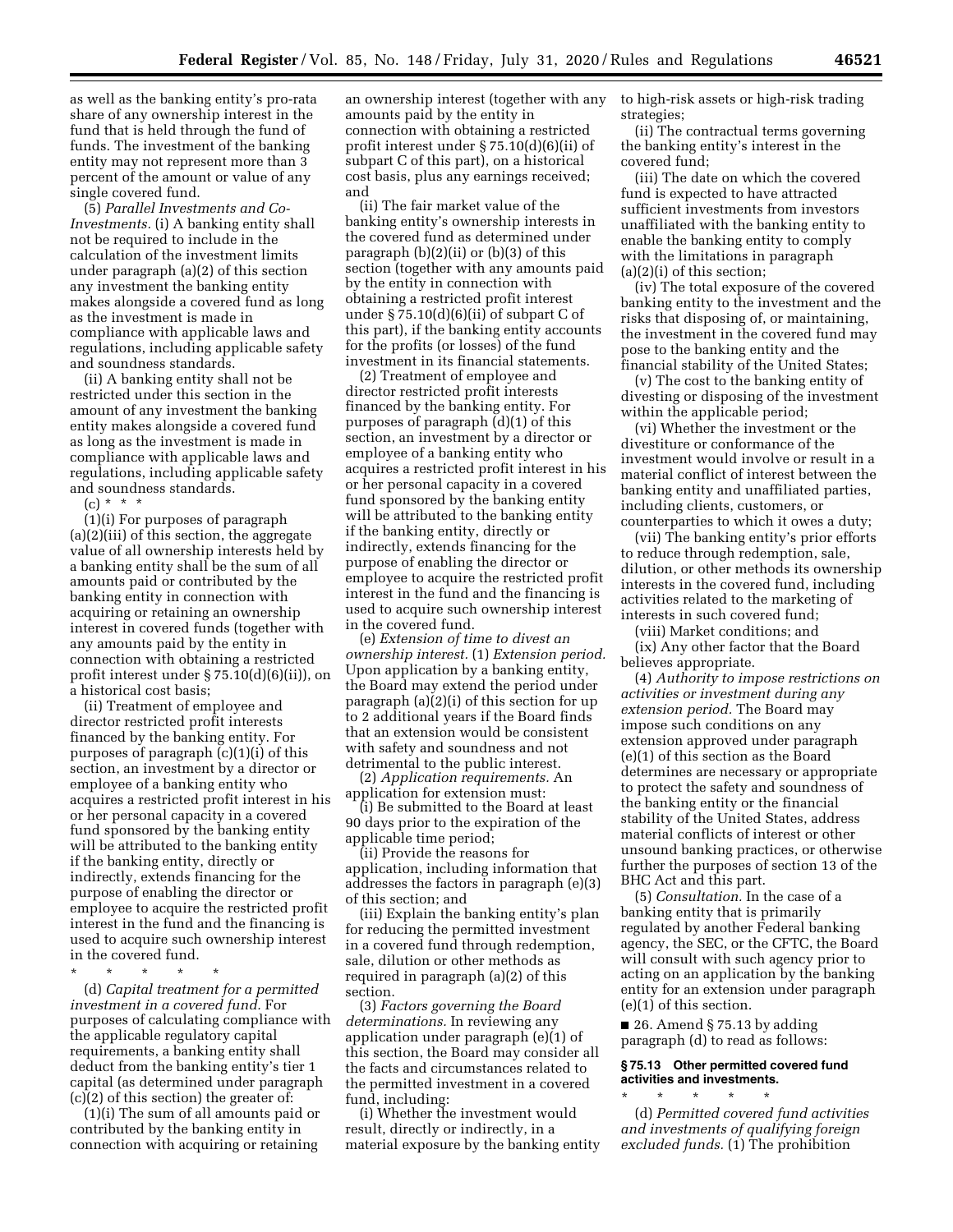as well as the banking entity's pro-rata share of any ownership interest in the fund that is held through the fund of funds. The investment of the banking entity may not represent more than 3 percent of the amount or value of any single covered fund.

(5) *Parallel Investments and Co-Investments.* (i) A banking entity shall not be required to include in the calculation of the investment limits under paragraph (a)(2) of this section any investment the banking entity makes alongside a covered fund as long as the investment is made in compliance with applicable laws and regulations, including applicable safety and soundness standards.

(ii) A banking entity shall not be restricted under this section in the amount of any investment the banking entity makes alongside a covered fund as long as the investment is made in compliance with applicable laws and regulations, including applicable safety and soundness standards.

 $(c) * * * *$ 

(1)(i) For purposes of paragraph (a)(2)(iii) of this section, the aggregate value of all ownership interests held by a banking entity shall be the sum of all amounts paid or contributed by the banking entity in connection with acquiring or retaining an ownership interest in covered funds (together with any amounts paid by the entity in connection with obtaining a restricted profit interest under § 75.10(d)(6)(ii)), on a historical cost basis;

(ii) Treatment of employee and director restricted profit interests financed by the banking entity. For purposes of paragraph (c)(1)(i) of this section, an investment by a director or employee of a banking entity who acquires a restricted profit interest in his or her personal capacity in a covered fund sponsored by the banking entity will be attributed to the banking entity if the banking entity, directly or indirectly, extends financing for the purpose of enabling the director or employee to acquire the restricted profit interest in the fund and the financing is used to acquire such ownership interest in the covered fund.

\* \* \* \* \*

(d) *Capital treatment for a permitted investment in a covered fund.* For purposes of calculating compliance with the applicable regulatory capital requirements, a banking entity shall deduct from the banking entity's tier 1 capital (as determined under paragraph (c)(2) of this section) the greater of:

(1)(i) The sum of all amounts paid or contributed by the banking entity in connection with acquiring or retaining

an ownership interest (together with any amounts paid by the entity in connection with obtaining a restricted profit interest under § 75.10(d)(6)(ii) of subpart C of this part), on a historical cost basis, plus any earnings received; and

(ii) The fair market value of the banking entity's ownership interests in the covered fund as determined under paragraph  $(b)(2)(ii)$  or  $(b)(3)$  of this section (together with any amounts paid by the entity in connection with obtaining a restricted profit interest under  $\S 75.10(d)(6)(ii)$  of subpart C of this part), if the banking entity accounts for the profits (or losses) of the fund investment in its financial statements.

(2) Treatment of employee and director restricted profit interests financed by the banking entity. For purposes of paragraph (d)(1) of this section, an investment by a director or employee of a banking entity who acquires a restricted profit interest in his or her personal capacity in a covered fund sponsored by the banking entity will be attributed to the banking entity if the banking entity, directly or indirectly, extends financing for the purpose of enabling the director or employee to acquire the restricted profit interest in the fund and the financing is used to acquire such ownership interest in the covered fund.

(e) *Extension of time to divest an ownership interest.* (1) *Extension period.*  Upon application by a banking entity, the Board may extend the period under paragraph (a)(2)(i) of this section for up to 2 additional years if the Board finds that an extension would be consistent with safety and soundness and not detrimental to the public interest.

(2) *Application requirements.* An application for extension must: (i) Be submitted to the Board at least

90 days prior to the expiration of the applicable time period; (ii) Provide the reasons for

application, including information that addresses the factors in paragraph (e)(3) of this section; and

(iii) Explain the banking entity's plan for reducing the permitted investment in a covered fund through redemption, sale, dilution or other methods as required in paragraph (a)(2) of this section.

(3) *Factors governing the Board determinations.* In reviewing any application under paragraph (e)(1) of this section, the Board may consider all the facts and circumstances related to the permitted investment in a covered fund, including:

(i) Whether the investment would result, directly or indirectly, in a material exposure by the banking entity to high-risk assets or high-risk trading strategies;

(ii) The contractual terms governing the banking entity's interest in the covered fund;

(iii) The date on which the covered fund is expected to have attracted sufficient investments from investors unaffiliated with the banking entity to enable the banking entity to comply with the limitations in paragraph (a)(2)(i) of this section;

(iv) The total exposure of the covered banking entity to the investment and the risks that disposing of, or maintaining, the investment in the covered fund may pose to the banking entity and the financial stability of the United States;

(v) The cost to the banking entity of divesting or disposing of the investment within the applicable period;

(vi) Whether the investment or the divestiture or conformance of the investment would involve or result in a material conflict of interest between the banking entity and unaffiliated parties, including clients, customers, or counterparties to which it owes a duty;

(vii) The banking entity's prior efforts to reduce through redemption, sale, dilution, or other methods its ownership interests in the covered fund, including activities related to the marketing of interests in such covered fund;

(viii) Market conditions; and (ix) Any other factor that the Board believes appropriate.

(4) *Authority to impose restrictions on activities or investment during any extension period.* The Board may impose such conditions on any extension approved under paragraph (e)(1) of this section as the Board determines are necessary or appropriate to protect the safety and soundness of the banking entity or the financial stability of the United States, address material conflicts of interest or other unsound banking practices, or otherwise further the purposes of section 13 of the BHC Act and this part.

(5) *Consultation.* In the case of a banking entity that is primarily regulated by another Federal banking agency, the SEC, or the CFTC, the Board will consult with such agency prior to acting on an application by the banking entity for an extension under paragraph (e)(1) of this section.

 $\blacksquare$  26. Amend § 75.13 by adding paragraph (d) to read as follows:

### **§ 75.13 Other permitted covered fund activities and investments.**

\* \* \* \* \* (d) *Permitted covered fund activities and investments of qualifying foreign excluded funds.* (1) The prohibition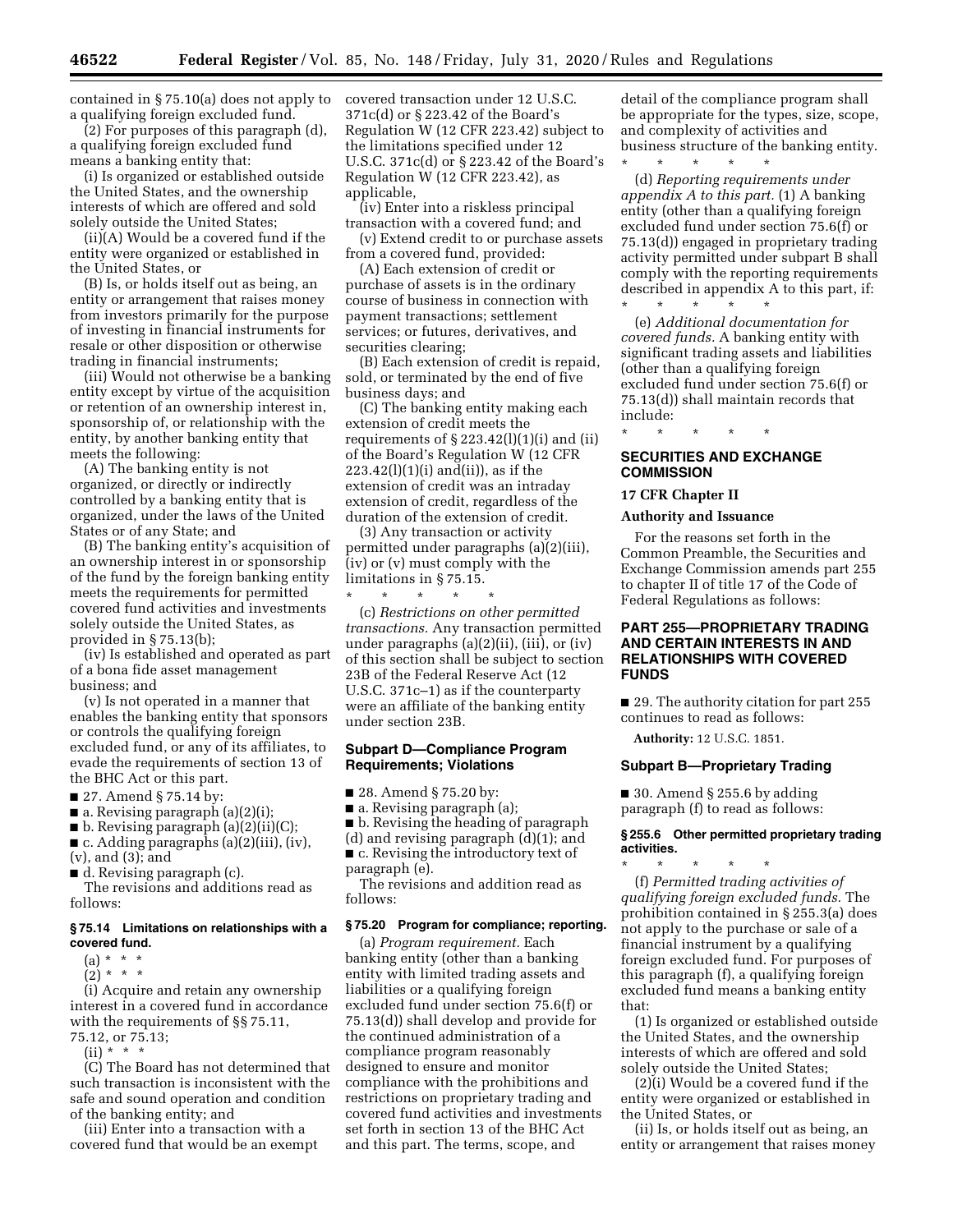contained in § 75.10(a) does not apply to a qualifying foreign excluded fund.

(2) For purposes of this paragraph (d), a qualifying foreign excluded fund means a banking entity that:

(i) Is organized or established outside the United States, and the ownership interests of which are offered and sold solely outside the United States;

(ii)(A) Would be a covered fund if the entity were organized or established in the United States, or

(B) Is, or holds itself out as being, an entity or arrangement that raises money from investors primarily for the purpose of investing in financial instruments for resale or other disposition or otherwise trading in financial instruments;

(iii) Would not otherwise be a banking entity except by virtue of the acquisition or retention of an ownership interest in, sponsorship of, or relationship with the entity, by another banking entity that meets the following:

(A) The banking entity is not organized, or directly or indirectly controlled by a banking entity that is organized, under the laws of the United States or of any State; and

(B) The banking entity's acquisition of an ownership interest in or sponsorship of the fund by the foreign banking entity meets the requirements for permitted covered fund activities and investments solely outside the United States, as provided in § 75.13(b);

(iv) Is established and operated as part of a bona fide asset management business; and

(v) Is not operated in a manner that enables the banking entity that sponsors or controls the qualifying foreign excluded fund, or any of its affiliates, to evade the requirements of section 13 of the BHC Act or this part.

■ 27. Amend § 75.14 by:

 $\blacksquare$  a. Revising paragraph (a)(2)(i);

■ b. Revising paragraph (a)(2)(ii)(C);

■ c. Adding paragraphs (a)(2)(iii), (iv),

(v), and (3); and

■ d. Revising paragraph (c).

The revisions and additions read as follows:

#### **§ 75.14 Limitations on relationships with a covered fund.**

- $(a) * * * *$
- $(2) * * * *$

(i) Acquire and retain any ownership interest in a covered fund in accordance with the requirements of §§ 75.11, 75.12, or 75.13;

 $(ii) * * * *$ 

(C) The Board has not determined that such transaction is inconsistent with the safe and sound operation and condition of the banking entity; and

(iii) Enter into a transaction with a covered fund that would be an exempt covered transaction under 12 U.S.C. 371c(d) or § 223.42 of the Board's Regulation W (12 CFR 223.42) subject to the limitations specified under 12 U.S.C. 371c(d) or § 223.42 of the Board's Regulation W (12 CFR 223.42), as applicable,

(iv) Enter into a riskless principal transaction with a covered fund; and

(v) Extend credit to or purchase assets from a covered fund, provided:

(A) Each extension of credit or purchase of assets is in the ordinary course of business in connection with payment transactions; settlement services; or futures, derivatives, and securities clearing;

(B) Each extension of credit is repaid, sold, or terminated by the end of five business days; and

(C) The banking entity making each extension of credit meets the requirements of  $\S 223.42(l)(1)(i)$  and (ii) of the Board's Regulation W (12 CFR 223.42(l)(1)(i) and(ii)), as if the extension of credit was an intraday extension of credit, regardless of the duration of the extension of credit.

(3) Any transaction or activity permitted under paragraphs (a)(2)(iii), (iv) or (v) must comply with the limitations in § 75.15.

\* \* \* \* \* (c) *Restrictions on other permitted transactions.* Any transaction permitted under paragraphs (a)(2)(ii), (iii), or (iv) of this section shall be subject to section 23B of the Federal Reserve Act (12 U.S.C. 371c–1) as if the counterparty were an affiliate of the banking entity under section 23B.

### **Subpart D—Compliance Program Requirements; Violations**

■ 28. Amend § 75.20 by:

■ a. Revising paragraph (a);

■ b. Revising the heading of paragraph

(d) and revising paragraph (d)(1); and ■ c. Revising the introductory text of

paragraph (e).

The revisions and addition read as follows:

# **§ 75.20 Program for compliance; reporting.**

(a) *Program requirement.* Each banking entity (other than a banking entity with limited trading assets and liabilities or a qualifying foreign excluded fund under section 75.6(f) or 75.13(d)) shall develop and provide for the continued administration of a compliance program reasonably designed to ensure and monitor compliance with the prohibitions and restrictions on proprietary trading and covered fund activities and investments set forth in section 13 of the BHC Act and this part. The terms, scope, and

detail of the compliance program shall be appropriate for the types, size, scope, and complexity of activities and business structure of the banking entity.

\* \* \* \* \*

(d) *Reporting requirements under appendix A to this part.* (1) A banking entity (other than a qualifying foreign excluded fund under section 75.6(f) or 75.13(d)) engaged in proprietary trading activity permitted under subpart B shall comply with the reporting requirements described in appendix A to this part, if: \* \* \* \* \*

(e) *Additional documentation for covered funds.* A banking entity with significant trading assets and liabilities (other than a qualifying foreign excluded fund under section 75.6(f) or 75.13(d)) shall maintain records that include:

\* \* \* \* \*

# **SECURITIES AND EXCHANGE COMMISSION**

## **17 CFR Chapter II**

### **Authority and Issuance**

For the reasons set forth in the Common Preamble, the Securities and Exchange Commission amends part 255 to chapter II of title 17 of the Code of Federal Regulations as follows:

# **PART 255—PROPRIETARY TRADING AND CERTAIN INTERESTS IN AND RELATIONSHIPS WITH COVERED FUNDS**

■ 29. The authority citation for part 255 continues to read as follows:

**Authority:** 12 U.S.C. 1851.

#### **Subpart B—Proprietary Trading**

 $\blacksquare$  30. Amend § 255.6 by adding paragraph (f) to read as follows:

### **§ 255.6 Other permitted proprietary trading activities.**

\* \* \* \* \* (f) *Permitted trading activities of qualifying foreign excluded funds.* The prohibition contained in § 255.3(a) does not apply to the purchase or sale of a financial instrument by a qualifying foreign excluded fund. For purposes of this paragraph (f), a qualifying foreign excluded fund means a banking entity that:

(1) Is organized or established outside the United States, and the ownership interests of which are offered and sold solely outside the United States;

 $(2)(i)$  Would be a covered fund if the entity were organized or established in the United States, or

(ii) Is, or holds itself out as being, an entity or arrangement that raises money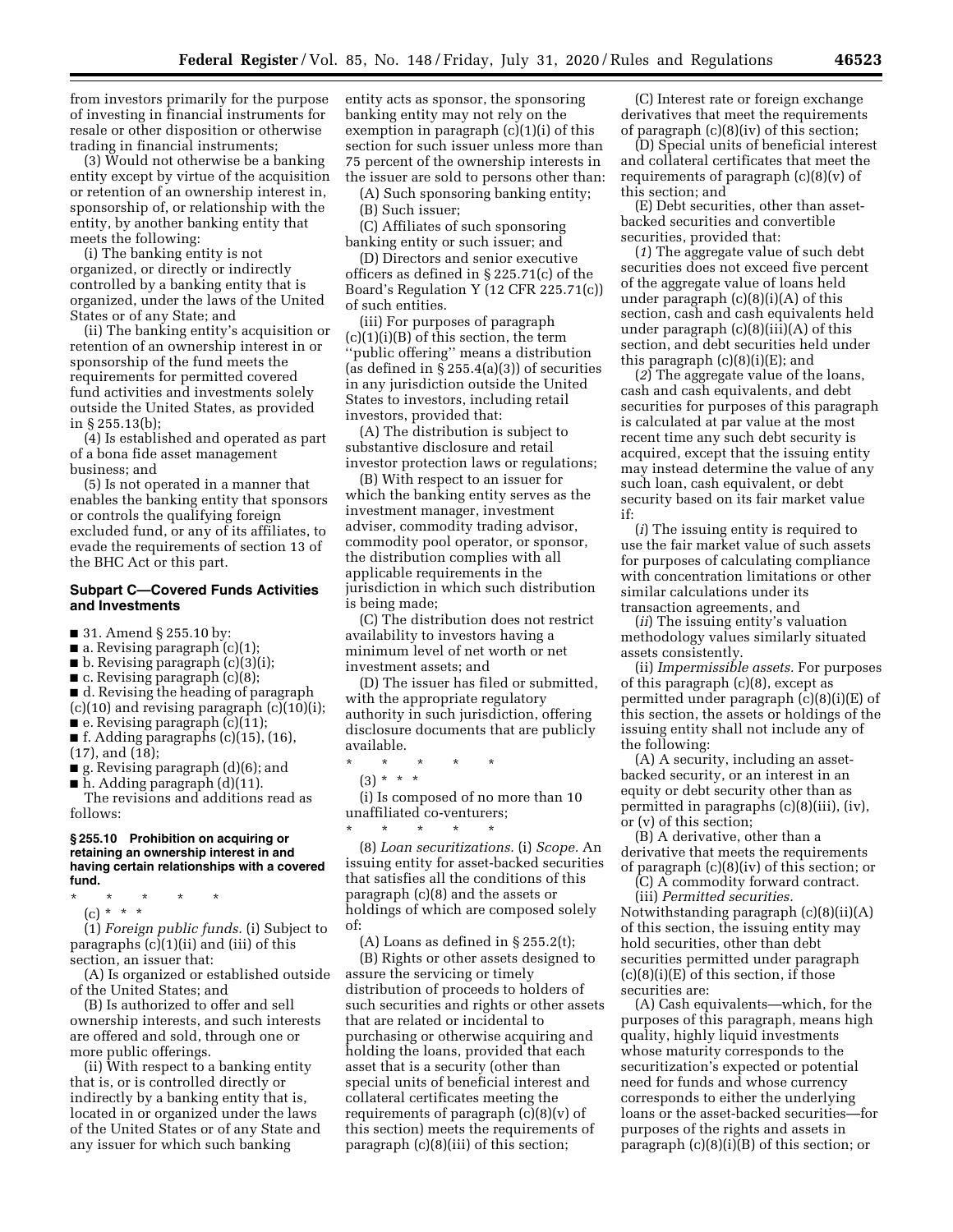from investors primarily for the purpose of investing in financial instruments for resale or other disposition or otherwise trading in financial instruments;

(3) Would not otherwise be a banking entity except by virtue of the acquisition or retention of an ownership interest in, sponsorship of, or relationship with the entity, by another banking entity that meets the following:

(i) The banking entity is not organized, or directly or indirectly controlled by a banking entity that is organized, under the laws of the United States or of any State; and

(ii) The banking entity's acquisition or retention of an ownership interest in or sponsorship of the fund meets the requirements for permitted covered fund activities and investments solely outside the United States, as provided in § 255.13(b);

(4) Is established and operated as part of a bona fide asset management business; and

(5) Is not operated in a manner that enables the banking entity that sponsors or controls the qualifying foreign excluded fund, or any of its affiliates, to evade the requirements of section 13 of the BHC Act or this part.

## **Subpart C—Covered Funds Activities and Investments**

■ 31. Amend § 255.10 by:

- $\blacksquare$  a. Revising paragraph  $(c)(1)$ ;
- $\blacksquare$  b. Revising paragraph  $(c)(3)(i);$
- $\blacksquare$  c. Revising paragraph (c)(8);
- d. Revising the heading of paragraph

(c)(10) and revising paragraph (c)(10)(i);

- $\blacksquare$  e. Revising paragraph (c)(11);
- $\blacksquare$  f. Adding paragraphs (c)(15), (16),
- (17), and (18);
- $\blacksquare$  g. Revising paragraph  $(d)(6)$ ; and
- $\blacksquare$  h. Adding paragraph (d)(11).

The revisions and additions read as follows:

### **§ 255.10 Prohibition on acquiring or retaining an ownership interest in and having certain relationships with a covered fund.**

- \* \* \* \* \*
	- (c) \* \* \*

(1) *Foreign public funds.* (i) Subject to paragraphs (c)(1)(ii) and (iii) of this section, an issuer that:

(A) Is organized or established outside of the United States; and

(B) Is authorized to offer and sell ownership interests, and such interests are offered and sold, through one or more public offerings.

(ii) With respect to a banking entity that is, or is controlled directly or indirectly by a banking entity that is, located in or organized under the laws of the United States or of any State and any issuer for which such banking

entity acts as sponsor, the sponsoring banking entity may not rely on the exemption in paragraph  $(c)(1)(i)$  of this section for such issuer unless more than 75 percent of the ownership interests in the issuer are sold to persons other than:

(A) Such sponsoring banking entity;

(B) Such issuer;

(C) Affiliates of such sponsoring banking entity or such issuer; and

(D) Directors and senior executive officers as defined in § 225.71(c) of the Board's Regulation Y (12 CFR 225.71(c)) of such entities.

(iii) For purposes of paragraph (c)(1)(i)(B) of this section, the term ''public offering'' means a distribution (as defined in  $\S 255.4(a)(3)$ ) of securities in any jurisdiction outside the United States to investors, including retail investors, provided that:

(A) The distribution is subject to substantive disclosure and retail investor protection laws or regulations;

(B) With respect to an issuer for which the banking entity serves as the investment manager, investment adviser, commodity trading advisor, commodity pool operator, or sponsor, the distribution complies with all applicable requirements in the jurisdiction in which such distribution is being made;

(C) The distribution does not restrict availability to investors having a minimum level of net worth or net investment assets; and

(D) The issuer has filed or submitted, with the appropriate regulatory authority in such jurisdiction, offering disclosure documents that are publicly available.

- $*$  \* \*
- $(3) * * * *$

\* \* \* \* \*

(i) Is composed of no more than 10 unaffiliated co-venturers;

(8) *Loan securitizations.* (i) *Scope.* An issuing entity for asset-backed securities that satisfies all the conditions of this paragraph (c)(8) and the assets or holdings of which are composed solely of:

(A) Loans as defined in § 255.2(t);

(B) Rights or other assets designed to assure the servicing or timely distribution of proceeds to holders of such securities and rights or other assets that are related or incidental to purchasing or otherwise acquiring and holding the loans, provided that each asset that is a security (other than special units of beneficial interest and collateral certificates meeting the requirements of paragraph (c)(8)(v) of this section) meets the requirements of paragraph (c)(8)(iii) of this section;

(C) Interest rate or foreign exchange derivatives that meet the requirements of paragraph (c)(8)(iv) of this section;

(D) Special units of beneficial interest and collateral certificates that meet the requirements of paragraph  $(c)(8)(v)$  of this section; and

(E) Debt securities, other than assetbacked securities and convertible securities, provided that:

(*1*) The aggregate value of such debt securities does not exceed five percent of the aggregate value of loans held under paragraph  $(c)(8)(i)(A)$  of this section, cash and cash equivalents held under paragraph (c)(8)(iii)(A) of this section, and debt securities held under this paragraph  $(c)(8)(i)(E)$ ; and

(*2*) The aggregate value of the loans, cash and cash equivalents, and debt securities for purposes of this paragraph is calculated at par value at the most recent time any such debt security is acquired, except that the issuing entity may instead determine the value of any such loan, cash equivalent, or debt security based on its fair market value if:

(*i*) The issuing entity is required to use the fair market value of such assets for purposes of calculating compliance with concentration limitations or other similar calculations under its transaction agreements, and

(*ii*) The issuing entity's valuation methodology values similarly situated assets consistently.

(ii) *Impermissible assets.* For purposes of this paragraph (c)(8), except as permitted under paragraph (c)(8)(i)(E) of this section, the assets or holdings of the issuing entity shall not include any of the following:

(A) A security, including an assetbacked security, or an interest in an equity or debt security other than as permitted in paragraphs (c)(8)(iii), (iv), or (v) of this section;

(B) A derivative, other than a derivative that meets the requirements of paragraph (c)(8)(iv) of this section; or

(C) A commodity forward contract.

(iii) *Permitted securities.*  Notwithstanding paragraph (c)(8)(ii)(A) of this section, the issuing entity may hold securities, other than debt securities permitted under paragraph  $(c)(8)(i)(E)$  of this section, if those securities are:

(A) Cash equivalents—which, for the purposes of this paragraph, means high quality, highly liquid investments whose maturity corresponds to the securitization's expected or potential need for funds and whose currency corresponds to either the underlying loans or the asset-backed securities—for purposes of the rights and assets in paragraph (c)(8)(i)(B) of this section; or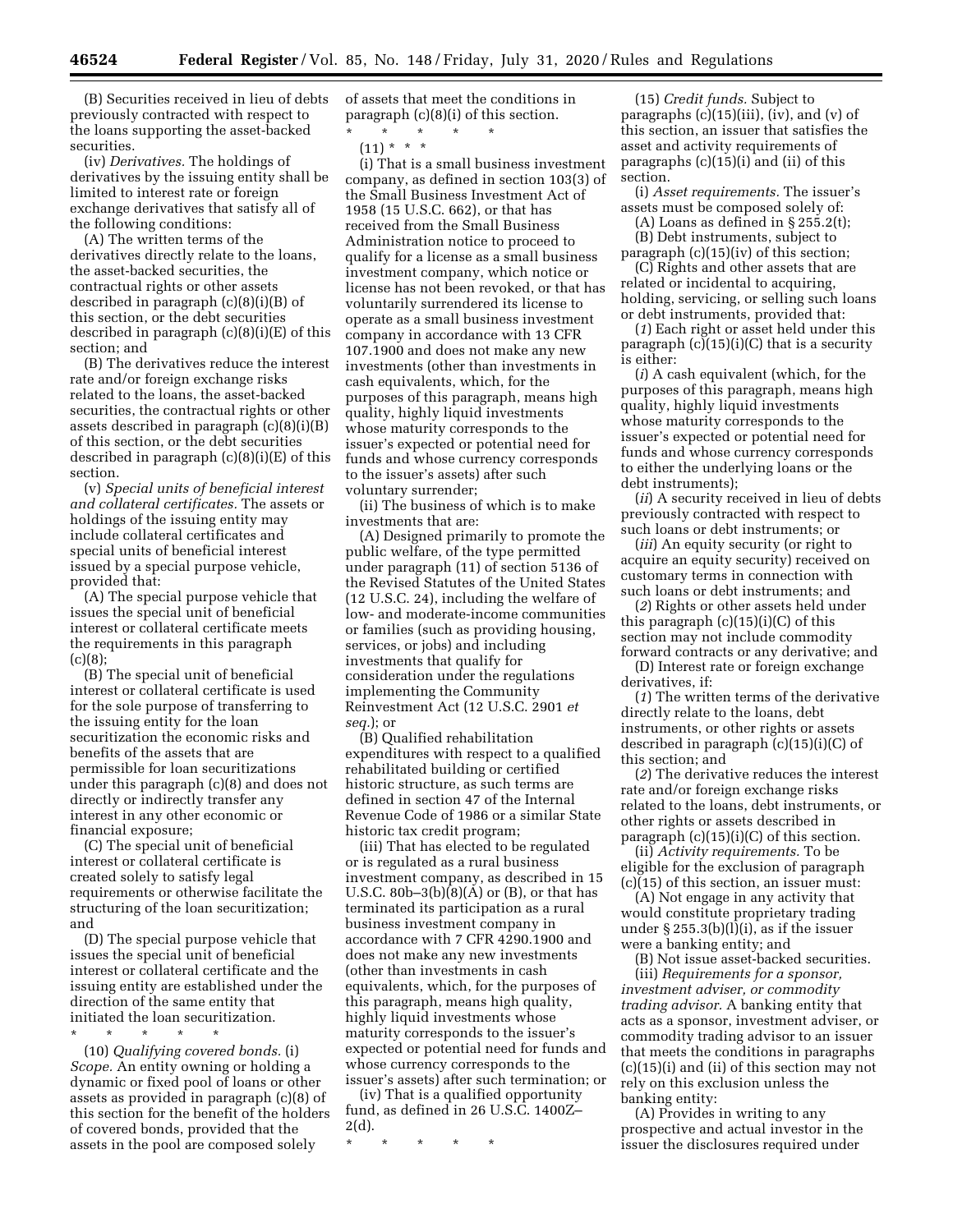(B) Securities received in lieu of debts previously contracted with respect to the loans supporting the asset-backed securities.

(iv) *Derivatives.* The holdings of derivatives by the issuing entity shall be limited to interest rate or foreign exchange derivatives that satisfy all of the following conditions:

(A) The written terms of the derivatives directly relate to the loans, the asset-backed securities, the contractual rights or other assets described in paragraph (c)(8)(i)(B) of this section, or the debt securities described in paragraph (c)(8)(i)(E) of this section; and

(B) The derivatives reduce the interest rate and/or foreign exchange risks related to the loans, the asset-backed securities, the contractual rights or other assets described in paragraph (c)(8)(i)(B) of this section, or the debt securities described in paragraph (c)(8)(i)(E) of this section.

(v) *Special units of beneficial interest and collateral certificates.* The assets or holdings of the issuing entity may include collateral certificates and special units of beneficial interest issued by a special purpose vehicle, provided that:

(A) The special purpose vehicle that issues the special unit of beneficial interest or collateral certificate meets the requirements in this paragraph  $(c)(8);$ 

(B) The special unit of beneficial interest or collateral certificate is used for the sole purpose of transferring to the issuing entity for the loan securitization the economic risks and benefits of the assets that are permissible for loan securitizations under this paragraph (c)(8) and does not directly or indirectly transfer any interest in any other economic or financial exposure;

(C) The special unit of beneficial interest or collateral certificate is created solely to satisfy legal requirements or otherwise facilitate the structuring of the loan securitization; and

(D) The special purpose vehicle that issues the special unit of beneficial interest or collateral certificate and the issuing entity are established under the direction of the same entity that initiated the loan securitization.

\* \* \* \* \* (10) *Qualifying covered bonds.* (i) *Scope.* An entity owning or holding a dynamic or fixed pool of loans or other assets as provided in paragraph (c)(8) of this section for the benefit of the holders of covered bonds, provided that the assets in the pool are composed solely

of assets that meet the conditions in paragraph (c)(8)(i) of this section.

\* \* \* \* \*  $(11) * * * *$ 

(i) That is a small business investment company, as defined in section 103(3) of the Small Business Investment Act of 1958 (15 U.S.C. 662), or that has received from the Small Business Administration notice to proceed to qualify for a license as a small business investment company, which notice or license has not been revoked, or that has voluntarily surrendered its license to operate as a small business investment company in accordance with 13 CFR 107.1900 and does not make any new investments (other than investments in cash equivalents, which, for the purposes of this paragraph, means high quality, highly liquid investments whose maturity corresponds to the issuer's expected or potential need for funds and whose currency corresponds to the issuer's assets) after such voluntary surrender;

(ii) The business of which is to make investments that are:

(A) Designed primarily to promote the public welfare, of the type permitted under paragraph (11) of section 5136 of the Revised Statutes of the United States (12 U.S.C. 24), including the welfare of low- and moderate-income communities or families (such as providing housing, services, or jobs) and including investments that qualify for consideration under the regulations implementing the Community Reinvestment Act (12 U.S.C. 2901 *et seq.*); or

(B) Qualified rehabilitation expenditures with respect to a qualified rehabilitated building or certified historic structure, as such terms are defined in section 47 of the Internal Revenue Code of 1986 or a similar State historic tax credit program;

(iii) That has elected to be regulated or is regulated as a rural business investment company, as described in 15 U.S.C.  $80b-3(b)(8)(A)$  or (B), or that has terminated its participation as a rural business investment company in accordance with 7 CFR 4290.1900 and does not make any new investments (other than investments in cash equivalents, which, for the purposes of this paragraph, means high quality, highly liquid investments whose maturity corresponds to the issuer's expected or potential need for funds and whose currency corresponds to the issuer's assets) after such termination; or

(iv) That is a qualified opportunity fund, as defined in 26 U.S.C. 1400Z– 2(d).

\* \* \* \* \*

(15) *Credit funds.* Subject to paragraphs (c)(15)(iii), (iv), and (v) of this section, an issuer that satisfies the asset and activity requirements of paragraphs  $(c)(15)(i)$  and  $(ii)$  of this section.

(i) *Asset requirements.* The issuer's assets must be composed solely of:

(A) Loans as defined in  $\S 255.2(t)$ ; (B) Debt instruments, subject to

paragraph (c)(15)(iv) of this section; (C) Rights and other assets that are related or incidental to acquiring,

holding, servicing, or selling such loans or debt instruments, provided that:

(*1*) Each right or asset held under this paragraph  $(c)(15)(i)(C)$  that is a security is either:

(*i*) A cash equivalent (which, for the purposes of this paragraph, means high quality, highly liquid investments whose maturity corresponds to the issuer's expected or potential need for funds and whose currency corresponds to either the underlying loans or the debt instruments);

(*ii*) A security received in lieu of debts previously contracted with respect to such loans or debt instruments; or

(*iii*) An equity security (or right to acquire an equity security) received on customary terms in connection with such loans or debt instruments; and

(*2*) Rights or other assets held under this paragraph  $(c)(15)(i)(C)$  of this section may not include commodity forward contracts or any derivative; and

(D) Interest rate or foreign exchange derivatives, if:

(*1*) The written terms of the derivative directly relate to the loans, debt instruments, or other rights or assets described in paragraph (c)(15)(i)(C) of this section; and

(*2*) The derivative reduces the interest rate and/or foreign exchange risks related to the loans, debt instruments, or other rights or assets described in paragraph  $(c)(15)(i)(C)$  of this section.

(ii) *Activity requirements.* To be eligible for the exclusion of paragraph (c)(15) of this section, an issuer must:

(A) Not engage in any activity that would constitute proprietary trading under  $\S 255.3(b)(l)(i)$ , as if the issuer were a banking entity; and

(B) Not issue asset-backed securities. (iii) *Requirements for a sponsor, investment adviser, or commodity trading advisor.* A banking entity that acts as a sponsor, investment adviser, or commodity trading advisor to an issuer that meets the conditions in paragraphs (c)(15)(i) and (ii) of this section may not rely on this exclusion unless the banking entity:

(A) Provides in writing to any prospective and actual investor in the issuer the disclosures required under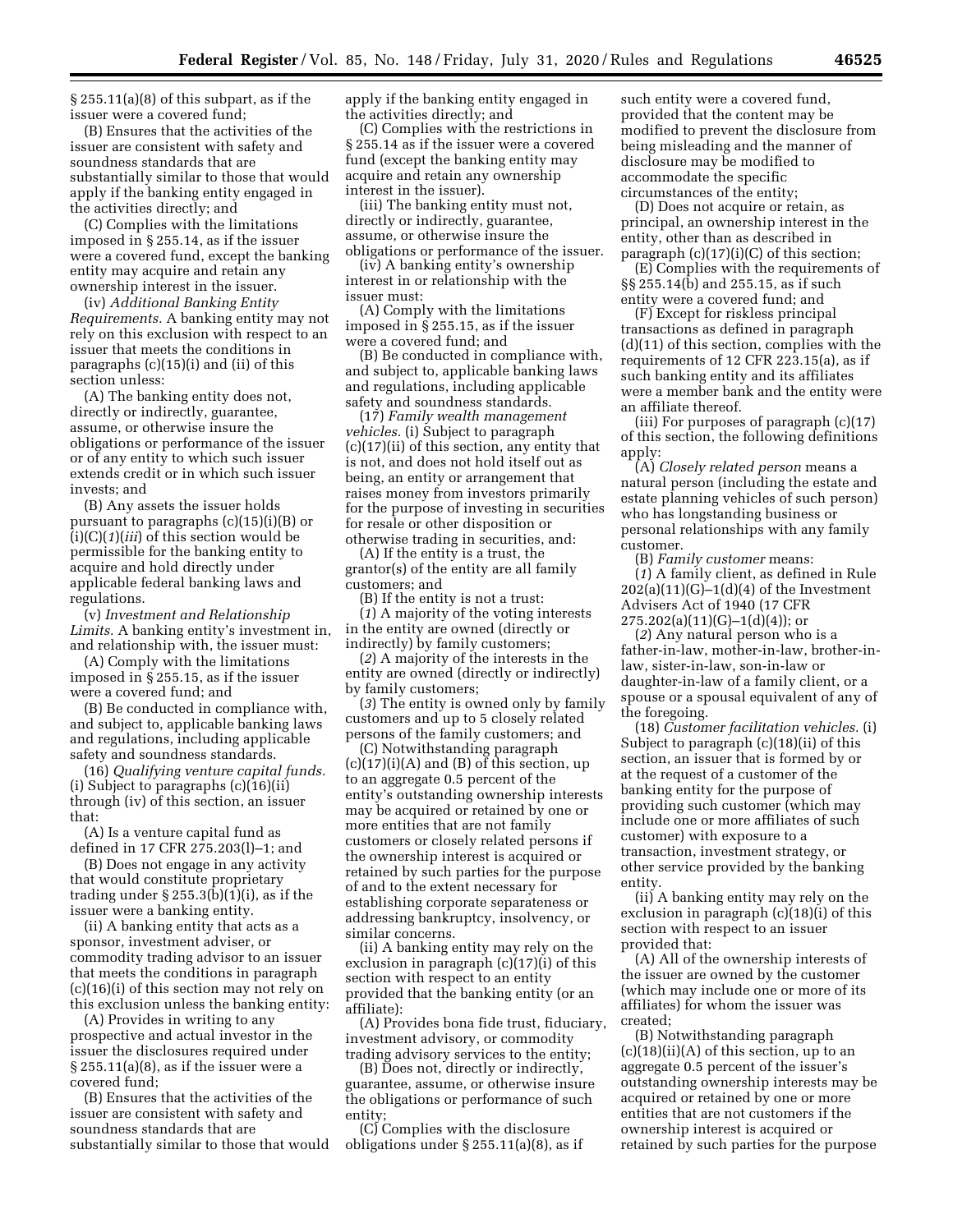§ 255.11(a)(8) of this subpart, as if the issuer were a covered fund;

(B) Ensures that the activities of the issuer are consistent with safety and soundness standards that are substantially similar to those that would apply if the banking entity engaged in the activities directly; and

(C) Complies with the limitations imposed in § 255.14, as if the issuer were a covered fund, except the banking entity may acquire and retain any ownership interest in the issuer.

(iv) *Additional Banking Entity Requirements.* A banking entity may not rely on this exclusion with respect to an issuer that meets the conditions in paragraphs (c)(15)(i) and (ii) of this section unless:

(A) The banking entity does not, directly or indirectly, guarantee, assume, or otherwise insure the obligations or performance of the issuer or of any entity to which such issuer extends credit or in which such issuer invests; and

(B) Any assets the issuer holds pursuant to paragraphs (c)(15)(i)(B) or (i)(C)(*1*)(*iii*) of this section would be permissible for the banking entity to acquire and hold directly under applicable federal banking laws and regulations.

(v) *Investment and Relationship Limits.* A banking entity's investment in, and relationship with, the issuer must:

(A) Comply with the limitations imposed in § 255.15, as if the issuer were a covered fund; and

(B) Be conducted in compliance with, and subject to, applicable banking laws and regulations, including applicable safety and soundness standards.

(16) *Qualifying venture capital funds.*  (i) Subject to paragraphs (c)(16)(ii) through (iv) of this section, an issuer that:

(A) Is a venture capital fund as defined in 17 CFR 275.203(l)–1; and

(B) Does not engage in any activity that would constitute proprietary trading under  $\S 255.3(b)(1)(i)$ , as if the issuer were a banking entity.

(ii) A banking entity that acts as a sponsor, investment adviser, or commodity trading advisor to an issuer that meets the conditions in paragraph (c)(16)(i) of this section may not rely on this exclusion unless the banking entity:

(A) Provides in writing to any prospective and actual investor in the issuer the disclosures required under § 255.11(a)(8), as if the issuer were a covered fund;

(B) Ensures that the activities of the issuer are consistent with safety and soundness standards that are substantially similar to those that would apply if the banking entity engaged in the activities directly; and

(C) Complies with the restrictions in § 255.14 as if the issuer were a covered fund (except the banking entity may acquire and retain any ownership interest in the issuer).

(iii) The banking entity must not, directly or indirectly, guarantee, assume, or otherwise insure the obligations or performance of the issuer.

(iv) A banking entity's ownership interest in or relationship with the issuer must:

(A) Comply with the limitations imposed in § 255.15, as if the issuer were a covered fund; and

(B) Be conducted in compliance with, and subject to, applicable banking laws and regulations, including applicable safety and soundness standards.

(17) *Family wealth management vehicles.* (i) Subject to paragraph (c)(17)(ii) of this section, any entity that is not, and does not hold itself out as being, an entity or arrangement that raises money from investors primarily for the purpose of investing in securities for resale or other disposition or otherwise trading in securities, and:

(A) If the entity is a trust, the grantor(s) of the entity are all family customers; and

(B) If the entity is not a trust:

(*1*) A majority of the voting interests in the entity are owned (directly or indirectly) by family customers;

(*2*) A majority of the interests in the entity are owned (directly or indirectly) by family customers;

(*3*) The entity is owned only by family customers and up to 5 closely related persons of the family customers; and

(C) Notwithstanding paragraph  $(c)(17)(i)(A)$  and  $(B)$  of this section, up to an aggregate 0.5 percent of the entity's outstanding ownership interests may be acquired or retained by one or more entities that are not family customers or closely related persons if the ownership interest is acquired or retained by such parties for the purpose of and to the extent necessary for establishing corporate separateness or addressing bankruptcy, insolvency, or similar concerns.

(ii) A banking entity may rely on the exclusion in paragraph (c)(17)(i) of this section with respect to an entity provided that the banking entity (or an affiliate):

(A) Provides bona fide trust, fiduciary, investment advisory, or commodity trading advisory services to the entity;

(B) Does not, directly or indirectly, guarantee, assume, or otherwise insure the obligations or performance of such entity;

(C) Complies with the disclosure obligations under § 255.11(a)(8), as if such entity were a covered fund, provided that the content may be modified to prevent the disclosure from being misleading and the manner of disclosure may be modified to accommodate the specific circumstances of the entity;

(D) Does not acquire or retain, as principal, an ownership interest in the entity, other than as described in paragraph  $(c)(17)(i)(C)$  of this section;

(E) Complies with the requirements of §§ 255.14(b) and 255.15, as if such entity were a covered fund; and

(F) Except for riskless principal transactions as defined in paragraph (d)(11) of this section, complies with the requirements of 12 CFR 223.15(a), as if such banking entity and its affiliates were a member bank and the entity were an affiliate thereof.

(iii) For purposes of paragraph (c)(17) of this section, the following definitions apply:

(A) *Closely related person* means a natural person (including the estate and estate planning vehicles of such person) who has longstanding business or personal relationships with any family customer.

(B) *Family customer* means: (*1*) A family client, as defined in Rule  $202(a)(11)(G)-1(d)(4)$  of the Investment Advisers Act of 1940 (17 CFR  $275.202(a)(11)(G)-1(d)(4)$ ; or

(*2*) Any natural person who is a father-in-law, mother-in-law, brother-inlaw, sister-in-law, son-in-law or daughter-in-law of a family client, or a spouse or a spousal equivalent of any of the foregoing.

(18) *Customer facilitation vehicles.* (i) Subject to paragraph (c)(18)(ii) of this section, an issuer that is formed by or at the request of a customer of the banking entity for the purpose of providing such customer (which may include one or more affiliates of such customer) with exposure to a transaction, investment strategy, or other service provided by the banking entity.

(ii) A banking entity may rely on the exclusion in paragraph (c)(18)(i) of this section with respect to an issuer provided that:

(A) All of the ownership interests of the issuer are owned by the customer (which may include one or more of its affiliates) for whom the issuer was created;

(B) Notwithstanding paragraph  $(c)(18)(ii)(A)$  of this section, up to an aggregate 0.5 percent of the issuer's outstanding ownership interests may be acquired or retained by one or more entities that are not customers if the ownership interest is acquired or retained by such parties for the purpose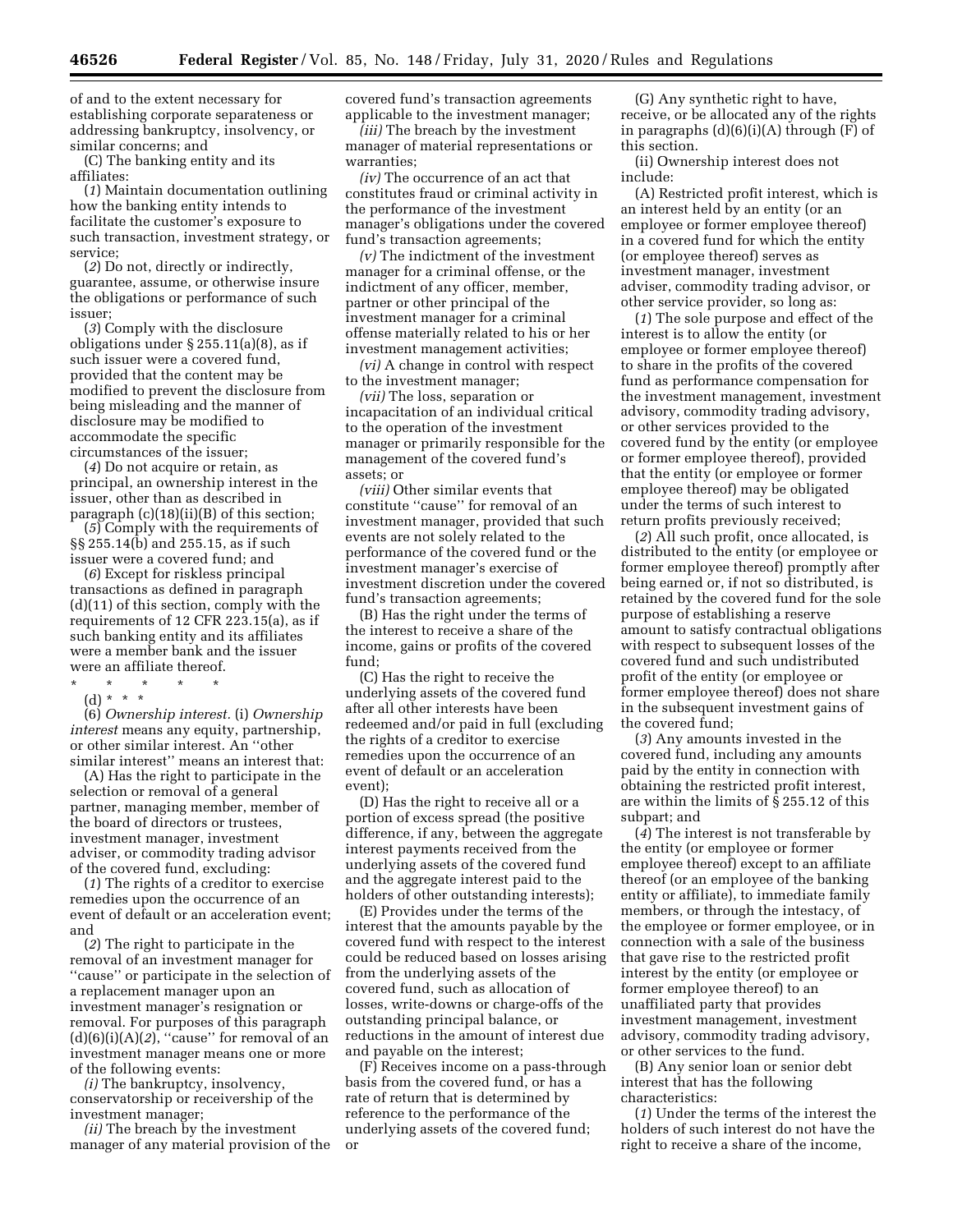of and to the extent necessary for establishing corporate separateness or addressing bankruptcy, insolvency, or similar concerns; and

(C) The banking entity and its affiliates:

(*1*) Maintain documentation outlining how the banking entity intends to facilitate the customer's exposure to such transaction, investment strategy, or service;

(*2*) Do not, directly or indirectly, guarantee, assume, or otherwise insure the obligations or performance of such issuer;

(*3*) Comply with the disclosure obligations under § 255.11(a)(8), as if such issuer were a covered fund, provided that the content may be modified to prevent the disclosure from being misleading and the manner of disclosure may be modified to accommodate the specific circumstances of the issuer;

(*4*) Do not acquire or retain, as principal, an ownership interest in the issuer, other than as described in paragraph  $(c)(18)(ii)(B)$  of this section;

(*5*) Comply with the requirements of §§ 255.14(b) and 255.15, as if such issuer were a covered fund; and

(*6*) Except for riskless principal transactions as defined in paragraph (d)(11) of this section, comply with the requirements of 12 CFR 223.15(a), as if such banking entity and its affiliates were a member bank and the issuer were an affiliate thereof.

\* \* \* \* \*

(d) \* \* \* (6) *Ownership interest.* (i) *Ownership interest* means any equity, partnership, or other similar interest. An ''other

similar interest'' means an interest that: (A) Has the right to participate in the selection or removal of a general partner, managing member, member of the board of directors or trustees, investment manager, investment adviser, or commodity trading advisor of the covered fund, excluding:

(*1*) The rights of a creditor to exercise remedies upon the occurrence of an event of default or an acceleration event; and

(*2*) The right to participate in the removal of an investment manager for ''cause'' or participate in the selection of a replacement manager upon an investment manager's resignation or removal. For purposes of this paragraph  $(d)(6)(i)(A)(2)$ , "cause" for removal of an investment manager means one or more of the following events:

*(i)* The bankruptcy, insolvency, conservatorship or receivership of the investment manager;

*(ii)* The breach by the investment manager of any material provision of the covered fund's transaction agreements applicable to the investment manager;

*(iii)* The breach by the investment manager of material representations or warranties;

*(iv)* The occurrence of an act that constitutes fraud or criminal activity in the performance of the investment manager's obligations under the covered fund's transaction agreements;

*(v)* The indictment of the investment manager for a criminal offense, or the indictment of any officer, member, partner or other principal of the investment manager for a criminal offense materially related to his or her investment management activities;

*(vi)* A change in control with respect to the investment manager;

*(vii)* The loss, separation or incapacitation of an individual critical to the operation of the investment manager or primarily responsible for the management of the covered fund's assets; or

*(viii)* Other similar events that constitute ''cause'' for removal of an investment manager, provided that such events are not solely related to the performance of the covered fund or the investment manager's exercise of investment discretion under the covered fund's transaction agreements;

(B) Has the right under the terms of the interest to receive a share of the income, gains or profits of the covered fund;

(C) Has the right to receive the underlying assets of the covered fund after all other interests have been redeemed and/or paid in full (excluding the rights of a creditor to exercise remedies upon the occurrence of an event of default or an acceleration event);

(D) Has the right to receive all or a portion of excess spread (the positive difference, if any, between the aggregate interest payments received from the underlying assets of the covered fund and the aggregate interest paid to the holders of other outstanding interests);

(E) Provides under the terms of the interest that the amounts payable by the covered fund with respect to the interest could be reduced based on losses arising from the underlying assets of the covered fund, such as allocation of losses, write-downs or charge-offs of the outstanding principal balance, or reductions in the amount of interest due and payable on the interest;

(F) Receives income on a pass-through basis from the covered fund, or has a rate of return that is determined by reference to the performance of the underlying assets of the covered fund; or

(G) Any synthetic right to have, receive, or be allocated any of the rights in paragraphs (d)(6)(i)(A) through (F) of this section.

(ii) Ownership interest does not include:

(A) Restricted profit interest, which is an interest held by an entity (or an employee or former employee thereof) in a covered fund for which the entity (or employee thereof) serves as investment manager, investment adviser, commodity trading advisor, or other service provider, so long as:

(*1*) The sole purpose and effect of the interest is to allow the entity (or employee or former employee thereof) to share in the profits of the covered fund as performance compensation for the investment management, investment advisory, commodity trading advisory, or other services provided to the covered fund by the entity (or employee or former employee thereof), provided that the entity (or employee or former employee thereof) may be obligated under the terms of such interest to return profits previously received;

(*2*) All such profit, once allocated, is distributed to the entity (or employee or former employee thereof) promptly after being earned or, if not so distributed, is retained by the covered fund for the sole purpose of establishing a reserve amount to satisfy contractual obligations with respect to subsequent losses of the covered fund and such undistributed profit of the entity (or employee or former employee thereof) does not share in the subsequent investment gains of the covered fund;

(*3*) Any amounts invested in the covered fund, including any amounts paid by the entity in connection with obtaining the restricted profit interest, are within the limits of § 255.12 of this subpart; and

(*4*) The interest is not transferable by the entity (or employee or former employee thereof) except to an affiliate thereof (or an employee of the banking entity or affiliate), to immediate family members, or through the intestacy, of the employee or former employee, or in connection with a sale of the business that gave rise to the restricted profit interest by the entity (or employee or former employee thereof) to an unaffiliated party that provides investment management, investment advisory, commodity trading advisory, or other services to the fund.

(B) Any senior loan or senior debt interest that has the following characteristics:

(*1*) Under the terms of the interest the holders of such interest do not have the right to receive a share of the income,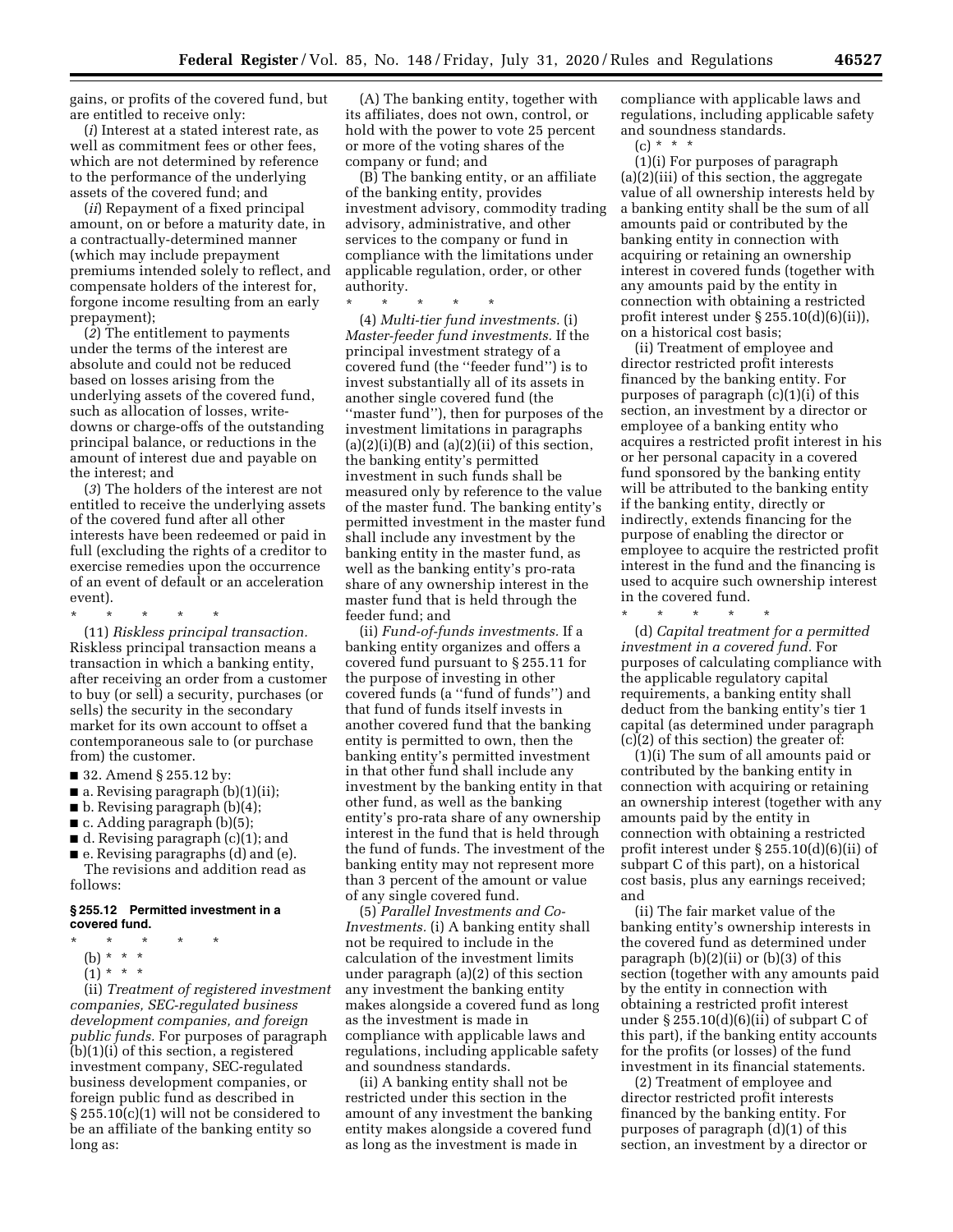gains, or profits of the covered fund, but are entitled to receive only:

(*i*) Interest at a stated interest rate, as well as commitment fees or other fees, which are not determined by reference to the performance of the underlying assets of the covered fund; and

(*ii*) Repayment of a fixed principal amount, on or before a maturity date, in a contractually-determined manner (which may include prepayment premiums intended solely to reflect, and compensate holders of the interest for, forgone income resulting from an early prepayment);

(*2*) The entitlement to payments under the terms of the interest are absolute and could not be reduced based on losses arising from the underlying assets of the covered fund, such as allocation of losses, writedowns or charge-offs of the outstanding principal balance, or reductions in the amount of interest due and payable on the interest; and

(*3*) The holders of the interest are not entitled to receive the underlying assets of the covered fund after all other interests have been redeemed or paid in full (excluding the rights of a creditor to exercise remedies upon the occurrence of an event of default or an acceleration event).

\* \* \* \* \*

(11) *Riskless principal transaction.*  Riskless principal transaction means a transaction in which a banking entity, after receiving an order from a customer to buy (or sell) a security, purchases (or sells) the security in the secondary market for its own account to offset a contemporaneous sale to (or purchase from) the customer.

- 32. Amend § 255.12 by:
- $\blacksquare$  a. Revising paragraph (b)(1)(ii);
- b. Revising paragraph (b)(4);
- $\blacksquare$  c. Adding paragraph (b)(5);
- d. Revising paragraph (c)(1); and

■ e. Revising paragraphs (d) and (e). The revisions and addition read as follows:

#### **§ 255.12 Permitted investment in a covered fund.**

- \* \* \* \* \*
	- (b) \* \* \*
	- $(1) * * * *$

(ii) *Treatment of registered investment companies, SEC-regulated business development companies, and foreign public funds.* For purposes of paragraph (b)(1)(i) of this section, a registered investment company, SEC-regulated business development companies, or foreign public fund as described in § 255.10(c)(1) will not be considered to be an affiliate of the banking entity so long as:

(A) The banking entity, together with its affiliates, does not own, control, or hold with the power to vote 25 percent or more of the voting shares of the company or fund; and

(B) The banking entity, or an affiliate of the banking entity, provides investment advisory, commodity trading advisory, administrative, and other services to the company or fund in compliance with the limitations under applicable regulation, order, or other authority.

\* \* \* \* \*

(4) *Multi-tier fund investments.* (i) *Master-feeder fund investments.* If the principal investment strategy of a covered fund (the ''feeder fund'') is to invest substantially all of its assets in another single covered fund (the ''master fund''), then for purposes of the investment limitations in paragraphs  $(a)(2)(i)(B)$  and  $(a)(2)(ii)$  of this section, the banking entity's permitted investment in such funds shall be measured only by reference to the value of the master fund. The banking entity's permitted investment in the master fund shall include any investment by the banking entity in the master fund, as well as the banking entity's pro-rata share of any ownership interest in the master fund that is held through the feeder fund; and

(ii) *Fund-of-funds investments.* If a banking entity organizes and offers a covered fund pursuant to § 255.11 for the purpose of investing in other covered funds (a ''fund of funds'') and that fund of funds itself invests in another covered fund that the banking entity is permitted to own, then the banking entity's permitted investment in that other fund shall include any investment by the banking entity in that other fund, as well as the banking entity's pro-rata share of any ownership interest in the fund that is held through the fund of funds. The investment of the banking entity may not represent more than 3 percent of the amount or value of any single covered fund.

(5) *Parallel Investments and Co-Investments.* (i) A banking entity shall not be required to include in the calculation of the investment limits under paragraph (a)(2) of this section any investment the banking entity makes alongside a covered fund as long as the investment is made in compliance with applicable laws and regulations, including applicable safety and soundness standards.

(ii) A banking entity shall not be restricted under this section in the amount of any investment the banking entity makes alongside a covered fund as long as the investment is made in

compliance with applicable laws and regulations, including applicable safety and soundness standards.  $(c) * * * *$ 

(1)(i) For purposes of paragraph (a)(2)(iii) of this section, the aggregate value of all ownership interests held by a banking entity shall be the sum of all amounts paid or contributed by the banking entity in connection with acquiring or retaining an ownership interest in covered funds (together with any amounts paid by the entity in connection with obtaining a restricted profit interest under § 255.10(d)(6)(ii)), on a historical cost basis;

(ii) Treatment of employee and director restricted profit interests financed by the banking entity. For purposes of paragraph (c)(1)(i) of this section, an investment by a director or employee of a banking entity who acquires a restricted profit interest in his or her personal capacity in a covered fund sponsored by the banking entity will be attributed to the banking entity if the banking entity, directly or indirectly, extends financing for the purpose of enabling the director or employee to acquire the restricted profit interest in the fund and the financing is used to acquire such ownership interest in the covered fund.  $\star$   $\star$ 

(d) *Capital treatment for a permitted investment in a covered fund.* For purposes of calculating compliance with the applicable regulatory capital requirements, a banking entity shall deduct from the banking entity's tier 1 capital (as determined under paragraph (c)(2) of this section) the greater of:

(1)(i) The sum of all amounts paid or contributed by the banking entity in connection with acquiring or retaining an ownership interest (together with any amounts paid by the entity in connection with obtaining a restricted profit interest under § 255.10(d)(6)(ii) of subpart C of this part), on a historical cost basis, plus any earnings received; and

(ii) The fair market value of the banking entity's ownership interests in the covered fund as determined under paragraph  $(b)(2)(ii)$  or  $(b)(3)$  of this section (together with any amounts paid by the entity in connection with obtaining a restricted profit interest under  $\S 255.10(d)(6)(ii)$  of subpart C of this part), if the banking entity accounts for the profits (or losses) of the fund investment in its financial statements.

(2) Treatment of employee and director restricted profit interests financed by the banking entity. For purposes of paragraph (d)(1) of this section, an investment by a director or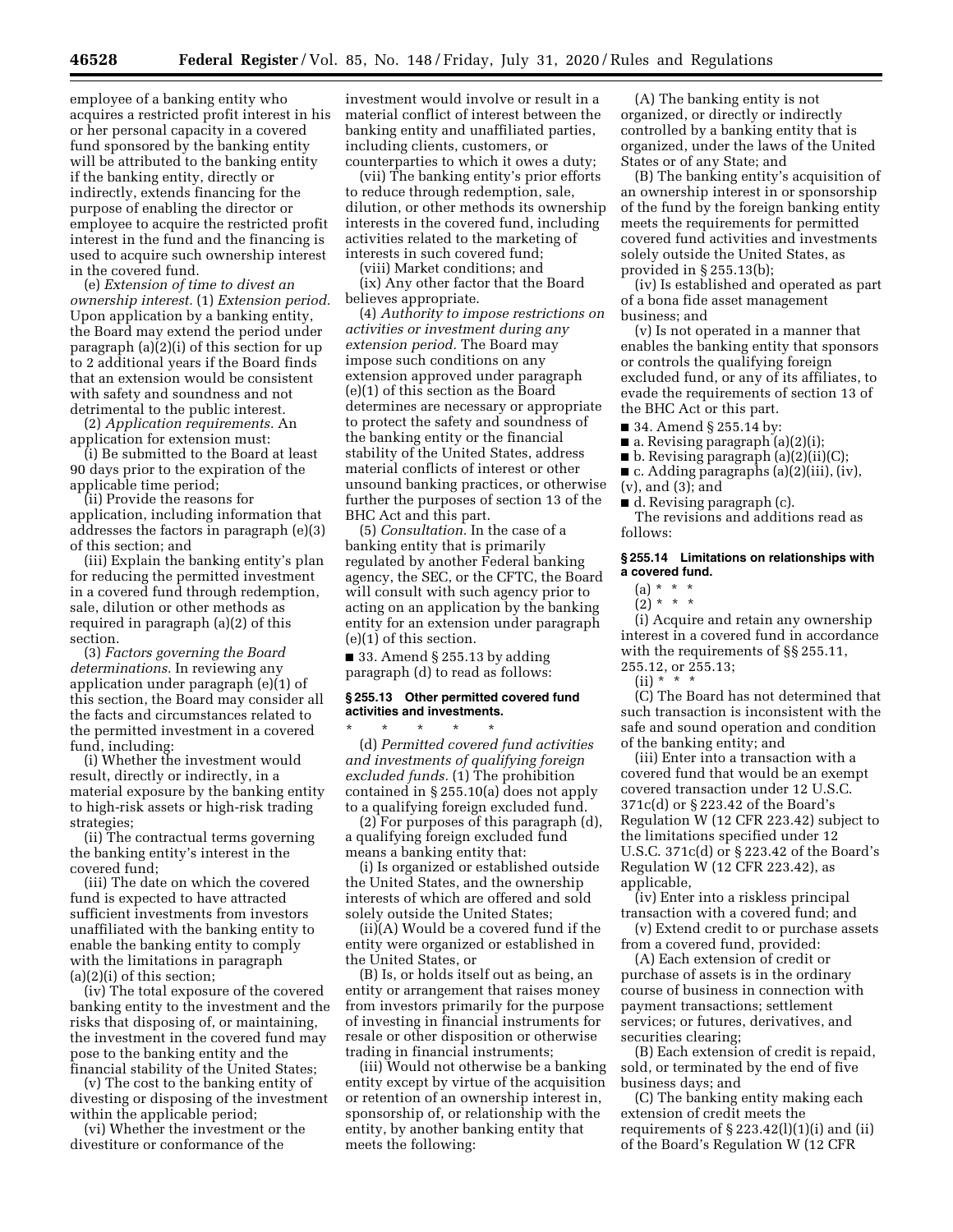employee of a banking entity who acquires a restricted profit interest in his or her personal capacity in a covered fund sponsored by the banking entity will be attributed to the banking entity if the banking entity, directly or indirectly, extends financing for the purpose of enabling the director or employee to acquire the restricted profit interest in the fund and the financing is used to acquire such ownership interest in the covered fund.

(e) *Extension of time to divest an ownership interest.* (1) *Extension period.*  Upon application by a banking entity, the Board may extend the period under paragraph (a)(2)(i) of this section for up to 2 additional years if the Board finds that an extension would be consistent with safety and soundness and not detrimental to the public interest.

(2) *Application requirements.* An application for extension must:

(i) Be submitted to the Board at least 90 days prior to the expiration of the applicable time period;

(ii) Provide the reasons for application, including information that addresses the factors in paragraph (e)(3) of this section; and

(iii) Explain the banking entity's plan for reducing the permitted investment in a covered fund through redemption, sale, dilution or other methods as required in paragraph (a)(2) of this section.

(3) *Factors governing the Board determinations.* In reviewing any application under paragraph (e)(1) of this section, the Board may consider all the facts and circumstances related to the permitted investment in a covered fund, including:

(i) Whether the investment would result, directly or indirectly, in a material exposure by the banking entity to high-risk assets or high-risk trading strategies;

(ii) The contractual terms governing the banking entity's interest in the covered fund;

(iii) The date on which the covered fund is expected to have attracted sufficient investments from investors unaffiliated with the banking entity to enable the banking entity to comply with the limitations in paragraph (a)(2)(i) of this section;

(iv) The total exposure of the covered banking entity to the investment and the risks that disposing of, or maintaining, the investment in the covered fund may pose to the banking entity and the financial stability of the United States;

(v) The cost to the banking entity of divesting or disposing of the investment within the applicable period;

(vi) Whether the investment or the divestiture or conformance of the

investment would involve or result in a material conflict of interest between the banking entity and unaffiliated parties, including clients, customers, or counterparties to which it owes a duty;

(vii) The banking entity's prior efforts to reduce through redemption, sale, dilution, or other methods its ownership interests in the covered fund, including activities related to the marketing of interests in such covered fund;

(viii) Market conditions; and (ix) Any other factor that the Board believes appropriate.

(4) *Authority to impose restrictions on activities or investment during any extension period.* The Board may impose such conditions on any extension approved under paragraph (e)(1) of this section as the Board determines are necessary or appropriate to protect the safety and soundness of the banking entity or the financial stability of the United States, address material conflicts of interest or other unsound banking practices, or otherwise further the purposes of section 13 of the BHC Act and this part.

(5) *Consultation.* In the case of a banking entity that is primarily regulated by another Federal banking agency, the SEC, or the CFTC, the Board will consult with such agency prior to acting on an application by the banking entity for an extension under paragraph (e)(1) of this section.

 $\blacksquare$  33. Amend § 255.13 by adding paragraph (d) to read as follows:

#### **§ 255.13 Other permitted covered fund activities and investments.**  \* \* \* \* \*

(d) *Permitted covered fund activities and investments of qualifying foreign excluded funds.* (1) The prohibition contained in § 255.10(a) does not apply to a qualifying foreign excluded fund.

(2) For purposes of this paragraph (d), a qualifying foreign excluded fund means a banking entity that:

(i) Is organized or established outside the United States, and the ownership interests of which are offered and sold solely outside the United States;

(ii)(A) Would be a covered fund if the entity were organized or established in the United States, or

(B) Is, or holds itself out as being, an entity or arrangement that raises money from investors primarily for the purpose of investing in financial instruments for resale or other disposition or otherwise trading in financial instruments;

(iii) Would not otherwise be a banking entity except by virtue of the acquisition or retention of an ownership interest in, sponsorship of, or relationship with the entity, by another banking entity that meets the following:

(A) The banking entity is not organized, or directly or indirectly controlled by a banking entity that is organized, under the laws of the United States or of any State; and

(B) The banking entity's acquisition of an ownership interest in or sponsorship of the fund by the foreign banking entity meets the requirements for permitted covered fund activities and investments solely outside the United States, as provided in § 255.13(b);

(iv) Is established and operated as part of a bona fide asset management business; and

(v) Is not operated in a manner that enables the banking entity that sponsors or controls the qualifying foreign excluded fund, or any of its affiliates, to evade the requirements of section 13 of the BHC Act or this part.

■ 34. Amend § 255.14 by:

- a. Revising paragraph (a)(2)(i);
- b. Revising paragraph (a)(2)(ii)(C);
- c. Adding paragraphs (a)(2)(iii), (iv),
- (v), and (3); and
- d. Revising paragraph (c).

The revisions and additions read as follows:

### **§ 255.14 Limitations on relationships with a covered fund.**

- $(a) * * * *$
- $(2) * * * *$

(i) Acquire and retain any ownership interest in a covered fund in accordance with the requirements of §§ 255.11, 255.12, or 255.13;

 $(ii) * * * *$ 

(C) The Board has not determined that such transaction is inconsistent with the safe and sound operation and condition of the banking entity; and

(iii) Enter into a transaction with a covered fund that would be an exempt covered transaction under 12 U.S.C. 371c(d) or § 223.42 of the Board's Regulation W (12 CFR 223.42) subject to the limitations specified under 12 U.S.C. 371c(d) or § 223.42 of the Board's Regulation W (12 CFR 223.42), as applicable,

(iv) Enter into a riskless principal transaction with a covered fund; and

(v) Extend credit to or purchase assets from a covered fund, provided:

(A) Each extension of credit or purchase of assets is in the ordinary course of business in connection with payment transactions; settlement services; or futures, derivatives, and securities clearing;

(B) Each extension of credit is repaid, sold, or terminated by the end of five business days; and

(C) The banking entity making each extension of credit meets the requirements of  $\S 223.42(1)(1)(i)$  and (ii) of the Board's Regulation W (12 CFR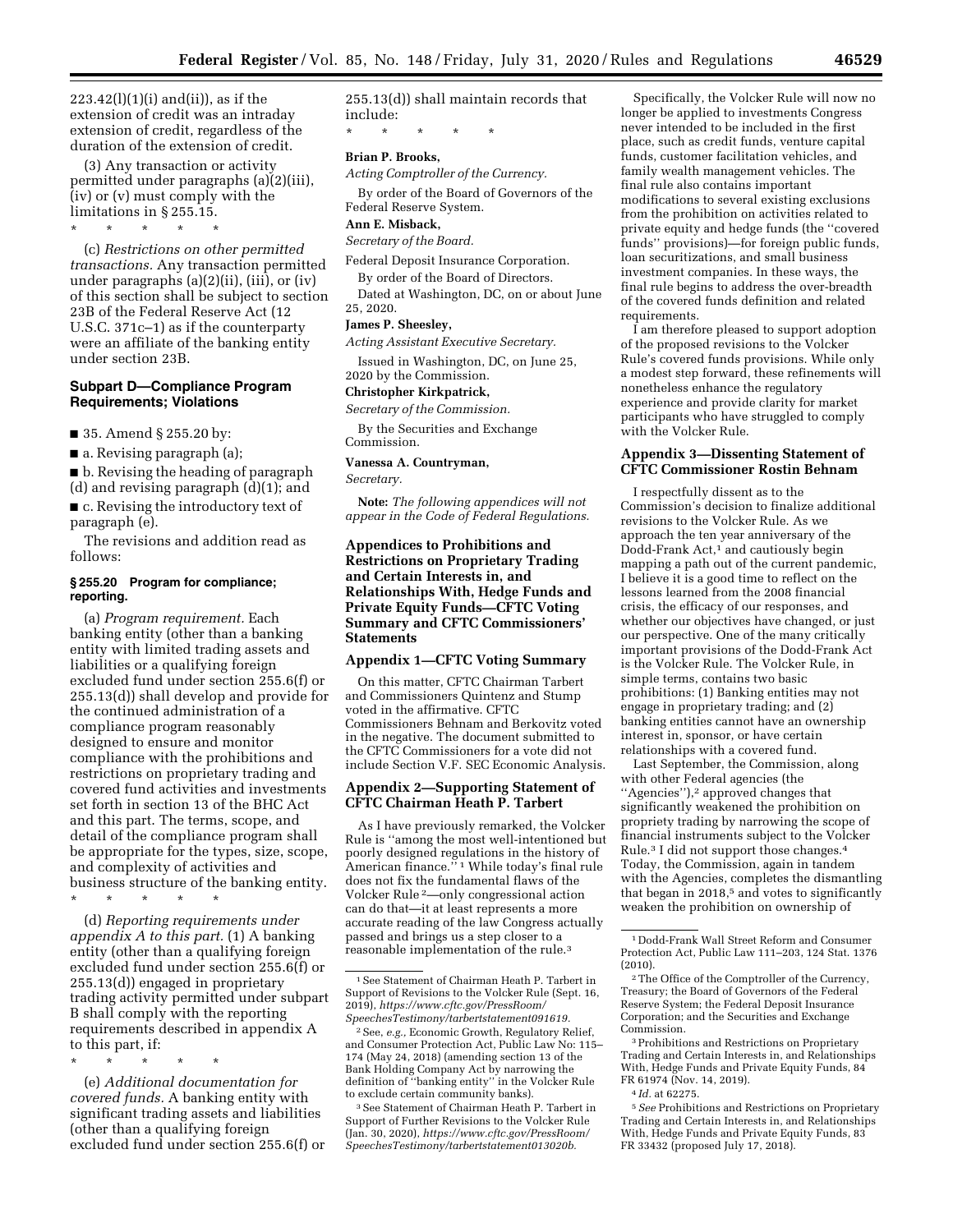$223.42(l)(1)(i)$  and(ii)), as if the extension of credit was an intraday extension of credit, regardless of the duration of the extension of credit.

(3) Any transaction or activity permitted under paragraphs (a)(2)(iii), (iv) or (v) must comply with the limitations in § 255.15. \* \* \* \* \*

(c) *Restrictions on other permitted transactions.* Any transaction permitted under paragraphs (a)(2)(ii), (iii), or (iv) of this section shall be subject to section 23B of the Federal Reserve Act (12 U.S.C. 371c–1) as if the counterparty were an affiliate of the banking entity under section 23B.

# **Subpart D—Compliance Program Requirements; Violations**

■ 35. Amend § 255.20 by:

■ a. Revising paragraph (a);

■ b. Revising the heading of paragraph (d) and revising paragraph (d)(1); and

■ c. Revising the introductory text of paragraph (e).

The revisions and addition read as follows:

## **§ 255.20 Program for compliance; reporting.**

(a) *Program requirement.* Each banking entity (other than a banking entity with limited trading assets and liabilities or a qualifying foreign excluded fund under section 255.6(f) or 255.13(d)) shall develop and provide for the continued administration of a compliance program reasonably designed to ensure and monitor compliance with the prohibitions and restrictions on proprietary trading and covered fund activities and investments set forth in section 13 of the BHC Act and this part. The terms, scope, and detail of the compliance program shall be appropriate for the types, size, scope, and complexity of activities and business structure of the banking entity.

(d) *Reporting requirements under appendix A to this part.* (1) A banking entity (other than a qualifying foreign excluded fund under section 255.6(f) or 255.13(d)) engaged in proprietary trading activity permitted under subpart B shall comply with the reporting requirements described in appendix A to this part, if:

\* \* \* \* \*

\* \* \* \* \*

(e) *Additional documentation for covered funds.* A banking entity with significant trading assets and liabilities (other than a qualifying foreign excluded fund under section 255.6(f) or 255.13(d)) shall maintain records that include:

#### **Brian P. Brooks,**

*Acting Comptroller of the Currency.* 

\* \* \* \* \*

By order of the Board of Governors of the Federal Reserve System.

## **Ann E. Misback,**

*Secretary of the Board.* 

Federal Deposit Insurance Corporation. By order of the Board of Directors.

Dated at Washington, DC, on or about June 25, 2020.

# **James P. Sheesley,**

*Acting Assistant Executive Secretary.* 

Issued in Washington, DC, on June 25, 2020 by the Commission.

#### **Christopher Kirkpatrick,**

*Secretary of the Commission.* 

By the Securities and Exchange Commission.

**Vanessa A. Countryman,** 

*Secretary.* 

**Note:** *The following appendices will not appear in the Code of Federal Regulations.* 

**Appendices to Prohibitions and Restrictions on Proprietary Trading and Certain Interests in, and Relationships With, Hedge Funds and Private Equity Funds—CFTC Voting Summary and CFTC Commissioners' Statements** 

## **Appendix 1—CFTC Voting Summary**

On this matter, CFTC Chairman Tarbert and Commissioners Quintenz and Stump voted in the affirmative. CFTC Commissioners Behnam and Berkovitz voted in the negative. The document submitted to the CFTC Commissioners for a vote did not include Section V.F. SEC Economic Analysis.

### **Appendix 2—Supporting Statement of CFTC Chairman Heath P. Tarbert**

As I have previously remarked, the Volcker Rule is ''among the most well-intentioned but poorly designed regulations in the history of American finance."<sup>1</sup> While today's final rule does not fix the fundamental flaws of the Volcker Rule 2—only congressional action can do that—it at least represents a more accurate reading of the law Congress actually passed and brings us a step closer to a reasonable implementation of the rule.3

3See Statement of Chairman Heath P. Tarbert in Support of Further Revisions to the Volcker Rule (Jan. 30, 2020), *[https://www.cftc.gov/PressRoom/](https://www.cftc.gov/PressRoom/SpeechesTestimony/tarbertstatement013020b)  [SpeechesTestimony/tarbertstatement013020b.](https://www.cftc.gov/PressRoom/SpeechesTestimony/tarbertstatement013020b)* 

Specifically, the Volcker Rule will now no longer be applied to investments Congress never intended to be included in the first place, such as credit funds, venture capital funds, customer facilitation vehicles, and family wealth management vehicles. The final rule also contains important modifications to several existing exclusions from the prohibition on activities related to private equity and hedge funds (the ''covered funds'' provisions)—for foreign public funds, loan securitizations, and small business investment companies. In these ways, the final rule begins to address the over-breadth of the covered funds definition and related requirements.

I am therefore pleased to support adoption of the proposed revisions to the Volcker Rule's covered funds provisions. While only a modest step forward, these refinements will nonetheless enhance the regulatory experience and provide clarity for market participants who have struggled to comply with the Volcker Rule.

## **Appendix 3—Dissenting Statement of CFTC Commissioner Rostin Behnam**

I respectfully dissent as to the Commission's decision to finalize additional revisions to the Volcker Rule. As we approach the ten year anniversary of the Dodd-Frank Act,<sup>1</sup> and cautiously begin mapping a path out of the current pandemic, I believe it is a good time to reflect on the lessons learned from the 2008 financial crisis, the efficacy of our responses, and whether our objectives have changed, or just our perspective. One of the many critically important provisions of the Dodd-Frank Act is the Volcker Rule. The Volcker Rule, in simple terms, contains two basic prohibitions: (1) Banking entities may not engage in proprietary trading; and (2) banking entities cannot have an ownership interest in, sponsor, or have certain relationships with a covered fund.

Last September, the Commission, along with other Federal agencies (the ''Agencies''),2 approved changes that significantly weakened the prohibition on propriety trading by narrowing the scope of financial instruments subject to the Volcker Rule.3 I did not support those changes.4 Today, the Commission, again in tandem with the Agencies, completes the dismantling that began in 2018,<sup>5</sup> and votes to significantly weaken the prohibition on ownership of

3Prohibitions and Restrictions on Proprietary Trading and Certain Interests in, and Relationships With, Hedge Funds and Private Equity Funds, 84 FR 61974 (Nov. 14, 2019).

4 *Id.* at 62275.

5*See* Prohibitions and Restrictions on Proprietary Trading and Certain Interests in, and Relationships With, Hedge Funds and Private Equity Funds, 83 FR 33432 (proposed July 17, 2018).

<sup>1</sup>See Statement of Chairman Heath P. Tarbert in Support of Revisions to the Volcker Rule (Sept. 16, 2019), *[https://www.cftc.gov/PressRoom/](https://www.cftc.gov/PressRoom/SpeechesTestimony/tarbertstatement091619)  [SpeechesTestimony/tarbertstatement091619.](https://www.cftc.gov/PressRoom/SpeechesTestimony/tarbertstatement091619)* 

<sup>2</sup>See, *e.g.,* Economic Growth, Regulatory Relief, and Consumer Protection Act, Public Law No: 115– 174 (May 24, 2018) (amending section 13 of the Bank Holding Company Act by narrowing the definition of ''banking entity'' in the Volcker Rule to exclude certain community banks).

<sup>1</sup> Dodd-Frank Wall Street Reform and Consumer Protection Act, Public Law 111–203, 124 Stat. 1376 (2010).

<sup>2</sup>The Office of the Comptroller of the Currency, Treasury; the Board of Governors of the Federal Reserve System; the Federal Deposit Insurance Corporation; and the Securities and Exchange Commission.